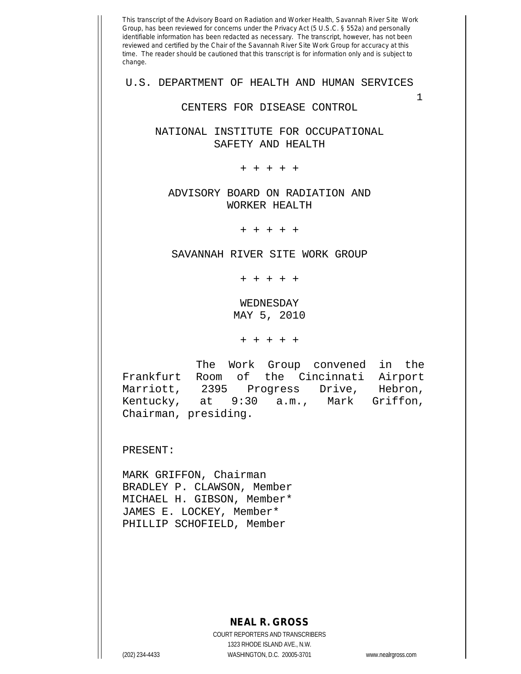This transcript of the Advisory Board on Radiation and Worker Health, Savannah River Site Work Group, has been reviewed for concerns under the Privacy Act (5 U.S.C. § 552a) and personally identifiable information has been redacted as necessary. The transcript, however, has not been reviewed and certified by the Chair of the Savannah River Site Work Group for accuracy at this time. The reader should be cautioned that this transcript is for information only and is subject to change. **NEAL R. GROSS** COURT REPORTERS AND TRANSCRIBERS 1323 RHODE ISLAND AVE., N.W. 1 U.S. DEPARTMENT OF HEALTH AND HUMAN SERVICES CENTERS FOR DISEASE CONTROL NATIONAL INSTITUTE FOR OCCUPATIONAL SAFETY AND HEALTH + + + + + ADVISORY BOARD ON RADIATION AND WORKER HEALTH + + + + + SAVANNAH RIVER SITE WORK GROUP + + + + + WEDNESDAY MAY 5, 2010 + + + + + The Work Group convened in the Frankfurt Room of the Cincinnati Airport Marriott, 2395 Progress Drive, Hebron,<br>Kentucky, at 9:30 a.m., Mark Griffon, Kentucky, at 9:30 a.m., Mark Chairman, presiding. PRESENT: MARK GRIFFON, Chairman BRADLEY P. CLAWSON, Member MICHAEL H. GIBSON, Member\* JAMES E. LOCKEY, Member\* PHILLIP SCHOFIELD, Member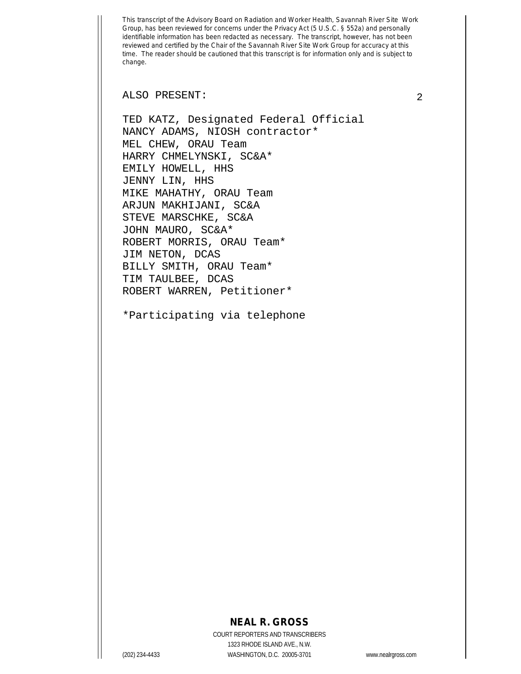ALSO PRESENT: 2

TED KATZ, Designated Federal Official NANCY ADAMS, NIOSH contractor\* MEL CHEW, ORAU Team HARRY CHMELYNSKI, SC&A\* EMILY HOWELL, HHS JENNY LIN, HHS MIKE MAHATHY, ORAU Team ARJUN MAKHIJANI, SC&A STEVE MARSCHKE, SC&A JOHN MAURO, SC&A\* ROBERT MORRIS, ORAU Team\* JIM NETON, DCAS BILLY SMITH, ORAU Team\* TIM TAULBEE, DCAS ROBERT WARREN, Petitioner\*

\*Participating via telephone

## **NEAL R. GROSS**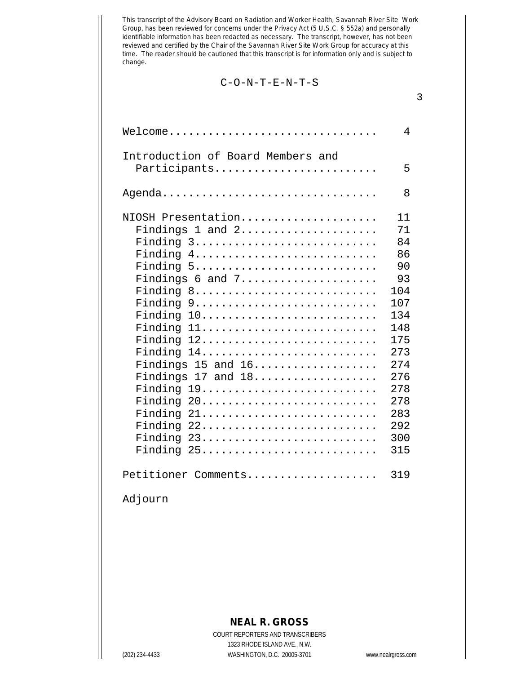$$
C-O-N-T-E-N-T-S
$$

 $\texttt{Welcome}\dots\dots\dots\dots\dots\dots\dots\dots\dots\quad\quad\quad 4$ Introduction of Board Members and Participants......................... 5 Agenda................................. 8 NIOSH Presentation..................... 11 Findings 1 and 2..................... 71 Finding 3............................ 84 Finding 4............................ 86 Finding 5............................. Findings 6 and 7..................... 93 Finding 8............................ 104 Finding 9............................. Finding 10................................ 134<br>Finding 11............................ 148 Finding 11............................ Finding 12............................... 175<br>Finding 14............................. 273 Finding 14................................. 273<br>Findings 15 and 16..................... 274 Findings 15 and 16...................... 274<br>Findings 17 and 18.................... 276 Findings 17 and 18....................... 276<br>Finding 19............................. 278 Finding 19............................ Finding 20........................... 278 Finding 21................................... 283<br>Finding 22............................... 292 Finding 22........................... Finding 23........................... 300 Finding 25............................ Petitioner Comments.................... 319

Adjourn

## **NEAL R. GROSS**

COURT REPORTERS AND TRANSCRIBERS 1323 RHODE ISLAND AVE., N.W. (202) 234-4433 WASHINGTON, D.C. 20005-3701 www.nealrgross.com

3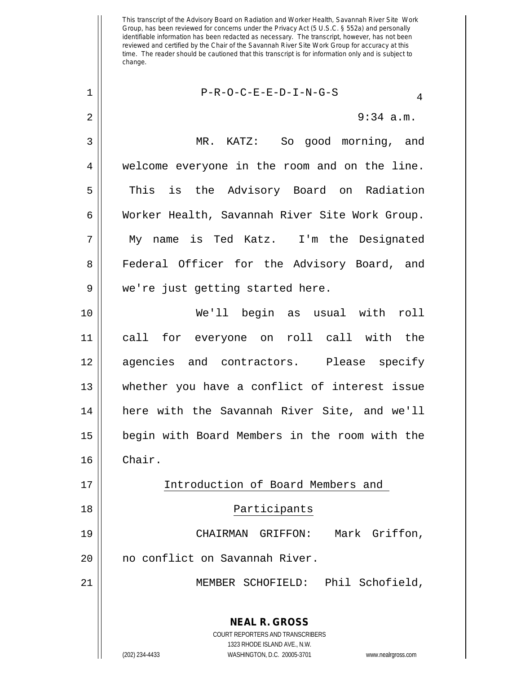This transcript of the Advisory Board on Radiation and Worker Health, Savannah River Site Work Group, has been reviewed for concerns under the Privacy Act (5 U.S.C. § 552a) and personally identifiable information has been redacted as necessary. The transcript, however, has not been reviewed and certified by the Chair of the Savannah River Site Work Group for accuracy at this time. The reader should be cautioned that this transcript is for information only and is subject to change. **NEAL R. GROSS** COURT REPORTERS AND TRANSCRIBERS 1323 RHODE ISLAND AVE., N.W.  $1$  | P-R-O-C-E-E-D-I-N-G-S 2  $\parallel$  9:34 a.m. 3 MR. KATZ: So good morning, and 4 || welcome everyone in the room and on the line. 5 || This is the Advisory Board on Radiation 6 Worker Health, Savannah River Site Work Group. 7 My name is Ted Katz. I'm the Designated 8 || Federal Officer for the Advisory Board, and 9 we're just getting started here. 10 We'll begin as usual with roll 11 call for everyone on roll call with the 12 agencies and contractors. Please specify 13 whether you have a conflict of interest issue 14 here with the Savannah River Site, and we'll 15 begin with Board Members in the room with the 16 Chair. 17 Introduction of Board Members and 18 Participants 19 CHAIRMAN GRIFFON: Mark Griffon, 20 || no conflict on Savannah River. 21 MEMBER SCHOFIELD: Phil Schofield,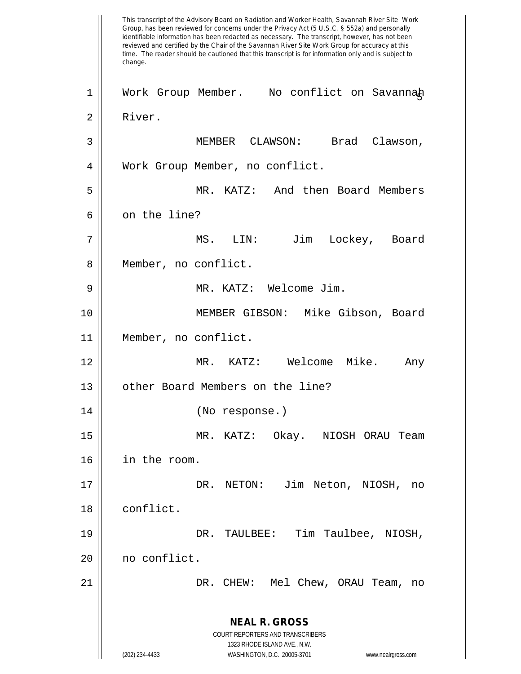This transcript of the Advisory Board on Radiation and Worker Health, Savannah River Site Work Group, has been reviewed for concerns under the Privacy Act (5 U.S.C. § 552a) and personally identifiable information has been redacted as necessary. The transcript, however, has not been reviewed and certified by the Chair of the Savannah River Site Work Group for accuracy at this time. The reader should be cautioned that this transcript is for information only and is subject to change. **NEAL R. GROSS** COURT REPORTERS AND TRANSCRIBERS 1323 RHODE ISLAND AVE., N.W. (202) 234-4433 WASHINGTON, D.C. 20005-3701 www.nealrgross.com 1 || Work Group Member. No conflict on Savannah 2 | River. 3 MEMBER CLAWSON: Brad Clawson, 4 || Work Group Member, no conflict. 5 MR. KATZ: And then Board Members  $6 \parallel$  on the line? 7 MS. LIN: Jim Lockey, Board 8 || Member, no conflict. 9 || MR. KATZ: Welcome Jim. 10 || MEMBER GIBSON: Mike Gibson, Board 11 Member, no conflict. 12 MR. KATZ: Welcome Mike. Any 13 || other Board Members on the line? 14 (No response.) 15 MR. KATZ: Okay. NIOSH ORAU Team 16 in the room. 17 DR. NETON: Jim Neton, NIOSH, no 18 | conflict. 19 DR. TAULBEE: Tim Taulbee, NIOSH, 20 | no conflict. 21 DR. CHEW: Mel Chew, ORAU Team, no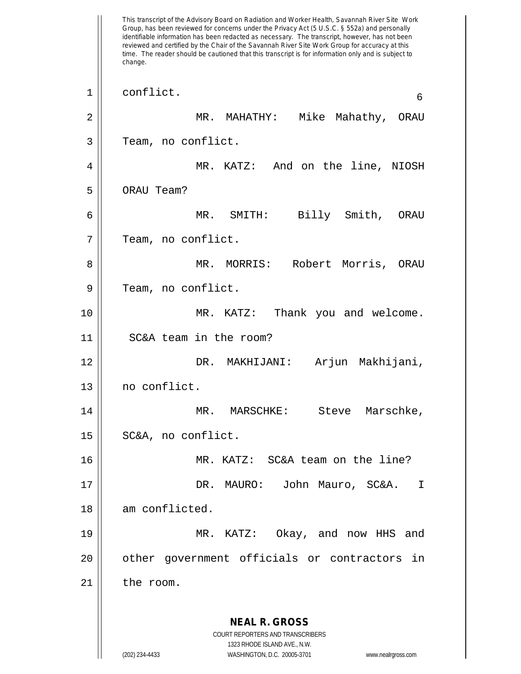This transcript of the Advisory Board on Radiation and Worker Health, Savannah River Site Work Group, has been reviewed for concerns under the Privacy Act (5 U.S.C. § 552a) and personally identifiable information has been redacted as necessary. The transcript, however, has not been reviewed and certified by the Chair of the Savannah River Site Work Group for accuracy at this time. The reader should be cautioned that this transcript is for information only and is subject to change. **NEAL R. GROSS** COURT REPORTERS AND TRANSCRIBERS 1323 RHODE ISLAND AVE., N.W. (202) 234-4433 WASHINGTON, D.C. 20005-3701 www.nealrgross.com 1 conflict. 6 2 MR. MAHATHY: Mike Mahathy, ORAU 3 || Team, no conflict. 4 MR. KATZ: And on the line, NIOSH 5 | ORAU Team? 6 MR. SMITH: Billy Smith, ORAU 7 || Team, no conflict. 8 MR. MORRIS: Robert Morris, ORAU 9 || Team, no conflict. 10 || MR. KATZ: Thank you and welcome. 11 SC&A team in the room? 12 DR. MAKHIJANI: Arjun Makhijani, 13 no conflict. 14 || MR. MARSCHKE: Steve Marschke, 15 || SC&A, no conflict. 16 MR. KATZ: SC&A team on the line? 17 DR. MAURO: John Mauro, SC&A. I 18 | am conflicted. 19 MR. KATZ: Okay, and now HHS and 20 || other government officials or contractors in  $21$  | the room.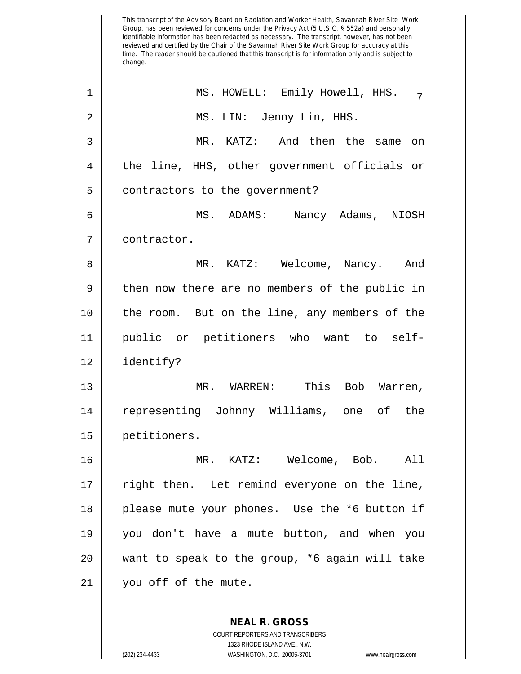This transcript of the Advisory Board on Radiation and Worker Health, Savannah River Site Work Group, has been reviewed for concerns under the Privacy Act (5 U.S.C. § 552a) and personally identifiable information has been redacted as necessary. The transcript, however, has not been reviewed and certified by the Chair of the Savannah River Site Work Group for accuracy at this time. The reader should be cautioned that this transcript is for information only and is subject to change. <sup>7</sup> 1 MS. HOWELL: Emily Howell, HHS. 2 MS. LIN: Jenny Lin, HHS. 3 MR. KATZ: And then the same on 4 || the line, HHS, other government officials or 5 | contractors to the government? 6 MS. ADAMS: Nancy Adams, NIOSH 7 contractor. 8 MR. KATZ: Welcome, Nancy. And 9 || then now there are no members of the public in 10 || the room. But on the line, any members of the 11 public or petitioners who want to self-12 identify? 13 MR. WARREN: This Bob Warren, 14 representing Johnny Williams, one of the 15 petitioners. 16 MR. KATZ: Welcome, Bob. All 17 || right then. Let remind everyone on the line, 18 || please mute your phones. Use the \*6 button if 19 you don't have a mute button, and when you 20 want to speak to the group, \*6 again will take 21 | you off of the mute.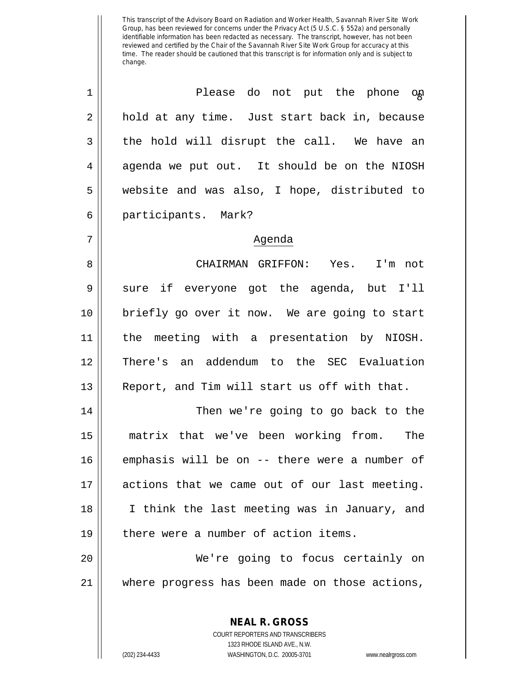| $\mathbf 1$ | Please do not put the phone<br>೦ಖ              |
|-------------|------------------------------------------------|
| 2           | hold at any time. Just start back in, because  |
| 3           | the hold will disrupt the call. We have an     |
| 4           | agenda we put out. It should be on the NIOSH   |
| 5           | website and was also, I hope, distributed to   |
| 6           | participants. Mark?                            |
| 7           | Agenda                                         |
| 8           | CHAIRMAN GRIFFON: Yes.<br>I'm not              |
| $\mathsf 9$ | sure if everyone got the agenda, but I'll      |
| 10          | briefly go over it now. We are going to start  |
| 11          | the meeting with a presentation by NIOSH.      |
| 12          | There's an addendum to the SEC Evaluation      |
| 13          | Report, and Tim will start us off with that.   |
| 14          | Then we're going to go back to the             |
| 15          | matrix that we've been working from.<br>The    |
| 16          | emphasis will be on -- there were a number of  |
| 17          | actions that we came out of our last meeting.  |
| 18          | I think the last meeting was in January, and   |
| 19          | there were a number of action items.           |
| 20          | We're going to focus certainly on              |
| 21          | where progress has been made on those actions, |
|             | <b>NEAL R. GROSS</b>                           |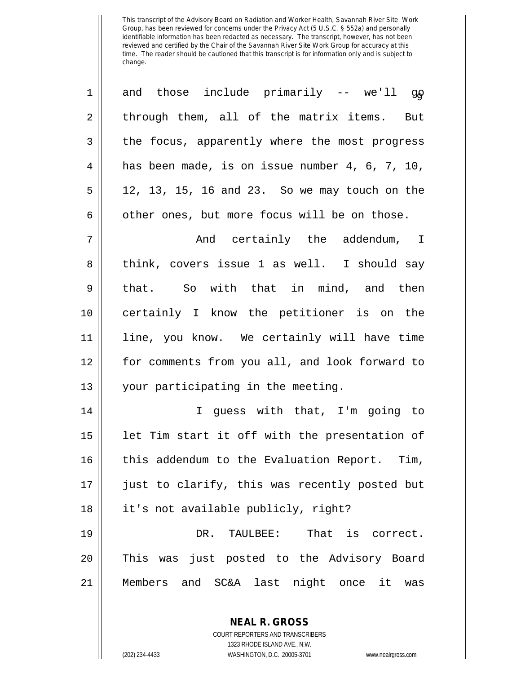| $\mathbf 1$ | and those include primarily -- we'll go        |
|-------------|------------------------------------------------|
| 2           | through them, all of the matrix items. But     |
| 3           | the focus, apparently where the most progress  |
| 4           | has been made, is on issue number 4, 6, 7, 10, |
| 5           | 12, 13, 15, 16 and 23. So we may touch on the  |
| 6           | other ones, but more focus will be on those.   |
| 7           | And certainly the addendum, I                  |
| 8           | think, covers issue 1 as well. I should say    |
| 9           | that. So with that in mind, and then           |
| 10          | certainly I know the petitioner is on the      |
| 11          | line, you know. We certainly will have time    |
| 12          | for comments from you all, and look forward to |
| 13          | your participating in the meeting.             |
| 14          | I guess with that, I'm going to                |
| 15          | let Tim start it off with the presentation of  |
| 16          | this addendum to the Evaluation Report. Tim,   |
| 17          | just to clarify, this was recently posted but  |
| 18          | it's not available publicly, right?            |
| 19          | TAULBEE:<br>That is correct.<br>DR.            |
| 20          | This was just posted to the Advisory Board     |
| 21          | Members and SC&A last night once it<br>was     |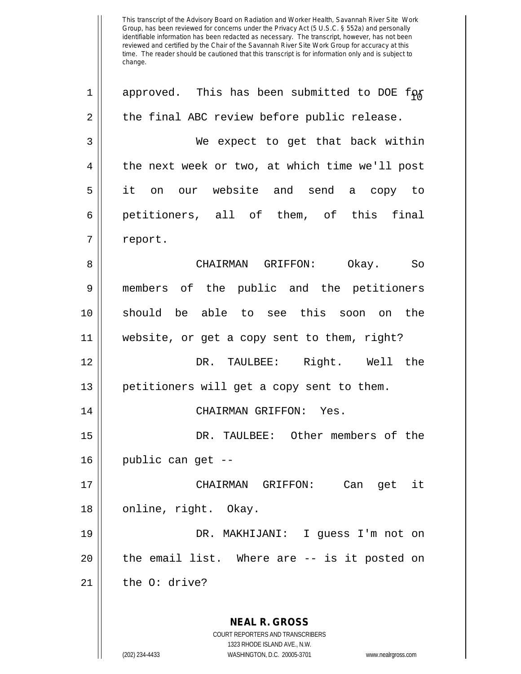This transcript of the Advisory Board on Radiation and Worker Health, Savannah River Site Work Group, has been reviewed for concerns under the Privacy Act (5 U.S.C. § 552a) and personally identifiable information has been redacted as necessary. The transcript, however, has not been reviewed and certified by the Chair of the Savannah River Site Work Group for accuracy at this time. The reader should be cautioned that this transcript is for information only and is subject to change. **NEAL R. GROSS** COURT REPORTERS AND TRANSCRIBERS 1323 RHODE ISLAND AVE., N.W. 1 || approved. This has been submitted to DOE for  $2 \parallel$  the final ABC review before public release. 3 We expect to get that back within 4 || the next week or two, at which time we'll post 5 it on our website and send a copy to 6 || petitioners, all of them, of this final 7 | report. 8 CHAIRMAN GRIFFON: Okay. So 9 members of the public and the petitioners 10 should be able to see this soon on the 11 website, or get a copy sent to them, right? 12 DR. TAULBEE: Right. Well the 13 || petitioners will get a copy sent to them. 14 CHAIRMAN GRIFFON: Yes. 15 DR. TAULBEE: Other members of the 16 public can get -- 17 CHAIRMAN GRIFFON: Can get it 18 || online, right. Okay. 19 DR. MAKHIJANI: I guess I'm not on  $20$  || the email list. Where are  $-$  is it posted on  $21$  | the  $0:$  drive?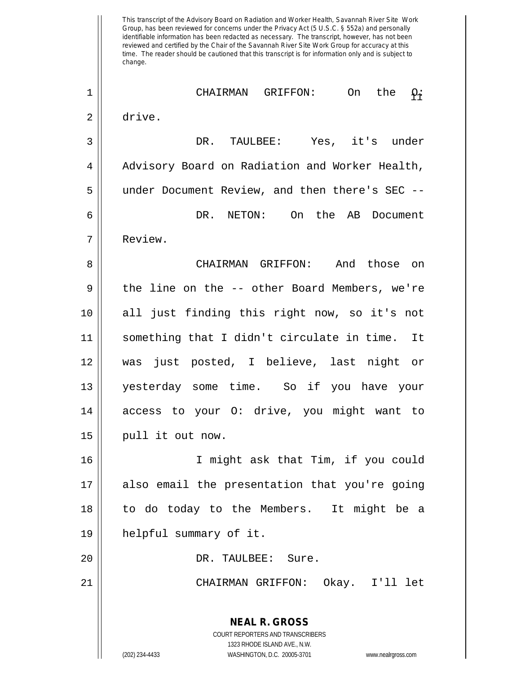This transcript of the Advisory Board on Radiation and Worker Health, Savannah River Site Work Group, has been reviewed for concerns under the Privacy Act (5 U.S.C. § 552a) and personally identifiable information has been redacted as necessary. The transcript, however, has not been reviewed and certified by the Chair of the Savannah River Site Work Group for accuracy at this time. The reader should be cautioned that this transcript is for information only and is subject to change. **NEAL R. GROSS** COURT REPORTERS AND TRANSCRIBERS 1323 RHODE ISLAND AVE., N.W.  $\begin{array}{ccc} 1 & \hspace{1.1cm} \text{CHAIRMAN} \hspace{1.3cm} \text{GRIFFON}: \hspace{1.3cm} \text{On} \hspace{1.3cm} \text{the} \hspace{1.3cm} \Omega_1^* \end{array}$ 2 drive. 3 DR. TAULBEE: Yes, it's under 4 || Advisory Board on Radiation and Worker Health, 5 || under Document Review, and then there's SEC --6 DR. NETON: On the AB Document 7 Review. 8 CHAIRMAN GRIFFON: And those on 9 || the line on the -- other Board Members, we're 10 all just finding this right now, so it's not 11 something that I didn't circulate in time. It 12 was just posted, I believe, last night or 13 yesterday some time. So if you have your 14 access to your O: drive, you might want to 15 || pull it out now. 16 I might ask that Tim, if you could 17 also email the presentation that you're going 18 to do today to the Members. It might be a 19 helpful summary of it. 20 DR. TAULBEE: Sure. 21 CHAIRMAN GRIFFON: Okay. I'll let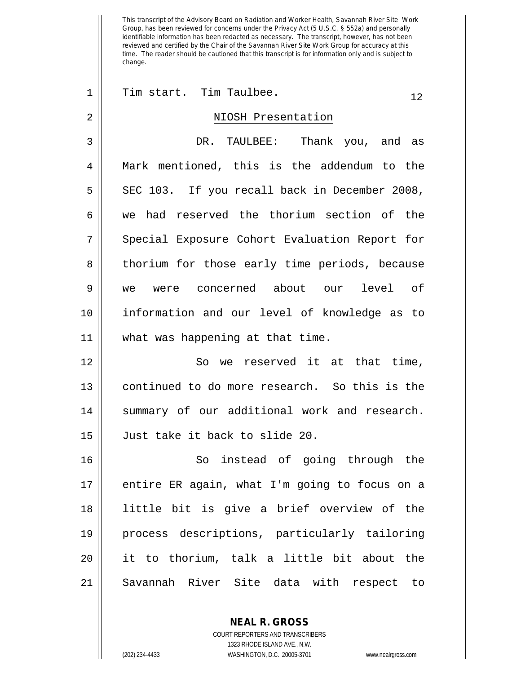This transcript of the Advisory Board on Radiation and Worker Health, Savannah River Site Work Group, has been reviewed for concerns under the Privacy Act (5 U.S.C. § 552a) and personally identifiable information has been redacted as necessary. The transcript, however, has not been reviewed and certified by the Chair of the Savannah River Site Work Group for accuracy at this time. The reader should be cautioned that this transcript is for information only and is subject to change. <sup>12</sup> 1 Tim start. Tim Taulbee. 2 NIOSH Presentation 3 DR. TAULBEE: Thank you, and as 4 Mark mentioned, this is the addendum to the  $5 \parallel$  SEC 103. If you recall back in December 2008, 6 we had reserved the thorium section of the 7 || Special Exposure Cohort Evaluation Report for 8 || thorium for those early time periods, because 9 we were concerned about our level of 10 information and our level of knowledge as to 11 || what was happening at that time. 12 || So we reserved it at that time, 13 continued to do more research. So this is the 14 || summary of our additional work and research. 15 Just take it back to slide 20. 16 So instead of going through the 17 entire ER again, what I'm going to focus on a 18 little bit is give a brief overview of the 19 process descriptions, particularly tailoring 20 it to thorium, talk a little bit about the 21 Savannah River Site data with respect to

> COURT REPORTERS AND TRANSCRIBERS 1323 RHODE ISLAND AVE., N.W. (202) 234-4433 WASHINGTON, D.C. 20005-3701 www.nealrgross.com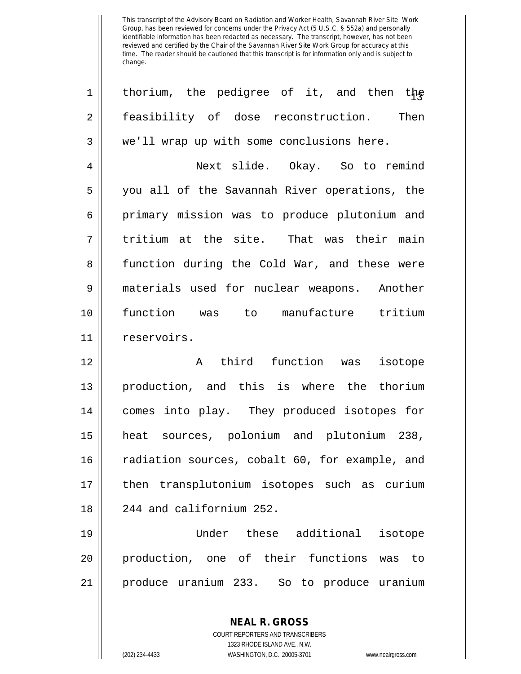| $\mathbf 1$ | thorium, the pedigree of it, and then the       |
|-------------|-------------------------------------------------|
| 2           | feasibility of dose reconstruction.<br>Then     |
| 3           | we'll wrap up with some conclusions here.       |
| 4           | Next slide. Okay. So to remind                  |
| 5           | you all of the Savannah River operations, the   |
| 6           | primary mission was to produce plutonium and    |
| 7           | tritium at the site. That was their main        |
| 8           | function during the Cold War, and these were    |
| 9           | materials used for nuclear weapons. Another     |
| 10          | function was to manufacture tritium             |
| 11          | reservoirs.                                     |
| 12          | A third function was isotope                    |
| 13          | production, and this is where the thorium       |
| 14          | comes into play. They produced isotopes for     |
| 15          | heat sources, polonium and plutonium 238,       |
| 16          | radiation sources, cobalt 60, for example, and  |
| 17          | then transplutonium isotopes such as curium     |
| 18          | 244 and californium 252.                        |
| 19          | Under these additional<br>isotope               |
| 20          | production, one of their functions<br>to<br>was |
| 21          | produce uranium 233. So to produce uranium      |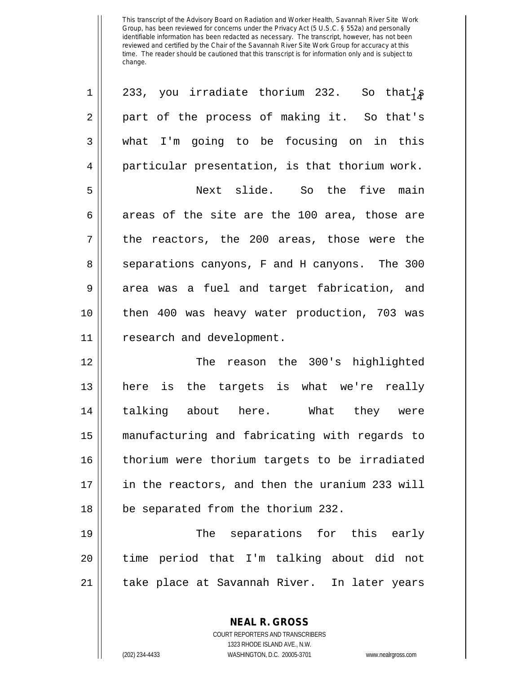| 1              | 233, you irradiate thorium 232.<br>So that $\frac{1}{4}$ |
|----------------|----------------------------------------------------------|
| $\overline{2}$ | part of the process of making it. So that's              |
| 3              | what I'm going to be focusing on in this                 |
| 4              | particular presentation, is that thorium work.           |
| 5              | Next slide. So the five main                             |
| 6              | areas of the site are the 100 area, those are            |
| 7              | the reactors, the 200 areas, those were the              |
| 8              | separations canyons, F and H canyons. The 300            |
| 9              | area was a fuel and target fabrication, and              |
| 10             | then 400 was heavy water production, 703 was             |
| 11             | research and development.                                |
| 12             | The reason the 300's highlighted                         |
| 13             | is the targets is what we're really<br>here              |
| 14             | talking about here. What they were                       |
| 15             | manufacturing and fabricating with regards to            |
| 16             | thorium were thorium targets to be irradiated            |
| 17             | in the reactors, and then the uranium 233 will           |
| $18\,$         | be separated from the thorium 232.                       |
| 19             | The separations for this early                           |
| 20             | time period that I'm talking about did<br>not            |

21 || take place at Savannah River. In later years

**NEAL R. GROSS** COURT REPORTERS AND TRANSCRIBERS

1323 RHODE ISLAND AVE., N.W.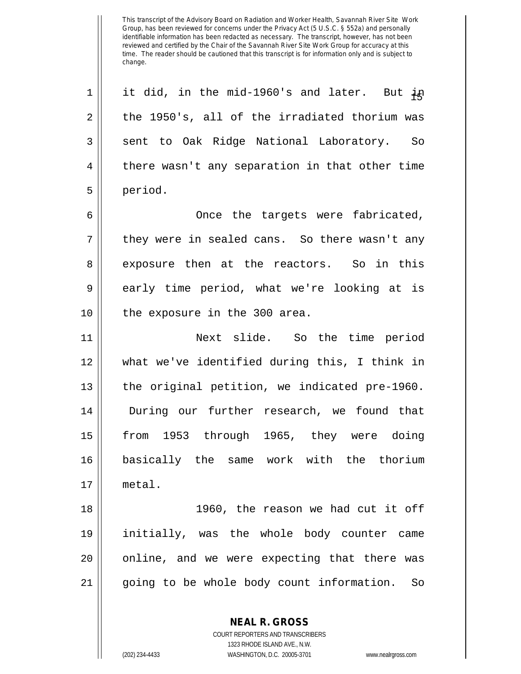1 || it did, in the mid-1960's and later. But  $\dot{p}$  $2 \parallel$  the 1950's, all of the irradiated thorium was 3 || sent to Oak Ridge National Laboratory. So 4 || there wasn't any separation in that other time 5 period.

6 Once the targets were fabricated,  $7 \parallel$  they were in sealed cans. So there wasn't any 8 || exposure then at the reactors. So in this 9 early time period, what we're looking at is 10 || the exposure in the 300 area.

11 Next slide. So the time period 12 what we've identified during this, I think in 13 || the original petition, we indicated pre-1960. 14 During our further research, we found that 15 from 1953 through 1965, they were doing 16 basically the same work with the thorium 17 metal.

18 1960, the reason we had cut it off 19 initially, was the whole body counter came 20 || online, and we were expecting that there was 21 || going to be whole body count information. So

> **NEAL R. GROSS** COURT REPORTERS AND TRANSCRIBERS

1323 RHODE ISLAND AVE., N.W. (202) 234-4433 WASHINGTON, D.C. 20005-3701 www.nealrgross.com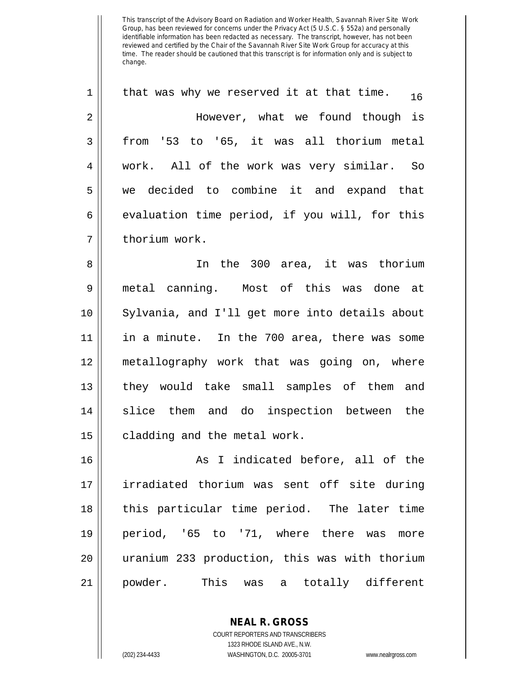1 || that was why we reserved it at that time.  $\frac{16}{16}$ 2 However, what we found though is  $3 \parallel$  from '53 to '65, it was all thorium metal 4 work. All of the work was very similar. So 5 we decided to combine it and expand that 6 evaluation time period, if you will, for this 7 ll thorium work.

8 || In the 300 area, it was thorium 9 metal canning. Most of this was done at 10 || Sylvania, and I'll get more into details about 11 in a minute. In the 700 area, there was some 12 metallography work that was going on, where 13 they would take small samples of them and 14 || slice them and do inspection between the 15 | cladding and the metal work.

16 as I indicated before, all of the 17 irradiated thorium was sent off site during 18 || this particular time period. The later time 19 period, '65 to '71, where there was more 20 uranium 233 production, this was with thorium 21 powder. This was a totally different

> COURT REPORTERS AND TRANSCRIBERS 1323 RHODE ISLAND AVE., N.W. (202) 234-4433 WASHINGTON, D.C. 20005-3701 www.nealrgross.com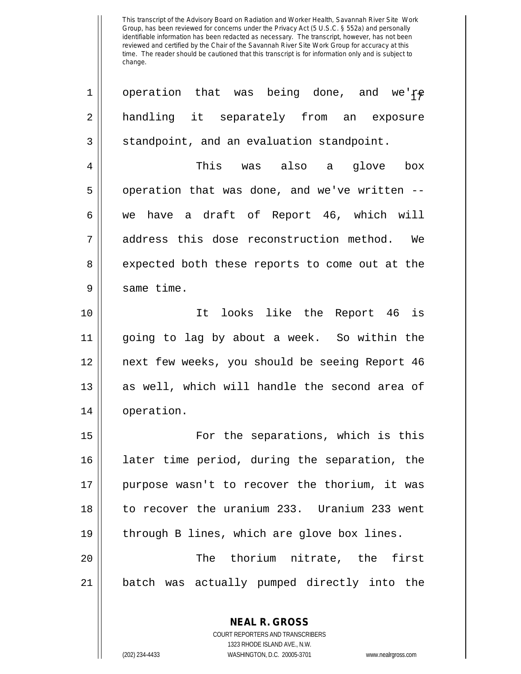| $\mathbf 1$    | operation that was being done, and we're       |
|----------------|------------------------------------------------|
| $\overline{2}$ | handling it separately from an exposure        |
| $\mathbf{3}$   | standpoint, and an evaluation standpoint.      |
| 4              | This<br>was also a<br>glove<br>box             |
| 5              | operation that was done, and we've written --  |
| 6              | we have a draft of Report 46, which will       |
| 7              | address this dose reconstruction method. We    |
| 8              | expected both these reports to come out at the |
| 9              | same time.                                     |
| 10             | looks like the Report 46 is<br>It              |
| 11             | going to lag by about a week. So within the    |
| 12             | next few weeks, you should be seeing Report 46 |
| 13             | as well, which will handle the second area of  |
| 14             | operation.                                     |
| 15             | For the separations, which is this             |
| 16             | later time period, during the separation, the  |
| 17             | purpose wasn't to recover the thorium, it was  |
| 18             | to recover the uranium 233. Uranium 233 went   |
| 19             | through B lines, which are glove box lines.    |
| 20             | The thorium nitrate, the first                 |
| 21             | batch was actually pumped directly into the    |

COURT REPORTERS AND TRANSCRIBERS 1323 RHODE ISLAND AVE., N.W. (202) 234-4433 WASHINGTON, D.C. 20005-3701 www.nealrgross.com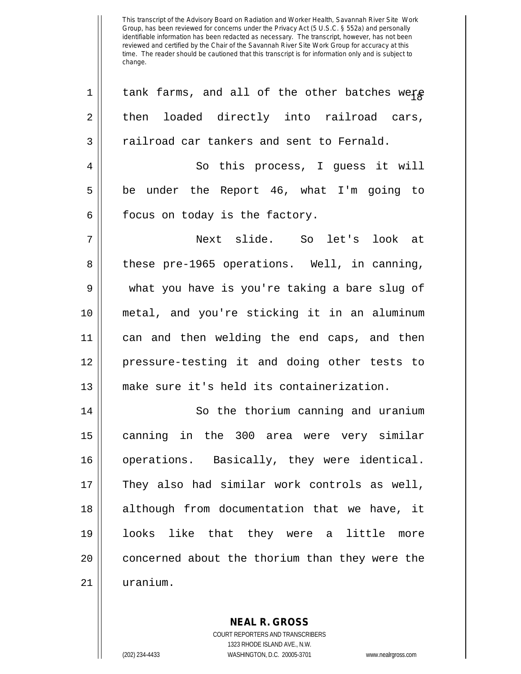This transcript of the Advisory Board on Radiation and Worker Health, Savannah River Site Work Group, has been reviewed for concerns under the Privacy Act (5 U.S.C. § 552a) and personally identifiable information has been redacted as necessary. The transcript, however, has not been reviewed and certified by the Chair of the Savannah River Site Work Group for accuracy at this time. The reader should be cautioned that this transcript is for information only and is subject to change. 1 $\parallel$  tank farms, and all of the other batches were  $2 \parallel$  then loaded directly into railroad cars,  $3 \parallel$  railroad car tankers and sent to Fernald. 4 || So this process, I guess it will 5 || be under the Report 46, what I'm going to  $6 \parallel$  focus on today is the factory. 7 Next slide. So let's look at 8 || these pre-1965 operations. Well, in canning, 9 what you have is you're taking a bare slug of 10 metal, and you're sticking it in an aluminum 11 can and then welding the end caps, and then 12 pressure-testing it and doing other tests to 13 make sure it's held its containerization. 14 || So the thorium canning and uranium 15 canning in the 300 area were very similar 16 || operations. Basically, they were identical. 17 || They also had similar work controls as well, 18 || although from documentation that we have, it 19 looks like that they were a little more 20 || concerned about the thorium than they were the 21 uranium.

> COURT REPORTERS AND TRANSCRIBERS 1323 RHODE ISLAND AVE., N.W. (202) 234-4433 WASHINGTON, D.C. 20005-3701 www.nealrgross.com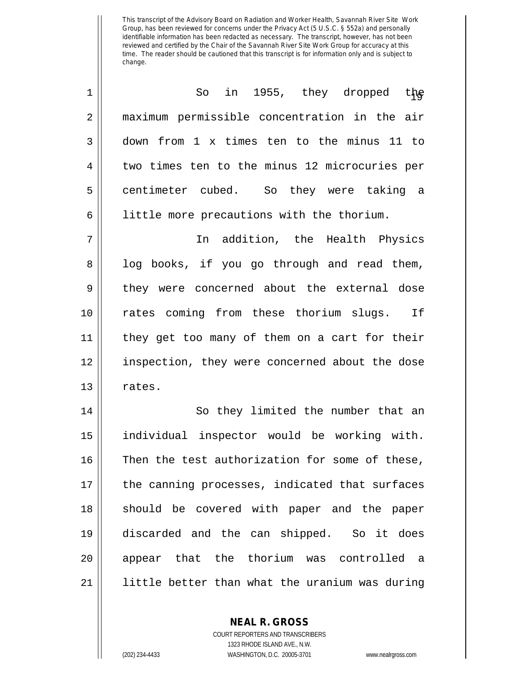| 1  | in 1955, they dropped<br>So<br>the             |
|----|------------------------------------------------|
| 2  | maximum permissible concentration in the air   |
| 3  | down from 1 x times ten to the minus 11 to     |
| 4  | two times ten to the minus 12 microcuries per  |
| 5  | centimeter cubed. So they were taking a        |
| 6  | little more precautions with the thorium.      |
| 7  | In addition, the Health Physics                |
| 8  | log books, if you go through and read them,    |
| 9  | they were concerned about the external dose    |
| 10 | rates coming from these thorium slugs. If      |
| 11 | they get too many of them on a cart for their  |
| 12 | inspection, they were concerned about the dose |
| 13 | rates.                                         |
| 14 | So they limited the number that an             |
| 15 | individual inspector would be working with.    |
| 16 | Then the test authorization for some of these, |
| 17 | the canning processes, indicated that surfaces |
| 18 | should be covered with paper and the paper     |
| 19 | discarded and the can shipped. So it does      |
| 20 | appear that the thorium was controlled a       |
| 21 | little better than what the uranium was during |

**NEAL R. GROSS**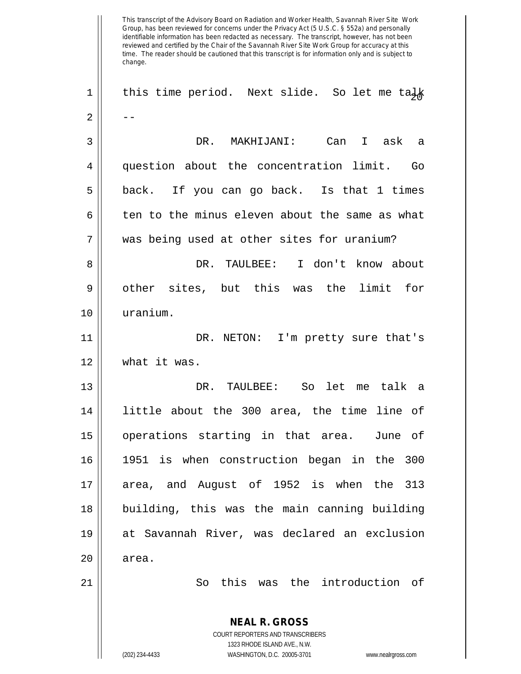This transcript of the Advisory Board on Radiation and Worker Health, Savannah River Site Work Group, has been reviewed for concerns under the Privacy Act (5 U.S.C. § 552a) and personally identifiable information has been redacted as necessary. The transcript, however, has not been reviewed and certified by the Chair of the Savannah River Site Work Group for accuracy at this time. The reader should be cautioned that this transcript is for information only and is subject to change. **NEAL R. GROSS** COURT REPORTERS AND TRANSCRIBERS 1323 RHODE ISLAND AVE., N.W.  $1 \parallel$  this time period. Next slide. So let me ta $\frac{1}{k}$  $2 \parallel - -$ 3 DR. MAKHIJANI: Can I ask a 4 question about the concentration limit. Go  $5 \parallel$  back. If you can go back. Is that 1 times 6 ten to the minus eleven about the same as what 7 || was being used at other sites for uranium? 8 DR. TAULBEE: I don't know about 9 || other sites, but this was the limit for 10 uranium. 11 || DR. NETON: I'm pretty sure that's 12 what it was. 13 DR. TAULBEE: So let me talk a 14 little about the 300 area, the time line of 15 operations starting in that area. June of 16 1951 is when construction began in the 300 17 area, and August of 1952 is when the 313 18 building, this was the main canning building 19 at Savannah River, was declared an exclusion  $20$  | area. 21 || So this was the introduction of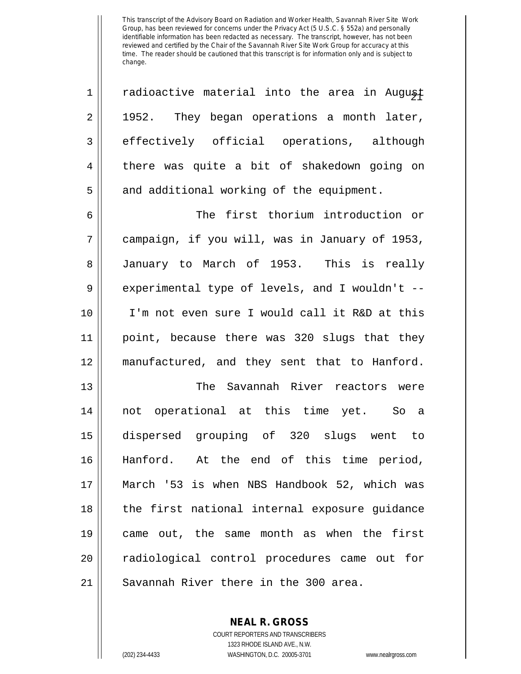1 | radioactive material into the area in August  $2 \parallel$  1952. They began operations a month later, 3 effectively official operations, although 4 || there was quite a bit of shakedown going on 5 || and additional working of the equipment. 6 The first thorium introduction or 7 campaign, if you will, was in January of 1953, 8 January to March of 1953. This is really 9 experimental type of levels, and I wouldn't --10 I'm not even sure I would call it R&D at this 11 point, because there was 320 slugs that they 12 manufactured, and they sent that to Hanford. 13 The Savannah River reactors were 14 not operational at this time yet. So a 15 dispersed grouping of 320 slugs went to 16 Hanford. At the end of this time period, 17 March '53 is when NBS Handbook 52, which was 18 || the first national internal exposure guidance 19 came out, the same month as when the first 20 || radiological control procedures came out for 21 | Savannah River there in the 300 area.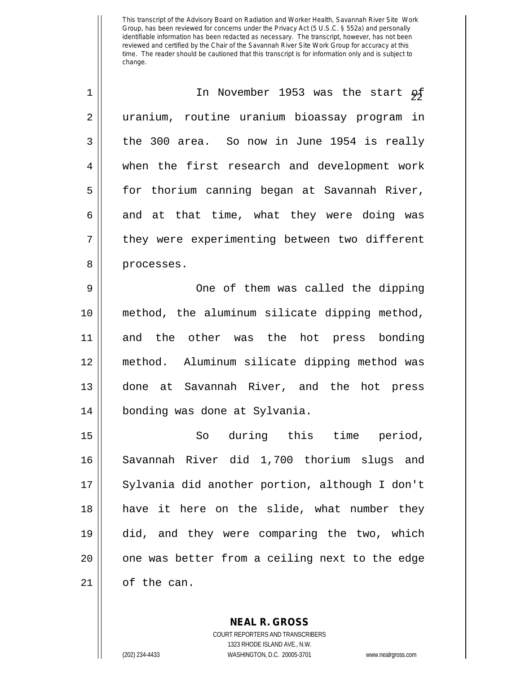| In November 1953 was the start of              |
|------------------------------------------------|
| uranium, routine uranium bioassay program in   |
| the 300 area. So now in June 1954 is really    |
| when the first research and development work   |
| for thorium canning began at Savannah River,   |
| and at that time, what they were doing was     |
| they were experimenting between two different  |
| processes.                                     |
| One of them was called the dipping             |
| method, the aluminum silicate dipping method,  |
| and the other was the hot press bonding        |
| method. Aluminum silicate dipping method was   |
| done at Savannah River, and the hot press      |
| bonding was done at Sylvania.                  |
| during this time period,<br>So                 |
| Savannah River did 1,700 thorium slugs and     |
| Sylvania did another portion, although I don't |
| have it here on the slide, what number they    |
| did, and they were comparing the two, which    |
| one was better from a ceiling next to the edge |
| of the can.                                    |
|                                                |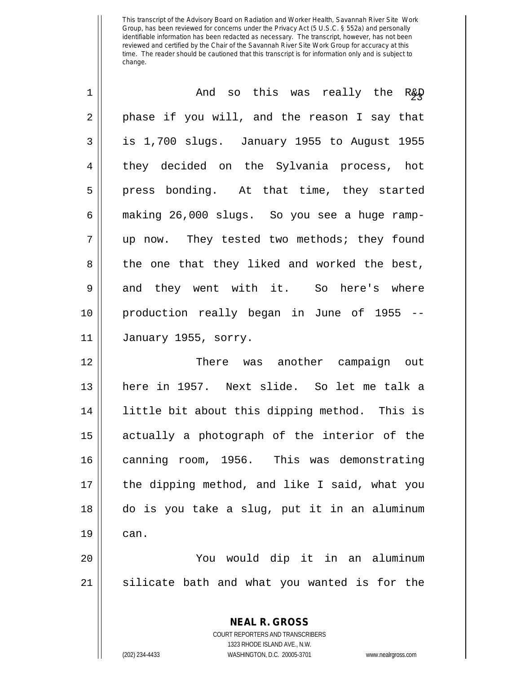| $\mathbf 1$ | And so this was really the R&D                |
|-------------|-----------------------------------------------|
| 2           | phase if you will, and the reason I say that  |
| 3           | is 1,700 slugs. January 1955 to August 1955   |
| 4           | they decided on the Sylvania process, hot     |
| 5           | press bonding. At that time, they started     |
| 6           | making 26,000 slugs. So you see a huge ramp-  |
| 7           | up now. They tested two methods; they found   |
| 8           | the one that they liked and worked the best,  |
| 9           | and they went with it. So here's where        |
| 10          | production really began in June of 1955 --    |
| 11          | January 1955, sorry.                          |
| 12          | There was another campaign out                |
| 13          | here in 1957. Next slide. So let me talk a    |
| 14          | little bit about this dipping method. This is |
| 15          | actually a photograph of the interior of the  |
| 16          | canning room, 1956. This was demonstrating    |
| 17          | the dipping method, and like I said, what you |
| 18          | do is you take a slug, put it in an aluminum  |
| 19          | can.                                          |
|             |                                               |

20 You would dip it in an aluminum  $21$  silicate bath and what you wanted is for the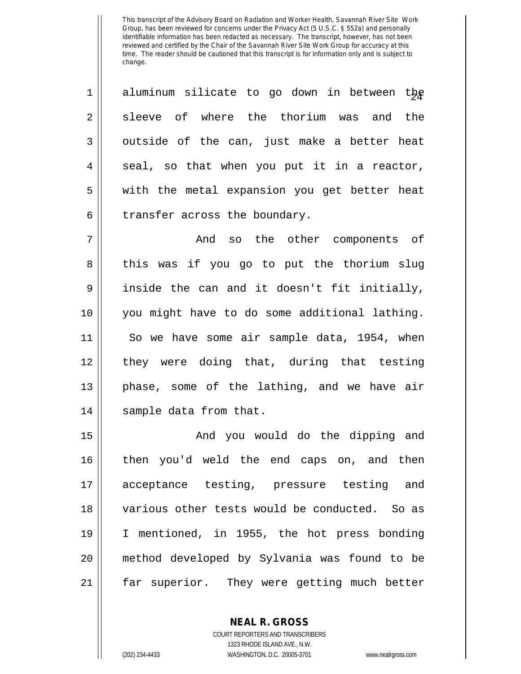1 || aluminum silicate to go down in between the 2 sleeve of where the thorium was and the  $3 \parallel$  outside of the can, just make a better heat  $4 \parallel$  seal, so that when you put it in a reactor, 5 || with the metal expansion you get better heat  $6 \parallel$  transfer across the boundary. 7 And so the other components of 8 this was if you go to put the thorium slug  $9 \parallel$  inside the can and it doesn't fit initially, 10 || you might have to do some additional lathing. 11 So we have some air sample data, 1954, when 12 || they were doing that, during that testing 13 || phase, some of the lathing, and we have air 14 | sample data from that. 15 And you would do the dipping and 16 then you'd weld the end caps on, and then 17 acceptance testing, pressure testing and 18 various other tests would be conducted. So as 19 I mentioned, in 1955, the hot press bonding

21 far superior. They were getting much better

20 method developed by Sylvania was found to be

**NEAL R. GROSS**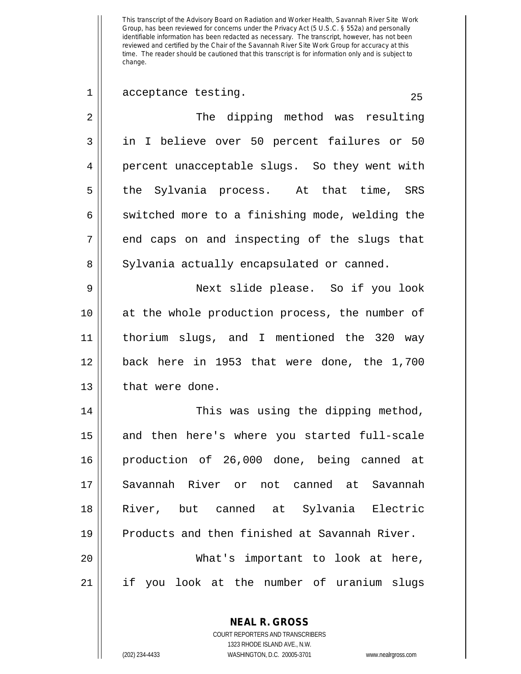| 1              | acceptance testing.<br>25                      |
|----------------|------------------------------------------------|
| $\overline{2}$ | The dipping method was resulting               |
| 3              | in I believe over 50 percent failures or 50    |
| 4              | percent unacceptable slugs. So they went with  |
| 5              | the Sylvania process. At that time, SRS        |
| 6              | switched more to a finishing mode, welding the |
| 7              | end caps on and inspecting of the slugs that   |
| 8              | Sylvania actually encapsulated or canned.      |
| 9              | Next slide please. So if you look              |
| 10             | at the whole production process, the number of |
| 11             | thorium slugs, and I mentioned the 320 way     |
| 12             | back here in 1953 that were done, the 1,700    |
| 13             | that were done.                                |
| 14             | This was using the dipping method,             |
| 15             | and then here's where you started full-scale   |
| 16             | production of 26,000 done, being canned at     |
| 17             | Savannah River or not canned at Savannah       |
| 18             | River, but canned at Sylvania Electric         |
| 19             | Products and then finished at Savannah River.  |
| 20             | What's important to look at here,              |
| 21             | if you look at the number of uranium slugs     |
|                |                                                |

COURT REPORTERS AND TRANSCRIBERS 1323 RHODE ISLAND AVE., N.W. (202) 234-4433 WASHINGTON, D.C. 20005-3701 www.nealrgross.com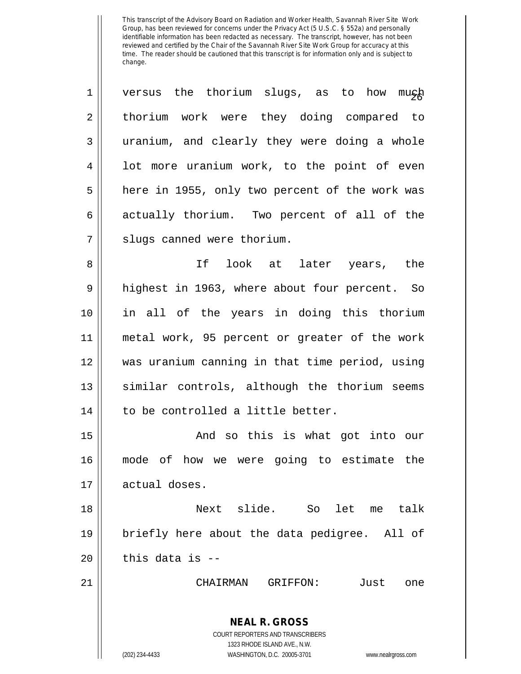$1 \parallel$  versus the thorium slugs, as to how muça 2 thorium work were they doing compared to 3 || uranium, and clearly they were doing a whole 4 || lot more uranium work, to the point of even 5 || here in 1955, only two percent of the work was  $6 \parallel$  actually thorium. Two percent of all of the 7 || slugs canned were thorium.

8 If look at later years, the 9 || highest in 1963, where about four percent. So 10 in all of the years in doing this thorium 11 metal work, 95 percent or greater of the work 12 was uranium canning in that time period, using 13 || similar controls, although the thorium seems  $14$  | to be controlled a little better.

15 And so this is what got into our 16 mode of how we were going to estimate the 17 actual doses.

18 Next slide. So let me talk 19 briefly here about the data pedigree. All of  $20$   $\parallel$  this data is --

21 CHAIRMAN GRIFFON: Just one

**NEAL R. GROSS** COURT REPORTERS AND TRANSCRIBERS 1323 RHODE ISLAND AVE., N.W.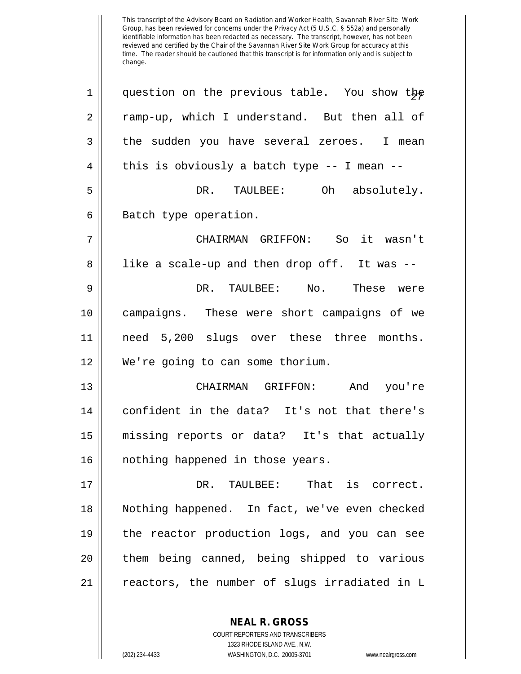This transcript of the Advisory Board on Radiation and Worker Health, Savannah River Site Work Group, has been reviewed for concerns under the Privacy Act (5 U.S.C. § 552a) and personally identifiable information has been redacted as necessary. The transcript, however, has not been reviewed and certified by the Chair of the Savannah River Site Work Group for accuracy at this time. The reader should be cautioned that this transcript is for information only and is subject to change.  $21$  question on the previous table. You show the 2 Tramp-up, which I understand. But then all of 3 the sudden you have several zeroes. I mean  $4 \parallel$  this is obviously a batch type -- I mean --5 DR. TAULBEE: Oh absolutely.  $6 \parallel$  Batch type operation. 7 CHAIRMAN GRIFFON: So it wasn't 8 || like a scale-up and then drop off. It was --9 DR. TAULBEE: No. These were 10 campaigns. These were short campaigns of we 11 need 5,200 slugs over these three months. 12 We're going to can some thorium. 13 CHAIRMAN GRIFFON: And you're 14 confident in the data? It's not that there's 15 missing reports or data? It's that actually 16 || nothing happened in those years. 17 DR. TAULBEE: That is correct. 18 Nothing happened. In fact, we've even checked 19 the reactor production logs, and you can see 20 || them being canned, being shipped to various  $21$  | reactors, the number of slugs irradiated in L

> **NEAL R. GROSS** COURT REPORTERS AND TRANSCRIBERS

1323 RHODE ISLAND AVE., N.W. (202) 234-4433 WASHINGTON, D.C. 20005-3701 www.nealrgross.com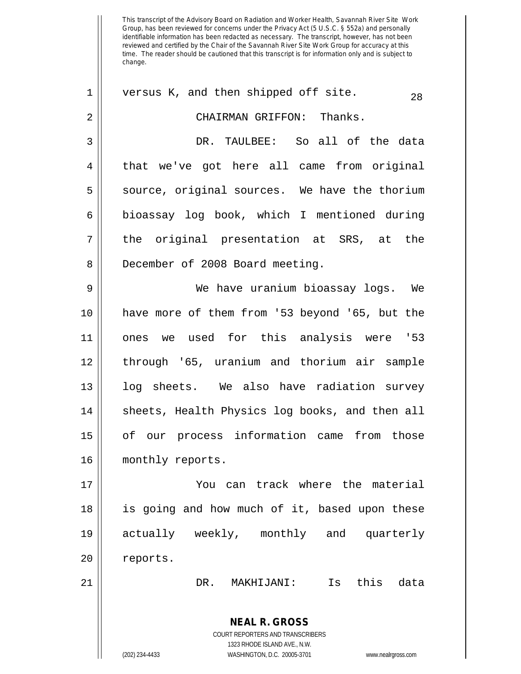| $1\,$ | versus K, and then shipped off site.<br>28                          |
|-------|---------------------------------------------------------------------|
| 2     | CHAIRMAN GRIFFON: Thanks.                                           |
| 3     | DR. TAULBEE: So all of the data                                     |
| 4     | that we've got here all came from original                          |
| 5     | source, original sources. We have the thorium                       |
| 6     | bioassay log book, which I mentioned during                         |
| 7     | the original presentation at SRS, at the                            |
| 8     | December of 2008 Board meeting.                                     |
| 9     | We have uranium bioassay logs. We                                   |
| 10    | have more of them from '53 beyond '65, but the                      |
| 11    | ones we used for this analysis were '53                             |
| 12    | through '65, uranium and thorium air sample                         |
| 13    | log sheets. We also have radiation survey                           |
| 14    | sheets, Health Physics log books, and then all                      |
| 15    | of our process information came from those                          |
| 16    | monthly reports.                                                    |
| 17    | You can track where the material                                    |
| 18    | is going and how much of it, based upon these                       |
| 19    | actually weekly, monthly and quarterly                              |
| 20    | reports.                                                            |
| 21    | this<br>data<br>DR.<br>MAKHIJANI:<br>Is                             |
|       |                                                                     |
|       | <b>NEAL R. GROSS</b><br>COURT REPORTERS AND TRANSCRIBERS            |
|       | 1323 RHODE ISLAND AVE., N.W.                                        |
|       | (202) 234-4433<br>WASHINGTON, D.C. 20005-3701<br>www.nealrgross.com |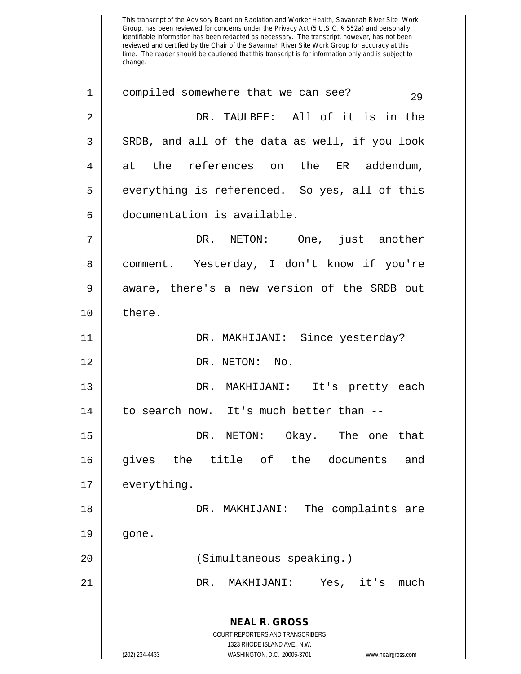This transcript of the Advisory Board on Radiation and Worker Health, Savannah River Site Work Group, has been reviewed for concerns under the Privacy Act (5 U.S.C. § 552a) and personally identifiable information has been redacted as necessary. The transcript, however, has not been reviewed and certified by the Chair of the Savannah River Site Work Group for accuracy at this time. The reader should be cautioned that this transcript is for information only and is subject to change. **NEAL R. GROSS** COURT REPORTERS AND TRANSCRIBERS 1323 RHODE ISLAND AVE., N.W. (202) 234-4433 WASHINGTON, D.C. 20005-3701 www.nealrgross.com  $1 \parallel$  compiled somewhere that we can see? 2 DR. TAULBEE: All of it is in the  $3 \parallel$  SRDB, and all of the data as well, if you look 4 at the references on the ER addendum,  $5 \parallel$  everything is referenced. So yes, all of this 6 documentation is available. 7 DR. NETON: One, just another 8 || comment. Yesterday, I don't know if you're 9 || aware, there's a new version of the SRDB out  $10$  | there. 11 | DR. MAKHIJANI: Since yesterday? 12 || DR. NETON: No. 13 DR. MAKHIJANI: It's pretty each  $14$  | to search now. It's much better than  $-$ -15 DR. NETON: Okay. The one that 16 gives the title of the documents and 17 | everything. 18 DR. MAKHIJANI: The complaints are  $19 \parallel$  gone. 20 || (Simultaneous speaking.) 21 DR. MAKHIJANI: Yes, it's much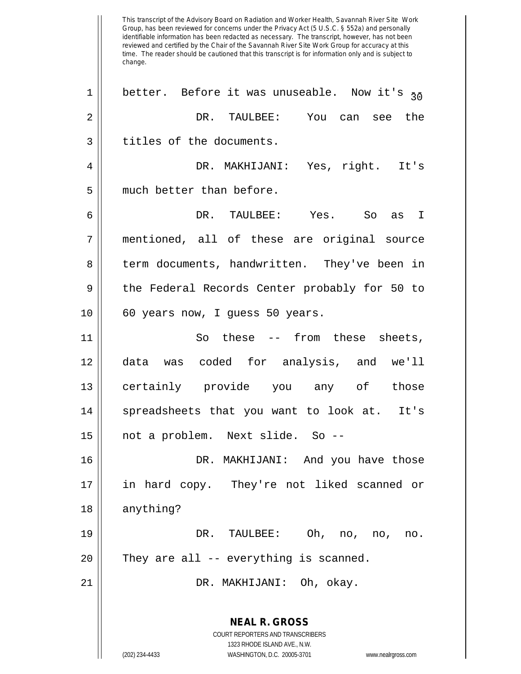This transcript of the Advisory Board on Radiation and Worker Health, Savannah River Site Work Group, has been reviewed for concerns under the Privacy Act (5 U.S.C. § 552a) and personally identifiable information has been redacted as necessary. The transcript, however, has not been reviewed and certified by the Chair of the Savannah River Site Work Group for accuracy at this time. The reader should be cautioned that this transcript is for information only and is subject to change. **NEAL R. GROSS** COURT REPORTERS AND TRANSCRIBERS 1323 RHODE ISLAND AVE., N.W. 1 || better. Before it was unuseable. Now it's  $_{\bar{3}\bar{0}}$ 2 DR. TAULBEE: You can see the 3 decrements. 4 DR. MAKHIJANI: Yes, right. It's 5 || much better than before. 6 DR. TAULBEE: Yes. So as I 7 mentioned, all of these are original source 8 || term documents, handwritten. They've been in 9 || the Federal Records Center probably for 50 to 10 || 60 years now, I guess 50 years. 11 || So these -- from these sheets, 12 data was coded for analysis, and we'll 13 || certainly provide you any of those 14 || spreadsheets that you want to look at. It's 15 not a problem. Next slide. So -- 16 DR. MAKHIJANI: And you have those 17 in hard copy. They're not liked scanned or 18 anything? 19 DR. TAULBEE: Oh, no, no, no.  $20$  | They are all -- everything is scanned. 21 DR. MAKHIJANI: Oh, okay.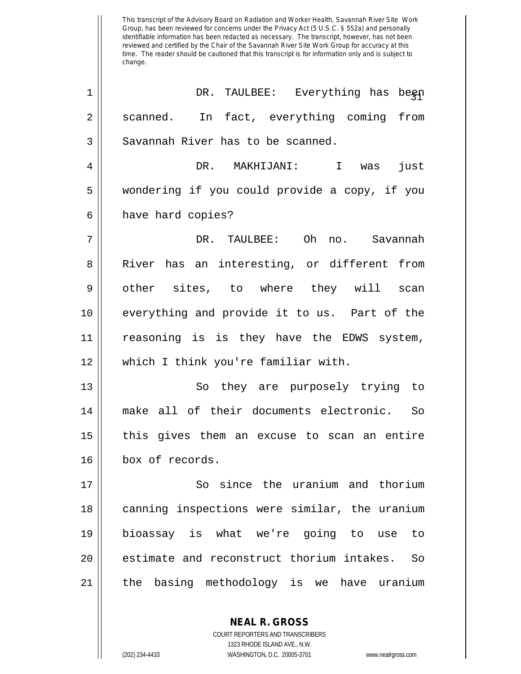This transcript of the Advisory Board on Radiation and Worker Health, Savannah River Site Work Group, has been reviewed for concerns under the Privacy Act (5 U.S.C. § 552a) and personally identifiable information has been redacted as necessary. The transcript, however, has not been reviewed and certified by the Chair of the Savannah River Site Work Group for accuracy at this time. The reader should be cautioned that this transcript is for information only and is subject to change. <sup>31</sup> 1 DR. TAULBEE: Everything has been 2 scanned. In fact, everything coming from  $3$   $\parallel$  Savannah River has to be scanned. 4 DR. MAKHIJANI: I was just 5 wondering if you could provide a copy, if you 6 have hard copies? 7 DR. TAULBEE: Oh no. Savannah 8 || River has an interesting, or different from 9|| other sites, to where they will scan 10 everything and provide it to us. Part of the 11 || reasoning is is they have the EDWS system, 12 || which I think you're familiar with. 13 || So they are purposely trying to 14 make all of their documents electronic. So 15 this gives them an excuse to scan an entire 16 box of records. 17 So since the uranium and thorium 18 || canning inspections were similar, the uranium 19 bioassay is what we're going to use to 20 || estimate and reconstruct thorium intakes. So 21 || the basing methodology is we have uranium

> COURT REPORTERS AND TRANSCRIBERS 1323 RHODE ISLAND AVE., N.W. (202) 234-4433 WASHINGTON, D.C. 20005-3701 www.nealrgross.com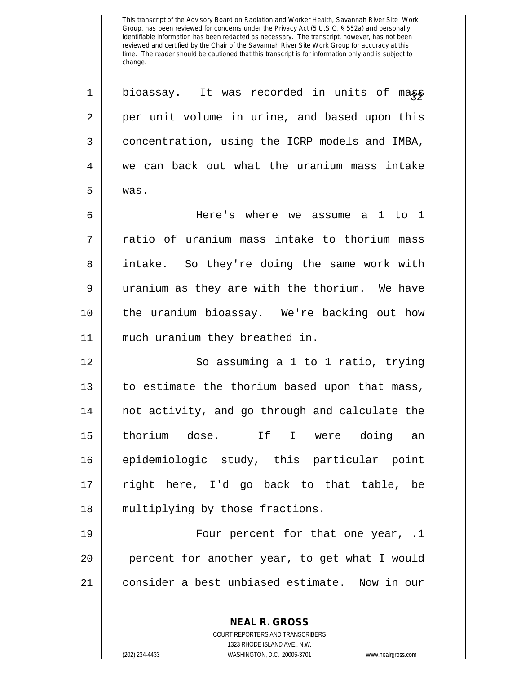1 || bioassay. It was recorded in units of mass 2 per unit volume in urine, and based upon this 3 concentration, using the ICRP models and IMBA, 4 we can back out what the uranium mass intake 5 was.

6 Here's where we assume a 1 to 1 7 ratio of uranium mass intake to thorium mass 8 || intake. So they're doing the same work with 9 || uranium as they are with the thorium. We have 10 || the uranium bioassay. We're backing out how 11 || much uranium they breathed in.

12 || So assuming a 1 to 1 ratio, trying 13 || to estimate the thorium based upon that mass, 14 || not activity, and go through and calculate the 15 thorium dose. If I were doing an 16 epidemiologic study, this particular point 17 right here, I'd go back to that table, be 18 || multiplying by those fractions.

19 || Four percent for that one year, .1 20 || percent for another year, to get what I would 21 consider a best unbiased estimate. Now in our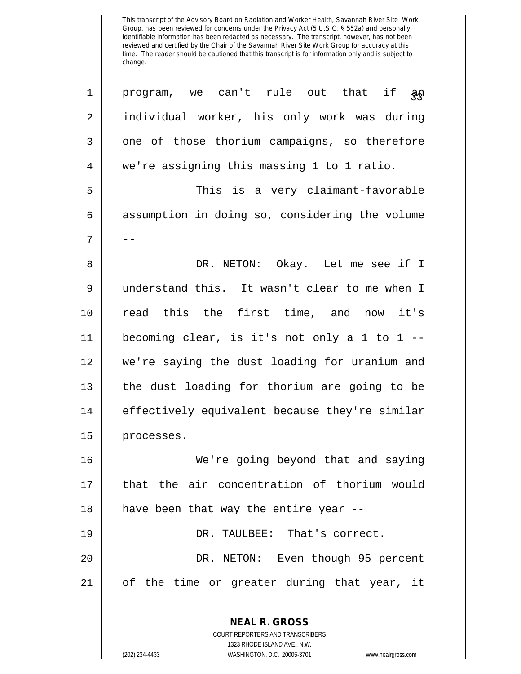This transcript of the Advisory Board on Radiation and Worker Health, Savannah River Site Work Group, has been reviewed for concerns under the Privacy Act (5 U.S.C. § 552a) and personally identifiable information has been redacted as necessary. The transcript, however, has not been reviewed and certified by the Chair of the Savannah River Site Work Group for accuracy at this time. The reader should be cautioned that this transcript is for information only and is subject to change.  $\begin{array}{c} 1 \parallel \end{array}$  program, we can't rule out that if  $\begin{array}{c} 33 \end{array}$ 2 || individual worker, his only work was during  $3 \parallel$  one of those thorium campaigns, so therefore 4 we're assigning this massing 1 to 1 ratio. 5 This is a very claimant-favorable

7 | --8 DR. NETON: Okay. Let me see if I 9 understand this. It wasn't clear to me when I 10 || read this the first time, and now it's 11 becoming clear, is it's not only a 1 to 1 -- 12 we're saying the dust loading for uranium and 13 || the dust loading for thorium are going to be 14 || effectively equivalent because they're similar 15 | processes.

6 assumption in doing so, considering the volume

16 We're going beyond that and saying 17 that the air concentration of thorium would 18 || have been that way the entire year --19 DR. TAULBEE: That's correct.

20 DR. NETON: Even though 95 percent 21 || of the time or greater during that year, it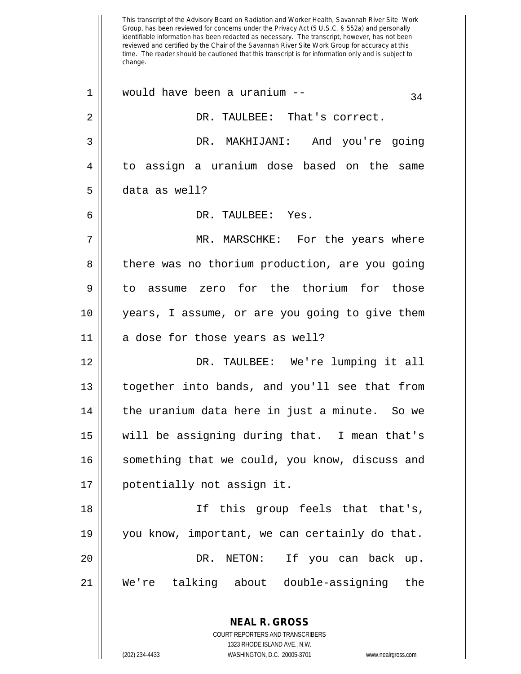This transcript of the Advisory Board on Radiation and Worker Health, Savannah River Site Work Group, has been reviewed for concerns under the Privacy Act (5 U.S.C. § 552a) and personally identifiable information has been redacted as necessary. The transcript, however, has not been reviewed and certified by the Chair of the Savannah River Site Work Group for accuracy at this time. The reader should be cautioned that this transcript is for information only and is subject to change.  $1 \parallel$  would have been a uranium --2 DR. TAULBEE: That's correct. 3 DR. MAKHIJANI: And you're going 4 || to assign a uranium dose based on the same 5 data as well? 6 DR. TAULBEE: Yes. 7 MR. MARSCHKE: For the years where 8 || there was no thorium production, are you going 9 to assume zero for the thorium for those 10 || years, I assume, or are you going to give them  $11$  a dose for those years as well? 12 || DR. TAULBEE: We're lumping it all 13 together into bands, and you'll see that from  $14$  | the uranium data here in just a minute. So we 15 will be assigning during that. I mean that's 16 || something that we could, you know, discuss and 17 potentially not assign it. 18 If this group feels that that's, 19 you know, important, we can certainly do that. 20 DR. NETON: If you can back up. 21 We're talking about double-assigning the

> **NEAL R. GROSS** COURT REPORTERS AND TRANSCRIBERS 1323 RHODE ISLAND AVE., N.W.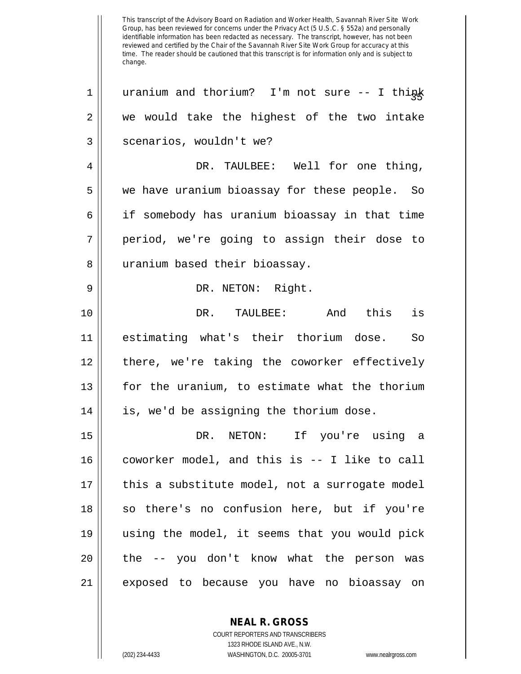This transcript of the Advisory Board on Radiation and Worker Health, Savannah River Site Work Group, has been reviewed for concerns under the Privacy Act (5 U.S.C. § 552a) and personally identifiable information has been redacted as necessary. The transcript, however, has not been reviewed and certified by the Chair of the Savannah River Site Work Group for accuracy at this time. The reader should be cautioned that this transcript is for information only and is subject to change.  $1 \parallel$  uranium and thorium? I'm not sure -- I think  $2 \parallel$  we would take the highest of the two intake  $3 \parallel$  scenarios, wouldn't we? 4 DR. TAULBEE: Well for one thing, 5 we have uranium bioassay for these people. So 6 if somebody has uranium bioassay in that time 7 period, we're going to assign their dose to 8 || uranium based their bioassay. 9 || DR. NETON: Right. 10 DR. TAULBEE: And this is 11 estimating what's their thorium dose. So 12 || there, we're taking the coworker effectively 13 for the uranium, to estimate what the thorium 14 || is, we'd be assigning the thorium dose. 15 DR. NETON: If you're using a 16 coworker model, and this is -- I like to call 17 || this a substitute model, not a surrogate model 18 || so there's no confusion here, but if you're 19 using the model, it seems that you would pick 20 || the -- you don't know what the person was 21 exposed to because you have no bioassay on

> **NEAL R. GROSS** COURT REPORTERS AND TRANSCRIBERS

1323 RHODE ISLAND AVE., N.W. (202) 234-4433 WASHINGTON, D.C. 20005-3701 www.nealrgross.com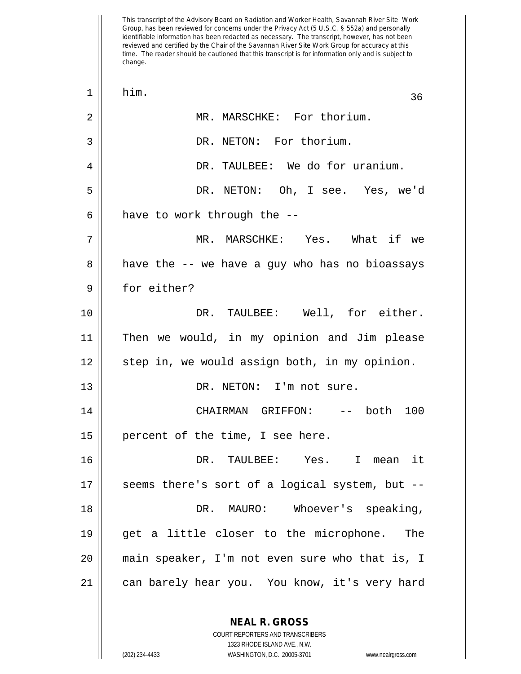This transcript of the Advisory Board on Radiation and Worker Health, Savannah River Site Work Group, has been reviewed for concerns under the Privacy Act (5 U.S.C. § 552a) and personally identifiable information has been redacted as necessary. The transcript, however, has not been reviewed and certified by the Chair of the Savannah River Site Work Group for accuracy at this time. The reader should be cautioned that this transcript is for information only and is subject to change.  $\begin{array}{|c|c|c|c|c|}\n1 & \text{him.} & \text{36} \end{array}$ 2 || MR. MARSCHKE: For thorium. 3 DR. NETON: For thorium. 4 DR. TAULBEE: We do for uranium. 5 DR. NETON: Oh, I see. Yes, we'd  $6$  || have to work through the  $-$ -7 MR. MARSCHKE: Yes. What if we  $8 \parallel$  have the -- we have a guy who has no bioassays 9 || for either? 10 DR. TAULBEE: Well, for either. 11 Then we would, in my opinion and Jim please 12 || step in, we would assign both, in my opinion. 13 DR. NETON: I'm not sure. 14 CHAIRMAN GRIFFON: -- both 100  $15$  || percent of the time, I see here. 16 DR. TAULBEE: Yes. I mean it 17 || seems there's sort of a logical system, but --18 DR. MAURO: Whoever's speaking, 19 get a little closer to the microphone. The 20 || main speaker, I'm not even sure who that is, I 21 || can barely hear you. You know, it's very hard

> **NEAL R. GROSS** COURT REPORTERS AND TRANSCRIBERS

> > 1323 RHODE ISLAND AVE., N.W.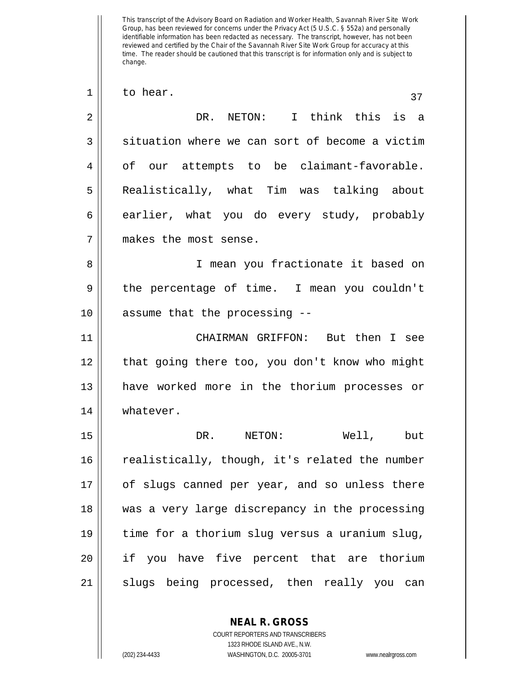This transcript of the Advisory Board on Radiation and Worker Health, Savannah River Site Work Group, has been reviewed for concerns under the Privacy Act (5 U.S.C. § 552a) and personally identifiable information has been redacted as necessary. The transcript, however, has not been reviewed and certified by the Chair of the Savannah River Site Work Group for accuracy at this time. The reader should be cautioned that this transcript is for information only and is subject to change.  $\begin{array}{|c|c|c|c|c|}\n1 & \text{to hear.} & & & & \text{37}\n\end{array}$ 2 DR. NETON: I think this is a  $3 \parallel$  situation where we can sort of become a victim 4 || of our attempts to be claimant-favorable. 5 Realistically, what Tim was talking about  $6 \parallel$  earlier, what you do every study, probably 7 makes the most sense. 8 I mean you fractionate it based on 9 || the percentage of time. I mean you couldn't  $10$  || assume that the processing  $-$ -11 CHAIRMAN GRIFFON: But then I see 12 || that going there too, you don't know who might 13 have worked more in the thorium processes or 14 || whatever. 15 DR. NETON: Well, but 16 || realistically, though, it's related the number 17 of slugs canned per year, and so unless there 18 was a very large discrepancy in the processing 19 time for a thorium slug versus a uranium slug, 20 || if you have five percent that are thorium 21 || slugs being processed, then really you can

> **NEAL R. GROSS** COURT REPORTERS AND TRANSCRIBERS 1323 RHODE ISLAND AVE., N.W.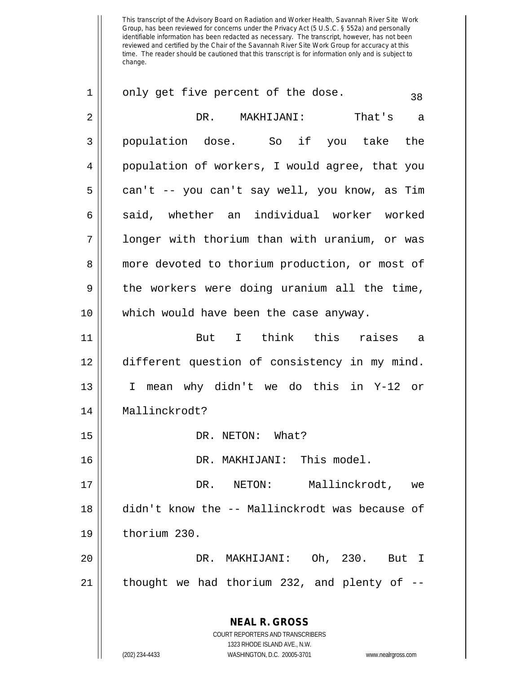| $\mathbf 1$ | only get five percent of the dose.<br>38          |
|-------------|---------------------------------------------------|
| 2           | DR. MAKHIJANI:<br>That's<br>a a                   |
| 3           | population dose. So if you take the               |
| 4           | population of workers, I would agree, that you    |
| 5           | can't -- you can't say well, you know, as Tim     |
| 6           | said, whether an individual worker worked         |
| 7           | longer with thorium than with uranium, or was     |
| 8           | more devoted to thorium production, or most of    |
| 9           | the workers were doing uranium all the time,      |
| 10          | which would have been the case anyway.            |
| 11          | I think this raises a<br>But                      |
| 12          | different question of consistency in my mind.     |
| 13          | I mean why didn't we do this in Y-12 or           |
| 14          | Mallinckrodt?                                     |
| 15          | DR. NETON: What?                                  |
| 16          | DR. MAKHIJANI: This model.                        |
| 17          | Mallinckrodt,<br>DR. NETON:<br>we                 |
| 18          | didn't know the -- Mallinckrodt was because of    |
| 19          | thorium 230.                                      |
| 20          | DR. MAKHIJANI: Oh, 230. But I                     |
| 21          | thought we had thorium 232, and plenty of --      |
|             | <b>NEAL R. GROSS</b>                              |
|             | COURT REPORTERS AND TRANSCRIBERS                  |
|             | 1323 RHODE ISLAND AVE., N.W.<br>(202) 234-4433    |
|             | WASHINGTON, D.C. 20005-3701<br>www.nealrgross.com |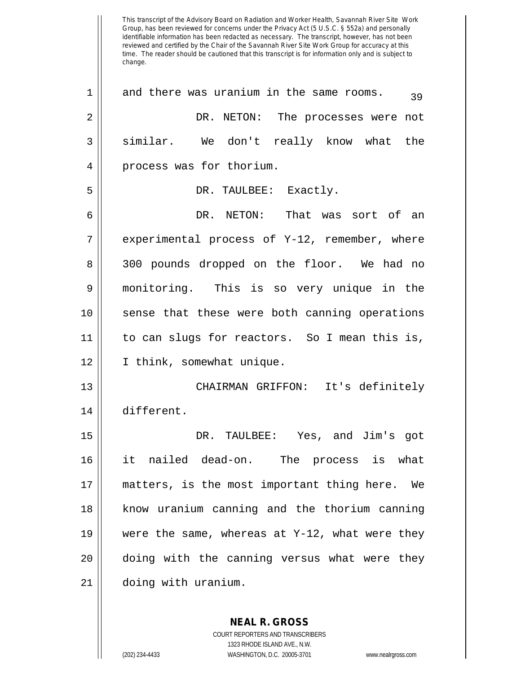This transcript of the Advisory Board on Radiation and Worker Health, Savannah River Site Work Group, has been reviewed for concerns under the Privacy Act (5 U.S.C. § 552a) and personally identifiable information has been redacted as necessary. The transcript, however, has not been reviewed and certified by the Chair of the Savannah River Site Work Group for accuracy at this time. The reader should be cautioned that this transcript is for information only and is subject to change.  $1 \parallel$  and there was uranium in the same rooms.  $39$ 2 DR. NETON: The processes were not 3 Similar. We don't really know what the 4 || process was for thorium. 5 DR. TAULBEE: Exactly. 6 DR. NETON: That was sort of an 7 || experimental process of Y-12, remember, where 8 300 pounds dropped on the floor. We had no 9 monitoring. This is so very unique in the 10 || sense that these were both canning operations 11 to can slugs for reactors. So I mean this is, 12 I think, somewhat unique. 13 CHAIRMAN GRIFFON: It's definitely 14 different. 15 DR. TAULBEE: Yes, and Jim's got 16 it nailed dead-on. The process is what 17 matters, is the most important thing here. We 18 know uranium canning and the thorium canning 19 were the same, whereas at Y-12, what were they  $20$  || doing with the canning versus what were they 21 doing with uranium.

> COURT REPORTERS AND TRANSCRIBERS 1323 RHODE ISLAND AVE., N.W. (202) 234-4433 WASHINGTON, D.C. 20005-3701 www.nealrgross.com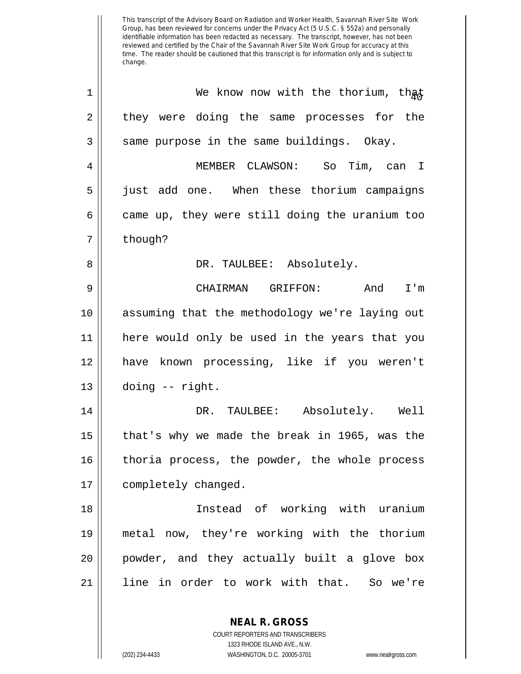This transcript of the Advisory Board on Radiation and Worker Health, Savannah River Site Work Group, has been reviewed for concerns under the Privacy Act (5 U.S.C. § 552a) and personally identifiable information has been redacted as necessary. The transcript, however, has not been reviewed and certified by the Chair of the Savannah River Site Work Group for accuracy at this time. The reader should be cautioned that this transcript is for information only and is subject to change. **NEAL R. GROSS** 1 || We know now with the thorium, that 2 they were doing the same processes for the 3 || same purpose in the same buildings. Okay. 4 MEMBER CLAWSON: So Tim, can I 5 just add one. When these thorium campaigns 6  $\parallel$  came up, they were still doing the uranium too 7 | though? 8 | R. TAULBEE: Absolutely. 9 CHAIRMAN GRIFFON: And I'm 10 || assuming that the methodology we're laying out 11 here would only be used in the years that you 12 have known processing, like if you weren't  $13 \parallel$  doing -- right. 14 DR. TAULBEE: Absolutely. Well 15 that's why we made the break in 1965, was the 16 || thoria process, the powder, the whole process 17 | completely changed. 18 Instead of working with uranium 19 metal now, they're working with the thorium 20 powder, and they actually built a glove box 21 || line in order to work with that. So we're

> COURT REPORTERS AND TRANSCRIBERS 1323 RHODE ISLAND AVE., N.W.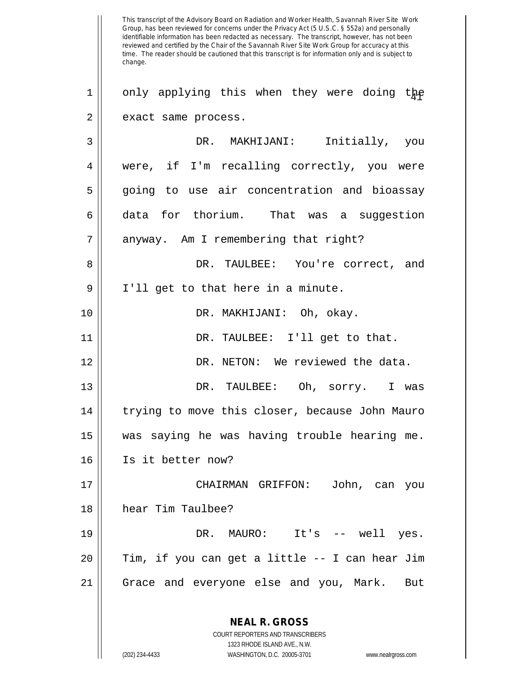This transcript of the Advisory Board on Radiation and Worker Health, Savannah River Site Work Group, has been reviewed for concerns under the Privacy Act (5 U.S.C. § 552a) and personally identifiable information has been redacted as necessary. The transcript, however, has not been reviewed and certified by the Chair of the Savannah River Site Work Group for accuracy at this time. The reader should be cautioned that this transcript is for information only and is subject to change. **NEAL R. GROSS** COURT REPORTERS AND TRANSCRIBERS 1323 RHODE ISLAND AVE., N.W. (202) 234-4433 WASHINGTON, D.C. 20005-3701 www.nealrgross.com 1 || only applying this when they were doing the  $2 \parallel$  exact same process. 3 DR. MAKHIJANI: Initially, you 4 were, if I'm recalling correctly, you were 5 || going to use air concentration and bioassay  $6 \parallel$  data for thorium. That was a suqqestion 7 || anyway. Am I remembering that right? 8 DR. TAULBEE: You're correct, and 9 | I'll get to that here in a minute. 10 DR. MAKHIJANI: Oh, okay. 11 || DR. TAULBEE: I'll get to that. 12 DR. NETON: We reviewed the data. 13 DR. TAULBEE: Oh, sorry. I was 14 || trying to move this closer, because John Mauro 15 was saying he was having trouble hearing me. 16 Is it better now? 17 CHAIRMAN GRIFFON: John, can you 18 hear Tim Taulbee? 19 DR. MAURO: It's -- well yes. 20 Tim, if you can get a little -- I can hear Jim 21 Grace and everyone else and you, Mark. But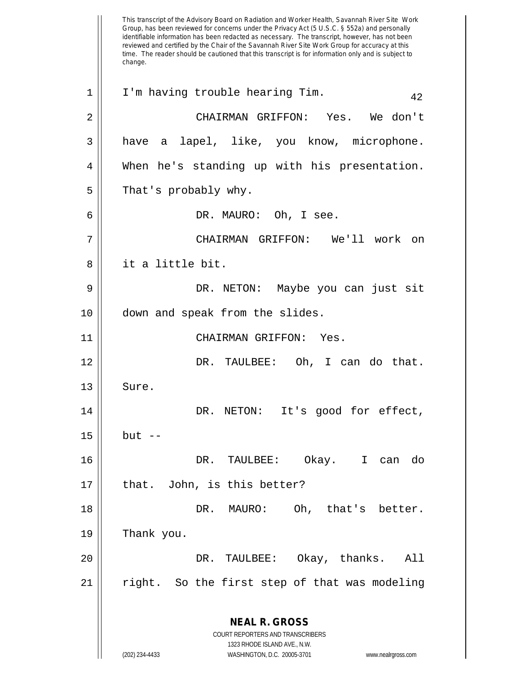This transcript of the Advisory Board on Radiation and Worker Health, Savannah River Site Work Group, has been reviewed for concerns under the Privacy Act (5 U.S.C. § 552a) and personally identifiable information has been redacted as necessary. The transcript, however, has not been reviewed and certified by the Chair of the Savannah River Site Work Group for accuracy at this time. The reader should be cautioned that this transcript is for information only and is subject to change. **NEAL R. GROSS** COURT REPORTERS AND TRANSCRIBERS 1323 RHODE ISLAND AVE., N.W. (202) 234-4433 WASHINGTON, D.C. 20005-3701 www.nealrgross.com  $1 \parallel$  I'm having trouble hearing Tim. 2 CHAIRMAN GRIFFON: Yes. We don't 3 || have a lapel, like, you know, microphone. 4 || When he's standing up with his presentation.  $5 \parallel$  That's probably why. 6 DR. MAURO: Oh, I see. 7 CHAIRMAN GRIFFON: We'll work on 8 it a little bit. 9 DR. NETON: Maybe you can just sit 10 || down and speak from the slides. 11 || CHAIRMAN GRIFFON: Yes. 12 DR. TAULBEE: Oh, I can do that.  $13 \parallel$  Sure. 14 || DR. NETON: It's good for effect,  $15$  || but  $-$ 16 DR. TAULBEE: Okay. I can do  $17 \parallel$  that. John, is this better? 18 DR. MAURO: Oh, that's better. 19 Thank you. 20 DR. TAULBEE: Okay, thanks. All 21 || right. So the first step of that was modeling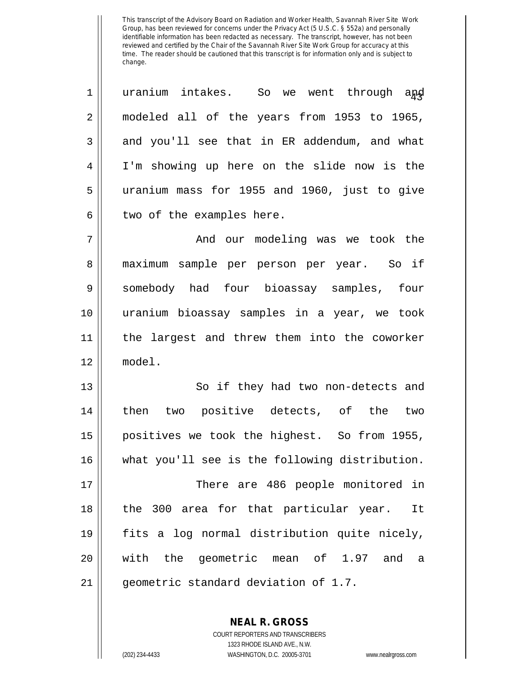| $\mathbf 1$ | uranium intakes. So we went through and        |
|-------------|------------------------------------------------|
| 2           | modeled all of the years from 1953 to 1965,    |
| 3           | and you'll see that in ER addendum, and what   |
| 4           | I'm showing up here on the slide now is the    |
| 5           | uranium mass for 1955 and 1960, just to give   |
| 6           | two of the examples here.                      |
| 7           | And our modeling was we took the               |
| 8           | So if<br>maximum sample per person per year.   |
| 9           | somebody had four bioassay samples, four       |
| 10          | uranium bioassay samples in a year, we took    |
| 11          | the largest and threw them into the coworker   |
| 12          | model.                                         |
| 13          | So if they had two non-detects and             |
| 14          | two positive detects, of the two<br>then       |
| 15          | positives we took the highest. So from 1955,   |
| 16          | what you'll see is the following distribution. |
| 17          | There are 486 people monitored in              |
| 18          | the 300 area for that particular year.<br>It   |
| 19          | fits a log normal distribution quite nicely,   |
| 20          | with the geometric mean of 1.97 and<br>a a     |
| 21          | geometric standard deviation of 1.7.           |

**NEAL R. GROSS** COURT REPORTERS AND TRANSCRIBERS

1323 RHODE ISLAND AVE., N.W.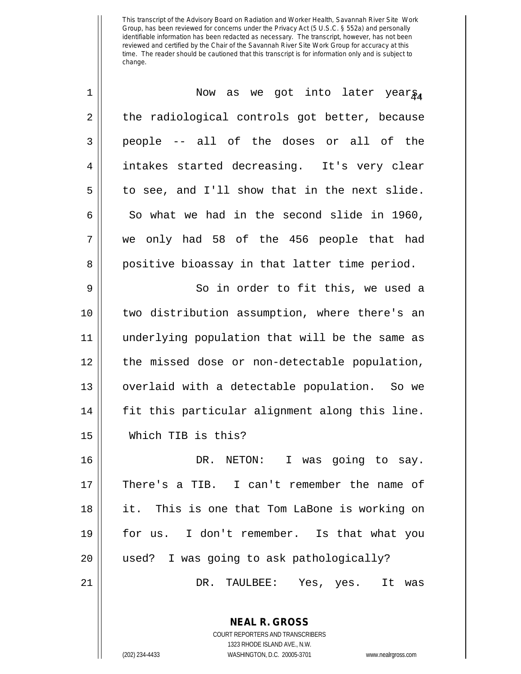| 1           | as we got into later yearg <sub>4</sub><br>Now   |
|-------------|--------------------------------------------------|
| 2           | the radiological controls got better, because    |
| 3           | people -- all of the doses or all of the         |
| 4           | intakes started decreasing. It's very clear      |
| 5           | to see, and I'll show that in the next slide.    |
| 6           | So what we had in the second slide in 1960,      |
| 7           | we only had 58 of the 456 people that had        |
| 8           | positive bioassay in that latter time period.    |
| $\mathsf 9$ | So in order to fit this, we used a               |
| 10          | two distribution assumption, where there's an    |
| 11          | underlying population that will be the same as   |
| 12          | the missed dose or non-detectable population,    |
| 13          | overlaid with a detectable population. So we     |
| 14          | fit this particular alignment along this line.   |
| 15          | Which TIB is this?                               |
| 16          | DR. NETON:<br>I was going to say.                |
| 17          | There's a TIB. I can't remember the name of      |
| 18          | This is one that Tom LaBone is working on<br>it. |
| 19          | for us. I don't remember. Is that what you       |
| 20          | used? I was going to ask pathologically?         |
| 21          | DR. TAULBEE: Yes, yes. It<br>was                 |
|             |                                                  |

COURT REPORTERS AND TRANSCRIBERS 1323 RHODE ISLAND AVE., N.W. (202) 234-4433 WASHINGTON, D.C. 20005-3701 www.nealrgross.com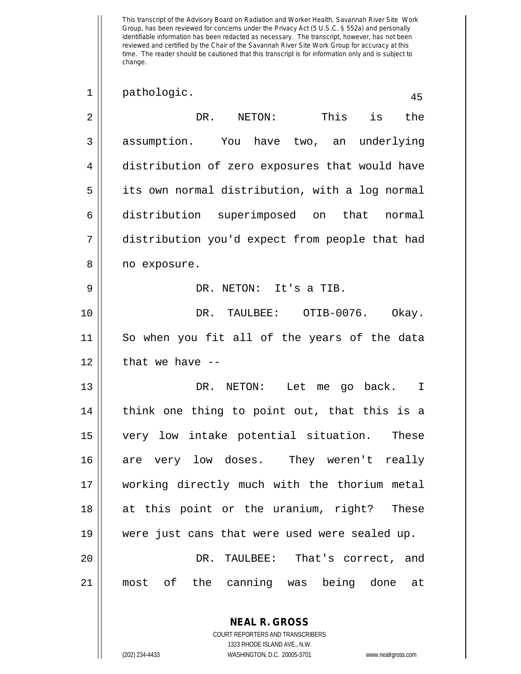This transcript of the Advisory Board on Radiation and Worker Health, Savannah River Site Work Group, has been reviewed for concerns under the Privacy Act (5 U.S.C. § 552a) and personally identifiable information has been redacted as necessary. The transcript, however, has not been reviewed and certified by the Chair of the Savannah River Site Work Group for accuracy at this time. The reader should be cautioned that this transcript is for information only and is subject to change. 1 || pathologic. 45 2 DR. NETON: This is the 3 assumption. You have two, an underlying 4 distribution of zero exposures that would have 5 | its own normal distribution, with a log normal 6 distribution superimposed on that normal 7 distribution you'd expect from people that had 8 || no exposure. 9 DR. NETON: It's a TIB. 10 DR. TAULBEE: OTIB-0076. Okay. 11 So when you fit all of the years of the data  $12$  | that we have  $-$ 13 DR. NETON: Let me go back. I  $14$  || think one thing to point out, that this is a 15 very low intake potential situation. These 16 are very low doses. They weren't really 17 working directly much with the thorium metal 18 at this point or the uranium, right? These

20 DR. TAULBEE: That's correct, and

**NEAL R. GROSS** COURT REPORTERS AND TRANSCRIBERS 1323 RHODE ISLAND AVE., N.W.

19 were just cans that were used were sealed up.

21 most of the canning was being done at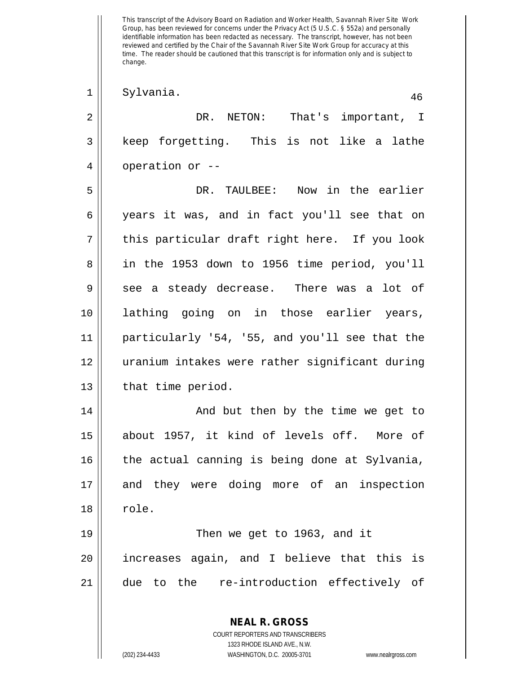This transcript of the Advisory Board on Radiation and Worker Health, Savannah River Site Work Group, has been reviewed for concerns under the Privacy Act (5 U.S.C. § 552a) and personally identifiable information has been redacted as necessary. The transcript, however, has not been reviewed and certified by the Chair of the Savannah River Site Work Group for accuracy at this time. The reader should be cautioned that this transcript is for information only and is subject to change. **NEAL R. GROSS** COURT REPORTERS AND TRANSCRIBERS 1323 RHODE ISLAND AVE., N.W. 1 Sylvania. 46 2 DR. NETON: That's important, I  $3 \parallel$  keep forgetting. This is not like a lathe  $4 \parallel$  operation or  $-$ 5 DR. TAULBEE: Now in the earlier 6 years it was, and in fact you'll see that on  $7 \parallel$  this particular draft right here. If you look 8 in the 1953 down to 1956 time period, you'll  $9 \parallel$  see a steady decrease. There was a lot of 10 lathing going on in those earlier years, 11 particularly '54, '55, and you'll see that the 12 uranium intakes were rather significant during 13 | that time period. 14 And but then by the time we get to 15 about 1957, it kind of levels off. More of  $16$  | the actual canning is being done at Sylvania, 17 || and they were doing more of an inspection 18 | role. 19 Then we get to 1963, and it 20 increases again, and I believe that this is 21 || due to the re-introduction effectively of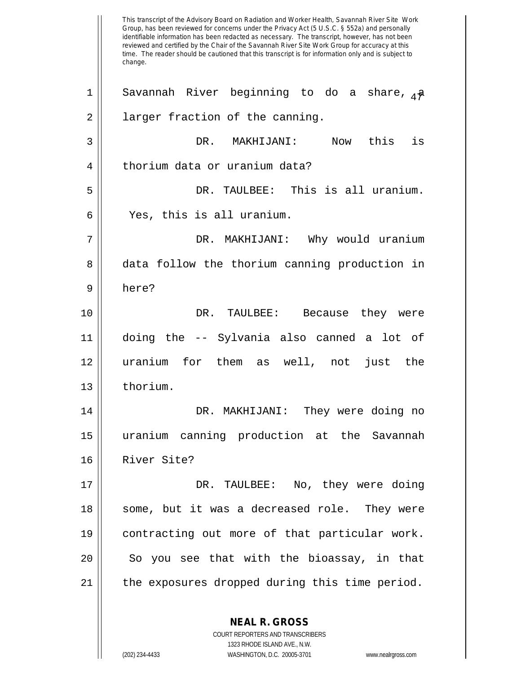This transcript of the Advisory Board on Radiation and Worker Health, Savannah River Site Work Group, has been reviewed for concerns under the Privacy Act (5 U.S.C. § 552a) and personally identifiable information has been redacted as necessary. The transcript, however, has not been reviewed and certified by the Chair of the Savannah River Site Work Group for accuracy at this time. The reader should be cautioned that this transcript is for information only and is subject to change. **NEAL R. GROSS** COURT REPORTERS AND TRANSCRIBERS 1 || Savannah River beginning to do a share,  $_4$ a 2 | larger fraction of the canning. 3 DR. MAKHIJANI: Now this is 4 | thorium data or uranium data? 5 DR. TAULBEE: This is all uranium. 6 Yes, this is all uranium. 7 DR. MAKHIJANI: Why would uranium 8 data follow the thorium canning production in 9 here? 10 DR. TAULBEE: Because they were 11 doing the -- Sylvania also canned a lot of 12 uranium for them as well, not just the 13 ll thorium. 14 DR. MAKHIJANI: They were doing no 15 uranium canning production at the Savannah 16 River Site? 17 DR. TAULBEE: No, they were doing 18 || some, but it was a decreased role. They were 19 contracting out more of that particular work.  $20$  || So you see that with the bioassay, in that  $21$  | the exposures dropped during this time period.

1323 RHODE ISLAND AVE., N.W.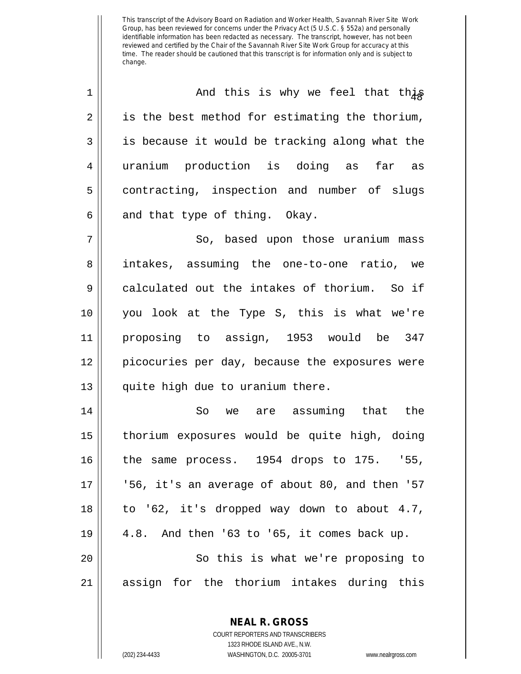| $\mathbf 1$ | And this is why we feel that this              |
|-------------|------------------------------------------------|
| 2           | is the best method for estimating the thorium, |
| 3           | is because it would be tracking along what the |
| 4           | uranium production is doing as<br>far<br>as    |
| 5           | contracting, inspection and number of slugs    |
| 6           | and that type of thing. Okay.                  |
| 7           | So, based upon those uranium mass              |
| 8           | intakes, assuming the one-to-one ratio, we     |
| 9           | calculated out the intakes of thorium. So if   |
| 10          | you look at the Type S, this is what we're     |
| 11          | proposing to assign, 1953 would be<br>347      |
| 12          | picocuries per day, because the exposures were |
| 13          | quite high due to uranium there.               |
| 14          | we are assuming that the<br>So                 |
| 15          | thorium exposures would be quite high, doing   |
| 16          | the same process. 1954 drops to 175. '55,      |
| 17          | '56, it's an average of about 80, and then '57 |
| 18          | to '62, it's dropped way down to about 4.7,    |
| 19          | 4.8. And then '63 to '65, it comes back up.    |
| 20          | So this is what we're proposing to             |
| 21          | assign for the thorium intakes during this     |

**NEAL R. GROSS** COURT REPORTERS AND TRANSCRIBERS

1323 RHODE ISLAND AVE., N.W.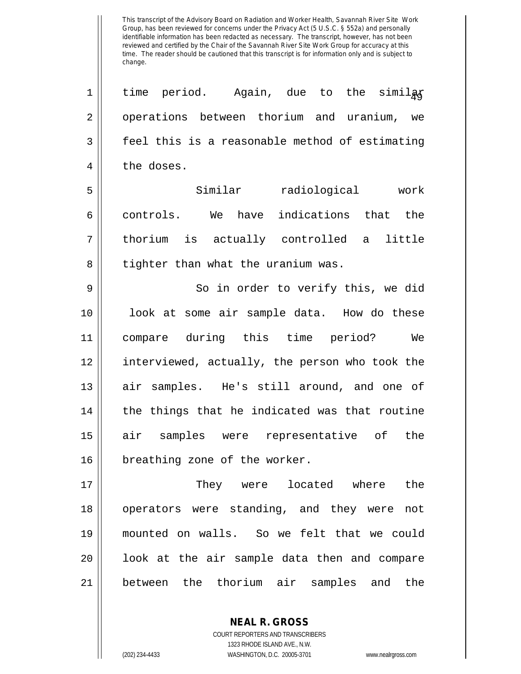Group, has been reviewed for concerns under the Privacy Act (5 U.S.C. § 552a) and personally identifiable information has been redacted as necessary. The transcript, however, has not been reviewed and certified by the Chair of the Savannah River Site Work Group for accuracy at this time. The reader should be cautioned that this transcript is for information only and is subject to change.  $\frac{1}{8}$  time period. Again, due to the simil $\frac{2}{4}$ 2 | operations between thorium and uranium, we  $3 \parallel$  feel this is a reasonable method of estimating 4 | the doses. 5 Similar radiological work 6 controls. We have indications that the 7 thorium is actually controlled a little 8 | tighter than what the uranium was. 9 So in order to verify this, we did 10 || look at some air sample data. How do these 11 compare during this time period? We 12 | interviewed, actually, the person who took the 13 || air samples. He's still around, and one of  $14$  | the things that he indicated was that routine 15 air samples were representative of the 16 || breathing zone of the worker. 17 They were located where the 18 operators were standing, and they were not 19 mounted on walls. So we felt that we could  $20$  ||  $100k$  at the air sample data then and compare 21 between the thorium air samples and the

This transcript of the Advisory Board on Radiation and Worker Health, Savannah River Site Work

COURT REPORTERS AND TRANSCRIBERS 1323 RHODE ISLAND AVE., N.W. (202) 234-4433 WASHINGTON, D.C. 20005-3701 www.nealrgross.com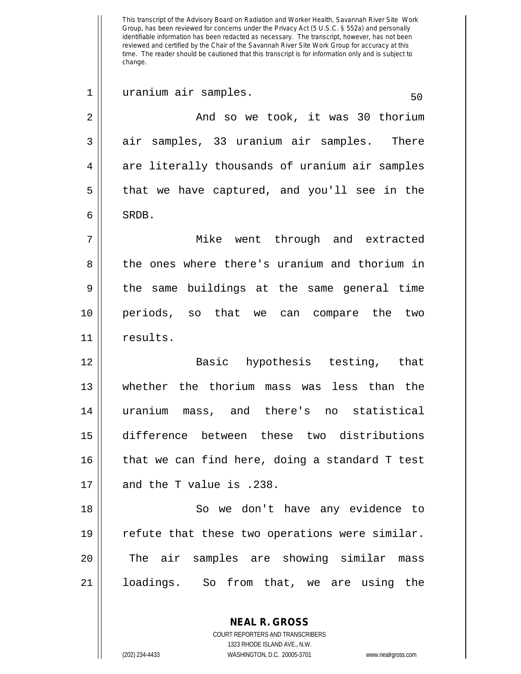This transcript of the Advisory Board on Radiation and Worker Health, Savannah River Site Work Group, has been reviewed for concerns under the Privacy Act (5 U.S.C. § 552a) and personally identifiable information has been redacted as necessary. The transcript, however, has not been reviewed and certified by the Chair of the Savannah River Site Work Group for accuracy at this time. The reader should be cautioned that this transcript is for information only and is subject to change. **NEAL R. GROSS** <sup>50</sup> 1 uranium air samples. 2 | Chang and so we took, it was 30 thorium  $3 \parallel$  air samples, 33 uranium air samples. There 4 || are literally thousands of uranium air samples  $5 \parallel$  that we have captured, and you'll see in the 6 SRDB. 7 Mike went through and extracted 8 the ones where there's uranium and thorium in 9 || the same buildings at the same general time 10 periods, so that we can compare the two 11 results. 12 Basic hypothesis testing, that 13 whether the thorium mass was less than the 14 uranium mass, and there's no statistical 15 difference between these two distributions  $16$  that we can find here, doing a standard T test 17  $\parallel$  and the T value is .238. 18 || So we don't have any evidence to 19 || refute that these two operations were similar. 20 || The air samples are showing similar mass 21 loadings. So from that, we are using the

> COURT REPORTERS AND TRANSCRIBERS 1323 RHODE ISLAND AVE., N.W.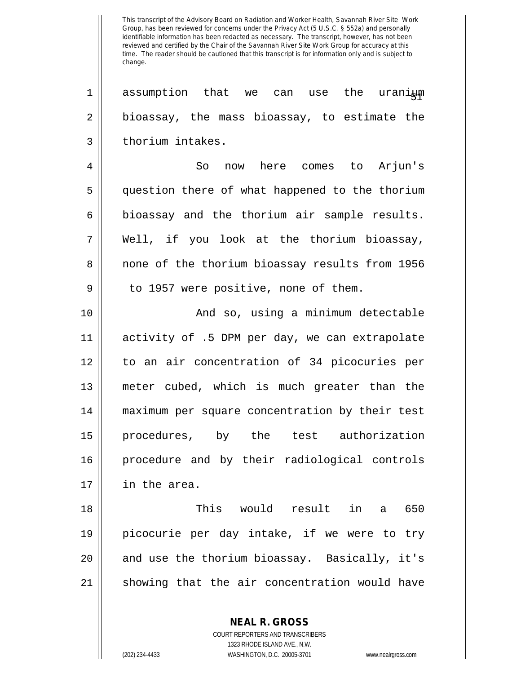This transcript of the Advisory Board on Radiation and Worker Health, Savannah River Site Work Group, has been reviewed for concerns under the Privacy Act (5 U.S.C. § 552a) and personally identifiable information has been redacted as necessary. The transcript, however, has not been reviewed and certified by the Chair of the Savannah River Site Work Group for accuracy at this time. The reader should be cautioned that this transcript is for information only and is subject to change. 1 || assumption that we can use the uranium  $2 \parallel$  bioassay, the mass bioassay, to estimate the 3 l thorium intakes. 4 So now here comes to Arjun's 5 question there of what happened to the thorium  $6 \parallel$  bioassay and the thorium air sample results. 7 Well, if you look at the thorium bioassay, 8 || none of the thorium bioassay results from 1956 9 || to 1957 were positive, none of them. 10 And so, using a minimum detectable 11 | activity of .5 DPM per day, we can extrapolate 12 to an air concentration of 34 picocuries per 13 meter cubed, which is much greater than the 14 maximum per square concentration by their test 15 procedures, by the test authorization 16 procedure and by their radiological controls 17 in the area. 18 This would result in a 650 19 picocurie per day intake, if we were to try  $20$  || and use the thorium bioassay. Basically, it's  $21$  showing that the air concentration would have

> COURT REPORTERS AND TRANSCRIBERS 1323 RHODE ISLAND AVE., N.W. (202) 234-4433 WASHINGTON, D.C. 20005-3701 www.nealrgross.com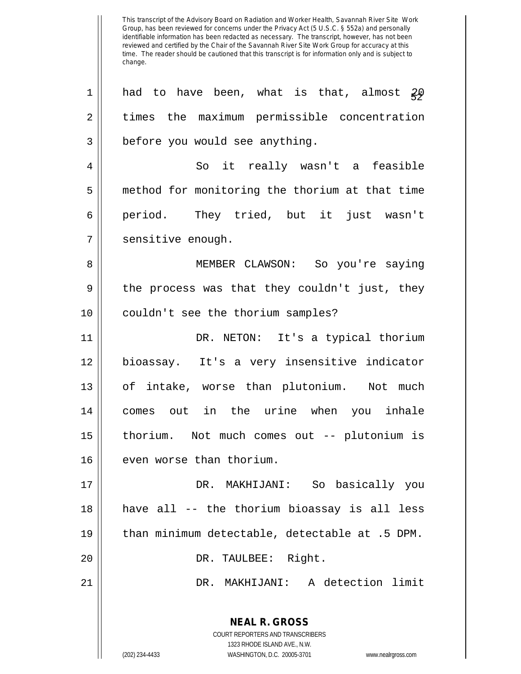This transcript of the Advisory Board on Radiation and Worker Health, Savannah River Site Work Group, has been reviewed for concerns under the Privacy Act (5 U.S.C. § 552a) and personally identifiable information has been redacted as necessary. The transcript, however, has not been reviewed and certified by the Chair of the Savannah River Site Work Group for accuracy at this time. The reader should be cautioned that this transcript is for information only and is subject to change. **NEAL R. GROSS** COURT REPORTERS AND TRANSCRIBERS 1323 RHODE ISLAND AVE., N.W. 1 || had to have been, what is that, almost  $20$ 2 times the maximum permissible concentration  $3 \parallel$  before you would see anything. 4 So it really wasn't a feasible 5 method for monitoring the thorium at that time 6 || period. They tried, but it just wasn't 7 || sensitive enough. 8 MEMBER CLAWSON: So you're saying  $9 \parallel$  the process was that they couldn't just, they 10 || couldn't see the thorium samples? 11 DR. NETON: It's a typical thorium 12 bioassay. It's a very insensitive indicator 13 of intake, worse than plutonium. Not much 14 comes out in the urine when you inhale 15 thorium. Not much comes out -- plutonium is 16 even worse than thorium. 17 DR. MAKHIJANI: So basically you 18 have all -- the thorium bioassay is all less 19 || than minimum detectable, detectable at .5 DPM. 20 || DR. TAULBEE: Right. 21 DR. MAKHIJANI: A detection limit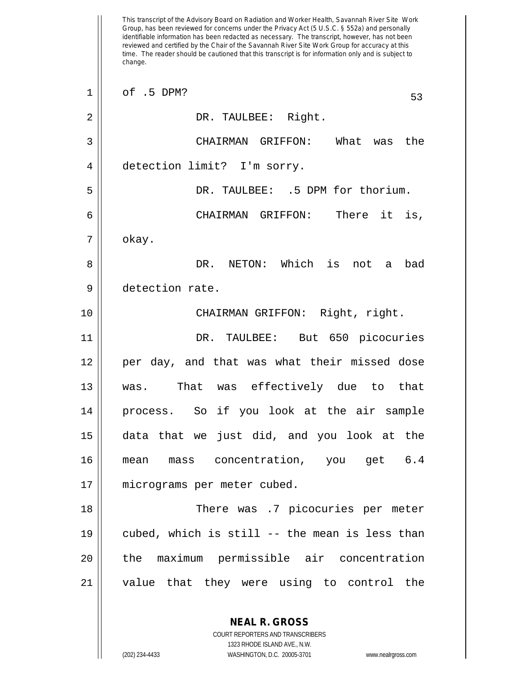This transcript of the Advisory Board on Radiation and Worker Health, Savannah River Site Work Group, has been reviewed for concerns under the Privacy Act (5 U.S.C. § 552a) and personally identifiable information has been redacted as necessary. The transcript, however, has not been reviewed and certified by the Chair of the Savannah River Site Work Group for accuracy at this time. The reader should be cautioned that this transcript is for information only and is subject to change.  $\begin{array}{|c|c|c|c|c|}\n1 & \text{of .5 DPM?} \end{array}$  53 2 || DR. TAULBEE: Right. 3 CHAIRMAN GRIFFON: What was the 4 || detection limit? I'm sorry. 5 || DR. TAULBEE: .5 DPM for thorium. 6 CHAIRMAN GRIFFON: There it is, 7 | okay. 8 DR. NETON: Which is not a bad 9 detection rate. 10 || CHAIRMAN GRIFFON: Right, right. 11 DR. TAULBEE: But 650 picocuries 12 per day, and that was what their missed dose 13 was. That was effectively due to that 14 process. So if you look at the air sample 15 data that we just did, and you look at the 16 mean mass concentration, you get 6.4 17 micrograms per meter cubed. 18 There was .7 picocuries per meter 19 cubed, which is still -- the mean is less than 20 || the maximum permissible air concentration 21 || value that they were using to control the

> COURT REPORTERS AND TRANSCRIBERS 1323 RHODE ISLAND AVE., N.W. (202) 234-4433 WASHINGTON, D.C. 20005-3701 www.nealrgross.com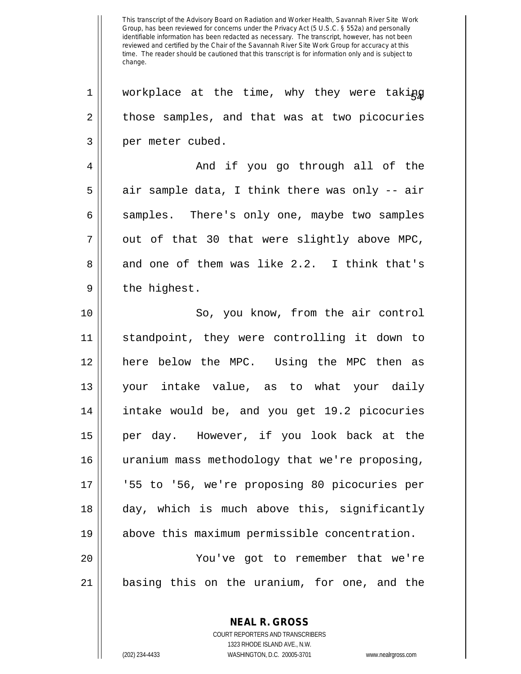This transcript of the Advisory Board on Radiation and Worker Health, Savannah River Site Work Group, has been reviewed for concerns under the Privacy Act (5 U.S.C. § 552a) and personally identifiable information has been redacted as necessary. The transcript, however, has not been reviewed and certified by the Chair of the Savannah River Site Work Group for accuracy at this time. The reader should be cautioned that this transcript is for information only and is subject to change. **NEAL R. GROSS**  $1$  | workplace at the time, why they were taking 2 those samples, and that was at two picocuries 3 || per meter cubed. 4 And if you go through all of the  $5 \parallel$  air sample data, I think there was only -- air 6 samples. There's only one, maybe two samples  $7 \parallel$  out of that 30 that were slightly above MPC,  $8 \parallel$  and one of them was like 2.2. I think that's  $9 \parallel$  the highest. 10 || So, you know, from the air control 11 standpoint, they were controlling it down to 12 here below the MPC. Using the MPC then as 13 your intake value, as to what your daily 14 intake would be, and you get 19.2 picocuries 15 per day. However, if you look back at the 16 uranium mass methodology that we're proposing, 17 '55 to '56, we're proposing 80 picocuries per 18 day, which is much above this, significantly 19 above this maximum permissible concentration. 20 You've got to remember that we're 21 basing this on the uranium, for one, and the

> COURT REPORTERS AND TRANSCRIBERS 1323 RHODE ISLAND AVE., N.W.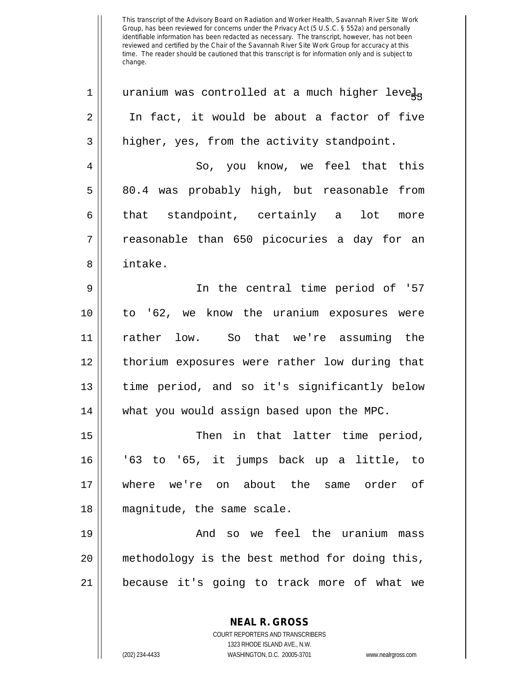This transcript of the Advisory Board on Radiation and Worker Health, Savannah River Site Work Group, has been reviewed for concerns under the Privacy Act (5 U.S.C. § 552a) and personally identifiable information has been redacted as necessary. The transcript, however, has not been reviewed and certified by the Chair of the Savannah River Site Work Group for accuracy at this time. The reader should be cautioned that this transcript is for information only and is subject to change.  $1 ||$  uranium was controlled at a much higher level.  $2 \parallel$  In fact, it would be about a factor of five  $3 \parallel$  higher, yes, from the activity standpoint. 4 So, you know, we feel that this 5 80.4 was probably high, but reasonable from  $6 \parallel$  that standpoint, certainly a lot more  $7||$  reasonable than 650 picocuries a day for an 8 intake. 9 In the central time period of '57 10 to '62, we know the uranium exposures were 11 rather low. So that we're assuming the 12 || thorium exposures were rather low during that 13 time period, and so it's significantly below

14 what you would assign based upon the MPC.

15 Then in that latter time period,  $16$  | '63 to '65, it jumps back up a little, to 17 where we're on about the same order of 18 magnitude, the same scale.

19 And so we feel the uranium mass 20 methodology is the best method for doing this, 21 || because it's going to track more of what we

> **NEAL R. GROSS** COURT REPORTERS AND TRANSCRIBERS 1323 RHODE ISLAND AVE., N.W. (202) 234-4433 WASHINGTON, D.C. 20005-3701 www.nealrgross.com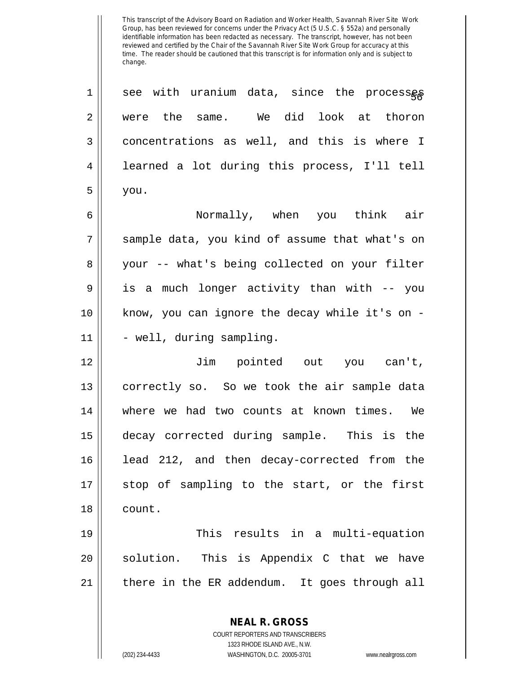1 || see with uranium data, since the processes 2 were the same. We did look at thoron 3 concentrations as well, and this is where I 4 || learned a lot during this process, I'll tell  $5 \parallel$  you. 6 Normally, when you think air  $7 \parallel$  sample data, you kind of assume that what's on 8 || your -- what's being collected on your filter 9 is a much longer activity than with -- you

10 || know, you can ignore the decay while it's on - $11$   $\parallel$  - well, during sampling.

12 Jim pointed out you can't, 13 correctly so. So we took the air sample data 14 where we had two counts at known times. We 15 decay corrected during sample. This is the 16 lead 212, and then decay-corrected from the 17 || stop of sampling to the start, or the first 18 | count.

19 This results in a multi-equation 20 || solution. This is Appendix C that we have 21 || there in the ER addendum. It goes through all

> **NEAL R. GROSS** COURT REPORTERS AND TRANSCRIBERS 1323 RHODE ISLAND AVE., N.W. (202) 234-4433 WASHINGTON, D.C. 20005-3701 www.nealrgross.com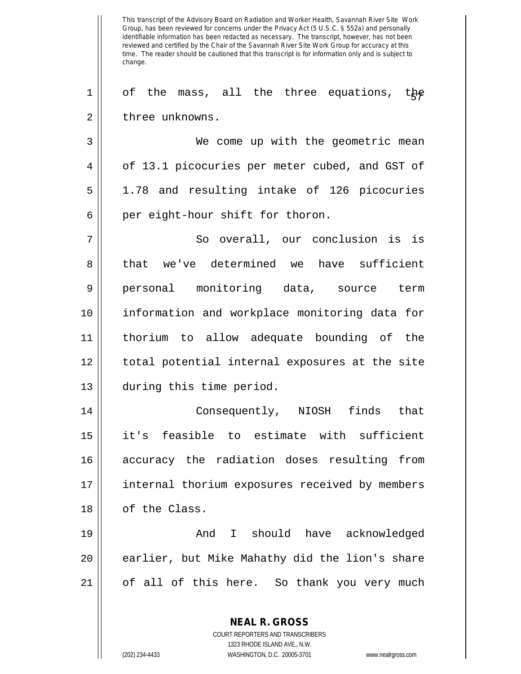|    | This transcript of the Advisory Board on Radiation and Worker Health, Savannah River Site Work<br>Group, has been reviewed for concerns under the Privacy Act (5 U.S.C. § 552a) and personally<br>identifiable information has been redacted as necessary. The transcript, however, has not been<br>reviewed and certified by the Chair of the Savannah River Site Work Group for accuracy at this<br>time. The reader should be cautioned that this transcript is for information only and is subject to<br>change. |
|----|----------------------------------------------------------------------------------------------------------------------------------------------------------------------------------------------------------------------------------------------------------------------------------------------------------------------------------------------------------------------------------------------------------------------------------------------------------------------------------------------------------------------|
| 1  | of the mass, all the three equations, the                                                                                                                                                                                                                                                                                                                                                                                                                                                                            |
| 2  | three unknowns.                                                                                                                                                                                                                                                                                                                                                                                                                                                                                                      |
| 3  | We come up with the geometric mean                                                                                                                                                                                                                                                                                                                                                                                                                                                                                   |
| 4  | of 13.1 picocuries per meter cubed, and GST of                                                                                                                                                                                                                                                                                                                                                                                                                                                                       |
| 5  | 1.78 and resulting intake of 126 picocuries                                                                                                                                                                                                                                                                                                                                                                                                                                                                          |
| 6  | per eight-hour shift for thoron.                                                                                                                                                                                                                                                                                                                                                                                                                                                                                     |
| 7  | So overall, our conclusion is<br>is                                                                                                                                                                                                                                                                                                                                                                                                                                                                                  |
| 8  | that we've determined we have sufficient                                                                                                                                                                                                                                                                                                                                                                                                                                                                             |
| 9  | personal monitoring data, source<br>term                                                                                                                                                                                                                                                                                                                                                                                                                                                                             |
| 10 | information and workplace monitoring data for                                                                                                                                                                                                                                                                                                                                                                                                                                                                        |
| 11 | thorium<br>to allow adequate bounding of<br>the                                                                                                                                                                                                                                                                                                                                                                                                                                                                      |
| 12 | total potential internal exposures at the site                                                                                                                                                                                                                                                                                                                                                                                                                                                                       |
| 13 | during this time period.                                                                                                                                                                                                                                                                                                                                                                                                                                                                                             |
| 14 | Consequently, NIOSH finds that                                                                                                                                                                                                                                                                                                                                                                                                                                                                                       |
| 15 | it's feasible to estimate with sufficient                                                                                                                                                                                                                                                                                                                                                                                                                                                                            |
| 16 | accuracy the radiation doses resulting from                                                                                                                                                                                                                                                                                                                                                                                                                                                                          |
| 17 | internal thorium exposures received by members                                                                                                                                                                                                                                                                                                                                                                                                                                                                       |
| 18 | of the Class.                                                                                                                                                                                                                                                                                                                                                                                                                                                                                                        |
| 19 | And I should have acknowledged                                                                                                                                                                                                                                                                                                                                                                                                                                                                                       |
| 20 | earlier, but Mike Mahathy did the lion's share                                                                                                                                                                                                                                                                                                                                                                                                                                                                       |
| 21 | of all of this here. So thank you very much                                                                                                                                                                                                                                                                                                                                                                                                                                                                          |
|    | <b>NEAL R. GROSS</b><br>COURT REPORTERS AND TRANSCRIBERS                                                                                                                                                                                                                                                                                                                                                                                                                                                             |

1323 RHODE ISLAND AVE., N.W.

 $\prod$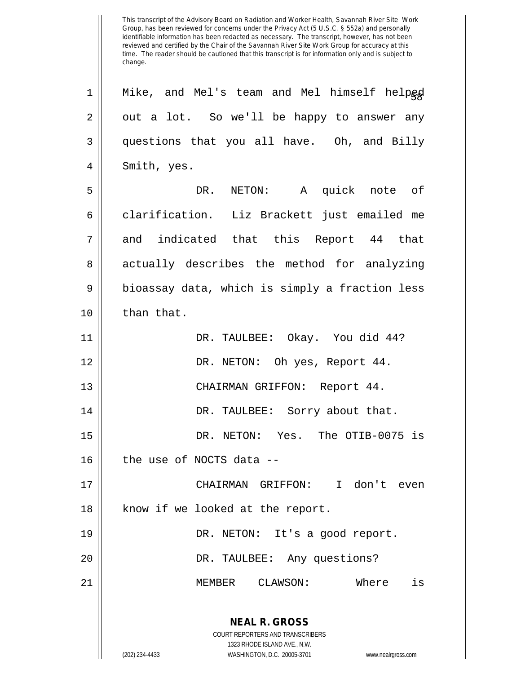This transcript of the Advisory Board on Radiation and Worker Health, Savannah River Site Work Group, has been reviewed for concerns under the Privacy Act (5 U.S.C. § 552a) and personally identifiable information has been redacted as necessary. The transcript, however, has not been reviewed and certified by the Chair of the Savannah River Site Work Group for accuracy at this time. The reader should be cautioned that this transcript is for information only and is subject to change. **NEAL R. GROSS** COURT REPORTERS AND TRANSCRIBERS 1323 RHODE ISLAND AVE., N.W. (202) 234-4433 WASHINGTON, D.C. 20005-3701 www.nealrgross.com  $1 ||$  Mike, and Mel's team and Mel himself helped  $2 \parallel$  out a lot. So we'll be happy to answer any 3 questions that you all have. Oh, and Billy 4 || Smith, yes. 5 DR. NETON: A quick note of 6 clarification. Liz Brackett just emailed me 7 and indicated that this Report 44 that 8 actually describes the method for analyzing  $9 \parallel$  bioassay data, which is simply a fraction less  $10$  | than that. 11 DR. TAULBEE: Okay. You did 44? 12 DR. NETON: Oh yes, Report 44. 13 || CHAIRMAN GRIFFON: Report 44. 14 DR. TAULBEE: Sorry about that. 15 DR. NETON: Yes. The OTIB-0075 is 16 the use of NOCTS data -- 17 CHAIRMAN GRIFFON: I don't even 18 || know if we looked at the report. 19 || DR. NETON: It's a good report. 20 | DR. TAULBEE: Any questions? 21 MEMBER CLAWSON: Where is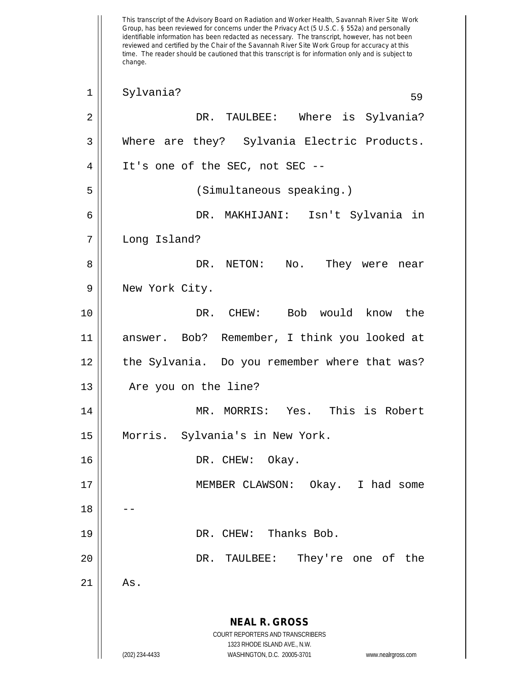This transcript of the Advisory Board on Radiation and Worker Health, Savannah River Site Work Group, has been reviewed for concerns under the Privacy Act (5 U.S.C. § 552a) and personally identifiable information has been redacted as necessary. The transcript, however, has not been reviewed and certified by the Chair of the Savannah River Site Work Group for accuracy at this time. The reader should be cautioned that this transcript is for information only and is subject to change. **NEAL R. GROSS** COURT REPORTERS AND TRANSCRIBERS 1323 RHODE ISLAND AVE., N.W. (202) 234-4433 WASHINGTON, D.C. 20005-3701 www.nealrgross.com 1 Sylvania? 59 2 DR. TAULBEE: Where is Sylvania? 3 Where are they? Sylvania Electric Products. 4 || It's one of the SEC, not SEC --5 (Simultaneous speaking.) 6 DR. MAKHIJANI: Isn't Sylvania in 7 Long Island? 8 DR. NETON: No. They were near 9 || New York City. 10 DR. CHEW: Bob would know the 11 answer. Bob? Remember, I think you looked at 12 || the Sylvania. Do you remember where that was? 13 || Are you on the line? 14 MR. MORRIS: Yes. This is Robert 15 Morris. Sylvania's in New York. 16 || DR. CHEW: Okay. 17 MEMBER CLAWSON: Okay. I had some  $18$ 19 DR. CHEW: Thanks Bob. 20 DR. TAULBEE: They're one of the  $21$  | As.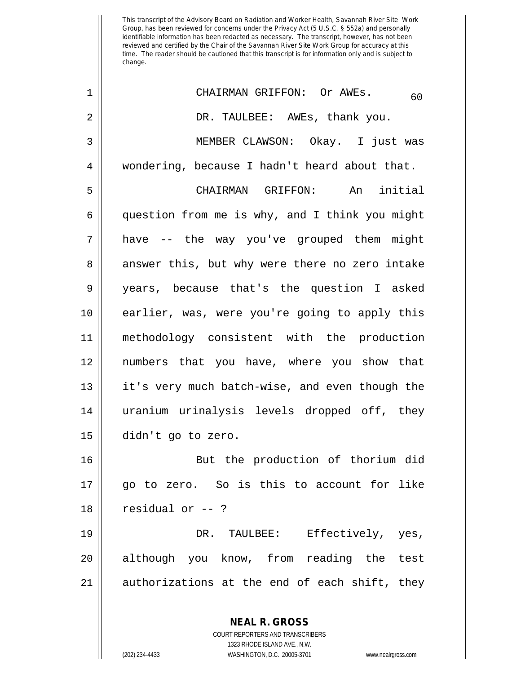| 1  | CHAIRMAN GRIFFON: Or AWEs.<br>60                         |
|----|----------------------------------------------------------|
| 2  | DR. TAULBEE: AWEs, thank you.                            |
| 3  | MEMBER CLAWSON: Okay. I just was                         |
| 4  | wondering, because I hadn't heard about that.            |
| 5  | CHAIRMAN GRIFFON: An initial                             |
| 6  | question from me is why, and I think you might           |
| 7  | have -- the way you've grouped them might                |
| 8  | answer this, but why were there no zero intake           |
| 9  | years, because that's the question I asked               |
| 10 | earlier, was, were you're going to apply this            |
| 11 | methodology consistent with the production               |
| 12 | numbers that you have, where you show that               |
| 13 | it's very much batch-wise, and even though the           |
| 14 | uranium urinalysis levels dropped off, they              |
| 15 | didn't go to zero.                                       |
| 16 | But the production of thorium did                        |
| 17 | go to zero. So is this to account for like               |
| 18 | residual or $--$ ?                                       |
| 19 | Effectively, yes,<br>DR.<br>TAULBEE:                     |
| 20 | although you know, from reading the test                 |
| 21 | authorizations at the end of each shift, they            |
|    | <b>NEAL R. GROSS</b><br>COURT REPORTERS AND TRANSCRIBERS |

1323 RHODE ISLAND AVE., N.W. (202) 234-4433 WASHINGTON, D.C. 20005-3701 www.nealrgross.com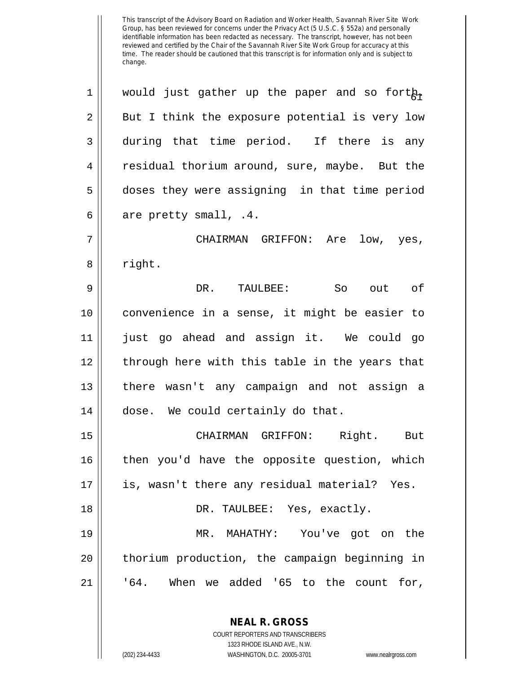| 1  | would just gather up the paper and so forth.   |
|----|------------------------------------------------|
| 2  | But I think the exposure potential is very low |
| 3  | during that time period. If there is any       |
| 4  | residual thorium around, sure, maybe. But the  |
| 5  | doses they were assigning in that time period  |
| 6  | are pretty small, .4.                          |
| 7  | CHAIRMAN GRIFFON: Are<br>low, yes,             |
| 8  | right.                                         |
| 9  | DR. TAULBEE: So out of                         |
| 10 | convenience in a sense, it might be easier to  |
| 11 | just go ahead and assign it. We could go       |
| 12 | through here with this table in the years that |
| 13 | there wasn't any campaign and not assign a     |
| 14 | dose. We could certainly do that.              |
| 15 | CHAIRMAN GRIFFON: Right. But                   |
| 16 | then you'd have the opposite question, which   |
| 17 | is, wasn't there any residual material? Yes.   |
| 18 | DR. TAULBEE: Yes, exactly.                     |
| 19 | MR. MAHATHY: You've got on the                 |
| 20 | thorium production, the campaign beginning in  |
| 21 | '64. When we added '65 to the count for,       |
|    | <b>NEAL R. GROSS</b>                           |

COURT REPORTERS AND TRANSCRIBERS 1323 RHODE ISLAND AVE., N.W.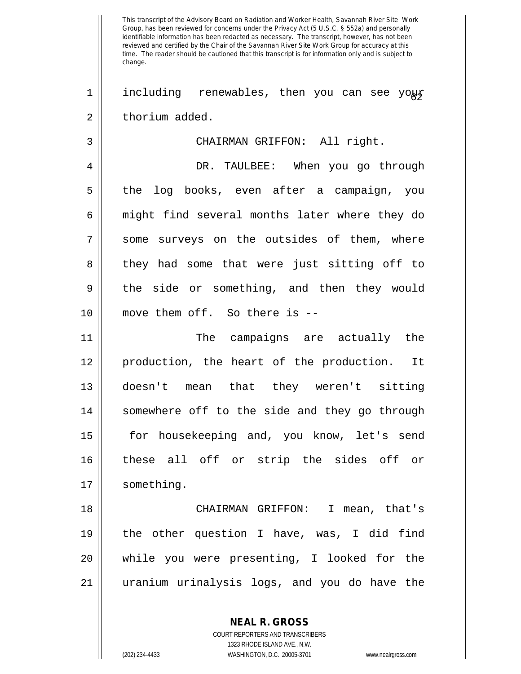This transcript of the Advisory Board on Radiation and Worker Health, Savannah River Site Work Group, has been reviewed for concerns under the Privacy Act (5 U.S.C. § 552a) and personally identifiable information has been redacted as necessary. The transcript, however, has not been reviewed and certified by the Chair of the Savannah River Site Work Group for accuracy at this time. The reader should be cautioned that this transcript is for information only and is subject to change.  $1 ||$  including renewables, then you can see your 2 | thorium added. 3 CHAIRMAN GRIFFON: All right. 4 DR. TAULBEE: When you go through 5 the log books, even after a campaign, you 6 might find several months later where they do 7 || some surveys on the outsides of them, where 8 || they had some that were just sitting off to 9 || the side or something, and then they would 10 || move them off. So there is --11 The campaigns are actually the 12 production, the heart of the production. It 13 doesn't mean that they weren't sitting 14 || somewhere off to the side and they go through 15 for housekeeping and, you know, let's send 16 these all off or strip the sides off or 17 | something. 18 CHAIRMAN GRIFFON: I mean, that's 19 the other question I have, was, I did find 20 while you were presenting, I looked for the 21 uranium urinalysis logs, and you do have the

> COURT REPORTERS AND TRANSCRIBERS 1323 RHODE ISLAND AVE., N.W. (202) 234-4433 WASHINGTON, D.C. 20005-3701 www.nealrgross.com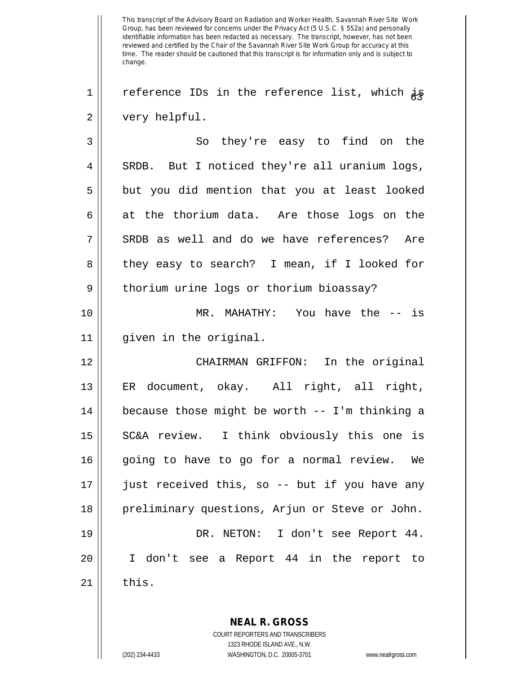This transcript of the Advisory Board on Radiation and Worker Health, Savannah River Site Work Group, has been reviewed for concerns under the Privacy Act (5 U.S.C. § 552a) and personally identifiable information has been redacted as necessary. The transcript, however, has not been reviewed and certified by the Chair of the Savannah River Site Work Group for accuracy at this time. The reader should be cautioned that this transcript is for information only and is subject to change. 1 || reference IDs in the reference list, which  $\frac{1}{6}$ 2 | very helpful. 3 So they're easy to find on the 4 || SRDB. But I noticed they're all uranium logs, 5 | but you did mention that you at least looked  $6 \parallel$  at the thorium data. Are those logs on the  $7 \parallel$  SRDB as well and do we have references? Are 8 || they easy to search? I mean, if I looked for 9 || thorium urine logs or thorium bioassay? 10 MR. MAHATHY: You have the -- is 11 || given in the original. 12 CHAIRMAN GRIFFON: In the original 13 ER document, okay. All right, all right,  $14$  | because those might be worth -- I'm thinking a 15 || SC&A review. I think obviously this one is 16 going to have to go for a normal review. We 17 just received this, so -- but if you have any 18 || preliminary questions, Arjun or Steve or John. 19 DR. NETON: I don't see Report 44. 20 I don't see a Report 44 in the report to  $21$   $\parallel$  this.

> **NEAL R. GROSS** COURT REPORTERS AND TRANSCRIBERS 1323 RHODE ISLAND AVE., N.W.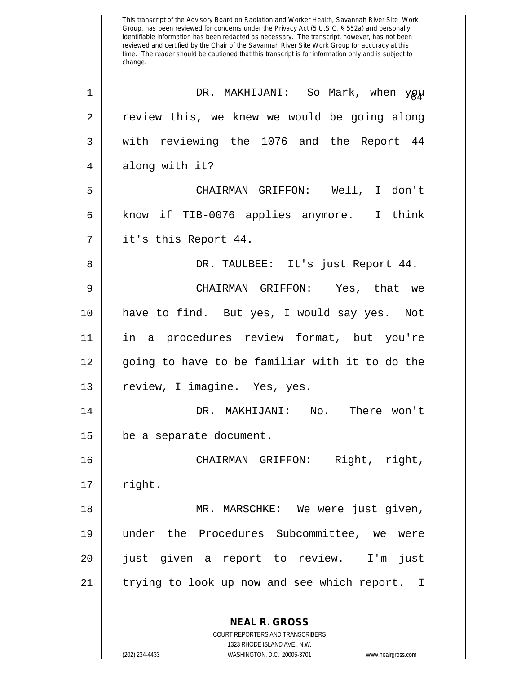This transcript of the Advisory Board on Radiation and Worker Health, Savannah River Site Work Group, has been reviewed for concerns under the Privacy Act (5 U.S.C. § 552a) and personally identifiable information has been redacted as necessary. The transcript, however, has not been reviewed and certified by the Chair of the Savannah River Site Work Group for accuracy at this time. The reader should be cautioned that this transcript is for information only and is subject to change. **NEAL R. GROSS** COURT REPORTERS AND TRANSCRIBERS 1323 RHODE ISLAND AVE., N.W. <sup>64</sup> 1 DR. MAKHIJANI: So Mark, when you  $2 \parallel$  review this, we knew we would be going along 3 Weith reviewing the 1076 and the Report 44 4 || along with it? 5 CHAIRMAN GRIFFON: Well, I don't 6 know if TIB-0076 applies anymore. I think 7 it's this Report 44. 8 DR. TAULBEE: It's just Report 44. 9 CHAIRMAN GRIFFON: Yes, that we 10 have to find. But yes, I would say yes. Not 11 in a procedures review format, but you're 12 || going to have to be familiar with it to do the 13 || review, I imagine. Yes, yes. 14 DR. MAKHIJANI: No. There won't 15 | be a separate document. 16 CHAIRMAN GRIFFON: Right, right,  $17 \parallel$  right. 18 || MR. MARSCHKE: We were just given, 19 under the Procedures Subcommittee, we were 20 || just given a report to review. I'm just 21 || trying to look up now and see which report. I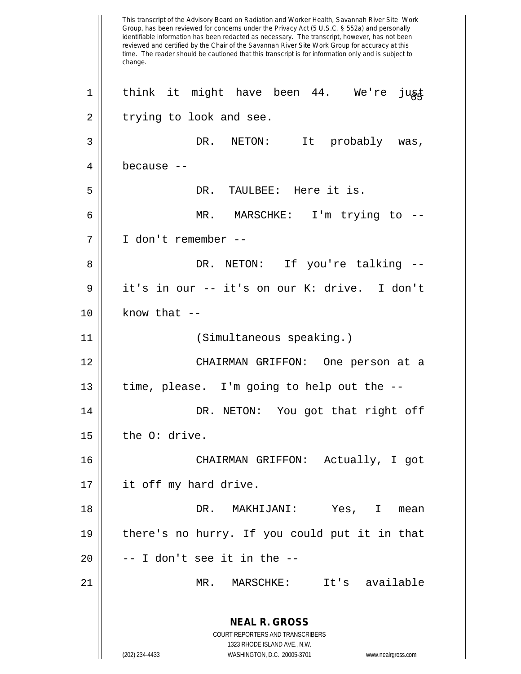This transcript of the Advisory Board on Radiation and Worker Health, Savannah River Site Work Group, has been reviewed for concerns under the Privacy Act (5 U.S.C. § 552a) and personally identifiable information has been redacted as necessary. The transcript, however, has not been reviewed and certified by the Chair of the Savannah River Site Work Group for accuracy at this time. The reader should be cautioned that this transcript is for information only and is subject to change. **NEAL R. GROSS** COURT REPORTERS AND TRANSCRIBERS 1323 RHODE ISLAND AVE., N.W. (202) 234-4433 WASHINGTON, D.C. 20005-3701 www.nealrgross.com 1 || think it might have been 44. We're jugt  $2 \parallel$  trying to look and see. 3 DR. NETON: It probably was, 4 because -- 5 DR. TAULBEE: Here it is. 6 MR. MARSCHKE: I'm trying to -- 7 I don't remember -- 8 DR. NETON: If you're talking -- 9 it's in our -- it's on our K: drive. I don't  $10$  | know that  $-$ 11 || (Simultaneous speaking.) 12 CHAIRMAN GRIFFON: One person at a 13 time, please. I'm going to help out the -- 14 || DR. NETON: You got that right off  $15$  | the O: drive. 16 CHAIRMAN GRIFFON: Actually, I got 17 || it off my hard drive. 18 DR. MAKHIJANI: Yes, I mean 19 there's no hurry. If you could put it in that  $20$  |  $-$  I don't see it in the  $-$ 21 MR. MARSCHKE: It's available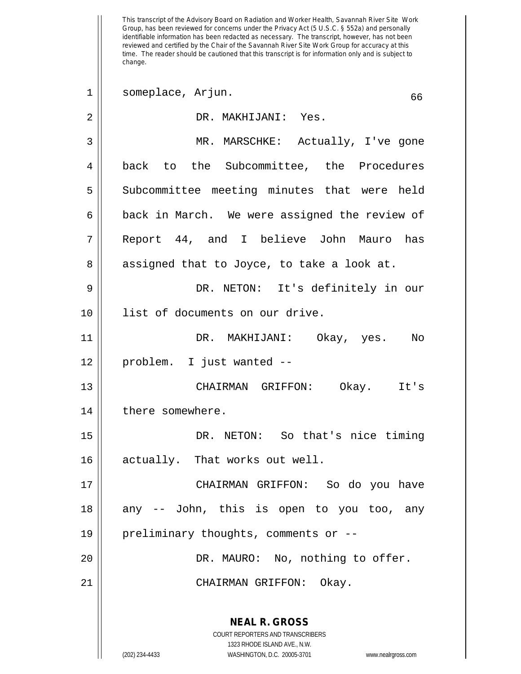This transcript of the Advisory Board on Radiation and Worker Health, Savannah River Site Work Group, has been reviewed for concerns under the Privacy Act (5 U.S.C. § 552a) and personally identifiable information has been redacted as necessary. The transcript, however, has not been reviewed and certified by the Chair of the Savannah River Site Work Group for accuracy at this time. The reader should be cautioned that this transcript is for information only and is subject to change. **NEAL R. GROSS** COURT REPORTERS AND TRANSCRIBERS 1323 RHODE ISLAND AVE., N.W. (202) 234-4433 WASHINGTON, D.C. 20005-3701 www.nealrgross.com 1 Someplace, Arjun. 66 2 DR. MAKHIJANI: Yes. 3 MR. MARSCHKE: Actually, I've gone 4 back to the Subcommittee, the Procedures 5 Subcommittee meeting minutes that were held  $6 \parallel$  back in March. We were assigned the review of 7 Report 44, and I believe John Mauro has 8 || assigned that to Joyce, to take a look at. 9 DR. NETON: It's definitely in our 10 || list of documents on our drive. 11 DR. MAKHIJANI: Okay, yes. No 12 problem. I just wanted -- 13 CHAIRMAN GRIFFON: Okay. It's 14 | there somewhere. 15 DR. NETON: So that's nice timing 16 || actually. That works out well. 17 CHAIRMAN GRIFFON: So do you have 18 any -- John, this is open to you too, any 19 preliminary thoughts, comments or -- 20 | DR. MAURO: No, nothing to offer. 21 CHAIRMAN GRIFFON: Okay.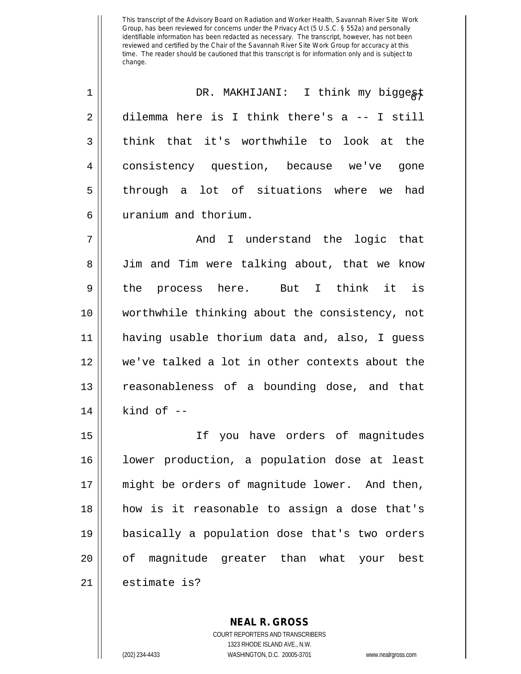| $\mathbf 1$    | DR. MAKHIJANI: I think my biggegt            |
|----------------|----------------------------------------------|
| $\overline{2}$ | dilemma here is I think there's a -- I still |
| 3              | think that it's worthwhile to look at the    |
| $\overline{4}$ | consistency question, because we've<br>qone  |
| 5              | through a lot of situations where we had     |
| 6              | uranium and thorium.                         |

7 And I understand the logic that 8 Jim and Tim were talking about, that we know 9 || the process here. But I think it is 10 worthwhile thinking about the consistency, not 11 having usable thorium data and, also, I guess 12 we've talked a lot in other contexts about the 13 || reasonableness of a bounding dose, and that  $14$  | kind of  $-$ 

15 If you have orders of magnitudes 16 || lower production, a population dose at least 17 might be orders of magnitude lower. And then, 18 how is it reasonable to assign a dose that's 19 basically a population dose that's two orders 20 || of magnitude greater than what your best 21 estimate is?

> COURT REPORTERS AND TRANSCRIBERS 1323 RHODE ISLAND AVE., N.W. (202) 234-4433 WASHINGTON, D.C. 20005-3701 www.nealrgross.com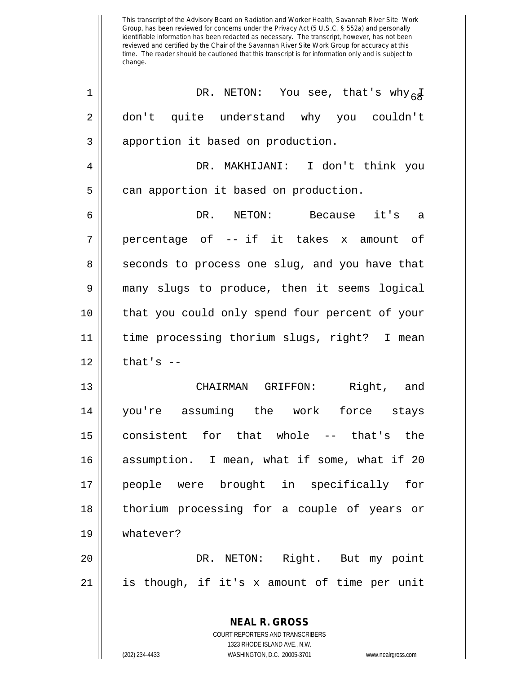|    | This transcript of the Advisory Board on Radiation and Worker Health, Savannah River Site Work<br>Group, has been reviewed for concerns under the Privacy Act (5 U.S.C. § 552a) and personally<br>identifiable information has been redacted as necessary. The transcript, however, has not been<br>reviewed and certified by the Chair of the Savannah River Site Work Group for accuracy at this<br>time. The reader should be cautioned that this transcript is for information only and is subject to<br>change. |
|----|----------------------------------------------------------------------------------------------------------------------------------------------------------------------------------------------------------------------------------------------------------------------------------------------------------------------------------------------------------------------------------------------------------------------------------------------------------------------------------------------------------------------|
| 1  | DR. NETON: You see, that's $why_{6}$                                                                                                                                                                                                                                                                                                                                                                                                                                                                                 |
| 2  | don't quite understand why you couldn't                                                                                                                                                                                                                                                                                                                                                                                                                                                                              |
| 3  | apportion it based on production.                                                                                                                                                                                                                                                                                                                                                                                                                                                                                    |
| 4  | DR. MAKHIJANI: I don't think you                                                                                                                                                                                                                                                                                                                                                                                                                                                                                     |
| 5  | can apportion it based on production.                                                                                                                                                                                                                                                                                                                                                                                                                                                                                |
| 6  | DR.<br>NETON:<br>Because it's<br>a                                                                                                                                                                                                                                                                                                                                                                                                                                                                                   |
| 7  | percentage of -- if it takes x amount<br>оf                                                                                                                                                                                                                                                                                                                                                                                                                                                                          |
| 8  | seconds to process one slug, and you have that                                                                                                                                                                                                                                                                                                                                                                                                                                                                       |
| 9  | many slugs to produce, then it seems logical                                                                                                                                                                                                                                                                                                                                                                                                                                                                         |
| 10 | that you could only spend four percent of your                                                                                                                                                                                                                                                                                                                                                                                                                                                                       |
| 11 | time processing thorium slugs, right? I mean                                                                                                                                                                                                                                                                                                                                                                                                                                                                         |
| 12 | that's $--$                                                                                                                                                                                                                                                                                                                                                                                                                                                                                                          |
| 13 | Right, and<br>CHAIRMAN<br>GRIFFON:                                                                                                                                                                                                                                                                                                                                                                                                                                                                                   |
| 14 | you're assuming the work force stays                                                                                                                                                                                                                                                                                                                                                                                                                                                                                 |
| 15 | consistent for that whole -- that's the                                                                                                                                                                                                                                                                                                                                                                                                                                                                              |
| 16 | assumption. I mean, what if some, what if 20                                                                                                                                                                                                                                                                                                                                                                                                                                                                         |
| 17 | people were brought in specifically for                                                                                                                                                                                                                                                                                                                                                                                                                                                                              |
| 18 | thorium processing for a couple of years or                                                                                                                                                                                                                                                                                                                                                                                                                                                                          |
| 19 | whatever?                                                                                                                                                                                                                                                                                                                                                                                                                                                                                                            |
| 20 | DR. NETON: Right. But my point                                                                                                                                                                                                                                                                                                                                                                                                                                                                                       |
| 21 | is though, if it's x amount of time per unit                                                                                                                                                                                                                                                                                                                                                                                                                                                                         |
|    | <b>NEAL R. GROSS</b><br>COURT REPORTERS AND TRANSCRIBERS<br>1323 RHODE ISLAND AVE., N.W.<br>(202) 234-4433<br>WASHINGTON, D.C. 20005-3701<br>www.nealrgross.com                                                                                                                                                                                                                                                                                                                                                      |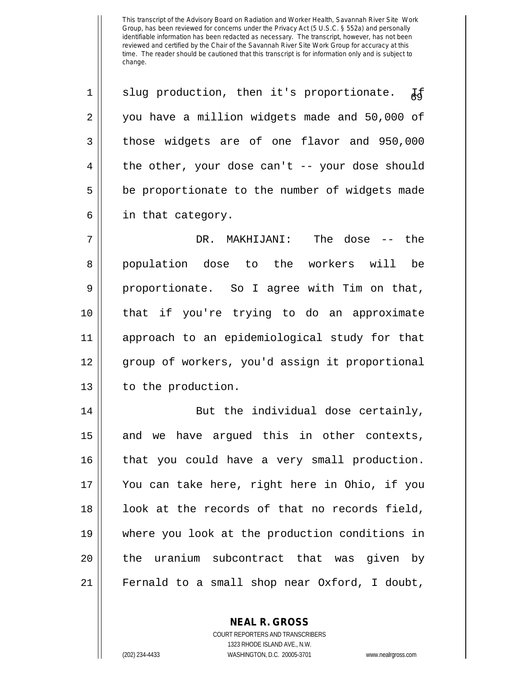1 || slug production, then it's proportionate.  $\bar{A}$  $2 \parallel$  you have a million widgets made and 50,000 of  $3 \parallel$  those widgets are of one flavor and 950,000  $4 \parallel$  the other, your dose can't -- your dose should 5 || be proportionate to the number of widgets made  $6 \parallel$  in that category.

7 DR. MAKHIJANI: The dose -- the 8 || population dose to the workers will be 9 proportionate. So I agree with Tim on that, 10 that if you're trying to do an approximate 11 approach to an epidemiological study for that 12 || group of workers, you'd assign it proportional 13 || to the production.

14 || But the individual dose certainly, 15 and we have arqued this in other contexts, 16 || that you could have a very small production. 17 You can take here, right here in Ohio, if you 18 || look at the records of that no records field, 19 where you look at the production conditions in 20 || the uranium subcontract that was given by 21 Fernald to a small shop near Oxford, I doubt,

> COURT REPORTERS AND TRANSCRIBERS 1323 RHODE ISLAND AVE., N.W. (202) 234-4433 WASHINGTON, D.C. 20005-3701 www.nealrgross.com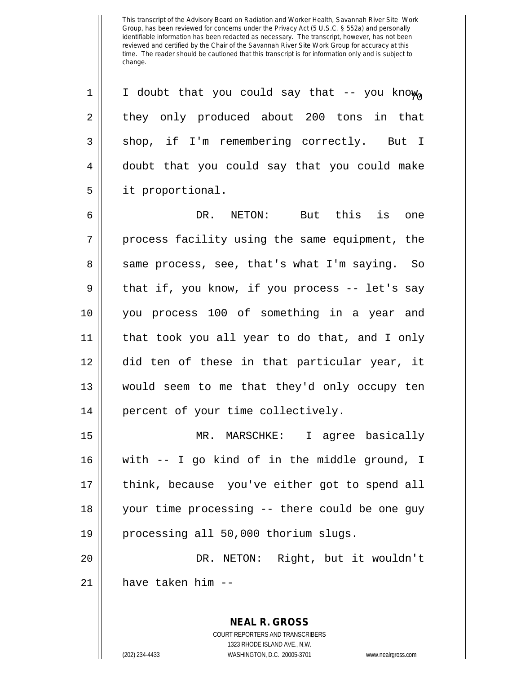1 | I doubt that you could say that -- you know 2 they only produced about 200 tons in that 3 || shop, if I'm remembering correctly. But I 4 doubt that you could say that you could make 5 it proportional. 6 DR. NETON: But this is one  $7 \parallel$  process facility using the same equipment, the  $8 \parallel$  same process, see, that's what I'm saying. So 9 || that if, you know, if you process -- let's say 10 you process 100 of something in a year and 11 that took you all year to do that, and I only

12 did ten of these in that particular year, it 13 would seem to me that they'd only occupy ten 14 || percent of your time collectively.

15 MR. MARSCHKE: I agree basically 16 with -- I go kind of in the middle ground, I 17 think, because you've either got to spend all 18 your time processing -- there could be one guy 19 || processing all 50,000 thorium slugs.

20 DR. NETON: Right, but it wouldn't 21 have taken him --

> **NEAL R. GROSS** COURT REPORTERS AND TRANSCRIBERS

> > 1323 RHODE ISLAND AVE., N.W.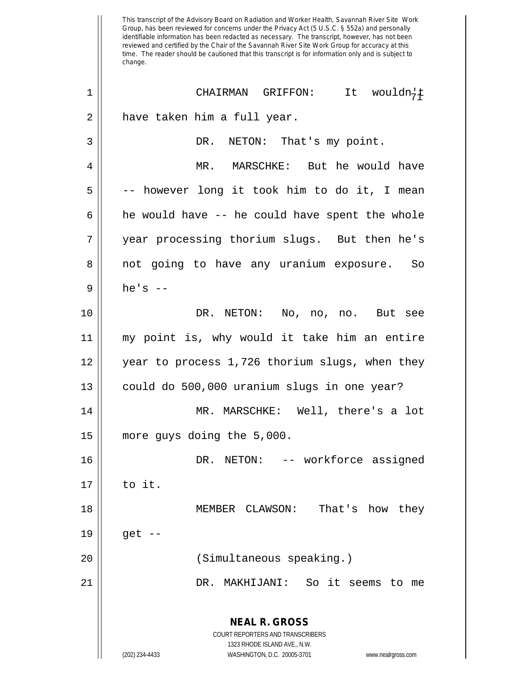This transcript of the Advisory Board on Radiation and Worker Health, Savannah River Site Work Group, has been reviewed for concerns under the Privacy Act (5 U.S.C. § 552a) and personally identifiable information has been redacted as necessary. The transcript, however, has not been reviewed and certified by the Chair of the Savannah River Site Work Group for accuracy at this time. The reader should be cautioned that this transcript is for information only and is subject to change. **NEAL R. GROSS** COURT REPORTERS AND TRANSCRIBERS 1323 RHODE ISLAND AVE., N.W. (202) 234-4433 WASHINGTON, D.C. 20005-3701 www.nealrgross.com <sup>71</sup> 1 CHAIRMAN GRIFFON: It wouldn't  $2 \parallel$  have taken him a full year. 3 || DR. NETON: That's my point. 4 MR. MARSCHKE: But he would have  $5 \parallel$  -- however long it took him to do it, I mean 6  $\parallel$  he would have -- he could have spent the whole 7 year processing thorium slugs. But then he's 8 || not going to have any uranium exposure. So  $9 \parallel$  he's --10 || DR. NETON: No, no, no. But see 11 my point is, why would it take him an entire 12 year to process 1,726 thorium slugs, when they 13 could do 500,000 uranium slugs in one year? 14 MR. MARSCHKE: Well, there's a lot 15 more guys doing the 5,000. 16 DR. NETON: -- workforce assigned  $17 \parallel$  to it. 18 MEMBER CLAWSON: That's how they  $19 \parallel$  get --20 || (Simultaneous speaking.) 21 DR. MAKHIJANI: So it seems to me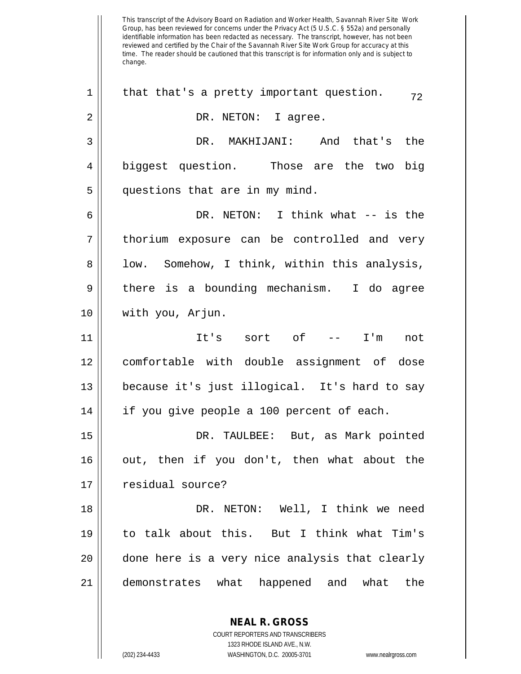This transcript of the Advisory Board on Radiation and Worker Health, Savannah River Site Work Group, has been reviewed for concerns under the Privacy Act (5 U.S.C. § 552a) and personally identifiable information has been redacted as necessary. The transcript, however, has not been reviewed and certified by the Chair of the Savannah River Site Work Group for accuracy at this time. The reader should be cautioned that this transcript is for information only and is subject to change. 1 || that that's a pretty important question.  $\frac{72}{10}$ 2 DR. NETON: I agree. 3 DR. MAKHIJANI: And that's the 4 biggest question. Those are the two big 5 || questions that are in my mind. 6 DR. NETON: I think what -- is the 7 || thorium exposure can be controlled and very 8 | low. Somehow, I think, within this analysis, 9 || there is a bounding mechanism. I do agree 10 || with you, Arjun. 11 It's sort of -- I'm not 12 comfortable with double assignment of dose 13 || because it's just illogical. It's hard to say 14 if you give people a 100 percent of each. 15 DR. TAULBEE: But, as Mark pointed 16 || out, then if you don't, then what about the 17 | residual source? 18 DR. NETON: Well, I think we need 19 to talk about this. But I think what Tim's  $20$  || done here is a very nice analysis that clearly 21 demonstrates what happened and what the

> **NEAL R. GROSS** COURT REPORTERS AND TRANSCRIBERS 1323 RHODE ISLAND AVE., N.W.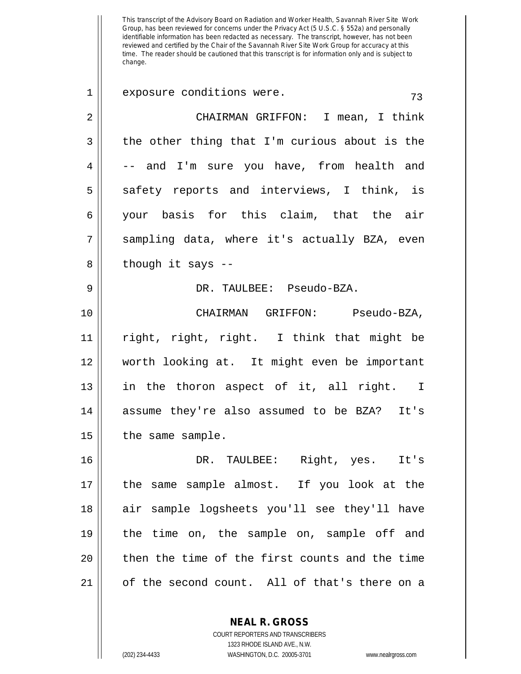This transcript of the Advisory Board on Radiation and Worker Health, Savannah River Site Work Group, has been reviewed for concerns under the Privacy Act (5 U.S.C. § 552a) and personally identifiable information has been redacted as necessary. The transcript, however, has not been reviewed and certified by the Chair of the Savannah River Site Work Group for accuracy at this time. The reader should be cautioned that this transcript is for information only and is subject to change.  $1 \parallel$  exposure conditions were.  $73$ 2 CHAIRMAN GRIFFON: I mean, I think  $3 \parallel$  the other thing that I'm curious about is the 4 || -- and I'm sure you have, from health and  $5 \parallel$  safety reports and interviews, I think, is 6 your basis for this claim, that the air 7 Sampling data, where it's actually BZA, even  $8 \parallel$  though it says --9 DR. TAULBEE: Pseudo-BZA. 10 CHAIRMAN GRIFFON: Pseudo-BZA, 11 right, right, right. I think that might be 12 worth looking at. It might even be important 13 in the thoron aspect of it, all right. I 14 assume they're also assumed to be BZA? It's  $15$  | the same sample. 16 DR. TAULBEE: Right, yes. It's 17 the same sample almost. If you look at the 18 air sample logsheets you'll see they'll have 19 the time on, the sample on, sample off and  $20$  || then the time of the first counts and the time 21 || of the second count. All of that's there on a

> COURT REPORTERS AND TRANSCRIBERS 1323 RHODE ISLAND AVE., N.W. (202) 234-4433 WASHINGTON, D.C. 20005-3701 www.nealrgross.com

**NEAL R. GROSS**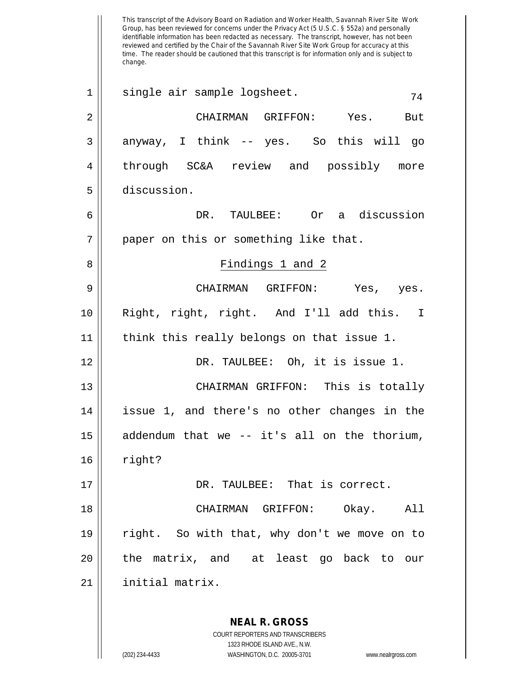This transcript of the Advisory Board on Radiation and Worker Health, Savannah River Site Work Group, has been reviewed for concerns under the Privacy Act (5 U.S.C. § 552a) and personally identifiable information has been redacted as necessary. The transcript, however, has not been reviewed and certified by the Chair of the Savannah River Site Work Group for accuracy at this time. The reader should be cautioned that this transcript is for information only and is subject to change. **NEAL R. GROSS** COURT REPORTERS AND TRANSCRIBERS 1323 RHODE ISLAND AVE., N.W. (202) 234-4433 WASHINGTON, D.C. 20005-3701 www.nealrgross.com  $1 \parallel$  single air sample logsheet.  $\frac{74}{ }$ 2 CHAIRMAN GRIFFON: Yes. But  $3 \parallel$  anyway, I think -- yes. So this will go 4 || through SC&A review and possibly more 5 discussion. 6 DR. TAULBEE: Or a discussion 7 || paper on this or something like that. 8 Findings 1 and 2 9 CHAIRMAN GRIFFON: Yes, yes. 10 Right, right, right. And I'll add this. I 11 || think this really belongs on that issue 1. 12 DR. TAULBEE: Oh, it is issue 1. 13 CHAIRMAN GRIFFON: This is totally 14 issue 1, and there's no other changes in the 15 addendum that we -- it's all on the thorium,  $16$   $\parallel$  right? 17 DR. TAULBEE: That is correct. 18 CHAIRMAN GRIFFON: Okay. All 19 right. So with that, why don't we move on to  $20$  || the matrix, and at least go back to our 21 | initial matrix.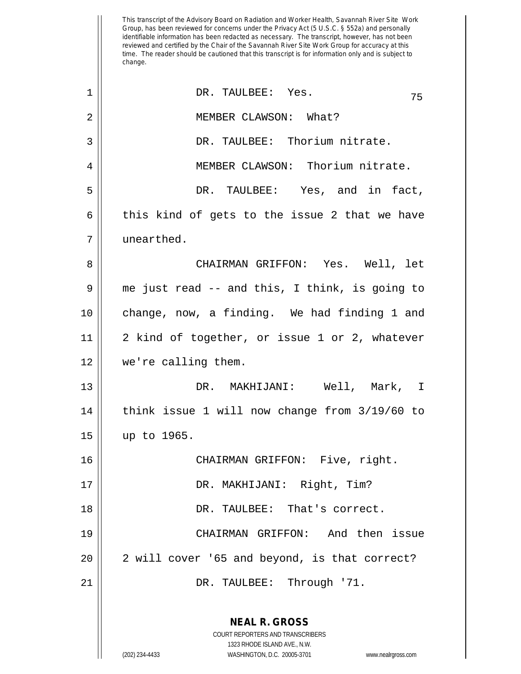This transcript of the Advisory Board on Radiation and Worker Health, Savannah River Site Work Group, has been reviewed for concerns under the Privacy Act (5 U.S.C. § 552a) and personally identifiable information has been redacted as necessary. The transcript, however, has not been reviewed and certified by the Chair of the Savannah River Site Work Group for accuracy at this time. The reader should be cautioned that this transcript is for information only and is subject to change. **NEAL R. GROSS** COURT REPORTERS AND TRANSCRIBERS  $\begin{array}{ccc} 1 & \vert & \vert & \end{array}$  DR. TAULBEE: Yes.  $\begin{array}{ccc} 75 & \vert & \vert & \end{array}$ 2 || MEMBER CLAWSON: What? 3 DR. TAULBEE: Thorium nitrate. 4 | MEMBER CLAWSON: Thorium nitrate. 5 DR. TAULBEE: Yes, and in fact, 6 this kind of gets to the issue 2 that we have 7 unearthed. 8 CHAIRMAN GRIFFON: Yes. Well, let  $9 \parallel$  me just read -- and this, I think, is going to 10 change, now, a finding. We had finding 1 and 11 2 kind of together, or issue 1 or 2, whatever 12 we're calling them. 13 DR. MAKHIJANI: Well, Mark, I 14 || think issue 1 will now change from 3/19/60 to 15 up to 1965. 16 CHAIRMAN GRIFFON: Five, right. 17 DR. MAKHIJANI: Right, Tim? 18 DR. TAULBEE: That's correct. 19 CHAIRMAN GRIFFON: And then issue  $20 \parallel 2$  will cover '65 and beyond, is that correct? 21 DR. TAULBEE: Through '71.

1323 RHODE ISLAND AVE., N.W.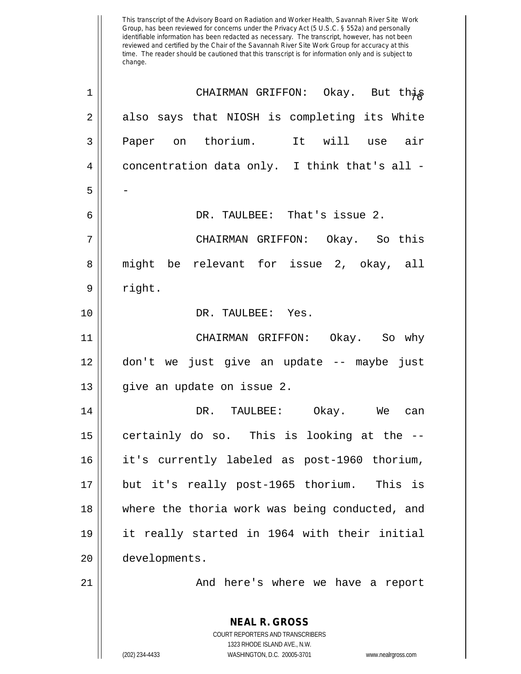This transcript of the Advisory Board on Radiation and Worker Health, Savannah River Site Work Group, has been reviewed for concerns under the Privacy Act (5 U.S.C. § 552a) and personally identifiable information has been redacted as necessary. The transcript, however, has not been reviewed and certified by the Chair of the Savannah River Site Work Group for accuracy at this time. The reader should be cautioned that this transcript is for information only and is subject to change. **NEAL R. GROSS** COURT REPORTERS AND TRANSCRIBERS 1323 RHODE ISLAND AVE., N.W. <sup>76</sup> 1 CHAIRMAN GRIFFON: Okay. But this  $2 \parallel$  also says that NIOSH is completing its White 3 Paper on thorium. It will use air 4 || concentration data only. I think that's all - $5 \parallel -$ 6 DR. TAULBEE: That's issue 2. 7 CHAIRMAN GRIFFON: Okay. So this 8 might be relevant for issue 2, okay, all  $9 \parallel$  right. 10 || DR. TAULBEE: Yes. 11 CHAIRMAN GRIFFON: Okay. So why 12 don't we just give an update -- maybe just 13 || give an update on issue 2. 14 DR. TAULBEE: Okay. We can 15 certainly do so. This is looking at the -- 16 it's currently labeled as post-1960 thorium, 17 but it's really post-1965 thorium. This is 18 || where the thoria work was being conducted, and 19 it really started in 1964 with their initial 20 developments. 21 And here's where we have a report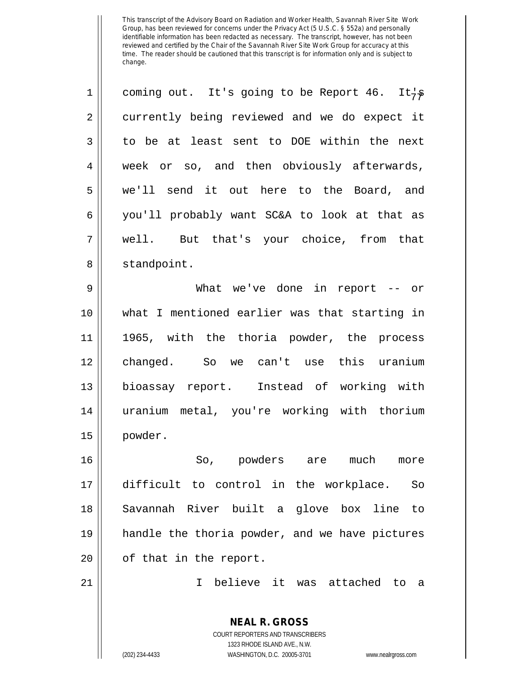| $\mathbf 1$ | coming out. It's going to be Report 46.<br>It,s |
|-------------|-------------------------------------------------|
| $\sqrt{2}$  | currently being reviewed and we do expect it    |
| 3           | to be at least sent to DOE within the next      |
| 4           | week or so, and then obviously afterwards,      |
| 5           | we'll send it out here to the Board, and        |
| 6           | you'll probably want SC&A to look at that as    |
| 7           | well. But that's your choice, from that         |
| 8           | standpoint.                                     |
| $\mathsf 9$ | What we've done in report $--$ or               |
| 10          | what I mentioned earlier was that starting in   |
| 11          | 1965, with the thoria powder, the process       |
| 12          | So we can't use this uranium<br>changed.        |
| 13          | bioassay report. Instead of working with        |
| 14          | uranium metal, you're working with thorium      |
| 15          | powder.                                         |
| 16          | So, powders are much more                       |
| 17          | difficult to control in the workplace.<br>So    |
| 18          | Savannah River built a glove box line to        |
| 19          | handle the thoria powder, and we have pictures  |
| 20          | of that in the report.                          |
| 21          | believe it was attached to<br>I.<br>a           |
|             | <b>NEAL R. GROSS</b>                            |

COURT REPORTERS AND TRANSCRIBERS 1323 RHODE ISLAND AVE., N.W. (202) 234-4433 WASHINGTON, D.C. 20005-3701 www.nealrgross.com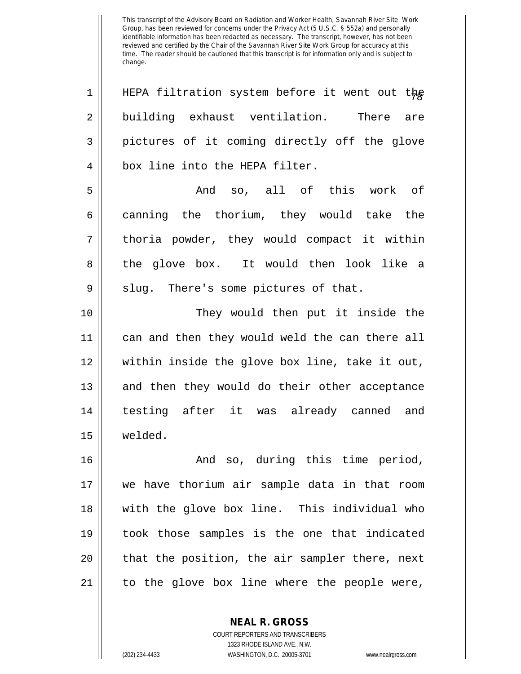$1$  || HEPA filtration system before it went out the 2 building exhaust ventilation. There are 3 pictures of it coming directly off the glove 4 || box line into the HEPA filter. 5 And so, all of this work of 6 canning the thorium, they would take the  $7 \parallel$  thoria powder, they would compact it within 8 the glove box. It would then look like a  $9 \parallel$  slug. There's some pictures of that. 10 || They would then put it inside the 11 || can and then they would weld the can there all 12 || within inside the glove box line, take it out, 13 || and then they would do their other acceptance 14 testing after it was already canned and 15 welded. 16 || The Souring this time period, 17 we have thorium air sample data in that room 18 || with the glove box line. This individual who 19 took those samples is the one that indicated 20 || that the position, the air sampler there, next 21 || to the glove box line where the people were,

> **NEAL R. GROSS** COURT REPORTERS AND TRANSCRIBERS

1323 RHODE ISLAND AVE., N.W. (202) 234-4433 WASHINGTON, D.C. 20005-3701 www.nealrgross.com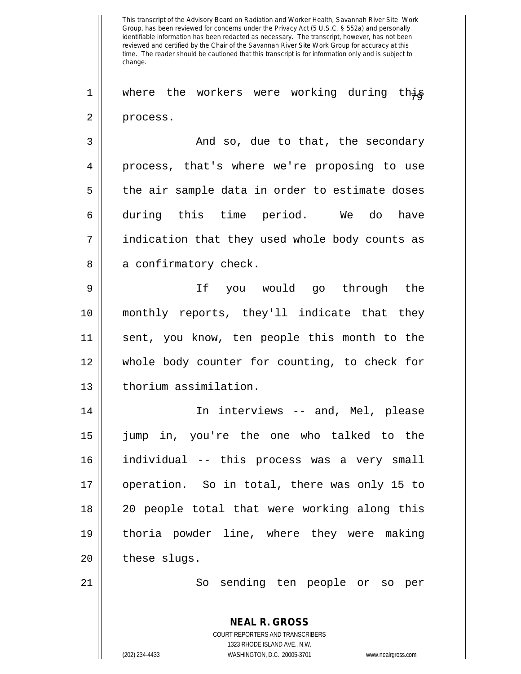This transcript of the Advisory Board on Radiation and Worker Health, Savannah River Site Work Group, has been reviewed for concerns under the Privacy Act (5 U.S.C. § 552a) and personally identifiable information has been redacted as necessary. The transcript, however, has not been reviewed and certified by the Chair of the Savannah River Site Work Group for accuracy at this time. The reader should be cautioned that this transcript is for information only and is subject to change. **NEAL R. GROSS** COURT REPORTERS AND TRANSCRIBERS 1323 RHODE ISLAND AVE., N.W.  $1 \parallel$  where the workers were working during this 2 | process. 3 And so, due to that, the secondary 4 || process, that's where we're proposing to use  $5 \parallel$  the air sample data in order to estimate doses 6|| during this time period. We do have 7 indication that they used whole body counts as 8 a confirmatory check. 9 If you would go through the 10 monthly reports, they'll indicate that they 11 || sent, you know, ten people this month to the 12 || whole body counter for counting, to check for 13 | thorium assimilation. 14 || In interviews -- and, Mel, please 15 jump in, you're the one who talked to the 16 individual -- this process was a very small 17 operation. So in total, there was only 15 to 18 20 people total that were working along this 19 thoria powder line, where they were making  $20$  | these slugs. 21 || So sending ten people or so per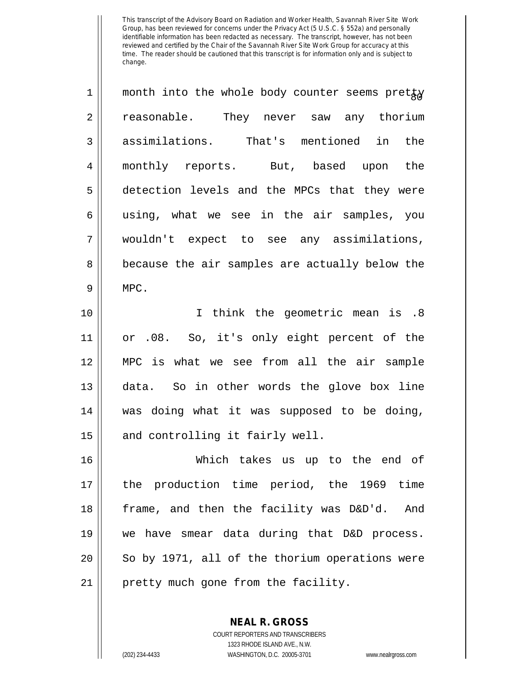| $\mathbf{1}$   | month into the whole body counter seems pretty |
|----------------|------------------------------------------------|
| $\overline{2}$ | reasonable. They never saw any thorium         |
| 3              | assimilations. That's mentioned in the         |
| 4              | monthly reports. But, based upon the           |
| 5              | detection levels and the MPCs that they were   |
| 6              | using, what we see in the air samples, you     |
| 7              | wouldn't expect to see any assimilations,      |
| 8              | because the air samples are actually below the |
| 9              | MPC.                                           |

10 || I think the geometric mean is .8 11 or .08. So, it's only eight percent of the 12 MPC is what we see from all the air sample 13 data. So in other words the glove box line 14 was doing what it was supposed to be doing, 15 || and controlling it fairly well.

16 Which takes us up to the end of 17 the production time period, the 1969 time 18 frame, and then the facility was D&D'd. And 19 we have smear data during that D&D process.  $20$  | So by 1971, all of the thorium operations were 21 || pretty much gone from the facility.

> **NEAL R. GROSS** COURT REPORTERS AND TRANSCRIBERS 1323 RHODE ISLAND AVE., N.W.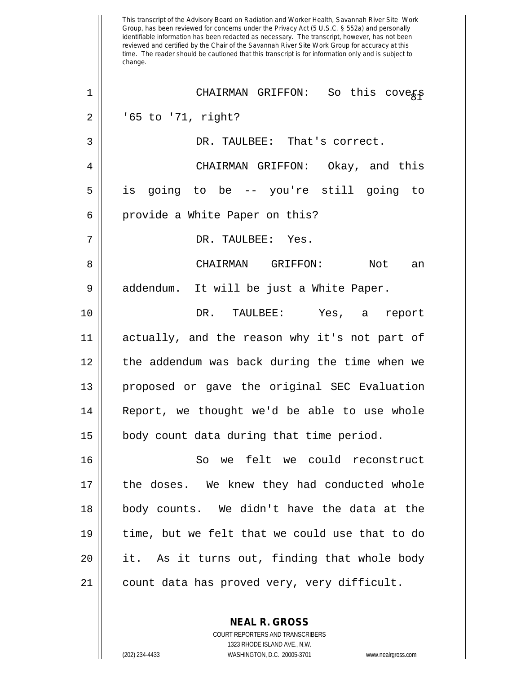This transcript of the Advisory Board on Radiation and Worker Health, Savannah River Site Work Group, has been reviewed for concerns under the Privacy Act (5 U.S.C. § 552a) and personally identifiable information has been redacted as necessary. The transcript, however, has not been reviewed and certified by the Chair of the Savannah River Site Work Group for accuracy at this time. The reader should be cautioned that this transcript is for information only and is subject to change. <sup>81</sup> 1 CHAIRMAN GRIFFON: So this covers 2 || '65 to '71, right? 3 DR. TAULBEE: That's correct. 4 CHAIRMAN GRIFFON: Okay, and this 5 is going to be -- you're still going to 6 | provide a White Paper on this? 7 DR. TAULBEE: Yes. 8 CHAIRMAN GRIFFON: Not an 9 || addendum. It will be just a White Paper. 10 DR. TAULBEE: Yes, a report 11 actually, and the reason why it's not part of 12 || the addendum was back during the time when we 13 proposed or gave the original SEC Evaluation 14 Report, we thought we'd be able to use whole 15 body count data during that time period. 16 So we felt we could reconstruct 17 the doses. We knew they had conducted whole 18 body counts. We didn't have the data at the 19 time, but we felt that we could use that to do  $20$  || it. As it turns out, finding that whole body 21 count data has proved very, very difficult.

> **NEAL R. GROSS** COURT REPORTERS AND TRANSCRIBERS

> > 1323 RHODE ISLAND AVE., N.W.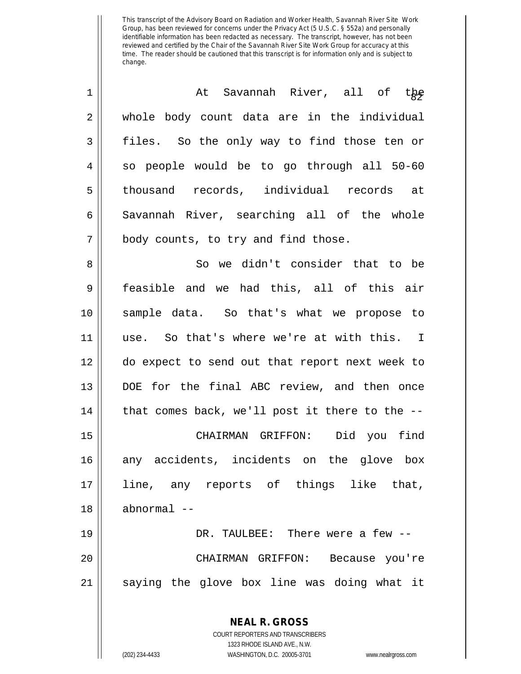| $\mathbf 1$ | At Savannah River, all of the                  |
|-------------|------------------------------------------------|
| 2           | whole body count data are in the individual    |
| 3           | files. So the only way to find those ten or    |
| 4           | so people would be to go through all 50-60     |
| 5           | thousand records, individual records at        |
| 6           | Savannah River, searching all of the whole     |
| 7           | body counts, to try and find those.            |
| 8           | So we didn't consider that to be               |
| 9           | feasible and we had this, all of this air      |
| 10          | sample data. So that's what we propose to      |
| 11          | use. So that's where we're at with this. I     |
| 12          | do expect to send out that report next week to |
| 13          | DOE for the final ABC review, and then once    |
| 14          | that comes back, we'll post it there to the -- |
| 15          | CHAIRMAN GRIFFON: Did you find                 |
| 16          | any accidents, incidents on the glove box      |
| 17          | line, any reports of things like that,         |
| 18          | abnormal --                                    |
| 19          | DR. TAULBEE: There were a few --               |
| 20          | CHAIRMAN GRIFFON: Because you're               |
| 21          | saying the glove box line was doing what it    |
|             | <b>NEAL R. GROSS</b>                           |

COURT REPORTERS AND TRANSCRIBERS 1323 RHODE ISLAND AVE., N.W. (202) 234-4433 WASHINGTON, D.C. 20005-3701 www.nealrgross.com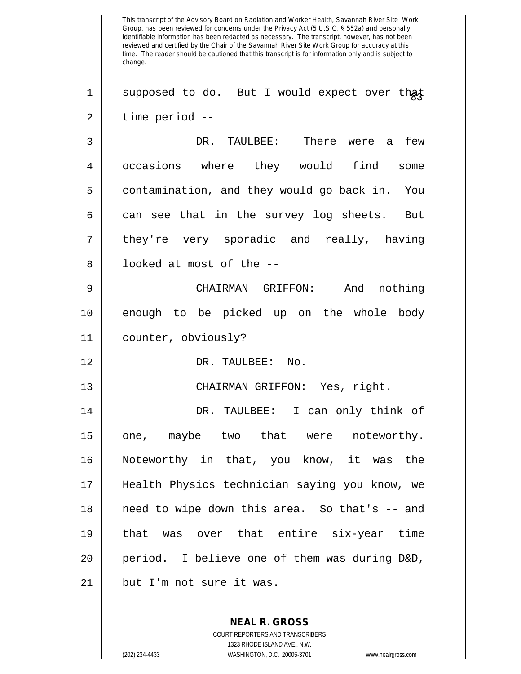This transcript of the Advisory Board on Radiation and Worker Health, Savannah River Site Work Group, has been reviewed for concerns under the Privacy Act (5 U.S.C. § 552a) and personally identifiable information has been redacted as necessary. The transcript, however, has not been reviewed and certified by the Chair of the Savannah River Site Work Group for accuracy at this time. The reader should be cautioned that this transcript is for information only and is subject to change. 1  $\parallel$  supposed to do. But I would expect over that  $2 \parallel$  time period  $-$ 3 DR. TAULBEE: There were a few 4 || occasions where they would find some 5 contamination, and they would go back in. You  $6 \parallel$  can see that in the survey log sheets. But 7 || they're very sporadic and really, having 8 || looked at most of the --9 CHAIRMAN GRIFFON: And nothing 10 enough to be picked up on the whole body 11 counter, obviously? 12 || **DR. TAULBEE:** No. 13 CHAIRMAN GRIFFON: Yes, right. 14 DR. TAULBEE: I can only think of 15 || one, maybe two that were noteworthy. 16 Noteworthy in that, you know, it was the 17 Health Physics technician saying you know, we 18 || need to wipe down this area. So that's -- and 19 that was over that entire six-year time 20 period. I believe one of them was during D&D, 21 || but I'm not sure it was.

> COURT REPORTERS AND TRANSCRIBERS 1323 RHODE ISLAND AVE., N.W. (202) 234-4433 WASHINGTON, D.C. 20005-3701 www.nealrgross.com

**NEAL R. GROSS**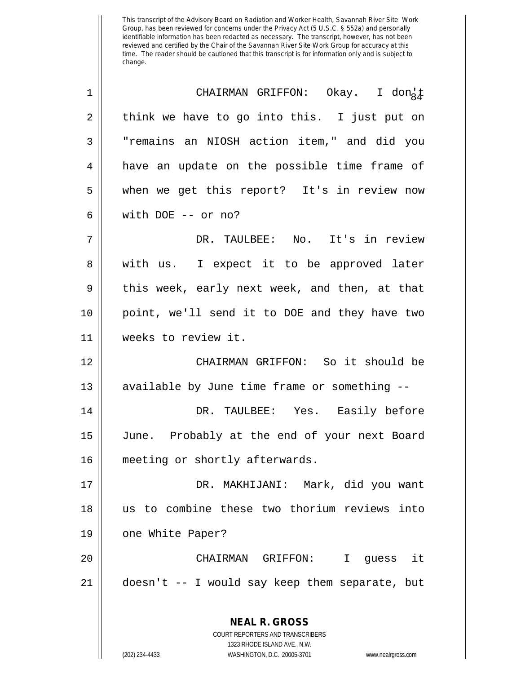| $\mathbf 1$ | CHAIRMAN GRIFFON: Okay. I dong $\frac{1}{4}$                                                                                                                    |
|-------------|-----------------------------------------------------------------------------------------------------------------------------------------------------------------|
| 2           | think we have to go into this. I just put on                                                                                                                    |
| 3           | "remains an NIOSH action item," and did you                                                                                                                     |
| 4           | have an update on the possible time frame of                                                                                                                    |
| 5           | when we get this report? It's in review now                                                                                                                     |
| 6           | with $DOE$ -- or no?                                                                                                                                            |
| 7           | DR. TAULBEE: No. It's in review                                                                                                                                 |
| 8           | with us. I expect it to be approved later                                                                                                                       |
| 9           | this week, early next week, and then, at that                                                                                                                   |
| 10          | point, we'll send it to DOE and they have two                                                                                                                   |
| 11          | weeks to review it.                                                                                                                                             |
| 12          | CHAIRMAN GRIFFON: So it should be                                                                                                                               |
| 13          | available by June time frame or something --                                                                                                                    |
| 14          | DR. TAULBEE: Yes. Easily before                                                                                                                                 |
| 15          | June. Probably at the end of your next Board                                                                                                                    |
| 16          | meeting or shortly afterwards.                                                                                                                                  |
| 17          | DR. MAKHIJANI: Mark, did you want                                                                                                                               |
| 18          | us to combine these two thorium reviews into                                                                                                                    |
| 19          | one White Paper?                                                                                                                                                |
| 20          | CHAIRMAN GRIFFON:<br>guess it<br>$\mathbf{I}$                                                                                                                   |
| 21          | doesn't -- I would say keep them separate, but                                                                                                                  |
|             | <b>NEAL R. GROSS</b><br>COURT REPORTERS AND TRANSCRIBERS<br>1323 RHODE ISLAND AVE., N.W.<br>(202) 234-4433<br>WASHINGTON, D.C. 20005-3701<br>www.nealrgross.com |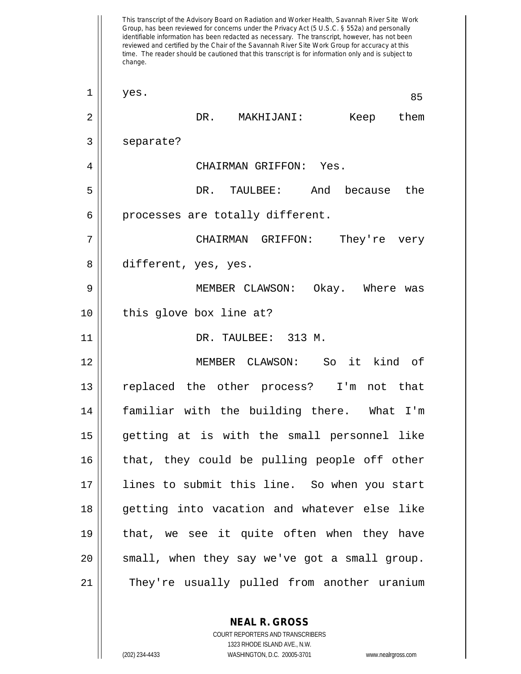This transcript of the Advisory Board on Radiation and Worker Health, Savannah River Site Work Group, has been reviewed for concerns under the Privacy Act (5 U.S.C. § 552a) and personally identifiable information has been redacted as necessary. The transcript, however, has not been reviewed and certified by the Chair of the Savannah River Site Work Group for accuracy at this time. The reader should be cautioned that this transcript is for information only and is subject to change.  $\begin{array}{c|c} 1 & \text{yes.} \end{array}$ 2 DR. MAKHIJANI: Keep them 3 | separate? 4 CHAIRMAN GRIFFON: Yes. 5 DR. TAULBEE: And because the  $6 \parallel$  processes are totally different. 7 CHAIRMAN GRIFFON: They're very 8 different, yes, yes. 9 MEMBER CLAWSON: Okay. Where was 10 || this glove box line at? 11 DR. TAULBEE: 313 M. 12 MEMBER CLAWSON: So it kind of 13 replaced the other process? I'm not that 14 familiar with the building there. What I'm 15 getting at is with the small personnel like 16 || that, they could be pulling people off other 17 lines to submit this line. So when you start 18 getting into vacation and whatever else like 19 that, we see it quite often when they have  $20$  || small, when they say we've got a small group. 21 || They're usually pulled from another uranium

> **NEAL R. GROSS** COURT REPORTERS AND TRANSCRIBERS 1323 RHODE ISLAND AVE., N.W.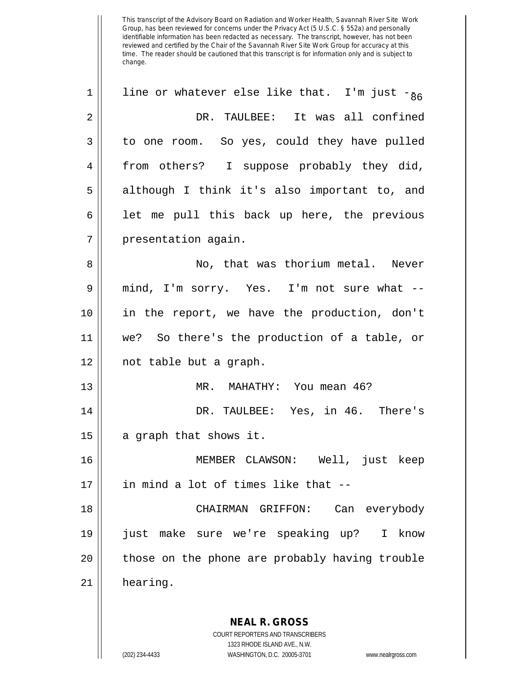This transcript of the Advisory Board on Radiation and Worker Health, Savannah River Site Work Group, has been reviewed for concerns under the Privacy Act (5 U.S.C. § 552a) and personally identifiable information has been redacted as necessary. The transcript, however, has not been reviewed and certified by the Chair of the Savannah River Site Work Group for accuracy at this time. The reader should be cautioned that this transcript is for information only and is subject to change. **NEAL R. GROSS** 1 || line or whatever else like that. I'm just  $-\frac{1}{86}$ 2 DR. TAULBEE: It was all confined 3 | to one room. So yes, could they have pulled 4 || from others? I suppose probably they did, 5 || although I think it's also important to, and  $6 \parallel$  let me pull this back up here, the previous 7 || presentation again. 8 || No, that was thorium metal. Never 9 || mind, I'm sorry. Yes. I'm not sure what --10 in the report, we have the production, don't 11 we? So there's the production of a table, or 12 not table but a graph. 13 MR. MAHATHY: You mean 46? 14 DR. TAULBEE: Yes, in 46. There's 15 | a graph that shows it. 16 MEMBER CLAWSON: Well, just keep  $17$  || in mind a lot of times like that  $-$ -18 CHAIRMAN GRIFFON: Can everybody 19 just make sure we're speaking up? I know  $20$  || those on the phone are probably having trouble  $21$  | hearing.

> COURT REPORTERS AND TRANSCRIBERS 1323 RHODE ISLAND AVE., N.W.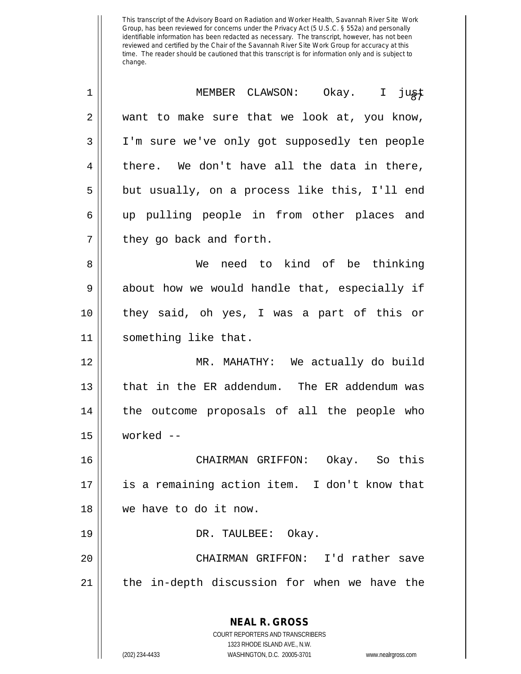| $\mathbf 1$ | MEMBER CLAWSON: Okay. I jugt                                                             |
|-------------|------------------------------------------------------------------------------------------|
| 2           | want to make sure that we look at, you know,                                             |
| 3           | I'm sure we've only got supposedly ten people                                            |
| 4           | there. We don't have all the data in there,                                              |
| 5           | but usually, on a process like this, I'll end                                            |
| 6           | up pulling people in from other places and                                               |
| 7           | they go back and forth.                                                                  |
| 8           | need to kind of be thinking<br>We                                                        |
| 9           | about how we would handle that, especially if                                            |
| 10          | they said, oh yes, I was a part of this or                                               |
| 11          | something like that.                                                                     |
| 12          | MR. MAHATHY: We actually do build                                                        |
| 13          | that in the ER addendum. The ER addendum was                                             |
| 14          | the outcome proposals of all the people who                                              |
| 15          | worked --                                                                                |
| 16          | CHAIRMAN GRIFFON: Okay. So this                                                          |
| 17          | is a remaining action item. I don't know that                                            |
| 18          | we have to do it now.                                                                    |
| 19          | DR. TAULBEE: Okay.                                                                       |
| 20          | CHAIRMAN GRIFFON: I'd rather save                                                        |
| 21          | the in-depth discussion for when we have the                                             |
|             | <b>NEAL R. GROSS</b><br>COURT REPORTERS AND TRANSCRIBERS<br>1323 RHODE ISLAND AVE., N.W. |
|             | (202) 234-4433<br>WASHINGTON, D.C. 20005-3701<br>www.nealrgross.com                      |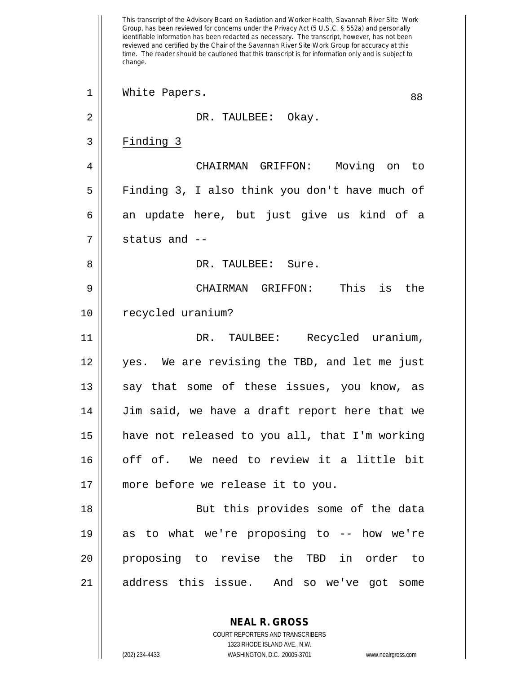This transcript of the Advisory Board on Radiation and Worker Health, Savannah River Site Work Group, has been reviewed for concerns under the Privacy Act (5 U.S.C. § 552a) and personally identifiable information has been redacted as necessary. The transcript, however, has not been reviewed and certified by the Chair of the Savannah River Site Work Group for accuracy at this time. The reader should be cautioned that this transcript is for information only and is subject to change. **NEAL R. GROSS** 1 || White Papers. 88 2 DR. TAULBEE: Okay. 3 | Finding 3 4 CHAIRMAN GRIFFON: Moving on to 5 | Finding 3, I also think you don't have much of 6 an update here, but just give us kind of a  $7 \parallel$  status and  $-$ 8 DR. TAULBEE: Sure. 9 CHAIRMAN GRIFFON: This is the 10 | recycled uranium? 11 DR. TAULBEE: Recycled uranium, 12 yes. We are revising the TBD, and let me just 13 || say that some of these issues, you know, as 14 || Jim said, we have a draft report here that we 15 have not released to you all, that I'm working 16 off of. We need to review it a little bit 17 more before we release it to you. 18 || But this provides some of the data 19 as to what we're proposing to -- how we're 20 proposing to revise the TBD in order to 21 address this issue. And so we've got some

> COURT REPORTERS AND TRANSCRIBERS 1323 RHODE ISLAND AVE., N.W.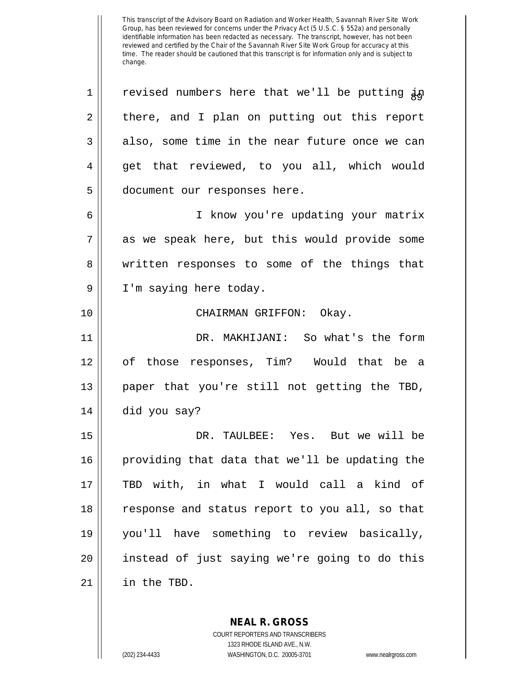This transcript of the Advisory Board on Radiation and Worker Health, Savannah River Site Work Group, has been reviewed for concerns under the Privacy Act (5 U.S.C. § 552a) and personally identifiable information has been redacted as necessary. The transcript, however, has not been reviewed and certified by the Chair of the Savannah River Site Work Group for accuracy at this time. The reader should be cautioned that this transcript is for information only and is subject to change.  $1 ||$  revised numbers here that we'll be putting  $\frac{1}{4}$ 2 || there, and I plan on putting out this report  $3 \parallel$  also, some time in the near future once we can 4 get that reviewed, to you all, which would

6 I know you're updating your matrix 7 as we speak here, but this would provide some 8 || written responses to some of the things that 9 || I'm saying here today.

5 | document our responses here.

10 || CHAIRMAN GRIFFON: Okay.

11 DR. MAKHIJANI: So what's the form 12 of those responses, Tim? Would that be a 13 paper that you're still not getting the TBD, 14 did you say?

15 DR. TAULBEE: Yes. But we will be 16 providing that data that we'll be updating the 17 TBD with, in what I would call a kind of 18 || response and status report to you all, so that 19 you'll have something to review basically,  $20$  || instead of just saying we're going to do this 21 in the TBD.

> **NEAL R. GROSS** COURT REPORTERS AND TRANSCRIBERS 1323 RHODE ISLAND AVE., N.W. (202) 234-4433 WASHINGTON, D.C. 20005-3701 www.nealrgross.com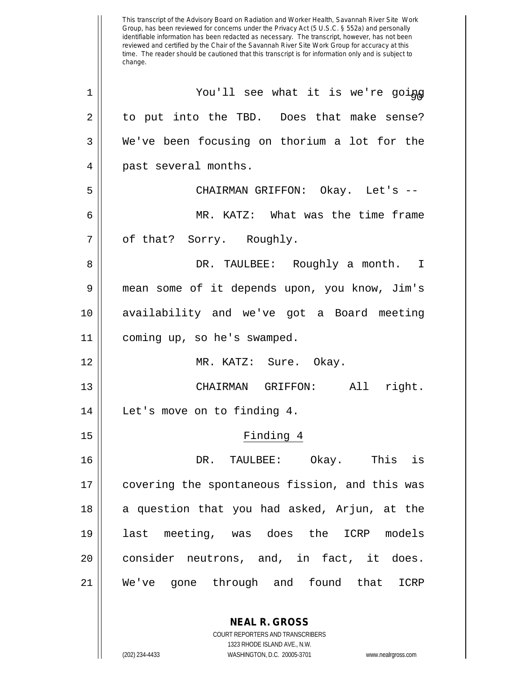This transcript of the Advisory Board on Radiation and Worker Health, Savannah River Site Work Group, has been reviewed for concerns under the Privacy Act (5 U.S.C. § 552a) and personally identifiable information has been redacted as necessary. The transcript, however, has not been reviewed and certified by the Chair of the Savannah River Site Work Group for accuracy at this time. The reader should be cautioned that this transcript is for information only and is subject to change. 1 || You'll see what it is we're going 2 to put into the TBD. Does that make sense? 3 We've been focusing on thorium a lot for the 4 || past several months. 5 CHAIRMAN GRIFFON: Okay. Let's -- 6 MR. KATZ: What was the time frame 7 || of that? Sorry. Roughly. 8 DR. TAULBEE: Roughly a month. I 9 mean some of it depends upon, you know, Jim's 10 availability and we've got a Board meeting 11 coming up, so he's swamped. 12 || MR. KATZ: Sure. Okay. 13 CHAIRMAN GRIFFON: All right. 14 | Let's move on to finding 4. 15 Finding 4 16 DR. TAULBEE: Okay. This is 17 covering the spontaneous fission, and this was 18 a question that you had asked, Arjun, at the 19 last meeting, was does the ICRP models 20 || consider neutrons, and, in fact, it does. 21 We've gone through and found that ICRP

> **NEAL R. GROSS** COURT REPORTERS AND TRANSCRIBERS 1323 RHODE ISLAND AVE., N.W.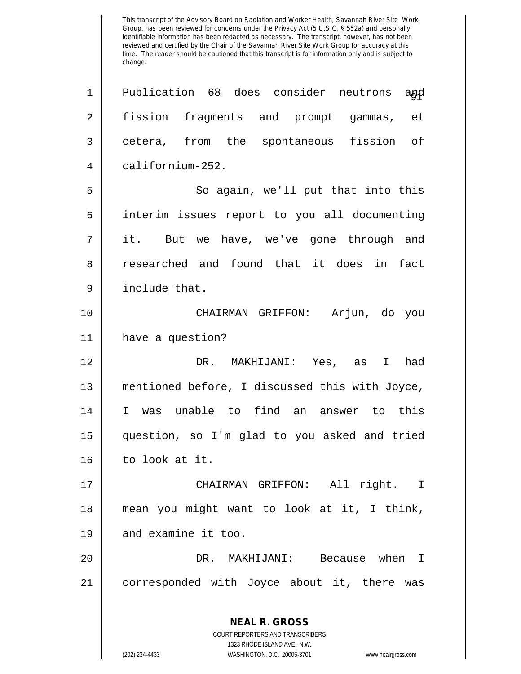This transcript of the Advisory Board on Radiation and Worker Health, Savannah River Site Work Group, has been reviewed for concerns under the Privacy Act (5 U.S.C. § 552a) and personally identifiable information has been redacted as necessary. The transcript, however, has not been reviewed and certified by the Chair of the Savannah River Site Work Group for accuracy at this time. The reader should be cautioned that this transcript is for information only and is subject to change. **NEAL R. GROSS** COURT REPORTERS AND TRANSCRIBERS 1323 RHODE ISLAND AVE., N.W. 1 || Publication 68 does consider neutrons and 2 fission fragments and prompt gammas, et 3 cetera, from the spontaneous fission of 4 || californium-252. 5 So again, we'll put that into this 6 interim issues report to you all documenting 7 it. But we have, we've gone through and 8 Tesearched and found that it does in fact 9 include that. 10 CHAIRMAN GRIFFON: Arjun, do you 11 have a question? 12 DR. MAKHIJANI: Yes, as I had 13 mentioned before, I discussed this with Joyce, 14 I was unable to find an answer to this 15 question, so I'm glad to you asked and tried 16 to look at it. 17 CHAIRMAN GRIFFON: All right. I 18 mean you might want to look at it, I think, 19 and examine it too. 20 DR. MAKHIJANI: Because when I 21 corresponded with Joyce about it, there was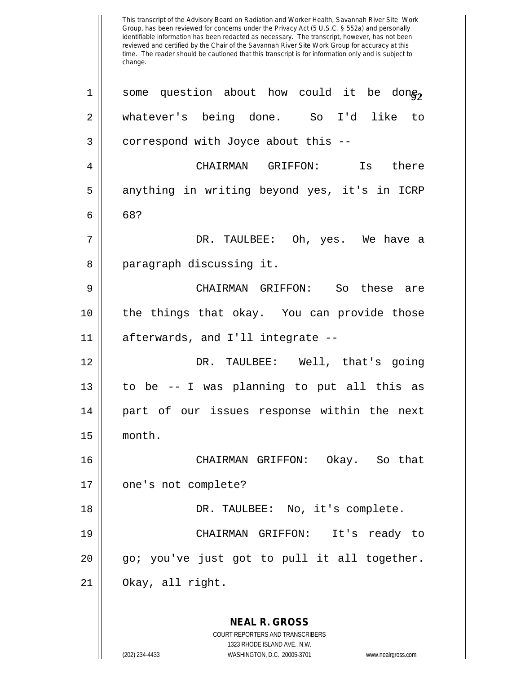This transcript of the Advisory Board on Radiation and Worker Health, Savannah River Site Work Group, has been reviewed for concerns under the Privacy Act (5 U.S.C. § 552a) and personally identifiable information has been redacted as necessary. The transcript, however, has not been reviewed and certified by the Chair of the Savannah River Site Work Group for accuracy at this time. The reader should be cautioned that this transcript is for information only and is subject to change. **NEAL R. GROSS** COURT REPORTERS AND TRANSCRIBERS 1323 RHODE ISLAND AVE., N.W. (202) 234-4433 WASHINGTON, D.C. 20005-3701 www.nealrgross.com 1 | some question about how could it be dong, 2 whatever's being done. So I'd like to  $3 \parallel$  correspond with Joyce about this  $-$ 4 CHAIRMAN GRIFFON: Is there 5 anything in writing beyond yes, it's in ICRP  $6 \parallel 68?$ 7 DR. TAULBEE: Oh, yes. We have a 8 || paragraph discussing it. 9 CHAIRMAN GRIFFON: So these are 10 the things that okay. You can provide those  $11$  | afterwards, and I'll integrate --12 DR. TAULBEE: Well, that's going 13 to be -- I was planning to put all this as 14 || part of our issues response within the next 15 month. 16 CHAIRMAN GRIFFON: Okay. So that 17 || one's not complete? 18 DR. TAULBEE: No, it's complete. 19 CHAIRMAN GRIFFON: It's ready to  $20$  || go; you've just got to pull it all together. 21 Okay, all right.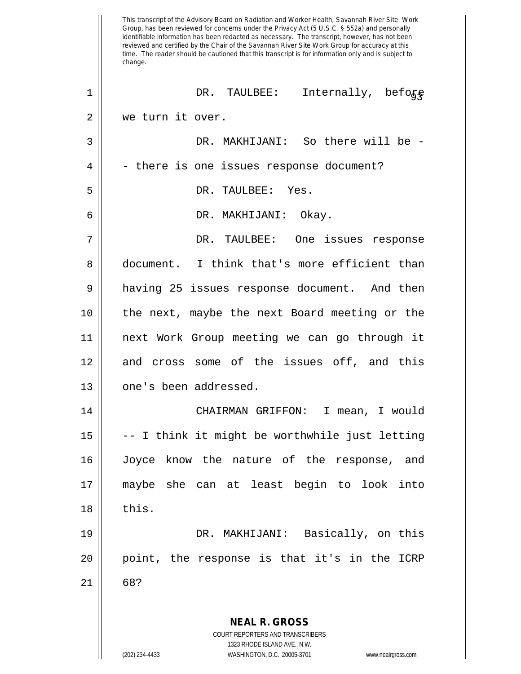This transcript of the Advisory Board on Radiation and Worker Health, Savannah River Site Work Group, has been reviewed for concerns under the Privacy Act (5 U.S.C. § 552a) and personally identifiable information has been redacted as necessary. The transcript, however, has not been reviewed and certified by the Chair of the Savannah River Site Work Group for accuracy at this time. The reader should be cautioned that this transcript is for information only and is subject to change. **NEAL R. GROSS** COURT REPORTERS AND TRANSCRIBERS 1323 RHODE ISLAND AVE., N.W. (202) 234-4433 WASHINGTON, D.C. 20005-3701 www.nealrgross.com <sup>93</sup> 1 DR. TAULBEE: Internally, before 2 we turn it over. 3 DR. MAKHIJANI: So there will be -  $4 \parallel$  - there is one issues response document? 5 DR. TAULBEE: Yes. 6 DR. MAKHIJANI: Okay. 7 DR. TAULBEE: One issues response 8 document. I think that's more efficient than 9 || having 25 issues response document. And then 10 || the next, maybe the next Board meeting or the 11 next Work Group meeting we can go through it 12 and cross some of the issues off, and this 13 || one's been addressed. 14 CHAIRMAN GRIFFON: I mean, I would  $15$   $\vert$  -- I think it might be worthwhile just letting 16 Joyce know the nature of the response, and 17 maybe she can at least begin to look into  $18 \parallel$  this. 19 DR. MAKHIJANI: Basically, on this 20 point, the response is that it's in the ICRP 21 | 68?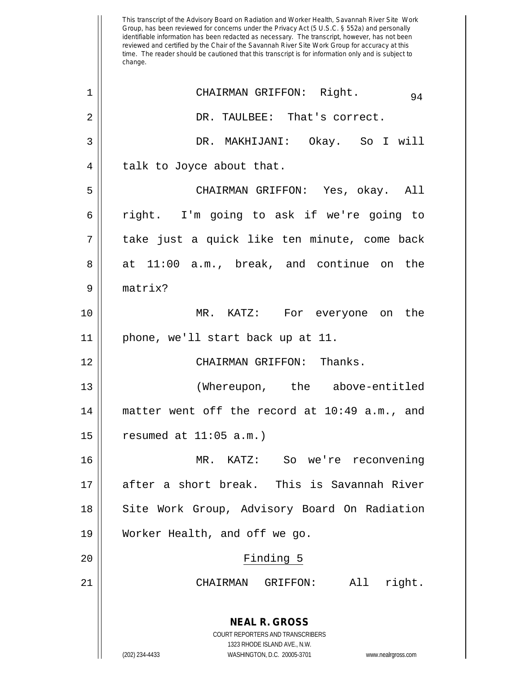This transcript of the Advisory Board on Radiation and Worker Health, Savannah River Site Work Group, has been reviewed for concerns under the Privacy Act (5 U.S.C. § 552a) and personally identifiable information has been redacted as necessary. The transcript, however, has not been reviewed and certified by the Chair of the Savannah River Site Work Group for accuracy at this time. The reader should be cautioned that this transcript is for information only and is subject to change. **NEAL R. GROSS** COURT REPORTERS AND TRANSCRIBERS 1323 RHODE ISLAND AVE., N.W. (202) 234-4433 WASHINGTON, D.C. 20005-3701 www.nealrgross.com 1 || CHAIRMAN GRIFFON: Right. 94 2 DR. TAULBEE: That's correct. 3 DR. MAKHIJANI: Okay. So I will  $4 \parallel$  talk to Joyce about that. 5 CHAIRMAN GRIFFON: Yes, okay. All  $6 \parallel$  right. I'm going to ask if we're going to 7 take just a quick like ten minute, come back  $8 \parallel$  at 11:00 a.m., break, and continue on the 9 matrix? 10 MR. KATZ: For everyone on the 11 || phone, we'll start back up at 11. 12 CHAIRMAN GRIFFON: Thanks. 13 (Whereupon, the above-entitled 14 matter went off the record at 10:49 a.m., and  $15$  | resumed at  $11:05$  a.m.) 16 MR. KATZ: So we're reconvening 17 after a short break. This is Savannah River 18 || Site Work Group, Advisory Board On Radiation 19 Worker Health, and off we go. 20 || Finding 5 21 CHAIRMAN GRIFFON: All right.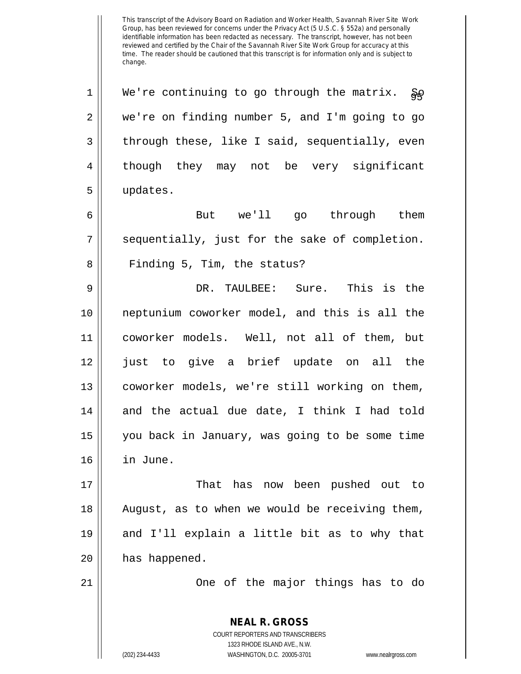1 || We're continuing to go through the matrix.  $S_{\mathcal{P}}$  $2 \parallel$  we're on finding number 5, and I'm going to go  $3 \parallel$  through these, like I said, sequentially, even 4 | though they may not be very significant 5 updates.

6 But we'll go through them  $7||$  sequentially, just for the sake of completion. 8 || Finding 5, Tim, the status?

9 DR. TAULBEE: Sure. This is the 10 neptunium coworker model, and this is all the 11 coworker models. Well, not all of them, but 12 just to give a brief update on all the 13 coworker models, we're still working on them,  $14$  and the actual due date, I think I had told 15 you back in January, was going to be some time 16 in June.

17 || That has now been pushed out to 18 || August, as to when we would be receiving them, 19 and I'll explain a little bit as to why that  $20$  | has happened.

21 || Cone of the major things has to do

**NEAL R. GROSS** COURT REPORTERS AND TRANSCRIBERS 1323 RHODE ISLAND AVE., N.W. (202) 234-4433 WASHINGTON, D.C. 20005-3701 www.nealrgross.com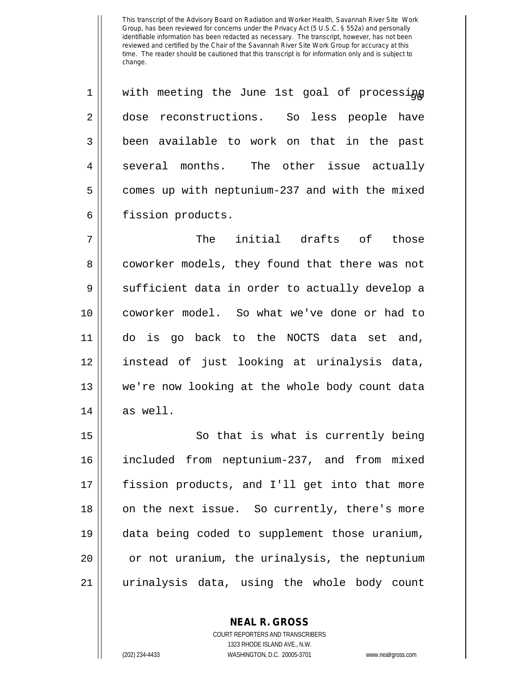1 || with meeting the June 1st goal of processing 2 dose reconstructions. So less people have 3 been available to work on that in the past 4 || several months. The other issue actually  $5 \parallel$  comes up with neptunium-237 and with the mixed 6 | fission products.

 $7 \parallel$  The initial drafts of those 8 coworker models, they found that there was not 9 Sufficient data in order to actually develop a 10 coworker model. So what we've done or had to 11 do is go back to the NOCTS data set and, 12 instead of just looking at urinalysis data, 13 we're now looking at the whole body count data  $14$  | as well.

15 || So that is what is currently being 16 included from neptunium-237, and from mixed 17 fission products, and I'll get into that more 18 || on the next issue. So currently, there's more 19 data being coded to supplement those uranium, 20 || or not uranium, the urinalysis, the neptunium 21 urinalysis data, using the whole body count

> COURT REPORTERS AND TRANSCRIBERS 1323 RHODE ISLAND AVE., N.W. (202) 234-4433 WASHINGTON, D.C. 20005-3701 www.nealrgross.com

**NEAL R. GROSS**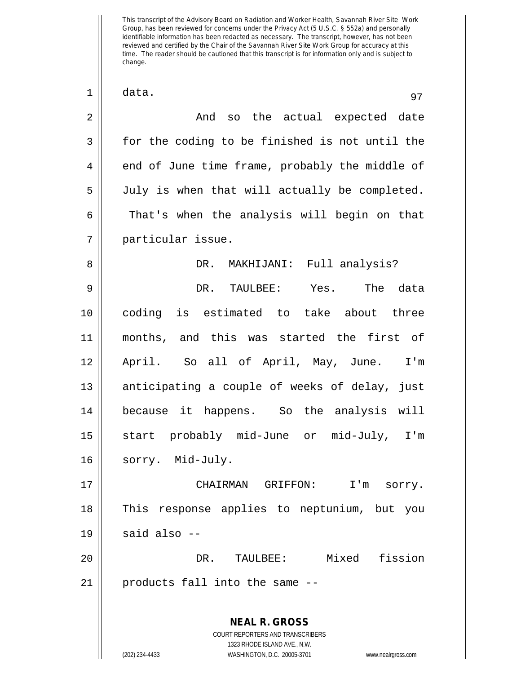This transcript of the Advisory Board on Radiation and Worker Health, Savannah River Site Work Group, has been reviewed for concerns under the Privacy Act (5 U.S.C. § 552a) and personally identifiable information has been redacted as necessary. The transcript, however, has not been reviewed and certified by the Chair of the Savannah River Site Work Group for accuracy at this time. The reader should be cautioned that this transcript is for information only and is subject to change. **NEAL R. GROSS** COURT REPORTERS AND TRANSCRIBERS 1323 RHODE ISLAND AVE., N.W. (202) 234-4433 WASHINGTON, D.C. 20005-3701 www.nealrgross.com  $\begin{array}{ccc} 1 & \text{data.} \end{array}$  97 2 And so the actual expected date 3 || for the coding to be finished is not until the 4 || end of June time frame, probably the middle of  $5 \parallel$  July is when that will actually be completed.  $6 \parallel$  That's when the analysis will begin on that 7 particular issue. 8 DR. MAKHIJANI: Full analysis? 9 DR. TAULBEE: Yes. The data 10 coding is estimated to take about three 11 months, and this was started the first of 12 April. So all of April, May, June. I'm 13 || anticipating a couple of weeks of delay, just 14 because it happens. So the analysis will 15 start probably mid-June or mid-July, I'm 16 || sorry. Mid-July. 17 CHAIRMAN GRIFFON: I'm sorry. 18 This response applies to neptunium, but you  $19 \parallel$  said also --20 DR. TAULBEE: Mixed fission  $21$  | products fall into the same  $-$ -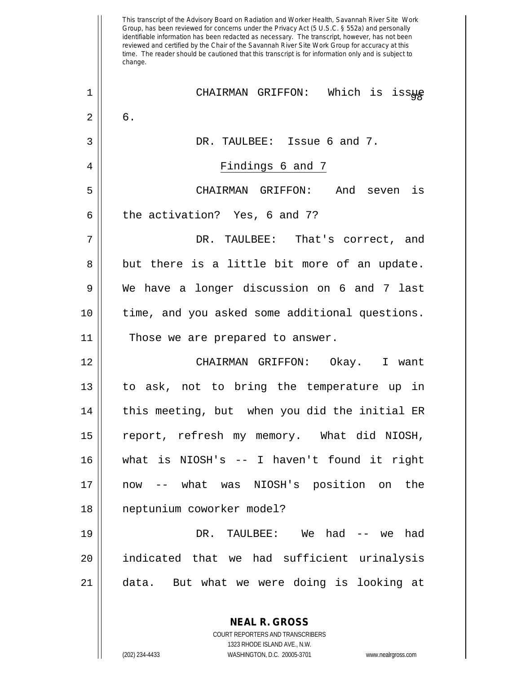This transcript of the Advisory Board on Radiation and Worker Health, Savannah River Site Work Group, has been reviewed for concerns under the Privacy Act (5 U.S.C. § 552a) and personally identifiable information has been redacted as necessary. The transcript, however, has not been reviewed and certified by the Chair of the Savannah River Site Work Group for accuracy at this time. The reader should be cautioned that this transcript is for information only and is subject to change. <sup>98</sup> 1 CHAIRMAN GRIFFON: Which is issue  $2 \parallel 6$ . 3 DR. TAULBEE: Issue 6 and 7. 4 Findings 6 and 7 5 CHAIRMAN GRIFFON: And seven is 6 the activation? Yes, 6 and 7? 7 DR. TAULBEE: That's correct, and  $8 \parallel$  but there is a little bit more of an update. 9 We have a longer discussion on 6 and 7 last 10 || time, and you asked some additional questions. 11 || Those we are prepared to answer. 12 CHAIRMAN GRIFFON: Okay. I want 13 to ask, not to bring the temperature up in  $14$  | this meeting, but when you did the initial ER 15 report, refresh my memory. What did NIOSH, 16 what is NIOSH's -- I haven't found it right 17 now -- what was NIOSH's position on the 18 neptunium coworker model? 19 DR. TAULBEE: We had -- we had 20 || indicated that we had sufficient urinalysis 21 data. But what we were doing is looking at

> **NEAL R. GROSS** COURT REPORTERS AND TRANSCRIBERS

> > 1323 RHODE ISLAND AVE., N.W.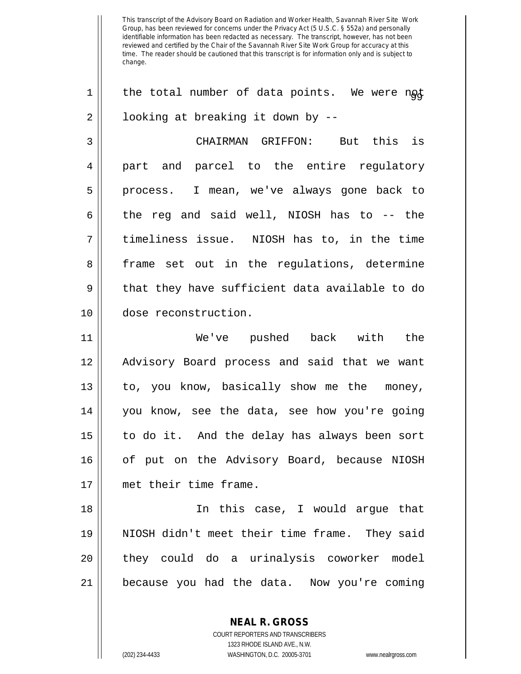| 1           | the total number of data points. We were not   |
|-------------|------------------------------------------------|
| 2           | looking at breaking it down by --              |
| 3           | CHAIRMAN GRIFFON: But this is                  |
| 4           | part and parcel to the entire regulatory       |
| 5           | process. I mean, we've always gone back to     |
| 6           | the reg and said well, NIOSH has to -- the     |
| 7           | timeliness issue. NIOSH has to, in the time    |
| 8           | frame set out in the regulations, determine    |
| $\mathsf 9$ | that they have sufficient data available to do |
| 10          | dose reconstruction.                           |
| 11          | We've pushed back with the                     |
| 12          | Advisory Board process and said that we want   |
| 13          | to, you know, basically show me the money,     |
| 14          | you know, see the data, see how you're going   |
| 15          | to do it. And the delay has always been sort   |
| 16          | of put on the Advisory Board, because NIOSH    |
| 17          | met their time frame.                          |
| 18          | In this case, I would argue that               |
| 19          | NIOSH didn't meet their time frame. They said  |
| 20          | they could do a urinalysis coworker model      |
| 21          | because you had the data. Now you're coming    |

**NEAL R. GROSS** COURT REPORTERS AND TRANSCRIBERS

1323 RHODE ISLAND AVE., N.W. (202) 234-4433 WASHINGTON, D.C. 20005-3701 www.nealrgross.com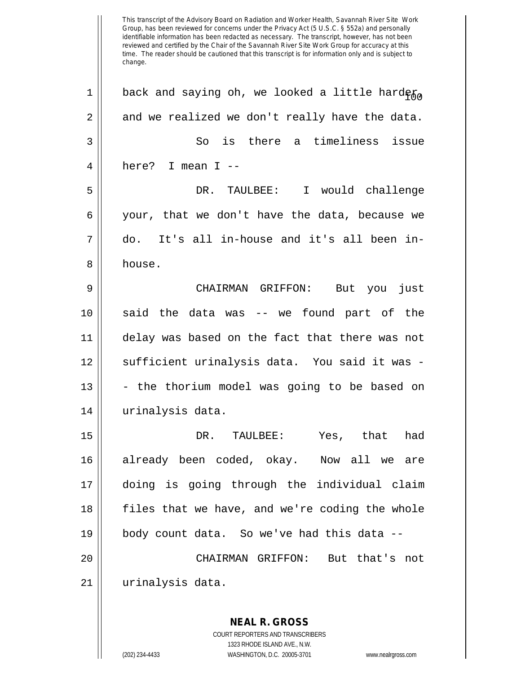This transcript of the Advisory Board on Radiation and Worker Health, Savannah River Site Work Group, has been reviewed for concerns under the Privacy Act (5 U.S.C. § 552a) and personally identifiable information has been redacted as necessary. The transcript, however, has not been reviewed and certified by the Chair of the Savannah River Site Work Group for accuracy at this time. The reader should be cautioned that this transcript is for information only and is subject to change. **NEAL R. GROSS** COURT REPORTERS AND TRANSCRIBERS 1 | back and saying oh, we looked a little harder,  $2 \parallel$  and we realized we don't really have the data. 3 So is there a timeliness issue  $4$  || here? I mean I --5 DR. TAULBEE: I would challenge 6 || your, that we don't have the data, because we  $7 \parallel$  do. It's all in-house and it's all been in-8 || house. 9 CHAIRMAN GRIFFON: But you just  $10$  said the data was -- we found part of the 11 delay was based on the fact that there was not 12 || sufficient urinalysis data. You said it was - $13$   $\parallel$  - the thorium model was going to be based on 14 | urinalysis data. 15 DR. TAULBEE: Yes, that had 16 already been coded, okay. Now all we are 17 doing is going through the individual claim 18 files that we have, and we're coding the whole 19 body count data. So we've had this data -- 20 CHAIRMAN GRIFFON: But that's not 21 urinalysis data.

1323 RHODE ISLAND AVE., N.W.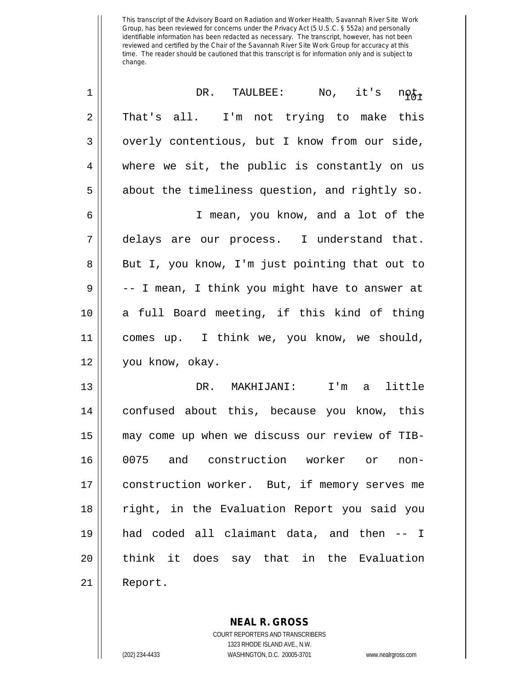| 1  | DR. TAULBEE: No, it's<br>$n \rho_{01}$         |
|----|------------------------------------------------|
| 2  | That's all. I'm not trying to make this        |
| 3  | overly contentious, but I know from our side,  |
| 4  | where we sit, the public is constantly on us   |
| 5  | about the timeliness question, and rightly so. |
| 6  | I mean, you know, and a lot of the             |
| 7  | delays are our process. I understand that.     |
| 8  | But I, you know, I'm just pointing that out to |
| 9  | -- I mean, I think you might have to answer at |
| 10 | a full Board meeting, if this kind of thing    |
| 11 | comes up. I think we, you know, we should,     |
| 12 | you know, okay.                                |
| 13 | DR. MAKHIJANI: I'm a little                    |
| 14 | confused about this, because you know, this    |
| 15 | may come up when we discuss our review of TIB- |
| 16 | 0075 and construction worker or<br>non-        |
| 17 | construction worker. But, if memory serves me  |
| 18 | right, in the Evaluation Report you said you   |
| 19 | had coded all claimant data, and then -- I     |
| 20 | think it does say that in the Evaluation       |
| 21 | Report.                                        |

**NEAL R. GROSS** COURT REPORTERS AND TRANSCRIBERS

1323 RHODE ISLAND AVE., N.W.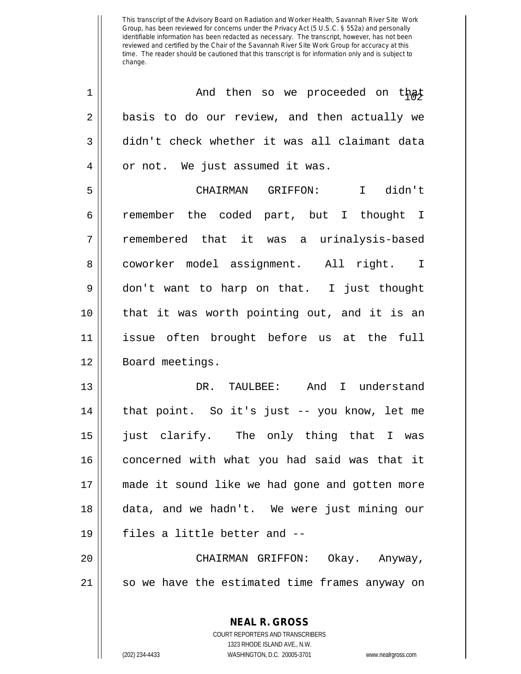| 1  | And then so we proceeded on that               |
|----|------------------------------------------------|
| 2  | basis to do our review, and then actually we   |
| 3  | didn't check whether it was all claimant data  |
| 4  | or not. We just assumed it was.                |
| 5  | I didn't<br>CHAIRMAN GRIFFON:                  |
| 6  | remember the coded part, but I thought I       |
| 7  | remembered that it was a urinalysis-based      |
| 8  | coworker model assignment. All right. I        |
| 9  | don't want to harp on that. I just thought     |
| 10 | that it was worth pointing out, and it is an   |
| 11 | issue often brought before us at the full      |
| 12 | Board meetings.                                |
| 13 | DR. TAULBEE: And I understand                  |
| 14 | that point. So it's just -- you know, let me   |
| 15 | just clarify. The only thing that I was        |
| 16 | concerned with what you had said was that it   |
| 17 | made it sound like we had gone and gotten more |
| 18 | data, and we hadn't. We were just mining our   |
| 19 | files a little better and --                   |
| 20 | CHAIRMAN GRIFFON: Okay. Anyway,                |
| 21 | so we have the estimated time frames anyway on |
|    |                                                |
|    | <b>NEAL R. GROSS</b>                           |

COURT REPORTERS AND TRANSCRIBERS 1323 RHODE ISLAND AVE., N.W.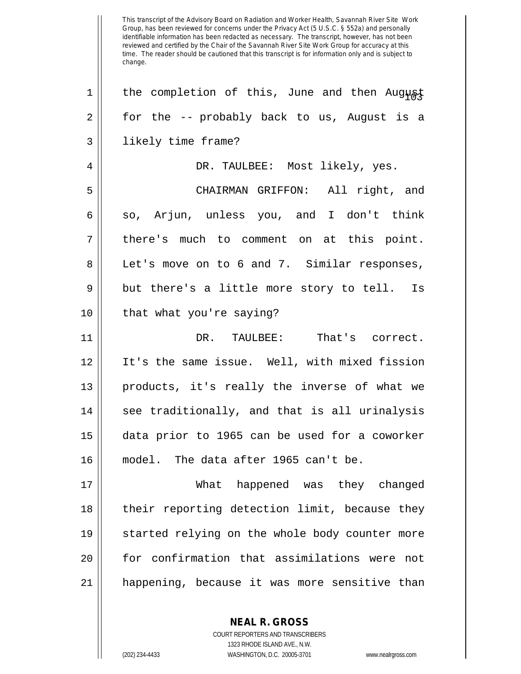This transcript of the Advisory Board on Radiation and Worker Health, Savannah River Site Work Group, has been reviewed for concerns under the Privacy Act (5 U.S.C. § 552a) and personally identifiable information has been redacted as necessary. The transcript, however, has not been reviewed and certified by the Chair of the Savannah River Site Work Group for accuracy at this time. The reader should be cautioned that this transcript is for information only and is subject to change. 1 || the completion of this, June and then August  $2 \parallel$  for the -- probably back to us, August is a 3 likely time frame? 4 DR. TAULBEE: Most likely, yes. 5 CHAIRMAN GRIFFON: All right, and  $6 \parallel$  so, Arjun, unless you, and I don't think  $7 ||$  there's much to comment on at this point. 8 | Let's move on to 6 and 7. Similar responses,  $9 \parallel$  but there's a little more story to tell. Is 10 || that what you're saying? 11 DR. TAULBEE: That's correct. 12 It's the same issue. Well, with mixed fission 13 products, it's really the inverse of what we 14 || see traditionally, and that is all urinalysis 15 data prior to 1965 can be used for a coworker 16 model. The data after 1965 can't be. 17 What happened was they changed 18 || their reporting detection limit, because they 19 started relying on the whole body counter more 20 **for confirmation that assimilations were not** 21 happening, because it was more sensitive than

> COURT REPORTERS AND TRANSCRIBERS 1323 RHODE ISLAND AVE., N.W. (202) 234-4433 WASHINGTON, D.C. 20005-3701 www.nealrgross.com

**NEAL R. GROSS**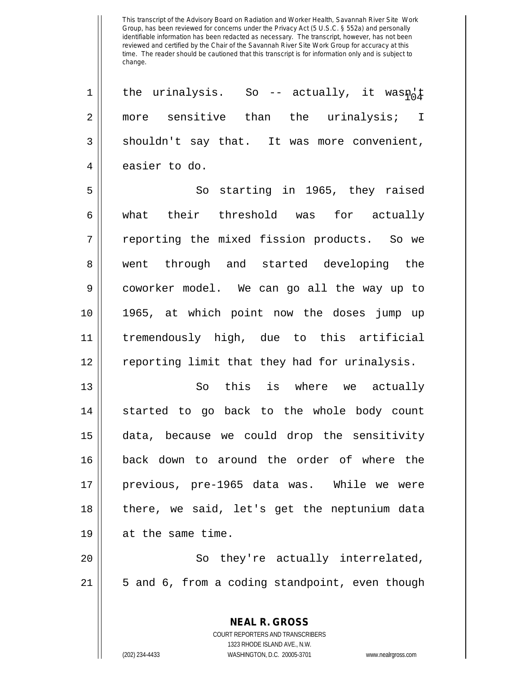1 || the urinalysis. So -- actually, it wasn't 2 || more sensitive than the urinalysis; I  $3 \parallel$  shouldn't say that. It was more convenient, 4 || easier to do.

5 So starting in 1965, they raised 6 what their threshold was for actually 7 || reporting the mixed fission products. So we 8 || went through and started developing the 9 coworker model. We can go all the way up to 10 1965, at which point now the doses jump up 11 tremendously high, due to this artificial 12 || reporting limit that they had for urinalysis.

13 So this is where we actually 14 || started to go back to the whole body count 15 data, because we could drop the sensitivity 16 back down to around the order of where the 17 previous, pre-1965 data was. While we were 18 || there, we said, let's get the neptunium data 19 at the same time.

20 || So they're actually interrelated, 21 || 5 and 6, from a coding standpoint, even though

> **NEAL R. GROSS** COURT REPORTERS AND TRANSCRIBERS 1323 RHODE ISLAND AVE., N.W. (202) 234-4433 WASHINGTON, D.C. 20005-3701 www.nealrgross.com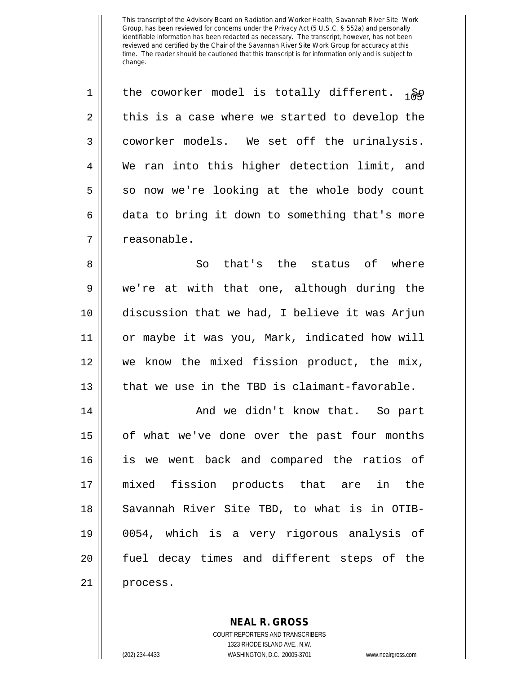1 | the coworker model is totally different.  ${}_{1}$ So  $2 \parallel$  this is a case where we started to develop the 3 | coworker models. We set off the urinalysis. 4 We ran into this higher detection limit, and  $5 \parallel$  so now we're looking at the whole body count  $6 \parallel$  data to bring it down to something that's more 7 || reasonable.

8 So that's the status of where 9 we're at with that one, although during the 10 discussion that we had, I believe it was Arjun 11 or maybe it was you, Mark, indicated how will 12 we know the mixed fission product, the mix,  $13$   $\parallel$  that we use in the TBD is claimant-favorable.

14 And we didn't know that. So part 15 of what we've done over the past four months 16 is we went back and compared the ratios of 17 mixed fission products that are in the 18 || Savannah River Site TBD, to what is in OTIB-19 0054, which is a very rigorous analysis of 20 || fuel decay times and different steps of the 21 | process.

> **NEAL R. GROSS** COURT REPORTERS AND TRANSCRIBERS 1323 RHODE ISLAND AVE., N.W. (202) 234-4433 WASHINGTON, D.C. 20005-3701 www.nealrgross.com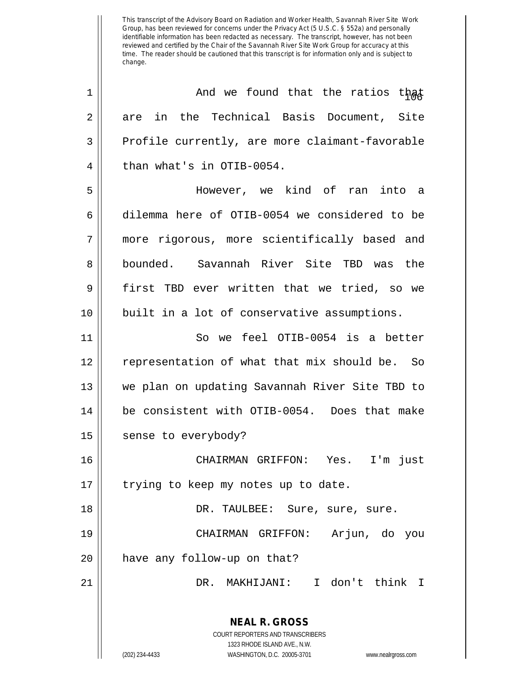| 1  | And we found that the ratios that                                   |
|----|---------------------------------------------------------------------|
| 2  | are in the Technical Basis Document, Site                           |
| 3  | Profile currently, are more claimant-favorable                      |
| 4  | than what's in OTIB-0054.                                           |
| 5  | However, we kind of ran into a                                      |
| 6  | dilemma here of OTIB-0054 we considered to be                       |
| 7  | more rigorous, more scientifically based and                        |
| 8  | bounded. Savannah River Site TBD was the                            |
| 9  | first TBD ever written that we tried, so we                         |
| 10 | built in a lot of conservative assumptions.                         |
| 11 | So we feel OTIB-0054 is a better                                    |
| 12 | representation of what that mix should be. So                       |
| 13 | we plan on updating Savannah River Site TBD to                      |
| 14 | be consistent with OTIB-0054. Does that make                        |
| 15 | sense to everybody?                                                 |
| 16 | CHAIRMAN GRIFFON: Yes. I'm just                                     |
| 17 | trying to keep my notes up to date.                                 |
| 18 | DR. TAULBEE: Sure, sure, sure.                                      |
| 19 | Arjun, do you<br>CHAIRMAN GRIFFON:                                  |
| 20 | have any follow-up on that?                                         |
| 21 | DR. MAKHIJANI: I don't think I                                      |
|    |                                                                     |
|    | <b>NEAL R. GROSS</b><br><b>COURT REPORTERS AND TRANSCRIBERS</b>     |
|    | 1323 RHODE ISLAND AVE., N.W.                                        |
|    | (202) 234-4433<br>WASHINGTON, D.C. 20005-3701<br>www.nealrgross.com |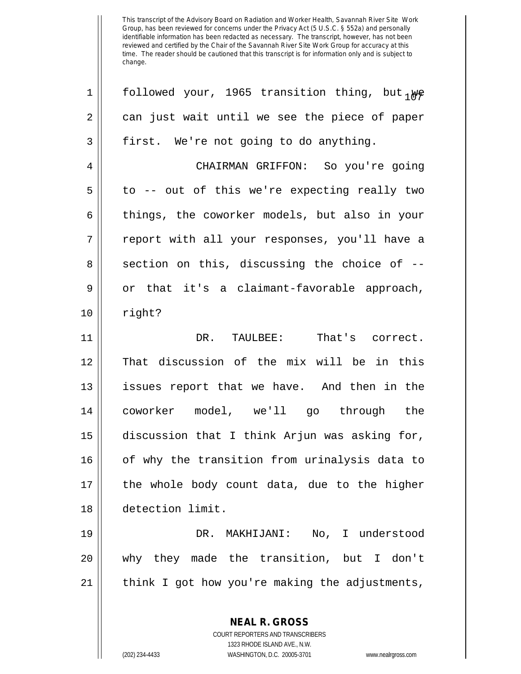1 || followed your, 1965 transition thing, but  $_{1}$  we  $2 \parallel$  can just wait until we see the piece of paper  $3 \parallel$  first. We're not going to do anything. 4 CHAIRMAN GRIFFON: So you're going  $5 \parallel$  to -- out of this we're expecting really two  $6$  || things, the coworker models, but also in your 7 || report with all your responses, you'll have a 8 || section on this, discussing the choice of -- $9 \parallel$  or that it's a claimant-favorable approach,  $10$  | right? 11 DR. TAULBEE: That's correct. 12 That discussion of the mix will be in this 13 issues report that we have. And then in the 14 coworker model, we'll go through the 15 discussion that I think Arjun was asking for, 16 || of why the transition from urinalysis data to 17 the whole body count data, due to the higher 18 detection limit. 19 DR. MAKHIJANI: No, I understood 20 why they made the transition, but I don't

 $21$  | think I got how you're making the adjustments,

**NEAL R. GROSS** COURT REPORTERS AND TRANSCRIBERS

1323 RHODE ISLAND AVE., N.W. (202) 234-4433 WASHINGTON, D.C. 20005-3701 www.nealrgross.com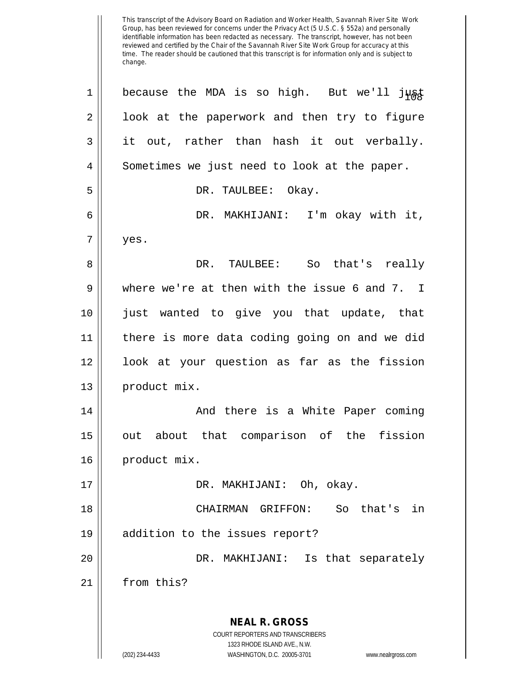This transcript of the Advisory Board on Radiation and Worker Health, Savannah River Site Work Group, has been reviewed for concerns under the Privacy Act (5 U.S.C. § 552a) and personally identifiable information has been redacted as necessary. The transcript, however, has not been reviewed and certified by the Chair of the Savannah River Site Work Group for accuracy at this time. The reader should be cautioned that this transcript is for information only and is subject to change. **NEAL R. GROSS** COURT REPORTERS AND TRANSCRIBERS 1323 RHODE ISLAND AVE., N.W. (202) 234-4433 WASHINGTON, D.C. 20005-3701 www.nealrgross.com 1 | because the MDA is so high. But we'll just 2 | look at the paperwork and then try to figure 3 it out, rather than hash it out verbally. 4 || Sometimes we just need to look at the paper. 5 DR. TAULBEE: Okay. 6 DR. MAKHIJANI: I'm okay with it,  $7 \parallel$  yes. 8 DR. TAULBEE: So that's really 9 where we're at then with the issue 6 and 7. I 10 just wanted to give you that update, that 11 there is more data coding going on and we did 12 look at your question as far as the fission 13 | product mix. 14 And there is a White Paper coming 15 out about that comparison of the fission 16 product mix. 17 DR. MAKHIJANI: Oh, okay. 18 CHAIRMAN GRIFFON: So that's in 19 addition to the issues report? 20 || DR. MAKHIJANI: Is that separately 21 from this?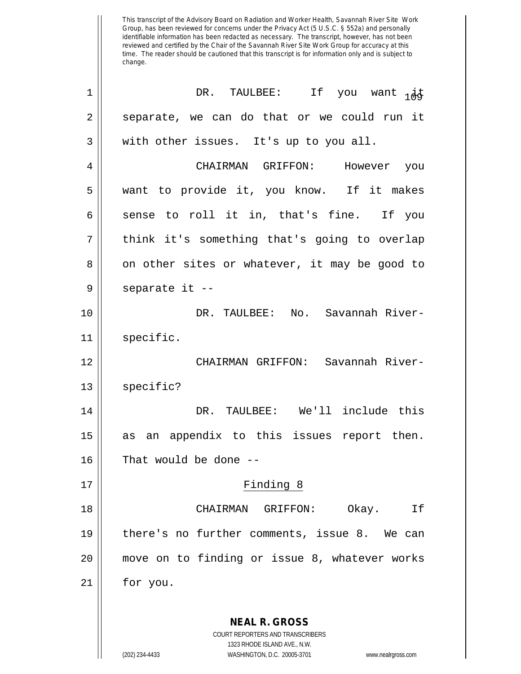This transcript of the Advisory Board on Radiation and Worker Health, Savannah River Site Work Group, has been reviewed for concerns under the Privacy Act (5 U.S.C. § 552a) and personally identifiable information has been redacted as necessary. The transcript, however, has not been reviewed and certified by the Chair of the Savannah River Site Work Group for accuracy at this time. The reader should be cautioned that this transcript is for information only and is subject to change. 1 || DR. TAULBEE: If you want <sub>1</sub> A<sub>5</sub>  $2 \parallel$  separate, we can do that or we could run it  $3 \parallel$  with other issues. It's up to you all. 4 CHAIRMAN GRIFFON: However you 5 want to provide it, you know. If it makes  $6 \parallel$  sense to roll it in, that's fine. If you 7 || think it's something that's going to overlap 8 || on other sites or whatever, it may be good to 9 || separate it --10 DR. TAULBEE: No. Savannah River-11 | specific. 12 || CHAIRMAN GRIFFON: Savannah River-13 | specific? 14 DR. TAULBEE: We'll include this 15 as an appendix to this issues report then.  $16$  | That would be done --17 Finding 8 18 CHAIRMAN GRIFFON: Okay. If 19 || there's no further comments, issue 8. We can 20 || move on to finding or issue 8, whatever works  $21$  | for you.

> **NEAL R. GROSS** COURT REPORTERS AND TRANSCRIBERS

> > 1323 RHODE ISLAND AVE., N.W.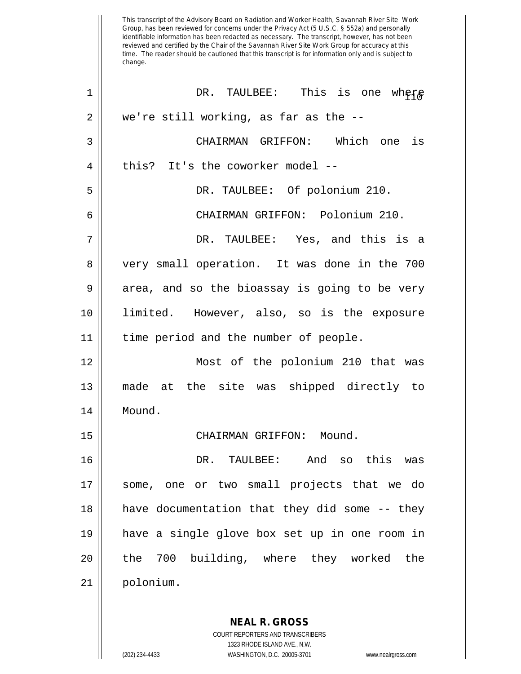This transcript of the Advisory Board on Radiation and Worker Health, Savannah River Site Work Group, has been reviewed for concerns under the Privacy Act (5 U.S.C. § 552a) and personally identifiable information has been redacted as necessary. The transcript, however, has not been reviewed and certified by the Chair of the Savannah River Site Work Group for accuracy at this time. The reader should be cautioned that this transcript is for information only and is subject to change.  $\begin{array}{ccc} 1 & \hspace{1.5cm} \texttt{DR. TAULBEE:} & \hspace{1.5cm} \texttt{This is one whff} \end{array}$  $2 \parallel$  we're still working, as far as the  $-$ 3 CHAIRMAN GRIFFON: Which one is 4 || this? It's the coworker model --5 DR. TAULBEE: Of polonium 210. 6 CHAIRMAN GRIFFON: Polonium 210. 7 DR. TAULBEE: Yes, and this is a 8 || very small operation. It was done in the 700  $9 \parallel$  area, and so the bioassay is going to be very 10 limited. However, also, so is the exposure 11 || time period and the number of people. 12 Most of the polonium 210 that was 13 made at the site was shipped directly to 14 Mound. 15 || CHAIRMAN GRIFFON: Mound. 16 DR. TAULBEE: And so this was 17 some, one or two small projects that we do 18 have documentation that they did some -- they 19 have a single glove box set up in one room in 20 the 700 building, where they worked the 21 polonium.

> COURT REPORTERS AND TRANSCRIBERS 1323 RHODE ISLAND AVE., N.W. (202) 234-4433 WASHINGTON, D.C. 20005-3701 www.nealrgross.com

**NEAL R. GROSS**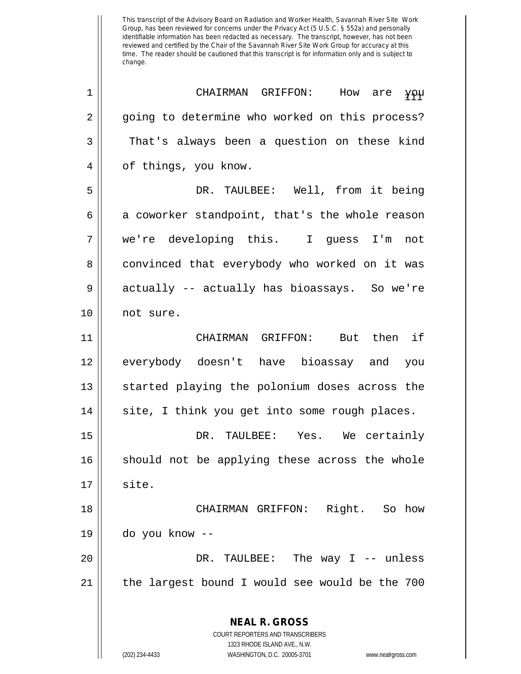This transcript of the Advisory Board on Radiation and Worker Health, Savannah River Site Work Group, has been reviewed for concerns under the Privacy Act (5 U.S.C. § 552a) and personally identifiable information has been redacted as necessary. The transcript, however, has not been reviewed and certified by the Chair of the Savannah River Site Work Group for accuracy at this time. The reader should be cautioned that this transcript is for information only and is subject to change. <sup>111</sup> 1 CHAIRMAN GRIFFON: How are you 2 || going to determine who worked on this process? 3 That's always been a question on these kind 4 || of things, you know. 5 DR. TAULBEE: Well, from it being 6  $\parallel$  a coworker standpoint, that's the whole reason 7 we're developing this. I guess I'm not 8 convinced that everybody who worked on it was 9 || actually -- actually has bioassays. So we're 10 || not sure. 11 CHAIRMAN GRIFFON: But then if 12 everybody doesn't have bioassay and you 13 || started playing the polonium doses across the  $14$  site, I think you get into some rough places. 15 DR. TAULBEE: Yes. We certainly 16 || should not be applying these across the whole  $17 \parallel$  site. 18 CHAIRMAN GRIFFON: Right. So how 19 do you know -- 20 DR. TAULBEE: The way I -- unless 21 || the largest bound I would see would be the 700

> **NEAL R. GROSS** COURT REPORTERS AND TRANSCRIBERS

1323 RHODE ISLAND AVE., N.W. (202) 234-4433 WASHINGTON, D.C. 20005-3701 www.nealrgross.com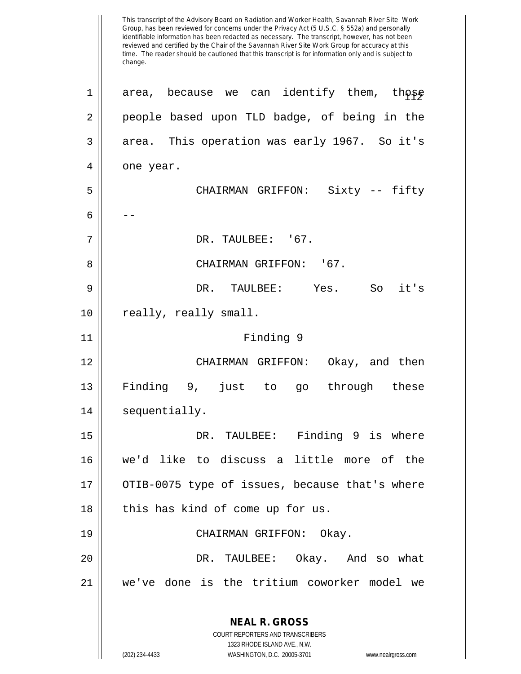This transcript of the Advisory Board on Radiation and Worker Health, Savannah River Site Work Group, has been reviewed for concerns under the Privacy Act (5 U.S.C. § 552a) and personally identifiable information has been redacted as necessary. The transcript, however, has not been reviewed and certified by the Chair of the Savannah River Site Work Group for accuracy at this time. The reader should be cautioned that this transcript is for information only and is subject to change. **NEAL R. GROSS** COURT REPORTERS AND TRANSCRIBERS 1323 RHODE ISLAND AVE., N.W.  $1$  || area, because we can identify them, those 2 || people based upon TLD badge, of being in the  $3 \parallel$  area. This operation was early 1967. So it's  $4 \parallel$  one year. 5 CHAIRMAN GRIFFON: Sixty -- fifty 6  $|$  --7 || DR. TAULBEE: '67. 8 || CHAIRMAN GRIFFON: '67. 9 DR. TAULBEE: Yes. So it's 10 || really, really small. 11 || Finding 9 12 CHAIRMAN GRIFFON: Okay, and then 13 Finding 9, just to go through these 14 | sequentially. 15 DR. TAULBEE: Finding 9 is where 16 we'd like to discuss a little more of the 17 || OTIB-0075 type of issues, because that's where  $18$  || this has kind of come up for us. 19 CHAIRMAN GRIFFON: Okay. 20 DR. TAULBEE: Okay. And so what 21 we've done is the tritium coworker model we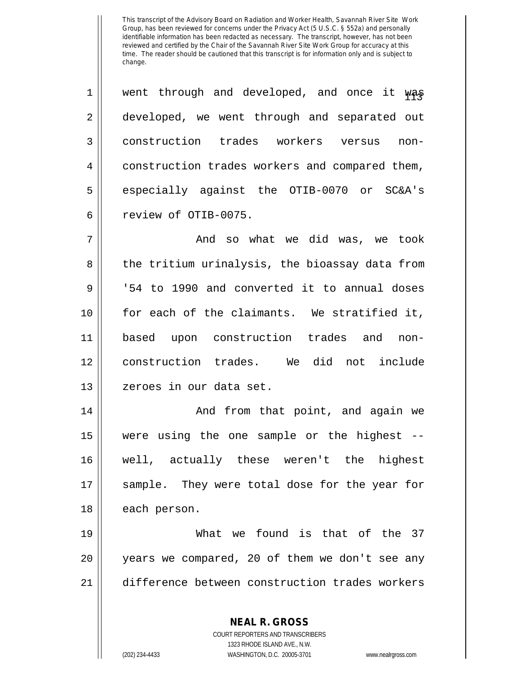14 And from that point, and again we 15 were using the one sample or the highest -- 16 well, actually these weren't the highest 17 || sample. They were total dose for the year for 18 | each person.

19 What we found is that of the 37 20 years we compared, 20 of them we don't see any 21 difference between construction trades workers

> **NEAL R. GROSS** COURT REPORTERS AND TRANSCRIBERS

> > 1323 RHODE ISLAND AVE., N.W.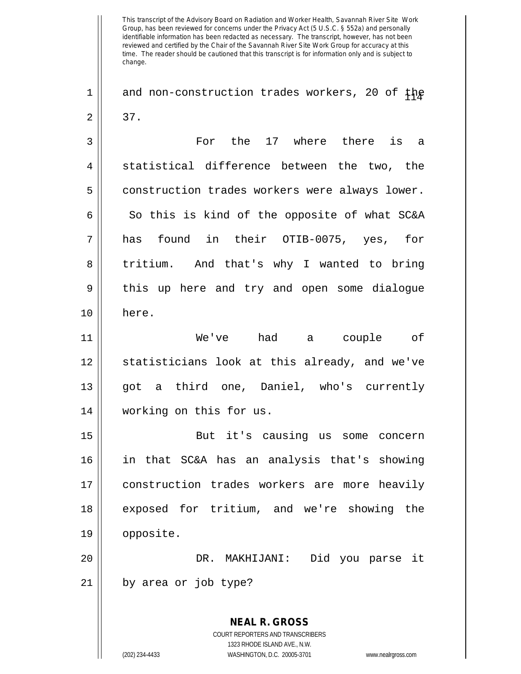This transcript of the Advisory Board on Radiation and Worker Health, Savannah River Site Work Group, has been reviewed for concerns under the Privacy Act (5 U.S.C. § 552a) and personally identifiable information has been redacted as necessary. The transcript, however, has not been reviewed and certified by the Chair of the Savannah River Site Work Group for accuracy at this time. The reader should be cautioned that this transcript is for information only and is subject to change. **NEAL R. GROSS** COURT REPORTERS AND TRANSCRIBERS 1323 RHODE ISLAND AVE., N.W. 1 || and non-construction trades workers, 20 of  $tp_F$  $2 \parallel 37$ . 3 For the 17 where there is a  $4 \parallel$  statistical difference between the two, the  $5$  | construction trades workers were always lower. 6 || So this is kind of the opposite of what  $SC&A$ 7 has found in their OTIB-0075, yes, for 8 tritium. And that's why I wanted to bring 9 || this up here and try and open some dialogue 10 here. 11 We've had a couple of 12 || statisticians look at this already, and we've 13 || got a third one, Daniel, who's currently 14 working on this for us. 15 But it's causing us some concern 16 in that SC&A has an analysis that's showing 17 || construction trades workers are more heavily 18 exposed for tritium, and we're showing the 19 || opposite. 20 DR. MAKHIJANI: Did you parse it  $21$  | by area or job type?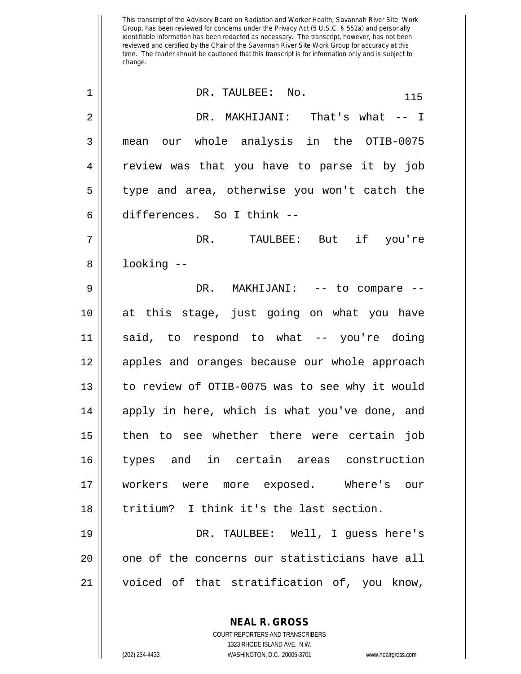This transcript of the Advisory Board on Radiation and Worker Health, Savannah River Site Work Group, has been reviewed for concerns under the Privacy Act (5 U.S.C. § 552a) and personally identifiable information has been redacted as necessary. The transcript, however, has not been reviewed and certified by the Chair of the Savannah River Site Work Group for accuracy at this time. The reader should be cautioned that this transcript is for information only and is subject to change. 1 DR. TAULBEE: No. 115 2 DR. MAKHIJANI: That's what -- I 3 mean our whole analysis in the OTIB-0075 4 || review was that you have to parse it by job 5 type and area, otherwise you won't catch the 6 differences. So I think -- 7 DR. TAULBEE: But if you're 8 || 100king --9 DR. MAKHIJANI: -- to compare -- 10 at this stage, just going on what you have 11 said, to respond to what -- you're doing 12 || apples and oranges because our whole approach 13 to review of OTIB-0075 was to see why it would 14 || apply in here, which is what you've done, and 15 then to see whether there were certain job 16 types and in certain areas construction 17 workers were more exposed. Where's our 18 || tritium? I think it's the last section. 19 DR. TAULBEE: Well, I guess here's 20 || one of the concerns our statisticians have all 21 voiced of that stratification of, you know,

> COURT REPORTERS AND TRANSCRIBERS 1323 RHODE ISLAND AVE., N.W. (202) 234-4433 WASHINGTON, D.C. 20005-3701 www.nealrgross.com

**NEAL R. GROSS**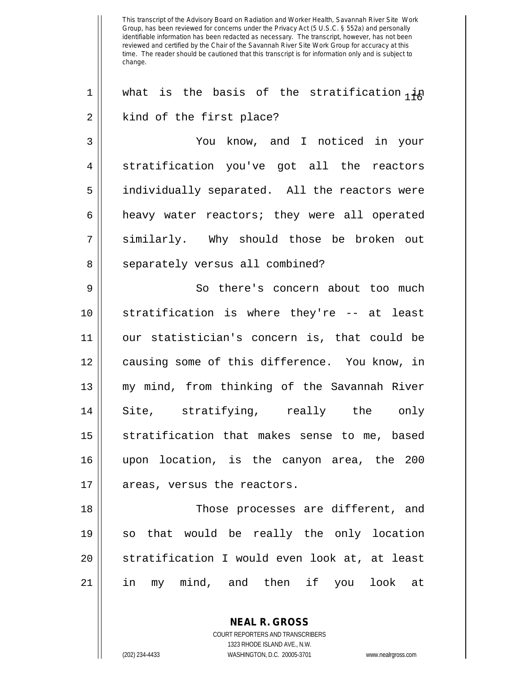This transcript of the Advisory Board on Radiation and Worker Health, Savannah River Site Work Group, has been reviewed for concerns under the Privacy Act (5 U.S.C. § 552a) and personally identifiable information has been redacted as necessary. The transcript, however, has not been reviewed and certified by the Chair of the Savannah River Site Work Group for accuracy at this time. The reader should be cautioned that this transcript is for information only and is subject to change. 1 || what is the basis of the stratification  $\frac{1}{16}$ 2 || kind of the first place? 3 You know, and I noticed in your 4 || stratification you've got all the reactors 5 individually separated. All the reactors were 6 | heavy water reactors; they were all operated 7 similarly. Why should those be broken out 8 | separately versus all combined? 9 So there's concern about too much 10 stratification is where they're -- at least 11 our statistician's concern is, that could be 12 || causing some of this difference. You know, in 13 my mind, from thinking of the Savannah River 14 Site, stratifying, really the only 15 || stratification that makes sense to me, based 16 upon location, is the canyon area, the 200 17 || areas, versus the reactors. 18 || Those processes are different, and 19 so that would be really the only location 20 || stratification I would even look at, at least 21 in my mind, and then if you look at

> COURT REPORTERS AND TRANSCRIBERS 1323 RHODE ISLAND AVE., N.W. (202) 234-4433 WASHINGTON, D.C. 20005-3701 www.nealrgross.com

**NEAL R. GROSS**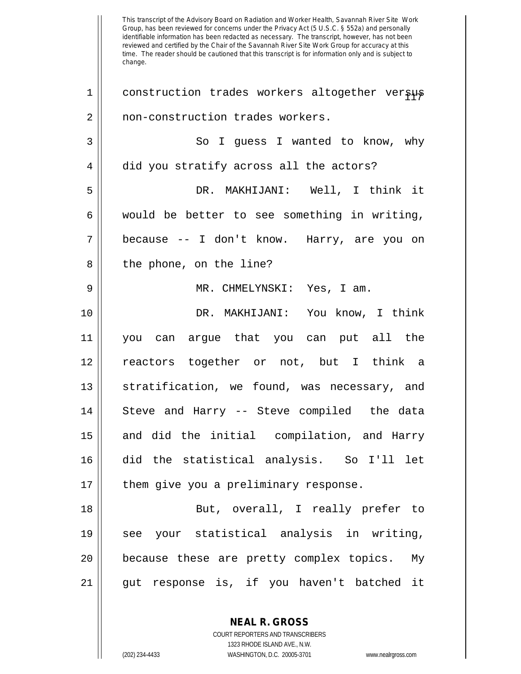This transcript of the Advisory Board on Radiation and Worker Health, Savannah River Site Work Group, has been reviewed for concerns under the Privacy Act (5 U.S.C. § 552a) and personally identifiable information has been redacted as necessary. The transcript, however, has not been reviewed and certified by the Chair of the Savannah River Site Work Group for accuracy at this time. The reader should be cautioned that this transcript is for information only and is subject to change.  $1$  | construction trades workers altogether versus 2 | non-construction trades workers. 3 So I guess I wanted to know, why 4 || did you stratify across all the actors? 5 DR. MAKHIJANI: Well, I think it  $6 \parallel$  would be better to see something in writing, 7 because -- I don't know. Harry, are you on 8 || the phone, on the line? 9 MR. CHMELYNSKI: Yes, I am. 10 DR. MAKHIJANI: You know, I think 11 you can argue that you can put all the 12 reactors together or not, but I think a 13 || stratification, we found, was necessary, and 14 || Steve and Harry -- Steve compiled the data 15 and did the initial compilation, and Harry 16 did the statistical analysis. So I'll let 17 || them give you a preliminary response. 18 || But, overall, I really prefer to 19 see your statistical analysis in writing, 20 || because these are pretty complex topics. My 21 || qut response is, if you haven't batched it

> **NEAL R. GROSS** COURT REPORTERS AND TRANSCRIBERS 1323 RHODE ISLAND AVE., N.W.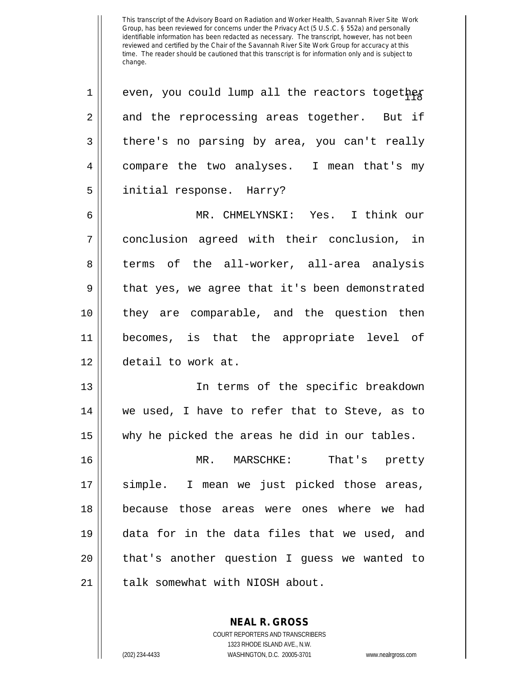This transcript of the Advisory Board on Radiation and Worker Health, Savannah River Site Work Group, has been reviewed for concerns under the Privacy Act (5 U.S.C. § 552a) and personally identifiable information has been redacted as necessary. The transcript, however, has not been reviewed and certified by the Chair of the Savannah River Site Work Group for accuracy at this time. The reader should be cautioned that this transcript is for information only and is subject to change.  $1$ | even, you could lump all the reactors together  $2 \parallel$  and the reprocessing areas together. But if 3 there's no parsing by area, you can't really 4 compare the two analyses. I mean that's my 5 || initial response. Harry? 6 MR. CHMELYNSKI: Yes. I think our 7 conclusion agreed with their conclusion, in

8 terms of the all-worker, all-area analysis  $9 \parallel$  that yes, we agree that it's been demonstrated 10 they are comparable, and the question then 11 becomes, is that the appropriate level of 12 detail to work at.

13 In terms of the specific breakdown  $14$  we used, I have to refer that to Steve, as to 15 why he picked the areas he did in our tables.

16 MR. MARSCHKE: That's pretty 17 simple. I mean we just picked those areas, 18 because those areas were ones where we had 19 data for in the data files that we used, and 20 || that's another question I quess we wanted to  $21$  | talk somewhat with NIOSH about.

> COURT REPORTERS AND TRANSCRIBERS 1323 RHODE ISLAND AVE., N.W. (202) 234-4433 WASHINGTON, D.C. 20005-3701 www.nealrgross.com

**NEAL R. GROSS**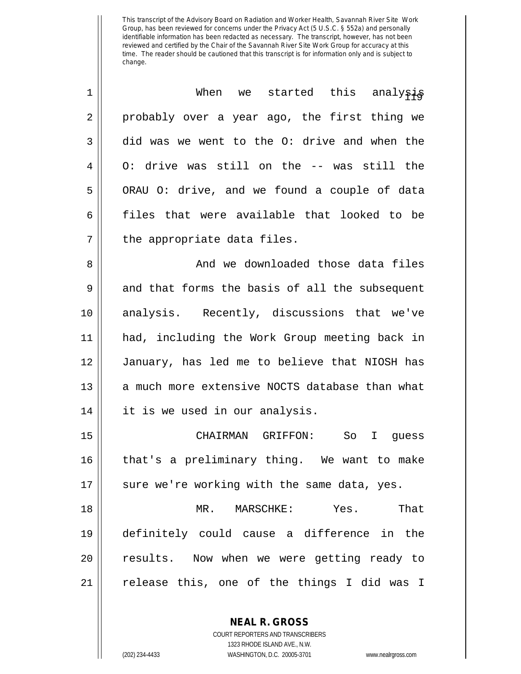| 1              | When we started this analysis                  |
|----------------|------------------------------------------------|
| $\overline{2}$ | probably over a year ago, the first thing we   |
| 3              | did was we went to the O: drive and when the   |
| 4              | 0: drive was still on the -- was still the     |
| 5              | ORAU O: drive, and we found a couple of data   |
| 6              | files that were available that looked to be    |
| 7              | the appropriate data files.                    |
| 8              | And we downloaded those data files             |
| 9              | and that forms the basis of all the subsequent |
| 10             | analysis. Recently, discussions that we've     |
| 11             | had, including the Work Group meeting back in  |
| 12             | January, has led me to believe that NIOSH has  |
| 13             | a much more extensive NOCTS database than what |
| 14             | it is we used in our analysis.                 |
| 15             | CHAIRMAN GRIFFON:<br>So<br>I guess             |
| 16             | that's a preliminary thing. We want to make    |
| 17             | sure we're working with the same data, yes.    |
| 18             | MR. MARSCHKE: Yes.<br>That                     |
| 19             | definitely could cause a difference in the     |
| 20             | results. Now when we were getting ready to     |
| 21             | release this, one of the things I did was I    |

**NEAL R. GROSS** COURT REPORTERS AND TRANSCRIBERS

1323 RHODE ISLAND AVE., N.W.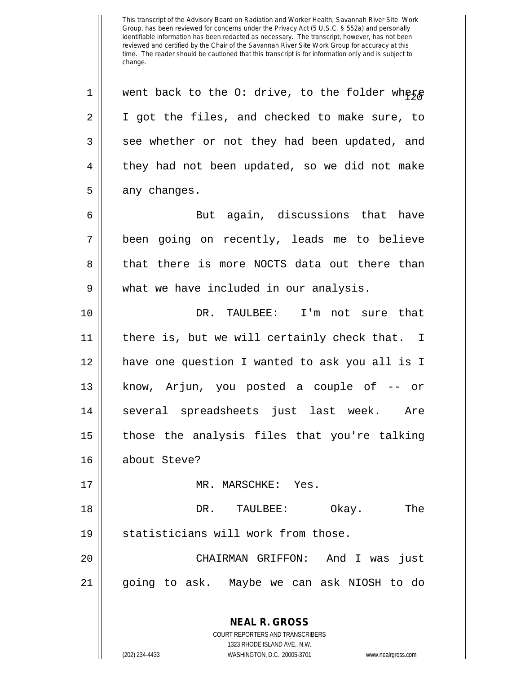This transcript of the Advisory Board on Radiation and Worker Health, Savannah River Site Work Group, has been reviewed for concerns under the Privacy Act (5 U.S.C. § 552a) and personally identifiable information has been redacted as necessary. The transcript, however, has not been reviewed and certified by the Chair of the Savannah River Site Work Group for accuracy at this time. The reader should be cautioned that this transcript is for information only and is subject to change. **NEAL R. GROSS** COURT REPORTERS AND TRANSCRIBERS 1 || went back to the O: drive, to the folder where  $2 \parallel$  I got the files, and checked to make sure, to  $3 \parallel$  see whether or not they had been updated, and 4 || they had not been updated, so we did not make  $5 \parallel$  any changes. 6 || But again, discussions that have 7 been going on recently, leads me to believe 8 that there is more NOCTS data out there than 9 what we have included in our analysis. 10 DR. TAULBEE: I'm not sure that 11 || there is, but we will certainly check that. I 12 have one question I wanted to ask you all is I 13 know, Arjun, you posted a couple of -- or 14 || several spreadsheets just last week. Are 15 those the analysis files that you're talking 16 about Steve? 17 MR. MARSCHKE: Yes. 18 DR. TAULBEE: Okay. The 19 || statisticians will work from those. 20 CHAIRMAN GRIFFON: And I was just 21 going to ask. Maybe we can ask NIOSH to do

1323 RHODE ISLAND AVE., N.W.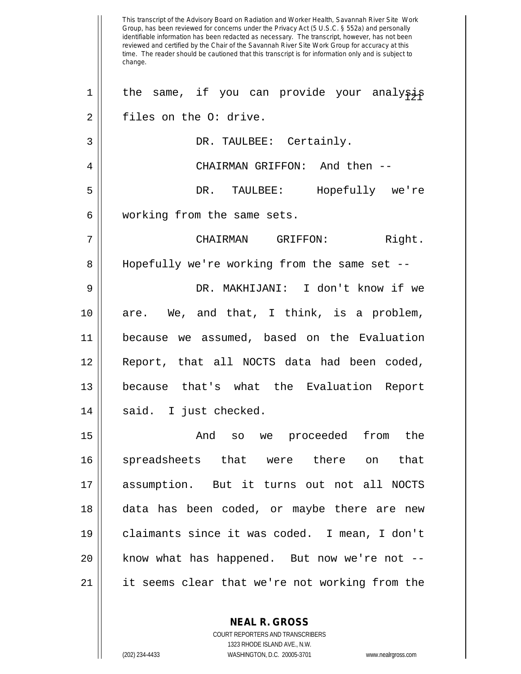This transcript of the Advisory Board on Radiation and Worker Health, Savannah River Site Work Group, has been reviewed for concerns under the Privacy Act (5 U.S.C. § 552a) and personally identifiable information has been redacted as necessary. The transcript, however, has not been reviewed and certified by the Chair of the Savannah River Site Work Group for accuracy at this time. The reader should be cautioned that this transcript is for information only and is subject to change.  $1$  || the same, if you can provide your analy $\mathfrak{s}$ js 2 | files on the 0: drive. 3 || DR. TAULBEE: Certainly. 4 CHAIRMAN GRIFFON: And then -- 5 DR. TAULBEE: Hopefully we're 6 | working from the same sets. 7 CHAIRMAN GRIFFON: Right. 8 || Hopefully we're working from the same set --9 DR. MAKHIJANI: I don't know if we 10 are. We, and that, I think, is a problem, 11 because we assumed, based on the Evaluation 12 Report, that all NOCTS data had been coded, 13 because that's what the Evaluation Report 14 || said. I just checked. 15 And so we proceeded from the 16 spreadsheets that were there on that 17 assumption. But it turns out not all NOCTS 18 data has been coded, or maybe there are new 19 claimants since it was coded. I mean, I don't  $20$  || know what has happened. But now we're not  $-$ 21 || it seems clear that we're not working from the

> **NEAL R. GROSS** COURT REPORTERS AND TRANSCRIBERS

> > 1323 RHODE ISLAND AVE., N.W.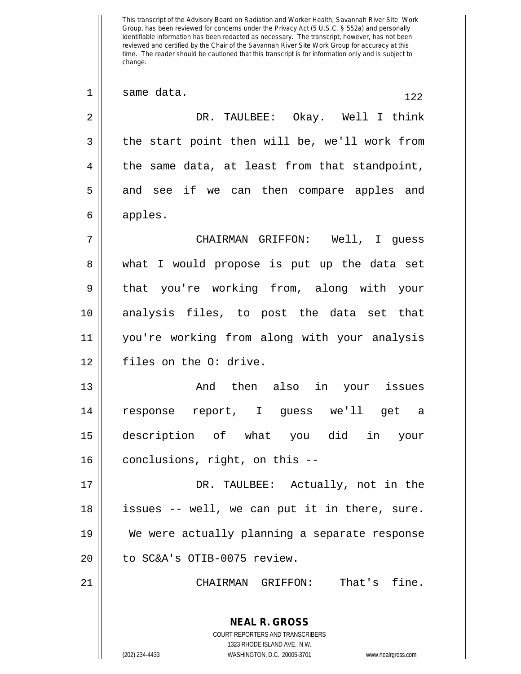This transcript of the Advisory Board on Radiation and Worker Health, Savannah River Site Work Group, has been reviewed for concerns under the Privacy Act (5 U.S.C. § 552a) and personally identifiable information has been redacted as necessary. The transcript, however, has not been reviewed and certified by the Chair of the Savannah River Site Work Group for accuracy at this time. The reader should be cautioned that this transcript is for information only and is subject to change. **NEAL R. GROSS** COURT REPORTERS AND TRANSCRIBERS 1323 RHODE ISLAND AVE., N.W.  $\begin{array}{|c|c|c|c|c|}\n1 & \text{same data.} & \text{mm} & \text{mm} & \text{mm} \end{array}$ 2 DR. TAULBEE: Okay. Well I think  $3 \parallel$  the start point then will be, we'll work from  $4 \parallel$  the same data, at least from that standpoint, 5 and see if we can then compare apples and 6 apples. 7 CHAIRMAN GRIFFON: Well, I guess 8 what I would propose is put up the data set 9 || that you're working from, along with your 10 analysis files, to post the data set that 11 you're working from along with your analysis 12 | files on the O: drive. 13 And then also in your issues 14 response report, I guess we'll get a 15 description of what you did in your 16 || conclusions, right, on this --17 DR. TAULBEE: Actually, not in the 18 || issues -- well, we can put it in there, sure. 19 We were actually planning a separate response 20 || to SC&A's OTIB-0075 review. 21 CHAIRMAN GRIFFON: That's fine.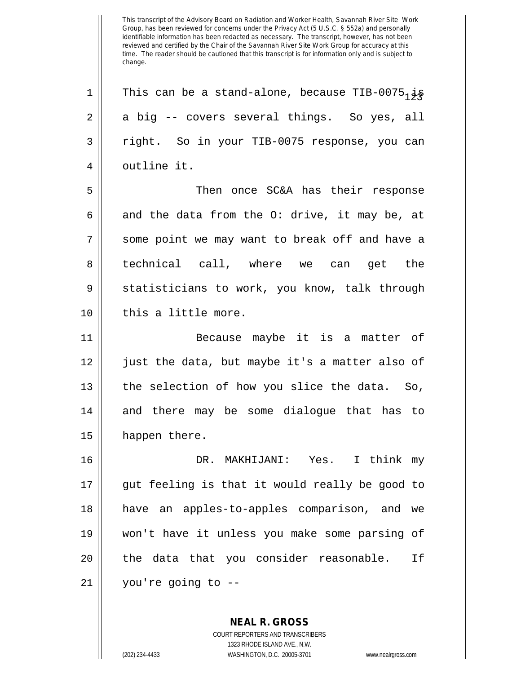This transcript of the Advisory Board on Radiation and Worker Health, Savannah River Site Work Group, has been reviewed for concerns under the Privacy Act (5 U.S.C. § 552a) and personally identifiable information has been redacted as necessary. The transcript, however, has not been reviewed and certified by the Chair of the Savannah River Site Work Group for accuracy at this time. The reader should be cautioned that this transcript is for information only and is subject to change. 1 || This can be a stand-alone, because TIB-0075, is  $2 \parallel$  a big -- covers several things. So yes, all 3 || right. So in your TIB-0075 response, you can 4 ll outline it. 5 Then once SC&A has their response 6 and the data from the O: drive, it may be, at  $7 \parallel$  some point we may want to break off and have a 8 || technical call, where we can get the 9 Statisticians to work, you know, talk through  $10$  | this a little more. 11 Because maybe it is a matter of 12 just the data, but maybe it's a matter also of 13 || the selection of how you slice the data. So, 14 || and there may be some dialogue that has to 15 | happen there. 16 DR. MAKHIJANI: Yes. I think my 17 || gut feeling is that it would really be good to 18 have an apples-to-apples comparison, and we 19 won't have it unless you make some parsing of 20 || the data that you consider reasonable. If  $21$  | you're going to  $-$ 

> **NEAL R. GROSS** COURT REPORTERS AND TRANSCRIBERS 1323 RHODE ISLAND AVE., N.W. (202) 234-4433 WASHINGTON, D.C. 20005-3701 www.nealrgross.com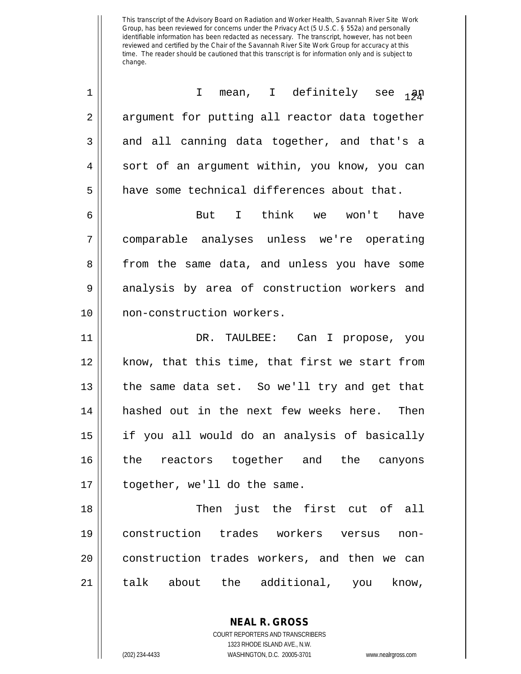| $\mathbf 1$    | mean, I definitely see 184<br>$\mathbf{I}$     |
|----------------|------------------------------------------------|
| $\overline{2}$ | argument for putting all reactor data together |
| 3              | and all canning data together, and that's a    |
| 4              | sort of an argument within, you know, you can  |
| 5              | have some technical differences about that.    |
| 6              | But I think we won't have                      |
| 7              | comparable analyses unless we're operating     |
| 8              | from the same data, and unless you have some   |
| 9              | analysis by area of construction workers and   |
| 10             | non-construction workers.                      |
| 11             | DR. TAULBEE: Can I propose, you                |
| 12             | know, that this time, that first we start from |
| 13             | the same data set. So we'll try and get that   |
| 14             | hashed out in the next few weeks here.<br>Then |
| 15             | if you all would do an analysis of basically   |
| 16             | the reactors together and<br>the canyons       |
| 17             | together, we'll do the same.                   |
| 18             | Then just the first cut of all                 |
| 19             | construction trades workers versus<br>non-     |
| 20             | construction trades workers, and then we can   |
| 21             | talk about the additional, you<br>know,        |

**NEAL R. GROSS** COURT REPORTERS AND TRANSCRIBERS

1323 RHODE ISLAND AVE., N.W. (202) 234-4433 WASHINGTON, D.C. 20005-3701 www.nealrgross.com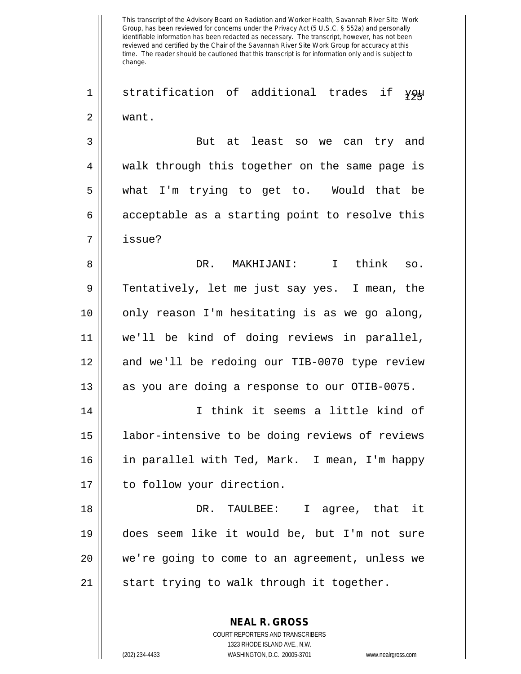This transcript of the Advisory Board on Radiation and Worker Health, Savannah River Site Work Group, has been reviewed for concerns under the Privacy Act (5 U.S.C. § 552a) and personally identifiable information has been redacted as necessary. The transcript, however, has not been reviewed and certified by the Chair of the Savannah River Site Work Group for accuracy at this time. The reader should be cautioned that this transcript is for information only and is subject to change. 1 Stratification of additional trades if  $\gamma$ qu 2 | want. 3 || But at least so we can try and 4 || walk through this together on the same page is 5 what I'm trying to get to. Would that be  $6 \parallel$  acceptable as a starting point to resolve this 7 issue? 8 DR. MAKHIJANI: I think so. 9 Tentatively, let me just say yes. I mean, the  $10$  | only reason I'm hesitating is as we go along, 11 we'll be kind of doing reviews in parallel, 12 and we'll be redoing our TIB-0070 type review 13 || as you are doing a response to our OTIB-0075. 14 I think it seems a little kind of 15 labor-intensive to be doing reviews of reviews 16 in parallel with Ted, Mark. I mean, I'm happy 17 || to follow your direction. 18 DR. TAULBEE: I agree, that it 19 does seem like it would be, but I'm not sure 20 we're going to come to an agreement, unless we  $21$  || start trying to walk through it together.

> **NEAL R. GROSS** COURT REPORTERS AND TRANSCRIBERS

> > 1323 RHODE ISLAND AVE., N.W.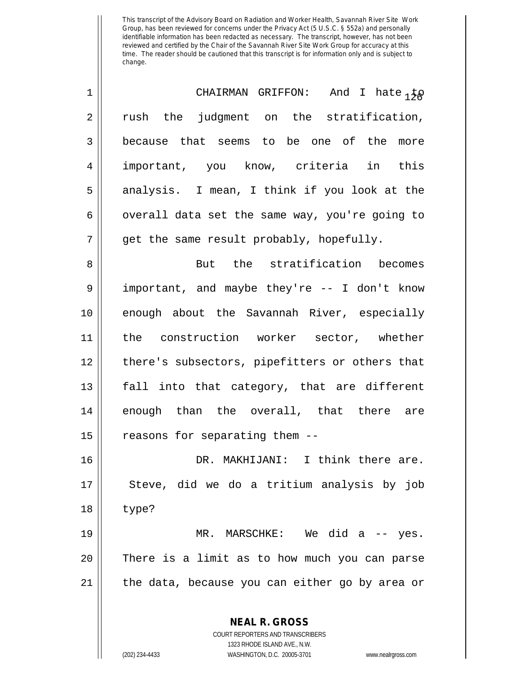| 1              | CHAIRMAN GRIFFON: And I hate 150               |
|----------------|------------------------------------------------|
| $\overline{2}$ | rush the judgment on the stratification,       |
| 3              | because that seems to be one of the<br>more    |
| 4              | important, you know, criteria in this          |
| 5              | analysis. I mean, I think if you look at the   |
| 6              | overall data set the same way, you're going to |
| 7              | get the same result probably, hopefully.       |
| 8              | But the stratification becomes                 |
| 9              | important, and maybe they're -- I don't know   |
| 10             | enough about the Savannah River, especially    |
| 11             | the construction worker sector, whether        |
| 12             | there's subsectors, pipefitters or others that |
| 13             | fall into that category, that are different    |
| 14             | enough than the overall, that there are        |
| 15             | reasons for separating them --                 |
| 16             | DR. MAKHIJANI: I think there are.              |
| 17             | Steve, did we do a tritium analysis by job     |
| 18             | type?                                          |
| 19             | MR. MARSCHKE: We did a -- yes.                 |
| 20             | There is a limit as to how much you can parse  |
| 21             | the data, because you can either go by area or |
|                | <b>NEAL R. GROSS</b>                           |
|                |                                                |

COURT REPORTERS AND TRANSCRIBERS 1323 RHODE ISLAND AVE., N.W.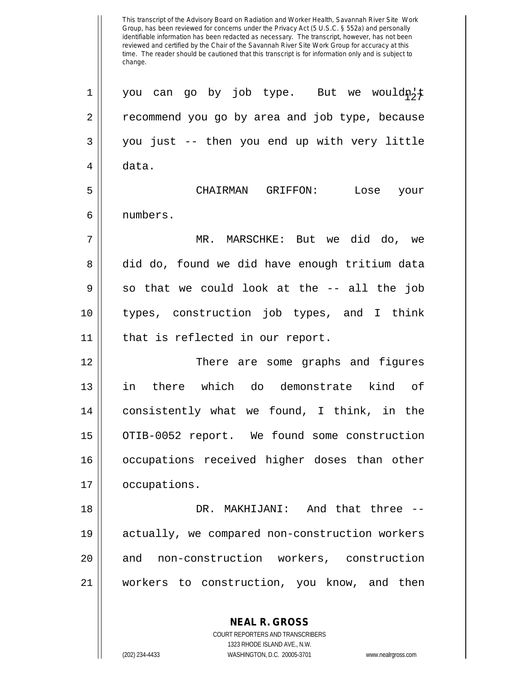This transcript of the Advisory Board on Radiation and Worker Health, Savannah River Site Work Group, has been reviewed for concerns under the Privacy Act (5 U.S.C. § 552a) and personally identifiable information has been redacted as necessary. The transcript, however, has not been reviewed and certified by the Chair of the Savannah River Site Work Group for accuracy at this time. The reader should be cautioned that this transcript is for information only and is subject to change. **NEAL R. GROSS**  $1 \parallel$  you can go by job type. But we wouldn; 2 | recommend you go by area and job type, because  $3 \parallel$  you just -- then you end up with very little 4 data. 5 CHAIRMAN GRIFFON: Lose your 6 numbers. 7 MR. MARSCHKE: But we did do, we 8 did do, found we did have enough tritium data  $9 \parallel$  so that we could look at the -- all the job 10 types, construction job types, and I think 11 || that is reflected in our report. 12 There are some graphs and figures 13 in there which do demonstrate kind of 14 consistently what we found, I think, in the 15 OTIB-0052 report. We found some construction 16 occupations received higher doses than other 17 | occupations. 18 DR. MAKHIJANI: And that three -- 19 actually, we compared non-construction workers 20 || and non-construction workers, construction 21 workers to construction, you know, and then

> COURT REPORTERS AND TRANSCRIBERS 1323 RHODE ISLAND AVE., N.W.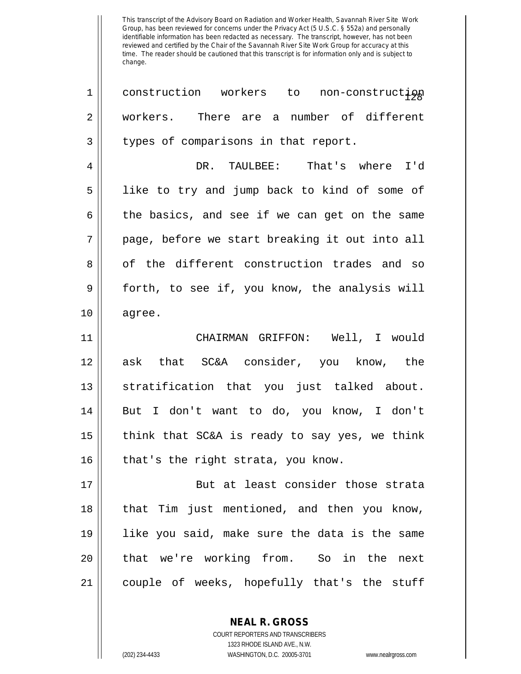| 1  | construction workers to non-construction       |
|----|------------------------------------------------|
| 2  | workers. There are a number of different       |
| 3  | types of comparisons in that report.           |
| 4  | DR. TAULBEE: That's where I'd                  |
| 5  | like to try and jump back to kind of some of   |
| 6  | the basics, and see if we can get on the same  |
| 7  | page, before we start breaking it out into all |
| 8  | of the different construction trades and so    |
| 9  | forth, to see if, you know, the analysis will  |
| 10 | agree.                                         |
| 11 | CHAIRMAN GRIFFON: Well, I would                |
| 12 | ask that SC&A consider, you know, the          |
| 13 | stratification that you just talked about.     |
| 14 | But I don't want to do, you know, I don't      |
| 15 | think that SC&A is ready to say yes, we think  |
| 16 | that's the right strata, you know.             |
| 17 | But at least consider those strata             |
| 18 | that Tim just mentioned, and then you know,    |
| 19 | like you said, make sure the data is the same  |
| 20 | that we're working from. So in the<br>next     |
| 21 | couple of weeks, hopefully that's the stuff    |

**NEAL R. GROSS** COURT REPORTERS AND TRANSCRIBERS

1323 RHODE ISLAND AVE., N.W. (202) 234-4433 WASHINGTON, D.C. 20005-3701 www.nealrgross.com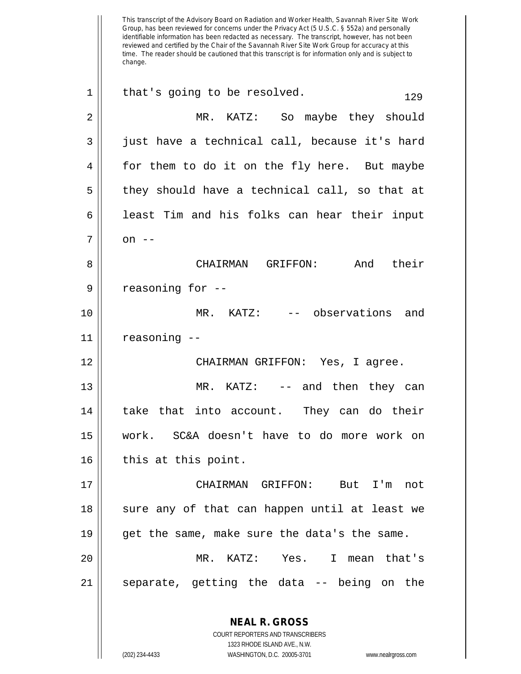This transcript of the Advisory Board on Radiation and Worker Health, Savannah River Site Work Group, has been reviewed for concerns under the Privacy Act (5 U.S.C. § 552a) and personally identifiable information has been redacted as necessary. The transcript, however, has not been reviewed and certified by the Chair of the Savannah River Site Work Group for accuracy at this time. The reader should be cautioned that this transcript is for information only and is subject to change. **NEAL R. GROSS** COURT REPORTERS AND TRANSCRIBERS  $1 \parallel$  that's going to be resolved.  $129$ 2 MR. KATZ: So maybe they should 3 || just have a technical call, because it's hard 4 || for them to do it on the fly here. But maybe  $5 \parallel$  they should have a technical call, so that at  $6$  || least Tim and his folks can hear their input  $7 \parallel$  on  $-$ 8 CHAIRMAN GRIFFON: And their  $9 \parallel$  reasoning for --10 MR. KATZ: -- observations and 11 reasoning -- 12 CHAIRMAN GRIFFON: Yes, I agree. 13 MR. KATZ: -- and then they can 14 || take that into account. They can do their 15 work. SC&A doesn't have to do more work on 16 | this at this point. 17 CHAIRMAN GRIFFON: But I'm not 18 || sure any of that can happen until at least we  $19$  || qet the same, make sure the data's the same. 20 MR. KATZ: Yes. I mean that's  $21$  separate, getting the data  $-$  being on the

1323 RHODE ISLAND AVE., N.W.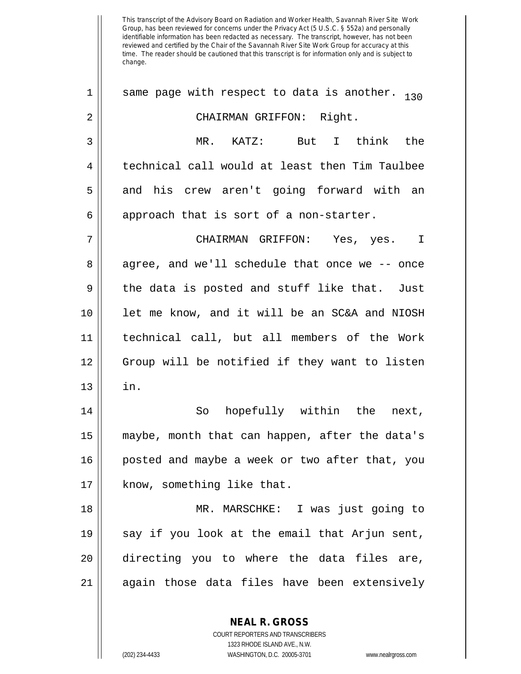This transcript of the Advisory Board on Radiation and Worker Health, Savannah River Site Work Group, has been reviewed for concerns under the Privacy Act (5 U.S.C. § 552a) and personally identifiable information has been redacted as necessary. The transcript, however, has not been reviewed and certified by the Chair of the Savannah River Site Work Group for accuracy at this time. The reader should be cautioned that this transcript is for information only and is subject to change. 1  $\parallel$  same page with respect to data is another. <sub>130</sub> 2 | CHAIRMAN GRIFFON: Right. 3 MR. KATZ: But I think the 4 technical call would at least then Tim Taulbee 5 || and his crew aren't going forward with an  $6 \parallel$  approach that is sort of a non-starter. 7 CHAIRMAN GRIFFON: Yes, yes. I 8 agree, and we'll schedule that once we -- once  $9 \parallel$  the data is posted and stuff like that. Just 10 let me know, and it will be an SC&A and NIOSH 11 technical call, but all members of the Work 12 || Group will be notified if they want to listen  $13$   $\parallel$  in. 14 || So hopefully within the next, 15 maybe, month that can happen, after the data's 16 || posted and maybe a week or two after that, you 17 || know, something like that. 18 MR. MARSCHKE: I was just going to 19 say if you look at the email that Arjun sent, 20 directing you to where the data files are, 21 || again those data files have been extensively

> **NEAL R. GROSS** COURT REPORTERS AND TRANSCRIBERS

> > 1323 RHODE ISLAND AVE., N.W.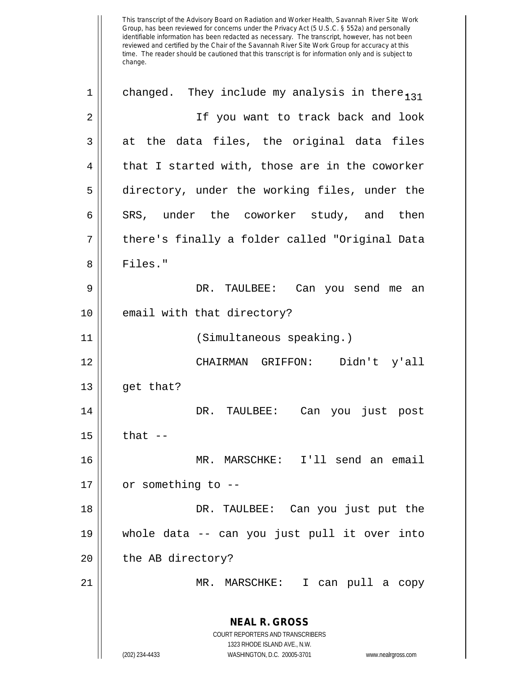| 1  | changed. They include my analysis in there <sub>131</sub>                                                                                                              |
|----|------------------------------------------------------------------------------------------------------------------------------------------------------------------------|
| 2  | If you want to track back and look                                                                                                                                     |
| 3  | at the data files, the original data files                                                                                                                             |
| 4  | that I started with, those are in the coworker                                                                                                                         |
| 5  | directory, under the working files, under the                                                                                                                          |
| 6  | SRS, under the coworker study, and then                                                                                                                                |
| 7  | there's finally a folder called "Original Data                                                                                                                         |
| 8  | Files."                                                                                                                                                                |
| 9  | DR. TAULBEE: Can you send me an                                                                                                                                        |
| 10 | email with that directory?                                                                                                                                             |
| 11 | (Simultaneous speaking.)                                                                                                                                               |
| 12 | CHAIRMAN GRIFFON: Didn't y'all                                                                                                                                         |
| 13 | get that?                                                                                                                                                              |
| 14 | DR. TAULBEE: Can you just post                                                                                                                                         |
| 15 | that $--$                                                                                                                                                              |
| 16 | MR. MARSCHKE: I'll send an email                                                                                                                                       |
| 17 | or something to --                                                                                                                                                     |
| 18 | DR. TAULBEE: Can you just put the                                                                                                                                      |
| 19 | whole data -- can you just pull it over into                                                                                                                           |
| 20 | the AB directory?                                                                                                                                                      |
| 21 | MR. MARSCHKE:<br>I can pull a copy                                                                                                                                     |
|    | <b>NEAL R. GROSS</b><br><b>COURT REPORTERS AND TRANSCRIBERS</b><br>1323 RHODE ISLAND AVE., N.W.<br>(202) 234-4433<br>WASHINGTON, D.C. 20005-3701<br>www.nealrgross.com |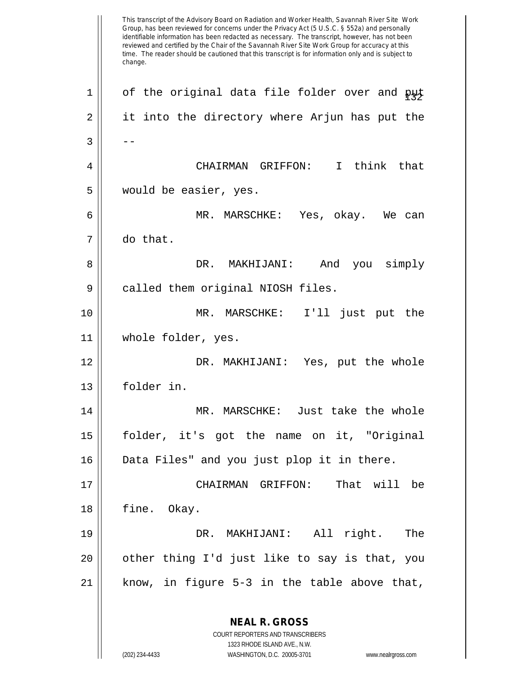This transcript of the Advisory Board on Radiation and Worker Health, Savannah River Site Work Group, has been reviewed for concerns under the Privacy Act (5 U.S.C. § 552a) and personally identifiable information has been redacted as necessary. The transcript, however, has not been reviewed and certified by the Chair of the Savannah River Site Work Group for accuracy at this time. The reader should be cautioned that this transcript is for information only and is subject to change. **NEAL R. GROSS** COURT REPORTERS AND TRANSCRIBERS 1323 RHODE ISLAND AVE., N.W. (202) 234-4433 WASHINGTON, D.C. 20005-3701 www.nealrgross.com 1 || of the original data file folder over and  $p\mu\hskip-3.6pt\downarrow$  $2 \parallel$  it into the directory where Arjun has put the  $3 \mid - -$ 4 CHAIRMAN GRIFFON: I think that 5 would be easier, yes. 6 MR. MARSCHKE: Yes, okay. We can 7 do that. 8 DR. MAKHIJANI: And you simply 9 || called them original NIOSH files. 10 MR. MARSCHKE: I'll just put the 11 whole folder, yes. 12 DR. MAKHIJANI: Yes, put the whole 13 folder in. 14 MR. MARSCHKE: Just take the whole 15 folder, it's got the name on it, "Original 16 || Data Files" and you just plop it in there. 17 CHAIRMAN GRIFFON: That will be 18 | fine. Okay. 19 DR. MAKHIJANI: All right. The 20 || other thing I'd just like to say is that, you  $21$  know, in figure 5-3 in the table above that,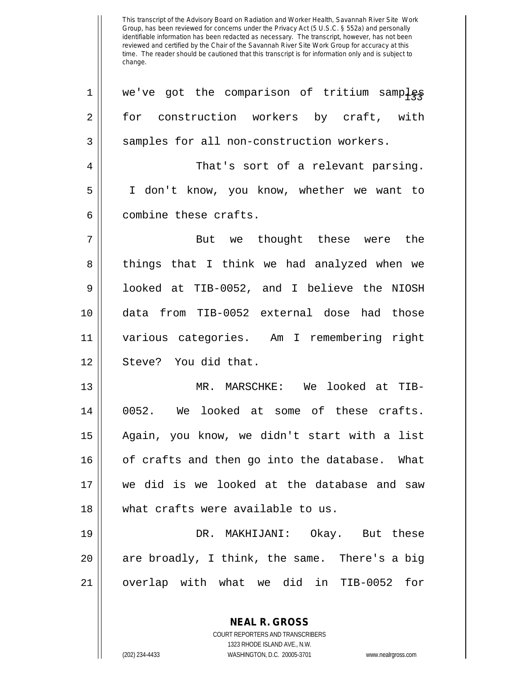This transcript of the Advisory Board on Radiation and Worker Health, Savannah River Site Work Group, has been reviewed for concerns under the Privacy Act (5 U.S.C. § 552a) and personally identifiable information has been redacted as necessary. The transcript, however, has not been reviewed and certified by the Chair of the Savannah River Site Work Group for accuracy at this time. The reader should be cautioned that this transcript is for information only and is subject to change. **NEAL R. GROSS**  $1 \parallel$  we've got the comparison of tritium samples 2 for construction workers by craft, with  $3 \parallel$  samples for all non-construction workers. 4 That's sort of a relevant parsing. 5 I don't know, you know, whether we want to 6 combine these crafts. 7 But we thought these were the 8 || things that I think we had analyzed when we 9 || looked at TIB-0052, and I believe the NIOSH 10 data from TIB-0052 external dose had those 11 various categories. Am I remembering right 12 Steve? You did that. 13 MR. MARSCHKE: We looked at TIB-14 0052. We looked at some of these crafts. 15 Again, you know, we didn't start with a list 16 || of crafts and then go into the database. What 17 we did is we looked at the database and saw 18 || what crafts were available to us. 19 DR. MAKHIJANI: Okay. But these  $20$  || are broadly, I think, the same. There's a big 21 overlap with what we did in TIB-0052 for

COURT REPORTERS AND TRANSCRIBERS 1323 RHODE ISLAND AVE., N.W. (202) 234-4433 WASHINGTON, D.C. 20005-3701 www.nealrgross.com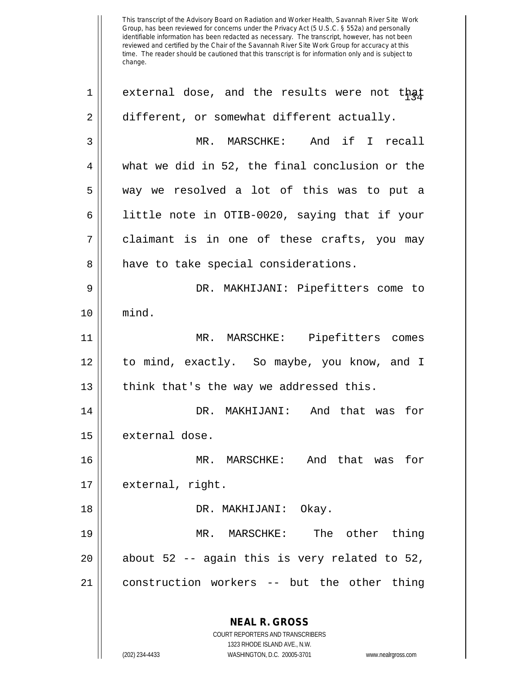This transcript of the Advisory Board on Radiation and Worker Health, Savannah River Site Work Group, has been reviewed for concerns under the Privacy Act (5 U.S.C. § 552a) and personally identifiable information has been redacted as necessary. The transcript, however, has not been reviewed and certified by the Chair of the Savannah River Site Work Group for accuracy at this time. The reader should be cautioned that this transcript is for information only and is subject to change. **NEAL R. GROSS** COURT REPORTERS AND TRANSCRIBERS  $1$  || external dose, and the results were not that 2 different, or somewhat different actually. 3 MR. MARSCHKE: And if I recall  $4 \parallel$  what we did in 52, the final conclusion or the 5 way we resolved a lot of this was to put a 6 | little note in OTIB-0020, saying that if your 7 claimant is in one of these crafts, you may 8 || have to take special considerations. 9 DR. MAKHIJANI: Pipefitters come to 10 mind. 11 MR. MARSCHKE: Pipefitters comes 12 to mind, exactly. So maybe, you know, and I  $13$  || think that's the way we addressed this. 14 DR. MAKHIJANI: And that was for 15 external dose. 16 MR. MARSCHKE: And that was for 17 || external, right. 18 DR. MAKHIJANI: Okay. 19 MR. MARSCHKE: The other thing 20  $\parallel$  about 52 -- again this is very related to 52, 21 construction workers -- but the other thing

1323 RHODE ISLAND AVE., N.W.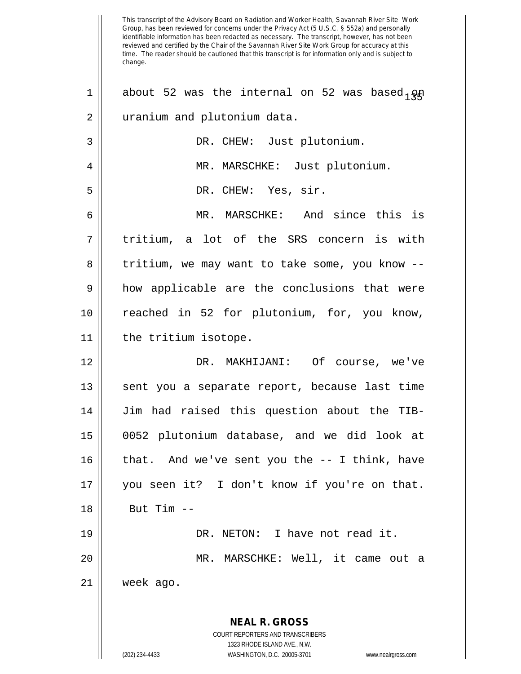This transcript of the Advisory Board on Radiation and Worker Health, Savannah River Site Work Group, has been reviewed for concerns under the Privacy Act (5 U.S.C. § 552a) and personally identifiable information has been redacted as necessary. The transcript, however, has not been reviewed and certified by the Chair of the Savannah River Site Work Group for accuracy at this time. The reader should be cautioned that this transcript is for information only and is subject to change. **NEAL R. GROSS** COURT REPORTERS AND TRANSCRIBERS 1323 RHODE ISLAND AVE., N.W. (202) 234-4433 WASHINGTON, D.C. 20005-3701 www.nealrgross.com 1 || about 52 was the internal on 52 was based  $_{1}$   $_{2}$ 2 | uranium and plutonium data. 3 DR. CHEW: Just plutonium. 4 MR. MARSCHKE: Just plutonium. 5 DR. CHEW: Yes, sir. 6 MR. MARSCHKE: And since this is 7 tritium, a lot of the SRS concern is with 8 || tritium, we may want to take some, you know --9 || how applicable are the conclusions that were 10 || reached in 52 for plutonium, for, you know, 11 | the tritium isotope. 12 DR. MAKHIJANI: Of course, we've 13 || sent you a separate report, because last time 14 Jim had raised this question about the TIB-15 0052 plutonium database, and we did look at  $16$  | that. And we've sent you the  $-$ - I think, have 17 you seen it? I don't know if you're on that.  $18$  || But Tim  $-$ 19 || DR. NETON: I have not read it. 20 MR. MARSCHKE: Well, it came out a 21 week ago.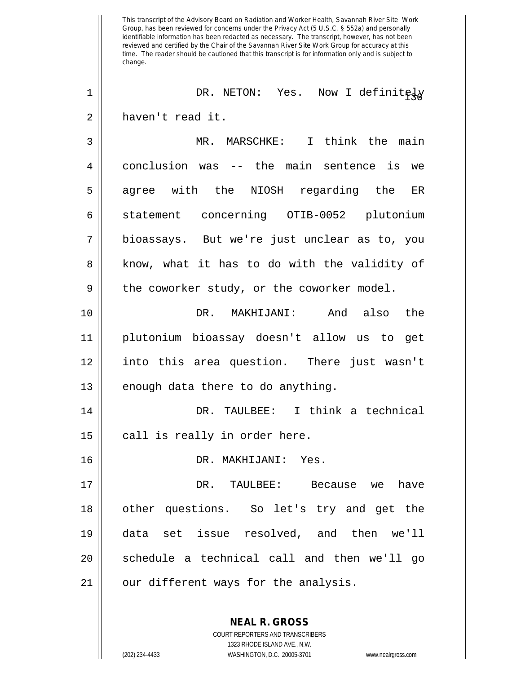This transcript of the Advisory Board on Radiation and Worker Health, Savannah River Site Work Group, has been reviewed for concerns under the Privacy Act (5 U.S.C. § 552a) and personally identifiable information has been redacted as necessary. The transcript, however, has not been reviewed and certified by the Chair of the Savannah River Site Work Group for accuracy at this time. The reader should be cautioned that this transcript is for information only and is subject to change. <sup>136</sup> 1 DR. NETON: Yes. Now I definitely 2 | haven't read it. 3 MR. MARSCHKE: I think the main 4 conclusion was -- the main sentence is we 5 agree with the NIOSH regarding the ER 6 || statement concerning OTIB-0052 plutonium 7 bioassays. But we're just unclear as to, you 8 || know, what it has to do with the validity of 9 | the coworker study, or the coworker model. 10 DR. MAKHIJANI: And also the 11 plutonium bioassay doesn't allow us to get 12 into this area question. There just wasn't  $13$  || enough data there to do anything. 14 DR. TAULBEE: I think a technical 15 || call is really in order here. 16 DR. MAKHIJANI: Yes. 17 DR. TAULBEE: Because we have 18 other questions. So let's try and get the 19 data set issue resolved, and then we'll  $20$  schedule a technical call and then we'll go 21 || our different ways for the analysis.

> COURT REPORTERS AND TRANSCRIBERS 1323 RHODE ISLAND AVE., N.W. (202) 234-4433 WASHINGTON, D.C. 20005-3701 www.nealrgross.com

**NEAL R. GROSS**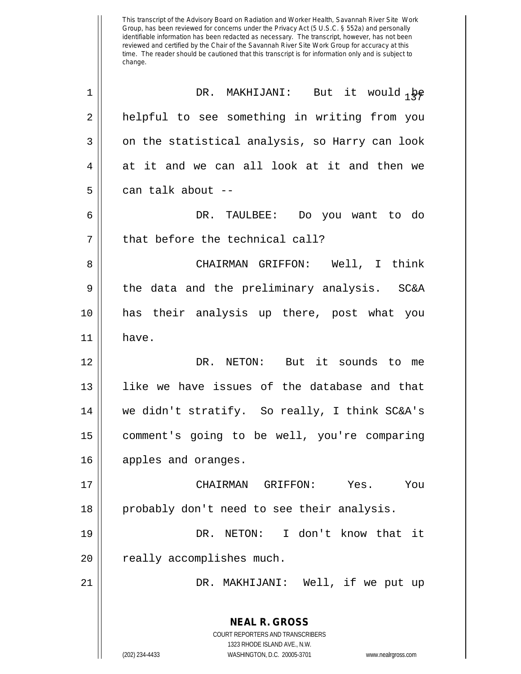This transcript of the Advisory Board on Radiation and Worker Health, Savannah River Site Work Group, has been reviewed for concerns under the Privacy Act (5 U.S.C. § 552a) and personally identifiable information has been redacted as necessary. The transcript, however, has not been reviewed and certified by the Chair of the Savannah River Site Work Group for accuracy at this time. The reader should be cautioned that this transcript is for information only and is subject to change. **NEAL R. GROSS** COURT REPORTERS AND TRANSCRIBERS 1323 RHODE ISLAND AVE., N.W. 1 || DR. MAKHIJANI: But it would <sub>1</sub>be 2 || helpful to see something in writing from you  $3 \parallel$  on the statistical analysis, so Harry can look  $4 \parallel$  at it and we can all look at it and then we 5 ll can talk about --6 DR. TAULBEE: Do you want to do  $7$   $\parallel$  that before the technical call? 8 CHAIRMAN GRIFFON: Well, I think 9 || the data and the preliminary analysis. SC&A 10 has their analysis up there, post what you 11 have. 12 DR. NETON: But it sounds to me 13 like we have issues of the database and that 14 we didn't stratify. So really, I think SC&A's 15 comment's going to be well, you're comparing 16 || apples and oranges. 17 CHAIRMAN GRIFFON: Yes. You 18 || probably don't need to see their analysis. 19 DR. NETON: I don't know that it 20 || really accomplishes much. 21 DR. MAKHIJANI: Well, if we put up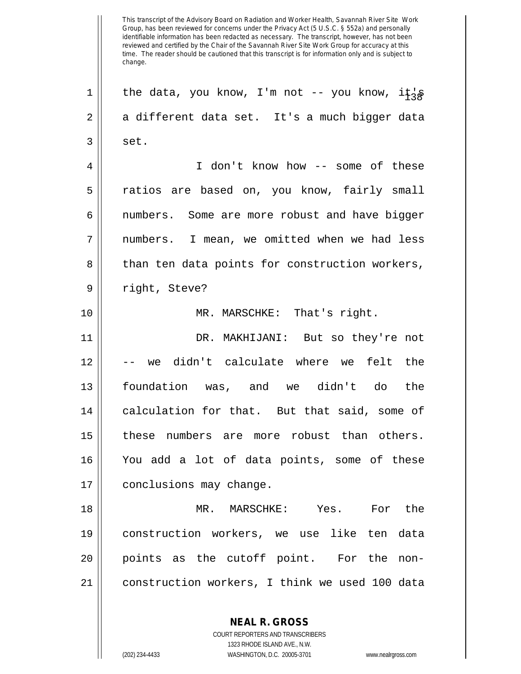This transcript of the Advisory Board on Radiation and Worker Health, Savannah River Site Work Group, has been reviewed for concerns under the Privacy Act (5 U.S.C. § 552a) and personally identifiable information has been redacted as necessary. The transcript, however, has not been reviewed and certified by the Chair of the Savannah River Site Work Group for accuracy at this time. The reader should be cautioned that this transcript is for information only and is subject to change. **NEAL R. GROSS** 1 | the data, you know, I'm not -- you know, it,  $s$  $2 \parallel$  a different data set. It's a much bigger data  $3 \parallel$  set. 4 I don't know how -- some of these 5 || ratios are based on, you know, fairly small  $6 \parallel$  numbers. Some are more robust and have bigger 7 numbers. I mean, we omitted when we had less 8 || than ten data points for construction workers, 9 || right, Steve? 10 || MR. MARSCHKE: That's right. 11 DR. MAKHIJANI: But so they're not 12 -- we didn't calculate where we felt the 13 foundation was, and we didn't do the 14 || calculation for that. But that said, some of 15 these numbers are more robust than others. 16 You add a lot of data points, some of these 17 | conclusions may change. 18 MR. MARSCHKE: Yes. For the 19 construction workers, we use like ten data 20 || points as the cutoff point. For the non-21 construction workers, I think we used 100 data

1323 RHODE ISLAND AVE., N.W. (202) 234-4433 WASHINGTON, D.C. 20005-3701 www.nealrgross.com

COURT REPORTERS AND TRANSCRIBERS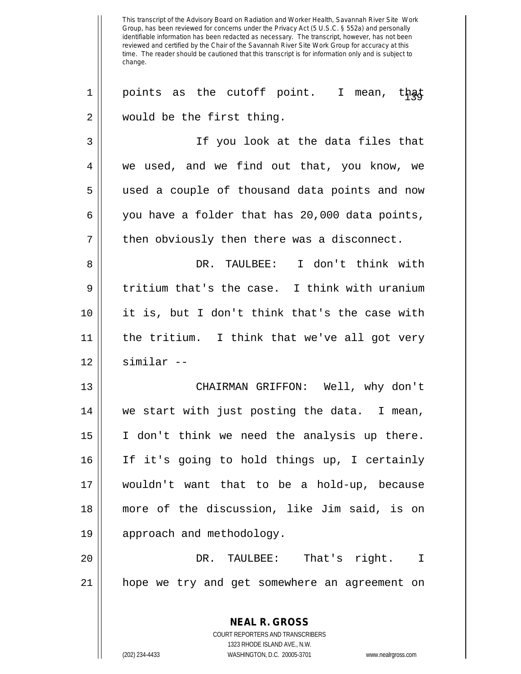This transcript of the Advisory Board on Radiation and Worker Health, Savannah River Site Work Group, has been reviewed for concerns under the Privacy Act (5 U.S.C. § 552a) and personally identifiable information has been redacted as necessary. The transcript, however, has not been reviewed and certified by the Chair of the Savannah River Site Work Group for accuracy at this time. The reader should be cautioned that this transcript is for information only and is subject to change. **NEAL R. GROSS** COURT REPORTERS AND TRANSCRIBERS 1 || points as the cutoff point. I mean, that 2 | would be the first thing. 3 || If you look at the data files that 4 we used, and we find out that, you know, we 5 || used a couple of thousand data points and now  $6 \parallel$  you have a folder that has 20,000 data points,  $7 \parallel$  then obviously then there was a disconnect. 8 DR. TAULBEE: I don't think with 9 || tritium that's the case. I think with uranium 10 it is, but I don't think that's the case with 11 the tritium. I think that we've all got very  $12$   $\parallel$  similar  $-$ 13 CHAIRMAN GRIFFON: Well, why don't 14 || we start with just posting the data. I mean, 15 I don't think we need the analysis up there. 16 If it's going to hold things up, I certainly 17 wouldn't want that to be a hold-up, because 18 more of the discussion, like Jim said, is on 19 || approach and methodology. 20 DR. TAULBEE: That's right. I 21 hope we try and get somewhere an agreement on

1323 RHODE ISLAND AVE., N.W.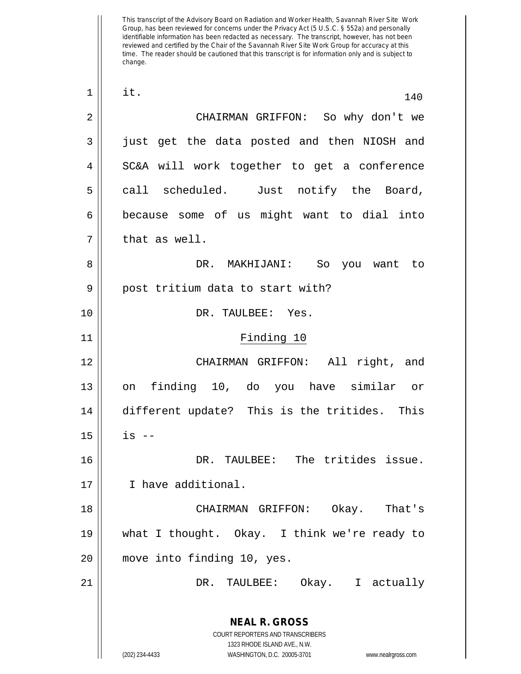This transcript of the Advisory Board on Radiation and Worker Health, Savannah River Site Work Group, has been reviewed for concerns under the Privacy Act (5 U.S.C. § 552a) and personally identifiable information has been redacted as necessary. The transcript, however, has not been reviewed and certified by the Chair of the Savannah River Site Work Group for accuracy at this time. The reader should be cautioned that this transcript is for information only and is subject to change. **NEAL R. GROSS** COURT REPORTERS AND TRANSCRIBERS 1323 RHODE ISLAND AVE., N.W.  $\begin{array}{|c|c|c|c|c|}\n1 & \text{it.} & \text{.} & \text{.} & \text{.} & \text{.} & \text{.} & \text{.} & \text{.} & \text{.} & \text{.} & \text{.} & \text{.} & \text{.} & \text{.} & \text{.} & \text{.} & \text{.} & \text{.} & \text{.} & \text{.} & \text{.} & \text{.} & \text{.} & \text{.} & \text{.} & \text{.} & \text{.} & \text{.} & \text{.} & \text{.} & \text{.} & \text{.} & \text{.} & \$ 2 CHAIRMAN GRIFFON: So why don't we 3 just get the data posted and then NIOSH and 4 || SC&A will work together to get a conference 5 || call scheduled. Just notify the Board,  $6 \parallel$  because some of us might want to dial into  $7$   $\parallel$  that as well. 8 DR. MAKHIJANI: So you want to 9 || post tritium data to start with? 10 || DR. TAULBEE: Yes. 11 Finding 10 12 CHAIRMAN GRIFFON: All right, and 13 on finding 10, do you have similar or 14 different update? This is the tritides. This  $15$  || is  $-$ 16 DR. TAULBEE: The tritides issue. 17 I have additional. 18 CHAIRMAN GRIFFON: Okay. That's 19 what I thought. Okay. I think we're ready to 20 move into finding 10, yes. 21 DR. TAULBEE: Okay. I actually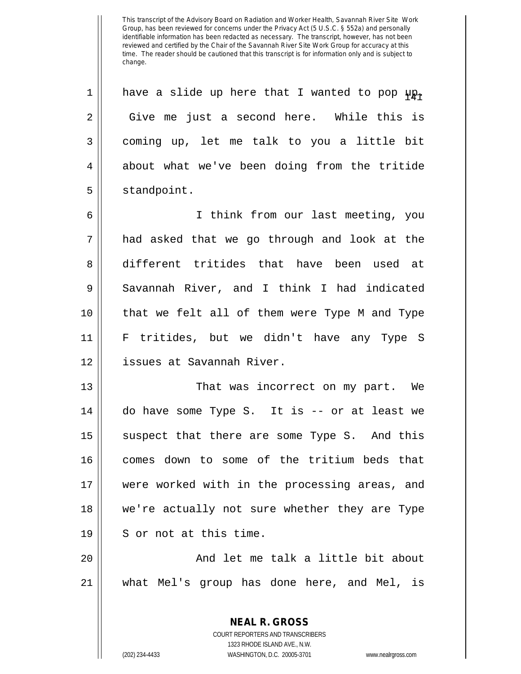1 || have a slide up here that I wanted to pop  $\mu_{\mathbf{P}_1}$ . 2 Give me just a second here. While this is 3 coming up, let me talk to you a little bit 4 || about what we've been doing from the tritide 5 | standpoint.

6 I think from our last meeting, you 7 had asked that we go through and look at the 8 different tritides that have been used at 9 || Savannah River, and I think I had indicated 10 that we felt all of them were Type M and Type 11 F tritides, but we didn't have any Type S 12 | issues at Savannah River.

13 That was incorrect on my part. We 14 do have some Type S. It is -- or at least we 15 || suspect that there are some Type S. And this 16 comes down to some of the tritium beds that 17 were worked with in the processing areas, and 18 we're actually not sure whether they are Type  $19 \parallel$  S or not at this time.

20 || And let me talk a little bit about 21 what Mel's group has done here, and Mel, is

> **NEAL R. GROSS** COURT REPORTERS AND TRANSCRIBERS 1323 RHODE ISLAND AVE., N.W. (202) 234-4433 WASHINGTON, D.C. 20005-3701 www.nealrgross.com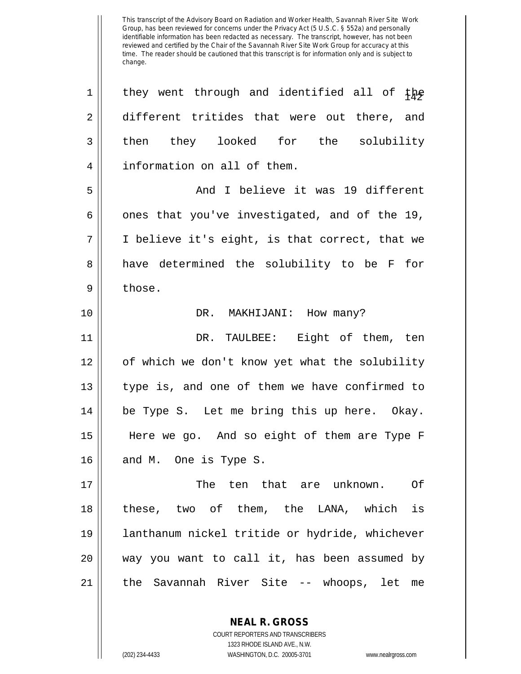This transcript of the Advisory Board on Radiation and Worker Health, Savannah River Site Work Group, has been reviewed for concerns under the Privacy Act (5 U.S.C. § 552a) and personally identifiable information has been redacted as necessary. The transcript, however, has not been reviewed and certified by the Chair of the Savannah River Site Work Group for accuracy at this time. The reader should be cautioned that this transcript is for information only and is subject to change. 1 || they went through and identified all of  $tp$ 2 different tritides that were out there, and 3 then they looked for the solubility 4 | information on all of them. 5 And I believe it was 19 different 6 | ones that you've investigated, and of the 19, 7 I believe it's eight, is that correct, that we 8 a have determined the solubility to be F for

10 || DR. MAKHIJANI: How many?

11 DR. TAULBEE: Eight of them, ten 12 of which we don't know yet what the solubility 13 || type is, and one of them we have confirmed to 14 || be Type S. Let me bring this up here. Okay. 15 Here we go. And so eight of them are Type F 16 || and M. One is Type S.

17 The ten that are unknown. Of 18 these, two of them, the LANA, which is 19 lanthanum nickel tritide or hydride, whichever 20 way you want to call it, has been assumed by 21 || the Savannah River Site -- whoops, let me

> COURT REPORTERS AND TRANSCRIBERS 1323 RHODE ISLAND AVE., N.W. (202) 234-4433 WASHINGTON, D.C. 20005-3701 www.nealrgross.com

**NEAL R. GROSS**

 $9 \parallel$  those.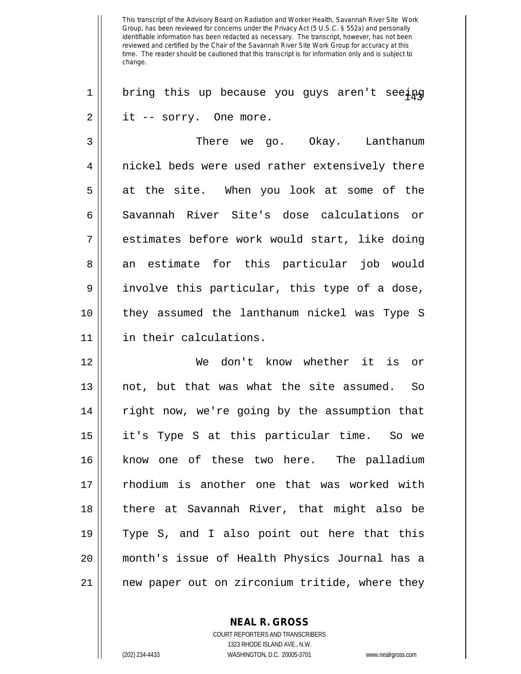$1$  | bring this up because you guys aren't seeing  $2 \parallel$  it -- sorry. One more.

3 There we go. Okay. Lanthanum 4 || nickel beds were used rather extensively there  $5 \parallel$  at the site. When you look at some of the 6 Savannah River Site's dose calculations or 7 || estimates before work would start, like doing 8 an estimate for this particular job would 9 involve this particular, this type of a dose, 10 || they assumed the lanthanum nickel was Type S 11 in their calculations.

12 We don't know whether it is or 13 not, but that was what the site assumed. So 14 || right now, we're going by the assumption that 15 it's Type S at this particular time. So we 16 know one of these two here. The palladium 17 || rhodium is another one that was worked with 18 there at Savannah River, that might also be 19 Type S, and I also point out here that this 20 month's issue of Health Physics Journal has a 21 || new paper out on zirconium tritide, where they

**NEAL R. GROSS**

COURT REPORTERS AND TRANSCRIBERS 1323 RHODE ISLAND AVE., N.W. (202) 234-4433 WASHINGTON, D.C. 20005-3701 www.nealrgross.com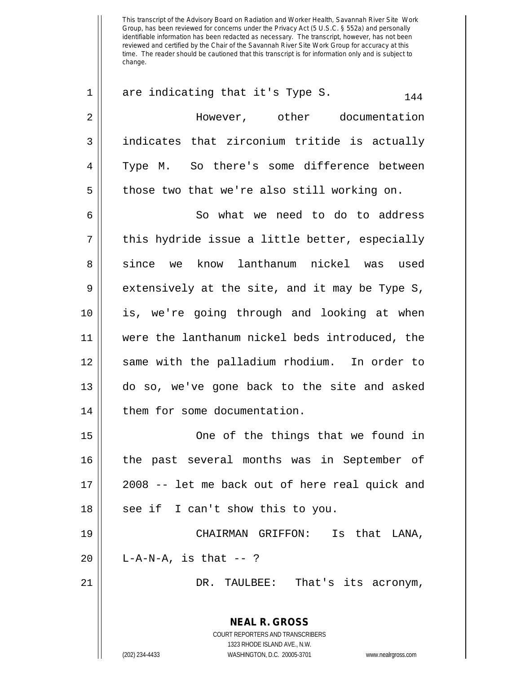$1 \parallel$  are indicating that it's Type S.  $144$ 2 | Rowever, other documentation 3 indicates that zirconium tritide is actually 4 Type M. So there's some difference between  $5$  || those two that we're also still working on. 6 || So what we need to do to address  $7 \parallel$  this hydride issue a little better, especially 8 since we know lanthanum nickel was used  $9 \parallel$  extensively at the site, and it may be Type S, 10 is, we're going through and looking at when 11 were the lanthanum nickel beds introduced, the 12 || same with the palladium rhodium. In order to 13 do so, we've gone back to the site and asked 14 | them for some documentation. 15 One of the things that we found in 16 the past several months was in September of 17 2008 -- let me back out of here real quick and  $18$  || see if I can't show this to you. 19 CHAIRMAN GRIFFON: Is that LANA,  $20$  | L-A-N-A, is that --?

21 DR. TAULBEE: That's its acronym,

**NEAL R. GROSS** COURT REPORTERS AND TRANSCRIBERS 1323 RHODE ISLAND AVE., N.W.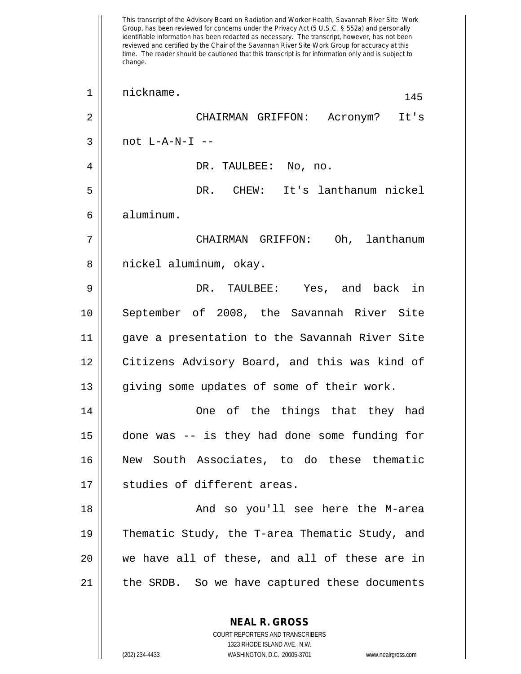This transcript of the Advisory Board on Radiation and Worker Health, Savannah River Site Work Group, has been reviewed for concerns under the Privacy Act (5 U.S.C. § 552a) and personally identifiable information has been redacted as necessary. The transcript, however, has not been reviewed and certified by the Chair of the Savannah River Site Work Group for accuracy at this time. The reader should be cautioned that this transcript is for information only and is subject to change. **NEAL R. GROSS** <sup>145</sup> 1 nickname. 2 CHAIRMAN GRIFFON: Acronym? It's  $3 \parallel$  not L-A-N-I --4 DR. TAULBEE: No, no. 5 DR. CHEW: It's lanthanum nickel 6 aluminum. 7 CHAIRMAN GRIFFON: Oh, lanthanum 8 || nickel aluminum, okay. 9 DR. TAULBEE: Yes, and back in 10 September of 2008, the Savannah River Site 11 gave a presentation to the Savannah River Site 12 Citizens Advisory Board, and this was kind of 13 || giving some updates of some of their work. 14 One of the things that they had 15 done was -- is they had done some funding for 16 New South Associates, to do these thematic 17 || studies of different areas. 18 And so you'll see here the M-area 19 Thematic Study, the T-area Thematic Study, and 20 we have all of these, and all of these are in 21 || the SRDB. So we have captured these documents

> COURT REPORTERS AND TRANSCRIBERS 1323 RHODE ISLAND AVE., N.W.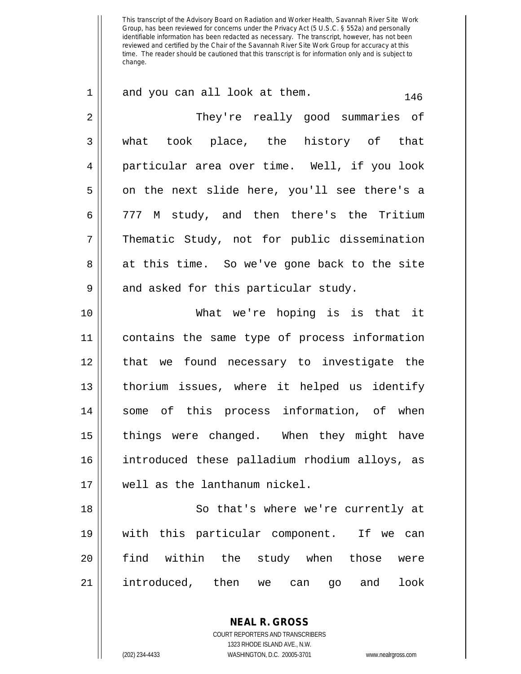$1 \parallel$  and you can all look at them.  $146$ 2 They're really good summaries of 3 what took place, the history of that 4 particular area over time. Well, if you look 5 || on the next slide here, you'll see there's a 6 777 M study, and then there's the Tritium 7 Thematic Study, not for public dissemination 8 at this time. So we've gone back to the site  $9 \parallel$  and asked for this particular study. 10 What we're hoping is is that it 11 contains the same type of process information 12 that we found necessary to investigate the 13 thorium issues, where it helped us identify 14 || some of this process information, of when 15 things were changed. When they might have 16 introduced these palladium rhodium alloys, as 17 well as the lanthanum nickel. 18 || So that's where we're currently at 19 with this particular component. If we can 20 || find within the study when those were 21 introduced, then we can go and look

> COURT REPORTERS AND TRANSCRIBERS 1323 RHODE ISLAND AVE., N.W. (202) 234-4433 WASHINGTON, D.C. 20005-3701 www.nealrgross.com

**NEAL R. GROSS**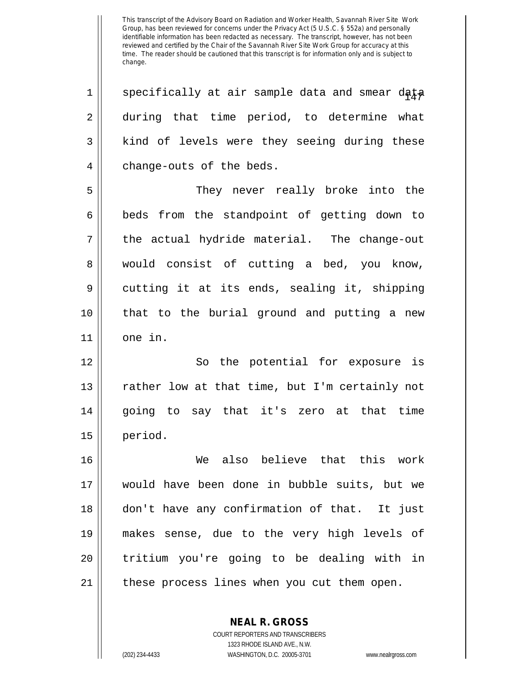1 || specifically at air sample data and smear data 2 during that time period, to determine what 3 || kind of levels were they seeing during these 4 | change-outs of the beds. 5 They never really broke into the  $6 \parallel$  beds from the standpoint of getting down to  $7 \parallel$  the actual hydride material. The change-out 8 would consist of cutting a bed, you know, 9 cutting it at its ends, sealing it, shipping 10 || that to the burial ground and putting a new 11 one in. 12 || So the potential for exposure is 13 || rather low at that time, but I'm certainly not 14 going to say that it's zero at that time 15 period. 16 We also believe that this work 17 would have been done in bubble suits, but we 18 don't have any confirmation of that. It just 19 makes sense, due to the very high levels of 20 tritium you're going to be dealing with in

21 | these process lines when you cut them open.

**NEAL R. GROSS** COURT REPORTERS AND TRANSCRIBERS

1323 RHODE ISLAND AVE., N.W. (202) 234-4433 WASHINGTON, D.C. 20005-3701 www.nealrgross.com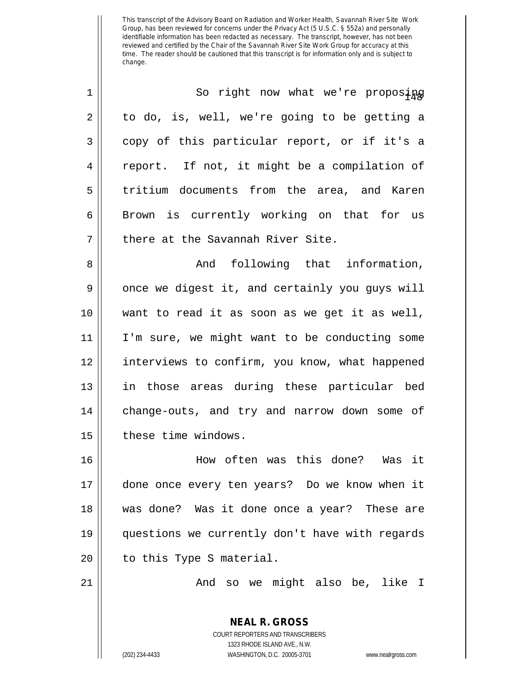| $\mathbf 1$ | So right now what we're proposing              |
|-------------|------------------------------------------------|
| 2           | to do, is, well, we're going to be getting a   |
| 3           | copy of this particular report, or if it's a   |
| 4           | report. If not, it might be a compilation of   |
| 5           | tritium documents from the area, and Karen     |
| 6           | Brown is currently working on that for us      |
| 7           | there at the Savannah River Site.              |
| 8           | following that information,<br>And             |
| 9           | once we digest it, and certainly you guys will |
| 10          | want to read it as soon as we get it as well,  |
| 11          | I'm sure, we might want to be conducting some  |
| 12          | interviews to confirm, you know, what happened |
| 13          | in those areas during these particular bed     |
| 14          | change-outs, and try and narrow down some of   |
| 15          | these time windows.                            |
| 16          | How often was this done?<br>Was it             |
| 17          | done once every ten years? Do we know when it  |
| 18          | was done? Was it done once a year? These are   |
| 19          | questions we currently don't have with regards |
| 20          | to this Type S material.                       |
| 21          | And so we might also be, like I                |

**NEAL R. GROSS** COURT REPORTERS AND TRANSCRIBERS 1323 RHODE ISLAND AVE., N.W. (202) 234-4433 WASHINGTON, D.C. 20005-3701 www.nealrgross.com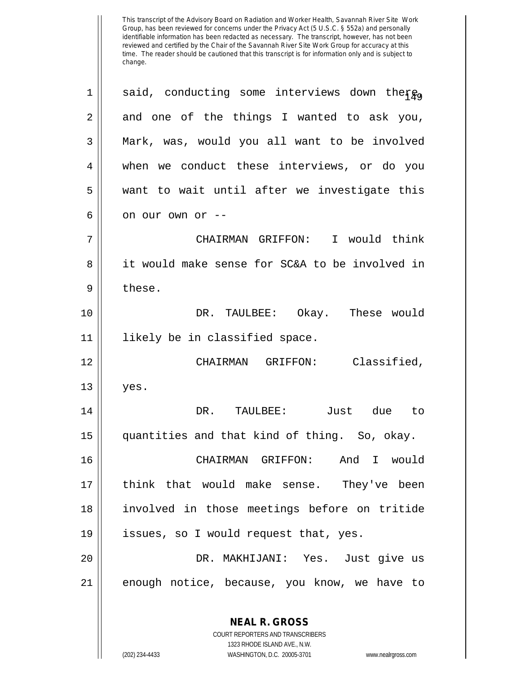| $\mathbf 1$ | said, conducting some interviews down thergq             |
|-------------|----------------------------------------------------------|
| 2           | and one of the things I wanted to ask you,               |
| 3           | Mark, was, would you all want to be involved             |
| 4           | when we conduct these interviews, or do you              |
| 5           | want to wait until after we investigate this             |
| 6           | on our own or --                                         |
| 7           | CHAIRMAN GRIFFON: I would think                          |
| 8           | it would make sense for SC&A to be involved in           |
| 9           | these.                                                   |
| 10          | DR. TAULBEE: Okay. These would                           |
| 11          | likely be in classified space.                           |
| 12          | CHAIRMAN GRIFFON: Classified,                            |
| 13          | yes.                                                     |
| 14          | DR. TAULBEE: Just due<br>to                              |
| 15          | quantities and that kind of thing. So, okay.             |
| 16          | CHAIRMAN GRIFFON:<br>And<br>I would                      |
| 17          | think that would make sense. They've been                |
| 18          | involved in those meetings before on tritide             |
| 19          | issues, so I would request that, yes.                    |
| 20          | DR. MAKHIJANI: Yes. Just give us                         |
| 21          | enough notice, because, you know, we have to             |
|             |                                                          |
|             | <b>NEAL R. GROSS</b><br>COURT REPORTERS AND TRANSCRIBERS |

1323 RHODE ISLAND AVE., N.W.

 $\mathsf{II}$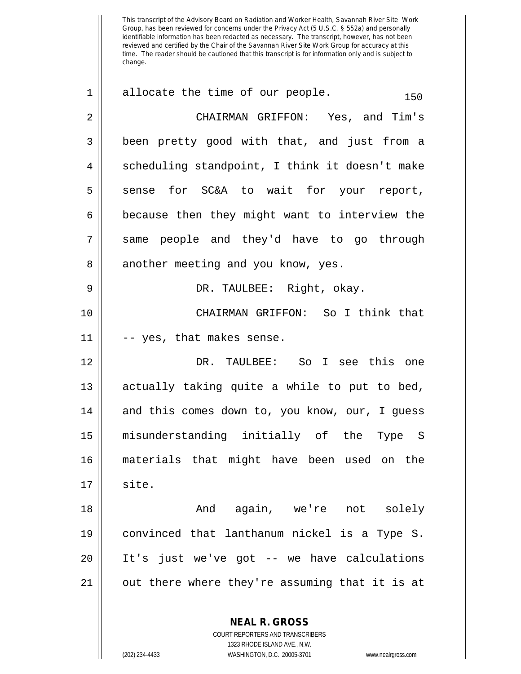**NEAL R. GROSS**  $1 \parallel$  allocate the time of our people.  $150$ 2 CHAIRMAN GRIFFON: Yes, and Tim's 3 || been pretty good with that, and just from a 4 || scheduling standpoint, I think it doesn't make 5 || sense for SC&A to wait for your report,  $6 \parallel$  because then they might want to interview the 7 || same people and they'd have to go through 8 || another meeting and you know, yes. 9 DR. TAULBEE: Right, okay. 10 CHAIRMAN GRIFFON: So I think that  $11$   $\parallel$  -- yes, that makes sense. 12 DR. TAULBEE: So I see this one 13 || actually taking quite a while to put to bed, 14 || and this comes down to, you know, our, I guess 15 misunderstanding initially of the Type S 16 materials that might have been used on the  $17 \parallel$  site. 18 And again, we're not solely 19 convinced that lanthanum nickel is a Type S. 20 It's just we've got -- we have calculations  $21$  | out there where they're assuming that it is at

> COURT REPORTERS AND TRANSCRIBERS 1323 RHODE ISLAND AVE., N.W.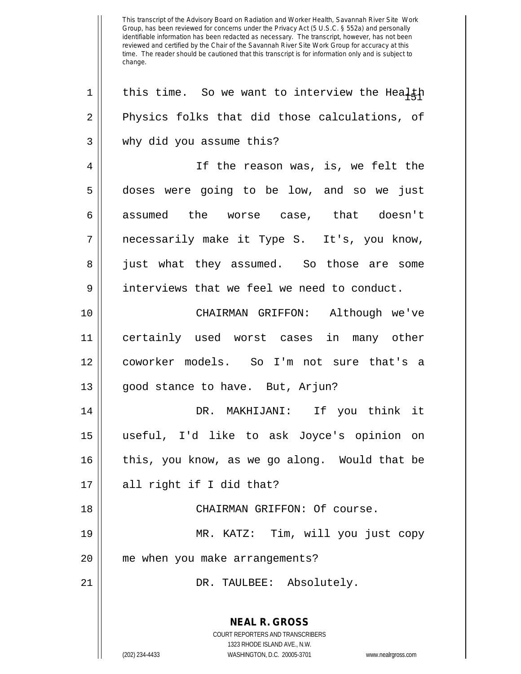This transcript of the Advisory Board on Radiation and Worker Health, Savannah River Site Work Group, has been reviewed for concerns under the Privacy Act (5 U.S.C. § 552a) and personally identifiable information has been redacted as necessary. The transcript, however, has not been reviewed and certified by the Chair of the Savannah River Site Work Group for accuracy at this time. The reader should be cautioned that this transcript is for information only and is subject to change. **NEAL R. GROSS** COURT REPORTERS AND TRANSCRIBERS 1323 RHODE ISLAND AVE., N.W. 1 || this time. So we want to interview the Health 2 **Physics folks that did those calculations, of** 3 why did you assume this? 4 || If the reason was, is, we felt the 5 doses were going to be low, and so we just 6 $\parallel$  assumed the worse case, that doesn't 7 necessarily make it Type S. It's, you know, 8 || just what they assumed. So those are some 9 | interviews that we feel we need to conduct. 10 CHAIRMAN GRIFFON: Although we've 11 certainly used worst cases in many other 12 coworker models. So I'm not sure that's a 13 || good stance to have. But, Arjun? 14 DR. MAKHIJANI: If you think it 15 useful, I'd like to ask Joyce's opinion on 16 || this, you know, as we go along. Would that be 17 || all right if I did that? 18 || CHAIRMAN GRIFFON: Of course. 19 MR. KATZ: Tim, will you just copy 20 me when you make arrangements? 21 DR. TAULBEE: Absolutely.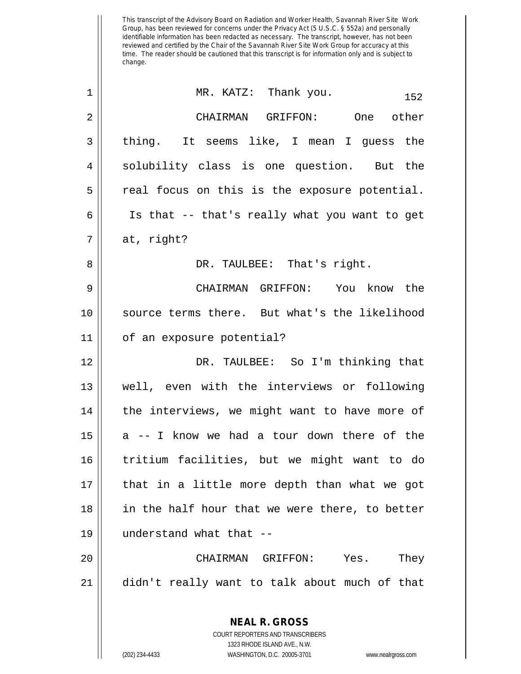| 1  | MR. KATZ: Thank you.<br>152                    |
|----|------------------------------------------------|
| 2  | CHAIRMAN GRIFFON: One other                    |
| 3  | thing. It seems like, I mean I quess the       |
| 4  | solubility class is one question. But the      |
| 5  | real focus on this is the exposure potential.  |
| 6  | Is that -- that's really what you want to get  |
| 7  | at, right?                                     |
| 8  | DR. TAULBEE: That's right.                     |
| 9  | CHAIRMAN GRIFFON: You know the                 |
| 10 | source terms there. But what's the likelihood  |
| 11 | of an exposure potential?                      |
| 12 | DR. TAULBEE: So I'm thinking that              |
| 13 | well, even with the interviews or following    |
| 14 | the interviews, we might want to have more of  |
| 15 | a -- I know we had a tour down there of the    |
| 16 | tritium facilities, but we might want to do    |
| 17 | that in a little more depth than what we got   |
| 18 | in the half hour that we were there, to better |
| 19 | understand what that --                        |
| 20 | CHAIRMAN GRIFFON:<br>They<br>Yes.              |
| 21 | didn't really want to talk about much of that  |
|    | <b>NEAL R. GROSS</b>                           |
|    | COURT REPORTERS AND TRANSCRIBERS               |

1323 RHODE ISLAND AVE., N.W.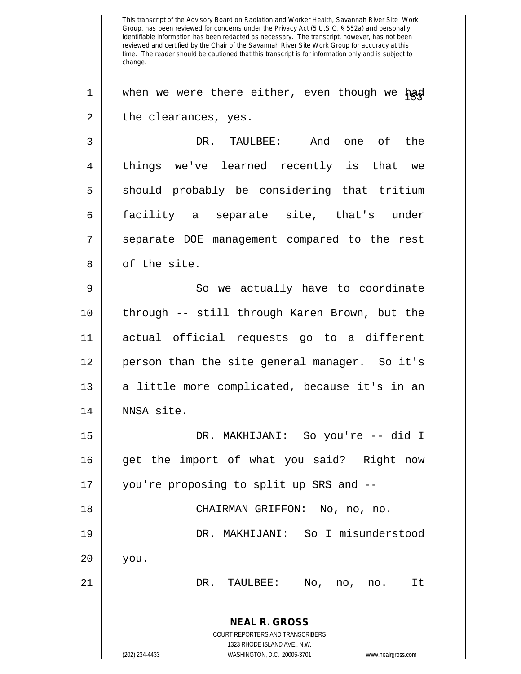This transcript of the Advisory Board on Radiation and Worker Health, Savannah River Site Work Group, has been reviewed for concerns under the Privacy Act (5 U.S.C. § 552a) and personally identifiable information has been redacted as necessary. The transcript, however, has not been reviewed and certified by the Chair of the Savannah River Site Work Group for accuracy at this time. The reader should be cautioned that this transcript is for information only and is subject to change. **NEAL R. GROSS** COURT REPORTERS AND TRANSCRIBERS 1323 RHODE ISLAND AVE., N.W. (202) 234-4433 WASHINGTON, D.C. 20005-3701 www.nealrgross.com 1 When we were there either, even though we had  $2 \parallel$  the clearances, yes. 3 DR. TAULBEE: And one of the 4 || things we've learned recently is that we  $5 \parallel$  should probably be considering that tritium 6 facility a separate site, that's under 7 || separate DOE management compared to the rest 8 || of the site. 9 || So we actually have to coordinate 10 || through -- still through Karen Brown, but the 11 actual official requests go to a different 12 person than the site general manager. So it's 13 || a little more complicated, because it's in an 14 || NNSA site. 15 DR. MAKHIJANI: So you're -- did I 16 || qet the import of what you said? Right now 17 || you're proposing to split up SRS and --18 CHAIRMAN GRIFFON: No, no, no. 19 DR. MAKHIJANI: So I misunderstood  $20$  | you. 21 DR. TAULBEE: No, no, no. It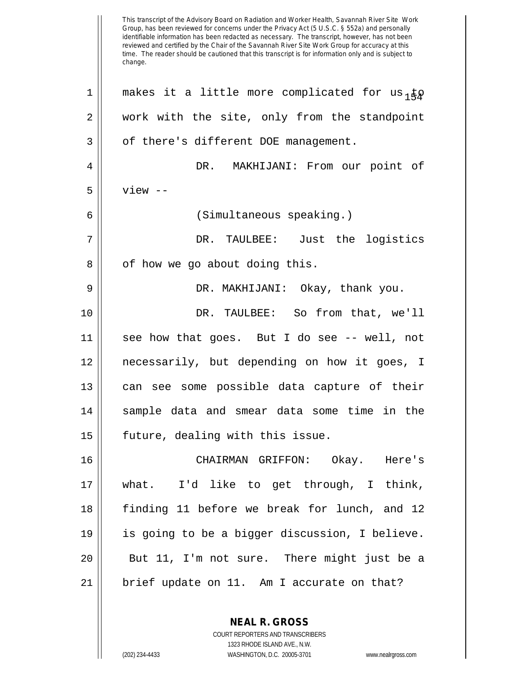This transcript of the Advisory Board on Radiation and Worker Health, Savannah River Site Work Group, has been reviewed for concerns under the Privacy Act (5 U.S.C. § 552a) and personally identifiable information has been redacted as necessary. The transcript, however, has not been reviewed and certified by the Chair of the Savannah River Site Work Group for accuracy at this time. The reader should be cautioned that this transcript is for information only and is subject to change. 1 || makes it a little more complicated for us  $_{1}$  $_{5}$ 2 work with the site, only from the standpoint 3 | of there's different DOE management. 4 DR. MAKHIJANI: From our point of  $5 \parallel$  view  $-$ 6 (Simultaneous speaking.) 7 DR. TAULBEE: Just the logistics 8 | of how we go about doing this. 9 DR. MAKHIJANI: Okay, thank you. 10 || DR. TAULBEE: So from that, we'll 11 see how that goes. But I do see -- well, not 12 necessarily, but depending on how it goes, I 13 || can see some possible data capture of their 14 || sample data and smear data some time in the 15 || future, dealing with this issue. 16 CHAIRMAN GRIFFON: Okay. Here's 17 what. I'd like to get through, I think, 18 finding 11 before we break for lunch, and 12 19 is going to be a bigger discussion, I believe. 20 || But 11, I'm not sure. There might just be a 21 | brief update on 11. Am I accurate on that?

> **NEAL R. GROSS** COURT REPORTERS AND TRANSCRIBERS 1323 RHODE ISLAND AVE., N.W.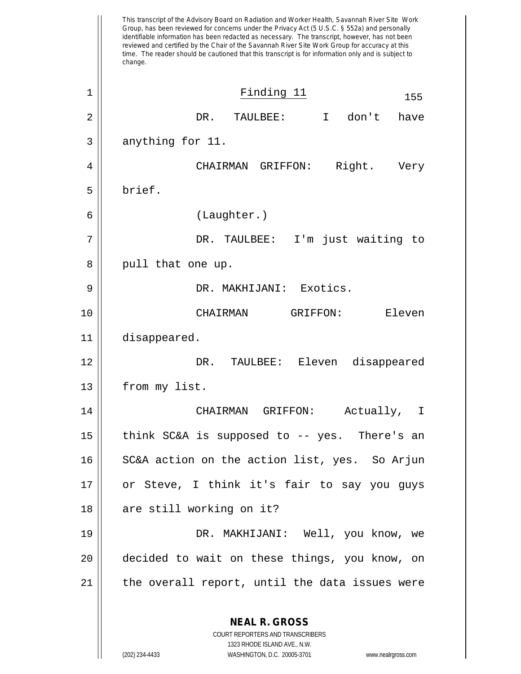This transcript of the Advisory Board on Radiation and Worker Health, Savannah River Site Work Group, has been reviewed for concerns under the Privacy Act (5 U.S.C. § 552a) and personally identifiable information has been redacted as necessary. The transcript, however, has not been reviewed and certified by the Chair of the Savannah River Site Work Group for accuracy at this time. The reader should be cautioned that this transcript is for information only and is subject to change. **NEAL R. GROSS** COURT REPORTERS AND TRANSCRIBERS 1323 RHODE ISLAND AVE., N.W.  $\begin{array}{c|c|c|c|c} 1 & \text{Finding } 11 & \text{155} \end{array}$ 2 DR. TAULBEE: I don't have  $3 \parallel$  anything for 11. 4 CHAIRMAN GRIFFON: Right. Very 5 brief. 6 (Laughter.) 7 DR. TAULBEE: I'm just waiting to 8 || pull that one up. 9 || DR. MAKHIJANI: Exotics. 10 CHAIRMAN GRIFFON: Eleven 11 disappeared. 12 DR. TAULBEE: Eleven disappeared 13 | from my list. 14 CHAIRMAN GRIFFON: Actually, I 15 think SC&A is supposed to -- yes. There's an 16 || SC&A action on the action list, yes. So Arjun 17 or Steve, I think it's fair to say you guys 18 || are still working on it? 19 DR. MAKHIJANI: Well, you know, we 20 || decided to wait on these things, you know, on  $21$  | the overall report, until the data issues were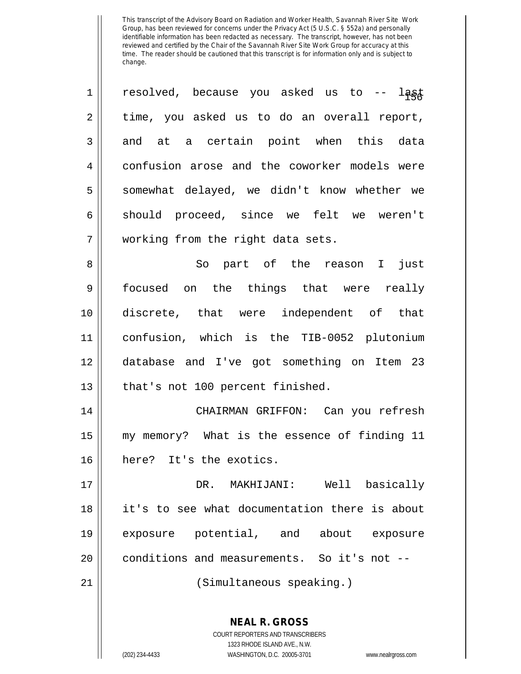$1||$  resolved, because you asked us to -- last  $2 \parallel$  time, you asked us to do an overall report, 3 $\parallel$  and at a certain point when this data 4 || confusion arose and the coworker models were 5 || somewhat delayed, we didn't know whether we  $6 \parallel$  should proceed, since we felt we weren't 7 working from the right data sets.

8 So part of the reason I just 9 focused on the things that were really 10 discrete, that were independent of that 11 confusion, which is the TIB-0052 plutonium 12 database and I've got something on Item 23 13 || that's not 100 percent finished.

14 CHAIRMAN GRIFFON: Can you refresh 15 my memory? What is the essence of finding 11 16 here? It's the exotics.

17 DR. MAKHIJANI: Well basically 18 it's to see what documentation there is about 19 exposure potential, and about exposure 20 | conditions and measurements. So it's not --

21 (Simultaneous speaking.)

**NEAL R. GROSS** COURT REPORTERS AND TRANSCRIBERS

1323 RHODE ISLAND AVE., N.W.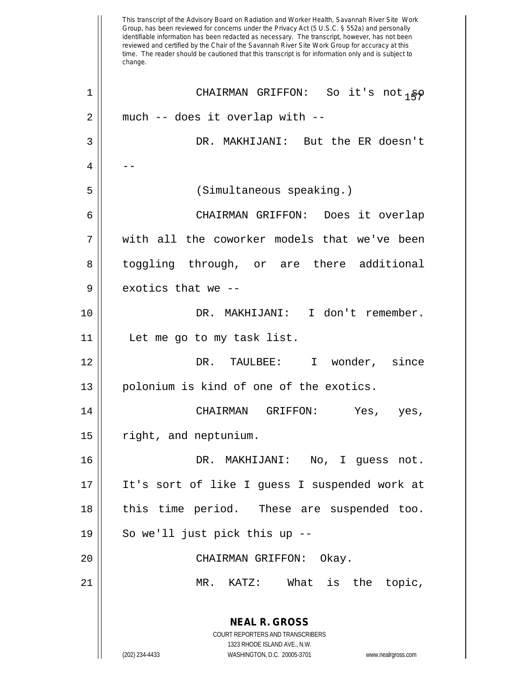This transcript of the Advisory Board on Radiation and Worker Health, Savannah River Site Work Group, has been reviewed for concerns under the Privacy Act (5 U.S.C. § 552a) and personally identifiable information has been redacted as necessary. The transcript, however, has not been reviewed and certified by the Chair of the Savannah River Site Work Group for accuracy at this time. The reader should be cautioned that this transcript is for information only and is subject to change. **NEAL R. GROSS** COURT REPORTERS AND TRANSCRIBERS 1323 RHODE ISLAND AVE., N.W. (202) 234-4433 WASHINGTON, D.C. 20005-3701 www.nealrgross.com <sup>157</sup> 1 CHAIRMAN GRIFFON: So it's not so  $2 \parallel$  much -- does it overlap with --3 DR. MAKHIJANI: But the ER doesn't  $4 \parallel - -$ 5 (Simultaneous speaking.) 6 CHAIRMAN GRIFFON: Does it overlap  $7 \parallel$  with all the coworker models that we've been 8 toggling through, or are there additional  $9 \parallel$  exotics that we --10 DR. MAKHIJANI: I don't remember. 11 | Let me go to my task list. 12 DR. TAULBEE: I wonder, since 13 || polonium is kind of one of the exotics. 14 CHAIRMAN GRIFFON: Yes, yes, 15 | right, and neptunium. 16 DR. MAKHIJANI: No, I guess not. 17 It's sort of like I guess I suspended work at 18 || this time period. These are suspended too.  $19 \parallel$  So we'll just pick this up --20 || CHAIRMAN GRIFFON: Okay. 21 || MR. KATZ: What is the topic,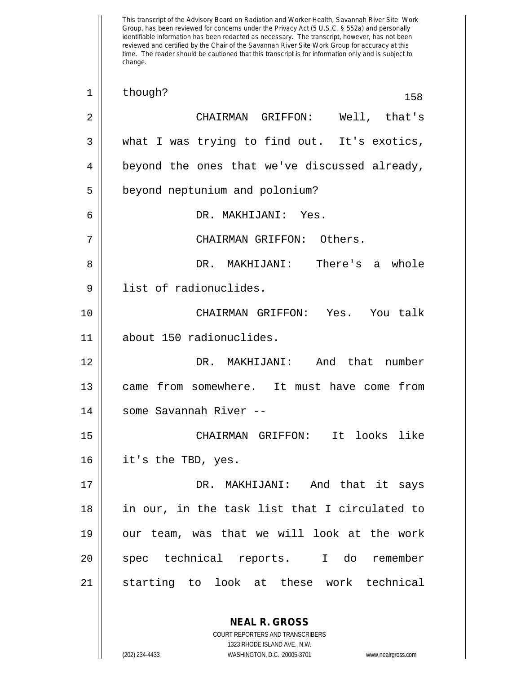This transcript of the Advisory Board on Radiation and Worker Health, Savannah River Site Work Group, has been reviewed for concerns under the Privacy Act (5 U.S.C. § 552a) and personally identifiable information has been redacted as necessary. The transcript, however, has not been reviewed and certified by the Chair of the Savannah River Site Work Group for accuracy at this time. The reader should be cautioned that this transcript is for information only and is subject to change. <sup>158</sup> 1 though? 2 CHAIRMAN GRIFFON: Well, that's  $3 \parallel$  what I was trying to find out. It's exotics, 4 || beyond the ones that we've discussed already, 5 | beyond neptunium and polonium? 6 DR. MAKHIJANI: Yes. 7 CHAIRMAN GRIFFON: Others. 8 DR. MAKHIJANI: There's a whole 9 || list of radionuclides. 10 CHAIRMAN GRIFFON: Yes. You talk 11 about 150 radionuclides. 12 DR. MAKHIJANI: And that number 13 came from somewhere. It must have come from 14 || some Savannah River --15 CHAIRMAN GRIFFON: It looks like 16 it's the TBD, yes. 17 DR. MAKHIJANI: And that it says 18 in our, in the task list that I circulated to 19 our team, was that we will look at the work 20 || spec technical reports. I do remember 21 starting to look at these work technical

> **NEAL R. GROSS** COURT REPORTERS AND TRANSCRIBERS 1323 RHODE ISLAND AVE., N.W.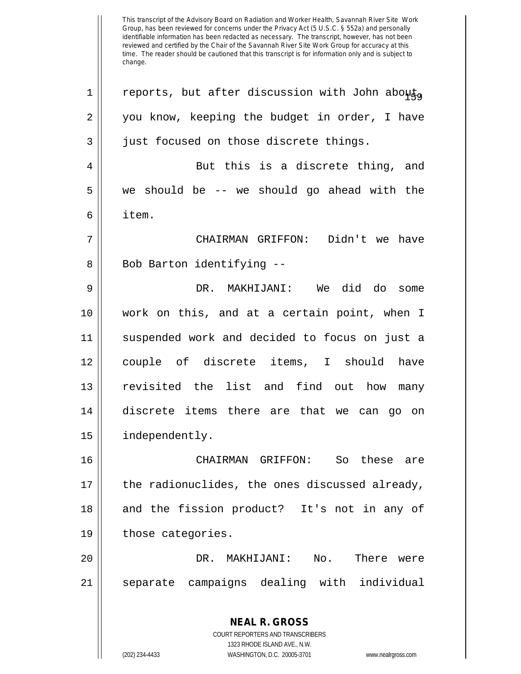This transcript of the Advisory Board on Radiation and Worker Health, Savannah River Site Work Group, has been reviewed for concerns under the Privacy Act (5 U.S.C. § 552a) and personally identifiable information has been redacted as necessary. The transcript, however, has not been reviewed and certified by the Chair of the Savannah River Site Work Group for accuracy at this time. The reader should be cautioned that this transcript is for information only and is subject to change. **NEAL R. GROSS** COURT REPORTERS AND TRANSCRIBERS 1323 RHODE ISLAND AVE., N.W. 1 | reports, but after discussion with John about 2 || you know, keeping the budget in order, I have 3 || just focused on those discrete things. 4 || But this is a discrete thing, and 5 we should be -- we should go ahead with the 6 item. 7 CHAIRMAN GRIFFON: Didn't we have 8 || Bob Barton identifying --9 DR. MAKHIJANI: We did do some 10 work on this, and at a certain point, when I 11 || suspended work and decided to focus on just a 12 couple of discrete items, I should have 13 revisited the list and find out how many 14 discrete items there are that we can go on 15 | independently. 16 CHAIRMAN GRIFFON: So these are  $17$  || the radionuclides, the ones discussed already, 18 and the fission product? It's not in any of 19 || those categories. 20 DR. MAKHIJANI: No. There were 21 || separate campaigns dealing with individual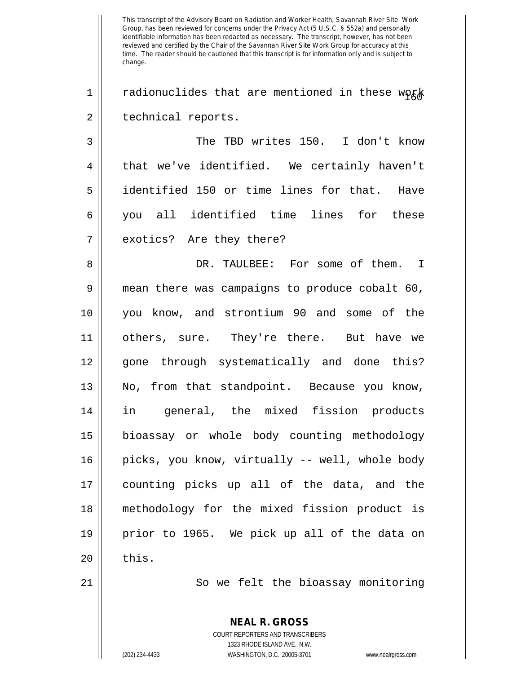1 $\parallel$  radionuclides that are mentioned in these work 2 | technical reports.

3 The TBD writes 150. I don't know 4 || that we've identified. We certainly haven't 5 identified 150 or time lines for that. Have 6 you all identified time lines for these 7 || exotics? Are they there?

8 DR. TAULBEE: For some of them. I 9 mean there was campaigns to produce cobalt 60, 10 you know, and strontium 90 and some of the 11 others, sure. They're there. But have we 12 gone through systematically and done this? 13 No, from that standpoint. Because you know, 14 in general, the mixed fission products 15 bioassay or whole body counting methodology 16 picks, you know, virtually -- well, whole body 17 counting picks up all of the data, and the 18 methodology for the mixed fission product is 19 prior to 1965. We pick up all of the data on  $20$   $\parallel$  this.

21 || So we felt the bioassay monitoring

**NEAL R. GROSS** COURT REPORTERS AND TRANSCRIBERS 1323 RHODE ISLAND AVE., N.W. (202) 234-4433 WASHINGTON, D.C. 20005-3701 www.nealrgross.com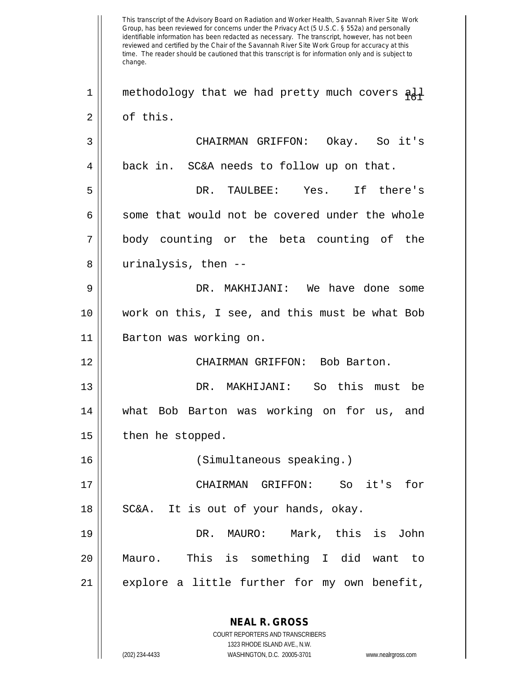This transcript of the Advisory Board on Radiation and Worker Health, Savannah River Site Work Group, has been reviewed for concerns under the Privacy Act (5 U.S.C. § 552a) and personally identifiable information has been redacted as necessary. The transcript, however, has not been reviewed and certified by the Chair of the Savannah River Site Work Group for accuracy at this time. The reader should be cautioned that this transcript is for information only and is subject to change. **NEAL R. GROSS** COURT REPORTERS AND TRANSCRIBERS 1323 RHODE ISLAND AVE., N.W. 1 || methodology that we had pretty much covers  $a\lambda$  $2 \parallel$  of this. 3 CHAIRMAN GRIFFON: Okay. So it's 4 || back in. SC&A needs to follow up on that. 5 DR. TAULBEE: Yes. If there's  $6 \parallel$  some that would not be covered under the whole 7 body counting or the beta counting of the 8 urinalysis, then -- 9 DR. MAKHIJANI: We have done some 10 work on this, I see, and this must be what Bob 11 Barton was working on. 12 CHAIRMAN GRIFFON: Bob Barton. 13 DR. MAKHIJANI: So this must be 14 what Bob Barton was working on for us, and 15 | then he stopped. 16 (Simultaneous speaking.) 17 CHAIRMAN GRIFFON: So it's for 18 || SC&A. It is out of your hands, okay. 19 DR. MAURO: Mark, this is John 20 Mauro. This is something I did want to 21 || explore a little further for my own benefit,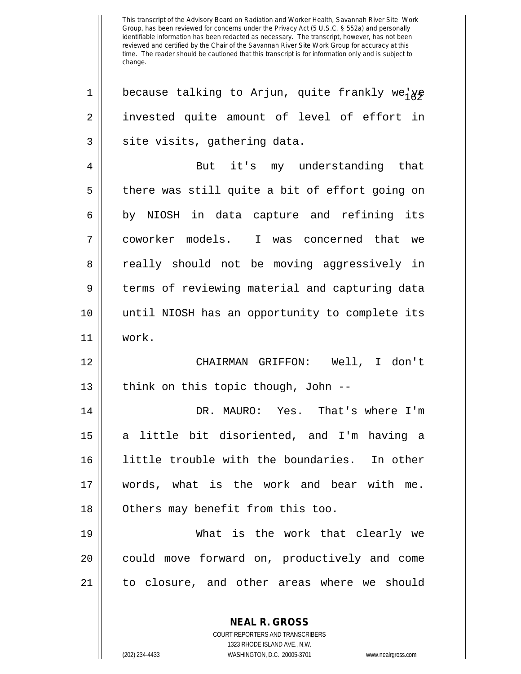This transcript of the Advisory Board on Radiation and Worker Health, Savannah River Site Work Group, has been reviewed for concerns under the Privacy Act (5 U.S.C. § 552a) and personally identifiable information has been redacted as necessary. The transcript, however, has not been reviewed and certified by the Chair of the Savannah River Site Work Group for accuracy at this time. The reader should be cautioned that this transcript is for information only and is subject to change. **NEAL R. GROSS** 1 || because talking to Arjun, quite frankly we¦ $\chi$ e 2 || invested quite amount of level of effort in  $3 \parallel$  site visits, gathering data. 4 || But it's my understanding that  $5 \parallel$  there was still quite a bit of effort going on  $6 \parallel$  by NIOSH in data capture and refining its 7 coworker models. I was concerned that we 8 a really should not be moving aggressively in 9 || terms of reviewing material and capturing data 10 until NIOSH has an opportunity to complete its 11 work. 12 CHAIRMAN GRIFFON: Well, I don't 13 || think on this topic though, John --14 DR. MAURO: Yes. That's where I'm 15 a little bit disoriented, and I'm having a 16 little trouble with the boundaries. In other 17 words, what is the work and bear with me. 18 || Others may benefit from this too. 19 What is the work that clearly we 20 || could move forward on, productively and come 21 to closure, and other areas where we should

> COURT REPORTERS AND TRANSCRIBERS 1323 RHODE ISLAND AVE., N.W.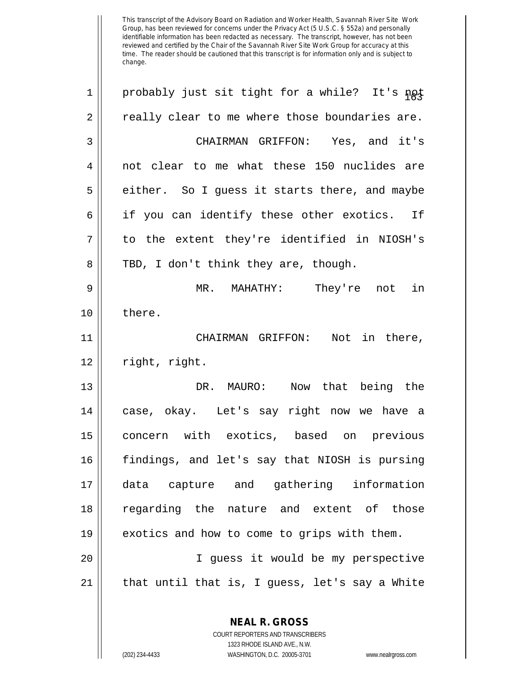| $\mathbf 1$ | probably just sit tight for a while? It's not  |
|-------------|------------------------------------------------|
| 2           | really clear to me where those boundaries are. |
| 3           | CHAIRMAN GRIFFON: Yes, and it's                |
| 4           | not clear to me what these 150 nuclides are    |
| 5           | either. So I guess it starts there, and maybe  |
| 6           | if you can identify these other exotics. If    |
| 7           | to the extent they're identified in NIOSH's    |
| 8           | TBD, I don't think they are, though.           |
| 9           | MR. MAHATHY: They're not in                    |
| 10          | there.                                         |
| 11          | CHAIRMAN GRIFFON: Not in there,                |
| 12          | right, right.                                  |
| 13          | DR. MAURO: Now that being the                  |
| 14          | case, okay. Let's say right now we have a      |
| 15          | concern with exotics, based on previous        |
| 16          | findings, and let's say that NIOSH is pursing  |
| 17          | data capture and gathering information         |
| 18          | regarding the nature and extent of those       |
| 19          | exotics and how to come to grips with them.    |
| 20          | I guess it would be my perspective             |
| 21          | that until that is, I guess, let's say a White |
|             | <b>NEAL R. GROSS</b>                           |

COURT REPORTERS AND TRANSCRIBERS 1323 RHODE ISLAND AVE., N.W. (202) 234-4433 WASHINGTON, D.C. 20005-3701 www.nealrgross.com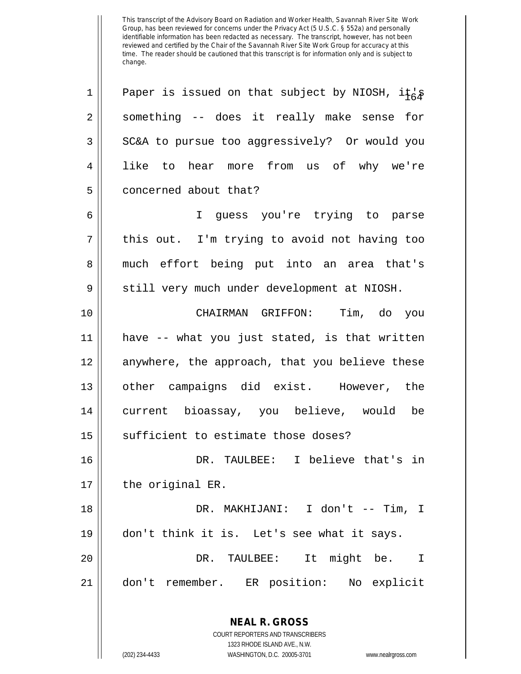This transcript of the Advisory Board on Radiation and Worker Health, Savannah River Site Work Group, has been reviewed for concerns under the Privacy Act (5 U.S.C. § 552a) and personally identifiable information has been redacted as necessary. The transcript, however, has not been reviewed and certified by the Chair of the Savannah River Site Work Group for accuracy at this time. The reader should be cautioned that this transcript is for information only and is subject to change. 1 || Paper is issued on that subject by NIOSH, it  $2 \parallel$  something -- does it really make sense for  $3 \parallel$  SC&A to pursue too aggressively? Or would you 4 like to hear more from us of why we're 5 ll concerned about that? 6 I guess you're trying to parse  $7 ||$  this out. I'm trying to avoid not having too 8 || much effort being put into an area that's 9 || still very much under development at NIOSH. 10 CHAIRMAN GRIFFON: Tim, do you 11 have -- what you just stated, is that written 12 || anywhere, the approach, that you believe these 13 other campaigns did exist. However, the 14 current bioassay, you believe, would be  $15$   $\parallel$  sufficient to estimate those doses? 16 DR. TAULBEE: I believe that's in  $17$  || the original ER.

18 DR. MAKHIJANI: I don't -- Tim, I 19 don't think it is. Let's see what it says. 20 DR. TAULBEE: It might be. I 21 don't remember. ER position: No explicit

> **NEAL R. GROSS** COURT REPORTERS AND TRANSCRIBERS 1323 RHODE ISLAND AVE., N.W.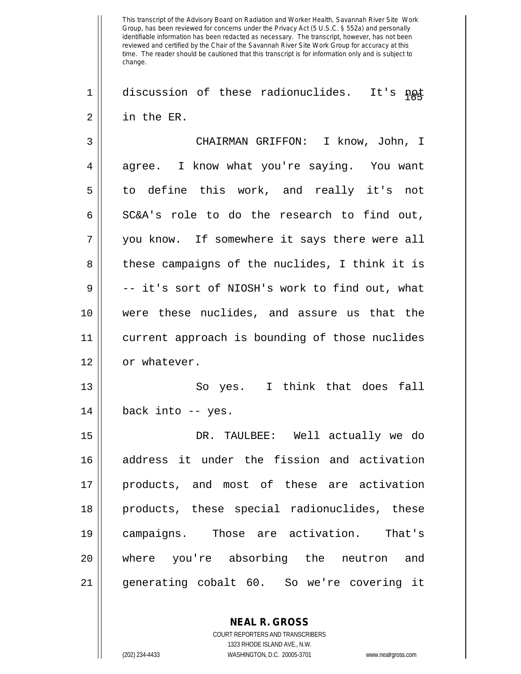This transcript of the Advisory Board on Radiation and Worker Health, Savannah River Site Work Group, has been reviewed for concerns under the Privacy Act (5 U.S.C. § 552a) and personally identifiable information has been redacted as necessary. The transcript, however, has not been reviewed and certified by the Chair of the Savannah River Site Work Group for accuracy at this time. The reader should be cautioned that this transcript is for information only and is subject to change. 1 $\parallel$  discussion of these radionuclides. It's net  $2 \parallel$  in the ER. 3 CHAIRMAN GRIFFON: I know, John, I 4 agree. I know what you're saying. You want 5 to define this work, and really it's not  $6 \parallel$  SC&A's role to do the research to find out, 7 you know. If somewhere it says there were all 8 || these campaigns of the nuclides, I think it is  $9 \parallel$  -- it's sort of NIOSH's work to find out, what 10 were these nuclides, and assure us that the 11 current approach is bounding of those nuclides 12 | or whatever. 13 So yes. I think that does fall  $14 \parallel$  back into  $-$  yes. 15 DR. TAULBEE: Well actually we do 16 address it under the fission and activation 17 || products, and most of these are activation 18 products, these special radionuclides, these 19 campaigns. Those are activation. That's 20 where you're absorbing the neutron and 21 generating cobalt 60. So we're covering it

> COURT REPORTERS AND TRANSCRIBERS 1323 RHODE ISLAND AVE., N.W. (202) 234-4433 WASHINGTON, D.C. 20005-3701 www.nealrgross.com

**NEAL R. GROSS**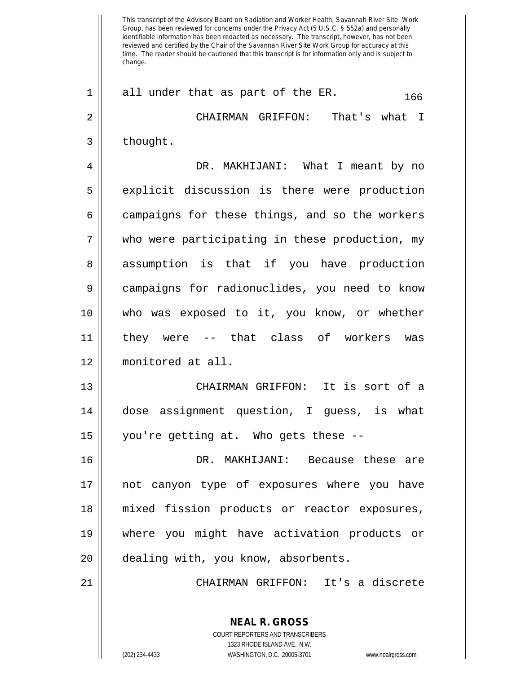This transcript of the Advisory Board on Radiation and Worker Health, Savannah River Site Work Group, has been reviewed for concerns under the Privacy Act (5 U.S.C. § 552a) and personally identifiable information has been redacted as necessary. The transcript, however, has not been reviewed and certified by the Chair of the Savannah River Site Work Group for accuracy at this time. The reader should be cautioned that this transcript is for information only and is subject to change. **NEAL R. GROSS** COURT REPORTERS AND TRANSCRIBERS 1323 RHODE ISLAND AVE., N.W.  $1\parallel$  all under that as part of the ER.  $166$ 2 CHAIRMAN GRIFFON: That's what I  $3 \parallel$  thought. 4 DR. MAKHIJANI: What I meant by no 5 || explicit discussion is there were production  $6 \parallel$  campaigns for these things, and so the workers 7 || who were participating in these production, my 8 assumption is that if you have production 9 campaigns for radionuclides, you need to know 10 who was exposed to it, you know, or whether 11 they were -- that class of workers was 12 monitored at all. 13 CHAIRMAN GRIFFON: It is sort of a 14 dose assignment question, I guess, is what  $15$  | you're getting at. Who gets these  $-$ -16 DR. MAKHIJANI: Because these are 17 not canyon type of exposures where you have 18 mixed fission products or reactor exposures, 19 where you might have activation products or 20 dealing with, you know, absorbents. 21 CHAIRMAN GRIFFON: It's a discrete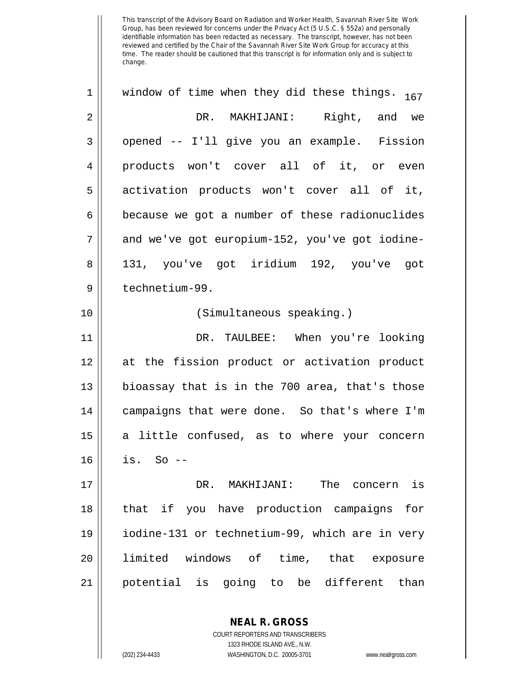| 1  | window of time when they did these things. 167 |
|----|------------------------------------------------|
| 2  | DR. MAKHIJANI: Right, and we                   |
| 3  | opened -- I'll give you an example. Fission    |
| 4  | products won't cover all of it, or even        |
| 5  | activation products won't cover all of it,     |
| 6  | because we got a number of these radionuclides |
| 7  | and we've got europium-152, you've got iodine- |
| 8  | 131, you've got iridium 192, you've got        |
| 9  | technetium-99.                                 |
| 10 | (Simultaneous speaking.)                       |
| 11 | DR. TAULBEE: When you're looking               |
| 12 | at the fission product or activation product   |
| 13 | bioassay that is in the 700 area, that's those |
| 14 | campaigns that were done. So that's where I'm  |
| 15 | a little confused, as to where your concern    |
| 16 | is. So $-$                                     |
| 17 | DR. MAKHIJANI: The concern is                  |
| 18 | that if you have production campaigns for      |
| 19 | iodine-131 or technetium-99, which are in very |
| 20 | limited windows of time, that exposure         |
| 21 | potential is going to be different than        |

**NEAL R. GROSS** COURT REPORTERS AND TRANSCRIBERS 1323 RHODE ISLAND AVE., N.W. (202) 234-4433 WASHINGTON, D.C. 20005-3701 www.nealrgross.com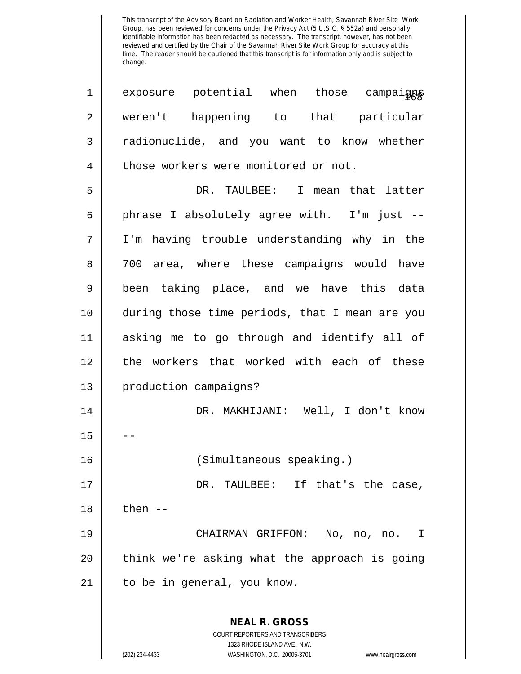| 1              | exposure potential when those campaigns                             |
|----------------|---------------------------------------------------------------------|
| $\overline{2}$ | weren't happening to that particular                                |
| 3              | radionuclide, and you want to know whether                          |
| 4              | those workers were monitored or not.                                |
| 5              | DR. TAULBEE: I mean that latter                                     |
| 6              | phrase I absolutely agree with. I'm just --                         |
| 7              | I'm having trouble understanding why in the                         |
| 8              | 700 area, where these campaigns would have                          |
| 9              | been taking place, and we have this data                            |
| 10             | during those time periods, that I mean are you                      |
| 11             | asking me to go through and identify all of                         |
| 12             | the workers that worked with each of these                          |
| 13             | production campaigns?                                               |
| 14             | DR. MAKHIJANI: Well, I don't know                                   |
| 15             |                                                                     |
| 16             | (Simultaneous speaking.)                                            |
| 17             | DR. TAULBEE: If that's the case,                                    |
| 18             | then $--$                                                           |
| 19             | CHAIRMAN GRIFFON: No, no, no.<br>T                                  |
| 20             | think we're asking what the approach is going                       |
| 21             | to be in general, you know.                                         |
|                | <b>NEAL R. GROSS</b>                                                |
|                | COURT REPORTERS AND TRANSCRIBERS<br>1323 RHODE ISLAND AVE., N.W.    |
|                | WASHINGTON, D.C. 20005-3701<br>(202) 234-4433<br>www.nealrgross.com |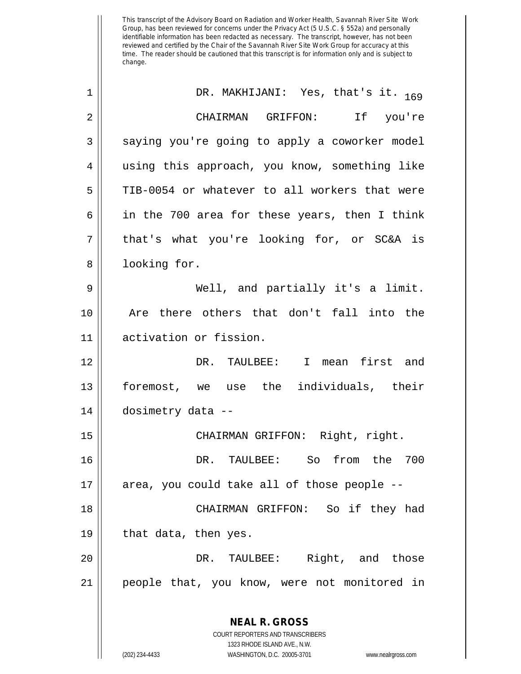| 1              | DR. MAKHIJANI: Yes, that's it. 169                       |
|----------------|----------------------------------------------------------|
| $\overline{2}$ | CHAIRMAN GRIFFON: If you're                              |
| 3              | saying you're going to apply a coworker model            |
| 4              | using this approach, you know, something like            |
| 5              | TIB-0054 or whatever to all workers that were            |
| 6              | in the 700 area for these years, then I think            |
| 7              | that's what you're looking for, or SC&A is               |
| 8              | looking for.                                             |
| 9              | Well, and partially it's a limit.                        |
| 10             | Are there others that don't fall into the                |
| 11             | activation or fission.                                   |
| 12             | DR. TAULBEE: I mean first and                            |
| 13             | foremost, we use the individuals, their                  |
| 14             | dosimetry data --                                        |
| 15             | CHAIRMAN GRIFFON: Right, right.                          |
| 16             | So<br>from the 700<br>DR. TAULBEE:                       |
| 17             | area, you could take all of those people --              |
| 18             | CHAIRMAN GRIFFON: So if they had                         |
| 19             | that data, then yes.                                     |
| 20             | Right, and those<br>DR. TAULBEE:                         |
| 21             | people that, you know, were not monitored in             |
|                | <b>NEAL R. GROSS</b><br>COURT REPORTERS AND TRANSCRIBERS |

1323 RHODE ISLAND AVE., N.W. (202) 234-4433 WASHINGTON, D.C. 20005-3701 www.nealrgross.com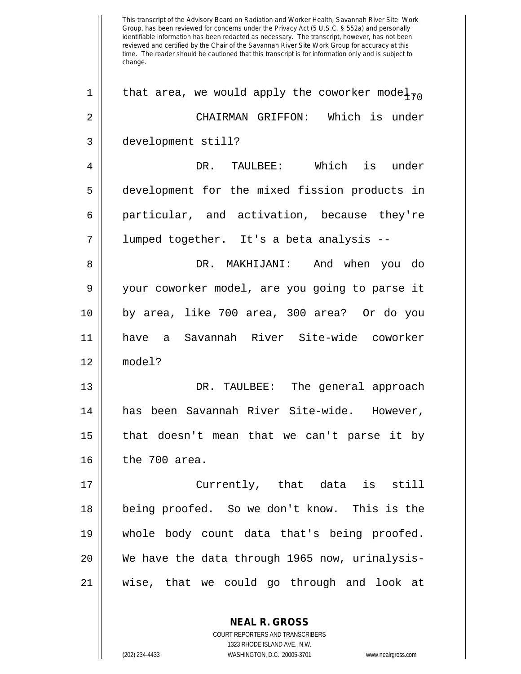This transcript of the Advisory Board on Radiation and Worker Health, Savannah River Site Work Group, has been reviewed for concerns under the Privacy Act (5 U.S.C. § 552a) and personally identifiable information has been redacted as necessary. The transcript, however, has not been reviewed and certified by the Chair of the Savannah River Site Work Group for accuracy at this time. The reader should be cautioned that this transcript is for information only and is subject to change. 1 | that area, we would apply the coworker model. 2 CHAIRMAN GRIFFON: Which is under 3 development still? 4 DR. TAULBEE: Which is under 5 development for the mixed fission products in 6 particular, and activation, because they're 7 lumped together. It's a beta analysis -- 8 DR. MAKHIJANI: And when you do 9 || your coworker model, are you going to parse it 10 by area, like 700 area, 300 area? Or do you 11 have a Savannah River Site-wide coworker 12 model? 13 DR. TAULBEE: The general approach 14 has been Savannah River Site-wide. However, 15 that doesn't mean that we can't parse it by  $16$  | the 700 area. 17 Currently, that data is still 18 being proofed. So we don't know. This is the 19 whole body count data that's being proofed. 20 We have the data through 1965 now, urinalysis-21 wise, that we could go through and look at

> COURT REPORTERS AND TRANSCRIBERS 1323 RHODE ISLAND AVE., N.W. (202) 234-4433 WASHINGTON, D.C. 20005-3701 www.nealrgross.com

**NEAL R. GROSS**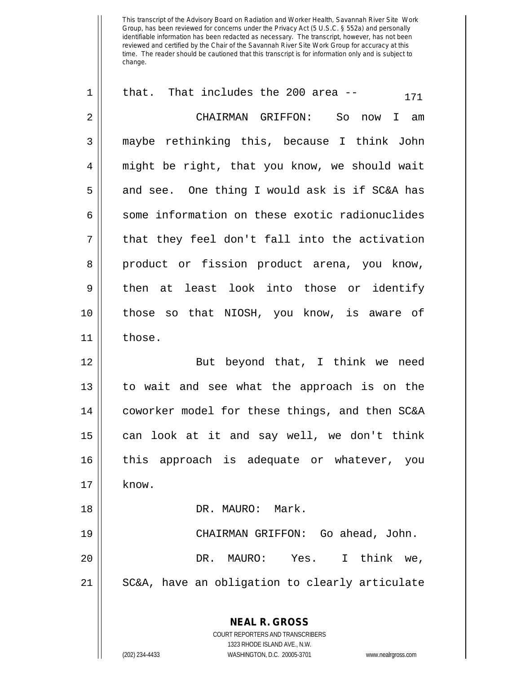| 1  | that. That includes the 200 area --<br>171                                                      |
|----|-------------------------------------------------------------------------------------------------|
| 2  | CHAIRMAN GRIFFON: So<br>now I am                                                                |
| 3  | maybe rethinking this, because I think John                                                     |
| 4  | might be right, that you know, we should wait                                                   |
| 5  | and see. One thing I would ask is if SC&A has                                                   |
| 6  | some information on these exotic radionuclides                                                  |
| 7  | that they feel don't fall into the activation                                                   |
| 8  | product or fission product arena, you know,                                                     |
| 9  | then at least look into those or identify                                                       |
| 10 | those so that NIOSH, you know, is aware of                                                      |
| 11 | those.                                                                                          |
| 12 | But beyond that, I think we need                                                                |
| 13 | to wait and see what the approach is on the                                                     |
| 14 | coworker model for these things, and then SC&A                                                  |
| 15 | can look at it and say well, we don't think                                                     |
| 16 | this approach is adequate or whatever, you                                                      |
| 17 | know.                                                                                           |
| 18 | DR. MAURO: Mark.                                                                                |
| 19 | CHAIRMAN GRIFFON: Go ahead, John.                                                               |
| 20 | DR. MAURO: Yes.<br>I think we,                                                                  |
| 21 | SC&A, have an obligation to clearly articulate                                                  |
|    |                                                                                                 |
|    | <b>NEAL R. GROSS</b><br><b>COURT REPORTERS AND TRANSCRIBERS</b><br>1323 RHODE ISLAND AVE., N.W. |

 $\frac{1}{2}$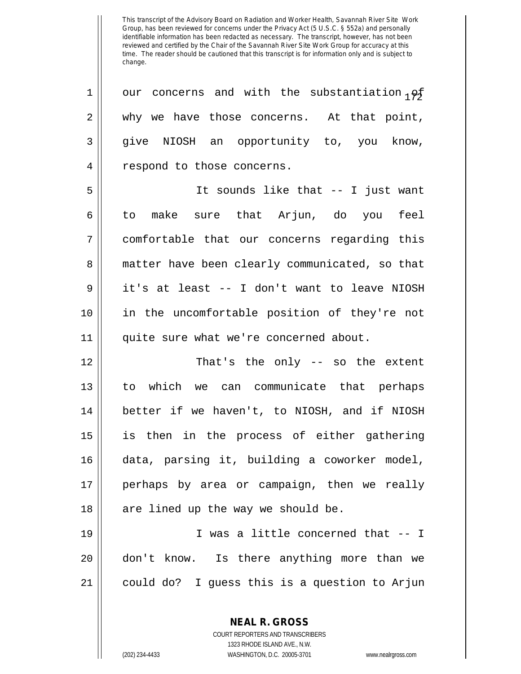| $\mathbf 1$ | our concerns and with the substantiation 195   |
|-------------|------------------------------------------------|
| 2           | why we have those concerns. At that point,     |
| 3           | give NIOSH an opportunity to, you know,        |
| 4           | respond to those concerns.                     |
| 5           | It sounds like that -- I just want             |
| 6           | to make sure that Arjun, do you feel           |
| 7           | comfortable that our concerns regarding this   |
| 8           | matter have been clearly communicated, so that |
| 9           | it's at least -- I don't want to leave NIOSH   |
| 10          | in the uncomfortable position of they're not   |
| 11          | quite sure what we're concerned about.         |
| 12          | That's the only -- so the extent               |
| 13          | to which we can communicate that perhaps       |
| 14          | better if we haven't, to NIOSH, and if NIOSH   |
| 15          | is then in the process of either gathering     |
| 16          | data, parsing it, building a coworker model,   |
| 17          | perhaps by area or campaign, then we really    |
| 18          | are lined up the way we should be.             |
| 19          | I was a little concerned that -- I             |
| 20          | don't know. Is there anything more than we     |
| 21          | could do? I guess this is a question to Arjun  |

**NEAL R. GROSS** COURT REPORTERS AND TRANSCRIBERS

1323 RHODE ISLAND AVE., N.W.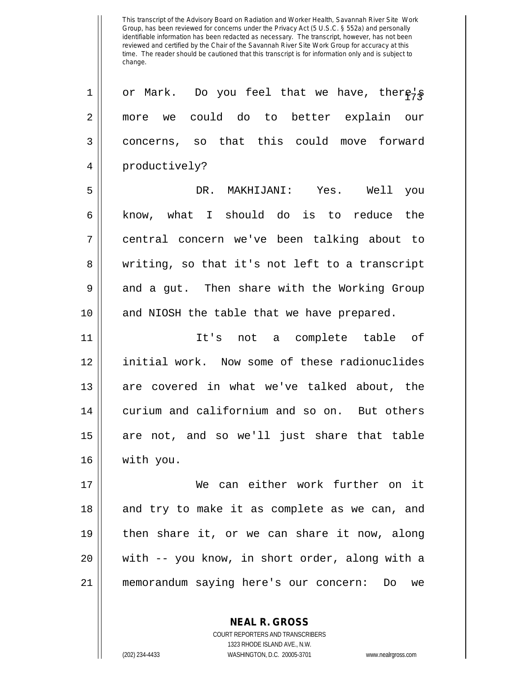| $\mathbf 1$    | or Mark. Do you feel that we have, there, s       |
|----------------|---------------------------------------------------|
| $\overline{2}$ | more we could do to better explain our            |
| 3              | concerns, so that this could move forward         |
| 4              | productively?                                     |
| 5              | DR. MAKHIJANI: Yes. Well you                      |
| 6              | know, what I should do is to reduce the           |
| 7              | central concern we've been talking about to       |
| 8              | writing, so that it's not left to a transcript    |
| 9              | and a gut. Then share with the Working Group      |
| 10             | and NIOSH the table that we have prepared.        |
| 11             | It's not a complete table of                      |
| 12             | initial work. Now some of these radionuclides     |
| 13             | are covered in what we've talked about, the       |
| 14             | curium and californium and so on. But others      |
| 15             | are not, and so we'll just share that table       |
| 16             | with you.                                         |
| 17             | We can either work further on it                  |
| 18             | and try to make it as complete as we can, and     |
| 19             | then share it, or we can share it now, along      |
| 20             | with -- you know, in short order, along with a    |
| 21             | memorandum saying here's our concern:<br>Do<br>we |

**NEAL R. GROSS** COURT REPORTERS AND TRANSCRIBERS

1323 RHODE ISLAND AVE., N.W.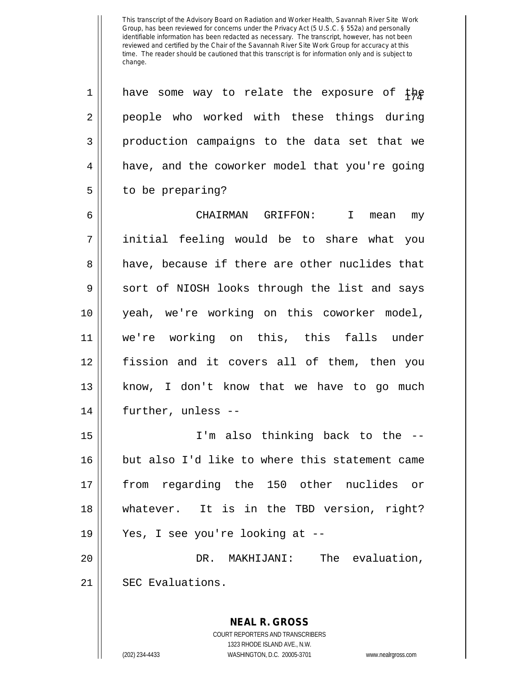1  $\parallel$  have some way to relate the exposure of the 2 people who worked with these things during 3 production campaigns to the data set that we 4 || have, and the coworker model that you're going  $5 \parallel$  to be preparing? 6 CHAIRMAN GRIFFON: I mean my 7 initial feeling would be to share what you 8 || have, because if there are other nuclides that 9 Sort of NIOSH looks through the list and says 10 yeah, we're working on this coworker model, 11 we're working on this, this falls under 12 fission and it covers all of them, then you 13 know, I don't know that we have to go much 14 further, unless -- 15 I'm also thinking back to the -- 16 but also I'd like to where this statement came 17 from regarding the 150 other nuclides or 18 whatever. It is in the TBD version, right? 19 Yes, I see you're looking at -- 20 DR. MAKHIJANI: The evaluation, 21 | SEC Evaluations.

> COURT REPORTERS AND TRANSCRIBERS 1323 RHODE ISLAND AVE., N.W. (202) 234-4433 WASHINGTON, D.C. 20005-3701 www.nealrgross.com

**NEAL R. GROSS**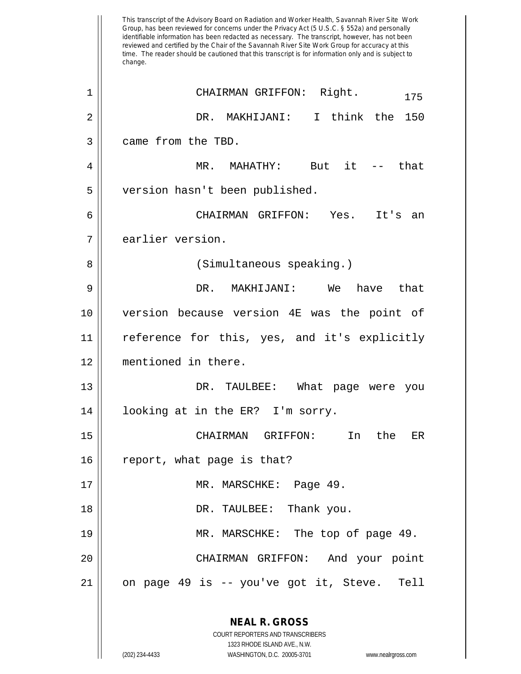This transcript of the Advisory Board on Radiation and Worker Health, Savannah River Site Work Group, has been reviewed for concerns under the Privacy Act (5 U.S.C. § 552a) and personally identifiable information has been redacted as necessary. The transcript, however, has not been reviewed and certified by the Chair of the Savannah River Site Work Group for accuracy at this time. The reader should be cautioned that this transcript is for information only and is subject to change. **NEAL R. GROSS** COURT REPORTERS AND TRANSCRIBERS 1323 RHODE ISLAND AVE., N.W. (202) 234-4433 WASHINGTON, D.C. 20005-3701 www.nealrgross.com <sup>175</sup> 1 CHAIRMAN GRIFFON: Right. 2 DR. MAKHIJANI: I think the 150 3 ll came from the TBD. 4 MR. MAHATHY: But it -- that 5 || version hasn't been published. 6 CHAIRMAN GRIFFON: Yes. It's an 7 earlier version. 8 || (Simultaneous speaking.) 9 DR. MAKHIJANI: We have that 10 version because version 4E was the point of 11 || reference for this, yes, and it's explicitly 12 mentioned in there. 13 DR. TAULBEE: What page were you 14 || looking at in the ER? I'm sorry. 15 CHAIRMAN GRIFFON: In the ER  $16$  | report, what page is that? 17 || MR. MARSCHKE: Page 49. 18 DR. TAULBEE: Thank you. 19 MR. MARSCHKE: The top of page 49. 20 || CHAIRMAN GRIFFON: And your point 21 on page 49 is -- you've got it, Steve. Tell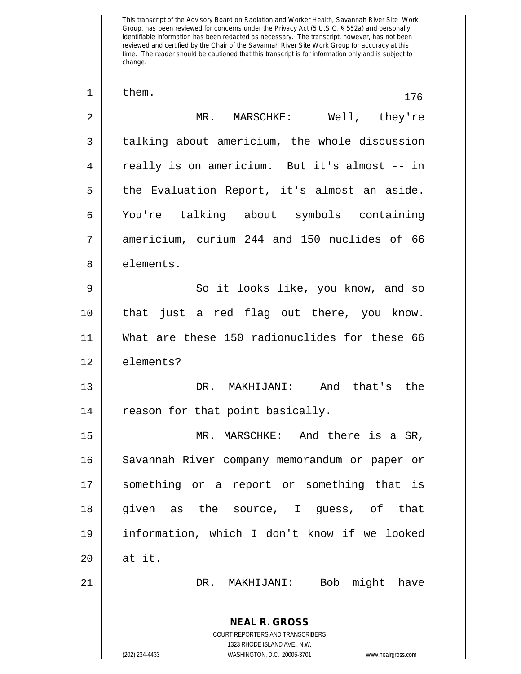This transcript of the Advisory Board on Radiation and Worker Health, Savannah River Site Work Group, has been reviewed for concerns under the Privacy Act (5 U.S.C. § 552a) and personally identifiable information has been redacted as necessary. The transcript, however, has not been reviewed and certified by the Chair of the Savannah River Site Work Group for accuracy at this time. The reader should be cautioned that this transcript is for information only and is subject to change. **NEAL R. GROSS** COURT REPORTERS AND TRANSCRIBERS 1323 RHODE ISLAND AVE., N.W. (202) 234-4433 WASHINGTON, D.C. 20005-3701 www.nealrgross.com  $\begin{array}{|c|c|c|c|c|}\n1 & \text{them.} & \text{176}\n\end{array}$ 2 MR. MARSCHKE: Well, they're 3 talking about americium, the whole discussion 4 || really is on americium. But it's almost -- in 5 || the Evaluation Report, it's almost an aside. 6 You're talking about symbols containing 7 americium, curium 244 and 150 nuclides of 66 8 l elements. 9 || So it looks like, you know, and so 10 that just a red flag out there, you know. 11 What are these 150 radionuclides for these 66 12 | elements? 13 DR. MAKHIJANI: And that's the  $14$  | reason for that point basically. 15 MR. MARSCHKE: And there is a SR, 16 Savannah River company memorandum or paper or 17 something or a report or something that is 18 given as the source, I guess, of that 19 information, which I don't know if we looked  $20$   $\parallel$  at it. 21 DR. MAKHIJANI: Bob might have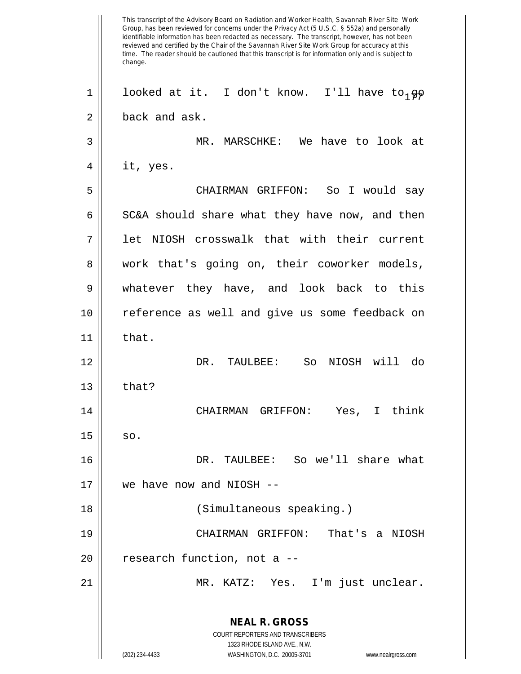This transcript of the Advisory Board on Radiation and Worker Health, Savannah River Site Work Group, has been reviewed for concerns under the Privacy Act (5 U.S.C. § 552a) and personally identifiable information has been redacted as necessary. The transcript, however, has not been reviewed and certified by the Chair of the Savannah River Site Work Group for accuracy at this time. The reader should be cautioned that this transcript is for information only and is subject to change. **NEAL R. GROSS** COURT REPORTERS AND TRANSCRIBERS 1323 RHODE ISLAND AVE., N.W. (202) 234-4433 WASHINGTON, D.C. 20005-3701 www.nealrgross.com 1 | looked at it. I don't know. I'll have to  $9\varphi$  $2 \parallel$  back and ask. 3 MR. MARSCHKE: We have to look at  $4 \parallel$  it, yes. 5 CHAIRMAN GRIFFON: So I would say  $6 \parallel$  SC&A should share what they have now, and then 7 let NIOSH crosswalk that with their current 8 work that's going on, their coworker models, 9 whatever they have, and look back to this 10 || reference as well and give us some feedback on  $11$   $\parallel$  that. 12 DR. TAULBEE: So NIOSH will do  $13 \parallel$  that? 14 CHAIRMAN GRIFFON: Yes, I think  $15 \parallel$  so. 16 DR. TAULBEE: So we'll share what 17 we have now and NIOSH -- 18 || (Simultaneous speaking.) 19 CHAIRMAN GRIFFON: That's a NIOSH  $20$  | research function, not a  $-$ 21 MR. KATZ: Yes. I'm just unclear.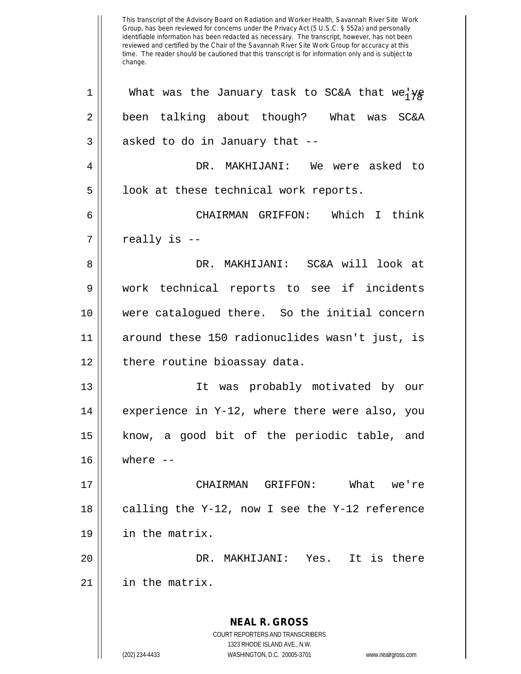This transcript of the Advisory Board on Radiation and Worker Health, Savannah River Site Work Group, has been reviewed for concerns under the Privacy Act (5 U.S.C. § 552a) and personally identifiable information has been redacted as necessary. The transcript, however, has not been reviewed and certified by the Chair of the Savannah River Site Work Group for accuracy at this time. The reader should be cautioned that this transcript is for information only and is subject to change. **NEAL R. GROSS** COURT REPORTERS AND TRANSCRIBERS 1323 RHODE ISLAND AVE., N.W. (202) 234-4433 WASHINGTON, D.C. 20005-3701 www.nealrgross.com 1 || What was the January task to SC&A that we've 2 | been talking about though? What was SC&A  $3 \parallel$  asked to do in January that --4 DR. MAKHIJANI: We were asked to  $5$  ||  $\pm$  look at these technical work reports. 6 CHAIRMAN GRIFFON: Which I think  $7||$  really is  $-$ 8 DR. MAKHIJANI: SC&A will look at 9 work technical reports to see if incidents 10 were catalogued there. So the initial concern 11 around these 150 radionuclides wasn't just, is  $12$  | there routine bioassay data. 13 It was probably motivated by our 14 || experience in Y-12, where there were also, you 15 || know, a good bit of the periodic table, and  $16 \parallel$  where  $-$ 17 CHAIRMAN GRIFFON: What we're  $18$  || calling the Y-12, now I see the Y-12 reference 19 in the matrix. 20 DR. MAKHIJANI: Yes. It is there 21 in the matrix.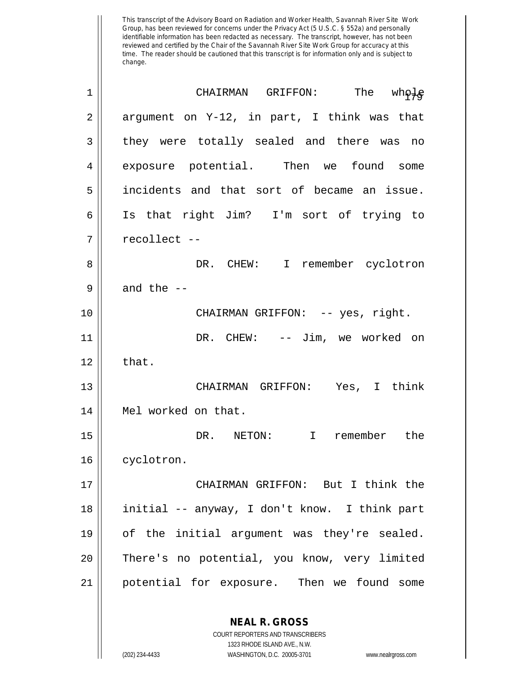| 1              | CHAIRMAN GRIFFON: The whole                   |
|----------------|-----------------------------------------------|
| $\overline{2}$ | argument on Y-12, in part, I think was that   |
| 3              | they were totally sealed and there was no     |
| 4              | exposure potential. Then we found some        |
| 5              | incidents and that sort of became an issue.   |
| 6              | Is that right Jim? I'm sort of trying to      |
| 7              | recollect --                                  |
| 8              | DR. CHEW: I remember cyclotron                |
| 9              | and the $-$                                   |
| 10             | CHAIRMAN GRIFFON: -- yes, right.              |
| 11             | DR. CHEW: -- Jim, we worked on                |
| 12             | that.                                         |
| 13             | CHAIRMAN GRIFFON: Yes, I think                |
| 14             | Mel worked on that.                           |
| 15             | DR. NETON: I remember the                     |
| 16             | cyclotron.                                    |
| 17             | CHAIRMAN GRIFFON: But I think the             |
| 18             | initial -- anyway, I don't know. I think part |
| 19             | of the initial argument was they're sealed.   |
| 20             | There's no potential, you know, very limited  |
| 21             | potential for exposure. Then we found some    |
|                | <b>NEAL R. GROSS</b>                          |

1323 RHODE ISLAND AVE., N.W. (202) 234-4433 WASHINGTON, D.C. 20005-3701 www.nealrgross.com

COURT REPORTERS AND TRANSCRIBERS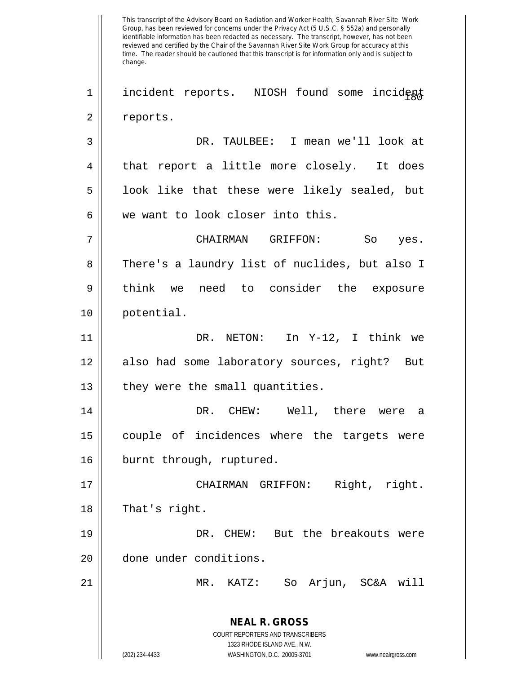This transcript of the Advisory Board on Radiation and Worker Health, Savannah River Site Work Group, has been reviewed for concerns under the Privacy Act (5 U.S.C. § 552a) and personally identifiable information has been redacted as necessary. The transcript, however, has not been reviewed and certified by the Chair of the Savannah River Site Work Group for accuracy at this time. The reader should be cautioned that this transcript is for information only and is subject to change. **NEAL R. GROSS** COURT REPORTERS AND TRANSCRIBERS 1323 RHODE ISLAND AVE., N.W. (202) 234-4433 WASHINGTON, D.C. 20005-3701 www.nealrgross.com 1 || incident reports. NIOSH found some incident 2 | reports. 3 DR. TAULBEE: I mean we'll look at 4 || that report a little more closely. It does  $5 \parallel$  look like that these were likely sealed, but  $6 \parallel$  we want to look closer into this. 7 CHAIRMAN GRIFFON: So yes. 8 There's a laundry list of nuclides, but also I 9 || think we need to consider the exposure 10 potential. 11 DR. NETON: In Y-12, I think we 12 || also had some laboratory sources, right? But  $13$  || they were the small quantities. 14 DR. CHEW: Well, there were a 15 couple of incidences where the targets were 16 || burnt through, ruptured. 17 CHAIRMAN GRIFFON: Right, right. 18 || That's right. 19 DR. CHEW: But the breakouts were 20 done under conditions. 21 MR. KATZ: So Arjun, SC&A will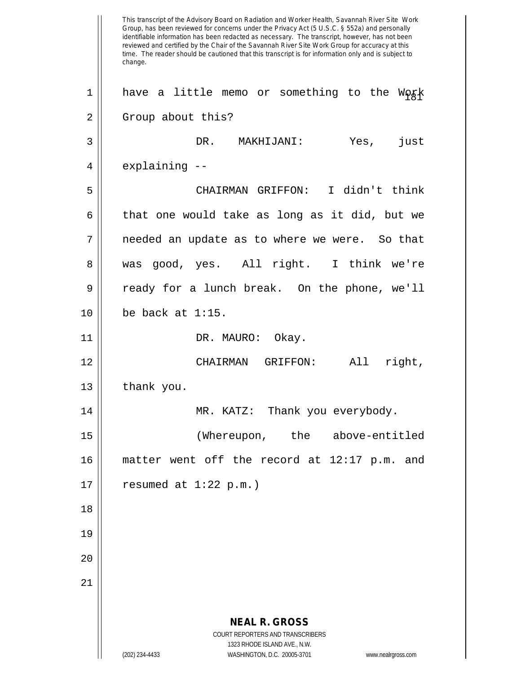This transcript of the Advisory Board on Radiation and Worker Health, Savannah River Site Work Group, has been reviewed for concerns under the Privacy Act (5 U.S.C. § 552a) and personally identifiable information has been redacted as necessary. The transcript, however, has not been reviewed and certified by the Chair of the Savannah River Site Work Group for accuracy at this time. The reader should be cautioned that this transcript is for information only and is subject to change. **NEAL R. GROSS** COURT REPORTERS AND TRANSCRIBERS 1323 RHODE ISLAND AVE., N.W. (202) 234-4433 WASHINGTON, D.C. 20005-3701 www.nealrgross.com 1 | have a little memo or something to the Work 2 | Group about this? 3 DR. MAKHIJANI: Yes, just  $4 \parallel$  explaining  $-$ 5 CHAIRMAN GRIFFON: I didn't think 6  $\parallel$  that one would take as long as it did, but we  $7$  || needed an update as to where we were. So that 8 || was good, yes. All right. I think we're 9 || ready for a lunch break. On the phone, we'll 10 be back at 1:15. 11 || DR. MAURO: Okay. 12 CHAIRMAN GRIFFON: All right,  $13$  | thank you. 14 MR. KATZ: Thank you everybody. 15 (Whereupon, the above-entitled 16 matter went off the record at 12:17 p.m. and  $17 \parallel$  resumed at  $1:22 \text{ p.m.}$ ) 18 19 20 21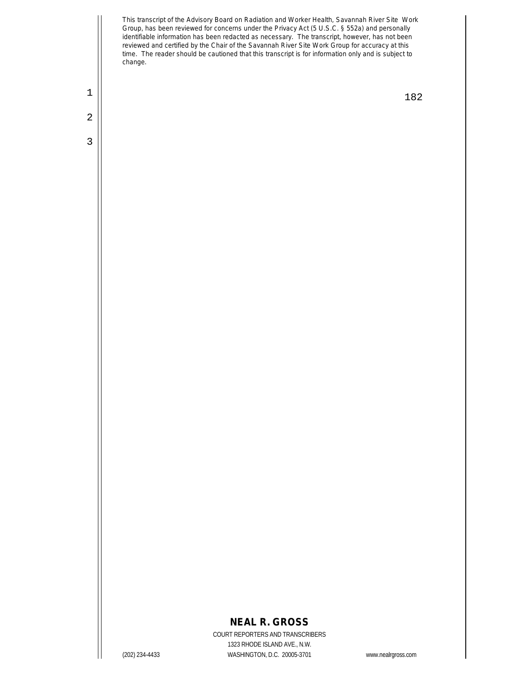2

3

<sup>182</sup> <sup>1</sup>

## **NEAL R. GROSS**

COURT REPORTERS AND TRANSCRIBERS 1323 RHODE ISLAND AVE., N.W. (202) 234-4433 WASHINGTON, D.C. 20005-3701 www.nealrgross.com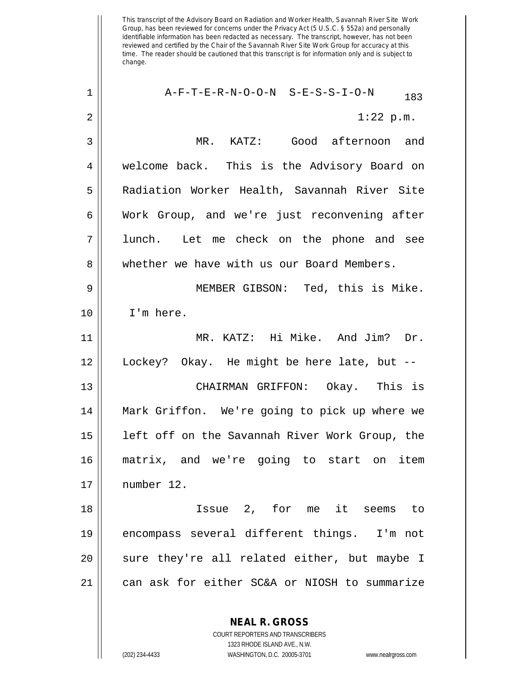This transcript of the Advisory Board on Radiation and Worker Health, Savannah River Site Work Group, has been reviewed for concerns under the Privacy Act (5 U.S.C. § 552a) and personally identifiable information has been redacted as necessary. The transcript, however, has not been reviewed and certified by the Chair of the Savannah River Site Work Group for accuracy at this time. The reader should be cautioned that this transcript is for information only and is subject to change. **NEAL R. GROSS**  $1$  |  $A-F-T-E-R-N-O-O-N$   $S-E-S-S-I-O-N$   $183$  $2 \parallel$  1:22 p.m. 3 MR. KATZ: Good afternoon and 4 welcome back. This is the Advisory Board on 5 Radiation Worker Health, Savannah River Site 6 Work Group, and we're just reconvening after 7 lunch. Let me check on the phone and see 8 Whether we have with us our Board Members. 9 MEMBER GIBSON: Ted, this is Mike. 10 I'm here. 11 MR. KATZ: Hi Mike. And Jim? Dr. 12 Lockey? Okay. He might be here late, but -- 13 CHAIRMAN GRIFFON: Okay. This is 14 Mark Griffon. We're going to pick up where we 15 || left off on the Savannah River Work Group, the 16 matrix, and we're going to start on item 17 number 12. 18 Issue 2, for me it seems to 19 encompass several different things. I'm not  $20$   $\parallel$  sure they're all related either, but maybe I 21 can ask for either SC&A or NIOSH to summarize

> COURT REPORTERS AND TRANSCRIBERS 1323 RHODE ISLAND AVE., N.W.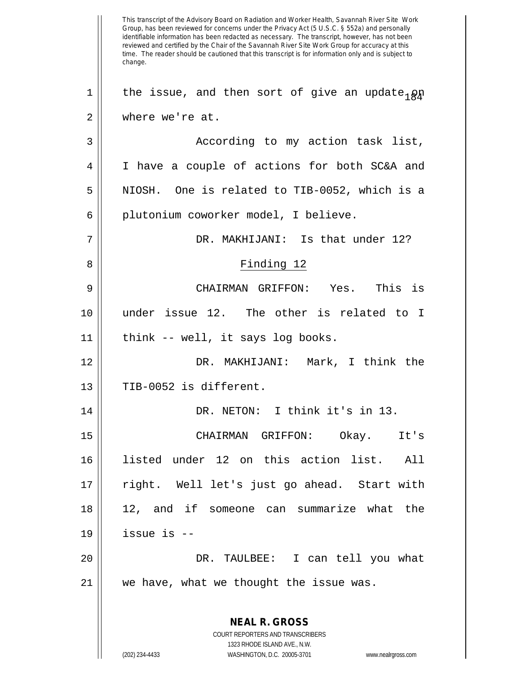|    | This transcript of the Advisory Board on Radiation and Worker Health, Savannah River Site Work<br>Group, has been reviewed for concerns under the Privacy Act (5 U.S.C. § 552a) and personally<br>identifiable information has been redacted as necessary. The transcript, however, has not been<br>reviewed and certified by the Chair of the Savannah River Site Work Group for accuracy at this<br>time. The reader should be cautioned that this transcript is for information only and is subject to<br>change. |
|----|----------------------------------------------------------------------------------------------------------------------------------------------------------------------------------------------------------------------------------------------------------------------------------------------------------------------------------------------------------------------------------------------------------------------------------------------------------------------------------------------------------------------|
| 1  | the issue, and then sort of give an update <sub>184</sub>                                                                                                                                                                                                                                                                                                                                                                                                                                                            |
| 2  | where we're at.                                                                                                                                                                                                                                                                                                                                                                                                                                                                                                      |
| 3  | According to my action task list,                                                                                                                                                                                                                                                                                                                                                                                                                                                                                    |
| 4  | I have a couple of actions for both SC&A and                                                                                                                                                                                                                                                                                                                                                                                                                                                                         |
| 5  | NIOSH. One is related to TIB-0052, which is a                                                                                                                                                                                                                                                                                                                                                                                                                                                                        |
| 6  | plutonium coworker model, I believe.                                                                                                                                                                                                                                                                                                                                                                                                                                                                                 |
| 7  | DR. MAKHIJANI: Is that under 12?                                                                                                                                                                                                                                                                                                                                                                                                                                                                                     |
| 8  | Finding 12                                                                                                                                                                                                                                                                                                                                                                                                                                                                                                           |
| 9  | CHAIRMAN GRIFFON:<br>Yes. This is                                                                                                                                                                                                                                                                                                                                                                                                                                                                                    |
| 10 | under issue 12. The other is related to I                                                                                                                                                                                                                                                                                                                                                                                                                                                                            |
| 11 | think -- well, it says log books.                                                                                                                                                                                                                                                                                                                                                                                                                                                                                    |
| 12 | Mark, I think the<br>DR. MAKHIJANI:                                                                                                                                                                                                                                                                                                                                                                                                                                                                                  |
| 13 | TIB-0052 is different.                                                                                                                                                                                                                                                                                                                                                                                                                                                                                               |
| 14 | DR. NETON: I think it's in 13.                                                                                                                                                                                                                                                                                                                                                                                                                                                                                       |
| 15 | CHAIRMAN GRIFFON: Okay. It's                                                                                                                                                                                                                                                                                                                                                                                                                                                                                         |
| 16 | listed under 12 on this action list. All                                                                                                                                                                                                                                                                                                                                                                                                                                                                             |
| 17 | right. Well let's just go ahead. Start with                                                                                                                                                                                                                                                                                                                                                                                                                                                                          |
| 18 | 12, and if someone can summarize what the                                                                                                                                                                                                                                                                                                                                                                                                                                                                            |
| 19 | issue is --                                                                                                                                                                                                                                                                                                                                                                                                                                                                                                          |
| 20 | DR. TAULBEE: I can tell you what                                                                                                                                                                                                                                                                                                                                                                                                                                                                                     |
| 21 | we have, what we thought the issue was.                                                                                                                                                                                                                                                                                                                                                                                                                                                                              |
|    | <b>NEAL R. GROSS</b>                                                                                                                                                                                                                                                                                                                                                                                                                                                                                                 |
|    | COURT REPORTERS AND TRANSCRIBERS<br>1323 RHODE ISLAND AVE., N.W.                                                                                                                                                                                                                                                                                                                                                                                                                                                     |
|    | (202) 234-4433<br>WASHINGTON, D.C. 20005-3701<br>www.nealrgross.com                                                                                                                                                                                                                                                                                                                                                                                                                                                  |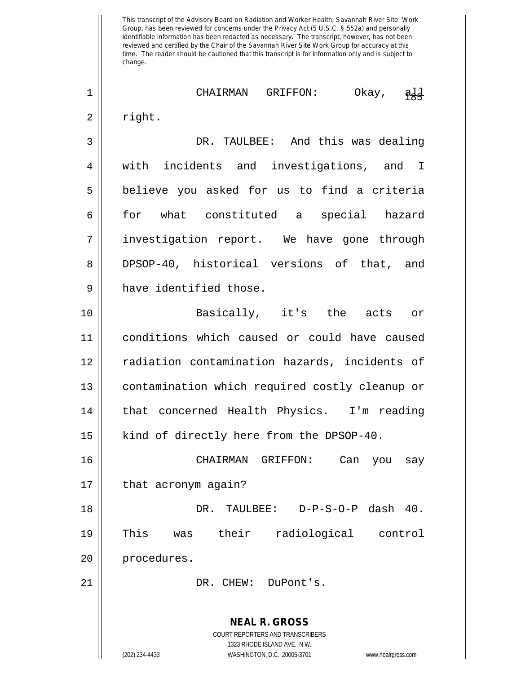<sup>185</sup> 1 CHAIRMAN GRIFFON: Okay, all  $2 \parallel$  right. 3 DR. TAULBEE: And this was dealing 4 with incidents and investigations, and I  $5 \parallel$  believe you asked for us to find a criteria 6 for what constituted a special hazard 7 investigation report. We have gone through 8 DPSOP-40, historical versions of that, and 9 | have identified those. 10 Basically, it's the acts or 11 conditions which caused or could have caused 12 radiation contamination hazards, incidents of 13 contamination which required costly cleanup or 14 that concerned Health Physics. I'm reading 15 || kind of directly here from the DPSOP-40. 16 CHAIRMAN GRIFFON: Can you say 17 | that acronym again? 18 DR. TAULBEE: D-P-S-O-P dash 40.

19 This was their radiological control 20 procedures.

21 DR. CHEW: DuPont's.

**NEAL R. GROSS** COURT REPORTERS AND TRANSCRIBERS

1323 RHODE ISLAND AVE., N.W.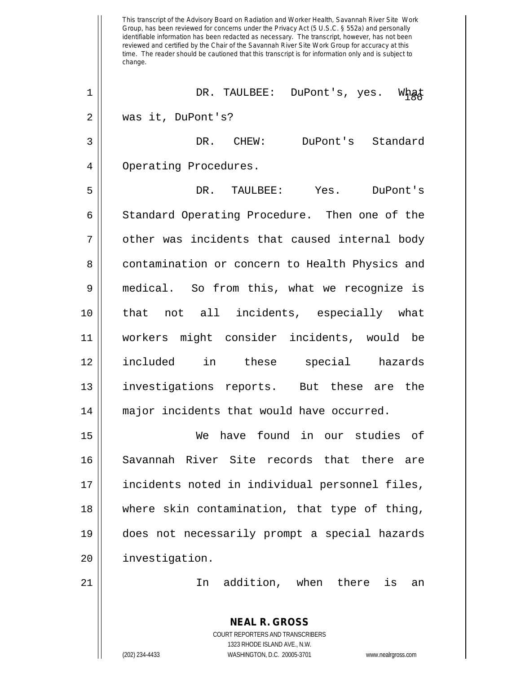This transcript of the Advisory Board on Radiation and Worker Health, Savannah River Site Work Group, has been reviewed for concerns under the Privacy Act (5 U.S.C. § 552a) and personally identifiable information has been redacted as necessary. The transcript, however, has not been reviewed and certified by the Chair of the Savannah River Site Work Group for accuracy at this time. The reader should be cautioned that this transcript is for information only and is subject to change. **NEAL R. GROSS** COURT REPORTERS AND TRANSCRIBERS <sup>186</sup> 1 DR. TAULBEE: DuPont's, yes. What 2 was it, DuPont's? 3 DR. CHEW: DuPont's Standard 4 | Operating Procedures. 5 DR. TAULBEE: Yes. DuPont's  $6 \parallel$  Standard Operating Procedure. Then one of the 7 || other was incidents that caused internal body 8 | contamination or concern to Health Physics and 9 medical. So from this, what we recognize is 10 that not all incidents, especially what 11 workers might consider incidents, would be 12 included in these special hazards 13 investigations reports. But these are the 14 || major incidents that would have occurred. 15 We have found in our studies of 16 Savannah River Site records that there are 17 incidents noted in individual personnel files, 18 where skin contamination, that type of thing, 19 does not necessarily prompt a special hazards 20 | investigation. 21 In addition, when there is an

1323 RHODE ISLAND AVE., N.W.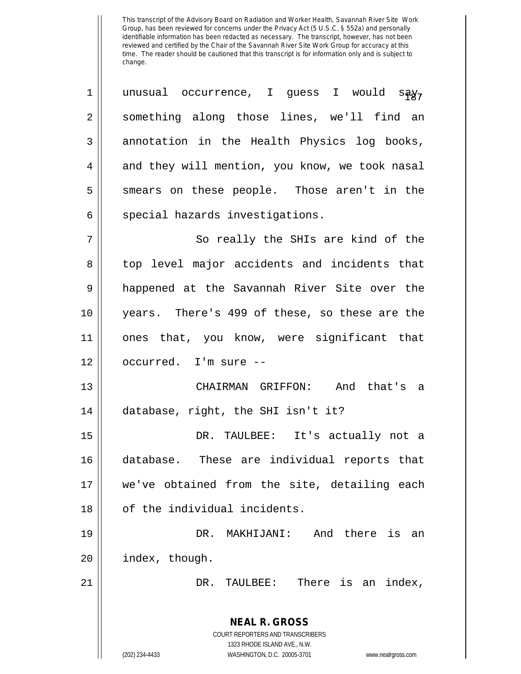| $\mathbf 1$    | unusual occurrence, I guess I would say,                            |
|----------------|---------------------------------------------------------------------|
| $\overline{2}$ | something along those lines, we'll find an                          |
| 3              | annotation in the Health Physics log books,                         |
| 4              | and they will mention, you know, we took nasal                      |
| 5              | smears on these people. Those aren't in the                         |
| 6              | special hazards investigations.                                     |
| 7              | So really the SHIs are kind of the                                  |
| 8              | top level major accidents and incidents that                        |
| 9              | happened at the Savannah River Site over the                        |
| 10             | years. There's 499 of these, so these are the                       |
| 11             | ones that, you know, were significant that                          |
| 12             | occurred. I'm sure --                                               |
| 13             | CHAIRMAN GRIFFON: And that's a                                      |
| 14             | database, right, the SHI isn't it?                                  |
| 15             | DR. TAULBEE: It's actually not a                                    |
| 16             | database. These are individual reports that                         |
| 17             | we've obtained from the site, detailing each                        |
| 18             | of the individual incidents.                                        |
| 19             | MAKHIJANI: And there is an<br>DR.                                   |
| 20             | index, though.                                                      |
| 21             | DR. TAULBEE: There is an index,                                     |
|                |                                                                     |
|                | <b>NEAL R. GROSS</b><br>COURT REPORTERS AND TRANSCRIBERS            |
|                | 1323 RHODE ISLAND AVE., N.W.                                        |
|                | (202) 234-4433<br>WASHINGTON, D.C. 20005-3701<br>www.nealrgross.com |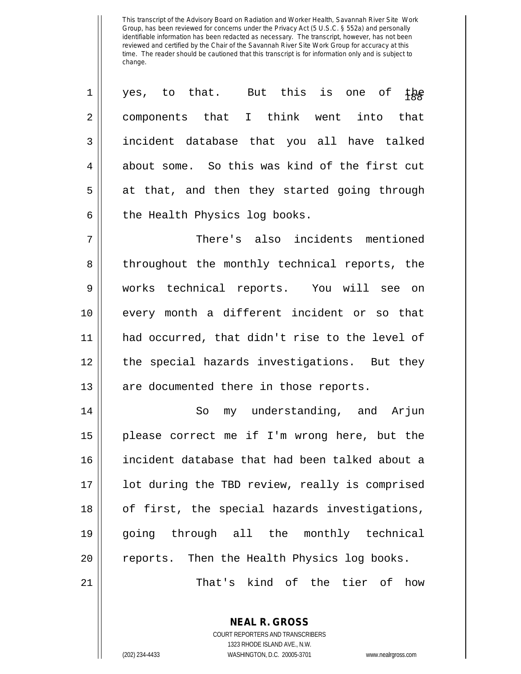| $\mathbf 1$ | yes, to that. But this is one of<br>† are      |
|-------------|------------------------------------------------|
| 2           | components that I think went into that         |
| 3           | incident database that you all have talked     |
| 4           | about some. So this was kind of the first cut  |
| 5           | at that, and then they started going through   |
| 6           | the Health Physics log books.                  |
| 7           | There's also incidents mentioned               |
| 8           | throughout the monthly technical reports, the  |
| 9           | works technical reports. You will see on       |
| 10          | every month a different incident or so that    |
| 11          | had occurred, that didn't rise to the level of |
| 12          | the special hazards investigations. But they   |
| 13          | are documented there in those reports.         |
| 14          | my understanding, and Arjun<br>So              |
| 15          | please correct me if I'm wrong here, but the   |
| 16          | incident database that had been talked about a |
| 17          | lot during the TBD review, really is comprised |
| 18          | of first, the special hazards investigations,  |
| 19          | going through all the monthly technical        |
| 20          | reports. Then the Health Physics log books.    |
| 21          | That's kind of the tier of how                 |

**NEAL R. GROSS** COURT REPORTERS AND TRANSCRIBERS 1323 RHODE ISLAND AVE., N.W. (202) 234-4433 WASHINGTON, D.C. 20005-3701 www.nealrgross.com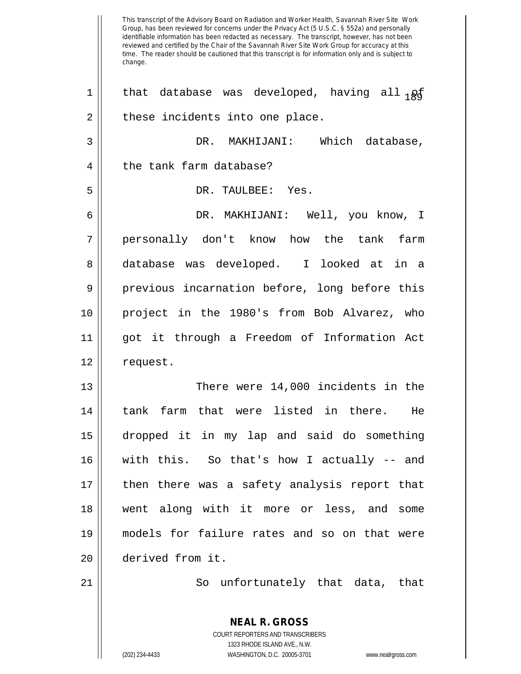This transcript of the Advisory Board on Radiation and Worker Health, Savannah River Site Work Group, has been reviewed for concerns under the Privacy Act (5 U.S.C. § 552a) and personally identifiable information has been redacted as necessary. The transcript, however, has not been reviewed and certified by the Chair of the Savannah River Site Work Group for accuracy at this time. The reader should be cautioned that this transcript is for information only and is subject to change. **NEAL R. GROSS** COURT REPORTERS AND TRANSCRIBERS 1 || that database was developed, having all  $_{1}$  of  $2 \parallel$  these incidents into one place. 3 DR. MAKHIJANI: Which database, 4 || the tank farm database? 5 DR. TAULBEE: Yes. 6 DR. MAKHIJANI: Well, you know, I 7 personally don't know how the tank farm 8 database was developed. I looked at in a 9 previous incarnation before, long before this 10 project in the 1980's from Bob Alvarez, who 11 got it through a Freedom of Information Act 12 | request. 13 There were 14,000 incidents in the 14 || tank farm that were listed in there. He 15 dropped it in my lap and said do something 16 with this. So that's how I actually -- and 17 || then there was a safety analysis report that 18 went along with it more or less, and some 19 models for failure rates and so on that were 20 derived from it. 21 || So unfortunately that data, that

1323 RHODE ISLAND AVE., N.W.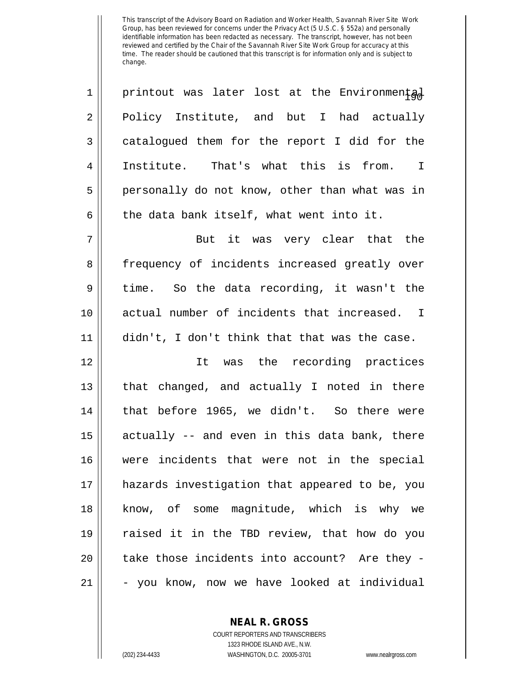| $\mathbf 1$    | printout was later lost at the Environmental   |
|----------------|------------------------------------------------|
| $\overline{2}$ | Policy Institute, and but I had actually       |
| 3              | catalogued them for the report I did for the   |
| 4              | Institute. That's what this is from. I         |
| 5              | personally do not know, other than what was in |
| 6              | the data bank itself, what went into it.       |
| 7              | But it was very clear that the                 |
| 8              | frequency of incidents increased greatly over  |
| $\mathsf 9$    | time. So the data recording, it wasn't the     |
| 10             | actual number of incidents that increased. I   |
| 11             | didn't, I don't think that that was the case.  |
| 12             | It was the recording practices                 |
| 13             | that changed, and actually I noted in there    |
| 14             | that before 1965, we didn't. So there were     |
| 15             | actually -- and even in this data bank, there  |
| 16             | were incidents that were not in the special    |
| 17             | hazards investigation that appeared to be, you |
| 18             | know, of some magnitude, which is why we       |
| 19             | raised it in the TBD review, that how do you   |
| 20             | take those incidents into account? Are they -  |
| 21             | - you know, now we have looked at individual   |

**NEAL R. GROSS**

COURT REPORTERS AND TRANSCRIBERS 1323 RHODE ISLAND AVE., N.W. (202) 234-4433 WASHINGTON, D.C. 20005-3701 www.nealrgross.com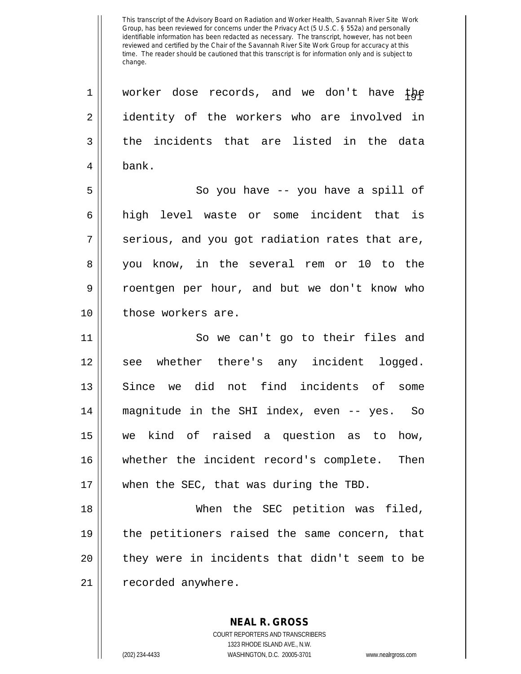This transcript of the Advisory Board on Radiation and Worker Health, Savannah River Site Work Group, has been reviewed for concerns under the Privacy Act (5 U.S.C. § 552a) and personally identifiable information has been redacted as necessary. The transcript, however, has not been reviewed and certified by the Chair of the Savannah River Site Work Group for accuracy at this time. The reader should be cautioned that this transcript is for information only and is subject to change. 1 || worker dose records, and we don't have  $tpe$ 2 | identity of the workers who are involved in 3 l the incidents that are listed in the data 4 bank. 5 || So you have -- you have a spill of 6 high level waste or some incident that is  $7$  | serious, and you got radiation rates that are, 8 you know, in the several rem or 10 to the 9 || roentgen per hour, and but we don't know who 10 | those workers are. 11 So we can't go to their files and 12 || see whether there's any incident logged. 13 || Since we did not find incidents of some 14 magnitude in the SHI index, even -- yes. So 15 we kind of raised a question as to how, 16 whether the incident record's complete. Then 17 || when the SEC, that was during the TBD. 18 When the SEC petition was filed, 19 the petitioners raised the same concern, that  $20$  || they were in incidents that didn't seem to be

21 | recorded anywhere.

**NEAL R. GROSS** COURT REPORTERS AND TRANSCRIBERS

1323 RHODE ISLAND AVE., N.W.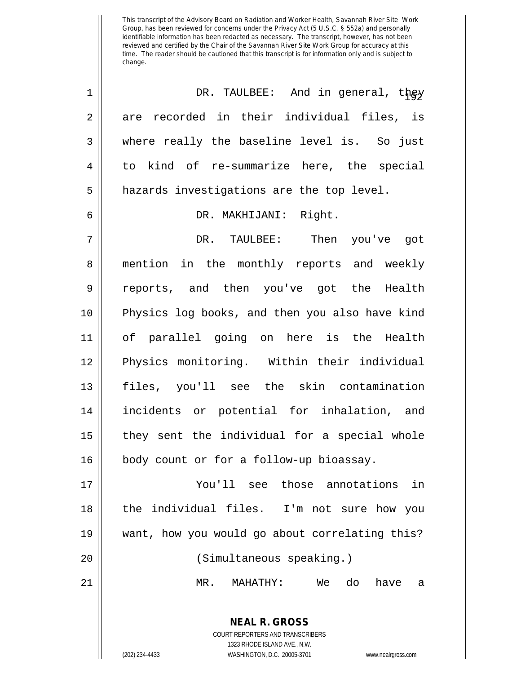| $\mathbf 1$  | DR. TAULBEE: And in general, they                                                        |
|--------------|------------------------------------------------------------------------------------------|
| $\sqrt{2}$   | are recorded in their individual files, is                                               |
| $\mathbf{3}$ | where really the baseline level is. So just                                              |
| 4            | to kind of re-summarize here, the special                                                |
| 5            | hazards investigations are the top level.                                                |
| 6            | DR. MAKHIJANI: Right.                                                                    |
| 7            | DR. TAULBEE: Then you've got                                                             |
| 8            | mention in the monthly reports and weekly                                                |
| $\mathsf 9$  | reports, and then you've got the Health                                                  |
| 10           | Physics log books, and then you also have kind                                           |
| 11           | of parallel going on here is the Health                                                  |
| 12           | Physics monitoring. Within their individual                                              |
| 13           | files, you'll see the skin contamination                                                 |
| 14           | incidents or potential for inhalation, and                                               |
| 15           | they sent the individual for a special whole                                             |
| 16           | body count or for a follow-up bioassay.                                                  |
| 17           | You'll see those annotations in                                                          |
| 18           | the individual files. I'm not sure how you                                               |
| 19           | want, how you would go about correlating this?                                           |
| 20           | (Simultaneous speaking.)                                                                 |
| 21           | do<br>have<br>MR.<br>МАНАТНҮ:<br>We<br>a                                                 |
|              | <b>NEAL R. GROSS</b><br>COURT REPORTERS AND TRANSCRIBERS<br>1323 RHODE ISLAND AVE., N.W. |
|              | WASHINGTON, D.C. 20005-3701<br>(202) 234-4433<br>www.nealrgross.com                      |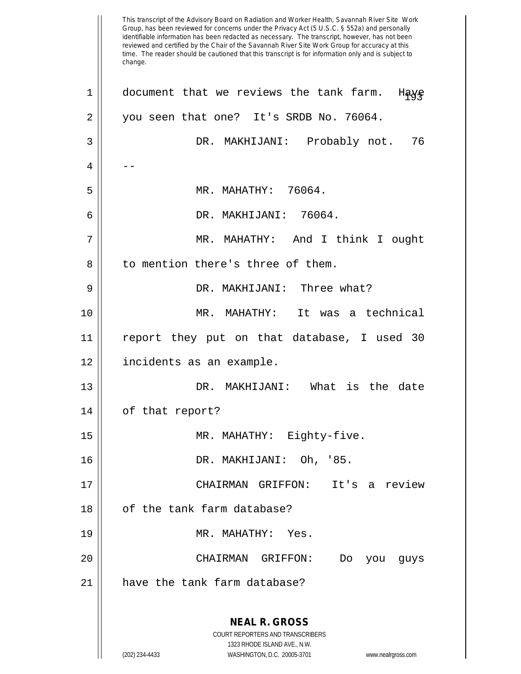This transcript of the Advisory Board on Radiation and Worker Health, Savannah River Site Work Group, has been reviewed for concerns under the Privacy Act (5 U.S.C. § 552a) and personally identifiable information has been redacted as necessary. The transcript, however, has not been reviewed and certified by the Chair of the Savannah River Site Work Group for accuracy at this time. The reader should be cautioned that this transcript is for information only and is subject to change. **NEAL R. GROSS** COURT REPORTERS AND TRANSCRIBERS 1323 RHODE ISLAND AVE., N.W. (202) 234-4433 WASHINGTON, D.C. 20005-3701 www.nealrgross.com 1 | document that we reviews the tank farm. Hays  $2 \parallel$  you seen that one? It's SRDB No. 76064. 3 DR. MAKHIJANI: Probably not. 76  $4 \parallel - -$ 5 MR. MAHATHY: 76064. 6 DR. MAKHIJANI: 76064. 7 MR. MAHATHY: And I think I ought 8 || to mention there's three of them. 9 DR. MAKHIJANI: Three what? 10 MR. MAHATHY: It was a technical 11 report they put on that database, I used 30 12 incidents as an example. 13 DR. MAKHIJANI: What is the date 14 | of that report? 15 MR. MAHATHY: Eighty-five. 16 DR. MAKHIJANI: Oh, '85. 17 CHAIRMAN GRIFFON: It's a review 18 || of the tank farm database? 19 || MR. MAHATHY: Yes. 20 CHAIRMAN GRIFFON: Do you guys 21 | have the tank farm database?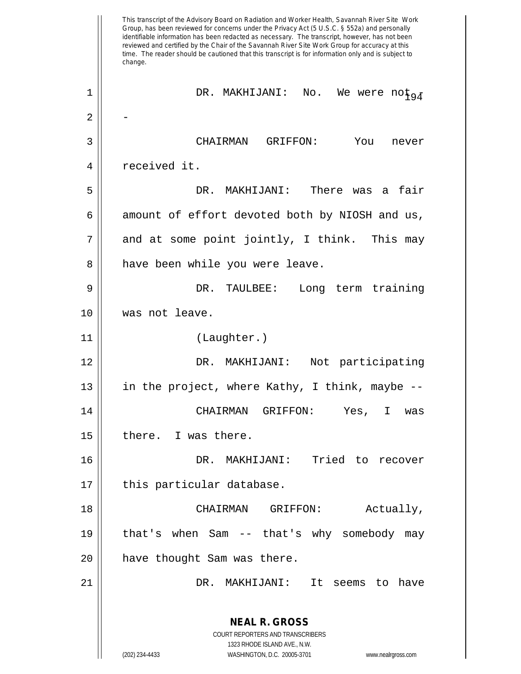This transcript of the Advisory Board on Radiation and Worker Health, Savannah River Site Work Group, has been reviewed for concerns under the Privacy Act (5 U.S.C. § 552a) and personally identifiable information has been redacted as necessary. The transcript, however, has not been reviewed and certified by the Chair of the Savannah River Site Work Group for accuracy at this time. The reader should be cautioned that this transcript is for information only and is subject to change. **NEAL R. GROSS** COURT REPORTERS AND TRANSCRIBERS 1323 RHODE ISLAND AVE., N.W. (202) 234-4433 WASHINGTON, D.C. 20005-3701 www.nealrgross.com <sup>194</sup> 1 DR. MAKHIJANI: No. We were not -  $2 \parallel -$ 3 CHAIRMAN GRIFFON: You never 4 || received it. 5 DR. MAKHIJANI: There was a fair 6  $\parallel$  amount of effort devoted both by NIOSH and us,  $7 \parallel$  and at some point jointly, I think. This may 8 | have been while you were leave. 9 DR. TAULBEE: Long term training 10 | was not leave. 11 (Laughter.) 12 DR. MAKHIJANI: Not participating 13 || in the project, where Kathy, I think, maybe --14 CHAIRMAN GRIFFON: Yes, I was 15 || there. I was there. 16 DR. MAKHIJANI: Tried to recover 17 || this particular database. 18 || CHAIRMAN GRIFFON: Actually, 19 that's when Sam -- that's why somebody may  $20$  | have thought Sam was there. 21 DR. MAKHIJANI: It seems to have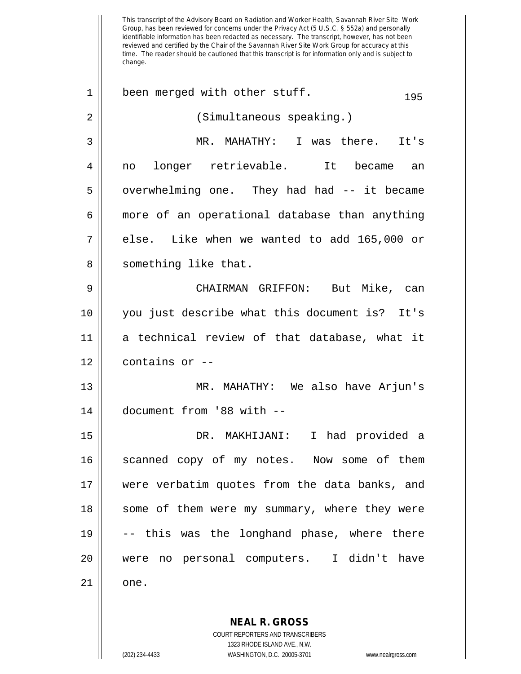This transcript of the Advisory Board on Radiation and Worker Health, Savannah River Site Work Group, has been reviewed for concerns under the Privacy Act (5 U.S.C. § 552a) and personally identifiable information has been redacted as necessary. The transcript, however, has not been reviewed and certified by the Chair of the Savannah River Site Work Group for accuracy at this time. The reader should be cautioned that this transcript is for information only and is subject to change. **NEAL R. GROSS**  $1 \parallel$  been merged with other stuff.  $195$ 2 | (Simultaneous speaking.) 3 MR. MAHATHY: I was there. It's 4 no longer retrievable. It became an 5 || overwhelming one. They had had -- it became  $6 \parallel$  more of an operational database than anything  $7 \parallel$  else. Like when we wanted to add 165,000 or 8 || something like that. 9 CHAIRMAN GRIFFON: But Mike, can 10 you just describe what this document is? It's 11 a technical review of that database, what it 12 || contains or --13 MR. MAHATHY: We also have Arjun's 14 document from '88 with -- 15 DR. MAKHIJANI: I had provided a 16 || scanned copy of my notes. Now some of them 17 were verbatim quotes from the data banks, and 18 || some of them were my summary, where they were 19 -- this was the longhand phase, where there 20 were no personal computers. I didn't have  $21$  |  $one.$ 

> COURT REPORTERS AND TRANSCRIBERS 1323 RHODE ISLAND AVE., N.W. (202) 234-4433 WASHINGTON, D.C. 20005-3701 www.nealrgross.com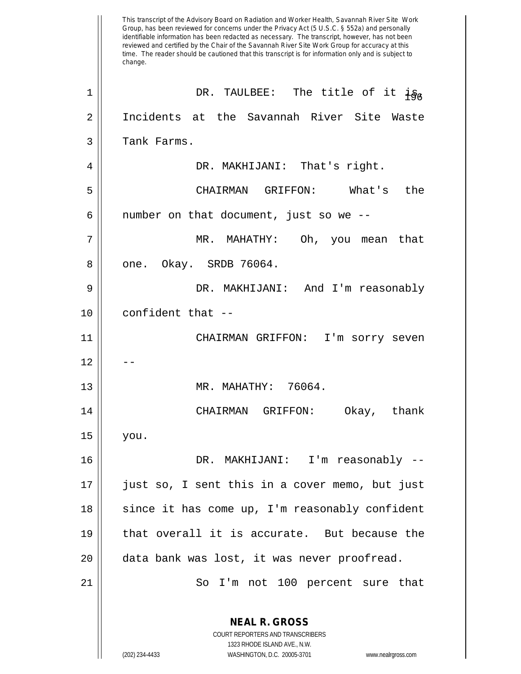This transcript of the Advisory Board on Radiation and Worker Health, Savannah River Site Work Group, has been reviewed for concerns under the Privacy Act (5 U.S.C. § 552a) and personally identifiable information has been redacted as necessary. The transcript, however, has not been reviewed and certified by the Chair of the Savannah River Site Work Group for accuracy at this time. The reader should be cautioned that this transcript is for information only and is subject to change. **NEAL R. GROSS** COURT REPORTERS AND TRANSCRIBERS 1323 RHODE ISLAND AVE., N.W. (202) 234-4433 WASHINGTON, D.C. 20005-3701 www.nealrgross.com 1 || DR. TAULBEE: The title of it  $i_{\mathcal{S}_{\mathcal{A}}}$ 2 || Incidents at the Savannah River Site Waste 3 ll Tank Farms. 4 DR. MAKHIJANI: That's right. 5 CHAIRMAN GRIFFON: What's the  $6$  | number on that document, just so we --7 MR. MAHATHY: Oh, you mean that 8 || one. Okay. SRDB 76064. 9 DR. MAKHIJANI: And I'm reasonably  $10$  | confident that  $-$ 11 CHAIRMAN GRIFFON: I'm sorry seven  $12$ 13 || MR. MAHATHY: 76064. 14 CHAIRMAN GRIFFON: Okay, thank 15 you. 16 DR. MAKHIJANI: I'm reasonably -- 17 just so, I sent this in a cover memo, but just 18 || since it has come up, I'm reasonably confident 19 that overall it is accurate. But because the 20 | data bank was lost, it was never proofread. 21 || So I'm not 100 percent sure that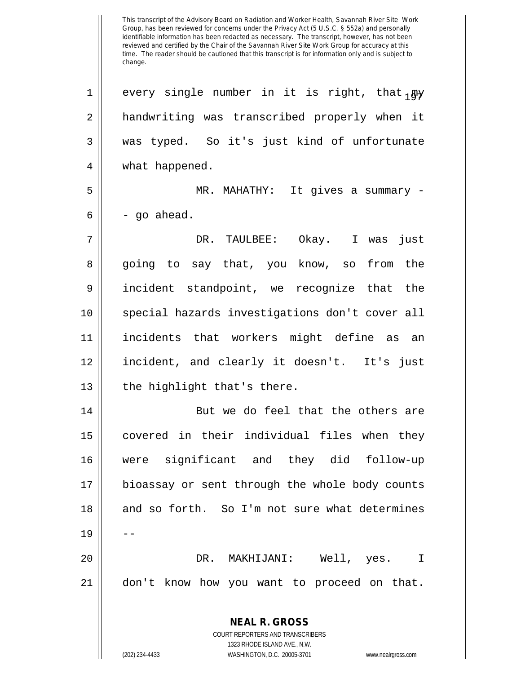This transcript of the Advisory Board on Radiation and Worker Health, Savannah River Site Work Group, has been reviewed for concerns under the Privacy Act (5 U.S.C. § 552a) and personally identifiable information has been redacted as necessary. The transcript, however, has not been reviewed and certified by the Chair of the Savannah River Site Work Group for accuracy at this time. The reader should be cautioned that this transcript is for information only and is subject to change. **NEAL R. GROSS** COURT REPORTERS AND TRANSCRIBERS 1323 RHODE ISLAND AVE., N.W. 1 || every single number in it is right, that  $_{1}$ gy 2 handwriting was transcribed properly when it 3 || was typed. So it's just kind of unfortunate 4 || what happened. 5 MR. MAHATHY: It gives a summary -  $6 \parallel -$  go ahead. 7 DR. TAULBEE: Okay. I was just 8 going to say that, you know, so from the 9 incident standpoint, we recognize that the 10 || special hazards investigations don't cover all 11 incidents that workers might define as an 12 incident, and clearly it doesn't. It's just  $13$  | the highlight that's there. 14 || But we do feel that the others are 15 covered in their individual files when they 16 were significant and they did follow-up 17 bioassay or sent through the whole body counts 18 and so forth. So I'm not sure what determines 19 20 DR. MAKHIJANI: Well, yes. I 21 don't know how you want to proceed on that.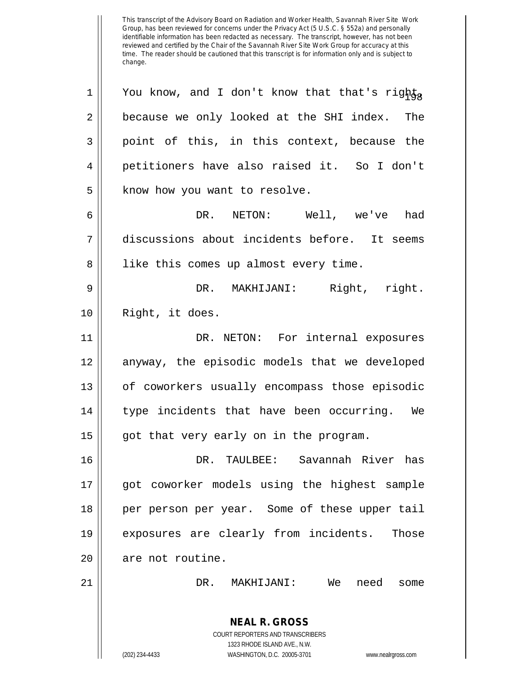This transcript of the Advisory Board on Radiation and Worker Health, Savannah River Site Work Group, has been reviewed for concerns under the Privacy Act (5 U.S.C. § 552a) and personally identifiable information has been redacted as necessary. The transcript, however, has not been reviewed and certified by the Chair of the Savannah River Site Work Group for accuracy at this time. The reader should be cautioned that this transcript is for information only and is subject to change. **NEAL R. GROSS** COURT REPORTERS AND TRANSCRIBERS 1323 RHODE ISLAND AVE., N.W. 1 | You know, and I don't know that that's right, 2 because we only looked at the SHI index. The 3 || point of this, in this context, because the 4 petitioners have also raised it. So I don't 5 || know how you want to resolve. 6 DR. NETON: Well, we've had 7 discussions about incidents before. It seems 8 || like this comes up almost every time. 9 DR. MAKHIJANI: Right, right. 10 || Right, it does. 11 || DR. NETON: For internal exposures 12 anyway, the episodic models that we developed 13 || of coworkers usually encompass those episodic 14 || type incidents that have been occurring. We 15 || got that very early on in the program. 16 DR. TAULBEE: Savannah River has 17 got coworker models using the highest sample 18 || per person per year. Some of these upper tail 19 exposures are clearly from incidents. Those 20 | are not routine. 21 DR. MAKHIJANI: We need some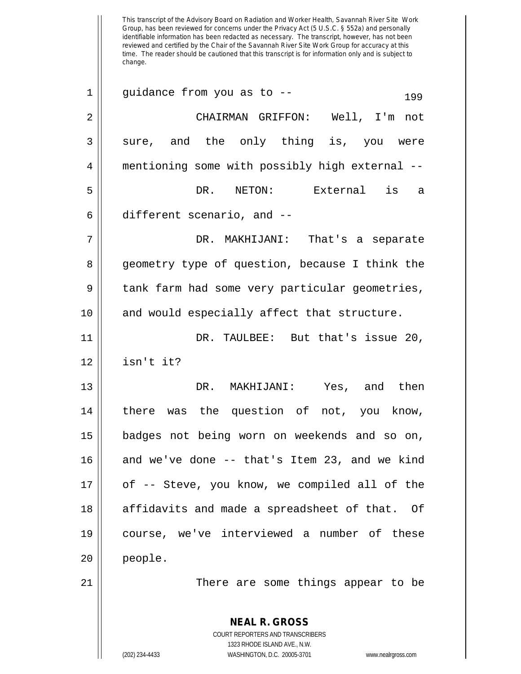Group, has been reviewed for concerns under the Privacy Act (5 U.S.C. § 552a) and personally identifiable information has been redacted as necessary. The transcript, however, has not been reviewed and certified by the Chair of the Savannah River Site Work Group for accuracy at this time. The reader should be cautioned that this transcript is for information only and is subject to change. **NEAL R. GROSS** COURT REPORTERS AND TRANSCRIBERS 1323 RHODE ISLAND AVE., N.W.  $1 \parallel$  guidance from you as to --  $199$ 2 CHAIRMAN GRIFFON: Well, I'm not  $3 \parallel$  sure, and the only thing is, you were 4 mentioning some with possibly high external -- 5 DR. NETON: External is a  $6 \parallel$  different scenario, and  $-$ 7 DR. MAKHIJANI: That's a separate 8 geometry type of question, because I think the 9 || tank farm had some very particular geometries,  $10$  | and would especially affect that structure. 11 DR. TAULBEE: But that's issue 20,  $12$  | isn't it? 13 DR. MAKHIJANI: Yes, and then 14 || there was the question of not, you know, 15 badges not being worn on weekends and so on, 16 and we've done -- that's Item 23, and we kind 17 of -- Steve, you know, we compiled all of the 18 || affidavits and made a spreadsheet of that. Of 19 course, we've interviewed a number of these 20 | people. 21 There are some things appear to be

This transcript of the Advisory Board on Radiation and Worker Health, Savannah River Site Work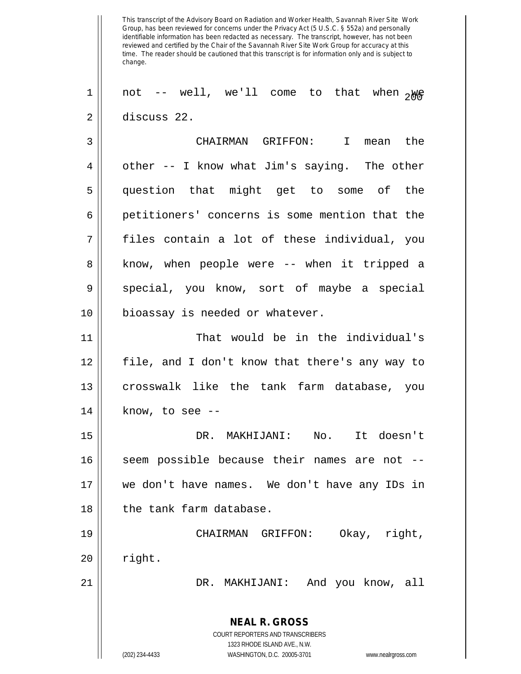This transcript of the Advisory Board on Radiation and Worker Health, Savannah River Site Work Group, has been reviewed for concerns under the Privacy Act (5 U.S.C. § 552a) and personally identifiable information has been redacted as necessary. The transcript, however, has not been reviewed and certified by the Chair of the Savannah River Site Work Group for accuracy at this time. The reader should be cautioned that this transcript is for information only and is subject to change. **NEAL R. GROSS** COURT REPORTERS AND TRANSCRIBERS 1323 RHODE ISLAND AVE., N.W. (202) 234-4433 WASHINGTON, D.C. 20005-3701 www.nealrgross.com 1 || not -- well, we'll come to that when  $2\%$ 2 discuss 22. 3 CHAIRMAN GRIFFON: I mean the  $4 \parallel$  other -- I know what Jim's saying. The other 5 question that might get to some of the 6 | petitioners' concerns is some mention that the  $7 \parallel$  files contain a lot of these individual, you 8 || know, when people were -- when it tripped a 9 Special, you know, sort of maybe a special 10 || bioassay is needed or whatever. 11 || That would be in the individual's 12 file, and I don't know that there's any way to 13 crosswalk like the tank farm database, you  $14$  || know, to see --15 DR. MAKHIJANI: No. It doesn't 16 || seem possible because their names are not --17 we don't have names. We don't have any IDs in 18 || the tank farm database. 19 CHAIRMAN GRIFFON: Okay, right,  $20$  | right. 21 DR. MAKHIJANI: And you know, all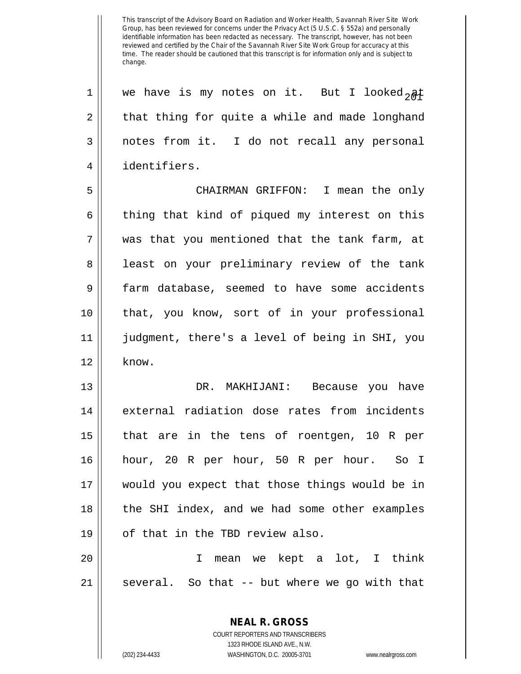This transcript of the Advisory Board on Radiation and Worker Health, Savannah River Site Work Group, has been reviewed for concerns under the Privacy Act (5 U.S.C. § 552a) and personally identifiable information has been redacted as necessary. The transcript, however, has not been reviewed and certified by the Chair of the Savannah River Site Work Group for accuracy at this time. The reader should be cautioned that this transcript is for information only and is subject to change. 1 || we have is my notes on it. But I looked,  $a \uparrow$  $2 \parallel$  that thing for quite a while and made longhand 3 notes from it. I do not recall any personal 4 identifiers. 5 CHAIRMAN GRIFFON: I mean the only

 $6$  || thing that kind of piqued my interest on this 7 was that you mentioned that the tank farm, at 8 || least on your preliminary review of the tank 9 farm database, seemed to have some accidents 10 || that, you know, sort of in your professional 11 judgment, there's a level of being in SHI, you  $12 \parallel$  know.

13 DR. MAKHIJANI: Because you have 14 || external radiation dose rates from incidents 15 that are in the tens of roentgen, 10 R per 16 hour, 20 R per hour, 50 R per hour. So I 17 would you expect that those things would be in 18 || the SHI index, and we had some other examples 19 || of that in the TBD review also.

20 I mean we kept a lot, I think  $21$  || several. So that  $-$ - but where we go with that

> **NEAL R. GROSS** COURT REPORTERS AND TRANSCRIBERS 1323 RHODE ISLAND AVE., N.W. (202) 234-4433 WASHINGTON, D.C. 20005-3701 www.nealrgross.com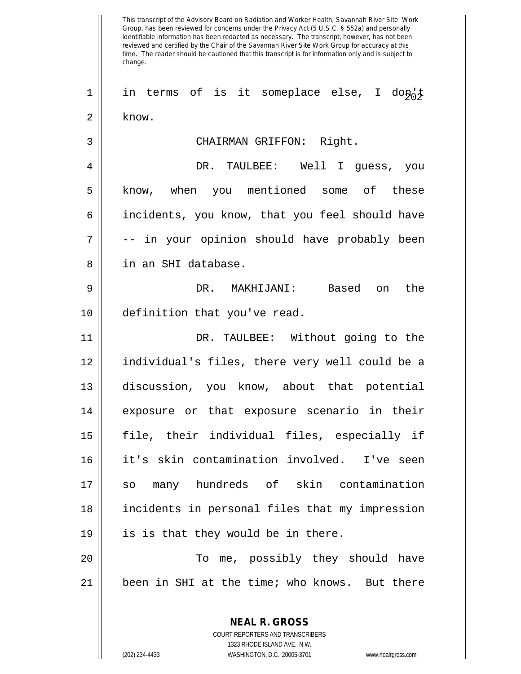This transcript of the Advisory Board on Radiation and Worker Health, Savannah River Site Work Group, has been reviewed for concerns under the Privacy Act (5 U.S.C. § 552a) and personally identifiable information has been redacted as necessary. The transcript, however, has not been reviewed and certified by the Chair of the Savannah River Site Work Group for accuracy at this time. The reader should be cautioned that this transcript is for information only and is subject to change. **NEAL R. GROSS** 1 | in terms of is it someplace else, I do $p_0'$ t  $2 \parallel$  know. 3 || CHAIRMAN GRIFFON: Right. 4 DR. TAULBEE: Well I guess, you 5 || know, when you mentioned some of these 6 | incidents, you know, that you feel should have 7 || -- in your opinion should have probably been 8 || in an SHI database. 9 DR. MAKHIJANI: Based on the 10 | definition that you've read. 11 DR. TAULBEE: Without going to the 12 individual's files, there very well could be a 13 discussion, you know, about that potential 14 || exposure or that exposure scenario in their 15 file, their individual files, especially if 16 it's skin contamination involved. I've seen 17 so many hundreds of skin contamination 18 incidents in personal files that my impression 19 || is is that they would be in there. 20 To me, possibly they should have  $21$  | been in SHI at the time; who knows. But there

> COURT REPORTERS AND TRANSCRIBERS 1323 RHODE ISLAND AVE., N.W.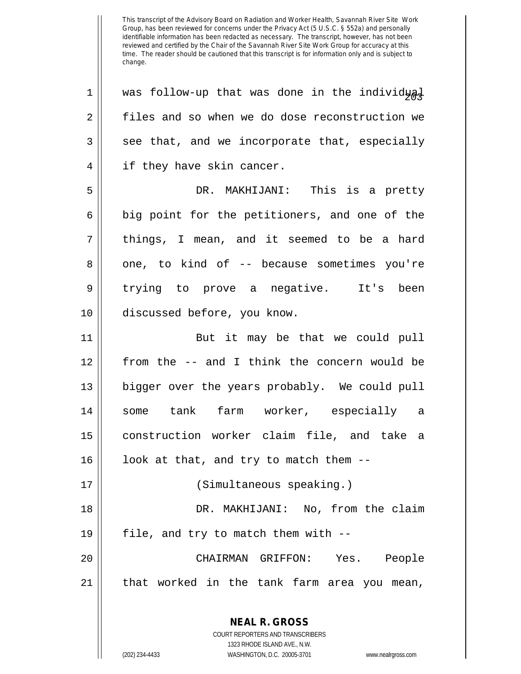**NEAL R. GROSS** COURT REPORTERS AND TRANSCRIBERS  $1$  was follow-up that was done in the individual 2 files and so when we do dose reconstruction we  $3 \parallel$  see that, and we incorporate that, especially 4 || if they have skin cancer. 5 DR. MAKHIJANI: This is a pretty  $6 \parallel$  big point for the petitioners, and one of the  $7 \parallel$  things, I mean, and it seemed to be a hard  $8 \parallel$  one, to kind of  $-$  because sometimes you're 9 || trying to prove a negative. It's been 10 discussed before, you know. 11 || But it may be that we could pull 12 from the -- and I think the concern would be 13 bigger over the years probably. We could pull 14 some tank farm worker, especially a 15 construction worker claim file, and take a  $16$  |  $100k$  at that, and try to match them  $-$ 17 (Simultaneous speaking.) 18 DR. MAKHIJANI: No, from the claim 19  $\parallel$  file, and try to match them with  $-$ 20 CHAIRMAN GRIFFON: Yes. People  $21$  | that worked in the tank farm area you mean,

1323 RHODE ISLAND AVE., N.W.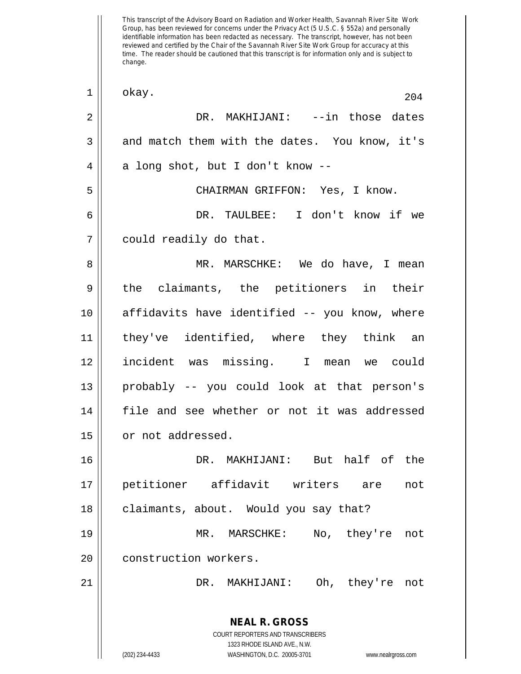This transcript of the Advisory Board on Radiation and Worker Health, Savannah River Site Work Group, has been reviewed for concerns under the Privacy Act (5 U.S.C. § 552a) and personally identifiable information has been redacted as necessary. The transcript, however, has not been reviewed and certified by the Chair of the Savannah River Site Work Group for accuracy at this time. The reader should be cautioned that this transcript is for information only and is subject to change. **NEAL R. GROSS** COURT REPORTERS AND TRANSCRIBERS 1323 RHODE ISLAND AVE., N.W. (202) 234-4433 WASHINGTON, D.C. 20005-3701 www.nealrgross.com  $\begin{array}{|c|c|c|c|c|}\n1 & \text{okay.} & & & & \text{204} \end{array}$ 2 DR. MAKHIJANI: --in those dates  $3 \parallel$  and match them with the dates. You know, it's  $4 \parallel$  a long shot, but I don't know --5 CHAIRMAN GRIFFON: Yes, I know. 6 DR. TAULBEE: I don't know if we 7 | could readily do that. 8 MR. MARSCHKE: We do have, I mean  $9 \parallel$  the claimants, the petitioners in their 10 || affidavits have identified -- you know, where 11 they've identified, where they think an 12 incident was missing. I mean we could 13 probably -- you could look at that person's 14 file and see whether or not it was addressed 15 | or not addressed. 16 DR. MAKHIJANI: But half of the 17 petitioner affidavit writers are not 18 || claimants, about. Would you say that? 19 MR. MARSCHKE: No, they're not 20 | construction workers. 21 DR. MAKHIJANI: Oh, they're not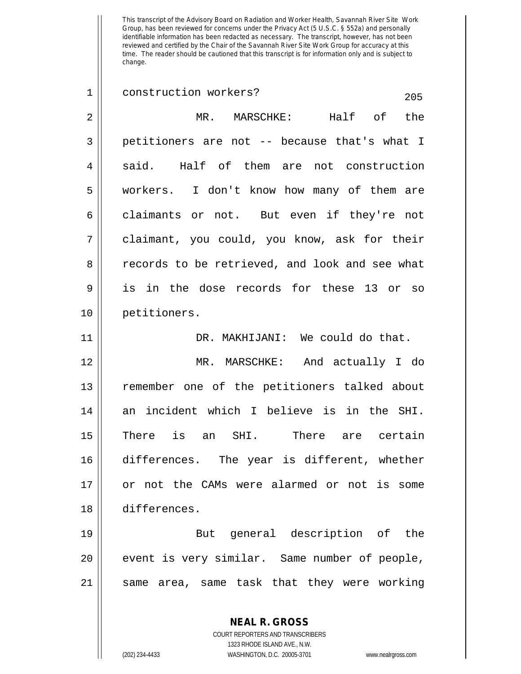| 1  | construction workers?<br>205                   |
|----|------------------------------------------------|
| 2  | MR. MARSCHKE: Half of<br>the                   |
| 3  | petitioners are not -- because that's what I   |
| 4  | said. Half of them are not construction        |
| 5  | workers. I don't know how many of them are     |
| 6  | claimants or not. But even if they're not      |
| 7  | claimant, you could, you know, ask for their   |
| 8  | records to be retrieved, and look and see what |
| 9  | is in the dose records for these 13 or so      |
| 10 | petitioners.                                   |
| 11 | DR. MAKHIJANI: We could do that.               |
| 12 | MR. MARSCHKE: And actually I do                |
| 13 | remember one of the petitioners talked about   |
| 14 | an incident which I believe is in the SHI.     |
| 15 | There is<br>an SHI. There are certain          |
| 16 | differences. The year is different, whether    |
| 17 | or not the CAMs were alarmed or not is some    |
| 18 | differences.                                   |
| 19 | But general description of the                 |
| 20 | event is very similar. Same number of people,  |
| 21 | same area, same task that they were working    |
|    | <b>NEAL R. GROSS</b>                           |

COURT REPORTERS AND TRANSCRIBERS 1323 RHODE ISLAND AVE., N.W.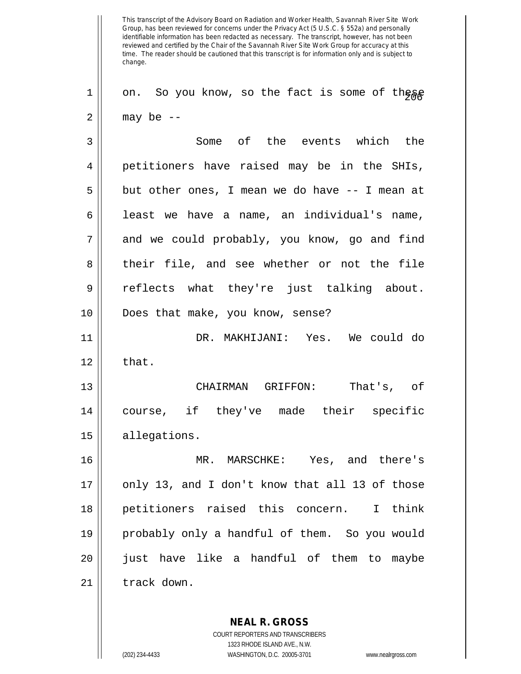This transcript of the Advisory Board on Radiation and Worker Health, Savannah River Site Work Group, has been reviewed for concerns under the Privacy Act (5 U.S.C. § 552a) and personally identifiable information has been redacted as necessary. The transcript, however, has not been reviewed and certified by the Chair of the Savannah River Site Work Group for accuracy at this time. The reader should be cautioned that this transcript is for information only and is subject to change.  $1$  | on. So you know, so the fact is some of these  $2 \parallel$  may be  $-$ 3 Some of the events which the 4 petitioners have raised may be in the SHIs,  $5 \parallel$  but other ones, I mean we do have -- I mean at 6 | least we have a name, an individual's name,  $7 \parallel$  and we could probably, you know, go and find 8 their file, and see whether or not the file 9 || reflects what they're just talking about. 10 || Does that make, you know, sense? 11 DR. MAKHIJANI: Yes. We could do  $12 \parallel$  that. 13 CHAIRMAN GRIFFON: That's, of 14 course, if they've made their specific 15 allegations. 16 MR. MARSCHKE: Yes, and there's 17 || only 13, and I don't know that all 13 of those 18 petitioners raised this concern. I think 19 probably only a handful of them. So you would 20 || just have like a handful of them to maybe 21 l track down.

> **NEAL R. GROSS** COURT REPORTERS AND TRANSCRIBERS 1323 RHODE ISLAND AVE., N.W.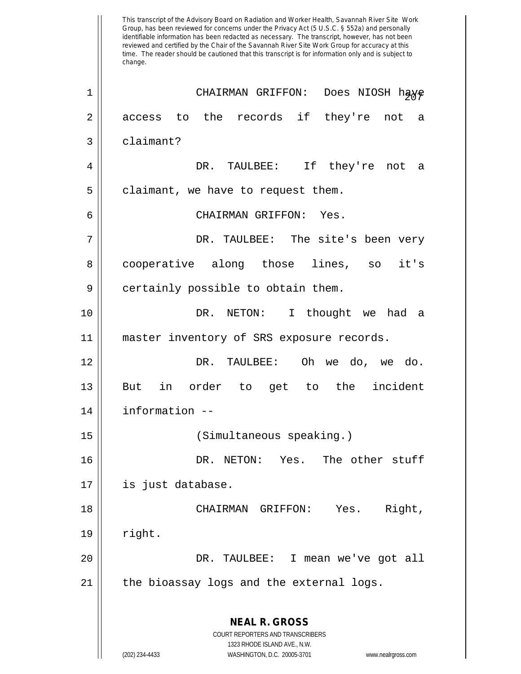Group, has been reviewed for concerns under the Privacy Act (5 U.S.C. § 552a) and personally identifiable information has been redacted as necessary. The transcript, however, has not been reviewed and certified by the Chair of the Savannah River Site Work Group for accuracy at this time. The reader should be cautioned that this transcript is for information only and is subject to change. **NEAL R. GROSS** COURT REPORTERS AND TRANSCRIBERS 1323 RHODE ISLAND AVE., N.W. <sup>207</sup> 1 CHAIRMAN GRIFFON: Does NIOSH have  $2 \parallel$  access to the records if they're not a 3 claimant? 4 DR. TAULBEE: If they're not a  $5 \parallel$  claimant, we have to request them. 6 CHAIRMAN GRIFFON: Yes. 7 DR. TAULBEE: The site's been very 8 || cooperative along those lines, so it's 9 || certainly possible to obtain them. 10 || DR. NETON: I thought we had a 11 || master inventory of SRS exposure records. 12 DR. TAULBEE: Oh we do, we do. 13 But in order to get to the incident 14 information -- 15 (Simultaneous speaking.) 16 DR. NETON: Yes. The other stuff 17 is just database. 18 CHAIRMAN GRIFFON: Yes. Right,  $19 \parallel$  right. 20 DR. TAULBEE: I mean we've got all  $21$  || the bioassay logs and the external logs.

This transcript of the Advisory Board on Radiation and Worker Health, Savannah River Site Work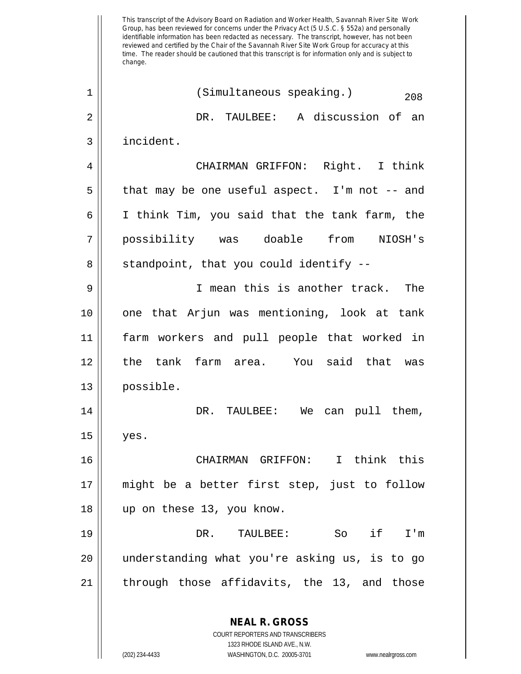This transcript of the Advisory Board on Radiation and Worker Health, Savannah River Site Work Group, has been reviewed for concerns under the Privacy Act (5 U.S.C. § 552a) and personally identifiable information has been redacted as necessary. The transcript, however, has not been reviewed and certified by the Chair of the Savannah River Site Work Group for accuracy at this time. The reader should be cautioned that this transcript is for information only and is subject to change. **NEAL R. GROSS** COURT REPORTERS AND TRANSCRIBERS  $\begin{array}{c|c} 1 & \text{Simultaneous speaking.} \end{array}$ 2 DR. TAULBEE: A discussion of an 3 incident. 4 CHAIRMAN GRIFFON: Right. I think  $5 \parallel$  that may be one useful aspect. I'm not -- and 6 | I think Tim, you said that the tank farm, the 7 possibility was doable from NIOSH's  $8 \parallel$  standpoint, that you could identify --9 I mean this is another track. The 10 one that Arjun was mentioning, look at tank 11 farm workers and pull people that worked in 12 the tank farm area. You said that was 13 possible. 14 DR. TAULBEE: We can pull them,  $15 \parallel$  yes. 16 CHAIRMAN GRIFFON: I think this 17 might be a better first step, just to follow 18 up on these 13, you know. 19 DR. TAULBEE: So if I'm 20 understanding what you're asking us, is to go  $21$  | through those affidavits, the 13, and those

1323 RHODE ISLAND AVE., N.W. (202) 234-4433 WASHINGTON, D.C. 20005-3701 www.nealrgross.com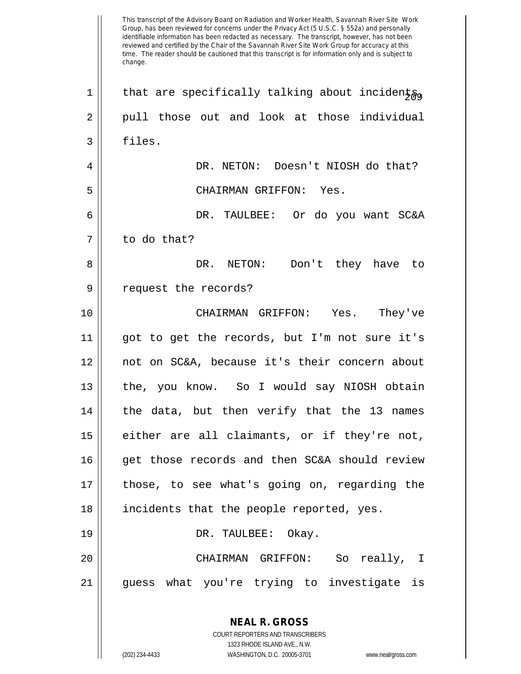This transcript of the Advisory Board on Radiation and Worker Health, Savannah River Site Work Group, has been reviewed for concerns under the Privacy Act (5 U.S.C. § 552a) and personally identifiable information has been redacted as necessary. The transcript, however, has not been reviewed and certified by the Chair of the Savannah River Site Work Group for accuracy at this time. The reader should be cautioned that this transcript is for information only and is subject to change. **NEAL R. GROSS** 1 || that are specifically talking about incidents,  $2 \parallel$  pull those out and look at those individual 3 | files. 4 DR. NETON: Doesn't NIOSH do that? 5 CHAIRMAN GRIFFON: Yes. 6 DR. TAULBEE: Or do you want SC&A 7 l to do that? 8 DR. NETON: Don't they have to 9 || request the records? 10 CHAIRMAN GRIFFON: Yes. They've 11 got to get the records, but I'm not sure it's 12 not on SC&A, because it's their concern about 13 the, you know. So I would say NIOSH obtain  $14$  | the data, but then verify that the 13 names 15 either are all claimants, or if they're not, 16 || qet those records and then SC&A should review 17 those, to see what's going on, regarding the 18 || incidents that the people reported, yes. 19 DR. TAULBEE: Okay. 20 CHAIRMAN GRIFFON: So really, I 21 || quess what you're trying to investigate is

> COURT REPORTERS AND TRANSCRIBERS 1323 RHODE ISLAND AVE., N.W.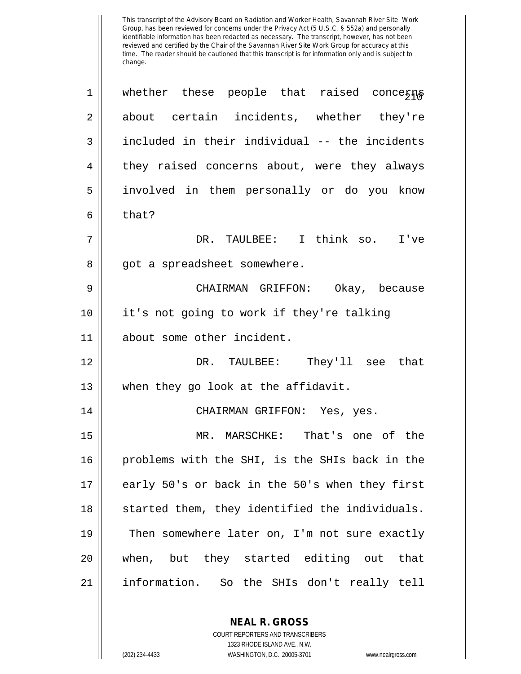| whether these people that raised concerns      |
|------------------------------------------------|
| about certain incidents, whether they're       |
| included in their individual -- the incidents  |
| they raised concerns about, were they always   |
| involved in them personally or do you know     |
| that?                                          |
| DR. TAULBEE: I think so. I've                  |
| got a spreadsheet somewhere.                   |
| CHAIRMAN GRIFFON: Okay, because                |
| it's not going to work if they're talking      |
| about some other incident.                     |
| DR. TAULBEE: They'll see that                  |
| when they go look at the affidavit.            |
| CHAIRMAN GRIFFON: Yes, yes.                    |
| MR. MARSCHKE: That's one of the                |
| problems with the SHI, is the SHIs back in the |
| early 50's or back in the 50's when they first |
| started them, they identified the individuals. |
| Then somewhere later on, I'm not sure exactly  |
| when, but they started editing out that        |
| information. So the SHIs don't really tell     |
|                                                |

**NEAL R. GROSS** COURT REPORTERS AND TRANSCRIBERS

1323 RHODE ISLAND AVE., N.W. (202) 234-4433 WASHINGTON, D.C. 20005-3701 www.nealrgross.com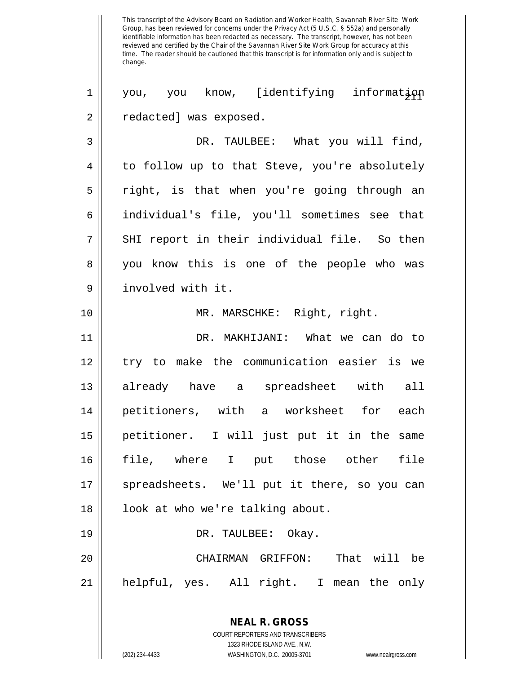This transcript of the Advisory Board on Radiation and Worker Health, Savannah River Site Work Group, has been reviewed for concerns under the Privacy Act (5 U.S.C. § 552a) and personally identifiable information has been redacted as necessary. The transcript, however, has not been reviewed and certified by the Chair of the Savannah River Site Work Group for accuracy at this time. The reader should be cautioned that this transcript is for information only and is subject to change. **NEAL R. GROSS** 1| you, you know, [identifying information 2 | redacted] was exposed. 3 DR. TAULBEE: What you will find, 4 || to follow up to that Steve, you're absolutely 5 || right, is that when you're going through an 6 individual's file, you'll sometimes see that 7 || SHI report in their individual file. So then 8 you know this is one of the people who was 9 || involved with it. 10 || MR. MARSCHKE: Right, right. 11 DR. MAKHIJANI: What we can do to 12 try to make the communication easier is we 13 already have a spreadsheet with all 14 petitioners, with a worksheet for each 15 petitioner. I will just put it in the same 16 file, where I put those other file 17 || spreadsheets. We'll put it there, so you can 18 || look at who we're talking about. 19 DR. TAULBEE: Okay. 20 CHAIRMAN GRIFFON: That will be 21 helpful, yes. All right. I mean the only

> COURT REPORTERS AND TRANSCRIBERS 1323 RHODE ISLAND AVE., N.W.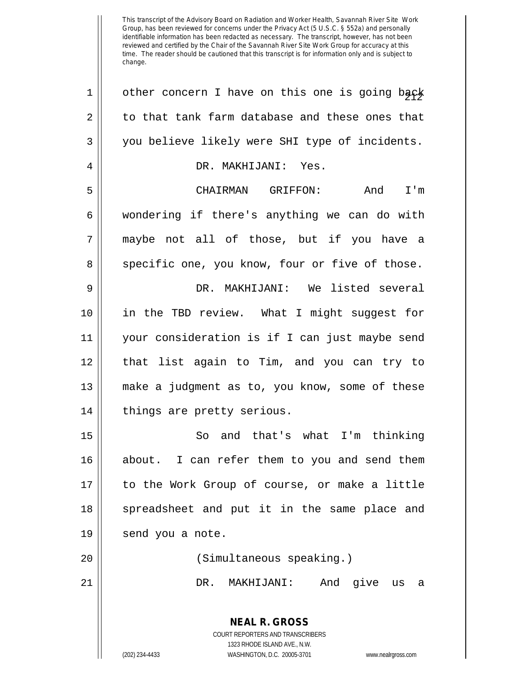This transcript of the Advisory Board on Radiation and Worker Health, Savannah River Site Work Group, has been reviewed for concerns under the Privacy Act (5 U.S.C. § 552a) and personally identifiable information has been redacted as necessary. The transcript, however, has not been reviewed and certified by the Chair of the Savannah River Site Work Group for accuracy at this time. The reader should be cautioned that this transcript is for information only and is subject to change. **NEAL R. GROSS** COURT REPORTERS AND TRANSCRIBERS 1323 RHODE ISLAND AVE., N.W. (202) 234-4433 WASHINGTON, D.C. 20005-3701 www.nealrgross.com 1 | other concern I have on this one is going back  $2 \parallel$  to that tank farm database and these ones that 3 you believe likely were SHI type of incidents. 4 DR. MAKHIJANI: Yes. 5 CHAIRMAN GRIFFON: And I'm  $6 \parallel$  wondering if there's anything we can do with 7 maybe not all of those, but if you have a 8 Supecific one, you know, four or five of those. 9 DR. MAKHIJANI: We listed several 10 in the TBD review. What I might suggest for 11 your consideration is if I can just maybe send 12 that list again to Tim, and you can try to 13 make a judgment as to, you know, some of these 14 | things are pretty serious. 15 So and that's what I'm thinking 16 about. I can refer them to you and send them 17 to the Work Group of course, or make a little 18 || spreadsheet and put it in the same place and 19 || send you a note. 20 (Simultaneous speaking.) 21 DR. MAKHIJANI: And give us a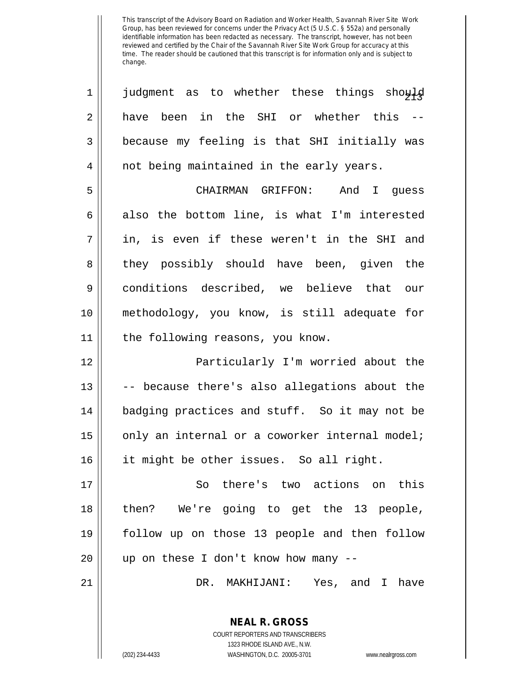| $\mathbf 1$    | judgment as to whether these things shoyld     |
|----------------|------------------------------------------------|
| $\overline{2}$ | have been in the SHI or whether this --        |
| 3              | because my feeling is that SHI initially was   |
| 4              | not being maintained in the early years.       |
| 5              | And I guess<br>CHAIRMAN GRIFFON:               |
| 6              | also the bottom line, is what I'm interested   |
| 7              | in, is even if these weren't in the SHI and    |
| 8              | they possibly should have been, given the      |
| 9              | conditions described, we believe that our      |
| 10             | methodology, you know, is still adequate for   |
| 11             | the following reasons, you know.               |
| 12             | Particularly I'm worried about the             |
| 13             | -- because there's also allegations about the  |
| 14             | badging practices and stuff. So it may not be  |
| 15             | only an internal or a coworker internal model; |
| 16             | it might be other issues. So all right.        |
| 17             | So there's two actions on this                 |
| 18             | then? We're going to get the 13 people,        |
| 19             | follow up on those 13 people and then follow   |
| 20             | up on these I don't know how many --           |
| 21             | MAKHIJANI: Yes, and I have<br>DR.              |
|                | <b>NEAL R. GROSS</b>                           |

COURT REPORTERS AND TRANSCRIBERS 1323 RHODE ISLAND AVE., N.W. (202) 234-4433 WASHINGTON, D.C. 20005-3701 www.nealrgross.com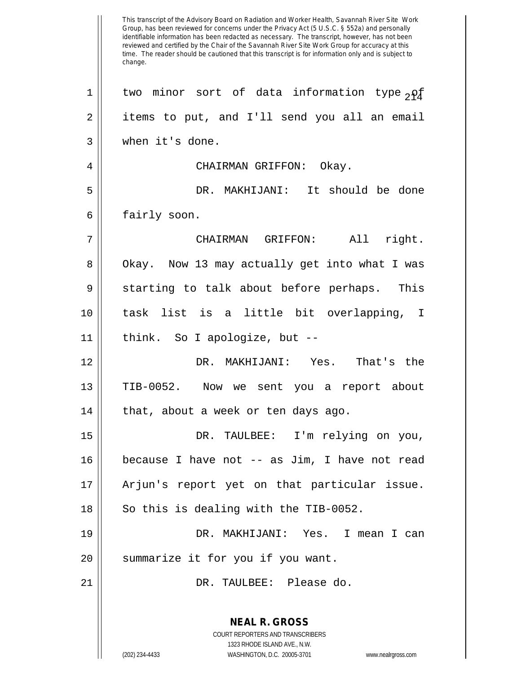This transcript of the Advisory Board on Radiation and Worker Health, Savannah River Site Work Group, has been reviewed for concerns under the Privacy Act (5 U.S.C. § 552a) and personally identifiable information has been redacted as necessary. The transcript, however, has not been reviewed and certified by the Chair of the Savannah River Site Work Group for accuracy at this time. The reader should be cautioned that this transcript is for information only and is subject to change. **NEAL R. GROSS** COURT REPORTERS AND TRANSCRIBERS 1323 RHODE ISLAND AVE., N.W. (202) 234-4433 WASHINGTON, D.C. 20005-3701 www.nealrgross.com 1 || two minor sort of data information type  ${}_{2}\rho f$ 2 | items to put, and I'll send you all an email 3 when it's done. 4 CHAIRMAN GRIFFON: Okay. 5 DR. MAKHIJANI: It should be done 6 | fairly soon. 7 CHAIRMAN GRIFFON: All right. 8 Okay. Now 13 may actually get into what I was  $9 \parallel$  starting to talk about before perhaps. This 10 task list is a little bit overlapping, I  $11$  | think. So I apologize, but  $-$ 12 DR. MAKHIJANI: Yes. That's the 13 TIB-0052. Now we sent you a report about  $14$  | that, about a week or ten days ago. 15 DR. TAULBEE: I'm relying on you, 16 because I have not -- as Jim, I have not read 17 Arjun's report yet on that particular issue. 18 || So this is dealing with the TIB-0052. 19 DR. MAKHIJANI: Yes. I mean I can 20 || summarize it for you if you want. 21 DR. TAULBEE: Please do.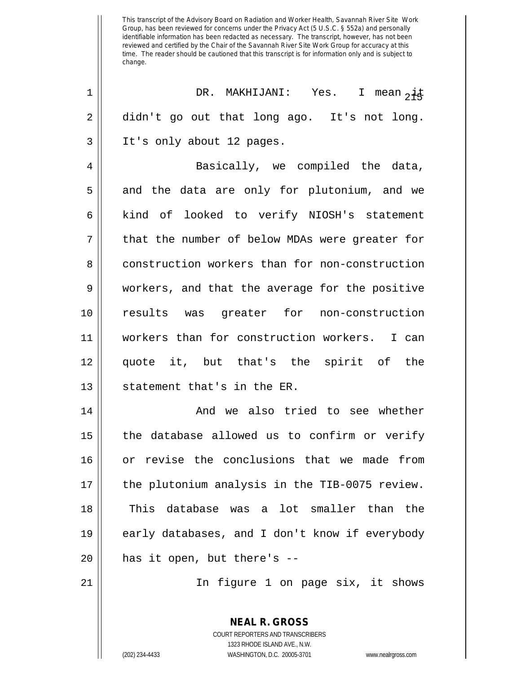This transcript of the Advisory Board on Radiation and Worker Health, Savannah River Site Work Group, has been reviewed for concerns under the Privacy Act (5 U.S.C. § 552a) and personally identifiable information has been redacted as necessary. The transcript, however, has not been reviewed and certified by the Chair of the Savannah River Site Work Group for accuracy at this time. The reader should be cautioned that this transcript is for information only and is subject to change. <sup>215</sup> 1 DR. MAKHIJANI: Yes. I mean it 2 didn't go out that long ago. It's not long. 3 || It's only about 12 pages. 4 || Basically, we compiled the data, 5 || and the data are only for plutonium, and we  $6$  kind of looked to verify NIOSH's statement 7 || that the number of below MDAs were greater for 8 construction workers than for non-construction 9 Workers, and that the average for the positive 10 results was greater for non-construction 11 workers than for construction workers. I can 12 quote it, but that's the spirit of the 13 || statement that's in the ER. 14 And we also tried to see whether 15 the database allowed us to confirm or verify 16 or revise the conclusions that we made from 17 || the plutonium analysis in the TIB-0075 review. 18 This database was a lot smaller than the 19 early databases, and I don't know if everybody  $20$  | has it open, but there's  $-$ 21 In figure 1 on page six, it shows

> **NEAL R. GROSS** COURT REPORTERS AND TRANSCRIBERS 1323 RHODE ISLAND AVE., N.W.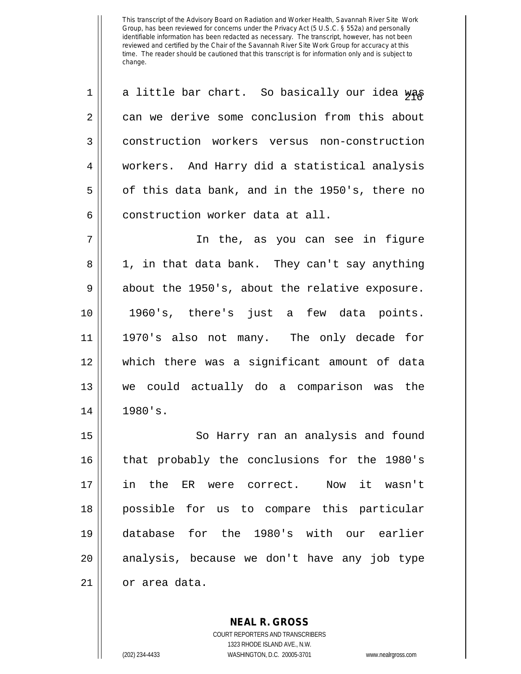| $\mathbf 1$ | a little bar chart. So basically our idea was     |
|-------------|---------------------------------------------------|
| 2           | can we derive some conclusion from this about     |
| 3           | construction workers versus non-construction      |
| 4           | workers. And Harry did a statistical analysis     |
| 5           | of this data bank, and in the 1950's, there no    |
| 6           | construction worker data at all.                  |
| 7           | In the, as you can see in figure                  |
| 8           | 1, in that data bank. They can't say anything     |
| 9           | about the 1950's, about the relative exposure.    |
| 10          | 1960's, there's just a few data points.           |
| 11          | 1970's also not many. The only decade for         |
| 12          | which there was a significant amount of data      |
| 13          | we could actually do a comparison was the         |
| 14          | 1980's.                                           |
| 15          | So Harry ran an analysis and found                |
| 16          | that probably the conclusions for the 1980's      |
| 17          | it<br>in the ER<br>were correct.<br>Now<br>wasn't |
| 18          | possible for us to compare this particular        |
| 19          | database for the 1980's with our earlier          |
| 20          | analysis, because we don't have any job type      |
| 21          | or area data.                                     |

**NEAL R. GROSS** COURT REPORTERS AND TRANSCRIBERS 1323 RHODE ISLAND AVE., N.W. (202) 234-4433 WASHINGTON, D.C. 20005-3701 www.nealrgross.com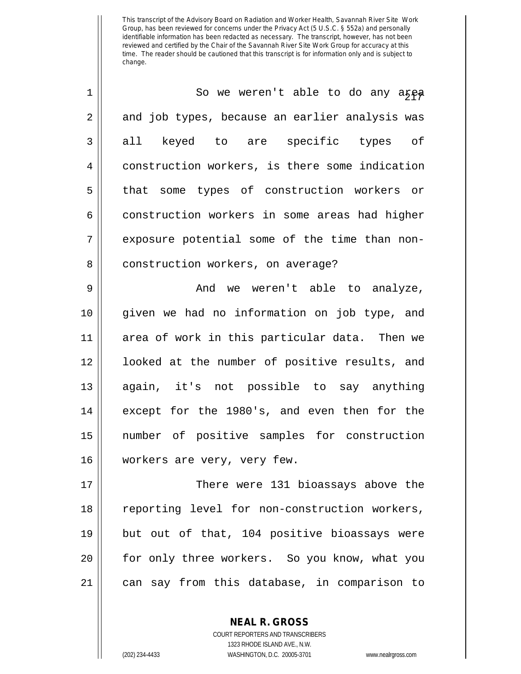| 1  | So we weren't able to do any area              |
|----|------------------------------------------------|
| 2  | and job types, because an earlier analysis was |
| 3  | keyed to are specific types of<br>all          |
| 4  | construction workers, is there some indication |
| 5  | that some types of construction workers or     |
| 6  | construction workers in some areas had higher  |
| 7  | exposure potential some of the time than non-  |
| 8  | construction workers, on average?              |
| 9  | And we weren't able to analyze,                |
| 10 | given we had no information on job type, and   |
| 11 | area of work in this particular data. Then we  |
| 12 | looked at the number of positive results, and  |
| 13 | again, it's not possible to say anything       |
| 14 | except for the 1980's, and even then for the   |
| 15 | number of positive samples for construction    |
| 16 | workers are very, very few.                    |
| 17 | There were 131 bioassays above the             |
|    |                                                |

18 || reporting level for non-construction workers, 19  $\parallel$  but out of that, 104 positive bioassays were 20 || for only three workers. So you know, what you 21 || can say from this database, in comparison to

> COURT REPORTERS AND TRANSCRIBERS 1323 RHODE ISLAND AVE., N.W. (202) 234-4433 WASHINGTON, D.C. 20005-3701 www.nealrgross.com

**NEAL R. GROSS**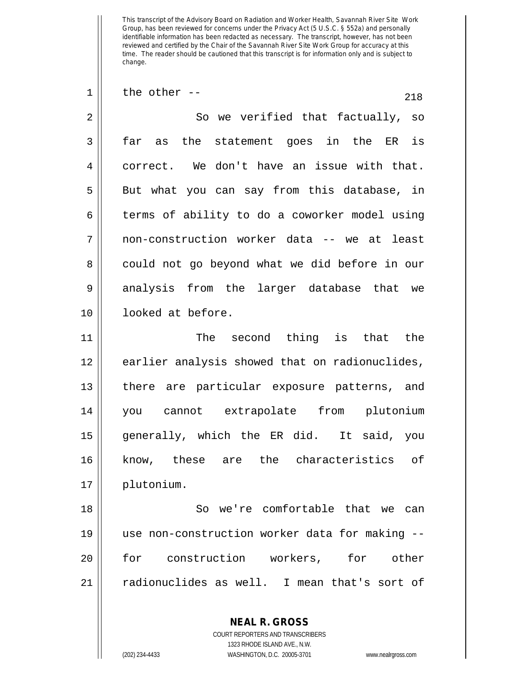$\begin{array}{|c|c|c|c|c|}\n1 & \text{the other } & - & \text{~~} & \text{~~} & \text{~~} & \text{~~} \n218 & \text{~~} & \text{~~} & \text{~~} \n\end{array}$ 2 || So we verified that factually, so 3 far as the statement goes in the ER is 4 correct. We don't have an issue with that.  $5 \parallel$  But what you can say from this database, in  $6 \parallel$  terms of ability to do a coworker model using 7 non-construction worker data -- we at least 8 could not go beyond what we did before in our 9 || analysis from the larger database that we 10 || looked at before. 11 The second thing is that the 12 || earlier analysis showed that on radionuclides, 13 there are particular exposure patterns, and 14 you cannot extrapolate from plutonium 15 generally, which the ER did. It said, you 16 know, these are the characteristics of 17 plutonium. 18 || So we're comfortable that we can 19 use non-construction worker data for making -- 20 for construction workers, for other 21 radionuclides as well. I mean that's sort of

> COURT REPORTERS AND TRANSCRIBERS 1323 RHODE ISLAND AVE., N.W. (202) 234-4433 WASHINGTON, D.C. 20005-3701 www.nealrgross.com

**NEAL R. GROSS**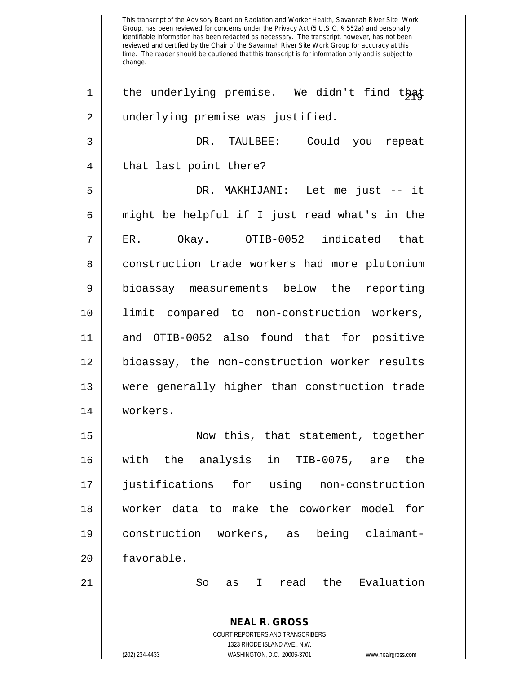This transcript of the Advisory Board on Radiation and Worker Health, Savannah River Site Work Group, has been reviewed for concerns under the Privacy Act (5 U.S.C. § 552a) and personally identifiable information has been redacted as necessary. The transcript, however, has not been reviewed and certified by the Chair of the Savannah River Site Work Group for accuracy at this time. The reader should be cautioned that this transcript is for information only and is subject to change. **NEAL R. GROSS** COURT REPORTERS AND TRANSCRIBERS 1323 RHODE ISLAND AVE., N.W. 1 || the underlying premise. We didn't find that 2 | underlying premise was justified. 3 DR. TAULBEE: Could you repeat 4 || that last point there? 5 DR. MAKHIJANI: Let me just -- it  $6 \parallel$  might be helpful if I just read what's in the 7 ER. Okay. OTIB-0052 indicated that 8 construction trade workers had more plutonium 9 || bioassay measurements below the reporting 10 limit compared to non-construction workers, 11 and OTIB-0052 also found that for positive 12 bioassay, the non-construction worker results 13 were generally higher than construction trade 14 | workers. 15 Now this, that statement, together 16 with the analysis in TIB-0075, are the 17 justifications for using non-construction 18 worker data to make the coworker model for 19 construction workers, as being claimant-20 favorable. 21 So as I read the Evaluation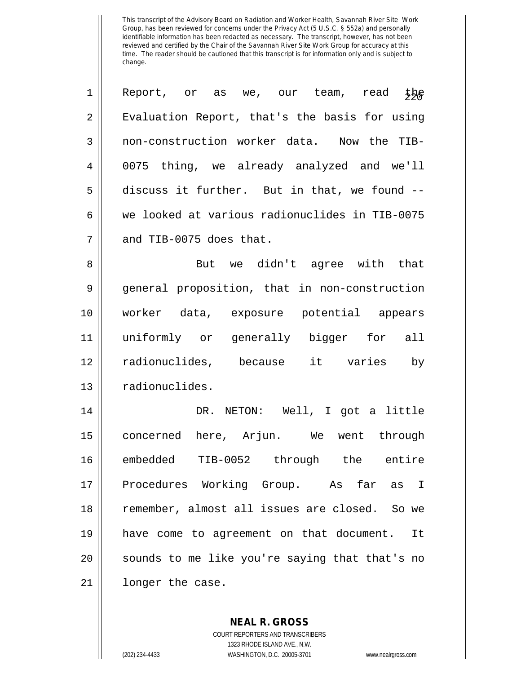| $\mathbf 1$ | Report, or as we, our team, read<br>55F        |
|-------------|------------------------------------------------|
| 2           | Evaluation Report, that's the basis for using  |
| 3           | non-construction worker data. Now the TIB-     |
| 4           | 0075 thing, we already analyzed and we'll      |
| 5           | discuss it further. But in that, we found --   |
| 6           | we looked at various radionuclides in TIB-0075 |
| 7           | and TIB-0075 does that.                        |
| 8           | But we didn't agree with that                  |
| 9           | general proposition, that in non-construction  |
| 10          | worker data, exposure potential appears        |
| 11          | uniformly or generally bigger for all          |
| 12          | radionuclides, because it varies by            |
| 13          | radionuclides.                                 |
| 14          | DR. NETON: Well, I got a little                |
| 15          | concerned here, Arjun. We went through         |
| 16          | embedded TIB-0052 through the entire           |
| 17          | Procedures Working Group. As far as I          |
| 18          | remember, almost all issues are closed. So we  |
| 19          | have come to agreement on that document.<br>It |
| 20          | sounds to me like you're saying that that's no |
| 21          | longer the case.                               |
|             |                                                |

**NEAL R. GROSS** COURT REPORTERS AND TRANSCRIBERS

1323 RHODE ISLAND AVE., N.W.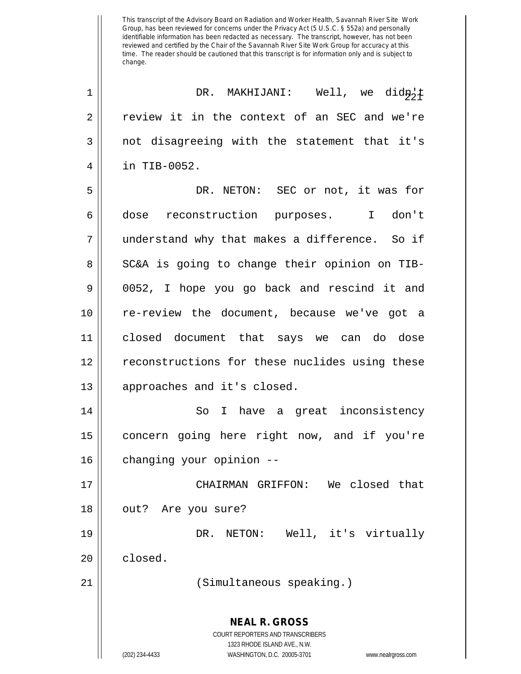This transcript of the Advisory Board on Radiation and Worker Health, Savannah River Site Work Group, has been reviewed for concerns under the Privacy Act (5 U.S.C. § 552a) and personally identifiable information has been redacted as necessary. The transcript, however, has not been reviewed and certified by the Chair of the Savannah River Site Work Group for accuracy at this time. The reader should be cautioned that this transcript is for information only and is subject to change. **NEAL R. GROSS** COURT REPORTERS AND TRANSCRIBERS 1323 RHODE ISLAND AVE., N.W. (202) 234-4433 WASHINGTON, D.C. 20005-3701 www.nealrgross.com  $\begin{array}{ccc} \hbox{\small\tt l} & \hbox{\small\tt l} & \hbox{\small\tt DR.} & \hbox{\small\tt MAKHIJANI:} & \hbox{\small\tt Well, we did} \end{array}$  $2 \parallel$  review it in the context of an SEC and we're  $3$  | not disagreeing with the statement that it's 4 in TIB-0052. 5 DR. NETON: SEC or not, it was for 6 dose reconstruction purposes. I don't 7 understand why that makes a difference. So if 8 SC&A is going to change their opinion on TIB-9 0052, I hope you go back and rescind it and 10 || re-review the document, because we've got a 11 closed document that says we can do dose 12 || reconstructions for these nuclides using these 13 || approaches and it's closed. 14 || So I have a great inconsistency 15 concern going here right now, and if you're 16 | changing your opinion --17 CHAIRMAN GRIFFON: We closed that 18 || out? Are you sure? 19 DR. NETON: Well, it's virtually 20 closed. 21 (Simultaneous speaking.)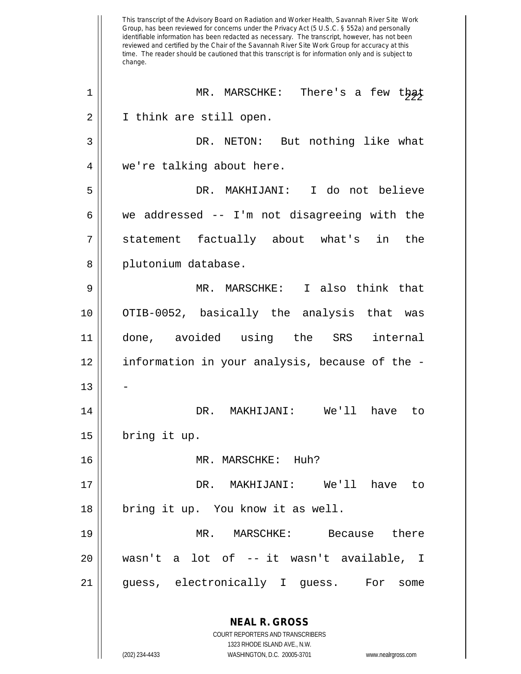This transcript of the Advisory Board on Radiation and Worker Health, Savannah River Site Work Group, has been reviewed for concerns under the Privacy Act (5 U.S.C. § 552a) and personally identifiable information has been redacted as necessary. The transcript, however, has not been reviewed and certified by the Chair of the Savannah River Site Work Group for accuracy at this time. The reader should be cautioned that this transcript is for information only and is subject to change. **NEAL R. GROSS** COURT REPORTERS AND TRANSCRIBERS 1323 RHODE ISLAND AVE., N.W. (202) 234-4433 WASHINGTON, D.C. 20005-3701 www.nealrgross.com <sup>222</sup> 1 MR. MARSCHKE: There's a few that 2 || I think are still open. 3 DR. NETON: But nothing like what 4 || we're talking about here. 5 DR. MAKHIJANI: I do not believe  $6 \parallel$  we addressed -- I'm not disagreeing with the 7 Statement factually about what's in the 8 || plutonium database. 9 MR. MARSCHKE: I also think that 10 || OTIB-0052, basically the analysis that was 11 done, avoided using the SRS internal 12 || information in your analysis, because of the -13 14 DR. MAKHIJANI: We'll have to 15 | bring it up. 16 MR. MARSCHKE: Huh? 17 DR. MAKHIJANI: We'll have to 18 || bring it up. You know it as well. 19 MR. MARSCHKE: Because there 20 wasn't a lot of -- it wasn't available, I 21 || quess, electronically I quess. For some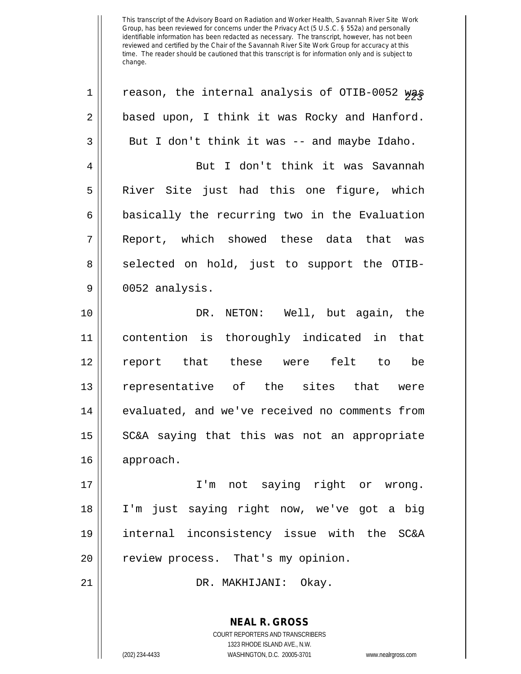| $\mathbf 1$    | reason, the internal analysis of OTIB-0052 was |
|----------------|------------------------------------------------|
| $\overline{2}$ | based upon, I think it was Rocky and Hanford.  |
| $\mathbf{3}$   | But I don't think it was -- and maybe Idaho.   |
| $\overline{4}$ | But I don't think it was Savannah              |
| 5              | River Site just had this one figure, which     |
| 6              | basically the recurring two in the Evaluation  |
| 7              | Report, which showed these data that was       |
| 8              | selected on hold, just to support the OTIB-    |
| 9              | 0052 analysis.                                 |
| 10             | DR. NETON: Well, but again, the                |
| 11             | contention is thoroughly indicated in that     |
| 12             | report that these were felt to be              |
| 13             | representative of the sites that were          |
| 14             | evaluated, and we've received no comments from |
| 15             | SC&A saying that this was not an appropriate   |
| 16             | approach.                                      |
| 17             | I'm not saying right or wrong.                 |
| 18             | I'm just saying right now, we've got a big     |
| 19             | internal inconsistency issue with the SC&A     |
| 20             | review process. That's my opinion.             |
| 21             | DR. MAKHIJANI: Okay.                           |
|                | <b>NEAL R. GROSS</b>                           |

COURT REPORTERS AND TRANSCRIBERS 1323 RHODE ISLAND AVE., N.W.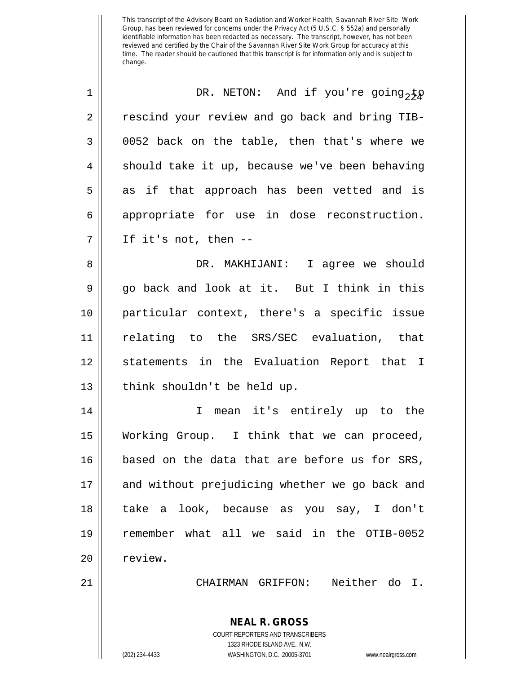| $\mathbf 1$    | DR. NETON: And if you're going <sub>2</sub> $\frac{1}{2}\rho$                                                                                                   |
|----------------|-----------------------------------------------------------------------------------------------------------------------------------------------------------------|
| 2              | rescind your review and go back and bring TIB-                                                                                                                  |
| 3              | 0052 back on the table, then that's where we                                                                                                                    |
| $\overline{4}$ | should take it up, because we've been behaving                                                                                                                  |
| 5              | as if that approach has been vetted and is                                                                                                                      |
| 6              | appropriate for use in dose reconstruction.                                                                                                                     |
| 7              | If it's not, then --                                                                                                                                            |
| 8              | DR. MAKHIJANI: I agree we should                                                                                                                                |
| $\mathsf 9$    | go back and look at it. But I think in this                                                                                                                     |
| 10             | particular context, there's a specific issue                                                                                                                    |
| 11             | relating to the SRS/SEC evaluation, that                                                                                                                        |
| 12             | statements in the Evaluation Report that I                                                                                                                      |
| 13             | think shouldn't be held up.                                                                                                                                     |
| 14             | mean it's entirely up to the<br>$\mathbf{I}$                                                                                                                    |
| 15             | Working Group. I think that we can proceed,                                                                                                                     |
| 16             | based on the data that are before us for SRS,                                                                                                                   |
| 17             | and without prejudicing whether we go back and                                                                                                                  |
| 18             | look, because as you say, I don't<br>take a                                                                                                                     |
| 19             | remember what all we said in the OTIB-0052                                                                                                                      |
| 20             | review.                                                                                                                                                         |
| 21             | Neither do I.<br>CHAIRMAN GRIFFON:                                                                                                                              |
|                | <b>NEAL R. GROSS</b><br>COURT REPORTERS AND TRANSCRIBERS<br>1323 RHODE ISLAND AVE., N.W.<br>(202) 234-4433<br>WASHINGTON, D.C. 20005-3701<br>www.nealrgross.com |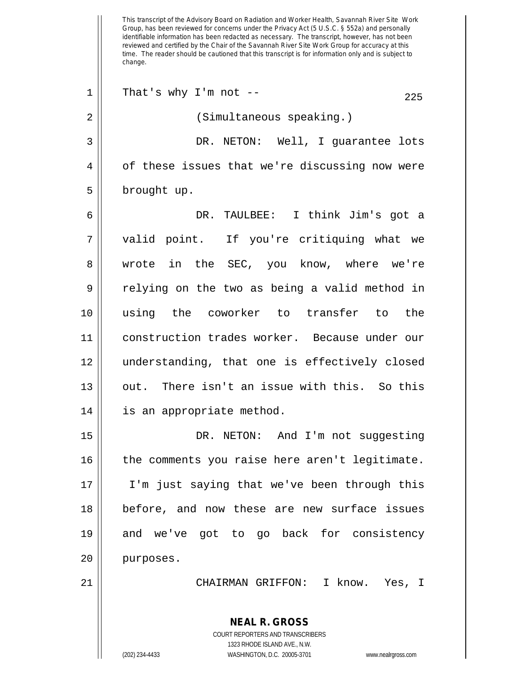This transcript of the Advisory Board on Radiation and Worker Health, Savannah River Site Work Group, has been reviewed for concerns under the Privacy Act (5 U.S.C. § 552a) and personally identifiable information has been redacted as necessary. The transcript, however, has not been reviewed and certified by the Chair of the Savannah River Site Work Group for accuracy at this time. The reader should be cautioned that this transcript is for information only and is subject to change. **NEAL R. GROSS** COURT REPORTERS AND TRANSCRIBERS  $1 \parallel$  That's why I'm not --2 | (Simultaneous speaking.) 3 DR. NETON: Well, I guarantee lots 4 || of these issues that we're discussing now were 5 | brought up. 6 DR. TAULBEE: I think Jim's got a 7 valid point. If you're critiquing what we 8 || wrote in the SEC, you know, where we're 9 || relying on the two as being a valid method in 10 using the coworker to transfer to the 11 construction trades worker. Because under our 12 understanding, that one is effectively closed 13 || out. There isn't an issue with this. So this 14 | is an appropriate method. 15 DR. NETON: And I'm not suggesting 16 || the comments you raise here aren't legitimate. 17 I'm just saying that we've been through this 18 before, and now these are new surface issues 19 and we've got to go back for consistency 20 | purposes. 21 CHAIRMAN GRIFFON: I know. Yes, I

1323 RHODE ISLAND AVE., N.W.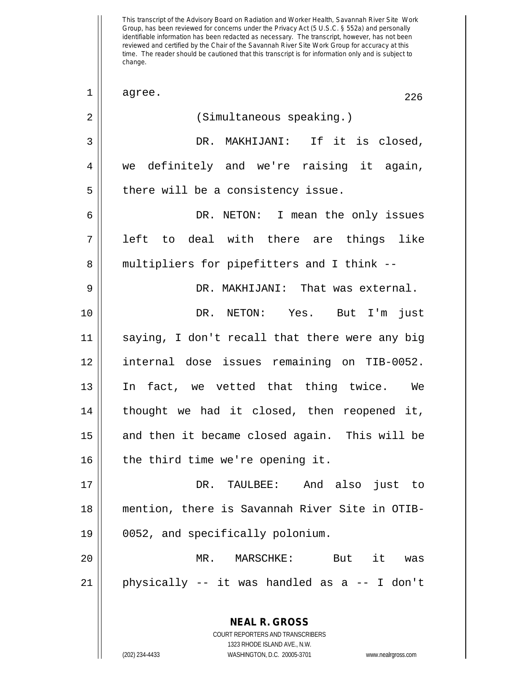This transcript of the Advisory Board on Radiation and Worker Health, Savannah River Site Work Group, has been reviewed for concerns under the Privacy Act (5 U.S.C. § 552a) and personally identifiable information has been redacted as necessary. The transcript, however, has not been reviewed and certified by the Chair of the Savannah River Site Work Group for accuracy at this time. The reader should be cautioned that this transcript is for information only and is subject to change. **NEAL R. GROSS** COURT REPORTERS AND TRANSCRIBERS 1323 RHODE ISLAND AVE., N.W.  $\begin{array}{|c|c|c|c|c|}\n1 & \text{agree.} & \text{226}\n\end{array}$ 2 || (Simultaneous speaking.) 3 DR. MAKHIJANI: If it is closed, 4 we definitely and we're raising it again,  $5$  | there will be a consistency issue. 6 DR. NETON: I mean the only issues  $7 \parallel$  left to deal with there are things like 8 | multipliers for pipefitters and I think --9 DR. MAKHIJANI: That was external. 10 DR. NETON: Yes. But I'm just 11 || saying, I don't recall that there were any big 12 internal dose issues remaining on TIB-0052. 13 In fact, we vetted that thing twice. We  $14$  | thought we had it closed, then reopened it, 15 and then it became closed again. This will be  $16$  | the third time we're opening it. 17 DR. TAULBEE: And also just to 18 mention, there is Savannah River Site in OTIB-19 0052, and specifically polonium. 20 MR. MARSCHKE: But it was 21 physically -- it was handled as a -- I don't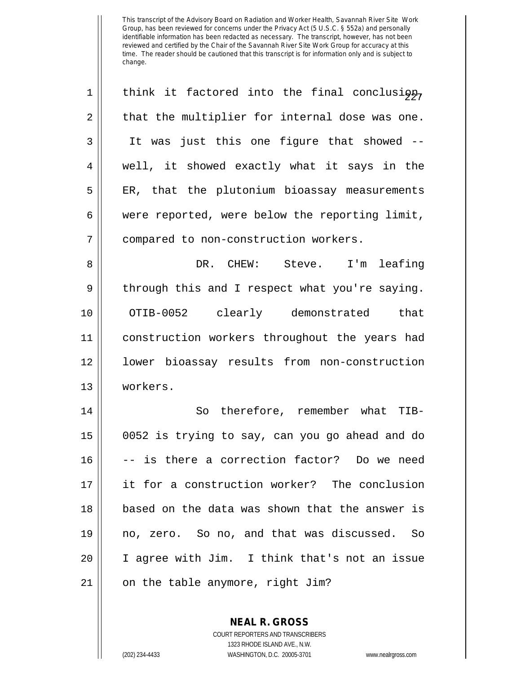| $\mathbf 1$ | think it factored into the final conclusign,   |
|-------------|------------------------------------------------|
| 2           | that the multiplier for internal dose was one. |
| 3           | It was just this one figure that showed --     |
| 4           | well, it showed exactly what it says in the    |
| 5           | ER, that the plutonium bioassay measurements   |
| 6           | were reported, were below the reporting limit, |
| 7           | compared to non-construction workers.          |
| 8           | DR. CHEW: Steve. I'm leafing                   |
| 9           | through this and I respect what you're saying. |
| 10          | OTIB-0052 clearly demonstrated that            |
| 11          | construction workers throughout the years had  |
| 12          | lower bioassay results from non-construction   |
| 13          | workers.                                       |
| 14          | So therefore, remember what TIB-               |
| 15          | 0052 is trying to say, can you go ahead and do |
| 16          | -- is there a correction factor? Do we need    |
| 17          | it for a construction worker? The conclusion   |
| 18          | based on the data was shown that the answer is |
| 19          | no, zero. So no, and that was discussed. So    |
| 20          | I agree with Jim. I think that's not an issue  |
| 21          | on the table anymore, right Jim?               |

**NEAL R. GROSS** COURT REPORTERS AND TRANSCRIBERS 1323 RHODE ISLAND AVE., N.W.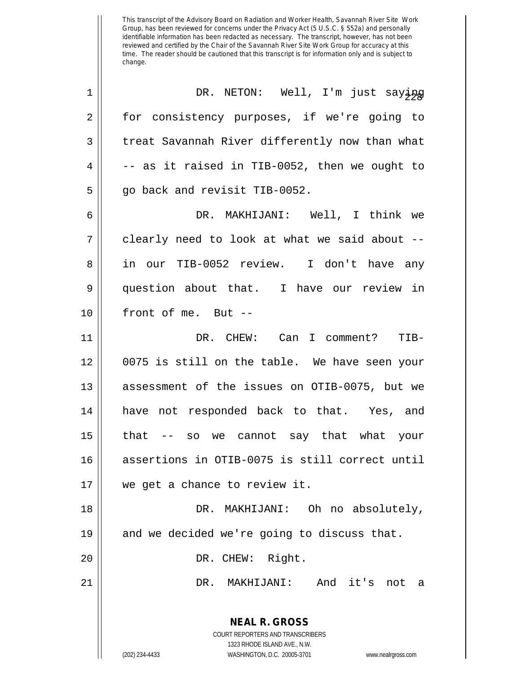This transcript of the Advisory Board on Radiation and Worker Health, Savannah River Site Work Group, has been reviewed for concerns under the Privacy Act (5 U.S.C. § 552a) and personally identifiable information has been redacted as necessary. The transcript, however, has not been reviewed and certified by the Chair of the Savannah River Site Work Group for accuracy at this time. The reader should be cautioned that this transcript is for information only and is subject to change. <sup>228</sup> 1 DR. NETON: Well, I'm just saying 2 for consistency purposes, if we're going to 3 || treat Savannah River differently now than what  $4 \parallel$  -- as it raised in TIB-0052, then we ought to 5 || qo back and revisit TIB-0052. 6 DR. MAKHIJANI: Well, I think we 7 clearly need to look at what we said about -- 8 in our TIB-0052 review. I don't have any 9 question about that. I have our review in  $10$  | front of me. But  $-$ 11 DR. CHEW: Can I comment? TIB-12 0075 is still on the table. We have seen your 13 || assessment of the issues on OTIB-0075, but we 14 have not responded back to that. Yes, and 15 that -- so we cannot say that what your 16 assertions in OTIB-0075 is still correct until 17 we get a chance to review it. 18 DR. MAKHIJANI: Oh no absolutely, 19 || and we decided we're going to discuss that. 20 || DR. CHEW: Right.

21 DR. MAKHIJANI: And it's not a

**NEAL R. GROSS** COURT REPORTERS AND TRANSCRIBERS

1323 RHODE ISLAND AVE., N.W.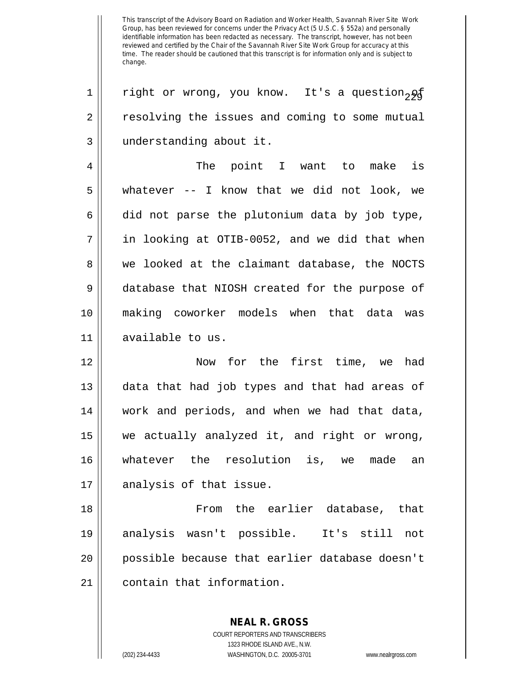Group, has been reviewed for concerns under the Privacy Act (5 U.S.C. § 552a) and personally identifiable information has been redacted as necessary. The transcript, however, has not been reviewed and certified by the Chair of the Savannah River Site Work Group for accuracy at this time. The reader should be cautioned that this transcript is for information only and is subject to change. 1 | right or wrong, you know. It's a question,  $\frac{1}{2}$ 2 | resolving the issues and coming to some mutual 3 understanding about it. 4 The point I want to make is  $5 \parallel$  whatever -- I know that we did not look, we  $6 \parallel$  did not parse the plutonium data by job type,  $7 \parallel$  in looking at OTIB-0052, and we did that when 8 we looked at the claimant database, the NOCTS 9 database that NIOSH created for the purpose of 10 making coworker models when that data was 11 || available to us. 12 Now for the first time, we had 13 data that had job types and that had areas of 14 work and periods, and when we had that data, 15 we actually analyzed it, and right or wrong, 16 whatever the resolution is, we made an 17 || analysis of that issue. 18 From the earlier database, that 19 analysis wasn't possible. It's still not 20 possible because that earlier database doesn't 21 | contain that information.

This transcript of the Advisory Board on Radiation and Worker Health, Savannah River Site Work

COURT REPORTERS AND TRANSCRIBERS 1323 RHODE ISLAND AVE., N.W. (202) 234-4433 WASHINGTON, D.C. 20005-3701 www.nealrgross.com

**NEAL R. GROSS**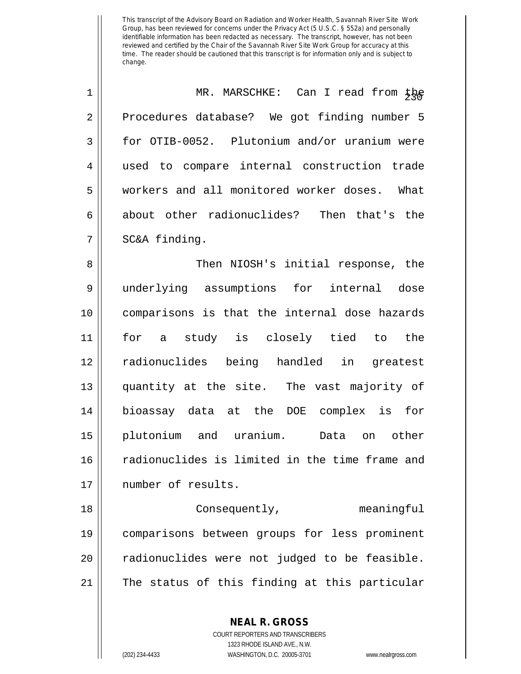| $\mathbf 1$ | MR. MARSCHKE: Can I read from the              |
|-------------|------------------------------------------------|
| 2           | Procedures database? We got finding number 5   |
| 3           | for OTIB-0052. Plutonium and/or uranium were   |
| 4           | used to compare internal construction trade    |
| 5           | workers and all monitored worker doses. What   |
| 6           | about other radionuclides? Then that's the     |
| 7           | SC&A finding.                                  |
| 8           | Then NIOSH's initial response, the             |
| 9           | underlying assumptions for internal dose       |
| 10          | comparisons is that the internal dose hazards  |
| 11          | for a study is closely tied to the             |
| 12          | radionuclides being handled in greatest        |
| 13          | quantity at the site. The vast majority of     |
| 14          | bioassay data at the DOE complex is for        |
| 15          | plutonium and uranium. Data on other           |
| 16          | radionuclides is limited in the time frame and |
| 17          | number of results.                             |
| 18          | Consequently,<br>meaningful                    |
| 19          | comparisons between groups for less prominent  |
| 20          | radionuclides were not judged to be feasible.  |

 $21$  The status of this finding at this particular

**NEAL R. GROSS** COURT REPORTERS AND TRANSCRIBERS

1323 RHODE ISLAND AVE., N.W.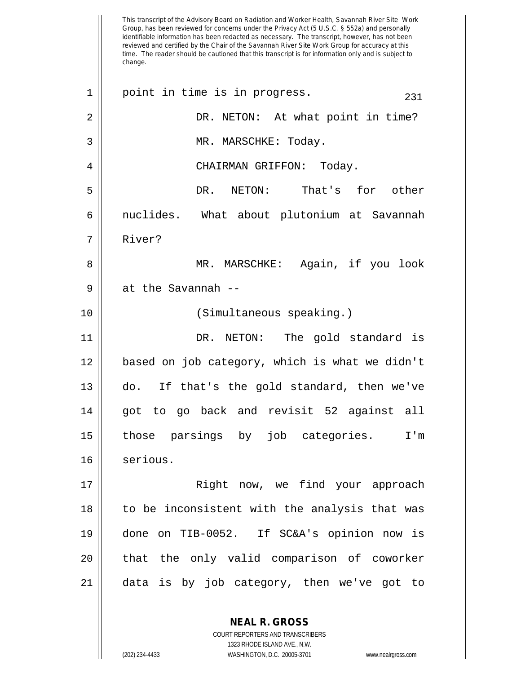This transcript of the Advisory Board on Radiation and Worker Health, Savannah River Site Work Group, has been reviewed for concerns under the Privacy Act (5 U.S.C. § 552a) and personally identifiable information has been redacted as necessary. The transcript, however, has not been reviewed and certified by the Chair of the Savannah River Site Work Group for accuracy at this time. The reader should be cautioned that this transcript is for information only and is subject to change.  $1 \parallel$  point in time is in progress.  $231$ 2 | DR. NETON: At what point in time? 3 || MR. MARSCHKE: Today. 4 | CHAIRMAN GRIFFON: Today. 5 DR. NETON: That's for other 6 | nuclides. What about plutonium at Savannah 7 River? 8 MR. MARSCHKE: Again, if you look 9 || at the Savannah --10 || (Simultaneous speaking.) 11 DR. NETON: The gold standard is 12 based on job category, which is what we didn't 13 do. If that's the gold standard, then we've 14 || got to go back and revisit 52 against all 15 those parsings by job categories. I'm 16 serious. 17 Right now, we find your approach 18 || to be inconsistent with the analysis that was 19 done on TIB-0052. If SC&A's opinion now is 20 || that the only valid comparison of coworker 21 data is by job category, then we've got to

> COURT REPORTERS AND TRANSCRIBERS 1323 RHODE ISLAND AVE., N.W. (202) 234-4433 WASHINGTON, D.C. 20005-3701 www.nealrgross.com

**NEAL R. GROSS**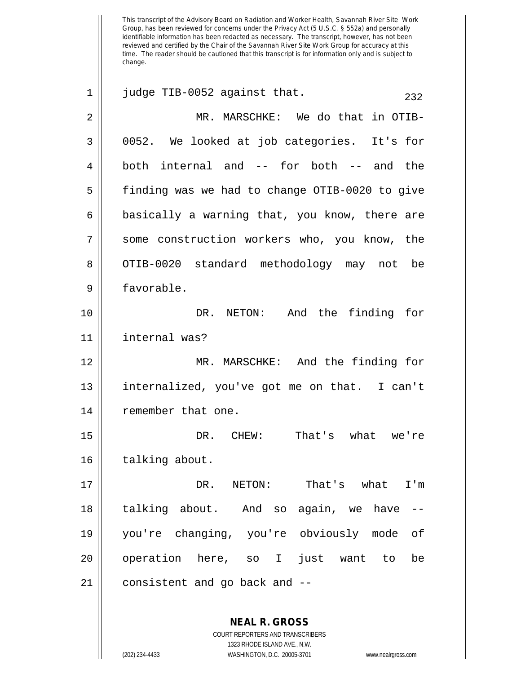| 1  | judge TIB-0052 against that.<br>232            |
|----|------------------------------------------------|
| 2  | MR. MARSCHKE: We do that in OTIB-              |
| 3  | 0052. We looked at job categories. It's for    |
| 4  | both internal and -- for both -- and the       |
| 5  | finding was we had to change OTIB-0020 to give |
| 6  | basically a warning that, you know, there are  |
| 7  | some construction workers who, you know, the   |
| 8  | OTIB-0020 standard methodology may not be      |
| 9  | favorable.                                     |
| 10 | And the finding for<br>DR. NETON:              |
| 11 | internal was?                                  |
| 12 | MR. MARSCHKE: And the finding for              |
| 13 | internalized, you've got me on that. I can't   |
| 14 | remember that one.                             |
| 15 | DR. CHEW:<br>That's what we're                 |
| 16 | talking about.                                 |
| 17 | NETON: That's what<br>DR.<br>I'm               |
| 18 | talking about. And so again, we have<br>$-\,-$ |
| 19 | you're changing, you're obviously mode of      |
| 20 | operation here, so I just want to<br>be        |
| 21 | consistent and go back and --                  |
|    |                                                |

COURT REPORTERS AND TRANSCRIBERS 1323 RHODE ISLAND AVE., N.W. (202) 234-4433 WASHINGTON, D.C. 20005-3701 www.nealrgross.com

**NEAL R. GROSS**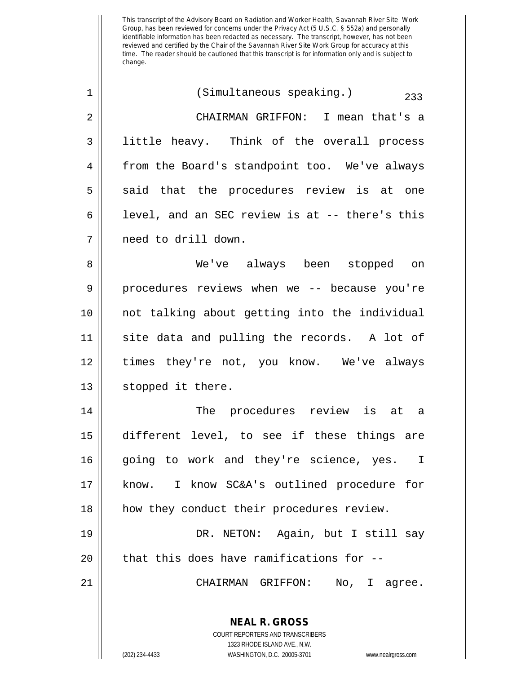**NEAL R. GROSS** COURT REPORTERS AND TRANSCRIBERS 1323 RHODE ISLAND AVE., N.W.  $\begin{array}{c|c} 1 & \text{Simultaneous speaking.} \end{array}$ 2 CHAIRMAN GRIFFON: I mean that's a 3 little heavy. Think of the overall process 4 || from the Board's standpoint too. We've always 5 || said that the procedures review is at one 6 | level, and an SEC review is at  $-$  there's this 7 need to drill down. 8 We've always been stopped on 9 || procedures reviews when we -- because you're 10 not talking about getting into the individual 11 site data and pulling the records. A lot of 12 times they're not, you know. We've always 13 || stopped it there. 14 The procedures review is at a 15 different level, to see if these things are 16 || going to work and they're science, yes. I 17 know. I know SC&A's outlined procedure for 18 || how they conduct their procedures review. 19 DR. NETON: Again, but I still say 20  $\parallel$  that this does have ramifications for  $-$ -21 CHAIRMAN GRIFFON: No, I agree.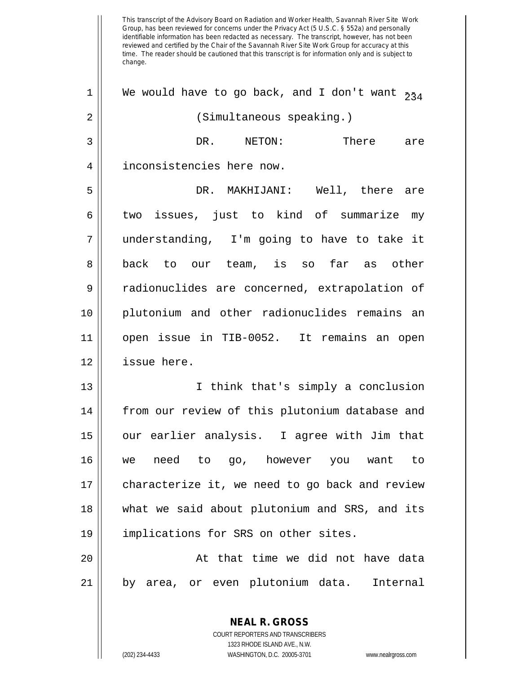This transcript of the Advisory Board on Radiation and Worker Health, Savannah River Site Work Group, has been reviewed for concerns under the Privacy Act (5 U.S.C. § 552a) and personally identifiable information has been redacted as necessary. The transcript, however, has not been reviewed and certified by the Chair of the Savannah River Site Work Group for accuracy at this time. The reader should be cautioned that this transcript is for information only and is subject to change. 1  $\parallel$  We would have to go back, and I don't want  $_{\bar{2}\bar{3}4}$ 2 | (Simultaneous speaking.) 3 DR. NETON: There are 4 | inconsistencies here now. 5 DR. MAKHIJANI: Well, there are  $6 \parallel$  two issues, just to kind of summarize my 7 understanding, I'm going to have to take it  $8 \parallel$  back to our team, is so far as other 9 || radionuclides are concerned, extrapolation of 10 plutonium and other radionuclides remains an 11 open issue in TIB-0052. It remains an open 12 issue here. 13 I think that's simply a conclusion 14 || from our review of this plutonium database and 15 our earlier analysis. I agree with Jim that 16 we need to go, however you want to 17 characterize it, we need to go back and review 18 what we said about plutonium and SRS, and its 19 implications for SRS on other sites. 20 || At that time we did not have data 21 by area, or even plutonium data. Internal

> **NEAL R. GROSS** COURT REPORTERS AND TRANSCRIBERS 1323 RHODE ISLAND AVE., N.W.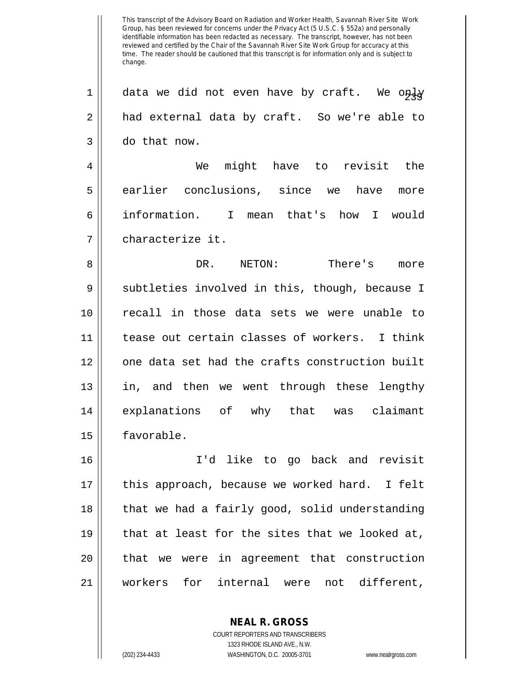This transcript of the Advisory Board on Radiation and Worker Health, Savannah River Site Work Group, has been reviewed for concerns under the Privacy Act (5 U.S.C. § 552a) and personally identifiable information has been redacted as necessary. The transcript, however, has not been reviewed and certified by the Chair of the Savannah River Site Work Group for accuracy at this time. The reader should be cautioned that this transcript is for information only and is subject to change. 1  $\parallel$  data we did not even have by craft. We only 2 and external data by craft. So we're able to 3 do that now. 4 We might have to revisit the 5 earlier conclusions, since we have more 6 information. I mean that's how I would 7 characterize it. 8 DR. NETON: There's more 9 Subtleties involved in this, though, because I 10 recall in those data sets we were unable to 11 tease out certain classes of workers. I think 12 || one data set had the crafts construction built 13 || in, and then we went through these lengthy 14 explanations of why that was claimant 15 favorable. 16 I'd like to go back and revisit 17 || this approach, because we worked hard. I felt 18 || that we had a fairly good, solid understanding 19  $\parallel$  that at least for the sites that we looked at, 20 || that we were in agreement that construction 21 workers for internal were not different,

> COURT REPORTERS AND TRANSCRIBERS 1323 RHODE ISLAND AVE., N.W. (202) 234-4433 WASHINGTON, D.C. 20005-3701 www.nealrgross.com

**NEAL R. GROSS**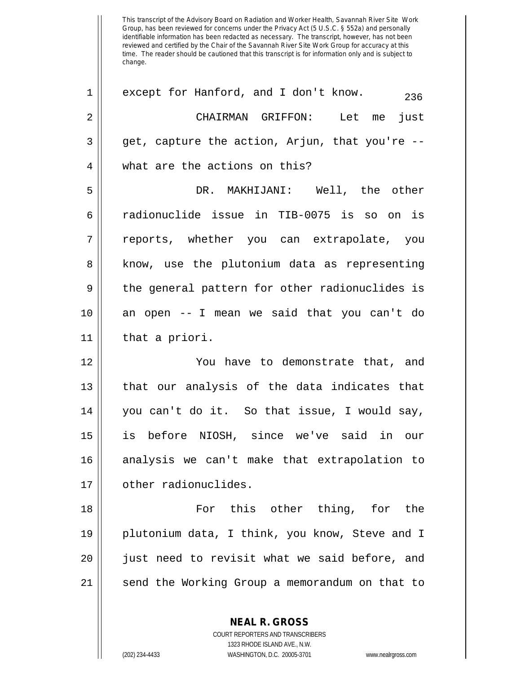Group, has been reviewed for concerns under the Privacy Act (5 U.S.C. § 552a) and personally identifiable information has been redacted as necessary. The transcript, however, has not been reviewed and certified by the Chair of the Savannah River Site Work Group for accuracy at this time. The reader should be cautioned that this transcript is for information only and is subject to change.  $1 \parallel$  except for Hanford, and I don't know.  $236$ 2 CHAIRMAN GRIFFON: Let me just  $3 \parallel$  get, capture the action, Arjun, that you're --4 What are the actions on this? 5 DR. MAKHIJANI: Well, the other 6 radionuclide issue in TIB-0075 is so on is 7 || reports, whether you can extrapolate, you 8 || know, use the plutonium data as representing  $9 \parallel$  the general pattern for other radionuclides is 10 an open -- I mean we said that you can't do 11 | that a priori. 12 You have to demonstrate that, and 13 || that our analysis of the data indicates that 14 you can't do it. So that issue, I would say, 15 is before NIOSH, since we've said in our 16 analysis we can't make that extrapolation to 17 || other radionuclides. 18 For this other thing, for the 19 plutonium data, I think, you know, Steve and I 20 || just need to revisit what we said before, and 21 || send the Working Group a memorandum on that to

This transcript of the Advisory Board on Radiation and Worker Health, Savannah River Site Work

1323 RHODE ISLAND AVE., N.W. (202) 234-4433 WASHINGTON, D.C. 20005-3701 www.nealrgross.com

**NEAL R. GROSS** COURT REPORTERS AND TRANSCRIBERS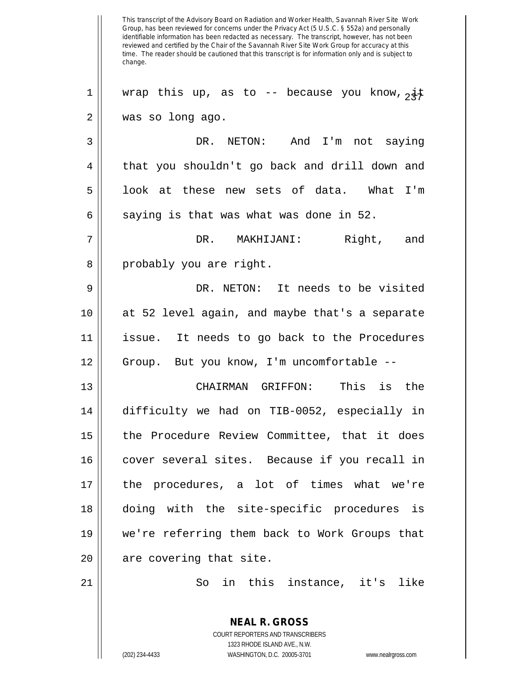This transcript of the Advisory Board on Radiation and Worker Health, Savannah River Site Work Group, has been reviewed for concerns under the Privacy Act (5 U.S.C. § 552a) and personally identifiable information has been redacted as necessary. The transcript, however, has not been reviewed and certified by the Chair of the Savannah River Site Work Group for accuracy at this time. The reader should be cautioned that this transcript is for information only and is subject to change. **NEAL R. GROSS** COURT REPORTERS AND TRANSCRIBERS 1 Wrap this up, as to -- because you know,  $2\frac{1}{2}$ 2 was so long ago. 3 DR. NETON: And I'm not saying 4 that you shouldn't go back and drill down and 5 || look at these new sets of data. What I'm 6  $\vert$  saying is that was what was done in 52. 7 DR. MAKHIJANI: Right, and 8 || probably you are right. 9 DR. NETON: It needs to be visited 10 at 52 level again, and maybe that's a separate 11 issue. It needs to go back to the Procedures 12 Group. But you know, I'm uncomfortable -- 13 CHAIRMAN GRIFFON: This is the 14 difficulty we had on TIB-0052, especially in 15 the Procedure Review Committee, that it does 16 || cover several sites. Because if you recall in 17 || the procedures, a lot of times what we're 18 doing with the site-specific procedures is 19 we're referring them back to Work Groups that  $20$  || are covering that site. 21 So in this instance, it's like

1323 RHODE ISLAND AVE., N.W.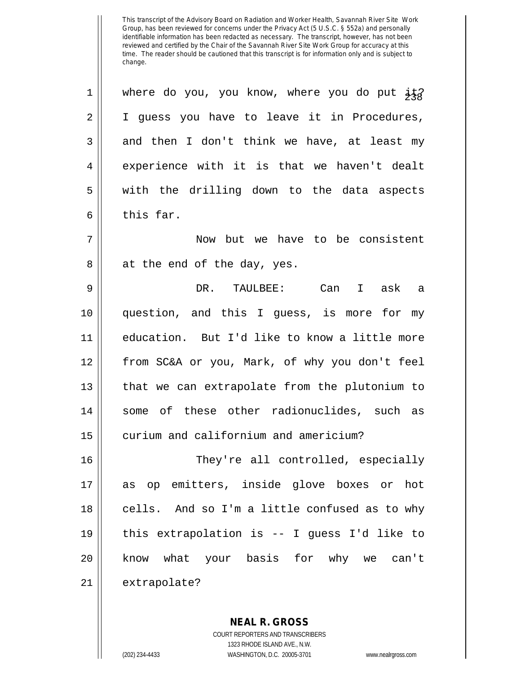1 Where do you, you know, where you do put  $\frac{1}{2}$ 2 | I guess you have to leave it in Procedures,  $3 \parallel$  and then I don't think we have, at least my 4 experience with it is that we haven't dealt 5 || with the drilling down to the data aspects  $6 \parallel$  this far. 7 Now but we have to be consistent  $8 \parallel$  at the end of the day, yes. 9 DR. TAULBEE: Can I ask a 10 question, and this I guess, is more for my 11 education. But I'd like to know a little more 12 from SC&A or you, Mark, of why you don't feel 13 || that we can extrapolate from the plutonium to 14 || some of these other radionuclides, such as 15 | curium and californium and americium? 16 They're all controlled, especially 17 as op emitters, inside glove boxes or hot 18 || cells. And so I'm a little confused as to why 19 this extrapolation is -- I guess I'd like to 20 || know what your basis for why we can't 21 | extrapolate?

> **NEAL R. GROSS** COURT REPORTERS AND TRANSCRIBERS 1323 RHODE ISLAND AVE., N.W. (202) 234-4433 WASHINGTON, D.C. 20005-3701 www.nealrgross.com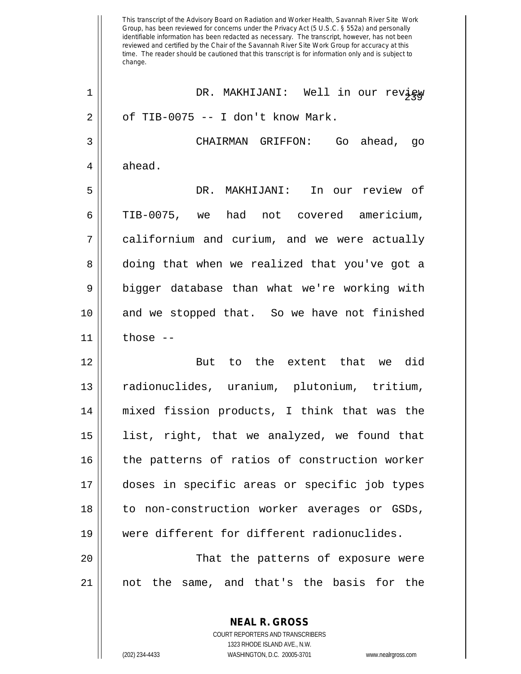This transcript of the Advisory Board on Radiation and Worker Health, Savannah River Site Work Group, has been reviewed for concerns under the Privacy Act (5 U.S.C. § 552a) and personally identifiable information has been redacted as necessary. The transcript, however, has not been reviewed and certified by the Chair of the Savannah River Site Work Group for accuracy at this time. The reader should be cautioned that this transcript is for information only and is subject to change. **NEAL R. GROSS** <sup>239</sup> 1 DR. MAKHIJANI: Well in our review  $2 \parallel$  of TIB-0075 -- I don't know Mark. 3 CHAIRMAN GRIFFON: Go ahead, go  $4 \parallel$  ahead. 5 DR. MAKHIJANI: In our review of 6 TIB-0075, we had not covered americium, 7 californium and curium, and we were actually 8 doing that when we realized that you've got a 9 || bigger database than what we're working with 10 || and we stopped that. So we have not finished  $11$  | those  $-$ 12 But to the extent that we did 13 radionuclides, uranium, plutonium, tritium, 14 mixed fission products, I think that was the 15 list, right, that we analyzed, we found that 16 || the patterns of ratios of construction worker 17 doses in specific areas or specific job types 18 || to non-construction worker averages or GSDs, 19 were different for different radionuclides. 20 That the patterns of exposure were 21 not the same, and that's the basis for the

> COURT REPORTERS AND TRANSCRIBERS 1323 RHODE ISLAND AVE., N.W.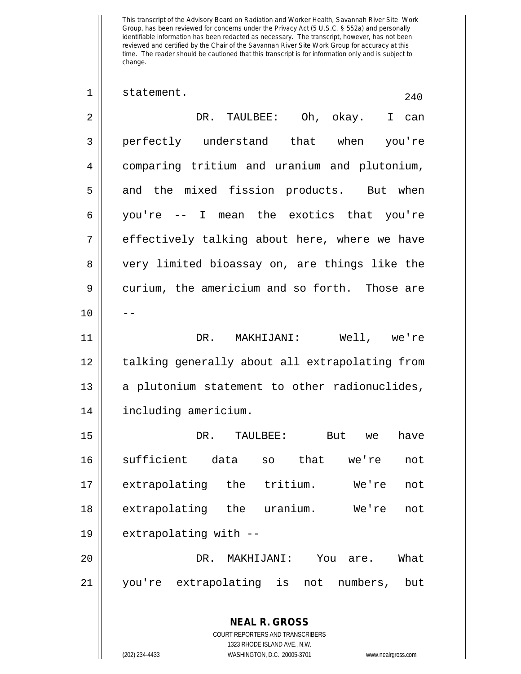| 1              | statement.<br>240                                                                        |
|----------------|------------------------------------------------------------------------------------------|
| $\overline{2}$ | DR. TAULBEE: Oh, okay.<br>I can                                                          |
| 3              | perfectly understand that when you're                                                    |
| 4              | comparing tritium and uranium and plutonium,                                             |
| 5              | and the mixed fission products. But when                                                 |
| 6              | you're -- I mean the exotics that you're                                                 |
| 7              | effectively talking about here, where we have                                            |
| 8              | very limited bioassay on, are things like the                                            |
| 9              | curium, the americium and so forth. Those are                                            |
| 10             |                                                                                          |
| 11             | DR. MAKHIJANI:<br>Well, we're                                                            |
| 12             | talking generally about all extrapolating from                                           |
| 13             | a plutonium statement to other radionuclides,                                            |
| 14             | including americium.                                                                     |
| 15             | DR. TAULBEE:<br>But<br>have<br>we                                                        |
| 16             | sufficient data so that we're<br>not                                                     |
| 17             | extrapolating the tritium.<br>We're<br>not                                               |
| 18             | extrapolating the uranium.<br>We're<br>not                                               |
| 19             | extrapolating with --                                                                    |
| 20             | What<br>DR.<br>MAKHIJANI:<br>You<br>are.                                                 |
| 21             | you're extrapolating is not numbers,<br>but                                              |
|                | <b>NEAL R. GROSS</b><br>COURT REPORTERS AND TRANSCRIBERS<br>1323 RHODE ISLAND AVE., N.W. |

 $\parallel$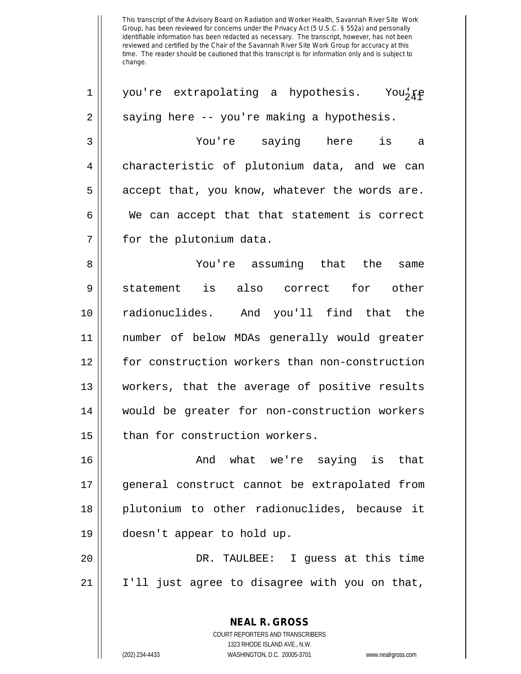1 || you're extrapolating a hypothesis. You<sub>2</sub>*I*fe 2 || saying here -- you're making a hypothesis. 3 You're saying here is a 4 characteristic of plutonium data, and we can  $5 \parallel$  accept that, you know, whatever the words are. 6 We can accept that that statement is correct 7 || for the plutonium data. 8 You're assuming that the same 9 || statement is also correct for other 10 radionuclides. And you'll find that the 11 number of below MDAs generally would greater 12 for construction workers than non-construction 13 workers, that the average of positive results 14 || would be greater for non-construction workers 15 | than for construction workers. 16 And what we're saying is that 17 general construct cannot be extrapolated from 18 plutonium to other radionuclides, because it 19 doesn't appear to hold up.

20 DR. TAULBEE: I guess at this time 21 I'll just agree to disagree with you on that,

> **NEAL R. GROSS** COURT REPORTERS AND TRANSCRIBERS 1323 RHODE ISLAND AVE., N.W. (202) 234-4433 WASHINGTON, D.C. 20005-3701 www.nealrgross.com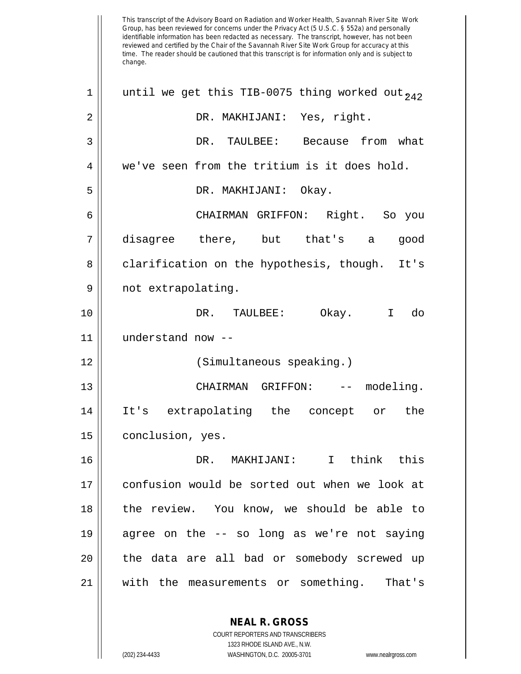This transcript of the Advisory Board on Radiation and Worker Health, Savannah River Site Work Group, has been reviewed for concerns under the Privacy Act (5 U.S.C. § 552a) and personally identifiable information has been redacted as necessary. The transcript, however, has not been reviewed and certified by the Chair of the Savannah River Site Work Group for accuracy at this time. The reader should be cautioned that this transcript is for information only and is subject to change. 1 || until we get this TIB-0075 thing worked out<sub>242</sub> 2 DR. MAKHIJANI: Yes, right. 3 DR. TAULBEE: Because from what  $4 \parallel$  we've seen from the tritium is it does hold. 5 DR. MAKHIJANI: Okay. 6 CHAIRMAN GRIFFON: Right. So you 7 disagree there, but that's a good 8 clarification on the hypothesis, though. It's 9 || not extrapolating. 10 DR. TAULBEE: Okay. I do 11 understand now -- 12 (Simultaneous speaking.) 13 CHAIRMAN GRIFFON: -- modeling. 14 It's extrapolating the concept or the 15 | conclusion, yes. 16 DR. MAKHIJANI: I think this 17 confusion would be sorted out when we look at 18 the review. You know, we should be able to 19 agree on the -- so long as we're not saying  $20$  || the data are all bad or somebody screwed up 21 with the measurements or something. That's

> **NEAL R. GROSS** COURT REPORTERS AND TRANSCRIBERS

> > 1323 RHODE ISLAND AVE., N.W.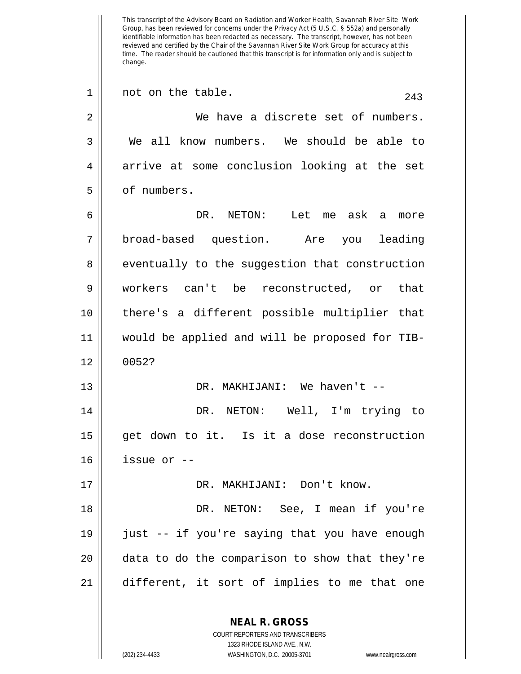This transcript of the Advisory Board on Radiation and Worker Health, Savannah River Site Work Group, has been reviewed for concerns under the Privacy Act (5 U.S.C. § 552a) and personally identifiable information has been redacted as necessary. The transcript, however, has not been reviewed and certified by the Chair of the Savannah River Site Work Group for accuracy at this time. The reader should be cautioned that this transcript is for information only and is subject to change. **NEAL R. GROSS** COURT REPORTERS AND TRANSCRIBERS  $243$  not on the table. 2 We have a discrete set of numbers. 3 We all know numbers. We should be able to 4 || arrive at some conclusion looking at the set 5 ll of numbers. 6 DR. NETON: Let me ask a more 7 broad-based question. Are you leading 8 eventually to the suggestion that construction 9 workers can't be reconstructed, or that 10 there's a different possible multiplier that 11 would be applied and will be proposed for TIB-12 0052? 13 || DR. MAKHIJANI: We haven't --14 DR. NETON: Well, I'm trying to 15 get down to it. Is it a dose reconstruction  $16$   $\parallel$  issue or  $-$ 17 DR. MAKHIJANI: Don't know. 18 DR. NETON: See, I mean if you're 19 just -- if you're saying that you have enough  $20$  || data to do the comparison to show that they're 21 different, it sort of implies to me that one

1323 RHODE ISLAND AVE., N.W.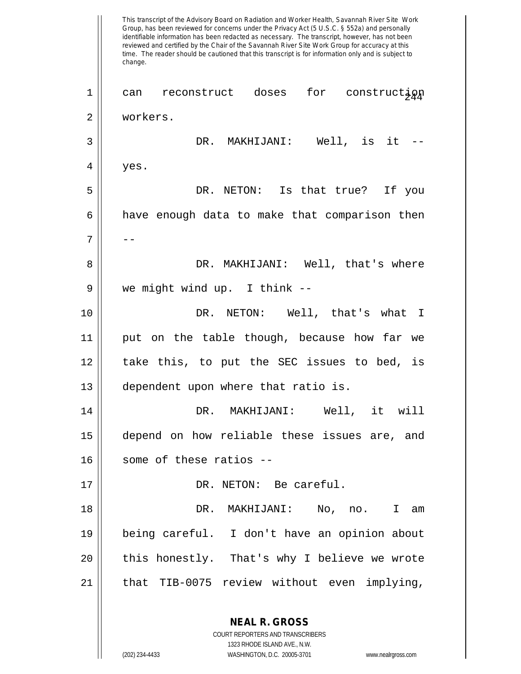This transcript of the Advisory Board on Radiation and Worker Health, Savannah River Site Work Group, has been reviewed for concerns under the Privacy Act (5 U.S.C. § 552a) and personally identifiable information has been redacted as necessary. The transcript, however, has not been reviewed and certified by the Chair of the Savannah River Site Work Group for accuracy at this time. The reader should be cautioned that this transcript is for information only and is subject to change.  $1$  || can reconstruct doses for construct $\frac{1}{2}$ 2 workers. 3 DR. MAKHIJANI: Well, is it --  $4 \mid \cdot \text{yes}.$ 5 DR. NETON: Is that true? If you  $6 \parallel$  have enough data to make that comparison then 7 | --8 DR. MAKHIJANI: Well, that's where 9 || we might wind up. I think --10 DR. NETON: Well, that's what I 11 put on the table though, because how far we 12 || take this, to put the SEC issues to bed, is 13 || dependent upon where that ratio is. 14 DR. MAKHIJANI: Well, it will 15 depend on how reliable these issues are, and 16 Some of these ratios --17 DR. NETON: Be careful. 18 DR. MAKHIJANI: No, no. I am 19 being careful. I don't have an opinion about  $20$  || this honestly. That's why I believe we wrote 21 || that TIB-0075 review without even implying,

> **NEAL R. GROSS** COURT REPORTERS AND TRANSCRIBERS 1323 RHODE ISLAND AVE., N.W.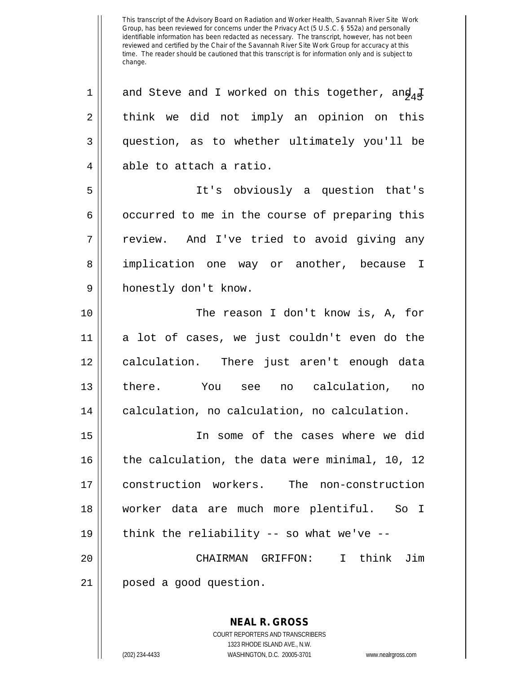This transcript of the Advisory Board on Radiation and Worker Health, Savannah River Site Work Group, has been reviewed for concerns under the Privacy Act (5 U.S.C. § 552a) and personally identifiable information has been redacted as necessary. The transcript, however, has not been reviewed and certified by the Chair of the Savannah River Site Work Group for accuracy at this time. The reader should be cautioned that this transcript is for information only and is subject to change. 1 || and Steve and I worked on this together, and I  $2 \parallel$  think we did not imply an opinion on this 3 question, as to whether ultimately you'll be 4 || able to attach a ratio. 5 It's obviously a question that's  $6 \parallel$  occurred to me in the course of preparing this 7 || review. And I've tried to avoid giving any 8 || implication one way or another, because I 9 || honestly don't know. 10 || The reason I don't know is, A, for

 $11$  a lot of cases, we just couldn't even do the 12 calculation. There just aren't enough data 13 there. You see no calculation, no 14 | calculation, no calculation, no calculation.

15 In some of the cases where we did 16 || the calculation, the data were minimal, 10, 12 17 construction workers. The non-construction 18 worker data are much more plentiful. So I  $19$  || think the reliability -- so what we've --20 CHAIRMAN GRIFFON: I think Jim

21 posed a good question.

**NEAL R. GROSS** COURT REPORTERS AND TRANSCRIBERS 1323 RHODE ISLAND AVE., N.W. (202) 234-4433 WASHINGTON, D.C. 20005-3701 www.nealrgross.com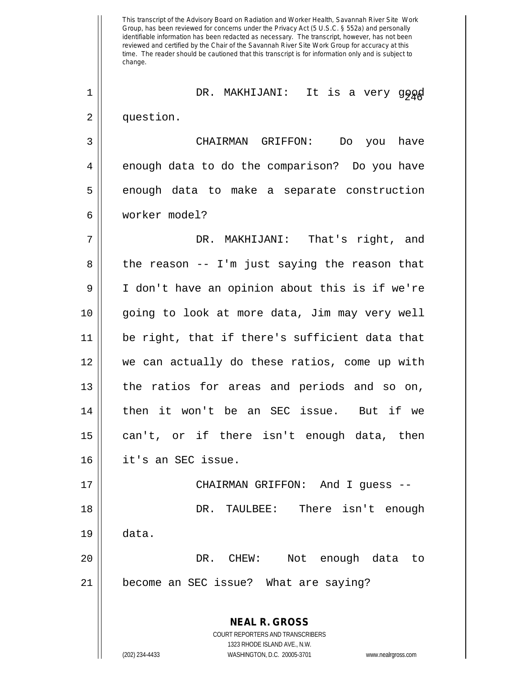This transcript of the Advisory Board on Radiation and Worker Health, Savannah River Site Work Group, has been reviewed for concerns under the Privacy Act (5 U.S.C. § 552a) and personally identifiable information has been redacted as necessary. The transcript, however, has not been reviewed and certified by the Chair of the Savannah River Site Work Group for accuracy at this time. The reader should be cautioned that this transcript is for information only and is subject to change. **NEAL R. GROSS** COURT REPORTERS AND TRANSCRIBERS 1323 RHODE ISLAND AVE., N.W. (202) 234-4433 WASHINGTON, D.C. 20005-3701 www.nealrgross.com <sup>246</sup> 1 DR. MAKHIJANI: It is a very good 2 | question. 3 CHAIRMAN GRIFFON: Do you have 4 || enough data to do the comparison? Do you have 5 enough data to make a separate construction 6 worker model? 7 DR. MAKHIJANI: That's right, and  $8 \parallel$  the reason -- I'm just saying the reason that 9 I don't have an opinion about this is if we're 10 going to look at more data, Jim may very well 11 be right, that if there's sufficient data that 12 we can actually do these ratios, come up with 13 the ratios for areas and periods and so on, 14 || then it won't be an SEC issue. But if we 15 can't, or if there isn't enough data, then 16 it's an SEC issue. 17 CHAIRMAN GRIFFON: And I guess -- 18 DR. TAULBEE: There isn't enough 19 data. 20 DR. CHEW: Not enough data to 21 | become an SEC issue? What are saying?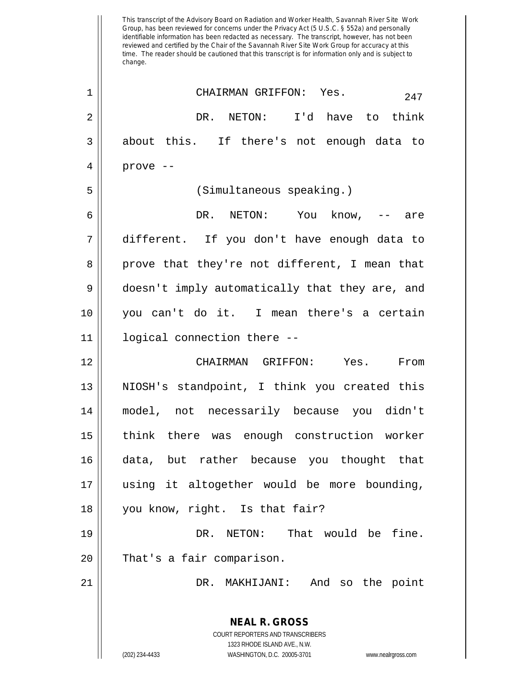This transcript of the Advisory Board on Radiation and Worker Health, Savannah River Site Work Group, has been reviewed for concerns under the Privacy Act (5 U.S.C. § 552a) and personally identifiable information has been redacted as necessary. The transcript, however, has not been reviewed and certified by the Chair of the Savannah River Site Work Group for accuracy at this time. The reader should be cautioned that this transcript is for information only and is subject to change. **NEAL R. GROSS** COURT REPORTERS AND TRANSCRIBERS 1323 RHODE ISLAND AVE., N.W. <sup>247</sup> 1 CHAIRMAN GRIFFON: Yes. 2 DR. NETON: I'd have to think 3 about this. If there's not enough data to  $4 \parallel$  prove --5 (Simultaneous speaking.) 6 DR. NETON: You know, -- are 7 different. If you don't have enough data to 8 prove that they're not different, I mean that 9 doesn't imply automatically that they are, and 10 you can't do it. I mean there's a certain 11 logical connection there -- 12 CHAIRMAN GRIFFON: Yes. From 13 NIOSH's standpoint, I think you created this 14 model, not necessarily because you didn't 15 think there was enough construction worker 16 data, but rather because you thought that 17 using it altogether would be more bounding, 18 you know, right. Is that fair? 19 || DR. NETON: That would be fine. 20 | That's a fair comparison. 21 DR. MAKHIJANI: And so the point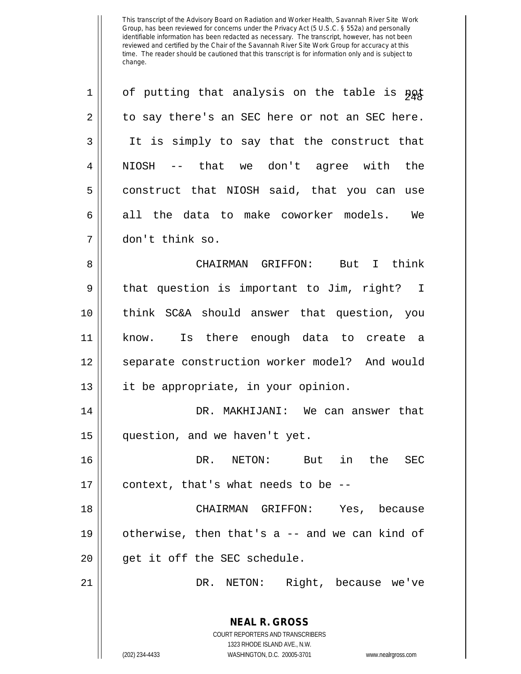| $\mathbf 1$ | of putting that analysis on the table is got                                                                                                                    |
|-------------|-----------------------------------------------------------------------------------------------------------------------------------------------------------------|
| 2           | to say there's an SEC here or not an SEC here.                                                                                                                  |
| 3           | It is simply to say that the construct that                                                                                                                     |
| 4           | NIOSH -- that we don't agree with the                                                                                                                           |
| 5           | construct that NIOSH said, that you can use                                                                                                                     |
| 6           | all the data to make coworker models. We                                                                                                                        |
| 7           | don't think so.                                                                                                                                                 |
| 8           | CHAIRMAN GRIFFON: But I think                                                                                                                                   |
| 9           | that question is important to Jim, right? I                                                                                                                     |
| 10          | think SC&A should answer that question, you                                                                                                                     |
| 11          | know. Is there enough data to create a                                                                                                                          |
| 12          | separate construction worker model? And would                                                                                                                   |
| 13          | it be appropriate, in your opinion.                                                                                                                             |
| 14          | DR. MAKHIJANI: We can answer that                                                                                                                               |
| 15          | question, and we haven't yet.                                                                                                                                   |
| 16          | But in the SEC<br>DR.<br>NETON:                                                                                                                                 |
| 17          | context, that's what needs to be --                                                                                                                             |
| 18          | CHAIRMAN GRIFFON: Yes, because                                                                                                                                  |
| 19          | otherwise, then that's a -- and we can kind of                                                                                                                  |
| 20          | get it off the SEC schedule.                                                                                                                                    |
| 21          | DR. NETON: Right, because we've                                                                                                                                 |
|             | <b>NEAL R. GROSS</b><br>COURT REPORTERS AND TRANSCRIBERS<br>1323 RHODE ISLAND AVE., N.W.<br>(202) 234-4433<br>WASHINGTON, D.C. 20005-3701<br>www.nealrgross.com |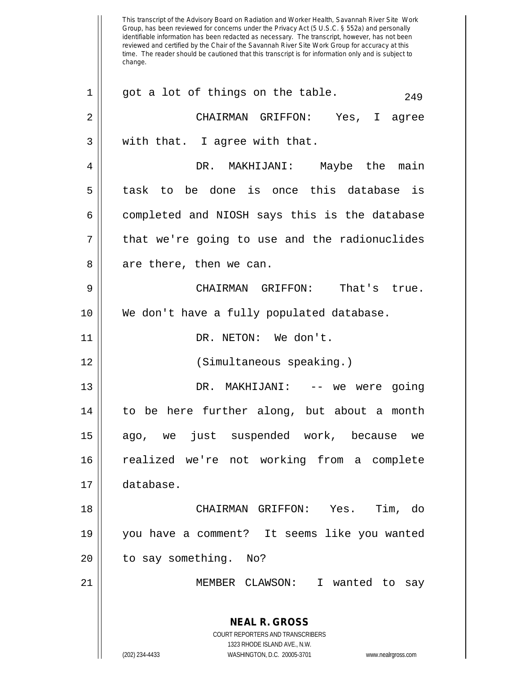This transcript of the Advisory Board on Radiation and Worker Health, Savannah River Site Work Group, has been reviewed for concerns under the Privacy Act (5 U.S.C. § 552a) and personally identifiable information has been redacted as necessary. The transcript, however, has not been reviewed and certified by the Chair of the Savannah River Site Work Group for accuracy at this time. The reader should be cautioned that this transcript is for information only and is subject to change. **NEAL R. GROSS** COURT REPORTERS AND TRANSCRIBERS 1323 RHODE ISLAND AVE., N.W. (202) 234-4433 WASHINGTON, D.C. 20005-3701 www.nealrgross.com  $1 \parallel$  got a lot of things on the table.  $249$ 2 CHAIRMAN GRIFFON: Yes, I agree  $3 \parallel$  with that. I agree with that. 4 DR. MAKHIJANI: Maybe the main 5 task to be done is once this database is  $6 \parallel$  completed and NIOSH says this is the database  $7 \parallel$  that we're going to use and the radionuclides 8 || are there, then we can. 9 CHAIRMAN GRIFFON: That's true. 10 We don't have a fully populated database. 11 DR. NETON: We don't. 12 (Simultaneous speaking.) 13 DR. MAKHIJANI: -- we were going 14 to be here further along, but about a month 15 ago, we just suspended work, because we 16 realized we're not working from a complete 17 database. 18 CHAIRMAN GRIFFON: Yes. Tim, do 19 you have a comment? It seems like you wanted 20 | to say something. No? 21 MEMBER CLAWSON: I wanted to say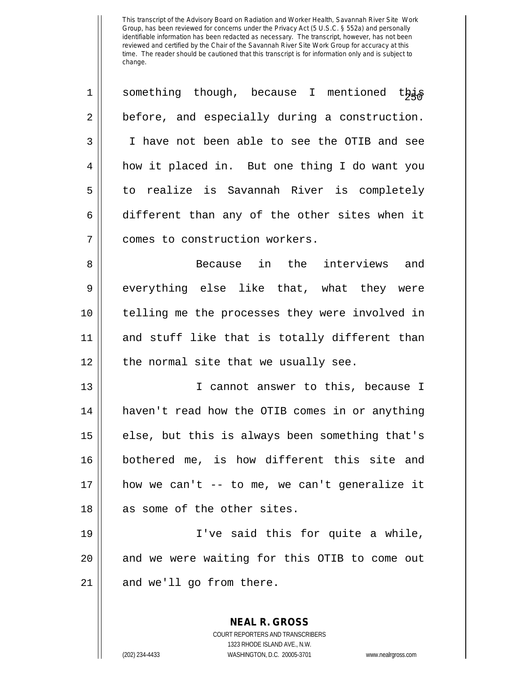1 || something though, because I mentioned this 2 before, and especially during a construction. 3 I have not been able to see the OTIB and see 4 how it placed in. But one thing I do want you 5 to realize is Savannah River is completely  $6 \parallel$  different than any of the other sites when it 7 || comes to construction workers. 8 Because in the interviews and 9 everything else like that, what they were 10 || telling me the processes they were involved in 11 and stuff like that is totally different than  $12$  | the normal site that we usually see. 13 || I cannot answer to this, because I 14 haven't read how the OTIB comes in or anything 15 else, but this is always been something that's 16 bothered me, is how different this site and

17 how we can't -- to me, we can't generalize it 18 || as some of the other sites. 19 || I've said this for quite a while,

20 || and we were waiting for this OTIB to come out  $21$  || and we'll go from there.

> **NEAL R. GROSS** COURT REPORTERS AND TRANSCRIBERS 1323 RHODE ISLAND AVE., N.W. (202) 234-4433 WASHINGTON, D.C. 20005-3701 www.nealrgross.com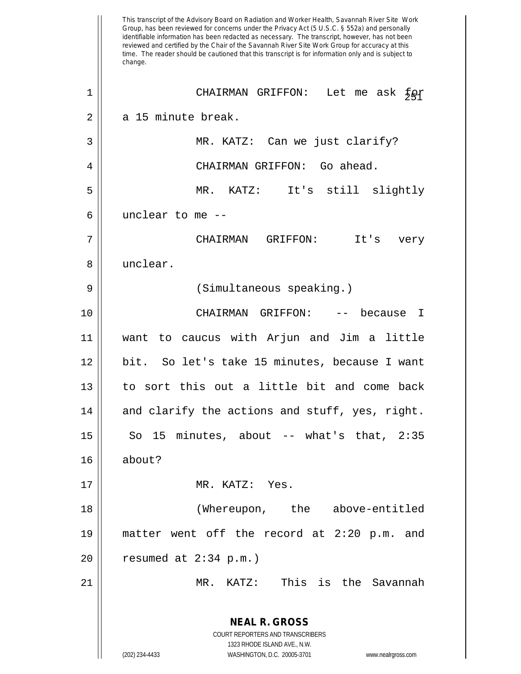This transcript of the Advisory Board on Radiation and Worker Health, Savannah River Site Work Group, has been reviewed for concerns under the Privacy Act (5 U.S.C. § 552a) and personally identifiable information has been redacted as necessary. The transcript, however, has not been reviewed and certified by the Chair of the Savannah River Site Work Group for accuracy at this time. The reader should be cautioned that this transcript is for information only and is subject to change. **NEAL R. GROSS** COURT REPORTERS AND TRANSCRIBERS 1323 RHODE ISLAND AVE., N.W. (202) 234-4433 WASHINGTON, D.C. 20005-3701 www.nealrgross.com <sup>251</sup> 1 CHAIRMAN GRIFFON: Let me ask for  $2 \parallel$  a 15 minute break. 3 MR. KATZ: Can we just clarify? 4 CHAIRMAN GRIFFON: Go ahead. 5 MR. KATZ: It's still slightly 6  $\parallel$  unclear to me --7 CHAIRMAN GRIFFON: It's very 8 unclear. 9 (Simultaneous speaking.) 10 CHAIRMAN GRIFFON: -- because I 11 want to caucus with Arjun and Jim a little 12 bit. So let's take 15 minutes, because I want 13 to sort this out a little bit and come back  $14$  and clarify the actions and stuff, yes, right.  $15$  So 15 minutes, about  $-$ - what's that, 2:35 16 about? 17 MR. KATZ: Yes. 18 (Whereupon, the above-entitled 19 matter went off the record at 2:20 p.m. and  $20$  | resumed at 2:34 p.m.) 21 MR. KATZ: This is the Savannah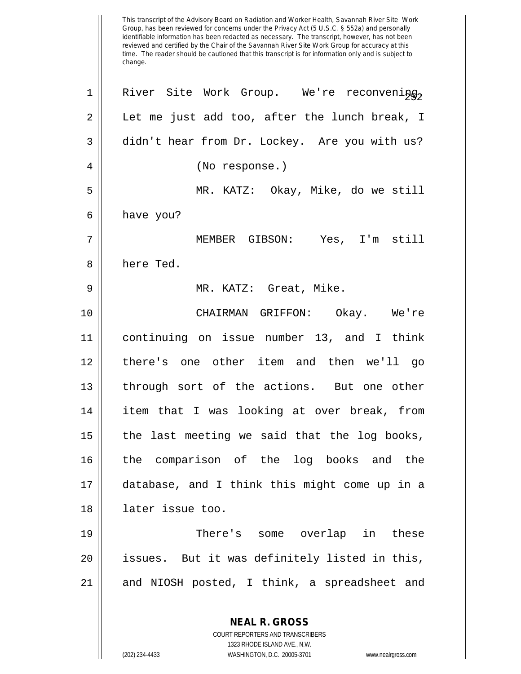Group, has been reviewed for concerns under the Privacy Act (5 U.S.C. § 552a) and personally identifiable information has been redacted as necessary. The transcript, however, has not been reviewed and certified by the Chair of the Savannah River Site Work Group for accuracy at this time. The reader should be cautioned that this transcript is for information only and is subject to change. **NEAL R. GROSS** COURT REPORTERS AND TRANSCRIBERS 1 || River Site Work Group. We're reconvening,  $2 \parallel$  Let me just add too, after the lunch break, I 3 didn't hear from Dr. Lockey. Are you with us? 4 || (No response.) 5 MR. KATZ: Okay, Mike, do we still  $6 \parallel$  have you? 7 MEMBER GIBSON: Yes, I'm still 8 l here Ted. 9 MR. KATZ: Great, Mike. 10 CHAIRMAN GRIFFON: Okay. We're 11 continuing on issue number 13, and I think 12 || there's one other item and then we'll go 13 || through sort of the actions. But one other 14 || item that I was looking at over break, from 15 the last meeting we said that the log books, 16 the comparison of the log books and the 17 database, and I think this might come up in a 18 later issue too. 19 There's some overlap in these 20 issues. But it was definitely listed in this, 21 || and NIOSH posted, I think, a spreadsheet and

1323 RHODE ISLAND AVE., N.W.

This transcript of the Advisory Board on Radiation and Worker Health, Savannah River Site Work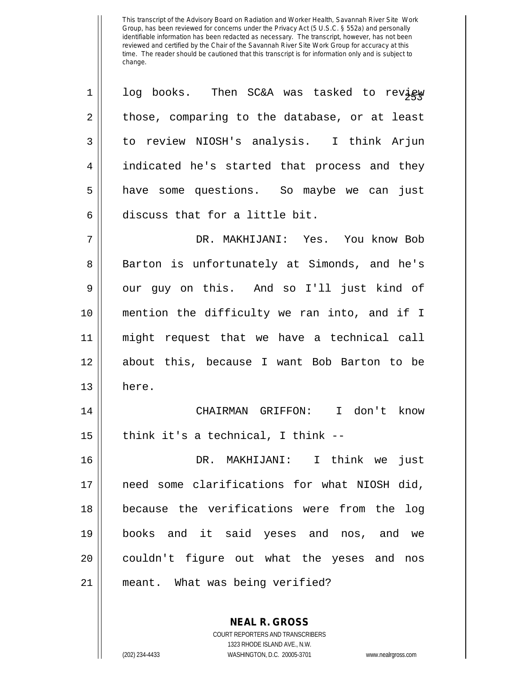| 1              | log books. Then SC&A was tasked to revigy     |
|----------------|-----------------------------------------------|
| 2              | those, comparing to the database, or at least |
| 3              | to review NIOSH's analysis. I think Arjun     |
| $\overline{4}$ | indicated he's started that process and they  |
| 5              | have some questions. So maybe we can just     |
| 6              | discuss that for a little bit.                |
| 7              | DR. MAKHIJANI: Yes. You know Bob              |
| 8              | Barton is unfortunately at Simonds, and he's  |
| 9              | our guy on this. And so I'll just kind of     |
| 10             | mention the difficulty we ran into, and if I  |
| 11             | might request that we have a technical call   |
| 12             | about this, because I want Bob Barton to be   |
| 13             | here.                                         |
| 14             | CHAIRMAN GRIFFON: I don't know                |
| 15             | think it's a technical, I think --            |
| 16             | DR. MAKHIJANI: I think we just                |
| 17             | need some clarifications for what NIOSH did,  |
| $18\,$         | because the verifications were from the log   |
| 19             | books and it said yeses and nos, and we       |
| 20             | couldn't figure out what the yeses and nos    |
| 21             | meant. What was being verified?               |

**NEAL R. GROSS** COURT REPORTERS AND TRANSCRIBERS 1323 RHODE ISLAND AVE., N.W.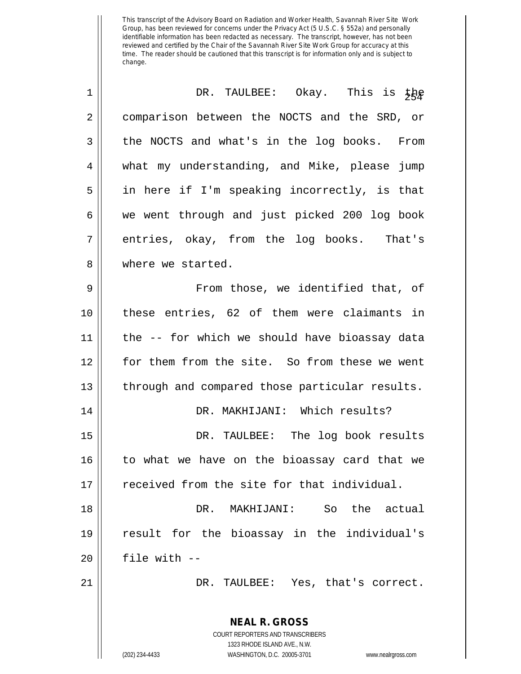| comparison between the NOCTS and the SRD, or<br>$\sqrt{2}$<br>3<br>the NOCTS and what's in the log books. From<br>what my understanding, and Mike, please jump<br>4<br>in here if I'm speaking incorrectly, is that<br>5<br>we went through and just picked 200 log book<br>6<br>entries, okay, from the log books. That's<br>7<br>8<br>where we started.<br>$\mathsf 9$<br>these entries, 62 of them were claimants in<br>10<br>11<br>the -- for which we should have bioassay data<br>for them from the site. So from these we went<br>12<br>13<br>through and compared those particular results.<br>DR. MAKHIJANI: Which results?<br>14<br>15<br>to what we have on the bioassay card that we<br>16<br>received from the site for that individual.<br>17<br>DR. MAKHIJANI:<br>18<br>result for the bioassay in the individual's<br>19<br>file with --<br>20<br>21<br><b>NEAL R. GROSS</b><br><b>COURT REPORTERS AND TRANSCRIBERS</b> | DR. TAULBEE: Okay. This is the     |
|-----------------------------------------------------------------------------------------------------------------------------------------------------------------------------------------------------------------------------------------------------------------------------------------------------------------------------------------------------------------------------------------------------------------------------------------------------------------------------------------------------------------------------------------------------------------------------------------------------------------------------------------------------------------------------------------------------------------------------------------------------------------------------------------------------------------------------------------------------------------------------------------------------------------------------------------|------------------------------------|
|                                                                                                                                                                                                                                                                                                                                                                                                                                                                                                                                                                                                                                                                                                                                                                                                                                                                                                                                         |                                    |
|                                                                                                                                                                                                                                                                                                                                                                                                                                                                                                                                                                                                                                                                                                                                                                                                                                                                                                                                         |                                    |
|                                                                                                                                                                                                                                                                                                                                                                                                                                                                                                                                                                                                                                                                                                                                                                                                                                                                                                                                         |                                    |
|                                                                                                                                                                                                                                                                                                                                                                                                                                                                                                                                                                                                                                                                                                                                                                                                                                                                                                                                         |                                    |
|                                                                                                                                                                                                                                                                                                                                                                                                                                                                                                                                                                                                                                                                                                                                                                                                                                                                                                                                         |                                    |
|                                                                                                                                                                                                                                                                                                                                                                                                                                                                                                                                                                                                                                                                                                                                                                                                                                                                                                                                         |                                    |
|                                                                                                                                                                                                                                                                                                                                                                                                                                                                                                                                                                                                                                                                                                                                                                                                                                                                                                                                         |                                    |
|                                                                                                                                                                                                                                                                                                                                                                                                                                                                                                                                                                                                                                                                                                                                                                                                                                                                                                                                         | From those, we identified that, of |
|                                                                                                                                                                                                                                                                                                                                                                                                                                                                                                                                                                                                                                                                                                                                                                                                                                                                                                                                         |                                    |
|                                                                                                                                                                                                                                                                                                                                                                                                                                                                                                                                                                                                                                                                                                                                                                                                                                                                                                                                         |                                    |
|                                                                                                                                                                                                                                                                                                                                                                                                                                                                                                                                                                                                                                                                                                                                                                                                                                                                                                                                         |                                    |
|                                                                                                                                                                                                                                                                                                                                                                                                                                                                                                                                                                                                                                                                                                                                                                                                                                                                                                                                         |                                    |
|                                                                                                                                                                                                                                                                                                                                                                                                                                                                                                                                                                                                                                                                                                                                                                                                                                                                                                                                         |                                    |
|                                                                                                                                                                                                                                                                                                                                                                                                                                                                                                                                                                                                                                                                                                                                                                                                                                                                                                                                         | DR. TAULBEE: The log book results  |
|                                                                                                                                                                                                                                                                                                                                                                                                                                                                                                                                                                                                                                                                                                                                                                                                                                                                                                                                         |                                    |
|                                                                                                                                                                                                                                                                                                                                                                                                                                                                                                                                                                                                                                                                                                                                                                                                                                                                                                                                         |                                    |
|                                                                                                                                                                                                                                                                                                                                                                                                                                                                                                                                                                                                                                                                                                                                                                                                                                                                                                                                         | So the actual                      |
|                                                                                                                                                                                                                                                                                                                                                                                                                                                                                                                                                                                                                                                                                                                                                                                                                                                                                                                                         |                                    |
|                                                                                                                                                                                                                                                                                                                                                                                                                                                                                                                                                                                                                                                                                                                                                                                                                                                                                                                                         |                                    |
|                                                                                                                                                                                                                                                                                                                                                                                                                                                                                                                                                                                                                                                                                                                                                                                                                                                                                                                                         | DR. TAULBEE: Yes, that's correct.  |
| 1323 RHODE ISLAND AVE., N.W.<br>(202) 234-4433<br>WASHINGTON, D.C. 20005-3701                                                                                                                                                                                                                                                                                                                                                                                                                                                                                                                                                                                                                                                                                                                                                                                                                                                           | www.nealrgross.com                 |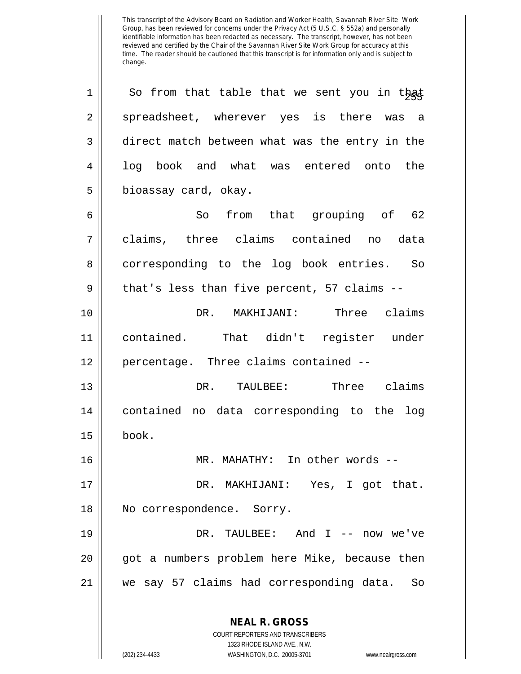This transcript of the Advisory Board on Radiation and Worker Health, Savannah River Site Work Group, has been reviewed for concerns under the Privacy Act (5 U.S.C. § 552a) and personally identifiable information has been redacted as necessary. The transcript, however, has not been reviewed and certified by the Chair of the Savannah River Site Work Group for accuracy at this time. The reader should be cautioned that this transcript is for information only and is subject to change. 1 || So from that table that we sent you in that 2 spreadsheet, wherever yes is there was a 3 direct match between what was the entry in the 4 log book and what was entered onto the

 $5 \parallel$  bioassay card, okay. 6 So from that grouping of 62

7 claims, three claims contained no data 8 || corresponding to the log book entries. So  $9 \parallel$  that's less than five percent, 57 claims --

10 DR. MAKHIJANI: Three claims 11 contained. That didn't register under 12 percentage. Three claims contained --

13 DR. TAULBEE: Three claims 14 contained no data corresponding to the log  $15 \parallel$  book.

16 MR. MAHATHY: In other words --

17 DR. MAKHIJANI: Yes, I got that. 18 || No correspondence. Sorry.

19 DR. TAULBEE: And I -- now we've 20 || got a numbers problem here Mike, because then 21 we say 57 claims had corresponding data. So

**NEAL R. GROSS**

COURT REPORTERS AND TRANSCRIBERS 1323 RHODE ISLAND AVE., N.W. (202) 234-4433 WASHINGTON, D.C. 20005-3701 www.nealrgross.com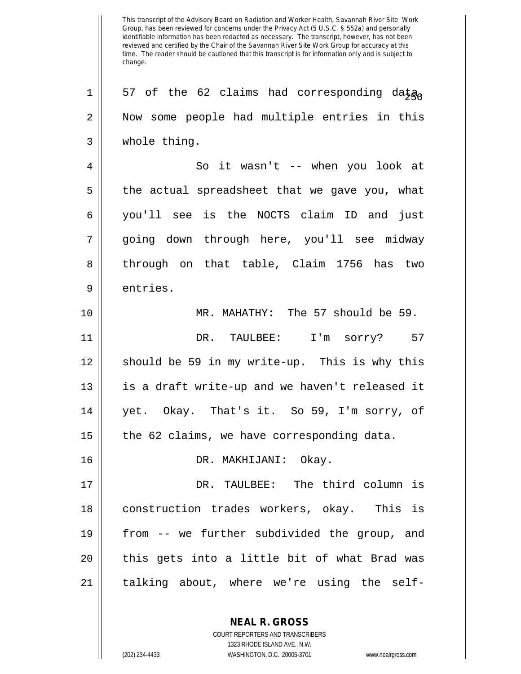This transcript of the Advisory Board on Radiation and Worker Health, Savannah River Site Work Group, has been reviewed for concerns under the Privacy Act (5 U.S.C. § 552a) and personally identifiable information has been redacted as necessary. The transcript, however, has not been reviewed and certified by the Chair of the Savannah River Site Work Group for accuracy at this time. The reader should be cautioned that this transcript is for information only and is subject to change. 1 || 57 of the 62 claims had corresponding data. 2 || Now some people had multiple entries in this 3 whole thing. 4 || So it wasn't -- when you look at 5 || the actual spreadsheet that we gave you, what 6 you'll see is the NOCTS claim ID and just 7 going down through here, you'll see midway 8 through on that table, Claim 1756 has two 9 || entries. 10 MR. MAHATHY: The 57 should be 59. 11 DR. TAULBEE: I'm sorry? 57 12 || should be 59 in my write-up. This is why this 13 || is a draft write-up and we haven't released it 14 yet. Okay. That's it. So 59, I'm sorry, of  $15$  | the 62 claims, we have corresponding data. 16 DR. MAKHIJANI: Okay. 17 DR. TAULBEE: The third column is 18 || construction trades workers, okay. This is 19 from -- we further subdivided the group, and 20 || this gets into a little bit of what Brad was  $21$  | talking about, where we're using the self-

> COURT REPORTERS AND TRANSCRIBERS 1323 RHODE ISLAND AVE., N.W. (202) 234-4433 WASHINGTON, D.C. 20005-3701 www.nealrgross.com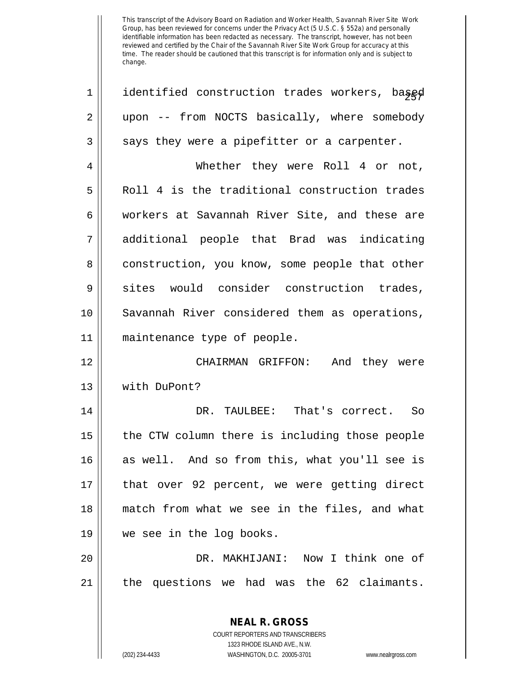| 1  | identified construction trades workers, based            |
|----|----------------------------------------------------------|
| 2  | upon -- from NOCTS basically, where somebody             |
| 3  | says they were a pipefitter or a carpenter.              |
| 4  | Whether they were Roll 4 or not,                         |
| 5  | Roll 4 is the traditional construction trades            |
| 6  | workers at Savannah River Site, and these are            |
| 7  | additional people that Brad was indicating               |
| 8  | construction, you know, some people that other           |
| 9  | sites would consider construction trades,                |
| 10 | Savannah River considered them as operations,            |
| 11 | maintenance type of people.                              |
| 12 | CHAIRMAN GRIFFON: And they were                          |
| 13 | with DuPont?                                             |
| 14 | DR. TAULBEE: That's correct. So                          |
| 15 | the CTW column there is including those people           |
| 16 | as well. And so from this, what you'll see is            |
| 17 | that over 92 percent, we were getting direct             |
| 18 | match from what we see in the files, and what            |
| 19 | we see in the log books.                                 |
| 20 | DR. MAKHIJANI: Now I think one of                        |
| 21 | the questions we had was the 62 claimants.               |
|    | <b>NEAL R. GROSS</b><br>COURT REPORTERS AND TRANSCRIBERS |

1323 RHODE ISLAND AVE., N.W.

 $\mathsf{I}$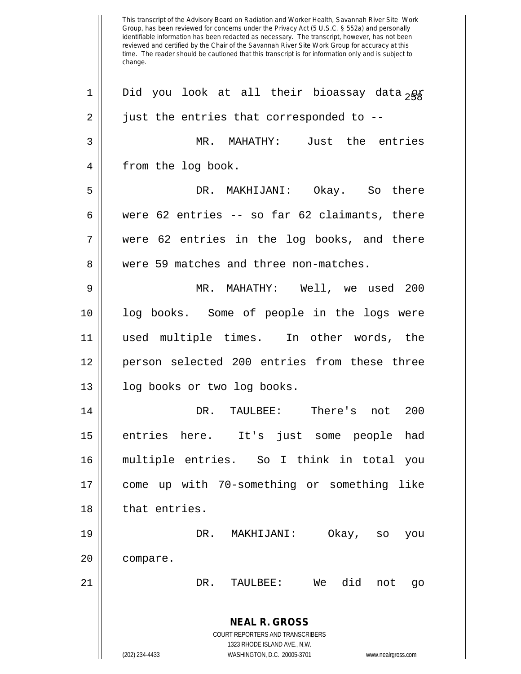This transcript of the Advisory Board on Radiation and Worker Health, Savannah River Site Work Group, has been reviewed for concerns under the Privacy Act (5 U.S.C. § 552a) and personally identifiable information has been redacted as necessary. The transcript, however, has not been reviewed and certified by the Chair of the Savannah River Site Work Group for accuracy at this time. The reader should be cautioned that this transcript is for information only and is subject to change. **NEAL R. GROSS** COURT REPORTERS AND TRANSCRIBERS 1323 RHODE ISLAND AVE., N.W. (202) 234-4433 WASHINGTON, D.C. 20005-3701 www.nealrgross.com 1 || Did you look at all their bioassay data  $_{2}$ ex  $2 \parallel$  just the entries that corresponded to --3 MR. MAHATHY: Just the entries 4 || from the log book. 5 DR. MAKHIJANI: Okay. So there 6 were 62 entries -- so far 62 claimants, there 7 were 62 entries in the log books, and there 8 Were 59 matches and three non-matches. 9 MR. MAHATHY: Well, we used 200 10 || log books. Some of people in the logs were 11 used multiple times. In other words, the 12 || person selected 200 entries from these three 13 || log books or two log books. 14 DR. TAULBEE: There's not 200 15 entries here. It's just some people had 16 multiple entries. So I think in total you 17 come up with 70-something or something like 18 | that entries. 19 DR. MAKHIJANI: Okay, so you 20 | compare. 21 DR. TAULBEE: We did not go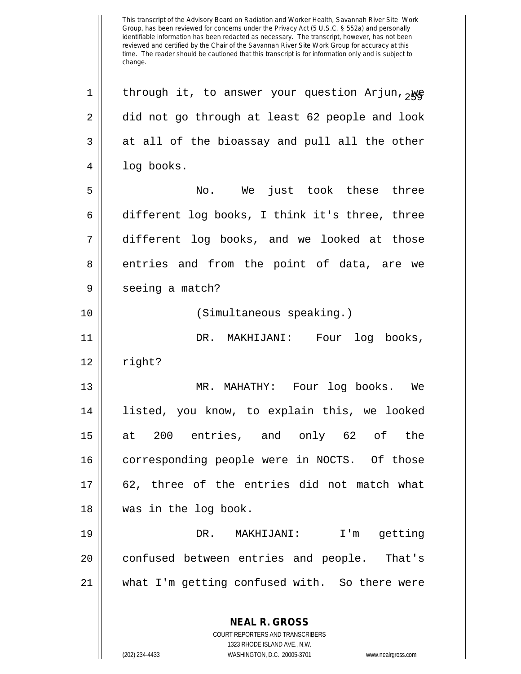This transcript of the Advisory Board on Radiation and Worker Health, Savannah River Site Work Group, has been reviewed for concerns under the Privacy Act (5 U.S.C. § 552a) and personally identifiable information has been redacted as necessary. The transcript, however, has not been reviewed and certified by the Chair of the Savannah River Site Work Group for accuracy at this time. The reader should be cautioned that this transcript is for information only and is subject to change. **NEAL R. GROSS** COURT REPORTERS AND TRANSCRIBERS 1323 RHODE ISLAND AVE., N.W. 1 | through it, to answer your question Arjun,  $_{2}$ we 2 did not go through at least 62 people and look  $3 \parallel$  at all of the bioassay and pull all the other  $4 \parallel$  log books. 5 No. We just took these three 6 different log books, I think it's three, three 7 different log books, and we looked at those 8 entries and from the point of data, are we 9 || seeing a match? 10 (Simultaneous speaking.) 11 DR. MAKHIJANI: Four log books,  $12 \parallel$  right? 13 MR. MAHATHY: Four log books. We 14 listed, you know, to explain this, we looked 15 at 200 entries, and only 62 of the 16 || corresponding people were in NOCTS. Of those 17 62, three of the entries did not match what 18 was in the log book. 19 DR. MAKHIJANI: I'm getting 20 || confused between entries and people. That's 21 what I'm getting confused with. So there were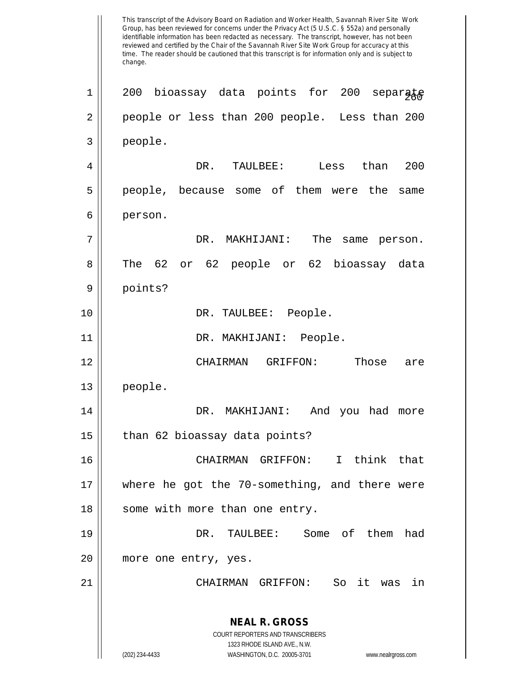This transcript of the Advisory Board on Radiation and Worker Health, Savannah River Site Work Group, has been reviewed for concerns under the Privacy Act (5 U.S.C. § 552a) and personally identifiable information has been redacted as necessary. The transcript, however, has not been reviewed and certified by the Chair of the Savannah River Site Work Group for accuracy at this time. The reader should be cautioned that this transcript is for information only and is subject to change. **NEAL R. GROSS** COURT REPORTERS AND TRANSCRIBERS 1323 RHODE ISLAND AVE., N.W. (202) 234-4433 WASHINGTON, D.C. 20005-3701 www.nealrgross.com 1 200 bioassay data points for 200 separate 2 || people or less than 200 people. Less than 200 3 people. 4 DR. TAULBEE: Less than 200 5 people, because some of them were the same 6 person. 7 DR. MAKHIJANI: The same person. 8 The 62 or 62 people or 62 bioassay data 9 points? 10 || DR. TAULBEE: People. 11 DR. MAKHIJANI: People. 12 CHAIRMAN GRIFFON: Those are 13 people. 14 DR. MAKHIJANI: And you had more 15 | than 62 bioassay data points? 16 CHAIRMAN GRIFFON: I think that 17 where he got the 70-something, and there were 18 || some with more than one entry. 19 DR. TAULBEE: Some of them had 20 || more one entry, yes. 21 CHAIRMAN GRIFFON: So it was in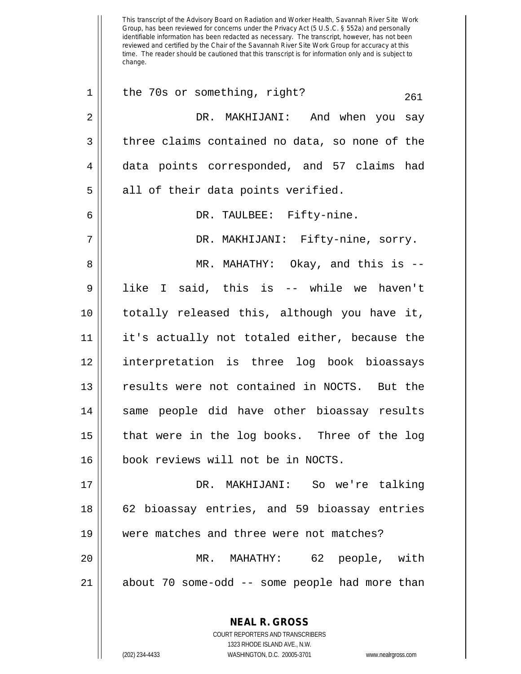Group, has been reviewed for concerns under the Privacy Act (5 U.S.C. § 552a) and personally identifiable information has been redacted as necessary. The transcript, however, has not been reviewed and certified by the Chair of the Savannah River Site Work Group for accuracy at this time. The reader should be cautioned that this transcript is for information only and is subject to change. **NEAL R. GROSS** COURT REPORTERS AND TRANSCRIBERS  $1 \parallel$  the 70s or something, right?  $261$ 2 DR. MAKHIJANI: And when you say  $3 \parallel$  three claims contained no data, so none of the 4 data points corresponded, and 57 claims had  $5 \parallel$  all of their data points verified. 6 DR. TAULBEE: Fifty-nine. 7 DR. MAKHIJANI: Fifty-nine, sorry. 8 MR. MAHATHY: Okay, and this is -- 9 like I said, this is -- while we haven't 10 totally released this, although you have it, 11 || it's actually not totaled either, because the 12 interpretation is three log book bioassays 13 || results were not contained in NOCTS. But the 14 || same people did have other bioassay results 15 that were in the log books. Three of the log 16 book reviews will not be in NOCTS. 17 DR. MAKHIJANI: So we're talking 18 62 bioassay entries, and 59 bioassay entries 19 were matches and three were not matches? 20 MR. MAHATHY: 62 people, with 21 about 70 some-odd -- some people had more than

1323 RHODE ISLAND AVE., N.W.

This transcript of the Advisory Board on Radiation and Worker Health, Savannah River Site Work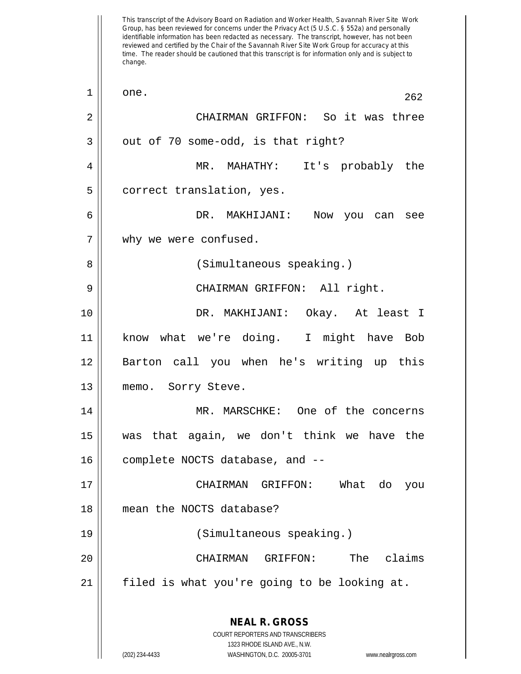This transcript of the Advisory Board on Radiation and Worker Health, Savannah River Site Work Group, has been reviewed for concerns under the Privacy Act (5 U.S.C. § 552a) and personally identifiable information has been redacted as necessary. The transcript, however, has not been reviewed and certified by the Chair of the Savannah River Site Work Group for accuracy at this time. The reader should be cautioned that this transcript is for information only and is subject to change. **NEAL R. GROSS** COURT REPORTERS AND TRANSCRIBERS 1323 RHODE ISLAND AVE., N.W.  $\begin{array}{|c|c|c|c|c|}\n1 & \text{one.} & \text{.} & \text{.} & \text{.} & \text{.} \end{array}$ 2 CHAIRMAN GRIFFON: So it was three  $3 \parallel$  out of 70 some-odd, is that right? 4 MR. MAHATHY: It's probably the 5 | correct translation, yes. 6 DR. MAKHIJANI: Now you can see 7 why we were confused. 8 || (Simultaneous speaking.) 9 CHAIRMAN GRIFFON: All right. 10 DR. MAKHIJANI: Okay. At least I 11 know what we're doing. I might have Bob 12 Barton call you when he's writing up this 13 || memo. Sorry Steve. 14 MR. MARSCHKE: One of the concerns 15 was that again, we don't think we have the 16 | complete NOCTS database, and --17 CHAIRMAN GRIFFON: What do you 18 mean the NOCTS database? 19 (Simultaneous speaking.) 20 CHAIRMAN GRIFFON: The claims 21  $\parallel$  filed is what you're going to be looking at.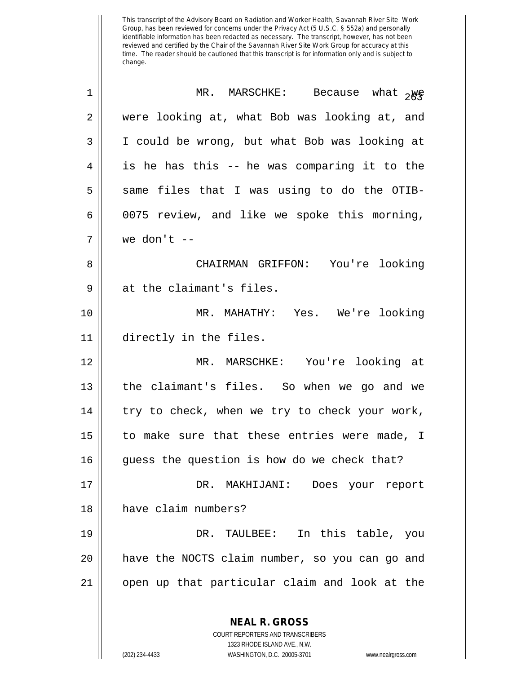| 1              | MR. MARSCHKE: Because what $2\frac{w}{2}$      |
|----------------|------------------------------------------------|
| $\overline{2}$ | were looking at, what Bob was looking at, and  |
| 3              | I could be wrong, but what Bob was looking at  |
| 4              | is he has this -- he was comparing it to the   |
| 5              | same files that I was using to do the OTIB-    |
| 6              | 0075 review, and like we spoke this morning,   |
| 7              | we don't $--$                                  |
| 8              | CHAIRMAN GRIFFON: You're looking               |
| 9              | at the claimant's files.                       |
| 10             | MR. MAHATHY: Yes. We're looking                |
| 11             | directly in the files.                         |
| 12             | MR. MARSCHKE: You're looking at                |
| 13             | the claimant's files. So when we go and we     |
| 14             | try to check, when we try to check your work,  |
| 15             | to make sure that these entries were made, I   |
| 16             | guess the question is how do we check that?    |
| 17             | DR. MAKHIJANI:<br>Does your report             |
| 18             | have claim numbers?                            |
| 19             | DR. TAULBEE: In this table, you                |
| 20             | have the NOCTS claim number, so you can go and |
| 21             | open up that particular claim and look at the  |
|                | <b>NEAL R. GROSS</b>                           |

COURT REPORTERS AND TRANSCRIBERS 1323 RHODE ISLAND AVE., N.W. (202) 234-4433 WASHINGTON, D.C. 20005-3701 www.nealrgross.com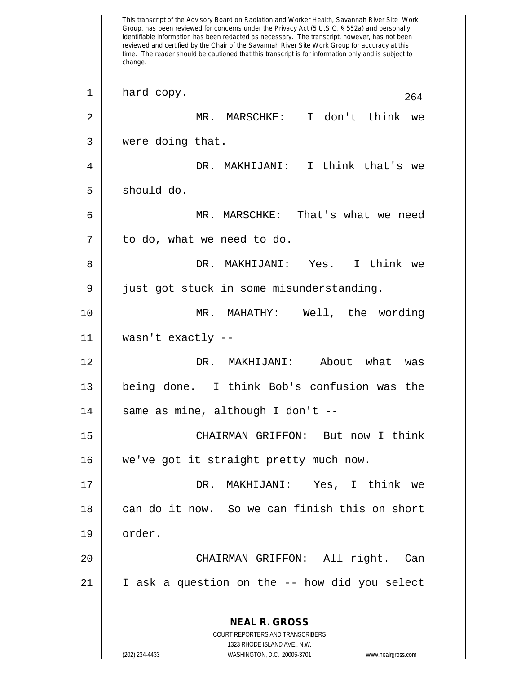This transcript of the Advisory Board on Radiation and Worker Health, Savannah River Site Work Group, has been reviewed for concerns under the Privacy Act (5 U.S.C. § 552a) and personally identifiable information has been redacted as necessary. The transcript, however, has not been reviewed and certified by the Chair of the Savannah River Site Work Group for accuracy at this time. The reader should be cautioned that this transcript is for information only and is subject to change. **NEAL R. GROSS** COURT REPORTERS AND TRANSCRIBERS 1323 RHODE ISLAND AVE., N.W. 1 hard copy. 264 2 MR. MARSCHKE: I don't think we 3 were doing that. 4 DR. MAKHIJANI: I think that's we  $5 \parallel$  should do. 6 MR. MARSCHKE: That's what we need 7 || to do, what we need to do. 8 DR. MAKHIJANI: Yes. I think we 9 || just got stuck in some misunderstanding. 10 MR. MAHATHY: Well, the wording 11 wasn't exactly -- 12 DR. MAKHIJANI: About what was 13 being done. I think Bob's confusion was the 14  $\parallel$  same as mine, although I don't --15 CHAIRMAN GRIFFON: But now I think 16 || we've got it straight pretty much now. 17 DR. MAKHIJANI: Yes, I think we 18 || can do it now. So we can finish this on short 19 order. 20 CHAIRMAN GRIFFON: All right. Can 21 I ask a question on the -- how did you select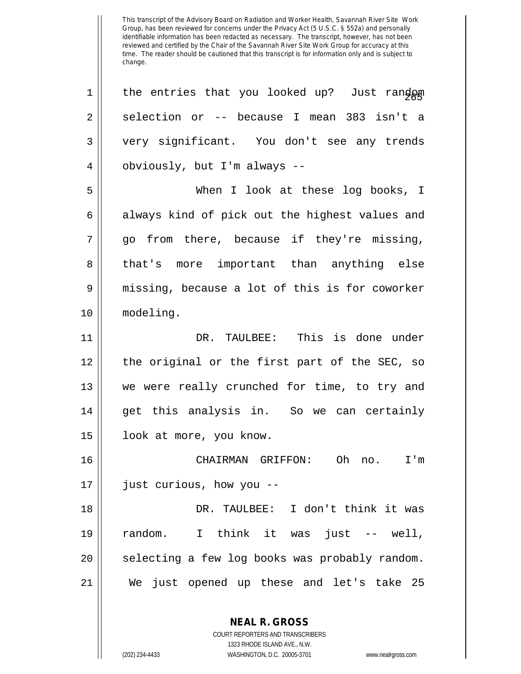This transcript of the Advisory Board on Radiation and Worker Health, Savannah River Site Work Group, has been reviewed for concerns under the Privacy Act (5 U.S.C. § 552a) and personally identifiable information has been redacted as necessary. The transcript, however, has not been reviewed and certified by the Chair of the Savannah River Site Work Group for accuracy at this time. The reader should be cautioned that this transcript is for information only and is subject to change. 1 || the entries that you looked up? Just random  $2 \parallel$  selection or -- because I mean 383 isn't a 3 very significant. You don't see any trends 4 || obviously, but I'm always --5 When I look at these log books, I  $6 \parallel$  always kind of pick out the highest values and  $7 \parallel$  go from there, because if they're missing, 8 that's more important than anything else 9 || missing, because a lot of this is for coworker 10 | modeling. 11 DR. TAULBEE: This is done under  $12$  | the original or the first part of the SEC, so 13 we were really crunched for time, to try and 14 || get this analysis in. So we can certainly 15 || look at more, you know. 16 CHAIRMAN GRIFFON: Oh no. I'm 17 just curious, how you -- 18 DR. TAULBEE: I don't think it was 19 random. I think it was just -- well,  $20$  || selecting a few log books was probably random. 21 We just opened up these and let's take 25

> **NEAL R. GROSS** COURT REPORTERS AND TRANSCRIBERS

> > 1323 RHODE ISLAND AVE., N.W.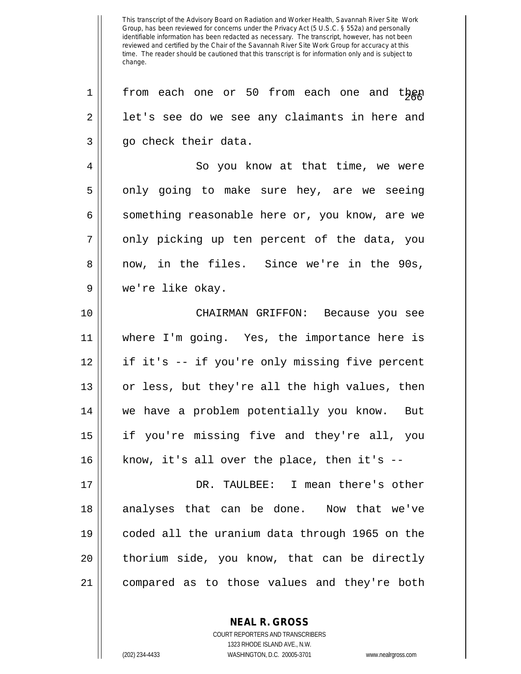This transcript of the Advisory Board on Radiation and Worker Health, Savannah River Site Work Group, has been reviewed for concerns under the Privacy Act (5 U.S.C. § 552a) and personally identifiable information has been redacted as necessary. The transcript, however, has not been reviewed and certified by the Chair of the Savannah River Site Work Group for accuracy at this time. The reader should be cautioned that this transcript is for information only and is subject to change.  $1$  | from each one or 50 from each one and then  $2 \parallel$  let's see do we see any claimants in here and  $3 \parallel$  go check their data. 4 || So you know at that time, we were  $5 \parallel$  only going to make sure hey, are we seeing 6  $\parallel$  something reasonable here or, you know, are we  $7 \parallel$  only picking up ten percent of the data, you 8 || now, in the files. Since we're in the 90s, 9 we're like okay. 10 CHAIRMAN GRIFFON: Because you see 11 where I'm going. Yes, the importance here is 12 || if it's -- if you're only missing five percent 13 || or less, but they're all the high values, then 14 we have a problem potentially you know. But 15 if you're missing five and they're all, you  $16$  know, it's all over the place, then it's  $-$ 17 DR. TAULBEE: I mean there's other 18 analyses that can be done. Now that we've 19 coded all the uranium data through 1965 on the 20 || thorium side, you know, that can be directly 21 compared as to those values and they're both

> COURT REPORTERS AND TRANSCRIBERS 1323 RHODE ISLAND AVE., N.W. (202) 234-4433 WASHINGTON, D.C. 20005-3701 www.nealrgross.com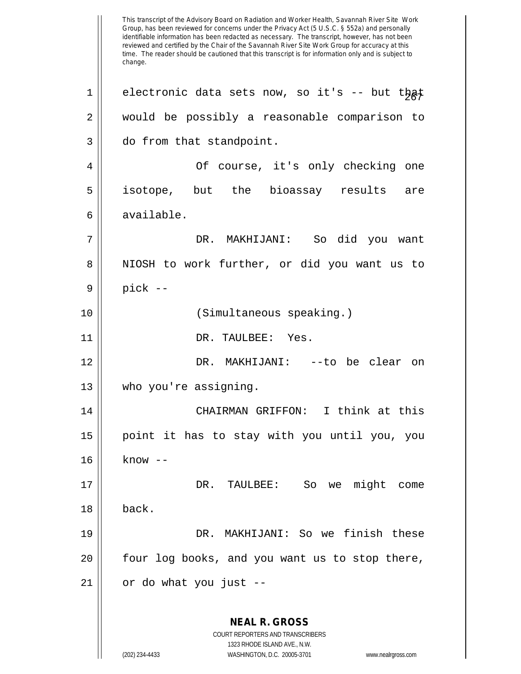This transcript of the Advisory Board on Radiation and Worker Health, Savannah River Site Work Group, has been reviewed for concerns under the Privacy Act (5 U.S.C. § 552a) and personally identifiable information has been redacted as necessary. The transcript, however, has not been reviewed and certified by the Chair of the Savannah River Site Work Group for accuracy at this time. The reader should be cautioned that this transcript is for information only and is subject to change. **NEAL R. GROSS** COURT REPORTERS AND TRANSCRIBERS 1323 RHODE ISLAND AVE., N.W. (202) 234-4433 WASHINGTON, D.C. 20005-3701 www.nealrgross.com 1 || electronic data sets now, so it's -- but that 2 || would be possibly a reasonable comparison to 3 | do from that standpoint. 4 Of course, it's only checking one 5 isotope, but the bioassay results are 6 available. 7 DR. MAKHIJANI: So did you want 8 || NIOSH to work further, or did you want us to 9 pick -- 10 (Simultaneous speaking.) 11 DR. TAULBEE: Yes. 12 DR. MAKHIJANI: --to be clear on 13 || who you're assigning. 14 CHAIRMAN GRIFFON: I think at this 15 point it has to stay with you until you, you  $16$  know  $-$ 17 DR. TAULBEE: So we might come 18 back. 19 DR. MAKHIJANI: So we finish these 20 || four log books, and you want us to stop there,  $21$  | or do what you just  $-$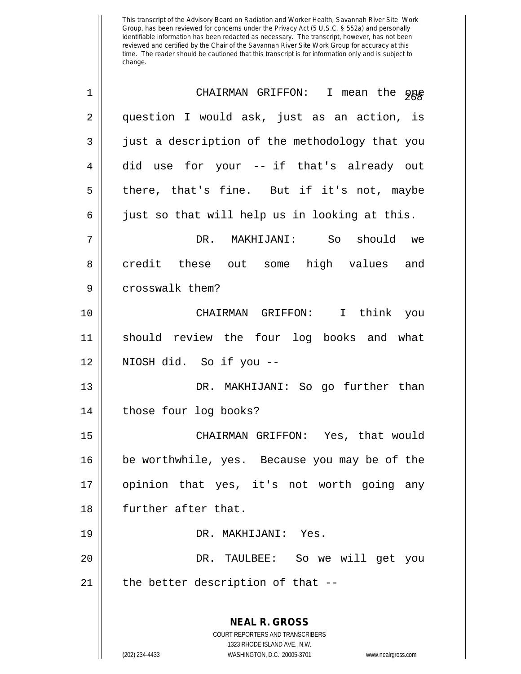| $\mathbf 1$ | CHAIRMAN GRIFFON: I mean the 9Bg                                                                                                                                |
|-------------|-----------------------------------------------------------------------------------------------------------------------------------------------------------------|
| 2           | question I would ask, just as an action, is                                                                                                                     |
| 3           | just a description of the methodology that you                                                                                                                  |
| 4           | did use for your -- if that's already out                                                                                                                       |
| 5           | there, that's fine. But if it's not, maybe                                                                                                                      |
| 6           | just so that will help us in looking at this.                                                                                                                   |
| 7           | DR. MAKHIJANI: So should we                                                                                                                                     |
| 8           | credit these out some high values and                                                                                                                           |
| 9           | crosswalk them?                                                                                                                                                 |
| 10          | CHAIRMAN GRIFFON: I think you                                                                                                                                   |
| 11          | should review the four log books and what                                                                                                                       |
| 12          | NIOSH did. So if you --                                                                                                                                         |
| 13          | DR. MAKHIJANI: So go further than                                                                                                                               |
| 14          | those four log books?                                                                                                                                           |
| 15          | CHAIRMAN GRIFFON: Yes, that would                                                                                                                               |
| 16          | be worthwhile, yes. Because you may be of the                                                                                                                   |
| 17          | opinion that yes, it's not worth going any                                                                                                                      |
| 18          | further after that.                                                                                                                                             |
| 19          | DR. MAKHIJANI: Yes.                                                                                                                                             |
| 20          | DR. TAULBEE: So we will get you                                                                                                                                 |
| 21          | the better description of that --                                                                                                                               |
|             | <b>NEAL R. GROSS</b><br>COURT REPORTERS AND TRANSCRIBERS<br>1323 RHODE ISLAND AVE., N.W.<br>(202) 234-4433<br>WASHINGTON, D.C. 20005-3701<br>www.nealrgross.com |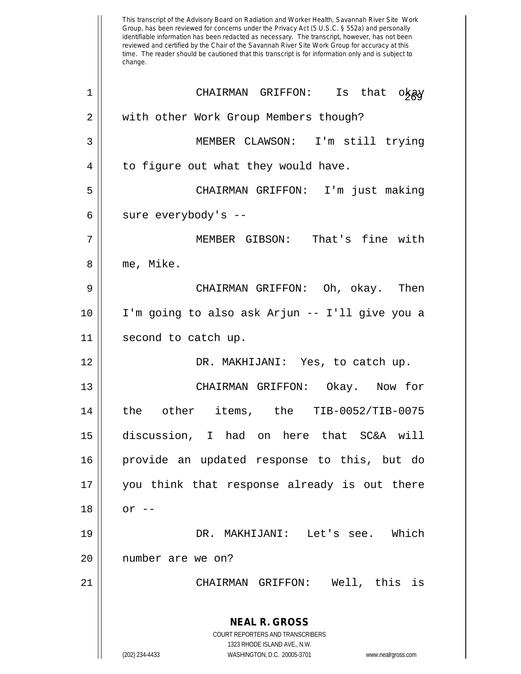This transcript of the Advisory Board on Radiation and Worker Health, Savannah River Site Work Group, has been reviewed for concerns under the Privacy Act (5 U.S.C. § 552a) and personally identifiable information has been redacted as necessary. The transcript, however, has not been reviewed and certified by the Chair of the Savannah River Site Work Group for accuracy at this time. The reader should be cautioned that this transcript is for information only and is subject to change. **NEAL R. GROSS** COURT REPORTERS AND TRANSCRIBERS 1323 RHODE ISLAND AVE., N.W. (202) 234-4433 WASHINGTON, D.C. 20005-3701 www.nealrgross.com <sup>269</sup> 1 CHAIRMAN GRIFFON: Is that okay 2 | with other Work Group Members though? 3 MEMBER CLAWSON: I'm still trying  $4 \parallel$  to figure out what they would have. 5 CHAIRMAN GRIFFON: I'm just making  $6 \parallel$  sure everybody's --7 MEMBER GIBSON: That's fine with 8 || me, Mike. 9 CHAIRMAN GRIFFON: Oh, okay. Then 10 I'm going to also ask Arjun -- I'll give you a 11 || second to catch up. 12 DR. MAKHIJANI: Yes, to catch up. 13 CHAIRMAN GRIFFON: Okay. Now for 14 the other items, the TIB-0052/TIB-0075 15 discussion, I had on here that SC&A will 16 provide an updated response to this, but do 17 you think that response already is out there 18 or -- 19 DR. MAKHIJANI: Let's see. Which 20 | number are we on? 21 CHAIRMAN GRIFFON: Well, this is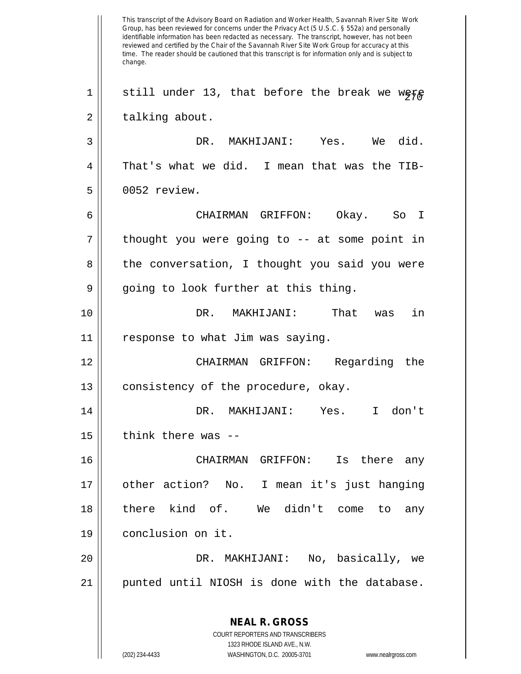This transcript of the Advisory Board on Radiation and Worker Health, Savannah River Site Work Group, has been reviewed for concerns under the Privacy Act (5 U.S.C. § 552a) and personally identifiable information has been redacted as necessary. The transcript, however, has not been reviewed and certified by the Chair of the Savannah River Site Work Group for accuracy at this time. The reader should be cautioned that this transcript is for information only and is subject to change. **NEAL R. GROSS** COURT REPORTERS AND TRANSCRIBERS 1323 RHODE ISLAND AVE., N.W. 1 || still under 13, that before the break we were  $2 \parallel$  talking about. 3 DR. MAKHIJANI: Yes. We did. 4 || That's what we did. I mean that was the TIB-5 0052 review. 6 CHAIRMAN GRIFFON: Okay. So I 7 || thought you were going to -- at some point in 8 || the conversation, I thought you said you were  $9 \parallel$  going to look further at this thing. 10 DR. MAKHIJANI: That was in  $11$  | response to what Jim was saying. 12 CHAIRMAN GRIFFON: Regarding the 13 || consistency of the procedure, okay. 14 DR. MAKHIJANI: Yes. I don't  $15$  | think there was --16 CHAIRMAN GRIFFON: Is there any 17 other action? No. I mean it's just hanging 18 there kind of. We didn't come to any 19 conclusion on it. 20 DR. MAKHIJANI: No, basically, we 21 punted until NIOSH is done with the database.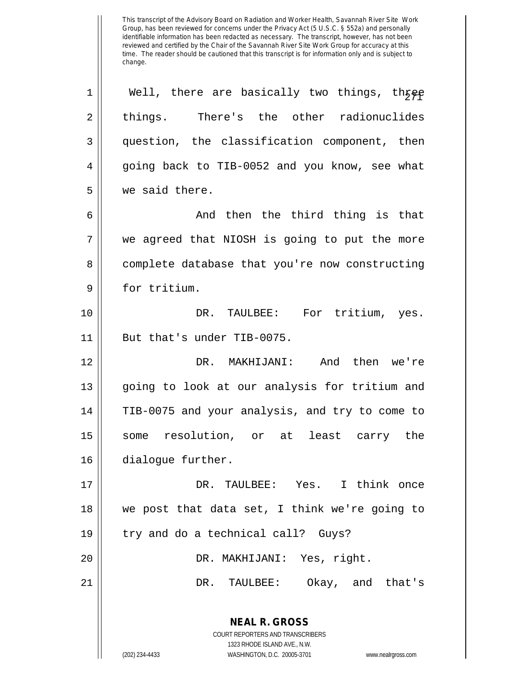This transcript of the Advisory Board on Radiation and Worker Health, Savannah River Site Work Group, has been reviewed for concerns under the Privacy Act (5 U.S.C. § 552a) and personally identifiable information has been redacted as necessary. The transcript, however, has not been reviewed and certified by the Chair of the Savannah River Site Work Group for accuracy at this time. The reader should be cautioned that this transcript is for information only and is subject to change. **NEAL R. GROSS** COURT REPORTERS AND TRANSCRIBERS 1323 RHODE ISLAND AVE., N.W. 1 || Well, there are basically two things, three 2 things. There's the other radionuclides 3 question, the classification component, then 4 || going back to TIB-0052 and you know, see what 5 we said there.  $6 \parallel$  and then the third thing is that 7 we agreed that NIOSH is going to put the more 8 complete database that you're now constructing 9 || for tritium. 10 || DR. TAULBEE: For tritium, yes. 11 || But that's under TIB-0075. 12 DR. MAKHIJANI: And then we're 13 || going to look at our analysis for tritium and 14 || TIB-0075 and your analysis, and try to come to 15 some resolution, or at least carry the 16 dialogue further. 17 DR. TAULBEE: Yes. I think once 18 we post that data set, I think we're going to 19 || try and do a technical call? Guys? 20 DR. MAKHIJANI: Yes, right. 21 DR. TAULBEE: Okay, and that's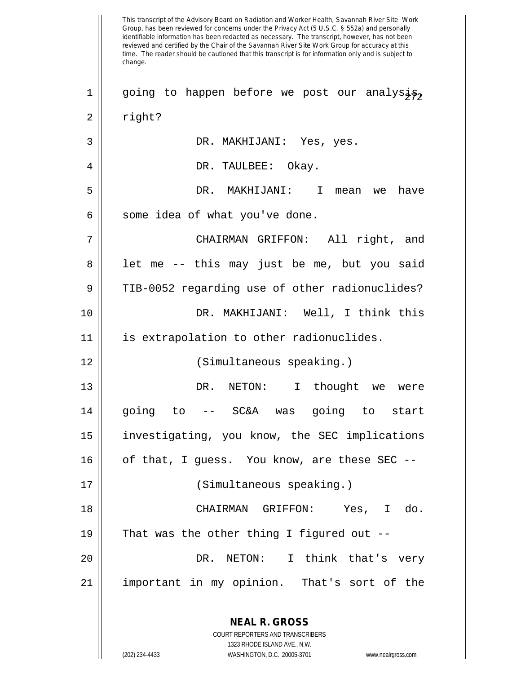This transcript of the Advisory Board on Radiation and Worker Health, Savannah River Site Work Group, has been reviewed for concerns under the Privacy Act (5 U.S.C. § 552a) and personally identifiable information has been redacted as necessary. The transcript, however, has not been reviewed and certified by the Chair of the Savannah River Site Work Group for accuracy at this time. The reader should be cautioned that this transcript is for information only and is subject to change. **NEAL R. GROSS** COURT REPORTERS AND TRANSCRIBERS 1323 RHODE ISLAND AVE., N.W. 1 || going to happen before we post our analysis, 2 | right? 3 DR. MAKHIJANI: Yes, yes. 4 DR. TAULBEE: Okay. 5 DR. MAKHIJANI: I mean we have  $6 \parallel$  some idea of what you've done. 7 CHAIRMAN GRIFFON: All right, and  $8 \parallel$  let me -- this may just be me, but you said 9 TIB-0052 regarding use of other radionuclides? 10 DR. MAKHIJANI: Well, I think this 11 || is extrapolation to other radionuclides. 12 (Simultaneous speaking.) 13 || DR. NETON: I thought we were 14 going to -- SC&A was going to start 15 investigating, you know, the SEC implications 16 || of that, I guess. You know, are these SEC --17 (Simultaneous speaking.) 18 CHAIRMAN GRIFFON: Yes, I do. 19 That was the other thing I figured out -- 20 DR. NETON: I think that's very 21 important in my opinion. That's sort of the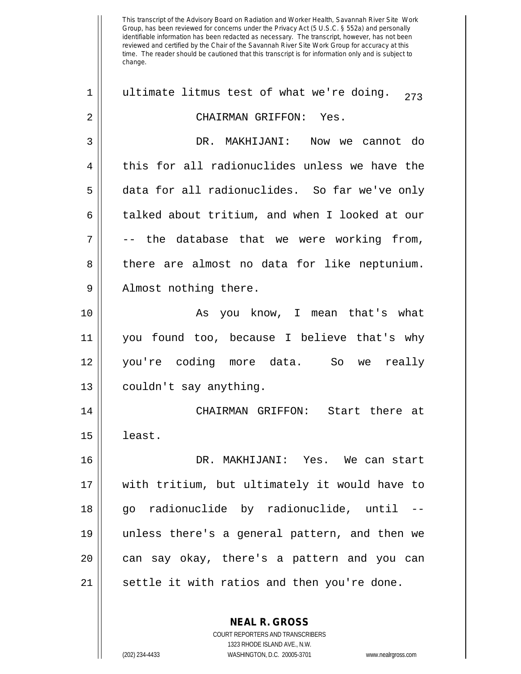This transcript of the Advisory Board on Radiation and Worker Health, Savannah River Site Work Group, has been reviewed for concerns under the Privacy Act (5 U.S.C. § 552a) and personally identifiable information has been redacted as necessary. The transcript, however, has not been reviewed and certified by the Chair of the Savannah River Site Work Group for accuracy at this time. The reader should be cautioned that this transcript is for information only and is subject to change. 1 || ultimate litmus test of what we're doing.  $273$ 2 CHAIRMAN GRIFFON: Yes. 3 DR. MAKHIJANI: Now we cannot do  $4 \parallel$  this for all radionuclides unless we have the 5 data for all radionuclides. So far we've only 6 d talked about tritium, and when I looked at our  $7 \parallel$  -- the database that we were working from, 8 there are almost no data for like neptunium. 9 || Almost nothing there. 10 || As you know, I mean that's what 11 you found too, because I believe that's why 12 you're coding more data. So we really 13 || couldn't say anything. 14 CHAIRMAN GRIFFON: Start there at 15 least. 16 DR. MAKHIJANI: Yes. We can start 17 with tritium, but ultimately it would have to 18 go radionuclide by radionuclide, until -- 19 unless there's a general pattern, and then we 20 || can say okay, there's a pattern and you can  $21$  | settle it with ratios and then you're done.

> COURT REPORTERS AND TRANSCRIBERS 1323 RHODE ISLAND AVE., N.W. (202) 234-4433 WASHINGTON, D.C. 20005-3701 www.nealrgross.com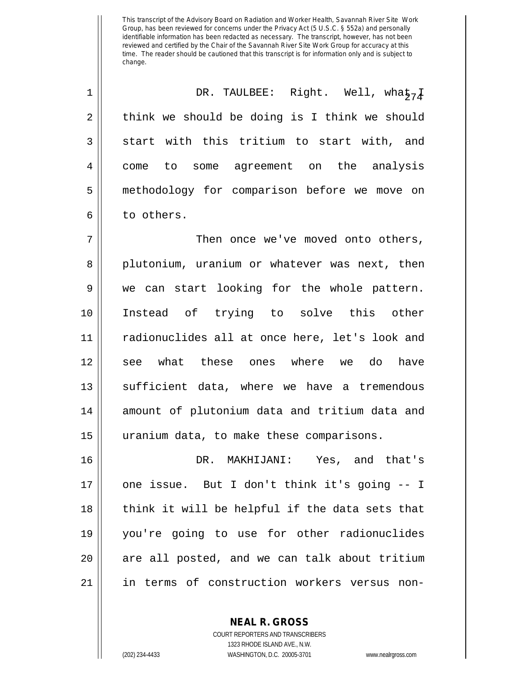| $\mathbf 1$    | DR. TAULBEE: Right. Well, what, $\overline{A}$ |
|----------------|------------------------------------------------|
| $\overline{2}$ | think we should be doing is I think we should  |
| $\overline{3}$ | start with this tritium to start with, and     |
| $\overline{4}$ | come to some agreement on the analysis         |
| 5              | methodology for comparison before we move on   |
| 6              | to others.                                     |

7 || Then once we've moved onto others, 8 plutonium, uranium or whatever was next, then 9 we can start looking for the whole pattern. 10 Instead of trying to solve this other 11 radionuclides all at once here, let's look and 12 see what these ones where we do have 13 || sufficient data, where we have a tremendous 14 || amount of plutonium data and tritium data and 15 uranium data, to make these comparisons.

16 DR. MAKHIJANI: Yes, and that's 17 one issue. But I don't think it's going -- I 18 || think it will be helpful if the data sets that 19 you're going to use for other radionuclides  $20$  || are all posted, and we can talk about tritium 21 || in terms of construction workers versus non-

> COURT REPORTERS AND TRANSCRIBERS 1323 RHODE ISLAND AVE., N.W. (202) 234-4433 WASHINGTON, D.C. 20005-3701 www.nealrgross.com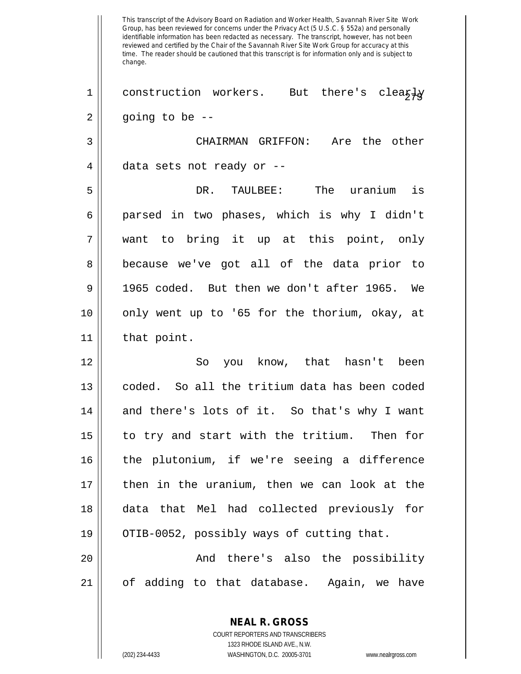This transcript of the Advisory Board on Radiation and Worker Health, Savannah River Site Work Group, has been reviewed for concerns under the Privacy Act (5 U.S.C. § 552a) and personally identifiable information has been redacted as necessary. The transcript, however, has not been reviewed and certified by the Chair of the Savannah River Site Work Group for accuracy at this time. The reader should be cautioned that this transcript is for information only and is subject to change. 1 || construction workers. But there's clearly  $2 \parallel$  going to be  $-$ 3 CHAIRMAN GRIFFON: Are the other  $4 \parallel$  data sets not ready or --5 DR. TAULBEE: The uranium is 6 parsed in two phases, which is why I didn't 7 want to bring it up at this point, only 8 || because we've got all of the data prior to 9 1965 coded. But then we don't after 1965. We 10 || only went up to '65 for the thorium, okay, at 11 | that point. 12 So you know, that hasn't been 13 coded. So all the tritium data has been coded  $14$  and there's lots of it. So that's why I want 15 to try and start with the tritium. Then for 16 the plutonium, if we're seeing a difference 17 then in the uranium, then we can look at the 18 data that Mel had collected previously for 19 || OTIB-0052, possibly ways of cutting that. 20 And there's also the possibility 21 of adding to that database. Again, we have

> COURT REPORTERS AND TRANSCRIBERS 1323 RHODE ISLAND AVE., N.W. (202) 234-4433 WASHINGTON, D.C. 20005-3701 www.nealrgross.com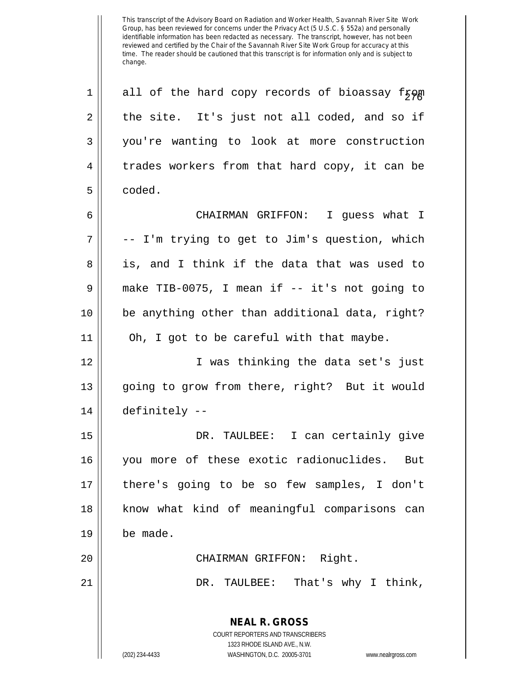| 2  | the site. It's just not all coded, and so if                                                                                                                    |
|----|-----------------------------------------------------------------------------------------------------------------------------------------------------------------|
|    |                                                                                                                                                                 |
| 3  | you're wanting to look at more construction                                                                                                                     |
| 4  | trades workers from that hard copy, it can be                                                                                                                   |
| 5  | coded.                                                                                                                                                          |
| 6  | CHAIRMAN GRIFFON: I guess what I                                                                                                                                |
| 7  | -- I'm trying to get to Jim's question, which                                                                                                                   |
| 8  | is, and I think if the data that was used to                                                                                                                    |
| 9  | make TIB-0075, I mean if -- it's not going to                                                                                                                   |
| 10 | be anything other than additional data, right?                                                                                                                  |
| 11 | Oh, I got to be careful with that maybe.                                                                                                                        |
| 12 | I was thinking the data set's just                                                                                                                              |
| 13 | going to grow from there, right? But it would                                                                                                                   |
| 14 | definitely --                                                                                                                                                   |
| 15 | DR. TAULBEE: I can certainly give                                                                                                                               |
| 16 | you more of these exotic radionuclides. But                                                                                                                     |
| 17 | there's going to be so few samples, I don't                                                                                                                     |
| 18 | know what kind of meaningful comparisons<br>can                                                                                                                 |
| 19 | be made.                                                                                                                                                        |
| 20 | CHAIRMAN GRIFFON: Right.                                                                                                                                        |
| 21 | DR. TAULBEE: That's why I think,                                                                                                                                |
|    | <b>NEAL R. GROSS</b><br>COURT REPORTERS AND TRANSCRIBERS<br>1323 RHODE ISLAND AVE., N.W.<br>(202) 234-4433<br>WASHINGTON, D.C. 20005-3701<br>www.nealrgross.com |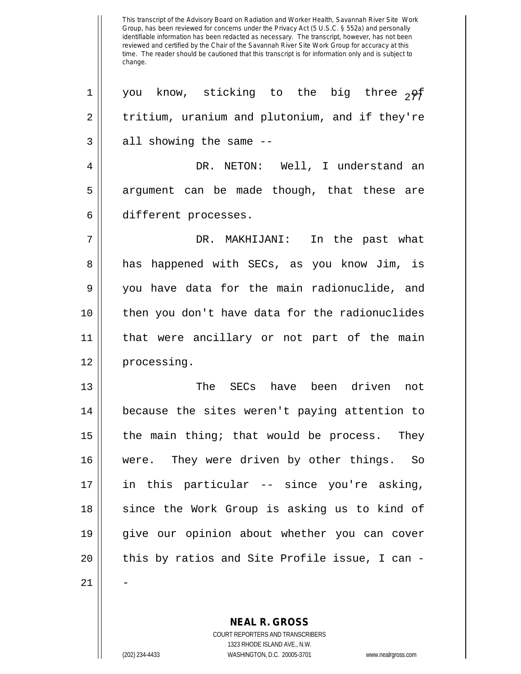This transcript of the Advisory Board on Radiation and Worker Health, Savannah River Site Work Group, has been reviewed for concerns under the Privacy Act (5 U.S.C. § 552a) and personally identifiable information has been redacted as necessary. The transcript, however, has not been reviewed and certified by the Chair of the Savannah River Site Work Group for accuracy at this time. The reader should be cautioned that this transcript is for information only and is subject to change. 1 || you know, sticking to the big three  $_2\varphi f$  $2 \parallel$  tritium, uranium and plutonium, and if they're  $3 \parallel$  all showing the same  $-$ 4 DR. NETON: Well, I understand an 5 || argument can be made though, that these are 6 different processes. 7 DR. MAKHIJANI: In the past what 8 aas happened with SECs, as you know Jim, is 9 || you have data for the main radionuclide, and 10 || then you don't have data for the radionuclides 11 that were ancillary or not part of the main 12 | processing. 13 The SECs have been driven not 14 || because the sites weren't paying attention to 15 || the main thing; that would be process. They 16 were. They were driven by other things. So 17 in this particular -- since you're asking, 18 || since the Work Group is asking us to kind of 19 give our opinion about whether you can cover  $20$  || this by ratios and Site Profile issue, I can - $21$ 

> COURT REPORTERS AND TRANSCRIBERS 1323 RHODE ISLAND AVE., N.W. (202) 234-4433 WASHINGTON, D.C. 20005-3701 www.nealrgross.com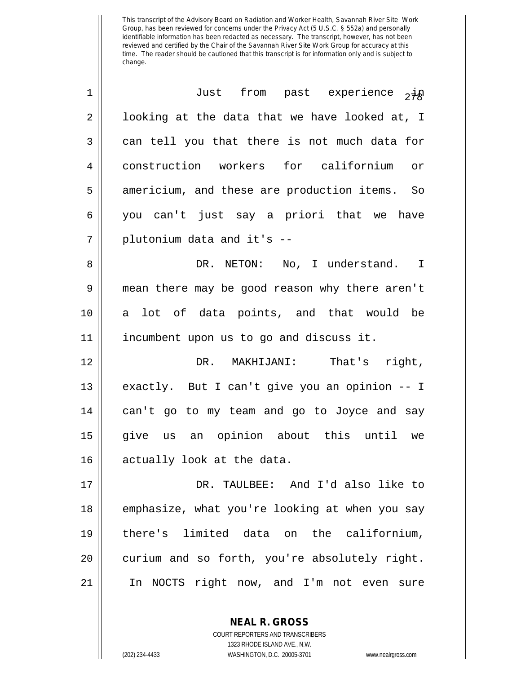| 1  | from past experience $2\frac{1}{2}R$<br>Just   |
|----|------------------------------------------------|
| 2  | looking at the data that we have looked at, I  |
| 3  | can tell you that there is not much data for   |
| 4  | construction workers for californium<br>or     |
| 5  | americium, and these are production items. So  |
| 6  | you can't just say a priori that we have       |
| 7  | plutonium data and it's --                     |
| 8  | DR. NETON: No, I understand. I                 |
| 9  | mean there may be good reason why there aren't |
| 10 | a lot of data points, and that would be        |
| 11 | incumbent upon us to go and discuss it.        |
| 12 | DR. MAKHIJANI: That's right,                   |
| 13 | exactly. But I can't give you an opinion -- I  |
| 14 | can't go to my team and go to Joyce and say    |
| 15 | give us an opinion about this until we         |
| 16 | actually look at the data.                     |
| 17 | DR. TAULBEE: And I'd also like to              |
| 18 | emphasize, what you're looking at when you say |
| 19 | there's limited data on the californium,       |
| 20 | curium and so forth, you're absolutely right.  |
| 21 | In NOCTS right now, and I'm not even<br>sure   |

COURT REPORTERS AND TRANSCRIBERS 1323 RHODE ISLAND AVE., N.W. (202) 234-4433 WASHINGTON, D.C. 20005-3701 www.nealrgross.com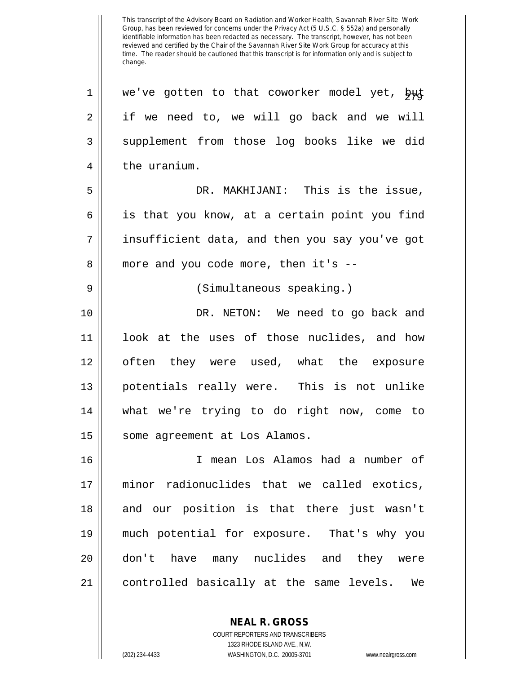This transcript of the Advisory Board on Radiation and Worker Health, Savannah River Site Work Group, has been reviewed for concerns under the Privacy Act (5 U.S.C. § 552a) and personally identifiable information has been redacted as necessary. The transcript, however, has not been reviewed and certified by the Chair of the Savannah River Site Work Group for accuracy at this time. The reader should be cautioned that this transcript is for information only and is subject to change. 1 || we've gotten to that coworker model yet, but  $2 \parallel$  if we need to, we will go back and we will 3 Supplement from those log books like we did 4 | the uranium. 5 DR. MAKHIJANI: This is the issue,  $6 \parallel$  is that you know, at a certain point you find 7 insufficient data, and then you say you've got  $8 \parallel$  more and you code more, then it's  $-$ 9 (Simultaneous speaking.) 10 DR. NETON: We need to go back and 11 look at the uses of those nuclides, and how 12 || often they were used, what the exposure 13 potentials really were. This is not unlike 14 what we're trying to do right now, come to 15 | some agreement at Los Alamos. 16 I mean Los Alamos had a number of 17 minor radionuclides that we called exotics, 18 and our position is that there just wasn't 19 much potential for exposure. That's why you 20 don't have many nuclides and they were 21 controlled basically at the same levels. We

> COURT REPORTERS AND TRANSCRIBERS 1323 RHODE ISLAND AVE., N.W. (202) 234-4433 WASHINGTON, D.C. 20005-3701 www.nealrgross.com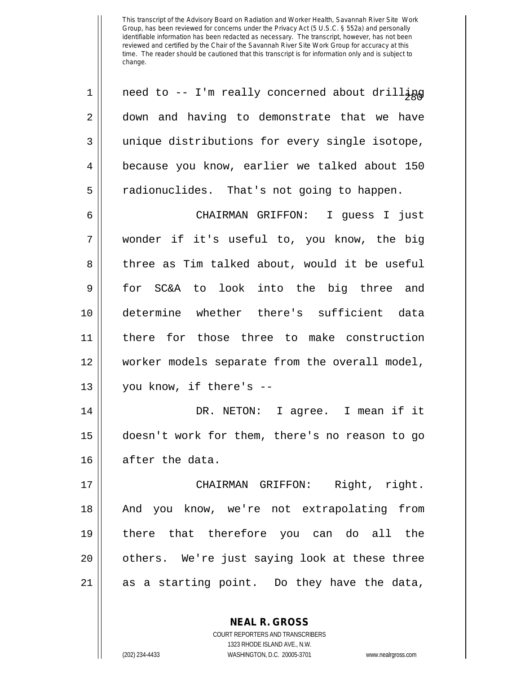| $\mathbf 1$    | need to -- I'm really concerned about drilling |
|----------------|------------------------------------------------|
| $\overline{2}$ | down and having to demonstrate that we have    |
| 3              | unique distributions for every single isotope, |
| 4              | because you know, earlier we talked about 150  |
| 5              | radionuclides. That's not going to happen.     |
| 6              | CHAIRMAN GRIFFON: I guess I just               |
| 7              | wonder if it's useful to, you know, the big    |
| 8              | three as Tim talked about, would it be useful  |
| 9              | for SC&A to look into the big three and        |
| 10             | determine whether there's sufficient data      |
| 11             | there for those three to make construction     |
| 12             | worker models separate from the overall model, |
| 13             | you know, if there's --                        |
| 14             | DR. NETON: I agree. I mean if it               |
| 15             | doesn't work for them, there's no reason to go |
| 16             | after the data.                                |
| 17             | CHAIRMAN GRIFFON: Right, right.                |
| 18             | And you know, we're not extrapolating from     |
| 19             | there that therefore you can do all the        |
| 20             | others. We're just saying look at these three  |
| 21             | as a starting point. Do they have the data,    |
|                |                                                |

COURT REPORTERS AND TRANSCRIBERS 1323 RHODE ISLAND AVE., N.W.

**NEAL R. GROSS**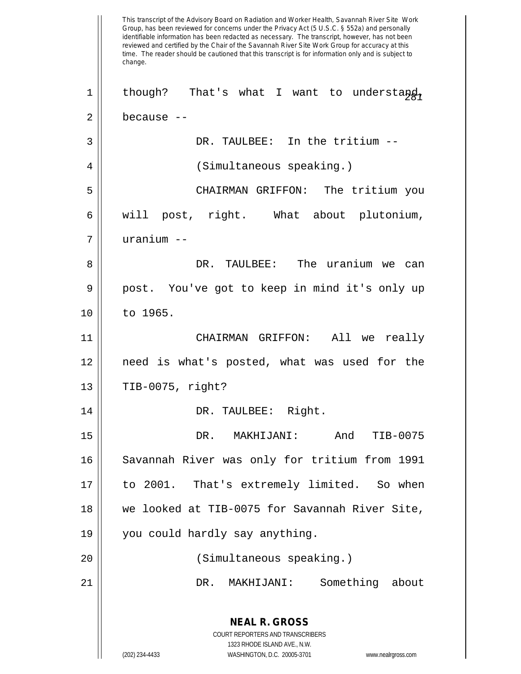This transcript of the Advisory Board on Radiation and Worker Health, Savannah River Site Work Group, has been reviewed for concerns under the Privacy Act (5 U.S.C. § 552a) and personally identifiable information has been redacted as necessary. The transcript, however, has not been reviewed and certified by the Chair of the Savannah River Site Work Group for accuracy at this time. The reader should be cautioned that this transcript is for information only and is subject to change. **NEAL R. GROSS** COURT REPORTERS AND TRANSCRIBERS 1323 RHODE ISLAND AVE., N.W. (202) 234-4433 WASHINGTON, D.C. 20005-3701 www.nealrgross.com 1 || though? That's what I want to understand,  $2 \parallel$  because  $-$ 3 DR. TAULBEE: In the tritium -- 4 || (Simultaneous speaking.) 5 CHAIRMAN GRIFFON: The tritium you 6 will post, right. What about plutonium, 7 uranium -- 8 DR. TAULBEE: The uranium we can 9 || post. You've got to keep in mind it's only up 10 to 1965. 11 CHAIRMAN GRIFFON: All we really 12 need is what's posted, what was used for the 13 || TIB-0075, right? 14 || DR. TAULBEE: Right. 15 DR. MAKHIJANI: And TIB-0075 16 Savannah River was only for tritium from 1991 17 to 2001. That's extremely limited. So when 18 we looked at TIB-0075 for Savannah River Site, 19 you could hardly say anything. 20 || (Simultaneous speaking.) 21 DR. MAKHIJANI: Something about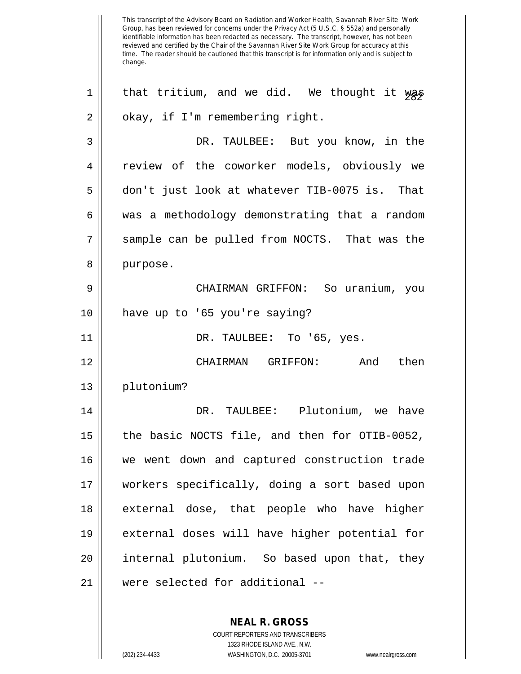This transcript of the Advisory Board on Radiation and Worker Health, Savannah River Site Work Group, has been reviewed for concerns under the Privacy Act (5 U.S.C. § 552a) and personally identifiable information has been redacted as necessary. The transcript, however, has not been reviewed and certified by the Chair of the Savannah River Site Work Group for accuracy at this time. The reader should be cautioned that this transcript is for information only and is subject to change. 1  $\parallel$  that tritium, and we did. We thought it  $_{\tiny\rm W}$  $2 \parallel$  okay, if I'm remembering right. 3 DR. TAULBEE: But you know, in the 4 || review of the coworker models, obviously we 5 don't just look at whatever TIB-0075 is. That 6 was a methodology demonstrating that a random 7 sample can be pulled from NOCTS. That was the 8 *purpose*. 9 CHAIRMAN GRIFFON: So uranium, you 10 have up to '65 you're saying? 11 DR. TAULBEE: To '65, yes. 12 CHAIRMAN GRIFFON: And then 13 | plutonium? 14 DR. TAULBEE: Plutonium, we have 15 the basic NOCTS file, and then for OTIB-0052, 16 we went down and captured construction trade 17 workers specifically, doing a sort based upon 18 || external dose, that people who have higher 19 external doses will have higher potential for 20 internal plutonium. So based upon that, they 21 were selected for additional --

> **NEAL R. GROSS** COURT REPORTERS AND TRANSCRIBERS 1323 RHODE ISLAND AVE., N.W.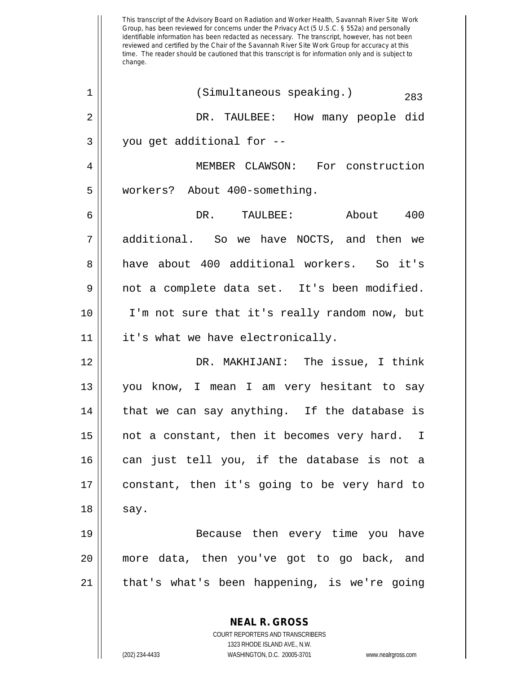This transcript of the Advisory Board on Radiation and Worker Health, Savannah River Site Work Group, has been reviewed for concerns under the Privacy Act (5 U.S.C. § 552a) and personally identifiable information has been redacted as necessary. The transcript, however, has not been reviewed and certified by the Chair of the Savannah River Site Work Group for accuracy at this time. The reader should be cautioned that this transcript is for information only and is subject to change. **NEAL R. GROSS** COURT REPORTERS AND TRANSCRIBERS  $\begin{array}{c|c} 1 & \hspace{1.5cm} & \hspace{1.5cm} & \hspace{1.5cm} & \hspace{1.5cm} & \hspace{1.5cm} & \hspace{1.5cm} & \hspace{1.5cm} & \hspace{1.5cm} & \hspace{1.5cm} & \hspace{1.5cm} & \hspace{1.5cm} & \hspace{1.5cm} & \hspace{1.5cm} & \hspace{1.5cm} & \hspace{1.5cm} & \hspace{1.5cm} & \hspace{1.5cm} & \hspace{1.5cm} & \hspace{1.5cm} & \hspace{1.5cm} & \hspace{1.5cm$ 2 DR. TAULBEE: How many people did  $3 \parallel$  you get additional for  $-$ 4 MEMBER CLAWSON: For construction 5 workers? About 400-something. 6 DR. TAULBEE: About 400 7 additional. So we have NOCTS, and then we 8 have about 400 additional workers. So it's 9 not a complete data set. It's been modified. 10 || I'm not sure that it's really random now, but  $11$  | it's what we have electronically. 12 DR. MAKHIJANI: The issue, I think 13 you know, I mean I am very hesitant to say  $14$  | that we can say anything. If the database is 15 not a constant, then it becomes very hard. I 16 can just tell you, if the database is not a 17 constant, then it's going to be very hard to  $18 \parallel$  say. 19 Because then every time you have 20 more data, then you've got to go back, and  $21$  | that's what's been happening, is we're going

1323 RHODE ISLAND AVE., N.W. (202) 234-4433 WASHINGTON, D.C. 20005-3701 www.nealrgross.com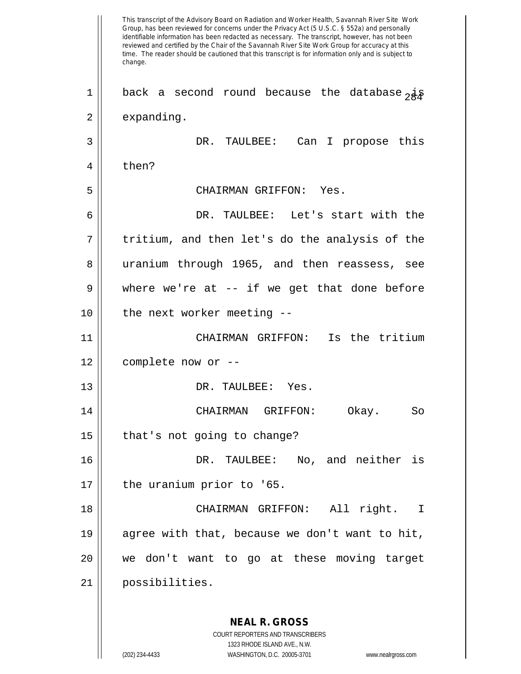This transcript of the Advisory Board on Radiation and Worker Health, Savannah River Site Work Group, has been reviewed for concerns under the Privacy Act (5 U.S.C. § 552a) and personally identifiable information has been redacted as necessary. The transcript, however, has not been reviewed and certified by the Chair of the Savannah River Site Work Group for accuracy at this time. The reader should be cautioned that this transcript is for information only and is subject to change. **NEAL R. GROSS** COURT REPORTERS AND TRANSCRIBERS 1323 RHODE ISLAND AVE., N.W. (202) 234-4433 WASHINGTON, D.C. 20005-3701 www.nealrgross.com 1 || back a second round because the database  $\frac{1}{2}$  $2 \parallel$  expanding. 3 DR. TAULBEE: Can I propose this 4 | then? 5 CHAIRMAN GRIFFON: Yes. 6 DR. TAULBEE: Let's start with the  $7 \parallel$  tritium, and then let's do the analysis of the 8 || uranium through 1965, and then reassess, see  $9 \parallel$  where we're at  $--$  if we get that done before 10 || the next worker meeting --11 CHAIRMAN GRIFFON: Is the tritium 12 | complete now or --13 DR. TAULBEE: Yes. 14 CHAIRMAN GRIFFON: Okay. So 15 | that's not going to change? 16 DR. TAULBEE: No, and neither is  $17$  || the uranium prior to '65. 18 CHAIRMAN GRIFFON: All right. I 19 agree with that, because we don't want to hit,  $20$  || we don't want to go at these moving target 21 possibilities.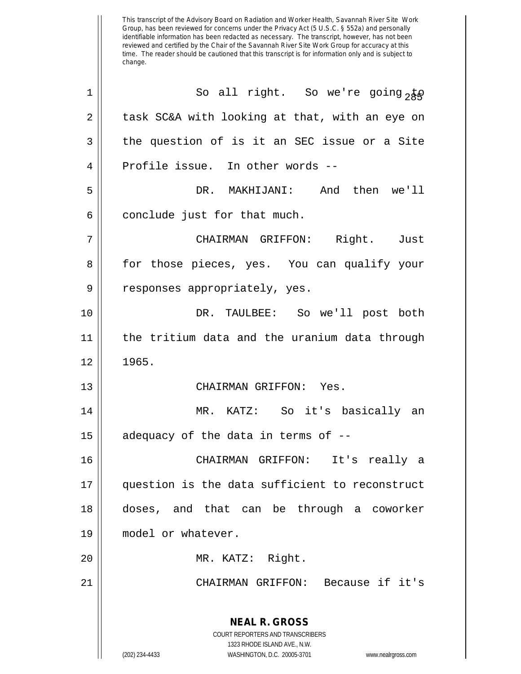This transcript of the Advisory Board on Radiation and Worker Health, Savannah River Site Work Group, has been reviewed for concerns under the Privacy Act (5 U.S.C. § 552a) and personally identifiable information has been redacted as necessary. The transcript, however, has not been reviewed and certified by the Chair of the Savannah River Site Work Group for accuracy at this time. The reader should be cautioned that this transcript is for information only and is subject to change. **NEAL R. GROSS** COURT REPORTERS AND TRANSCRIBERS 1323 RHODE ISLAND AVE., N.W. (202) 234-4433 WASHINGTON, D.C. 20005-3701 www.nealrgross.com 1 || So all right. So we're going  $\frac{1}{2}$  $2 \parallel$  task SC&A with looking at that, with an eye on  $3 \parallel$  the question of is it an SEC issue or a Site 4 Profile issue. In other words -- 5 DR. MAKHIJANI: And then we'll  $6 \parallel$  conclude just for that much. 7 CHAIRMAN GRIFFON: Right. Just 8 for those pieces, yes. You can qualify your 9 || responses appropriately, yes. 10 DR. TAULBEE: So we'll post both 11 the tritium data and the uranium data through  $12 \parallel 1965.$ 13 CHAIRMAN GRIFFON: Yes. 14 MR. KATZ: So it's basically an 15  $\parallel$  adequacy of the data in terms of  $-$ -16 CHAIRMAN GRIFFON: It's really a 17 question is the data sufficient to reconstruct 18 doses, and that can be through a coworker 19 || model or whatever. 20 MR. KATZ: Right. 21 CHAIRMAN GRIFFON: Because if it's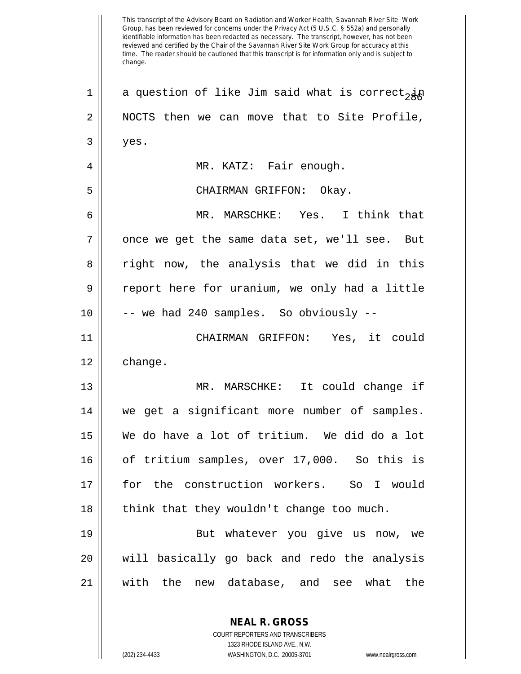This transcript of the Advisory Board on Radiation and Worker Health, Savannah River Site Work Group, has been reviewed for concerns under the Privacy Act (5 U.S.C. § 552a) and personally identifiable information has been redacted as necessary. The transcript, however, has not been reviewed and certified by the Chair of the Savannah River Site Work Group for accuracy at this time. The reader should be cautioned that this transcript is for information only and is subject to change. **NEAL R. GROSS**  $2281$  a question of like Jim said what is correct, in 2 | NOCTS then we can move that to Site Profile,  $3 \parallel$  yes. 4 MR. KATZ: Fair enough. 5 CHAIRMAN GRIFFON: Okay. 6 MR. MARSCHKE: Yes. I think that  $7 \parallel$  once we get the same data set, we'll see. But 8 The right now, the analysis that we did in this 9 There for uranium, we only had a little  $10$   $\vert$  -- we had 240 samples. So obviously --11 CHAIRMAN GRIFFON: Yes, it could 12 | change. 13 MR. MARSCHKE: It could change if 14 || we get a significant more number of samples. 15 We do have a lot of tritium. We did do a lot 16 || of tritium samples, over 17,000. So this is 17 for the construction workers. So I would 18 || think that they wouldn't change too much. 19 || But whatever you give us now, we 20 will basically go back and redo the analysis 21 with the new database, and see what the

> COURT REPORTERS AND TRANSCRIBERS 1323 RHODE ISLAND AVE., N.W.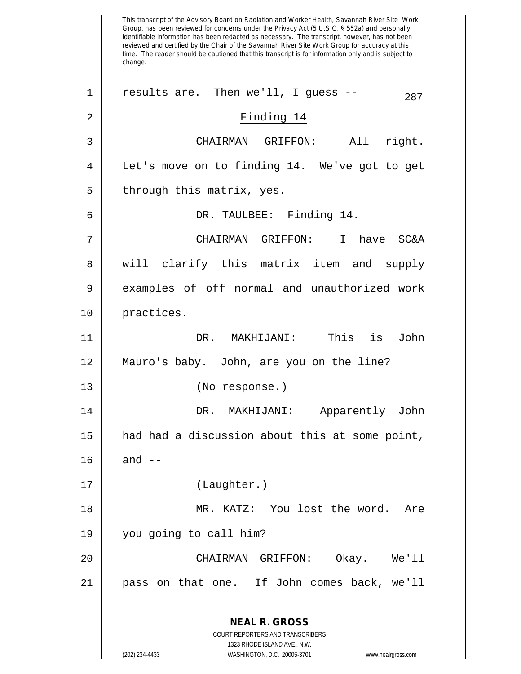This transcript of the Advisory Board on Radiation and Worker Health, Savannah River Site Work Group, has been reviewed for concerns under the Privacy Act (5 U.S.C. § 552a) and personally identifiable information has been redacted as necessary. The transcript, however, has not been reviewed and certified by the Chair of the Savannah River Site Work Group for accuracy at this time. The reader should be cautioned that this transcript is for information only and is subject to change. **NEAL R. GROSS** COURT REPORTERS AND TRANSCRIBERS 1323 RHODE ISLAND AVE., N.W. (202) 234-4433 WASHINGTON, D.C. 20005-3701 www.nealrgross.com  $\begin{array}{ccc} 1 & \text{results are.} \end{array}$  Then we'll, I guess --  $\begin{array}{ccc} 287 & \text{at} \end{array}$ 2 Finding 14 3 CHAIRMAN GRIFFON: All right. 4 Let's move on to finding 14. We've got to get  $5$  | through this matrix, yes. 6 || DR. TAULBEE: Finding 14. 7 CHAIRMAN GRIFFON: I have SC&A 8 || will clarify this matrix item and supply 9 examples of off normal and unauthorized work 10 | practices. 11 DR. MAKHIJANI: This is John 12 Mauro's baby. John, are you on the line? 13 (No response.) 14 DR. MAKHIJANI: Apparently John 15 had had a discussion about this at some point,  $16 \parallel$  and  $-$ 17 (Laughter.) 18 MR. KATZ: You lost the word. Are 19 you going to call him? 20 CHAIRMAN GRIFFON: Okay. We'll 21 pass on that one. If John comes back, we'll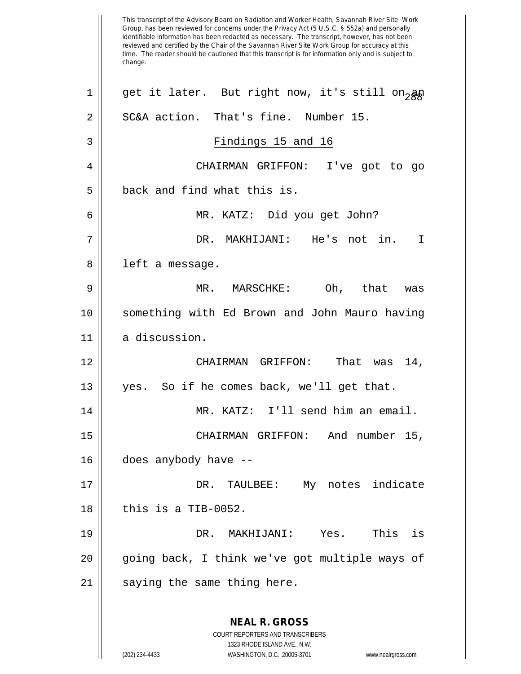This transcript of the Advisory Board on Radiation and Worker Health, Savannah River Site Work Group, has been reviewed for concerns under the Privacy Act (5 U.S.C. § 552a) and personally identifiable information has been redacted as necessary. The transcript, however, has not been reviewed and certified by the Chair of the Savannah River Site Work Group for accuracy at this time. The reader should be cautioned that this transcript is for information only and is subject to change. **NEAL R. GROSS** COURT REPORTERS AND TRANSCRIBERS 1323 RHODE ISLAND AVE., N.W. (202) 234-4433 WASHINGTON, D.C. 20005-3701 www.nealrgross.com 1 || qet it later. But right now, it's still on, and 2 | SC&A action. That's fine. Number 15. 3 Findings 15 and 16 4 CHAIRMAN GRIFFON: I've got to go 5 **back** and find what this is. 6 MR. KATZ: Did you get John? 7 DR. MAKHIJANI: He's not in. I 8 | left a message. 9 MR. MARSCHKE: Oh, that was 10 || something with Ed Brown and John Mauro having 11 a discussion. 12 CHAIRMAN GRIFFON: That was 14, 13 yes. So if he comes back, we'll get that. 14 MR. KATZ: I'll send him an email. 15 CHAIRMAN GRIFFON: And number 15, 16 does anybody have -- 17 DR. TAULBEE: My notes indicate  $18$  | this is a TIB-0052. 19 DR. MAKHIJANI: Yes. This is 20 || going back, I think we've got multiple ways of  $21$  | saying the same thing here.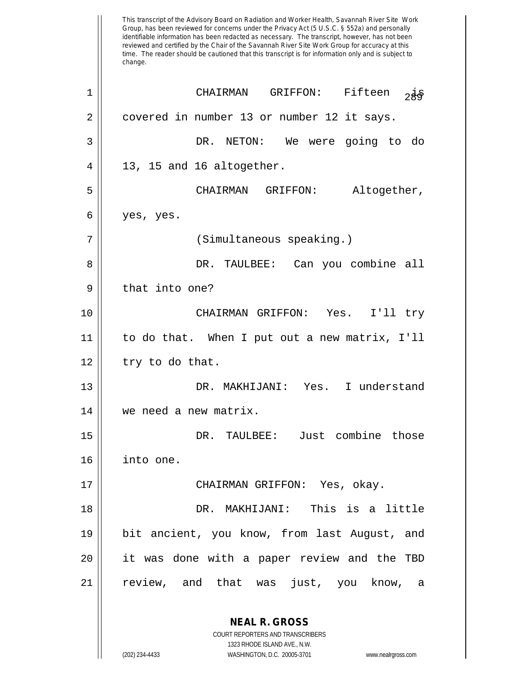This transcript of the Advisory Board on Radiation and Worker Health, Savannah River Site Work Group, has been reviewed for concerns under the Privacy Act (5 U.S.C. § 552a) and personally identifiable information has been redacted as necessary. The transcript, however, has not been reviewed and certified by the Chair of the Savannah River Site Work Group for accuracy at this time. The reader should be cautioned that this transcript is for information only and is subject to change. **NEAL R. GROSS** COURT REPORTERS AND TRANSCRIBERS  $\begin{array}{ccc} \hbox{\small\tt 1}\end{array}$  CHAIRMAN GRIFFON: Fifteen  $_2$  js 2 | covered in number 13 or number 12 it says. 3 DR. NETON: We were going to do  $4 \parallel 13$ , 15 and 16 altogether. 5 CHAIRMAN GRIFFON: Altogether,  $6 \parallel$  yes, yes. 7 (Simultaneous speaking.) 8 DR. TAULBEE: Can you combine all  $9 \parallel$  that into one? 10 CHAIRMAN GRIFFON: Yes. I'll try 11 to do that. When I put out a new matrix, I'll  $12 \parallel$  try to do that. 13 DR. MAKHIJANI: Yes. I understand 14 || we need a new matrix. 15 DR. TAULBEE: Just combine those 16 into one. 17 CHAIRMAN GRIFFON: Yes, okay. 18 DR. MAKHIJANI: This is a little 19 bit ancient, you know, from last August, and 20 || it was done with a paper review and the TBD 21 review, and that was just, you know, a

1323 RHODE ISLAND AVE., N.W.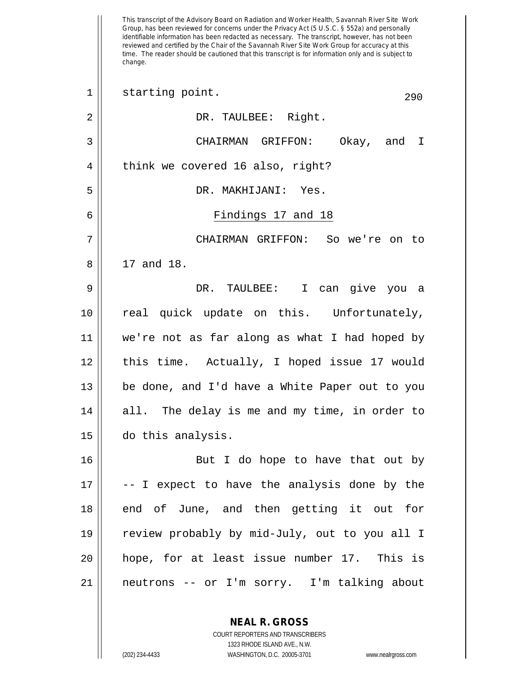This transcript of the Advisory Board on Radiation and Worker Health, Savannah River Site Work Group, has been reviewed for concerns under the Privacy Act (5 U.S.C. § 552a) and personally identifiable information has been redacted as necessary. The transcript, however, has not been reviewed and certified by the Chair of the Savannah River Site Work Group for accuracy at this time. The reader should be cautioned that this transcript is for information only and is subject to change. 1 Starting point. 290 2 || DR. TAULBEE: Right. 3 CHAIRMAN GRIFFON: Okay, and I 4 || think we covered 16 also, right? 5 DR. MAKHIJANI: Yes. 6 Findings 17 and 18 7 CHAIRMAN GRIFFON: So we're on to 8 17 and 18. 9 DR. TAULBEE: I can give you a 10 || real quick update on this. Unfortunately, 11 || we're not as far along as what I had hoped by 12 || this time. Actually, I hoped issue 17 would 13 be done, and I'd have a White Paper out to you 14 || all. The delay is me and my time, in order to 15 do this analysis. 16 || But I do hope to have that out by  $17 \parallel$  -- I expect to have the analysis done by the 18 || end of June, and then getting it out for 19 review probably by mid-July, out to you all I  $20$  || hope, for at least issue number 17. This is 21 neutrons -- or I'm sorry. I'm talking about

> **NEAL R. GROSS** COURT REPORTERS AND TRANSCRIBERS 1323 RHODE ISLAND AVE., N.W.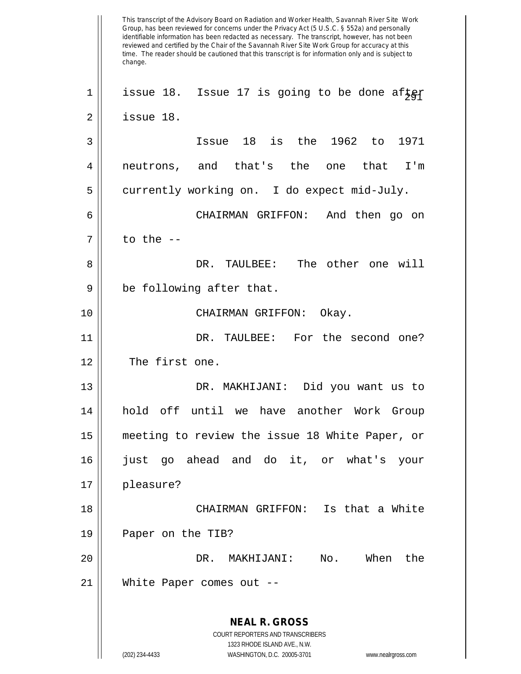This transcript of the Advisory Board on Radiation and Worker Health, Savannah River Site Work Group, has been reviewed for concerns under the Privacy Act (5 U.S.C. § 552a) and personally identifiable information has been redacted as necessary. The transcript, however, has not been reviewed and certified by the Chair of the Savannah River Site Work Group for accuracy at this time. The reader should be cautioned that this transcript is for information only and is subject to change. **NEAL R. GROSS** COURT REPORTERS AND TRANSCRIBERS 1323 RHODE ISLAND AVE., N.W. (202) 234-4433 WASHINGTON, D.C. 20005-3701 www.nealrgross.com 1 | issue 18. Issue 17 is going to be done after  $2 \parallel$  issue 18. 3 Issue 18 is the 1962 to 1971 4 neutrons, and that's the one that I'm  $5 \parallel$  currently working on. I do expect mid-July. 6 CHAIRMAN GRIFFON: And then go on  $7 \parallel$  to the  $-$ 8 DR. TAULBEE: The other one will  $9 \parallel$  be following after that. 10 || CHAIRMAN GRIFFON: Okay. 11 DR. TAULBEE: For the second one? 12 | The first one. 13 DR. MAKHIJANI: Did you want us to 14 hold off until we have another Work Group 15 meeting to review the issue 18 White Paper, or 16 just go ahead and do it, or what's your 17 pleasure? 18 CHAIRMAN GRIFFON: Is that a White 19 Paper on the TIB? 20 DR. MAKHIJANI: No. When the 21 White Paper comes out --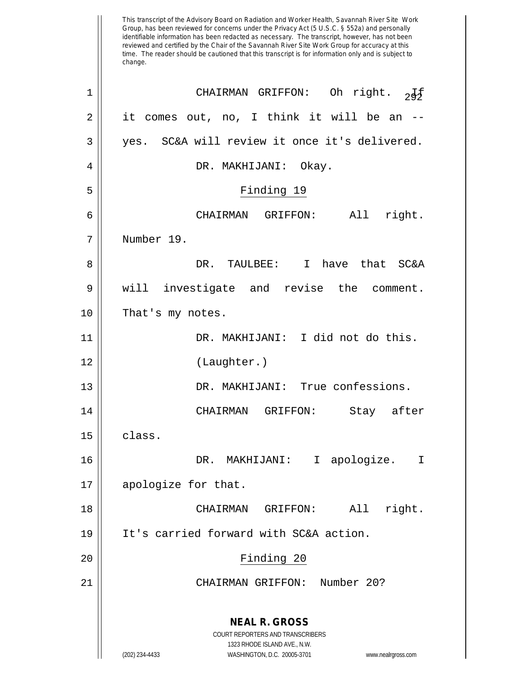This transcript of the Advisory Board on Radiation and Worker Health, Savannah River Site Work Group, has been reviewed for concerns under the Privacy Act (5 U.S.C. § 552a) and personally identifiable information has been redacted as necessary. The transcript, however, has not been reviewed and certified by the Chair of the Savannah River Site Work Group for accuracy at this time. The reader should be cautioned that this transcript is for information only and is subject to change. **NEAL R. GROSS** COURT REPORTERS AND TRANSCRIBERS 1323 RHODE ISLAND AVE., N.W. (202) 234-4433 WASHINGTON, D.C. 20005-3701 www.nealrgross.com <sup>292</sup> 1 CHAIRMAN GRIFFON: Oh right. If  $2 \parallel$  it comes out, no, I think it will be an  $-$ 3 yes. SC&A will review it once it's delivered. 4 DR. MAKHIJANI: Okay. 5 Finding 19 6 CHAIRMAN GRIFFON: All right. 7 Number 19. 8 DR. TAULBEE: I have that SC&A 9 will investigate and revise the comment. 10 || That's my notes. 11 DR. MAKHIJANI: I did not do this. 12 (Laughter.) 13 DR. MAKHIJANI: True confessions. 14 CHAIRMAN GRIFFON: Stay after  $15$   $\vert$  class. 16 DR. MAKHIJANI: I apologize. I 17 || apologize for that. 18 CHAIRMAN GRIFFON: All right. 19 It's carried forward with SC&A action. 20 Finding 20 21 CHAIRMAN GRIFFON: Number 20?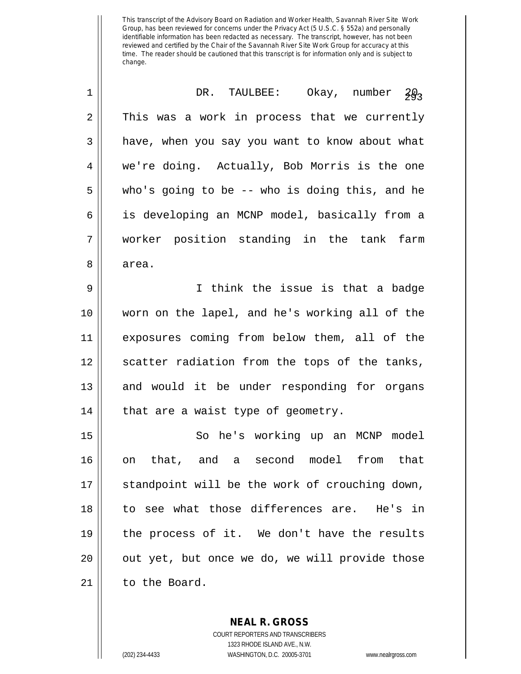This transcript of the Advisory Board on Radiation and Worker Health, Savannah River Site Work Group, has been reviewed for concerns under the Privacy Act (5 U.S.C. § 552a) and personally identifiable information has been redacted as necessary. The transcript, however, has not been reviewed and certified by the Chair of the Savannah River Site Work Group for accuracy at this time. The reader should be cautioned that this transcript is for information only and is subject to change.

| $\mathbf 1$    | DR. TAULBEE: Okay, number $2\theta_3$          |
|----------------|------------------------------------------------|
| $\overline{2}$ | This was a work in process that we currently   |
| 3              | have, when you say you want to know about what |
| 4              | we're doing. Actually, Bob Morris is the one   |
| 5              | who's going to be -- who is doing this, and he |
| 6              | is developing an MCNP model, basically from a  |
| 7              | worker position standing in the tank farm      |
| 8              | area.                                          |
| 9              | I think the issue is that a badge              |
| 10             | worn on the lapel, and he's working all of the |
| 11             | exposures coming from below them, all of the   |
| 12             | scatter radiation from the tops of the tanks,  |
| 13             | and would it be under responding for organs    |
| 14             | that are a waist type of geometry.             |
| 15             | So he's working up an MCNP model               |
| 16             | on that, and<br>a second model<br>from<br>that |
| 17             | standpoint will be the work of crouching down, |
| 18             | to see what those differences are. He's in     |
| 19             | the process of it. We don't have the results   |
| 20             | out yet, but once we do, we will provide those |
| 21             | to the Board.                                  |

COURT REPORTERS AND TRANSCRIBERS 1323 RHODE ISLAND AVE., N.W. (202) 234-4433 WASHINGTON, D.C. 20005-3701 www.nealrgross.com

**NEAL R. GROSS**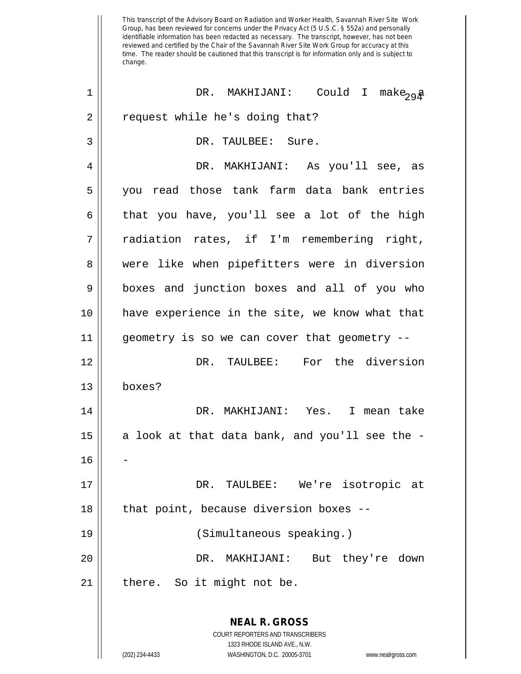This transcript of the Advisory Board on Radiation and Worker Health, Savannah River Site Work Group, has been reviewed for concerns under the Privacy Act (5 U.S.C. § 552a) and personally identifiable information has been redacted as necessary. The transcript, however, has not been reviewed and certified by the Chair of the Savannah River Site Work Group for accuracy at this time. The reader should be cautioned that this transcript is for information only and is subject to change. **NEAL R. GROSS** COURT REPORTERS AND TRANSCRIBERS 1323 RHODE ISLAND AVE., N.W. (202) 234-4433 WASHINGTON, D.C. 20005-3701 www.nealrgross.com  $\begin{array}{ccc} \hbox{\small\tt l} \end{array}$   $\begin{array}{ccc} \hbox{\small\tt DR.} \end{array}$  MAKHIJANI:  $\hbox{\small\tt Could I}$  make  $_{294}$  $2 \parallel$  request while he's doing that? 3 DR. TAULBEE: Sure. 4 DR. MAKHIJANI: As you'll see, as 5 you read those tank farm data bank entries 6 that you have, you'll see a lot of the high 7 || radiation rates, if I'm remembering right, 8 were like when pipefitters were in diversion 9 || boxes and junction boxes and all of you who 10 || have experience in the site, we know what that 11 geometry is so we can cover that geometry -- 12 DR. TAULBEE: For the diversion 13 boxes? 14 DR. MAKHIJANI: Yes. I mean take  $15$  a look at that data bank, and you'll see the -16 17 DR. TAULBEE: We're isotropic at  $18$  || that point, because diversion boxes --19 (Simultaneous speaking.) 20 DR. MAKHIJANI: But they're down  $21$  | there. So it might not be.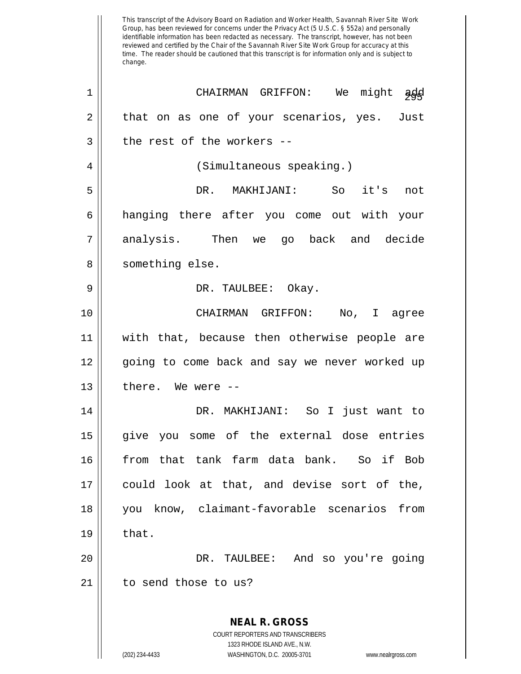This transcript of the Advisory Board on Radiation and Worker Health, Savannah River Site Work Group, has been reviewed for concerns under the Privacy Act (5 U.S.C. § 552a) and personally identifiable information has been redacted as necessary. The transcript, however, has not been reviewed and certified by the Chair of the Savannah River Site Work Group for accuracy at this time. The reader should be cautioned that this transcript is for information only and is subject to change. **NEAL R. GROSS** COURT REPORTERS AND TRANSCRIBERS 1323 RHODE ISLAND AVE., N.W. <sup>295</sup> 1 CHAIRMAN GRIFFON: We might add 2 that on as one of your scenarios, yes. Just  $3 \parallel$  the rest of the workers --4 || (Simultaneous speaking.) 5 DR. MAKHIJANI: So it's not 6 hanging there after you come out with your 7 analysis. Then we go back and decide 8 || something else. 9 DR. TAULBEE: Okay. 10 CHAIRMAN GRIFFON: No, I agree 11 with that, because then otherwise people are 12 || going to come back and say we never worked up 13 ll there. We were --14 DR. MAKHIJANI: So I just want to 15 give you some of the external dose entries 16 from that tank farm data bank. So if Bob 17 could look at that, and devise sort of the, 18 you know, claimant-favorable scenarios from  $19 \parallel$  that. 20 DR. TAULBEE: And so you're going 21 | to send those to us?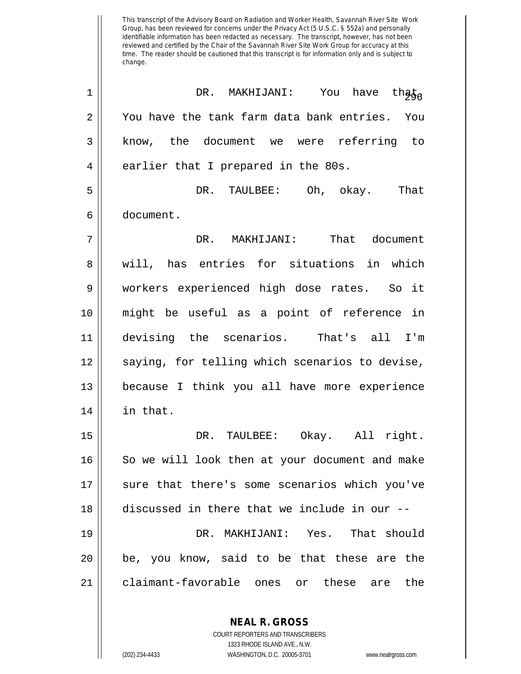|    | This transcript of the Advisory Board on Radiation and Worker Health, Savannah River Site Work<br>Group, has been reviewed for concerns under the Privacy Act (5 U.S.C. § 552a) and personally<br>identifiable information has been redacted as necessary. The transcript, however, has not been<br>reviewed and certified by the Chair of the Savannah River Site Work Group for accuracy at this<br>time. The reader should be cautioned that this transcript is for information only and is subject to<br>change. |
|----|----------------------------------------------------------------------------------------------------------------------------------------------------------------------------------------------------------------------------------------------------------------------------------------------------------------------------------------------------------------------------------------------------------------------------------------------------------------------------------------------------------------------|
| 1  | DR.<br>MAKHIJANI:<br>You<br>have<br>thay6                                                                                                                                                                                                                                                                                                                                                                                                                                                                            |
| 2  | You have the tank farm data bank entries.<br>You                                                                                                                                                                                                                                                                                                                                                                                                                                                                     |
| 3  | the<br>document we<br>referring<br>know,<br>were<br>to                                                                                                                                                                                                                                                                                                                                                                                                                                                               |
| 4  | earlier that I prepared in the 80s.                                                                                                                                                                                                                                                                                                                                                                                                                                                                                  |
| 5  | Oh, okay.<br>TAULBEE:<br>That<br>DR.                                                                                                                                                                                                                                                                                                                                                                                                                                                                                 |
| 6  | document.                                                                                                                                                                                                                                                                                                                                                                                                                                                                                                            |
| 7  | DR.<br>MAKHIJANI:<br>That<br>document                                                                                                                                                                                                                                                                                                                                                                                                                                                                                |
| 8  | entries for situations<br>in which<br>will, has                                                                                                                                                                                                                                                                                                                                                                                                                                                                      |
| 9  | workers experienced high dose rates.<br>So it                                                                                                                                                                                                                                                                                                                                                                                                                                                                        |
| 10 | might be useful as a point of reference<br>in                                                                                                                                                                                                                                                                                                                                                                                                                                                                        |
| 11 | devising the scenarios.<br>That's<br>all<br>I'm                                                                                                                                                                                                                                                                                                                                                                                                                                                                      |
| 12 | saying, for telling which scenarios to devise,                                                                                                                                                                                                                                                                                                                                                                                                                                                                       |
| 13 | I think you all have more experience<br>because                                                                                                                                                                                                                                                                                                                                                                                                                                                                      |
| 14 | in that.                                                                                                                                                                                                                                                                                                                                                                                                                                                                                                             |
| 15 | DR. TAULBEE: Okay. All right.                                                                                                                                                                                                                                                                                                                                                                                                                                                                                        |
| 16 | So we will look then at your document and make                                                                                                                                                                                                                                                                                                                                                                                                                                                                       |
| 17 | sure that there's some scenarios which you've                                                                                                                                                                                                                                                                                                                                                                                                                                                                        |
| 18 | discussed in there that we include in our --                                                                                                                                                                                                                                                                                                                                                                                                                                                                         |
| 19 | DR. MAKHIJANI: Yes. That should                                                                                                                                                                                                                                                                                                                                                                                                                                                                                      |
| 20 | be, you know, said to be that these are the                                                                                                                                                                                                                                                                                                                                                                                                                                                                          |
| 21 | claimant-favorable ones or these are<br>the                                                                                                                                                                                                                                                                                                                                                                                                                                                                          |
|    | <b>NEAL R. GROSS</b>                                                                                                                                                                                                                                                                                                                                                                                                                                                                                                 |

COURT REPORTERS AND TRANSCRIBERS 1323 RHODE ISLAND AVE., N.W.

 $\mathsf{II}$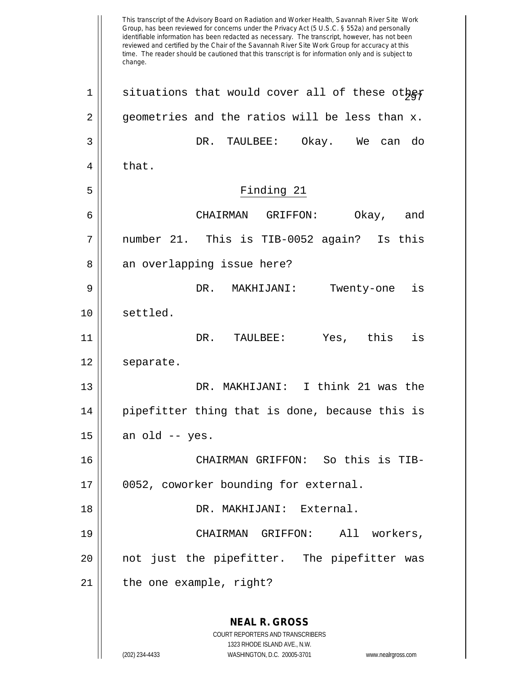This transcript of the Advisory Board on Radiation and Worker Health, Savannah River Site Work Group, has been reviewed for concerns under the Privacy Act (5 U.S.C. § 552a) and personally identifiable information has been redacted as necessary. The transcript, however, has not been reviewed and certified by the Chair of the Savannah River Site Work Group for accuracy at this time. The reader should be cautioned that this transcript is for information only and is subject to change. **NEAL R. GROSS** COURT REPORTERS AND TRANSCRIBERS 1323 RHODE ISLAND AVE., N.W. (202) 234-4433 WASHINGTON, D.C. 20005-3701 www.nealrgross.com  $1 \parallel$  situations that would cover all of these other  $2 \parallel$  qeometries and the ratios will be less than x. 3 DR. TAULBEE: Okay. We can do  $4 \parallel$  that. 5 Finding 21 6 CHAIRMAN GRIFFON: Okay, and  $7 \parallel$  number 21. This is TIB-0052 again? Is this 8 || an overlapping issue here? 9 DR. MAKHIJANI: Twenty-one is 10 | settled. 11 DR. TAULBEE: Yes, this is 12 | separate. 13 DR. MAKHIJANI: I think 21 was the 14 || pipefitter thing that is done, because this is  $15$  an old -- yes. 16 CHAIRMAN GRIFFON: So this is TIB-17 || 0052, coworker bounding for external. 18 DR. MAKHIJANI: External. 19 CHAIRMAN GRIFFON: All workers, 20 || not just the pipefitter. The pipefitter was  $21$  | the one example, right?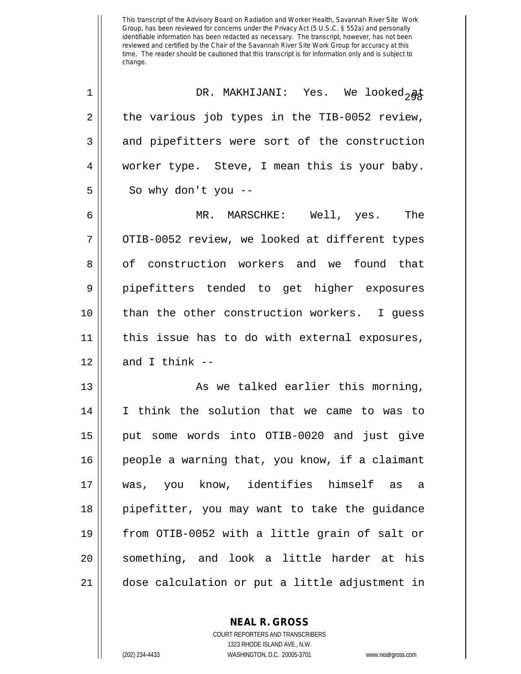This transcript of the Advisory Board on Radiation and Worker Health, Savannah River Site Work Group, has been reviewed for concerns under the Privacy Act (5 U.S.C. § 552a) and personally identifiable information has been redacted as necessary. The transcript, however, has not been reviewed and certified by the Chair of the Savannah River Site Work Group for accuracy at this time. The reader should be cautioned that this transcript is for information only and is subject to change. <sup>298</sup> 1 DR. MAKHIJANI: Yes. We looked at  $2 \parallel$  the various job types in the TIB-0052 review, 3 and pipefitters were sort of the construction 4 worker type. Steve, I mean this is your baby.  $5 \parallel$  So why don't you --6 MR. MARSCHKE: Well, yes. The 7 || OTIB-0052 review, we looked at different types 8 of construction workers and we found that 9 pipefitters tended to get higher exposures 10 || than the other construction workers. I guess 11 || this issue has to do with external exposures,  $12 \parallel$  and I think --13 || As we talked earlier this morning, 14 I think the solution that we came to was to 15 put some words into OTIB-0020 and just give 16 people a warning that, you know, if a claimant 17 was, you know, identifies himself as a 18 pipefitter, you may want to take the guidance 19 from OTIB-0052 with a little grain of salt or 20 || something, and look a little harder at his 21 dose calculation or put a little adjustment in

> **NEAL R. GROSS** COURT REPORTERS AND TRANSCRIBERS

> > 1323 RHODE ISLAND AVE., N.W.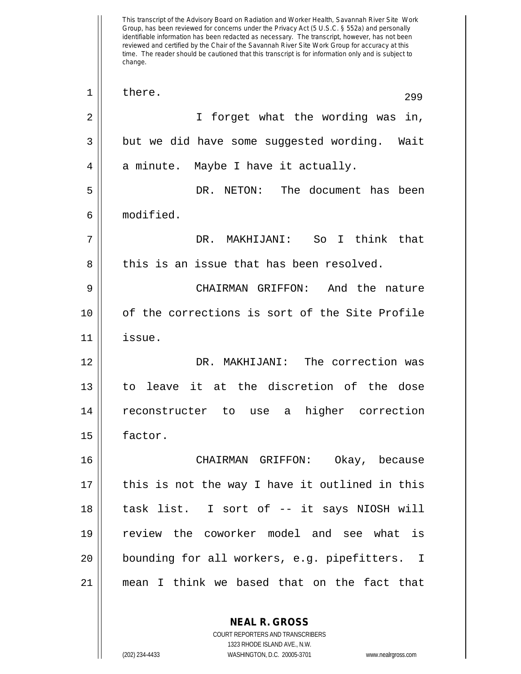This transcript of the Advisory Board on Radiation and Worker Health, Savannah River Site Work Group, has been reviewed for concerns under the Privacy Act (5 U.S.C. § 552a) and personally identifiable information has been redacted as necessary. The transcript, however, has not been reviewed and certified by the Chair of the Savannah River Site Work Group for accuracy at this time. The reader should be cautioned that this transcript is for information only and is subject to change.  $\begin{array}{ccc} 1 & \text{there.} \end{array}$ 2 || I forget what the wording was in, 3 but we did have some suggested wording. Wait  $4 \parallel$  a minute. Maybe I have it actually. 5 DR. NETON: The document has been 6 modified. 7 DR. MAKHIJANI: So I think that  $8 \parallel$  this is an issue that has been resolved. 9 CHAIRMAN GRIFFON: And the nature 10 || of the corrections is sort of the Site Profile 11 issue. 12 DR. MAKHIJANI: The correction was 13 to leave it at the discretion of the dose 14 reconstructer to use a higher correction 15 factor. 16 CHAIRMAN GRIFFON: Okay, because 17 || this is not the way I have it outlined in this 18 task list. I sort of -- it says NIOSH will 19 review the coworker model and see what is 20 || bounding for all workers, e.g. pipefitters. I 21 mean I think we based that on the fact that

> COURT REPORTERS AND TRANSCRIBERS 1323 RHODE ISLAND AVE., N.W. (202) 234-4433 WASHINGTON, D.C. 20005-3701 www.nealrgross.com

**NEAL R. GROSS**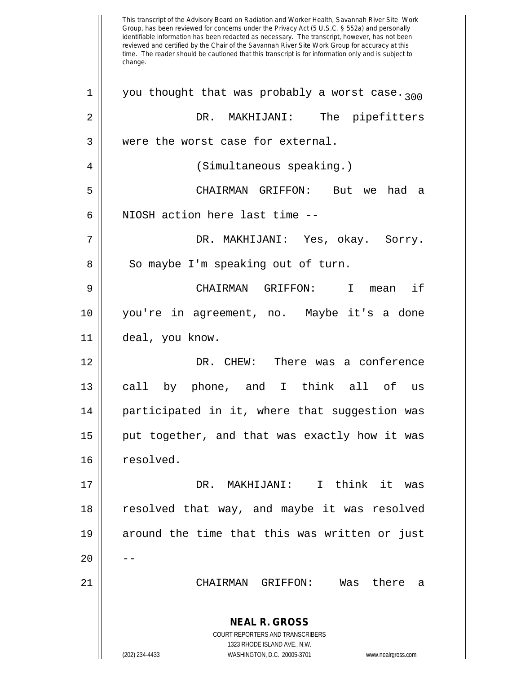This transcript of the Advisory Board on Radiation and Worker Health, Savannah River Site Work Group, has been reviewed for concerns under the Privacy Act (5 U.S.C. § 552a) and personally identifiable information has been redacted as necessary. The transcript, however, has not been reviewed and certified by the Chair of the Savannah River Site Work Group for accuracy at this time. The reader should be cautioned that this transcript is for information only and is subject to change. **NEAL R. GROSS** COURT REPORTERS AND TRANSCRIBERS 1323 RHODE ISLAND AVE., N.W. (202) 234-4433 WASHINGTON, D.C. 20005-3701 www.nealrgross.com 1 | you thought that was probably a worst case.  $\frac{1}{300}$ 2 DR. MAKHIJANI: The pipefitters 3 Were the worst case for external. 4 || (Simultaneous speaking.) 5 CHAIRMAN GRIFFON: But we had a  $6$  | NIOSH action here last time  $-$ -7 DR. MAKHIJANI: Yes, okay. Sorry. 8 || So maybe I'm speaking out of turn. 9 CHAIRMAN GRIFFON: I mean if 10 you're in agreement, no. Maybe it's a done 11 deal, you know. 12 DR. CHEW: There was a conference 13 || call by phone, and I think all of us 14 || participated in it, where that suggestion was 15 put together, and that was exactly how it was 16 | resolved. 17 DR. MAKHIJANI: I think it was 18 || resolved that way, and maybe it was resolved 19 around the time that this was written or just  $20$ 21 CHAIRMAN GRIFFON: Was there a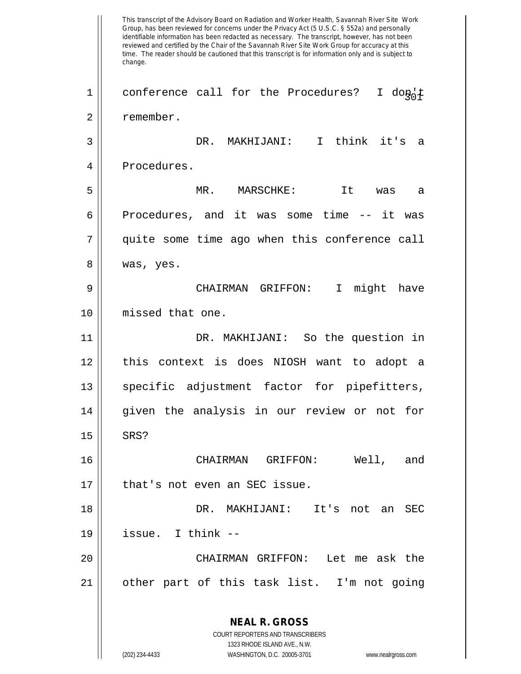This transcript of the Advisory Board on Radiation and Worker Health, Savannah River Site Work Group, has been reviewed for concerns under the Privacy Act (5 U.S.C. § 552a) and personally identifiable information has been redacted as necessary. The transcript, however, has not been reviewed and certified by the Chair of the Savannah River Site Work Group for accuracy at this time. The reader should be cautioned that this transcript is for information only and is subject to change. **NEAL R. GROSS** COURT REPORTERS AND TRANSCRIBERS 1323 RHODE ISLAND AVE., N.W. 1 || conference call for the Procedures? I do $\frac{1}{90}$ t 2 | remember. 3 DR. MAKHIJANI: I think it's a 4 || Procedures. 5 MR. MARSCHKE: It was a 6 Procedures, and it was some time -- it was 7 quite some time ago when this conference call 8 | was, yes. 9 CHAIRMAN GRIFFON: I might have 10 || missed that one. 11 DR. MAKHIJANI: So the question in 12 this context is does NIOSH want to adopt a 13 || specific adjustment factor for pipefitters, 14 given the analysis in our review or not for  $15 \parallel$  SRS? 16 CHAIRMAN GRIFFON: Well, and 17 || that's not even an SEC issue. 18 DR. MAKHIJANI: It's not an SEC  $19 \parallel$  issue. I think --20 CHAIRMAN GRIFFON: Let me ask the 21 other part of this task list. I'm not going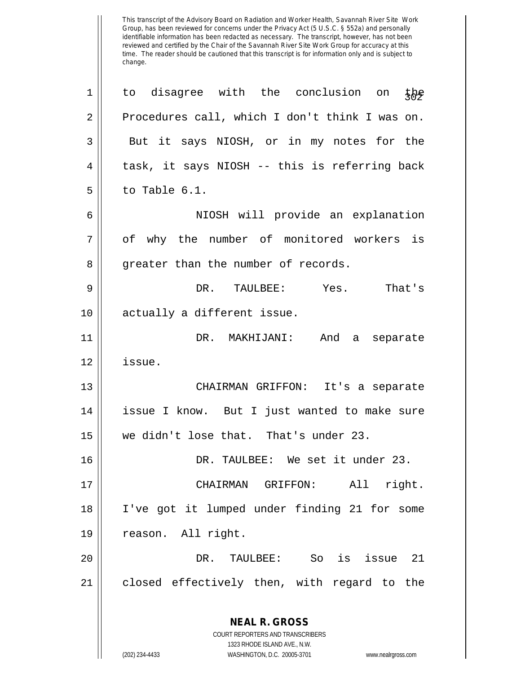This transcript of the Advisory Board on Radiation and Worker Health, Savannah River Site Work Group, has been reviewed for concerns under the Privacy Act (5 U.S.C. § 552a) and personally identifiable information has been redacted as necessary. The transcript, however, has not been reviewed and certified by the Chair of the Savannah River Site Work Group for accuracy at this time. The reader should be cautioned that this transcript is for information only and is subject to change. **NEAL R. GROSS** COURT REPORTERS AND TRANSCRIBERS 1323 RHODE ISLAND AVE., N.W.  $1 \parallel$  to disagree with the conclusion on  $\frac{1}{2}$  $2 \parallel$  Procedures call, which I don't think I was on. 3 || But it says NIOSH, or in my notes for the 4 || task, it says NIOSH -- this is referring back  $5 \parallel$  to Table  $6.1$ . 6 NIOSH will provide an explanation 7 || of why the number of monitored workers is 8 || greater than the number of records. 9 DR. TAULBEE: Yes. That's 10 || actually a different issue. 11 DR. MAKHIJANI: And a separate 12 issue. 13 CHAIRMAN GRIFFON: It's a separate 14 || issue I know. But I just wanted to make sure 15 we didn't lose that. That's under 23. 16 DR. TAULBEE: We set it under 23. 17 CHAIRMAN GRIFFON: All right. 18 I've got it lumped under finding 21 for some 19 reason. All right. 20 DR. TAULBEE: So is issue 21 21 || closed effectively then, with regard to the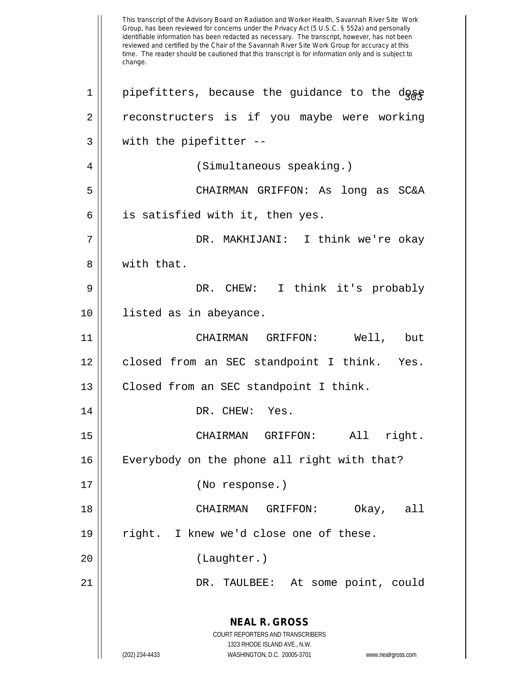This transcript of the Advisory Board on Radiation and Worker Health, Savannah River Site Work Group, has been reviewed for concerns under the Privacy Act (5 U.S.C. § 552a) and personally identifiable information has been redacted as necessary. The transcript, however, has not been reviewed and certified by the Chair of the Savannah River Site Work Group for accuracy at this time. The reader should be cautioned that this transcript is for information only and is subject to change. **NEAL R. GROSS** COURT REPORTERS AND TRANSCRIBERS 1323 RHODE ISLAND AVE., N.W. (202) 234-4433 WASHINGTON, D.C. 20005-3701 www.nealrgross.com 1 | pipefitters, because the guidance to the dose 2 || reconstructers is if you maybe were working  $3$  | with the pipefitter  $-$ 4 || (Simultaneous speaking.) 5 CHAIRMAN GRIFFON: As long as SC&A  $6 \parallel$  is satisfied with it, then yes. 7 DR. MAKHIJANI: I think we're okay 8 || with that. 9 DR. CHEW: I think it's probably 10 || listed as in abeyance. 11 CHAIRMAN GRIFFON: Well, but 12 || closed from an SEC standpoint I think. Yes. 13 || Closed from an SEC standpoint I think. 14 || DR. CHEW: Yes. 15 CHAIRMAN GRIFFON: All right. 16 | Everybody on the phone all right with that? 17 (No response.) 18 CHAIRMAN GRIFFON: Okay, all 19 right. I knew we'd close one of these. 20 (Laughter.) 21 DR. TAULBEE: At some point, could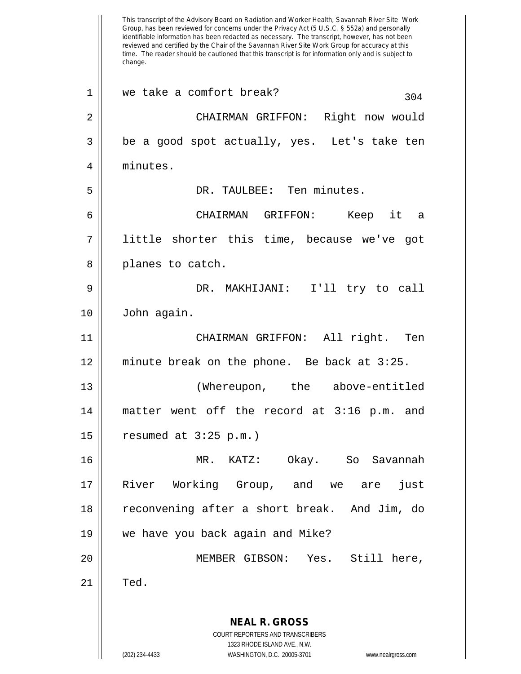This transcript of the Advisory Board on Radiation and Worker Health, Savannah River Site Work Group, has been reviewed for concerns under the Privacy Act (5 U.S.C. § 552a) and personally identifiable information has been redacted as necessary. The transcript, however, has not been reviewed and certified by the Chair of the Savannah River Site Work Group for accuracy at this time. The reader should be cautioned that this transcript is for information only and is subject to change. **NEAL R. GROSS** COURT REPORTERS AND TRANSCRIBERS 1323 RHODE ISLAND AVE., N.W. (202) 234-4433 WASHINGTON, D.C. 20005-3701 www.nealrgross.com  $1 \parallel$  we take a comfort break?  $304$ 2 CHAIRMAN GRIFFON: Right now would  $3 \parallel$  be a good spot actually, yes. Let's take ten 4 minutes. 5 DR. TAULBEE: Ten minutes. 6 CHAIRMAN GRIFFON: Keep it a 7 little shorter this time, because we've got 8 || planes to catch. 9 DR. MAKHIJANI: I'll try to call 10 John again. 11 CHAIRMAN GRIFFON: All right. Ten 12 minute break on the phone. Be back at 3:25. 13 (Whereupon, the above-entitled 14 matter went off the record at 3:16 p.m. and  $15$  | resumed at  $3:25$  p.m.) 16 MR. KATZ: Okay. So Savannah 17 River Working Group, and we are just 18 reconvening after a short break. And Jim, do 19 we have you back again and Mike? 20 MEMBER GIBSON: Yes. Still here,  $21$   $\parallel$  Ted.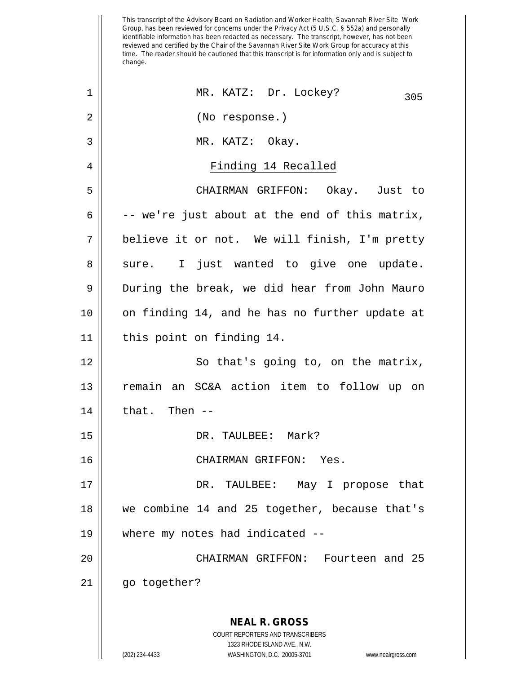This transcript of the Advisory Board on Radiation and Worker Health, Savannah River Site Work Group, has been reviewed for concerns under the Privacy Act (5 U.S.C. § 552a) and personally identifiable information has been redacted as necessary. The transcript, however, has not been reviewed and certified by the Chair of the Savannah River Site Work Group for accuracy at this time. The reader should be cautioned that this transcript is for information only and is subject to change. **NEAL R. GROSS** COURT REPORTERS AND TRANSCRIBERS 1323 RHODE ISLAND AVE., N.W. (202) 234-4433 WASHINGTON, D.C. 20005-3701 www.nealrgross.com  $1 \parallel$  MR. KATZ: Dr. Lockey?  $305$ 2 (No response.) 3 || MR. KATZ: Okay. 4 Finding 14 Recalled 5 CHAIRMAN GRIFFON: Okay. Just to 6  $\vert$  -- we're just about at the end of this matrix, 7 believe it or not. We will finish, I'm pretty 8 sure. I just wanted to give one update. 9 During the break, we did hear from John Mauro 10 || on finding 14, and he has no further update at 11 | this point on finding 14. 12 || So that's going to, on the matrix, 13 remain an SC&A action item to follow up on  $14$  | that. Then  $-$ 15 DR. TAULBEE: Mark? 16 CHAIRMAN GRIFFON: Yes. 17 DR. TAULBEE: May I propose that 18 we combine 14 and 25 together, because that's 19 where my notes had indicated -- 20 CHAIRMAN GRIFFON: Fourteen and 25 21 | go together?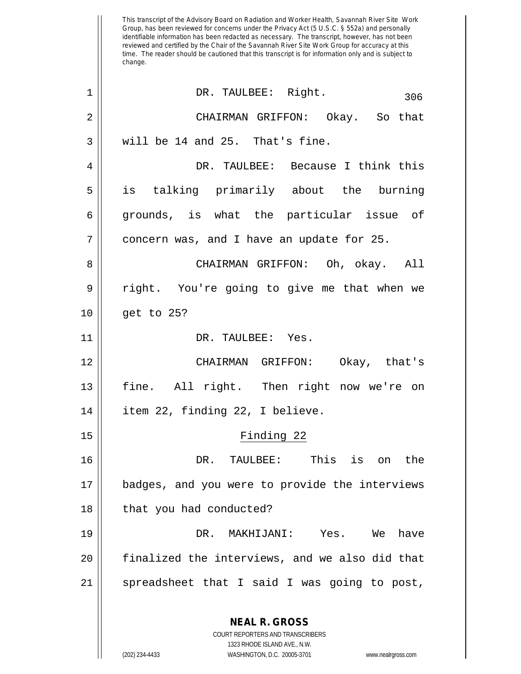This transcript of the Advisory Board on Radiation and Worker Health, Savannah River Site Work Group, has been reviewed for concerns under the Privacy Act (5 U.S.C. § 552a) and personally identifiable information has been redacted as necessary. The transcript, however, has not been reviewed and certified by the Chair of the Savannah River Site Work Group for accuracy at this time. The reader should be cautioned that this transcript is for information only and is subject to change. **NEAL R. GROSS** 1 || DR. TAULBEE: Right. 306 2 CHAIRMAN GRIFFON: Okay. So that  $3 \parallel$  will be 14 and 25. That's fine. 4 DR. TAULBEE: Because I think this 5 is talking primarily about the burning 6 grounds, is what the particular issue of 7 || concern was, and I have an update for 25. 8 CHAIRMAN GRIFFON: Oh, okay. All 9 || right. You're going to give me that when we 10 get to 25? 11 DR. TAULBEE: Yes. 12 CHAIRMAN GRIFFON: Okay, that's 13 fine. All right. Then right now we're on 14 || item 22, finding 22, I believe. 15 Finding 22 16 DR. TAULBEE: This is on the 17 badges, and you were to provide the interviews 18 || that you had conducted? 19 DR. MAKHIJANI: Yes. We have 20 finalized the interviews, and we also did that  $21$  spreadsheet that I said I was going to post,

COURT REPORTERS AND TRANSCRIBERS 1323 RHODE ISLAND AVE., N.W. (202) 234-4433 WASHINGTON, D.C. 20005-3701 www.nealrgross.com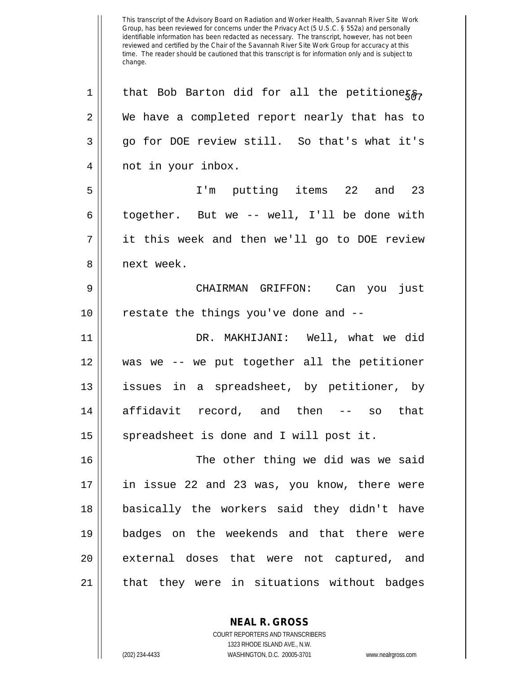This transcript of the Advisory Board on Radiation and Worker Health, Savannah River Site Work Group, has been reviewed for concerns under the Privacy Act (5 U.S.C. § 552a) and personally identifiable information has been redacted as necessary. The transcript, however, has not been reviewed and certified by the Chair of the Savannah River Site Work Group for accuracy at this time. The reader should be cautioned that this transcript is for information only and is subject to change. 1 | that Bob Barton did for all the petitioners,  $2 \parallel$  We have a completed report nearly that has to 3 || go for DOE review still. So that's what it's 4 || not in your inbox. 5 I'm putting items 22 and 23 6 | together. But we -- well, I'll be done with 7 it this week and then we'll go to DOE review 8 || next week. 9 CHAIRMAN GRIFFON: Can you just  $10$  || restate the things you've done and  $-$ 11 DR. MAKHIJANI: Well, what we did 12 was we -- we put together all the petitioner 13 issues in a spreadsheet, by petitioner, by 14 affidavit record, and then -- so that 15 || spreadsheet is done and I will post it. 16 The other thing we did was we said 17 in issue 22 and 23 was, you know, there were 18 basically the workers said they didn't have 19 badges on the weekends and that there were 20 || external doses that were not captured, and 21 || that they were in situations without badges

> **NEAL R. GROSS** COURT REPORTERS AND TRANSCRIBERS

> > 1323 RHODE ISLAND AVE., N.W.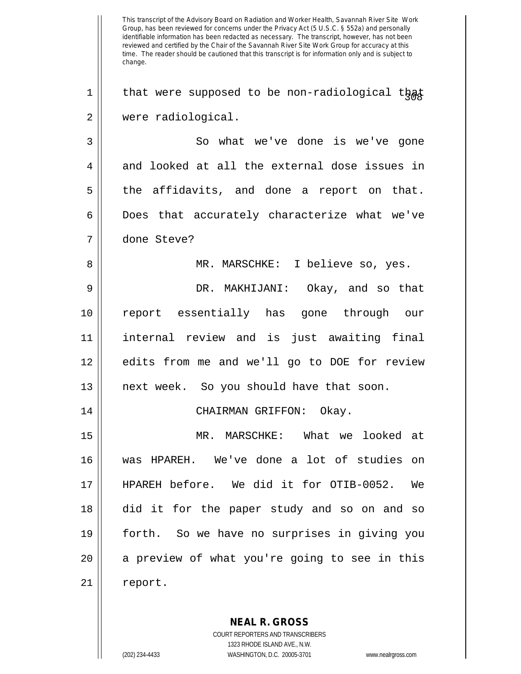This transcript of the Advisory Board on Radiation and Worker Health, Savannah River Site Work Group, has been reviewed for concerns under the Privacy Act (5 U.S.C. § 552a) and personally identifiable information has been redacted as necessary. The transcript, however, has not been reviewed and certified by the Chair of the Savannah River Site Work Group for accuracy at this time. The reader should be cautioned that this transcript is for information only and is subject to change. 1 | that were supposed to be non-radiological that 2 were radiological. 3 So what we've done is we've gone 4 and looked at all the external dose issues in  $5$  the affidavits, and done a report on that. 6 Does that accurately characterize what we've 7 done Steve? 8 MR. MARSCHKE: I believe so, yes. 9 DR. MAKHIJANI: Okay, and so that 10 report essentially has gone through our 11 internal review and is just awaiting final 12 edits from me and we'll go to DOE for review 13 || next week. So you should have that soon. 14 CHAIRMAN GRIFFON: Okay. 15 MR. MARSCHKE: What we looked at 16 was HPAREH. We've done a lot of studies on 17 HPAREH before. We did it for OTIB-0052. We 18 did it for the paper study and so on and so 19 forth. So we have no surprises in giving you 20 || a preview of what you're going to see in this 21 | report.

> COURT REPORTERS AND TRANSCRIBERS 1323 RHODE ISLAND AVE., N.W. (202) 234-4433 WASHINGTON, D.C. 20005-3701 www.nealrgross.com

**NEAL R. GROSS**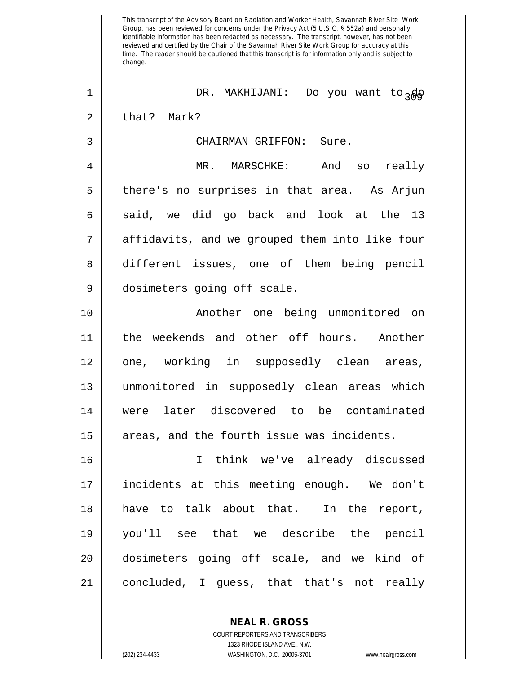This transcript of the Advisory Board on Radiation and Worker Health, Savannah River Site Work Group, has been reviewed for concerns under the Privacy Act (5 U.S.C. § 552a) and personally identifiable information has been redacted as necessary. The transcript, however, has not been reviewed and certified by the Chair of the Savannah River Site Work Group for accuracy at this time. The reader should be cautioned that this transcript is for information only and is subject to change. 1 || DR. MAKHIJANI: Do you want to  $_{3}$ do  $2 \parallel$  that? Mark? 3 CHAIRMAN GRIFFON: Sure. 4 MR. MARSCHKE: And so really 5 there's no surprises in that area. As Arjun  $6 \parallel$  said, we did go back and look at the 13  $7 \parallel$  affidavits, and we grouped them into like four 8 different issues, one of them being pencil 9 dosimeters going off scale. 10 || The Christopher one being unmonitored on 11 the weekends and other off hours. Another 12 one, working in supposedly clean areas, 13 unmonitored in supposedly clean areas which 14 were later discovered to be contaminated 15 || areas, and the fourth issue was incidents. 16 I think we've already discussed 17 incidents at this meeting enough. We don't 18 have to talk about that. In the report, 19 you'll see that we describe the pencil 20 dosimeters going off scale, and we kind of 21 concluded, I guess, that that's not really

> **NEAL R. GROSS** COURT REPORTERS AND TRANSCRIBERS 1323 RHODE ISLAND AVE., N.W.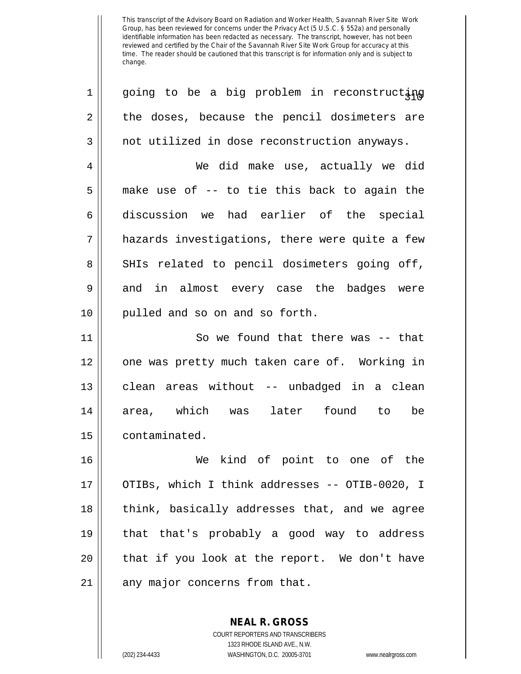This transcript of the Advisory Board on Radiation and Worker Health, Savannah River Site Work Group, has been reviewed for concerns under the Privacy Act (5 U.S.C. § 552a) and personally identifiable information has been redacted as necessary. The transcript, however, has not been reviewed and certified by the Chair of the Savannah River Site Work Group for accuracy at this time. The reader should be cautioned that this transcript is for information only and is subject to change.

| 1              | going to be a big problem in reconstructing    |
|----------------|------------------------------------------------|
| $\overline{2}$ | the doses, because the pencil dosimeters are   |
| 3              | not utilized in dose reconstruction anyways.   |
| 4              | We did make use, actually we did               |
| 5              | make use of -- to tie this back to again the   |
| 6              | discussion we had earlier of the special       |
| 7              | hazards investigations, there were quite a few |
| 8              | SHIs related to pencil dosimeters going off,   |
| 9              | and in almost every case the badges were       |
| 10             | pulled and so on and so forth.                 |
| 11             | So we found that there was -- that             |
| 12             | one was pretty much taken care of. Working in  |
| 13             | clean areas without -- unbadged in a clean     |
| 14             | area, which was later found to<br>be           |
| 15             | contaminated.                                  |
| 16             | kind of point to one of the<br>We              |
| 17             | OTIBs, which I think addresses -- OTIB-0020, I |
| 18             | think, basically addresses that, and we agree  |
| 19             | that that's probably a good way to address     |
| 20             | that if you look at the report. We don't have  |
| 21             | any major concerns from that.                  |

**NEAL R. GROSS** COURT REPORTERS AND TRANSCRIBERS 1323 RHODE ISLAND AVE., N.W. (202) 234-4433 WASHINGTON, D.C. 20005-3701 www.nealrgross.com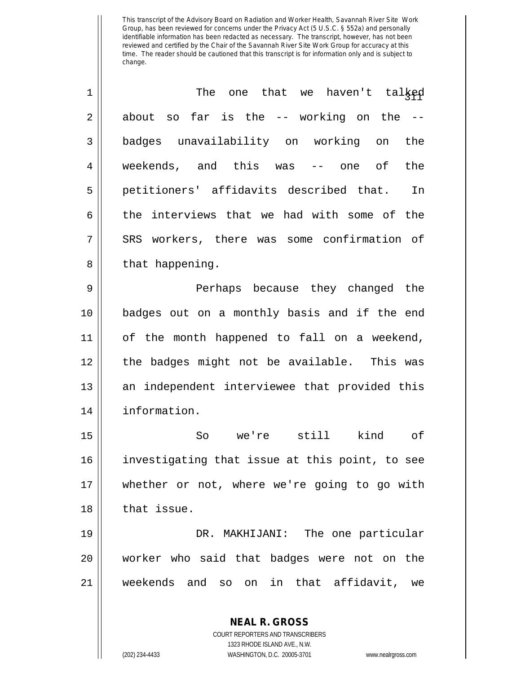This transcript of the Advisory Board on Radiation and Worker Health, Savannah River Site Work Group, has been reviewed for concerns under the Privacy Act (5 U.S.C. § 552a) and personally identifiable information has been redacted as necessary. The transcript, however, has not been reviewed and certified by the Chair of the Savannah River Site Work Group for accuracy at this time. The reader should be cautioned that this transcript is for information only and is subject to change.

| The one that we haven't talked                 |
|------------------------------------------------|
| about so far is the -- working on the --       |
| badges unavailability on working on the        |
| weekends, and this was<br>-- one of<br>the     |
| petitioners' affidavits described that.<br>In  |
| the interviews that we had with some of the    |
| SRS workers, there was some confirmation of    |
| that happening.                                |
| Perhaps because they changed the               |
| badges out on a monthly basis and if the end   |
| of the month happened to fall on a weekend,    |
| the badges might not be available. This was    |
| an independent interviewee that provided this  |
| information.                                   |
| we're still kind<br>оf<br>So                   |
| investigating that issue at this point, to see |
| whether or not, where we're going to go with   |
| that issue.                                    |
| DR. MAKHIJANI: The one particular              |
| worker who said that badges were not on the    |
| weekends and so on in that affidavit,<br>we    |
| <b>NEAL R. GROSS</b>                           |
|                                                |

COURT REPORTERS AND TRANSCRIBERS 1323 RHODE ISLAND AVE., N.W. (202) 234-4433 WASHINGTON, D.C. 20005-3701 www.nealrgross.com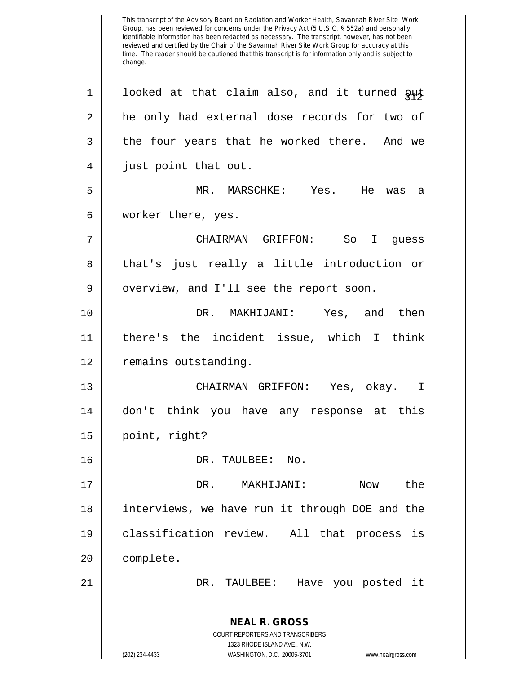This transcript of the Advisory Board on Radiation and Worker Health, Savannah River Site Work Group, has been reviewed for concerns under the Privacy Act (5 U.S.C. § 552a) and personally identifiable information has been redacted as necessary. The transcript, however, has not been reviewed and certified by the Chair of the Savannah River Site Work Group for accuracy at this time. The reader should be cautioned that this transcript is for information only and is subject to change. **NEAL R. GROSS** COURT REPORTERS AND TRANSCRIBERS 1323 RHODE ISLAND AVE., N.W. 1 ||  $1$ looked at that claim also, and it turned  $\varphi\mu\zeta$ 2 || he only had external dose records for two of 3 || the four years that he worked there. And we 4 || just point that out. 5 MR. MARSCHKE: Yes. He was a 6 worker there, yes. 7 CHAIRMAN GRIFFON: So I guess 8 || that's just really a little introduction or 9 | | overview, and I'll see the report soon. 10 DR. MAKHIJANI: Yes, and then 11 there's the incident issue, which I think 12 | remains outstanding. 13 CHAIRMAN GRIFFON: Yes, okay. I 14 don't think you have any response at this 15 | point, right? 16 DR. TAULBEE: No. 17 DR. MAKHIJANI: Now the 18 interviews, we have run it through DOE and the 19 classification review. All that process is 20 | complete. 21 DR. TAULBEE: Have you posted it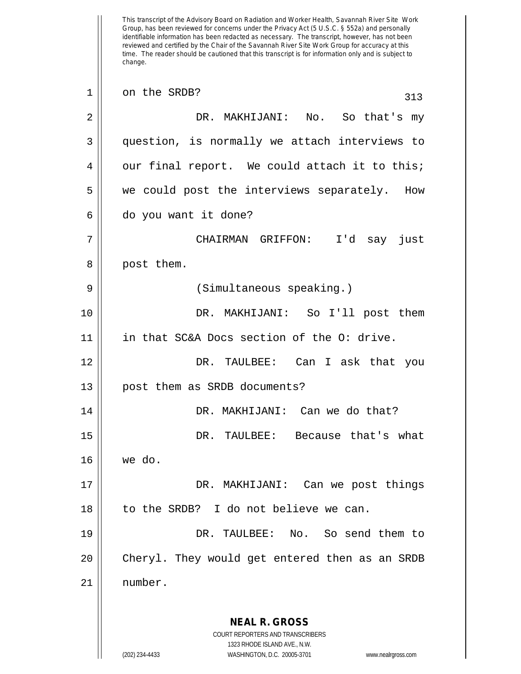This transcript of the Advisory Board on Radiation and Worker Health, Savannah River Site Work Group, has been reviewed for concerns under the Privacy Act (5 U.S.C. § 552a) and personally identifiable information has been redacted as necessary. The transcript, however, has not been reviewed and certified by the Chair of the Savannah River Site Work Group for accuracy at this time. The reader should be cautioned that this transcript is for information only and is subject to change. **NEAL R. GROSS** COURT REPORTERS AND TRANSCRIBERS 1323 RHODE ISLAND AVE., N.W. (202) 234-4433 WASHINGTON, D.C. 20005-3701 www.nealrgross.com  $1 \parallel$  on the SRDB?  $313$ 2 DR. MAKHIJANI: No. So that's my 3 question, is normally we attach interviews to  $4 \parallel$  our final report. We could attach it to this; 5 we could post the interviews separately. How 6 | do you want it done? 7 CHAIRMAN GRIFFON: I'd say just 8 || post them. 9 (Simultaneous speaking.) 10 DR. MAKHIJANI: So I'll post them 11 || in that SC&A Docs section of the O: drive. 12 DR. TAULBEE: Can I ask that you 13 post them as SRDB documents? 14 DR. MAKHIJANI: Can we do that? 15 DR. TAULBEE: Because that's what  $16 \parallel$  we do. 17 DR. MAKHIJANI: Can we post things 18 || to the SRDB? I do not believe we can. 19 DR. TAULBEE: No. So send them to 20 || Cheryl. They would get entered then as an SRDB 21 number.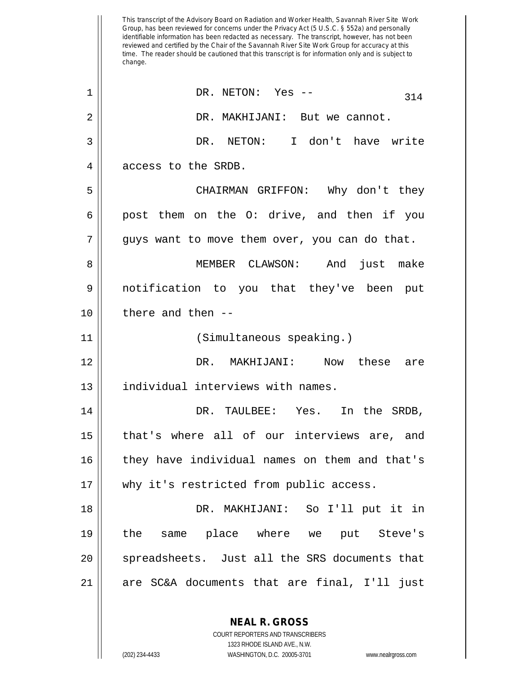This transcript of the Advisory Board on Radiation and Worker Health, Savannah River Site Work Group, has been reviewed for concerns under the Privacy Act (5 U.S.C. § 552a) and personally identifiable information has been redacted as necessary. The transcript, however, has not been reviewed and certified by the Chair of the Savannah River Site Work Group for accuracy at this time. The reader should be cautioned that this transcript is for information only and is subject to change. <sup>314</sup> 1 DR. NETON: Yes -- 2 | R. MAKHIJANI: But we cannot. 3 DR. NETON: I don't have write 4 || access to the SRDB. 5 CHAIRMAN GRIFFON: Why don't they  $6 \parallel$  post them on the O: drive, and then if you  $7 \parallel$  guys want to move them over, you can do that. 8 MEMBER CLAWSON: And just make 9 notification to you that they've been put  $10$  | there and then --11 || (Simultaneous speaking.) 12 DR. MAKHIJANI: Now these are 13 | individual interviews with names. 14 DR. TAULBEE: Yes. In the SRDB, 15 that's where all of our interviews are, and 16 they have individual names on them and that's 17 || why it's restricted from public access. 18 DR. MAKHIJANI: So I'll put it in 19 the same place where we put Steve's 20 || spreadsheets. Just all the SRS documents that  $21$  are SC&A documents that are final, I'll just

> **NEAL R. GROSS** COURT REPORTERS AND TRANSCRIBERS

1323 RHODE ISLAND AVE., N.W. (202) 234-4433 WASHINGTON, D.C. 20005-3701 www.nealrgross.com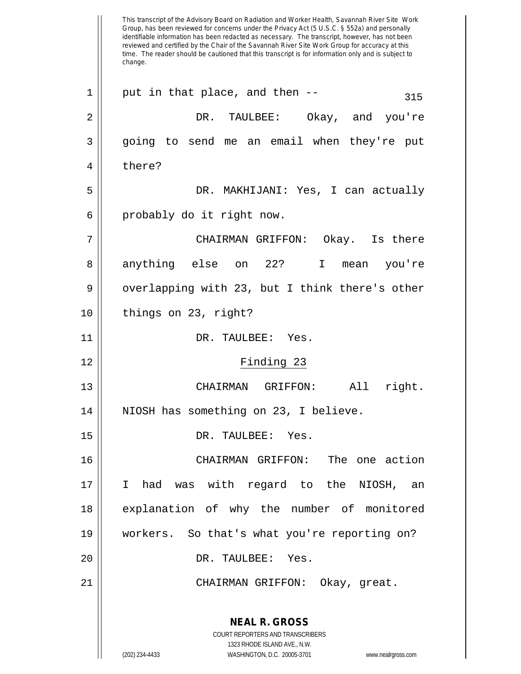This transcript of the Advisory Board on Radiation and Worker Health, Savannah River Site Work Group, has been reviewed for concerns under the Privacy Act (5 U.S.C. § 552a) and personally identifiable information has been redacted as necessary. The transcript, however, has not been reviewed and certified by the Chair of the Savannah River Site Work Group for accuracy at this time. The reader should be cautioned that this transcript is for information only and is subject to change. **NEAL R. GROSS** COURT REPORTERS AND TRANSCRIBERS 1323 RHODE ISLAND AVE., N.W. (202) 234-4433 WASHINGTON, D.C. 20005-3701 www.nealrgross.com  $1 \parallel$  put in that place, and then --  $\frac{315}{2}$ 2 DR. TAULBEE: Okay, and you're 3 going to send me an email when they're put 4 | there? 5 DR. MAKHIJANI: Yes, I can actually  $6 \parallel$  probably do it right now. 7 CHAIRMAN GRIFFON: Okay. Is there 8 anything else on 22? I mean you're 9 || overlapping with 23, but I think there's other 10 | things on 23, right? 11 DR. TAULBEE: Yes. 12 Finding 23 13 CHAIRMAN GRIFFON: All right. 14 || NIOSH has something on 23, I believe. 15 DR. TAULBEE: Yes. 16 CHAIRMAN GRIFFON: The one action 17 I had was with regard to the NIOSH, an 18 explanation of why the number of monitored 19 workers. So that's what you're reporting on? 20 DR. TAULBEE: Yes. 21 CHAIRMAN GRIFFON: Okay, great.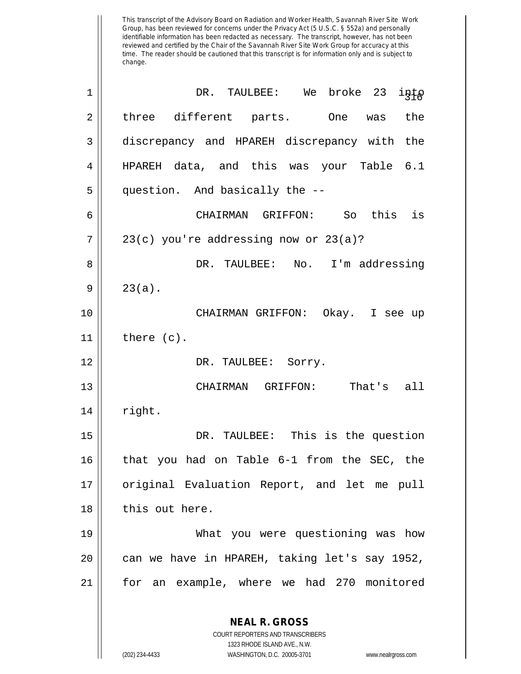This transcript of the Advisory Board on Radiation and Worker Health, Savannah River Site Work Group, has been reviewed for concerns under the Privacy Act (5 U.S.C. § 552a) and personally identifiable information has been redacted as necessary. The transcript, however, has not been reviewed and certified by the Chair of the Savannah River Site Work Group for accuracy at this time. The reader should be cautioned that this transcript is for information only and is subject to change. **NEAL R. GROSS** COURT REPORTERS AND TRANSCRIBERS 1323 RHODE ISLAND AVE., N.W. 1 DR. TAULBEE: We broke 23 i<del>g</del>t power 2 three different parts. One was the 3 discrepancy and HPAREH discrepancy with the 4 HPAREH data, and this was your Table 6.1 5 || question. And basically the --6 CHAIRMAN GRIFFON: So this is  $7 \parallel 23(c)$  you're addressing now or 23(a)? 8 DR. TAULBEE: No. I'm addressing  $9 \parallel 23(a)$ . 10 CHAIRMAN GRIFFON: Okay. I see up  $11$  | there  $(c)$ . 12 || DR. TAULBEE: Sorry. 13 CHAIRMAN GRIFFON: That's all  $14$  | right. 15 || DR. TAULBEE: This is the question 16 that you had on Table 6-1 from the SEC, the 17 original Evaluation Report, and let me pull 18 || this out here. 19 What you were questioning was how  $20$  | can we have in HPAREH, taking let's say 1952, 21 || for an example, where we had 270 monitored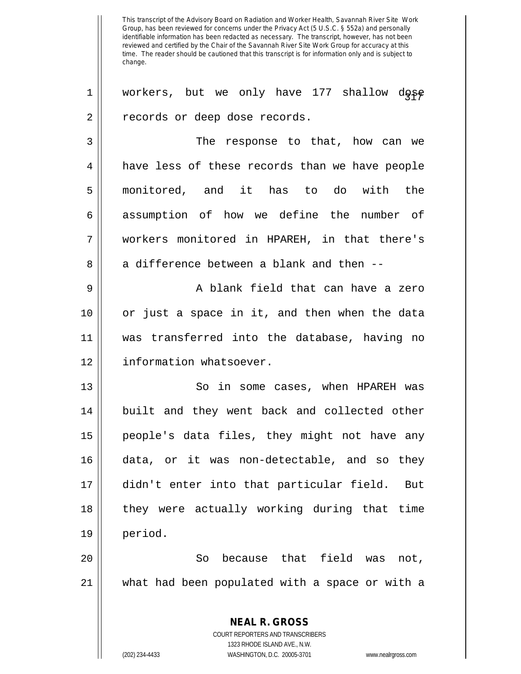This transcript of the Advisory Board on Radiation and Worker Health, Savannah River Site Work Group, has been reviewed for concerns under the Privacy Act (5 U.S.C. § 552a) and personally identifiable information has been redacted as necessary. The transcript, however, has not been reviewed and certified by the Chair of the Savannah River Site Work Group for accuracy at this time. The reader should be cautioned that this transcript is for information only and is subject to change. **NEAL R. GROSS** COURT REPORTERS AND TRANSCRIBERS 1323 RHODE ISLAND AVE., N.W. 1 || workers, but we only have 177 shallow dose 2 || records or deep dose records. 3 The response to that, how can we 4 || have less of these records than we have people 5 monitored, and it has to do with the 6 || assumption of how we define the number of 7 workers monitored in HPAREH, in that there's  $8 \parallel$  a difference between a blank and then --9 A blank field that can have a zero 10 || or just a space in it, and then when the data 11 was transferred into the database, having no 12 | information whatsoever. 13 || So in some cases, when HPAREH was 14 || built and they went back and collected other 15 people's data files, they might not have any 16 data, or it was non-detectable, and so they 17 didn't enter into that particular field. But 18 || they were actually working during that time 19 period. 20 || So because that field was not, 21 what had been populated with a space or with a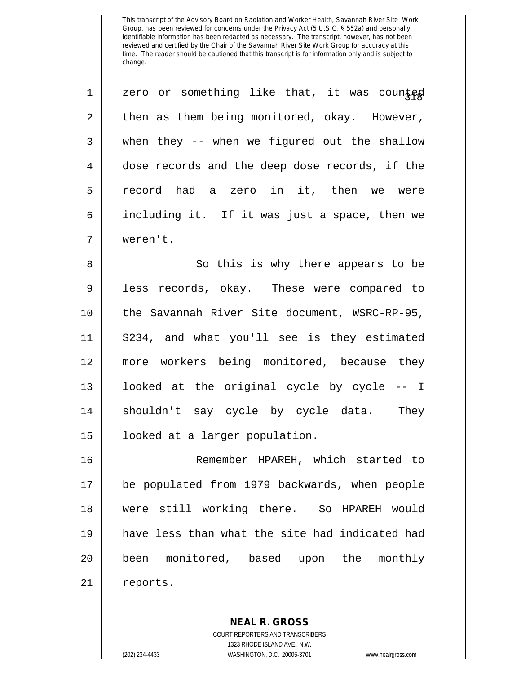This transcript of the Advisory Board on Radiation and Worker Health, Savannah River Site Work Group, has been reviewed for concerns under the Privacy Act (5 U.S.C. § 552a) and personally identifiable information has been redacted as necessary. The transcript, however, has not been reviewed and certified by the Chair of the Savannah River Site Work Group for accuracy at this time. The reader should be cautioned that this transcript is for information only and is subject to change.

| $\mathbf{1}$   | zero or something like that, it was counted    |
|----------------|------------------------------------------------|
| $\overline{2}$ | then as them being monitored, okay. However,   |
| 3              | when they -- when we figured out the shallow   |
| $\overline{4}$ | dose records and the deep dose records, if the |
| 5              | record had a zero in it, then we were          |
| б.             | including it. If it was just a space, then we  |
| 7              | weren't.                                       |

8 || So this is why there appears to be 9 || less records, okay. These were compared to 10 || the Savannah River Site document, WSRC-RP-95, 11 S234, and what you'll see is they estimated 12 || more workers being monitored, because they 13 looked at the original cycle by cycle -- I 14 shouldn't say cycle by cycle data. They 15 looked at a larger population.

16 Remember HPAREH, which started to 17 be populated from 1979 backwards, when people 18 were still working there. So HPAREH would 19 have less than what the site had indicated had 20 been monitored, based upon the monthly 21 | reports.

> COURT REPORTERS AND TRANSCRIBERS 1323 RHODE ISLAND AVE., N.W. (202) 234-4433 WASHINGTON, D.C. 20005-3701 www.nealrgross.com

**NEAL R. GROSS**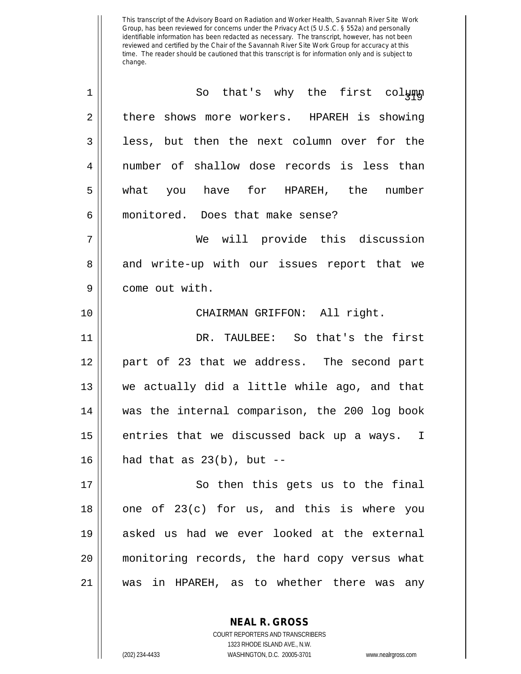This transcript of the Advisory Board on Radiation and Worker Health, Savannah River Site Work Group, has been reviewed for concerns under the Privacy Act (5 U.S.C. § 552a) and personally identifiable information has been redacted as necessary. The transcript, however, has not been reviewed and certified by the Chair of the Savannah River Site Work Group for accuracy at this time. The reader should be cautioned that this transcript is for information only and is subject to change.

| $\mathbf 1$ | So that's why the first column                |
|-------------|-----------------------------------------------|
| 2           | there shows more workers. HPAREH is showing   |
| 3           | less, but then the next column over for the   |
| 4           | number of shallow dose records is less than   |
| 5           | what you have for HPAREH, the number          |
| 6           | monitored. Does that make sense?              |
| 7           | We will provide this discussion               |
| 8           | and write-up with our issues report that we   |
| 9           | come out with.                                |
| 10          | CHAIRMAN GRIFFON: All right.                  |
| 11          | DR. TAULBEE: So that's the first              |
| 12          | part of 23 that we address. The second part   |
| 13          | we actually did a little while ago, and that  |
| 14          | was the internal comparison, the 200 log book |
| 15          | entries that we discussed back up a ways. I   |
| 16          | had that as $23(b)$ , but --                  |
| 17          | So then this gets us to the final             |
| 18          | one of 23(c) for us, and this is where you    |
| 19          | asked us had we ever looked at the external   |
| 20          | monitoring records, the hard copy versus what |
| 21          | was in HPAREH, as to whether there was any    |

**NEAL R. GROSS** COURT REPORTERS AND TRANSCRIBERS 1323 RHODE ISLAND AVE., N.W. (202) 234-4433 WASHINGTON, D.C. 20005-3701 www.nealrgross.com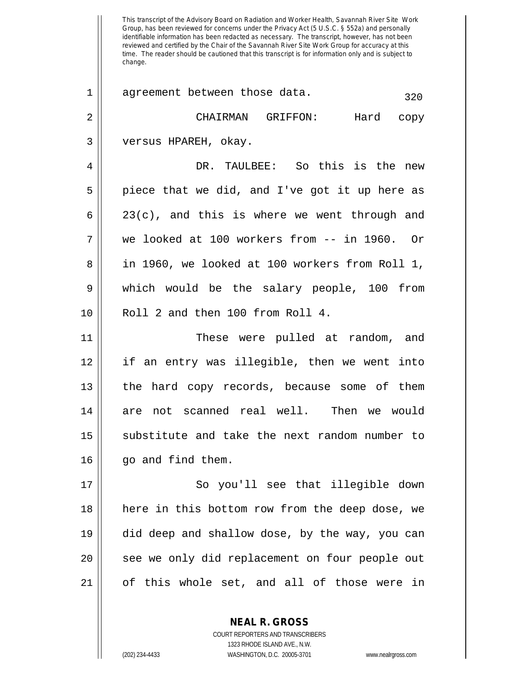This transcript of the Advisory Board on Radiation and Worker Health, Savannah River Site Work Group, has been reviewed for concerns under the Privacy Act (5 U.S.C. § 552a) and personally identifiable information has been redacted as necessary. The transcript, however, has not been reviewed and certified by the Chair of the Savannah River Site Work Group for accuracy at this time. The reader should be cautioned that this transcript is for information only and is subject to change.  $1 \parallel$  agreement between those data.  $320$ 2 CHAIRMAN GRIFFON: Hard copy 3 versus HPAREH, okay. 4 DR. TAULBEE: So this is the new  $5 \parallel$  piece that we did, and I've got it up here as 6  $\vert$  23(c), and this is where we went through and 7 we looked at 100 workers from -- in 1960. Or 8 || in 1960, we looked at 100 workers from Roll 1, 9 which would be the salary people, 100 from 10 || Roll 2 and then 100 from Roll 4. 11 These were pulled at random, and 12 if an entry was illegible, then we went into 13 || the hard copy records, because some of them 14 are not scanned real well. Then we would 15 || substitute and take the next random number to  $16$  || qo and find them. 17 || So you'll see that illegible down 18 here in this bottom row from the deep dose, we 19 did deep and shallow dose, by the way, you can 20 || see we only did replacement on four people out 21 of this whole set, and all of those were in

> COURT REPORTERS AND TRANSCRIBERS 1323 RHODE ISLAND AVE., N.W. (202) 234-4433 WASHINGTON, D.C. 20005-3701 www.nealrgross.com

**NEAL R. GROSS**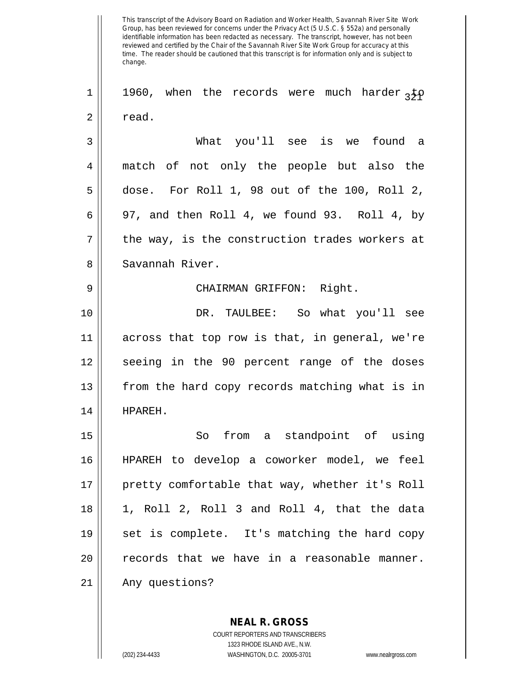This transcript of the Advisory Board on Radiation and Worker Health, Savannah River Site Work Group, has been reviewed for concerns under the Privacy Act (5 U.S.C. § 552a) and personally identifiable information has been redacted as necessary. The transcript, however, has not been reviewed and certified by the Chair of the Savannah River Site Work Group for accuracy at this time. The reader should be cautioned that this transcript is for information only and is subject to change. **NEAL R. GROSS** COURT REPORTERS AND TRANSCRIBERS 1 || 1960, when the records were much harder  $_35\rho$  $2 \parallel$  read. 3 What you'll see is we found a 4 match of not only the people but also the  $5 \parallel$  dose. For Roll 1, 98 out of the 100, Roll 2, 6 | 97, and then Roll 4, we found 93. Roll 4, by  $7 \parallel$  the way, is the construction trades workers at 8 Savannah River. 9 CHAIRMAN GRIFFON: Right. 10 DR. TAULBEE: So what you'll see  $11$  across that top row is that, in general, we're 12 || seeing in the 90 percent range of the doses 13 || from the hard copy records matching what is in 14 | HPAREH. 15 So from a standpoint of using 16 HPAREH to develop a coworker model, we feel 17 || pretty comfortable that way, whether it's Roll  $18 \parallel 1$ , Roll 2, Roll 3 and Roll 4, that the data 19 set is complete. It's matching the hard copy  $20$   $\parallel$  records that we have in a reasonable manner. 21 || Any questions?

1323 RHODE ISLAND AVE., N.W.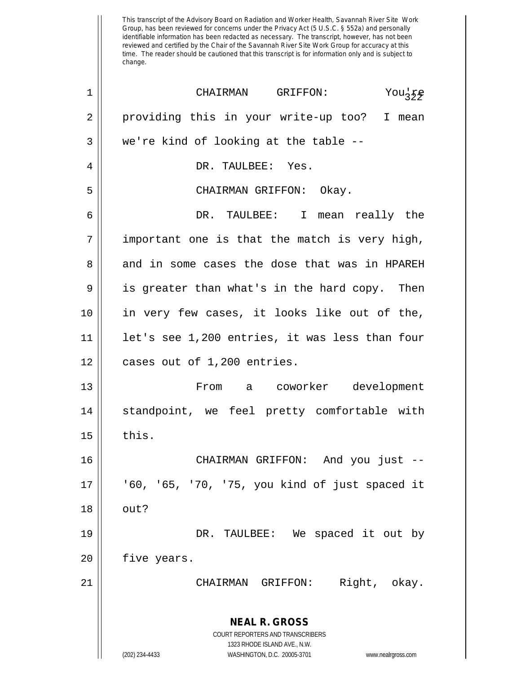This transcript of the Advisory Board on Radiation and Worker Health, Savannah River Site Work Group, has been reviewed for concerns under the Privacy Act (5 U.S.C. § 552a) and personally identifiable information has been redacted as necessary. The transcript, however, has not been reviewed and certified by the Chair of the Savannah River Site Work Group for accuracy at this time. The reader should be cautioned that this transcript is for information only and is subject to change.

| $\mathbf 1$ | CHAIRMAN GRIFFON:<br>$\text{You}_3\frac{1}{2}\frac{1}{2}$                                                                                                       |
|-------------|-----------------------------------------------------------------------------------------------------------------------------------------------------------------|
| 2           | providing this in your write-up too? I mean                                                                                                                     |
| 3           | we're kind of looking at the table --                                                                                                                           |
| 4           | DR. TAULBEE: Yes.                                                                                                                                               |
| 5           | CHAIRMAN GRIFFON: Okay.                                                                                                                                         |
| 6           | DR. TAULBEE: I mean really the                                                                                                                                  |
| 7           | important one is that the match is very high,                                                                                                                   |
| 8           | and in some cases the dose that was in HPAREH                                                                                                                   |
| 9           | is greater than what's in the hard copy. Then                                                                                                                   |
| 10          | in very few cases, it looks like out of the,                                                                                                                    |
| 11          | let's see 1,200 entries, it was less than four                                                                                                                  |
| 12          | cases out of 1,200 entries.                                                                                                                                     |
| 13          | From a coworker development                                                                                                                                     |
| 14          | standpoint, we feel pretty comfortable with                                                                                                                     |
| 15          | this.                                                                                                                                                           |
| 16          | CHAIRMAN GRIFFON: And you just --                                                                                                                               |
| 17          | '60, '65, '70, '75, you kind of just spaced it                                                                                                                  |
| 18          | out?                                                                                                                                                            |
| 19          | DR. TAULBEE: We spaced it out by                                                                                                                                |
| 20          | five years.                                                                                                                                                     |
| 21          | Right, okay.<br>CHAIRMAN GRIFFON:                                                                                                                               |
|             | <b>NEAL R. GROSS</b><br>COURT REPORTERS AND TRANSCRIBERS<br>1323 RHODE ISLAND AVE., N.W.<br>(202) 234-4433<br>WASHINGTON, D.C. 20005-3701<br>www.nealrgross.com |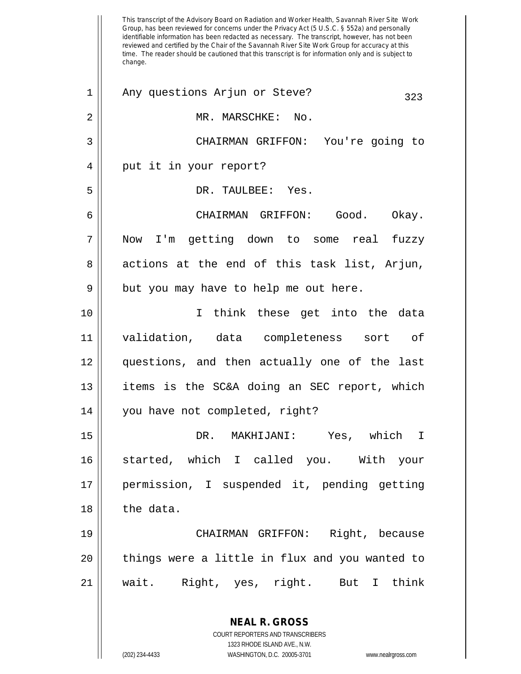This transcript of the Advisory Board on Radiation and Worker Health, Savannah River Site Work Group, has been reviewed for concerns under the Privacy Act (5 U.S.C. § 552a) and personally identifiable information has been redacted as necessary. The transcript, however, has not been reviewed and certified by the Chair of the Savannah River Site Work Group for accuracy at this time. The reader should be cautioned that this transcript is for information only and is subject to change. **NEAL R. GROSS** COURT REPORTERS AND TRANSCRIBERS 1323 RHODE ISLAND AVE., N.W.  $1 \parallel$  Any questions Arjun or Steve?  $323$ 2 | MR. MARSCHKE: No. 3 CHAIRMAN GRIFFON: You're going to 4 || put it in your report? 5 DR. TAULBEE: Yes. 6 CHAIRMAN GRIFFON: Good. Okay. 7 Now I'm getting down to some real fuzzy  $8 \parallel$  actions at the end of this task list, Arjun,  $9 \parallel$  but you may have to help me out here. 10 I think these get into the data 11 validation, data completeness sort of 12 questions, and then actually one of the last 13 items is the SC&A doing an SEC report, which 14 | you have not completed, right? 15 DR. MAKHIJANI: Yes, which I 16 started, which I called you. With your 17 permission, I suspended it, pending getting 18 l the data. 19 CHAIRMAN GRIFFON: Right, because  $20$  || things were a little in flux and you wanted to 21 wait. Right, yes, right. But I think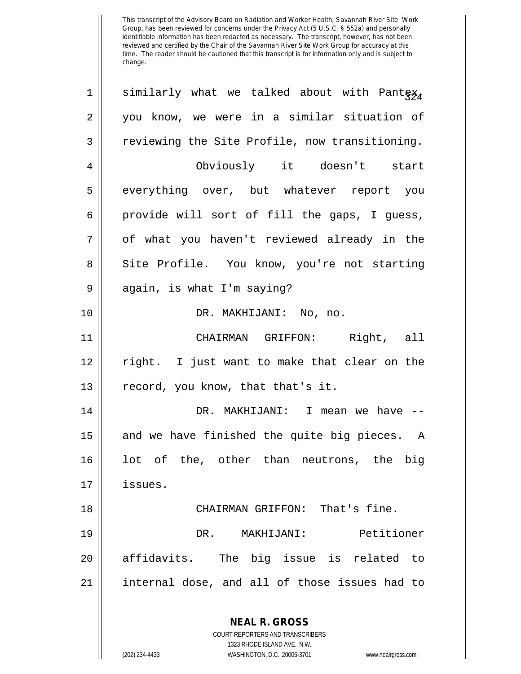This transcript of the Advisory Board on Radiation and Worker Health, Savannah River Site Work Group, has been reviewed for concerns under the Privacy Act (5 U.S.C. § 552a) and personally identifiable information has been redacted as necessary. The transcript, however, has not been reviewed and certified by the Chair of the Savannah River Site Work Group for accuracy at this time. The reader should be cautioned that this transcript is for information only and is subject to change.

| $\mathbf 1$    | similarly what we talked about with Pantex4                                              |
|----------------|------------------------------------------------------------------------------------------|
| $\overline{2}$ | you know, we were in a similar situation of                                              |
| 3              | reviewing the Site Profile, now transitioning.                                           |
| 4              | Obviously it doesn't start                                                               |
| 5              | everything over, but whatever report you                                                 |
| 6              | provide will sort of fill the gaps, I guess,                                             |
| 7              | of what you haven't reviewed already in the                                              |
| 8              | Site Profile. You know, you're not starting                                              |
| 9              | again, is what I'm saying?                                                               |
| 10             | DR. MAKHIJANI: No, no.                                                                   |
| 11             | CHAIRMAN GRIFFON: Right, all                                                             |
| 12             | right. I just want to make that clear on the                                             |
| 13             | record, you know, that that's it.                                                        |
| 14             | DR. MAKHIJANI: I mean we have --                                                         |
| 15             | and we have finished the quite big pieces. A                                             |
| 16             | lot of the, other than neutrons, the big                                                 |
| 17             | issues.                                                                                  |
| 18             | CHAIRMAN GRIFFON: That's fine.                                                           |
| 19             | Petitioner<br>DR. MAKHIJANI:                                                             |
| 20             | affidavits. The big issue is related to                                                  |
| 21             | internal dose, and all of those issues had to                                            |
|                | <b>NEAL R. GROSS</b><br>COURT REPORTERS AND TRANSCRIBERS<br>1323 RHODE ISLAND AVE., N.W. |

 $\frac{1}{2}$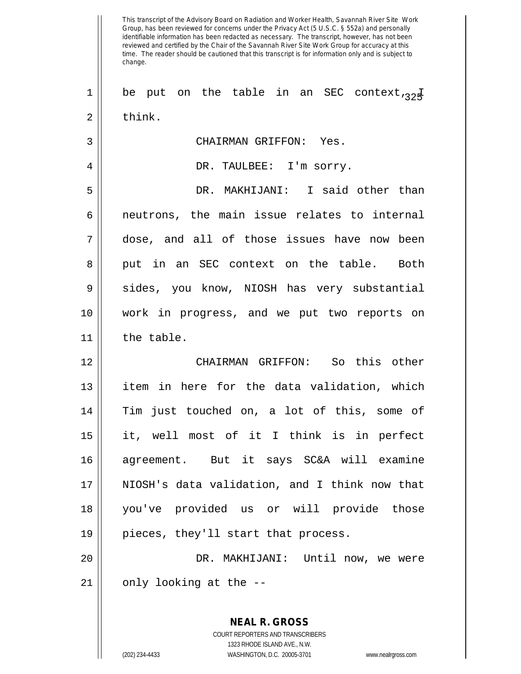Group, has been reviewed for concerns under the Privacy Act (5 U.S.C. § 552a) and personally identifiable information has been redacted as necessary. The transcript, however, has not been reviewed and certified by the Chair of the Savannah River Site Work Group for accuracy at this time. The reader should be cautioned that this transcript is for information only and is subject to change. **NEAL R. GROSS** COURT REPORTERS AND TRANSCRIBERS 1 || be put on the table in an SEC context,  $\frac{1}{32}$  $2 \parallel$  think. 3 CHAIRMAN GRIFFON: Yes. 4 DR. TAULBEE: I'm sorry. 5 DR. MAKHIJANI: I said other than  $6 \parallel$  neutrons, the main issue relates to internal 7 dose, and all of those issues have now been 8 || put in an SEC context on the table. Both 9 || sides, you know, NIOSH has very substantial 10 work in progress, and we put two reports on  $11$  the table. 12 CHAIRMAN GRIFFON: So this other 13 item in here for the data validation, which 14 Tim just touched on, a lot of this, some of 15 it, well most of it I think is in perfect 16 agreement. But it says SC&A will examine 17 NIOSH's data validation, and I think now that 18 you've provided us or will provide those 19 || pieces, they'll start that process. 20 DR. MAKHIJANI: Until now, we were  $21$  | only looking at the  $-$ -

1323 RHODE ISLAND AVE., N.W.

This transcript of the Advisory Board on Radiation and Worker Health, Savannah River Site Work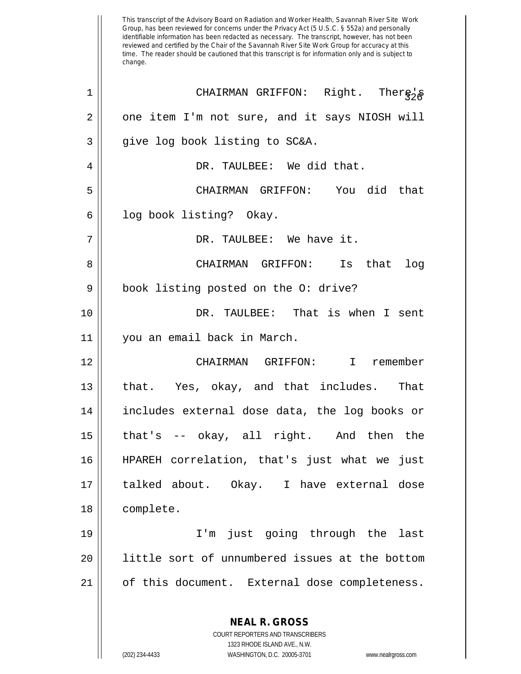This transcript of the Advisory Board on Radiation and Worker Health, Savannah River Site Work Group, has been reviewed for concerns under the Privacy Act (5 U.S.C. § 552a) and personally identifiable information has been redacted as necessary. The transcript, however, has not been reviewed and certified by the Chair of the Savannah River Site Work Group for accuracy at this time. The reader should be cautioned that this transcript is for information only and is subject to change. **NEAL R. GROSS** COURT REPORTERS AND TRANSCRIBERS <sup>326</sup> 1 CHAIRMAN GRIFFON: Right. There's  $2 \parallel$  one item I'm not sure, and it says NIOSH will  $3 \parallel$  give log book listing to SC&A. 4 DR. TAULBEE: We did that. 5 CHAIRMAN GRIFFON: You did that  $6 \parallel$  log book listing? Okay. 7 DR. TAULBEE: We have it. 8 CHAIRMAN GRIFFON: Is that log 9 | book listing posted on the O: drive? 10 DR. TAULBEE: That is when I sent 11 you an email back in March. 12 CHAIRMAN GRIFFON: I remember 13 || that. Yes, okay, and that includes. That 14 includes external dose data, the log books or 15 that's -- okay, all right. And then the 16 HPAREH correlation, that's just what we just 17 talked about. Okay. I have external dose 18 | complete. 19 I'm just going through the last 20 || little sort of unnumbered issues at the bottom 21 || of this document. External dose completeness.

1323 RHODE ISLAND AVE., N.W.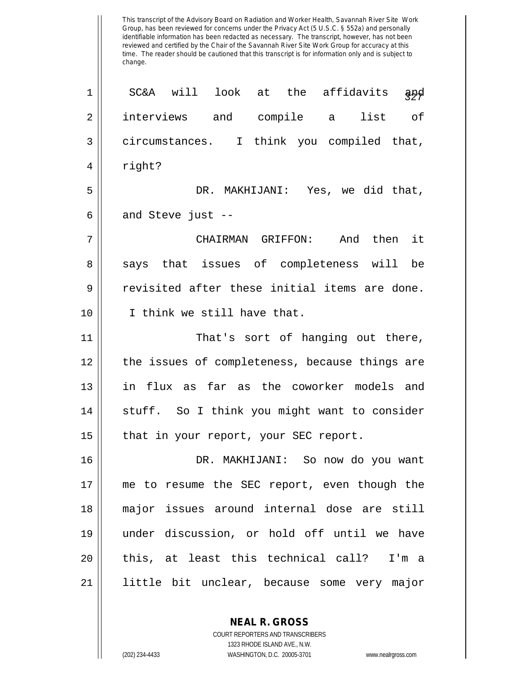This transcript of the Advisory Board on Radiation and Worker Health, Savannah River Site Work Group, has been reviewed for concerns under the Privacy Act (5 U.S.C. § 552a) and personally identifiable information has been redacted as necessary. The transcript, however, has not been reviewed and certified by the Chair of the Savannah River Site Work Group for accuracy at this time. The reader should be cautioned that this transcript is for information only and is subject to change.  $\begin{array}{ccc} 1 & \hspace{1mm} \text{SC}\& \hspace{1mm} \text{with} \hspace{1mm} \text{C} & \text{the} \hspace{1mm} \text{otherwise} \end{array}$ 2 || interviews and compile a list of 3 circumstances. I think you compiled that, 4 || right? 5 DR. MAKHIJANI: Yes, we did that,  $6 \parallel$  and Steve just --7 CHAIRMAN GRIFFON: And then it 8 says that issues of completeness will be 9 revisited after these initial items are done. 10 || I think we still have that. 11 || That's sort of hanging out there, 12 || the issues of completeness, because things are 13 in flux as far as the coworker models and 14 || stuff. So I think you might want to consider 15 || that in your report, your SEC report. 16 DR. MAKHIJANI: So now do you want 17 me to resume the SEC report, even though the 18 major issues around internal dose are still 19 under discussion, or hold off until we have 20 || this, at least this technical call? I'm a 21 little bit unclear, because some very major

> **NEAL R. GROSS** COURT REPORTERS AND TRANSCRIBERS 1323 RHODE ISLAND AVE., N.W.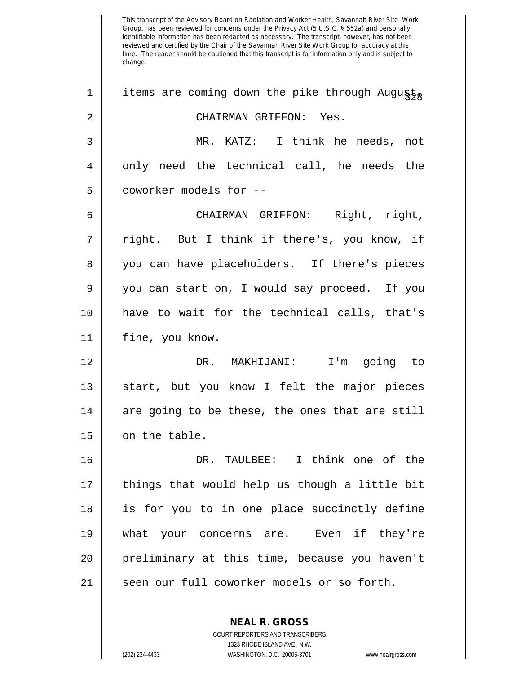This transcript of the Advisory Board on Radiation and Worker Health, Savannah River Site Work Group, has been reviewed for concerns under the Privacy Act (5 U.S.C. § 552a) and personally identifiable information has been redacted as necessary. The transcript, however, has not been reviewed and certified by the Chair of the Savannah River Site Work Group for accuracy at this time. The reader should be cautioned that this transcript is for information only and is subject to change. 1 | items are coming down the pike through August, 2 CHAIRMAN GRIFFON: Yes. 3 MR. KATZ: I think he needs, not  $4 \parallel$  only need the technical call, he needs the 5 ll coworker models for --6 CHAIRMAN GRIFFON: Right, right, 7 || right. But I think if there's, you know, if 8 you can have placeholders. If there's pieces 9 you can start on, I would say proceed. If you 10 have to wait for the technical calls, that's 11 fine, you know. 12 DR. MAKHIJANI: I'm going to 13 || start, but you know I felt the major pieces  $14$  are going to be these, the ones that are still 15 | on the table. 16 DR. TAULBEE: I think one of the 17 || things that would help us though a little bit 18 is for you to in one place succinctly define 19 what your concerns are. Even if they're 20 preliminary at this time, because you haven't 21 || seen our full coworker models or so forth.

> **NEAL R. GROSS** COURT REPORTERS AND TRANSCRIBERS 1323 RHODE ISLAND AVE., N.W. (202) 234-4433 WASHINGTON, D.C. 20005-3701 www.nealrgross.com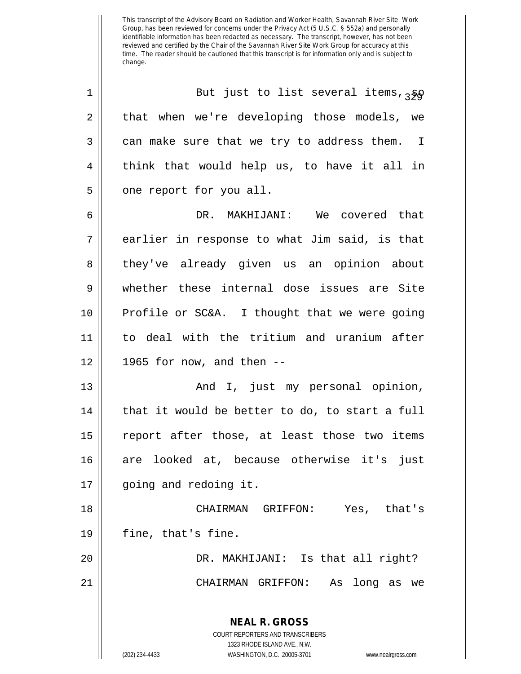| $\mathbf 1$    | But just to list several items, $3\frac{5}{9}$                                                                                                                         |
|----------------|------------------------------------------------------------------------------------------------------------------------------------------------------------------------|
| $\overline{2}$ | that when we're developing those models, we                                                                                                                            |
| 3              | can make sure that we try to address them. I                                                                                                                           |
| 4              | think that would help us, to have it all in                                                                                                                            |
| 5              | one report for you all.                                                                                                                                                |
| 6              | DR. MAKHIJANI: We covered that                                                                                                                                         |
| 7              | earlier in response to what Jim said, is that                                                                                                                          |
| 8              | they've already given us an opinion about                                                                                                                              |
| 9              | whether these internal dose issues are Site                                                                                                                            |
| 10             | Profile or SC&A. I thought that we were going                                                                                                                          |
| 11             | to deal with the tritium and uranium after                                                                                                                             |
| 12             | 1965 for now, and then --                                                                                                                                              |
| 13             | And I, just my personal opinion,                                                                                                                                       |
| 14             | that it would be better to do, to start a full                                                                                                                         |
| 15             | report after those, at least those two items                                                                                                                           |
| 16             | are looked at, because otherwise it's just                                                                                                                             |
| 17             | going and redoing it.                                                                                                                                                  |
| 18             | CHAIRMAN GRIFFON:<br>Yes, that's                                                                                                                                       |
| 19             | fine, that's fine.                                                                                                                                                     |
| 20             | DR. MAKHIJANI: Is that all right?                                                                                                                                      |
| 21             | CHAIRMAN GRIFFON:<br>As<br>long<br>as<br>we                                                                                                                            |
|                | <b>NEAL R. GROSS</b><br><b>COURT REPORTERS AND TRANSCRIBERS</b><br>1323 RHODE ISLAND AVE., N.W.<br>(202) 234-4433<br>WASHINGTON, D.C. 20005-3701<br>www.nealrgross.com |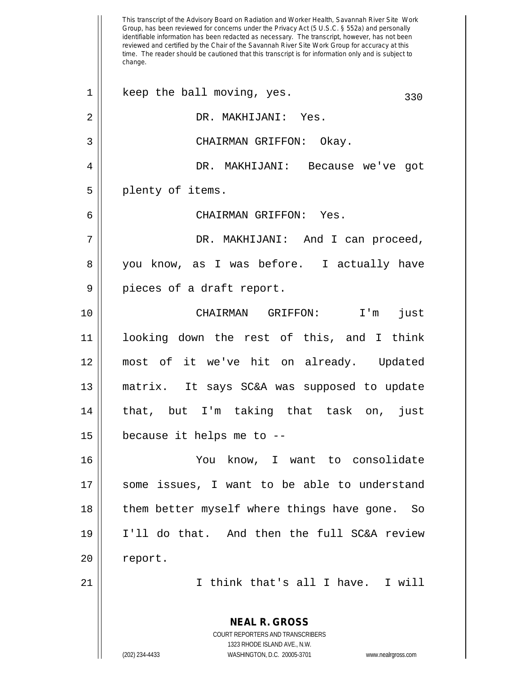This transcript of the Advisory Board on Radiation and Worker Health, Savannah River Site Work Group, has been reviewed for concerns under the Privacy Act (5 U.S.C. § 552a) and personally identifiable information has been redacted as necessary. The transcript, however, has not been reviewed and certified by the Chair of the Savannah River Site Work Group for accuracy at this time. The reader should be cautioned that this transcript is for information only and is subject to change. **NEAL R. GROSS** COURT REPORTERS AND TRANSCRIBERS 1323 RHODE ISLAND AVE., N.W.  $1 \parallel$  keep the ball moving, yes.  $330$ 2 DR. MAKHIJANI: Yes. 3 CHAIRMAN GRIFFON: Okay. 4 DR. MAKHIJANI: Because we've got 5 || plenty of items. 6 CHAIRMAN GRIFFON: Yes. 7 DR. MAKHIJANI: And I can proceed, 8 you know, as I was before. I actually have 9 || pieces of a draft report. 10 CHAIRMAN GRIFFON: I'm just 11 looking down the rest of this, and I think 12 most of it we've hit on already. Updated 13 matrix. It says SC&A was supposed to update 14 that, but I'm taking that task on, just  $15$  || because it helps me to  $-$ 16 You know, I want to consolidate 17 some issues, I want to be able to understand 18 || them better myself where things have gone. So 19 I'll do that. And then the full SC&A review 20 | report. 21 I think that's all I have. I will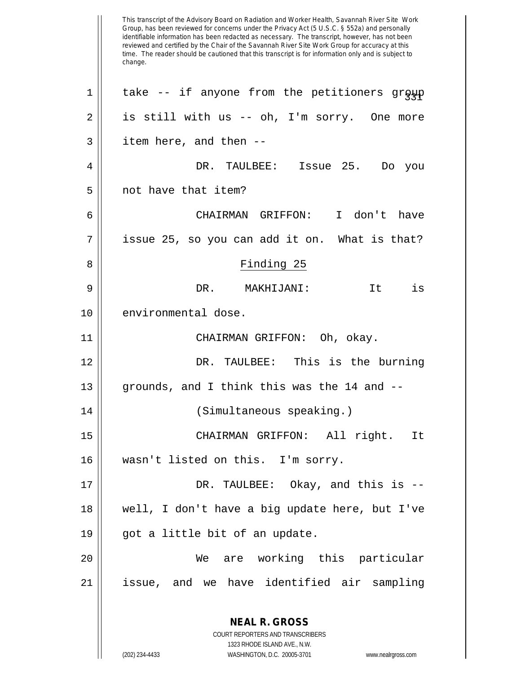This transcript of the Advisory Board on Radiation and Worker Health, Savannah River Site Work Group, has been reviewed for concerns under the Privacy Act (5 U.S.C. § 552a) and personally identifiable information has been redacted as necessary. The transcript, however, has not been reviewed and certified by the Chair of the Savannah River Site Work Group for accuracy at this time. The reader should be cautioned that this transcript is for information only and is subject to change. **NEAL R. GROSS** COURT REPORTERS AND TRANSCRIBERS 1323 RHODE ISLAND AVE., N.W. (202) 234-4433 WASHINGTON, D.C. 20005-3701 www.nealrgross.com  $1$  | take -- if anyone from the petitioners group  $2 \parallel$  is still with us -- oh, I'm sorry. One more  $3 \parallel$  item here, and then  $-$ 4 DR. TAULBEE: Issue 25. Do you 5 ll not have that item? 6 CHAIRMAN GRIFFON: I don't have  $7 \parallel$  issue 25, so you can add it on. What is that? 8 Finding 25 9 DR. MAKHIJANI: It is 10 || environmental dose. 11 CHAIRMAN GRIFFON: Oh, okay. 12 DR. TAULBEE: This is the burning 13 || grounds, and I think this was the 14 and --14 || (Simultaneous speaking.) 15 CHAIRMAN GRIFFON: All right. It 16 wasn't listed on this. I'm sorry. 17 DR. TAULBEE: Okay, and this is -- 18 well, I don't have a big update here, but I've 19 || got a little bit of an update. 20 We are working this particular 21 issue, and we have identified air sampling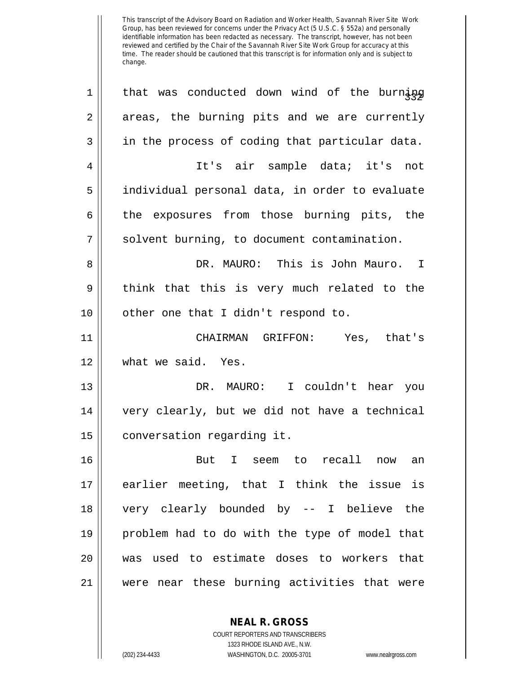| $\mathbf 1$ | that was conducted down wind of the burning    |
|-------------|------------------------------------------------|
| 2           | areas, the burning pits and we are currently   |
| 3           | in the process of coding that particular data. |
| 4           | It's air sample data; it's not                 |
| 5           | individual personal data, in order to evaluate |
| 6           | the exposures from those burning pits, the     |
| 7           | solvent burning, to document contamination.    |
| 8           | DR. MAURO: This is John Mauro. I               |
| 9           | think that this is very much related to the    |
| 10          | other one that I didn't respond to.            |
| 11          | CHAIRMAN GRIFFON: Yes, that's                  |
| 12          | what we said. Yes.                             |
| 13          | DR. MAURO: I couldn't hear you                 |
| 14          | very clearly, but we did not have a technical  |
| 15          | conversation regarding it.                     |
| 16          | But<br>I seem to recall now<br>an              |
| 17          | earlier meeting, that I think the issue is     |
| 18          | very clearly bounded by -- I believe the       |
| 19          | problem had to do with the type of model that  |
| 20          | was used to estimate doses to workers that     |
| 21          | were near these burning activities that were   |

**NEAL R. GROSS** COURT REPORTERS AND TRANSCRIBERS

1323 RHODE ISLAND AVE., N.W. (202) 234-4433 WASHINGTON, D.C. 20005-3701 www.nealrgross.com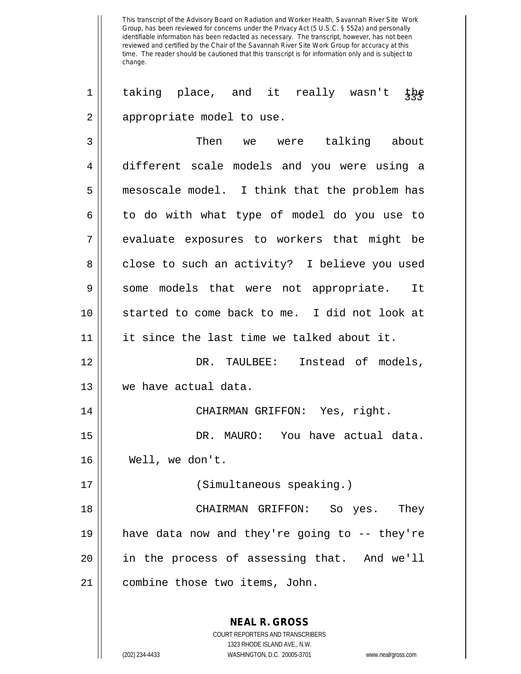$\begin{array}{c} 1 \parallel \end{array}$  taking place, and it really wasn't  $\begin{array}{c} \texttt{the} \ \texttt{333} \end{array}$ 2 | appropriate model to use.

3 Then we were talking about 4 different scale models and you were using a 5 | mesoscale model. I think that the problem has 6 to do with what type of model do you use to 7 || evaluate exposures to workers that might be 8 close to such an activity? I believe you used 9 || some models that were not appropriate. It 10 started to come back to me. I did not look at 11 || it since the last time we talked about it. 12 DR. TAULBEE: Instead of models, 13 we have actual data. 14 || CHAIRMAN GRIFFON: Yes, right. 15 DR. MAURO: You have actual data. 16 Well, we don't. 17 (Simultaneous speaking.) 18 CHAIRMAN GRIFFON: So yes. They 19 have data now and they're going to -- they're 20 in the process of assessing that. And we'll 21 combine those two items, John.

> **NEAL R. GROSS** COURT REPORTERS AND TRANSCRIBERS 1323 RHODE ISLAND AVE., N.W. (202) 234-4433 WASHINGTON, D.C. 20005-3701 www.nealrgross.com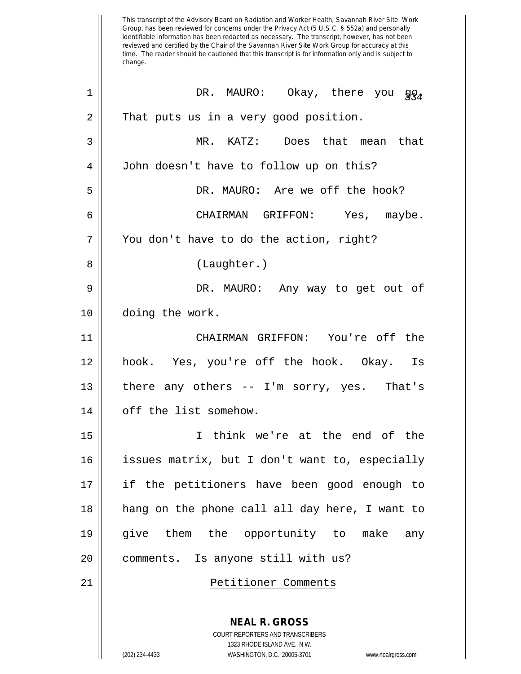This transcript of the Advisory Board on Radiation and Worker Health, Savannah River Site Work Group, has been reviewed for concerns under the Privacy Act (5 U.S.C. § 552a) and personally identifiable information has been redacted as necessary. The transcript, however, has not been reviewed and certified by the Chair of the Savannah River Site Work Group for accuracy at this time. The reader should be cautioned that this transcript is for information only and is subject to change. **NEAL R. GROSS** COURT REPORTERS AND TRANSCRIBERS 1323 RHODE ISLAND AVE., N.W.  $1 \parallel$  DR. MAURO: Okay, there you  $\mathfrak{g}_{\mathcal{R}}$ 2 | That puts us in a very good position. 3 MR. KATZ: Does that mean that 4 John doesn't have to follow up on this? 5 DR. MAURO: Are we off the hook? 6 CHAIRMAN GRIFFON: Yes, maybe. 7 || You don't have to do the action, right? 8 || (Laughter.) 9 DR. MAURO: Any way to get out of 10 || doing the work. 11 CHAIRMAN GRIFFON: You're off the 12 hook. Yes, you're off the hook. Okay. Is 13 || there any others -- I'm sorry, yes. That's 14 | off the list somehow. 15 I think we're at the end of the 16 issues matrix, but I don't want to, especially 17 if the petitioners have been good enough to 18 hang on the phone call all day here, I want to 19 give them the opportunity to make any 20 | comments. Is anyone still with us? 21 || Petitioner Comments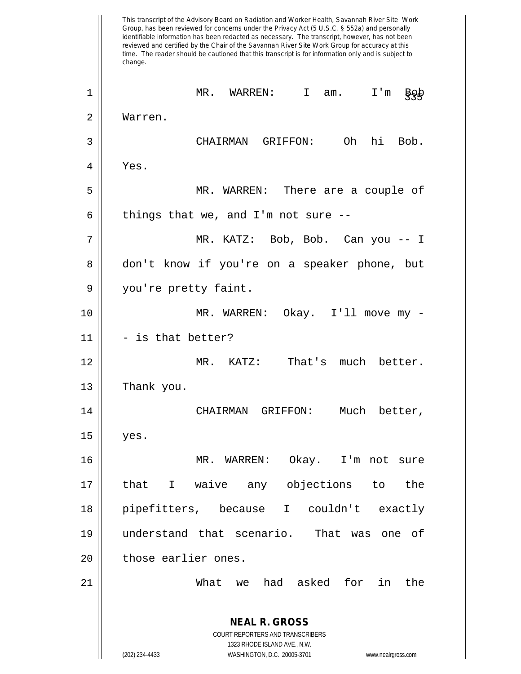This transcript of the Advisory Board on Radiation and Worker Health, Savannah River Site Work Group, has been reviewed for concerns under the Privacy Act (5 U.S.C. § 552a) and personally identifiable information has been redacted as necessary. The transcript, however, has not been reviewed and certified by the Chair of the Savannah River Site Work Group for accuracy at this time. The reader should be cautioned that this transcript is for information only and is subject to change. **NEAL R. GROSS** COURT REPORTERS AND TRANSCRIBERS 1323 RHODE ISLAND AVE., N.W. (202) 234-4433 WASHINGTON, D.C. 20005-3701 www.nealrgross.com <sup>335</sup> 1 MR. WARREN: I am. I'm Bob 2 Warren. 3 CHAIRMAN GRIFFON: Oh hi Bob.  $4 \parallel$  Yes. 5 MR. WARREN: There are a couple of 6  $\parallel$  things that we, and I'm not sure --7 MR. KATZ: Bob, Bob. Can you -- I 8 don't know if you're on a speaker phone, but 9 || you're pretty faint. 10 || MR. WARREN: Okay. I'll move my - $11 \parallel -$  is that better? 12 MR. KATZ: That's much better.  $13$  | Thank you. 14 CHAIRMAN GRIFFON: Much better,  $15 \parallel$  yes. 16 MR. WARREN: Okay. I'm not sure 17 that I waive any objections to the 18 pipefitters, because I couldn't exactly 19 understand that scenario. That was one of  $20$  | those earlier ones. 21 What we had asked for in the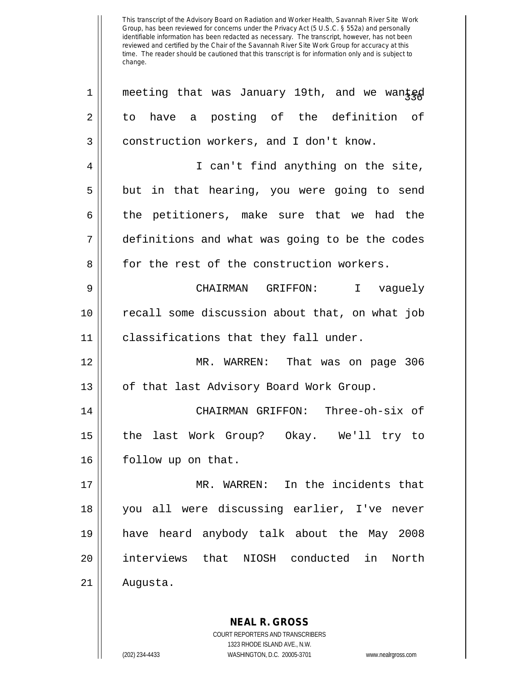This transcript of the Advisory Board on Radiation and Worker Health, Savannah River Site Work Group, has been reviewed for concerns under the Privacy Act (5 U.S.C. § 552a) and personally identifiable information has been redacted as necessary. The transcript, however, has not been reviewed and certified by the Chair of the Savannah River Site Work Group for accuracy at this time. The reader should be cautioned that this transcript is for information only and is subject to change. **NEAL R. GROSS** COURT REPORTERS AND TRANSCRIBERS  $1$  || meeting that was January 19th, and we wanted 2 to have a posting of the definition of 3 | construction workers, and I don't know. 4 || I can't find anything on the site,  $5 \parallel$  but in that hearing, you were going to send  $6 \parallel$  the petitioners, make sure that we had the 7 definitions and what was going to be the codes 8 for the rest of the construction workers. 9 CHAIRMAN GRIFFON: I vaguely 10 || recall some discussion about that, on what job 11 | classifications that they fall under. 12 MR. WARREN: That was on page 306 13 || of that last Advisory Board Work Group. 14 CHAIRMAN GRIFFON: Three-oh-six of 15 the last Work Group? Okay. We'll try to 16 || follow up on that. 17 MR. WARREN: In the incidents that 18 you all were discussing earlier, I've never 19 have heard anybody talk about the May 2008 20 interviews that NIOSH conducted in North 21 | Augusta.

1323 RHODE ISLAND AVE., N.W.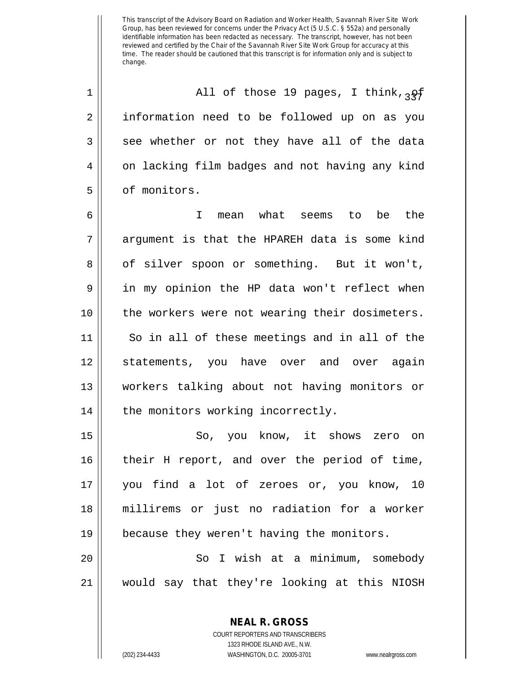$3237$  1 || 2 | information need to be followed up on as you  $3 \parallel$  see whether or not they have all of the data 4 || on lacking film badges and not having any kind 5 | cf monitors.

6 I mean what seems to be the 7 || argument is that the HPAREH data is some kind 8 | of silver spoon or something. But it won't, 9 || in my opinion the HP data won't reflect when 10 || the workers were not wearing their dosimeters. 11 So in all of these meetings and in all of the 12 statements, you have over and over again 13 workers talking about not having monitors or  $14$  | the monitors working incorrectly.

15 So, you know, it shows zero on 16 || their H report, and over the period of time, 17 you find a lot of zeroes or, you know, 10 18 millirems or just no radiation for a worker 19 because they weren't having the monitors.

20 || So I wish at a minimum, somebody 21 would say that they're looking at this NIOSH

> **NEAL R. GROSS** COURT REPORTERS AND TRANSCRIBERS 1323 RHODE ISLAND AVE., N.W. (202) 234-4433 WASHINGTON, D.C. 20005-3701 www.nealrgross.com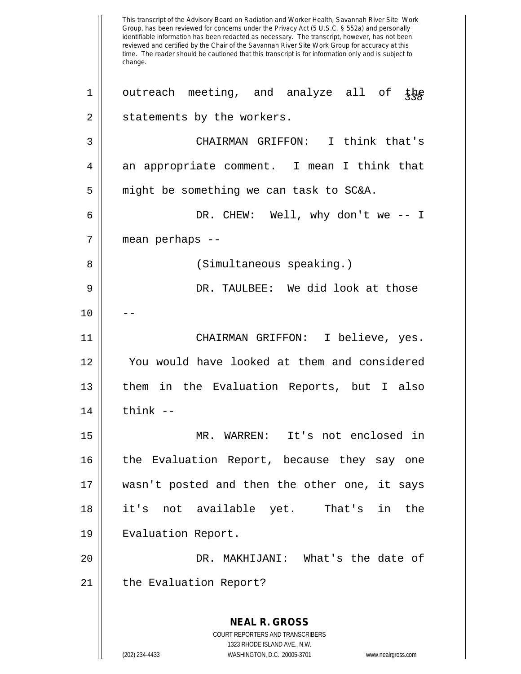This transcript of the Advisory Board on Radiation and Worker Health, Savannah River Site Work Group, has been reviewed for concerns under the Privacy Act (5 U.S.C. § 552a) and personally identifiable information has been redacted as necessary. The transcript, however, has not been reviewed and certified by the Chair of the Savannah River Site Work Group for accuracy at this time. The reader should be cautioned that this transcript is for information only and is subject to change. **NEAL R. GROSS** COURT REPORTERS AND TRANSCRIBERS 1323 RHODE ISLAND AVE., N.W. (202) 234-4433 WASHINGTON, D.C. 20005-3701 www.nealrgross.com 1 || outreach meeting, and analyze all of  $\frac{1}{2}$ 2 || statements by the workers. 3 CHAIRMAN GRIFFON: I think that's 4 an appropriate comment. I mean I think that  $5$  || might be something we can task to SC&A. 6 DR. CHEW: Well, why don't we -- I 7 mean perhaps -- 8 || (Simultaneous speaking.) 9 DR. TAULBEE: We did look at those  $10$ 11 CHAIRMAN GRIFFON: I believe, yes. 12 || You would have looked at them and considered 13 them in the Evaluation Reports, but I also  $14$   $\parallel$  think  $-$ 15 MR. WARREN: It's not enclosed in 16 || the Evaluation Report, because they say one 17 wasn't posted and then the other one, it says 18 it's not available yet. That's in the 19 || Evaluation Report. 20 || DR. MAKHIJANI: What's the date of 21 | the Evaluation Report?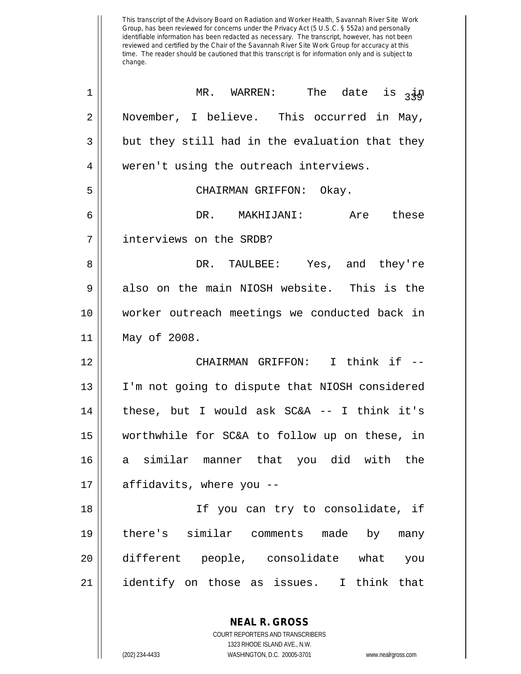|    | This transcript of the Advisory Board on Radiation and Worker Health, Savannah River Site Work<br>Group, has been reviewed for concerns under the Privacy Act (5 U.S.C. § 552a) and personally<br>identifiable information has been redacted as necessary. The transcript, however, has not been<br>reviewed and certified by the Chair of the Savannah River Site Work Group for accuracy at this<br>time. The reader should be cautioned that this transcript is for information only and is subject to<br>change. |
|----|----------------------------------------------------------------------------------------------------------------------------------------------------------------------------------------------------------------------------------------------------------------------------------------------------------------------------------------------------------------------------------------------------------------------------------------------------------------------------------------------------------------------|
| 1  | MR. WARREN:<br>The date is <sub>33</sub> g                                                                                                                                                                                                                                                                                                                                                                                                                                                                           |
| 2  | November, I believe. This occurred in<br>May,                                                                                                                                                                                                                                                                                                                                                                                                                                                                        |
| 3  | but they still had in the evaluation that they                                                                                                                                                                                                                                                                                                                                                                                                                                                                       |
| 4  | weren't using the outreach interviews.                                                                                                                                                                                                                                                                                                                                                                                                                                                                               |
| 5  | CHAIRMAN GRIFFON:<br>Okay.                                                                                                                                                                                                                                                                                                                                                                                                                                                                                           |
| 6  | DR.<br>MAKHIJANI:<br>these<br>Are                                                                                                                                                                                                                                                                                                                                                                                                                                                                                    |
| 7  | interviews on the SRDB?                                                                                                                                                                                                                                                                                                                                                                                                                                                                                              |
| 8  | DR.<br>TAULBEE:<br>they're<br>Yes, and                                                                                                                                                                                                                                                                                                                                                                                                                                                                               |
| 9  | also on the main NIOSH website. This is the                                                                                                                                                                                                                                                                                                                                                                                                                                                                          |
| 10 | worker outreach meetings we conducted back in                                                                                                                                                                                                                                                                                                                                                                                                                                                                        |
| 11 | May of 2008.                                                                                                                                                                                                                                                                                                                                                                                                                                                                                                         |
| 12 | think if<br>CHAIRMAN GRIFFON:<br>I.                                                                                                                                                                                                                                                                                                                                                                                                                                                                                  |
| 13 | I'm not going to dispute that NIOSH considered                                                                                                                                                                                                                                                                                                                                                                                                                                                                       |
| 14 | these, but I would ask SC&A -- I think it's                                                                                                                                                                                                                                                                                                                                                                                                                                                                          |
| 15 | worthwhile for SC&A to follow up on these, in                                                                                                                                                                                                                                                                                                                                                                                                                                                                        |
| 16 | a similar manner that you did with the                                                                                                                                                                                                                                                                                                                                                                                                                                                                               |
| 17 | affidavits, where you --                                                                                                                                                                                                                                                                                                                                                                                                                                                                                             |
| 18 | If you can try to consolidate, if                                                                                                                                                                                                                                                                                                                                                                                                                                                                                    |
| 19 | there's similar comments made by many                                                                                                                                                                                                                                                                                                                                                                                                                                                                                |
| 20 | different people, consolidate what you                                                                                                                                                                                                                                                                                                                                                                                                                                                                               |
| 21 | identify on those as issues. I think that                                                                                                                                                                                                                                                                                                                                                                                                                                                                            |

**NEAL R. GROSS** COURT REPORTERS AND TRANSCRIBERS

1323 RHODE ISLAND AVE., N.W.

 $\mathsf{II}$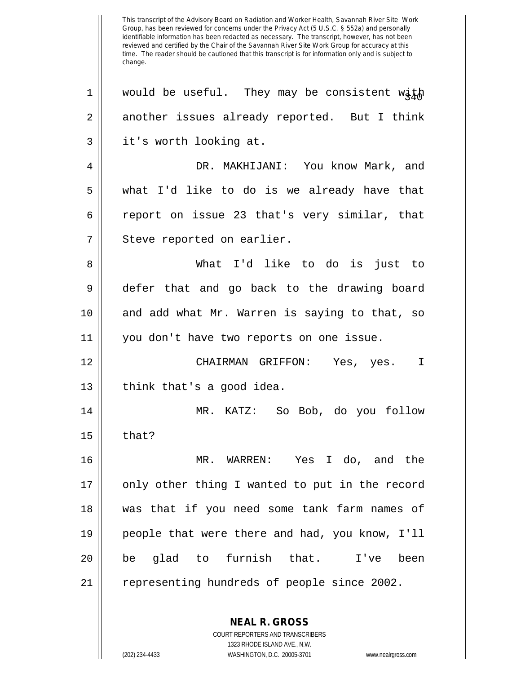This transcript of the Advisory Board on Radiation and Worker Health, Savannah River Site Work Group, has been reviewed for concerns under the Privacy Act (5 U.S.C. § 552a) and personally identifiable information has been redacted as necessary. The transcript, however, has not been reviewed and certified by the Chair of the Savannah River Site Work Group for accuracy at this time. The reader should be cautioned that this transcript is for information only and is subject to change. 1 || would be useful. They may be consistent with 2 another issues already reported. But I think 3 || it's worth looking at. 4 DR. MAKHIJANI: You know Mark, and 5 what I'd like to do is we already have that 6 ceport on issue 23 that's very similar, that 7 || Steve reported on earlier. 8 What I'd like to do is just to 9 defer that and go back to the drawing board 10 and add what Mr. Warren is saying to that, so 11 you don't have two reports on one issue. 12 CHAIRMAN GRIFFON: Yes, yes. I  $13$  || think that's a good idea. 14 MR. KATZ: So Bob, do you follow  $15 \parallel$  that? 16 MR. WARREN: Yes I do, and the 17 || only other thing I wanted to put in the record 18 was that if you need some tank farm names of 19 people that were there and had, you know, I'll 20 be glad to furnish that. I've been 21 | representing hundreds of people since 2002.

> COURT REPORTERS AND TRANSCRIBERS 1323 RHODE ISLAND AVE., N.W. (202) 234-4433 WASHINGTON, D.C. 20005-3701 www.nealrgross.com

**NEAL R. GROSS**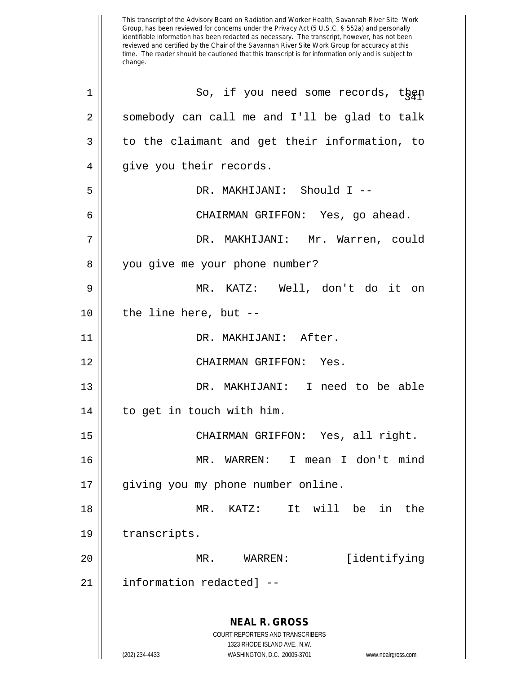This transcript of the Advisory Board on Radiation and Worker Health, Savannah River Site Work Group, has been reviewed for concerns under the Privacy Act (5 U.S.C. § 552a) and personally identifiable information has been redacted as necessary. The transcript, however, has not been reviewed and certified by the Chair of the Savannah River Site Work Group for accuracy at this time. The reader should be cautioned that this transcript is for information only and is subject to change. **NEAL R. GROSS** COURT REPORTERS AND TRANSCRIBERS 1323 RHODE ISLAND AVE., N.W. (202) 234-4433 WASHINGTON, D.C. 20005-3701 www.nealrgross.com <sup>341</sup> 1 So, if you need some records, then 2 | somebody can call me and I'll be glad to talk  $3 \parallel$  to the claimant and get their information, to 4 || give you their records. 5 DR. MAKHIJANI: Should I -- 6 CHAIRMAN GRIFFON: Yes, go ahead. 7 DR. MAKHIJANI: Mr. Warren, could 8 || you give me your phone number? 9 MR. KATZ: Well, don't do it on  $10$  || the line here, but  $-$ 11 || DR. MAKHIJANI: After. 12 CHAIRMAN GRIFFON: Yes. 13 DR. MAKHIJANI: I need to be able 14 | to get in touch with him. 15 CHAIRMAN GRIFFON: Yes, all right. 16 MR. WARREN: I mean I don't mind 17 || giving you my phone number online. 18 MR. KATZ: It will be in the 19 | transcripts. 20 || MR. WARREN: [identifying 21 | information redacted] --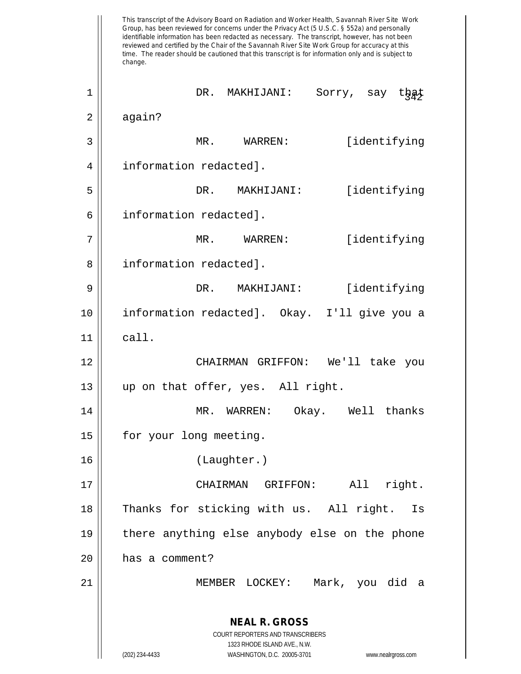This transcript of the Advisory Board on Radiation and Worker Health, Savannah River Site Work Group, has been reviewed for concerns under the Privacy Act (5 U.S.C. § 552a) and personally identifiable information has been redacted as necessary. The transcript, however, has not been reviewed and certified by the Chair of the Savannah River Site Work Group for accuracy at this time. The reader should be cautioned that this transcript is for information only and is subject to change. **NEAL R. GROSS** COURT REPORTERS AND TRANSCRIBERS 1323 RHODE ISLAND AVE., N.W. (202) 234-4433 WASHINGTON, D.C. 20005-3701 www.nealrgross.com <sup>342</sup> 1 DR. MAKHIJANI: Sorry, say that  $2 \parallel$  again? 3 || MR. WARREN: [identifying] 4 | information redacted]. 5 DR. MAKHIJANI: [identifying 6 | information redacted]. 7 || MR. WARREN: [identifying] 8 || information redacted]. 9 DR. MAKHIJANI: [identifying 10 information redacted]. Okay. I'll give you a  $11$   $\parallel$  call. 12 CHAIRMAN GRIFFON: We'll take you 13 || up on that offer, yes. All right. 14 MR. WARREN: Okay. Well thanks 15 | for your long meeting. 16 (Laughter.) 17 CHAIRMAN GRIFFON: All right. 18 || Thanks for sticking with us. All right. Is 19 there anything else anybody else on the phone 20 | has a comment? 21 MEMBER LOCKEY: Mark, you did a